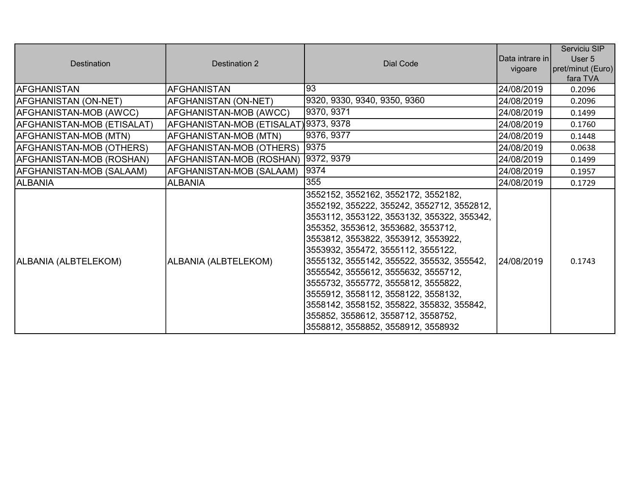| <b>Destination</b>         | Destination 2                         | Dial Code                                                                                                                                                                                                                                                                                                                                                                                                                                                                                                                                     | Data intrare in<br>vigoare | Serviciu SIP<br>User 5<br>pret/minut (Euro)<br>fara TVA |
|----------------------------|---------------------------------------|-----------------------------------------------------------------------------------------------------------------------------------------------------------------------------------------------------------------------------------------------------------------------------------------------------------------------------------------------------------------------------------------------------------------------------------------------------------------------------------------------------------------------------------------------|----------------------------|---------------------------------------------------------|
| <b>AFGHANISTAN</b>         | <b>AFGHANISTAN</b>                    | 93                                                                                                                                                                                                                                                                                                                                                                                                                                                                                                                                            | 24/08/2019                 | 0.2096                                                  |
| AFGHANISTAN (ON-NET)       | AFGHANISTAN (ON-NET)                  | 9320, 9330, 9340, 9350, 9360                                                                                                                                                                                                                                                                                                                                                                                                                                                                                                                  | 24/08/2019                 | 0.2096                                                  |
| AFGHANISTAN-MOB (AWCC)     | AFGHANISTAN-MOB (AWCC)                | 9370, 9371                                                                                                                                                                                                                                                                                                                                                                                                                                                                                                                                    | 24/08/2019                 | 0.1499                                                  |
| AFGHANISTAN-MOB (ETISALAT) | AFGHANISTAN-MOB (ETISALAT) 9373, 9378 |                                                                                                                                                                                                                                                                                                                                                                                                                                                                                                                                               | 24/08/2019                 | 0.1760                                                  |
| AFGHANISTAN-MOB (MTN)      | AFGHANISTAN-MOB (MTN)                 | 9376, 9377                                                                                                                                                                                                                                                                                                                                                                                                                                                                                                                                    | 24/08/2019                 | 0.1448                                                  |
| AFGHANISTAN-MOB (OTHERS)   | AFGHANISTAN-MOB (OTHERS)              | 9375                                                                                                                                                                                                                                                                                                                                                                                                                                                                                                                                          | 24/08/2019                 | 0.0638                                                  |
| AFGHANISTAN-MOB (ROSHAN)   | AFGHANISTAN-MOB (ROSHAN)   9372, 9379 |                                                                                                                                                                                                                                                                                                                                                                                                                                                                                                                                               | 24/08/2019                 | 0.1499                                                  |
| AFGHANISTAN-MOB (SALAAM)   | AFGHANISTAN-MOB (SALAAM)              | 9374                                                                                                                                                                                                                                                                                                                                                                                                                                                                                                                                          | 24/08/2019                 | 0.1957                                                  |
| <b>ALBANIA</b>             | <b>ALBANIA</b>                        | 355                                                                                                                                                                                                                                                                                                                                                                                                                                                                                                                                           | 24/08/2019                 | 0.1729                                                  |
| ALBANIA (ALBTELEKOM)       | ALBANIA (ALBTELEKOM)                  | 3552152, 3552162, 3552172, 3552182,<br>3552192, 355222, 355242, 3552712, 3552812,<br>3553112, 3553122, 3553132, 355322, 355342,<br>355352, 3553612, 3553682, 3553712,<br>3553812, 3553822, 3553912, 3553922,<br>3553932, 355472, 3555112, 3555122,<br>3555132, 3555142, 355522, 355532, 355542,<br>3555542, 3555612, 3555632, 3555712,<br>3555732, 3555772, 3555812, 3555822,<br>3555912, 3558112, 3558122, 3558132,<br>3558142, 3558152, 355822, 355832, 355842,<br>355852, 3558612, 3558712, 3558752,<br>3558812, 3558852, 3558912, 3558932 | 24/08/2019                 | 0.1743                                                  |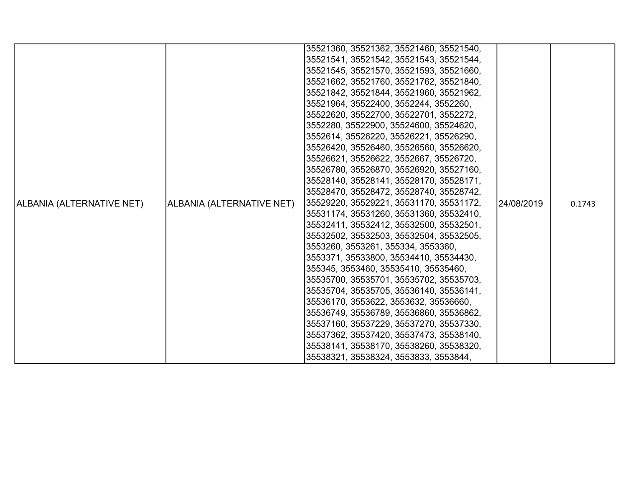|                           |                           | 35521360, 35521362, 35521460, 35521540, |            |        |
|---------------------------|---------------------------|-----------------------------------------|------------|--------|
|                           |                           | 35521541, 35521542, 35521543, 35521544, |            |        |
|                           |                           | 35521545, 35521570, 35521593, 35521660, |            |        |
|                           |                           | 35521662, 35521760, 35521762, 35521840, |            |        |
|                           |                           | 35521842, 35521844, 35521960, 35521962, |            |        |
|                           |                           | 35521964, 35522400, 3552244, 3552260,   |            |        |
|                           |                           | 35522620, 35522700, 35522701, 3552272,  |            |        |
|                           |                           | 3552280, 35522900, 35524600, 35524620,  |            |        |
|                           |                           | 3552614, 35526220, 35526221, 35526290,  |            |        |
|                           |                           | 35526420, 35526460, 35526560, 35526620, |            |        |
|                           |                           | 35526621, 35526622, 3552667, 35526720,  |            |        |
|                           |                           | 35526780, 35526870, 35526920, 35527160, |            |        |
|                           |                           | 35528140, 35528141, 35528170, 35528171, |            |        |
|                           |                           | 35528470, 35528472, 35528740, 35528742, |            |        |
| ALBANIA (ALTERNATIVE NET) | ALBANIA (ALTERNATIVE NET) | 35529220, 35529221, 35531170, 35531172, | 24/08/2019 | 0.1743 |
|                           |                           | 35531174, 35531260, 35531360, 35532410, |            |        |
|                           |                           | 35532411, 35532412, 35532500, 35532501, |            |        |
|                           |                           | 35532502, 35532503, 35532504, 35532505, |            |        |
|                           |                           | 3553260, 3553261, 355334, 3553360,      |            |        |
|                           |                           | 3553371, 35533800, 35534410, 35534430,  |            |        |
|                           |                           | 355345, 3553460, 35535410, 35535460,    |            |        |
|                           |                           | 35535700, 35535701, 35535702, 35535703, |            |        |
|                           |                           | 35535704, 35535705, 35536140, 35536141, |            |        |
|                           |                           | 35536170, 3553622, 3553632, 35536660,   |            |        |
|                           |                           | 35536749, 35536789, 35536860, 35536862, |            |        |
|                           |                           | 35537160, 35537229, 35537270, 35537330, |            |        |
|                           |                           | 35537362, 35537420, 35537473, 35538140, |            |        |
|                           |                           | 35538141, 35538170, 35538260, 35538320, |            |        |
|                           |                           | 35538321, 35538324, 3553833, 3553844,   |            |        |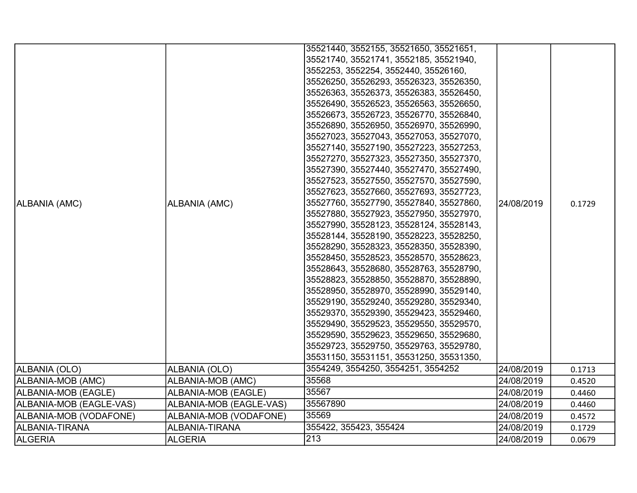|                         |                         | 35521440, 3552155, 35521650, 35521651,  |            |        |
|-------------------------|-------------------------|-----------------------------------------|------------|--------|
|                         |                         | 35521740, 35521741, 3552185, 35521940,  |            |        |
|                         |                         | 3552253, 3552254, 3552440, 35526160,    |            |        |
|                         |                         | 35526250, 35526293, 35526323, 35526350, |            |        |
|                         |                         | 35526363, 35526373, 35526383, 35526450, |            |        |
|                         |                         | 35526490, 35526523, 35526563, 35526650, |            |        |
|                         |                         | 35526673, 35526723, 35526770, 35526840, |            |        |
|                         |                         | 35526890, 35526950, 35526970, 35526990, |            |        |
|                         |                         | 35527023, 35527043, 35527053, 35527070, |            |        |
|                         |                         | 35527140, 35527190, 35527223, 35527253, |            |        |
|                         |                         | 35527270, 35527323, 35527350, 35527370, |            |        |
|                         |                         | 35527390, 35527440, 35527470, 35527490, |            |        |
|                         |                         | 35527523, 35527550, 35527570, 35527590, |            |        |
|                         |                         | 35527623, 35527660, 35527693, 35527723, |            |        |
| ALBANIA (AMC)           | ALBANIA (AMC)           | 35527760, 35527790, 35527840, 35527860, | 24/08/2019 | 0.1729 |
|                         |                         | 35527880, 35527923, 35527950, 35527970, |            |        |
|                         |                         | 35527990, 35528123, 35528124, 35528143, |            |        |
|                         |                         | 35528144, 35528190, 35528223, 35528250, |            |        |
|                         |                         | 35528290, 35528323, 35528350, 35528390, |            |        |
|                         |                         | 35528450, 35528523, 35528570, 35528623, |            |        |
|                         |                         | 35528643, 35528680, 35528763, 35528790, |            |        |
|                         |                         | 35528823, 35528850, 35528870, 35528890, |            |        |
|                         |                         | 35528950, 35528970, 35528990, 35529140, |            |        |
|                         |                         | 35529190, 35529240, 35529280, 35529340, |            |        |
|                         |                         | 35529370, 35529390, 35529423, 35529460, |            |        |
|                         |                         | 35529490, 35529523, 35529550, 35529570, |            |        |
|                         |                         | 35529590, 35529623, 35529650, 35529680, |            |        |
|                         |                         | 35529723, 35529750, 35529763, 35529780, |            |        |
|                         |                         | 35531150, 35531151, 35531250, 35531350, |            |        |
| ALBANIA (OLO)           | ALBANIA (OLO)           | 3554249, 3554250, 3554251, 3554252      | 24/08/2019 | 0.1713 |
| ALBANIA-MOB (AMC)       | ALBANIA-MOB (AMC)       | 35568                                   | 24/08/2019 | 0.4520 |
| ALBANIA-MOB (EAGLE)     | ALBANIA-MOB (EAGLE)     | 35567                                   | 24/08/2019 | 0.4460 |
| ALBANIA-MOB (EAGLE-VAS) | ALBANIA-MOB (EAGLE-VAS) | 35567890                                | 24/08/2019 | 0.4460 |
| ALBANIA-MOB (VODAFONE)  | ALBANIA-MOB (VODAFONE)  | 35569                                   | 24/08/2019 | 0.4572 |
| ALBANIA-TIRANA          | ALBANIA-TIRANA          | 355422, 355423, 355424                  | 24/08/2019 | 0.1729 |
| <b>ALGERIA</b>          | <b>ALGERIA</b>          | $\overline{213}$                        | 24/08/2019 | 0.0679 |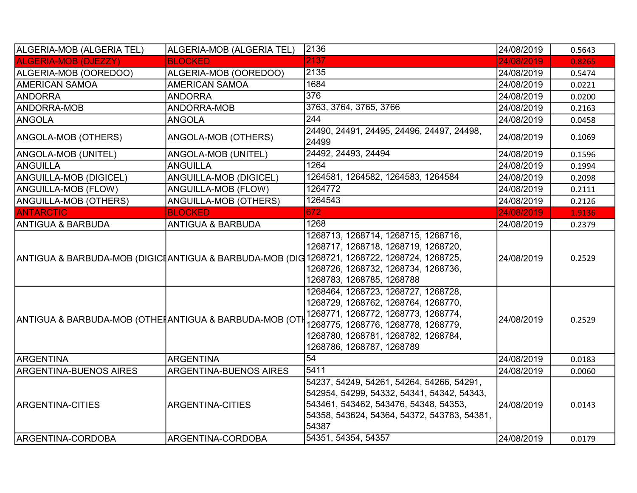| ALGERIA-MOB (ALGERIA TEL)                              | ALGERIA-MOB (ALGERIA TEL)     | 2136                                                                                                                                                                                                                                          | 24/08/2019 | 0.5643 |
|--------------------------------------------------------|-------------------------------|-----------------------------------------------------------------------------------------------------------------------------------------------------------------------------------------------------------------------------------------------|------------|--------|
| <b>ALGERIA-MOB (DJEZZY)</b>                            | <b>BLOCKED</b>                | 2137                                                                                                                                                                                                                                          | 24/08/2019 | 0.8265 |
| ALGERIA-MOB (OOREDOO)                                  | ALGERIA-MOB (OOREDOO)         | 2135                                                                                                                                                                                                                                          | 24/08/2019 | 0.5474 |
| <b>AMERICAN SAMOA</b>                                  | <b>AMERICAN SAMOA</b>         | 1684                                                                                                                                                                                                                                          | 24/08/2019 | 0.0221 |
| <b>ANDORRA</b>                                         | <b>ANDORRA</b>                | 376                                                                                                                                                                                                                                           | 24/08/2019 | 0.0200 |
| <b>ANDORRA-MOB</b>                                     | ANDORRA-MOB                   | 3763, 3764, 3765, 3766                                                                                                                                                                                                                        | 24/08/2019 | 0.2163 |
| ANGOLA                                                 | <b>ANGOLA</b>                 | 244                                                                                                                                                                                                                                           | 24/08/2019 | 0.0458 |
| ANGOLA-MOB (OTHERS)                                    | ANGOLA-MOB (OTHERS)           | 24490, 24491, 24495, 24496, 24497, 24498,<br>24499                                                                                                                                                                                            | 24/08/2019 | 0.1069 |
| ANGOLA-MOB (UNITEL)                                    | ANGOLA-MOB (UNITEL)           | 24492, 24493, 24494                                                                                                                                                                                                                           | 24/08/2019 | 0.1596 |
| ANGUILLA                                               | <b>ANGUILLA</b>               | 1264                                                                                                                                                                                                                                          | 24/08/2019 | 0.1994 |
| <b>ANGUILLA-MOB (DIGICEL)</b>                          | ANGUILLA-MOB (DIGICEL)        | 1264581, 1264582, 1264583, 1264584                                                                                                                                                                                                            | 24/08/2019 | 0.2098 |
| <b>ANGUILLA-MOB (FLOW)</b>                             | ANGUILLA-MOB (FLOW)           | 1264772                                                                                                                                                                                                                                       | 24/08/2019 | 0.2111 |
| <b>ANGUILLA-MOB (OTHERS)</b>                           | <b>ANGUILLA-MOB (OTHERS)</b>  | 1264543                                                                                                                                                                                                                                       | 24/08/2019 | 0.2126 |
| <b>ANTARCTIC</b>                                       | <b>BLOCKED</b>                | 672                                                                                                                                                                                                                                           | 24/08/2019 | 1.9136 |
| ANTIGUA & BARBUDA                                      | <b>ANTIGUA &amp; BARBUDA</b>  | 1268                                                                                                                                                                                                                                          | 24/08/2019 | 0.2379 |
|                                                        |                               | 1268713, 1268714, 1268715, 1268716,<br>1268717, 1268718, 1268719, 1268720,<br>ANTIGUA & BARBUDA-MOB (DIGICIANTIGUA & BARBUDA-MOB (DIG 1268721, 1268722, 1268724, 1268725,<br>1268726, 1268732, 1268734, 1268736,<br>1268783, 1268785, 1268788 | 24/08/2019 | 0.2529 |
| ANTIGUA & BARBUDA-MOB (OTHEÑANTIGUA & BARBUDA-MOB (OTI |                               | 1268464, 1268723, 1268727, 1268728,<br>1268729, 1268762, 1268764, 1268770,<br>1268771, 1268772, 1268773, 1268774,<br>1268775, 1268776, 1268778, 1268779,<br>1268780, 1268781, 1268782, 1268784,<br>1268786, 1268787, 1268789                  | 24/08/2019 | 0.2529 |
| ARGENTINA                                              | ARGENTINA                     | 54                                                                                                                                                                                                                                            | 24/08/2019 | 0.0183 |
| <b>ARGENTINA-BUENOS AIRES</b>                          | <b>ARGENTINA-BUENOS AIRES</b> | 5411                                                                                                                                                                                                                                          | 24/08/2019 | 0.0060 |
| <b>ARGENTINA-CITIES</b>                                | <b>ARGENTINA-CITIES</b>       | 54237, 54249, 54261, 54264, 54266, 54291,<br>542954, 54299, 54332, 54341, 54342, 54343,<br>543461, 543462, 543476, 54348, 54353,<br>54358, 543624, 54364, 54372, 543783, 54381,<br>54387<br>54351, 54354, 54357                               | 24/08/2019 | 0.0143 |
| ARGENTINA-CORDOBA                                      | ARGENTINA-CORDOBA             |                                                                                                                                                                                                                                               | 24/08/2019 | 0.0179 |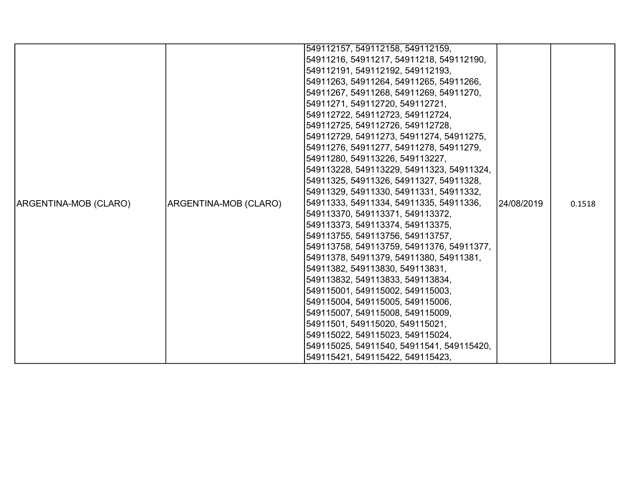|                       |                       | 549112157, 549112158, 549112159,          |             |        |
|-----------------------|-----------------------|-------------------------------------------|-------------|--------|
|                       |                       | 54911216, 54911217, 54911218, 549112190,  |             |        |
|                       |                       | 549112191, 549112192, 549112193,          |             |        |
|                       |                       | 54911263, 54911264, 54911265, 54911266,   |             |        |
|                       |                       | 54911267, 54911268, 54911269, 54911270,   |             |        |
|                       |                       | 54911271, 549112720, 549112721,           |             |        |
|                       |                       | 549112722, 549112723, 549112724,          |             |        |
|                       |                       | 549112725, 549112726, 549112728,          |             |        |
|                       |                       | 549112729, 54911273, 54911274, 54911275,  |             |        |
|                       |                       | 54911276, 54911277, 54911278, 54911279,   |             |        |
|                       |                       | 54911280, 549113226, 549113227,           |             |        |
|                       |                       | 549113228, 549113229, 54911323, 54911324, |             |        |
|                       |                       | 54911325, 54911326, 54911327, 54911328,   |             |        |
|                       |                       | 54911329, 54911330, 54911331, 54911332,   |             |        |
| ARGENTINA-MOB (CLARO) | ARGENTINA-MOB (CLARO) | 54911333, 54911334, 54911335, 54911336,   | 124/08/2019 | 0.1518 |
|                       |                       | 549113370, 549113371, 549113372,          |             |        |
|                       |                       | 549113373, 549113374, 549113375,          |             |        |
|                       |                       | 549113755, 549113756, 549113757,          |             |        |
|                       |                       | 549113758, 549113759, 54911376, 54911377, |             |        |
|                       |                       | 54911378, 54911379, 54911380, 54911381,   |             |        |
|                       |                       | 54911382, 549113830, 549113831,           |             |        |
|                       |                       | 549113832, 549113833, 549113834,          |             |        |
|                       |                       | 549115001, 549115002, 549115003,          |             |        |
|                       |                       | 549115004, 549115005, 549115006,          |             |        |
|                       |                       | 549115007, 549115008, 549115009,          |             |        |
|                       |                       | 54911501, 549115020, 549115021,           |             |        |
|                       |                       | 549115022, 549115023, 549115024,          |             |        |
|                       |                       | 549115025, 54911540, 54911541, 549115420, |             |        |
|                       |                       | 549115421, 549115422, 549115423,          |             |        |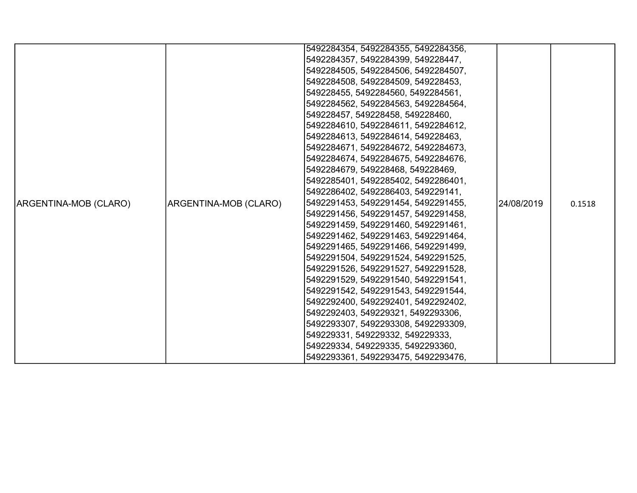|                       |                       | 5492284354, 5492284355, 5492284356, |            |        |
|-----------------------|-----------------------|-------------------------------------|------------|--------|
|                       |                       | 5492284357, 5492284399, 549228447,  |            |        |
|                       |                       | 5492284505, 5492284506, 5492284507, |            |        |
|                       |                       | 5492284508, 5492284509, 549228453,  |            |        |
|                       |                       | 549228455, 5492284560, 5492284561,  |            |        |
|                       |                       | 5492284562, 5492284563, 5492284564, |            |        |
|                       |                       | 549228457, 549228458, 549228460,    |            |        |
|                       |                       | 5492284610, 5492284611, 5492284612, |            |        |
|                       |                       | 5492284613, 5492284614, 549228463,  |            |        |
|                       |                       | 5492284671, 5492284672, 5492284673, |            |        |
|                       |                       | 5492284674, 5492284675, 5492284676, |            |        |
|                       |                       | 5492284679, 549228468, 549228469,   |            |        |
|                       |                       | 5492285401, 5492285402, 5492286401, |            |        |
|                       |                       | 5492286402, 5492286403, 549229141,  |            |        |
| ARGENTINA-MOB (CLARO) | ARGENTINA-MOB (CLARO) | 5492291453, 5492291454, 5492291455, | 24/08/2019 | 0.1518 |
|                       |                       | 5492291456, 5492291457, 5492291458, |            |        |
|                       |                       | 5492291459, 5492291460, 5492291461, |            |        |
|                       |                       | 5492291462, 5492291463, 5492291464, |            |        |
|                       |                       | 5492291465, 5492291466, 5492291499, |            |        |
|                       |                       | 5492291504, 5492291524, 5492291525, |            |        |
|                       |                       | 5492291526, 5492291527, 5492291528, |            |        |
|                       |                       | 5492291529, 5492291540, 5492291541, |            |        |
|                       |                       | 5492291542, 5492291543, 5492291544, |            |        |
|                       |                       | 5492292400, 5492292401, 5492292402, |            |        |
|                       |                       | 5492292403, 549229321, 5492293306,  |            |        |
|                       |                       | 5492293307, 5492293308, 5492293309, |            |        |
|                       |                       | 549229331, 549229332, 549229333,    |            |        |
|                       |                       | 549229334, 549229335, 5492293360,   |            |        |
|                       |                       | 5492293361, 5492293475, 5492293476, |            |        |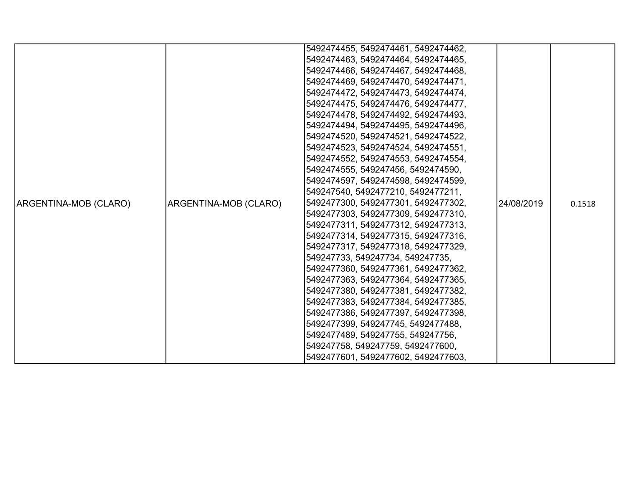|                       |                       | 5492474455, 5492474461, 5492474462, |            |        |
|-----------------------|-----------------------|-------------------------------------|------------|--------|
|                       |                       | 5492474463, 5492474464, 5492474465, |            |        |
|                       |                       | 5492474466, 5492474467, 5492474468, |            |        |
|                       |                       | 5492474469, 5492474470, 5492474471, |            |        |
|                       |                       | 5492474472, 5492474473, 5492474474, |            |        |
|                       |                       | 5492474475, 5492474476, 5492474477, |            |        |
|                       |                       | 5492474478, 5492474492, 5492474493, |            |        |
|                       |                       | 5492474494, 5492474495, 5492474496, |            |        |
|                       |                       | 5492474520, 5492474521, 5492474522, |            |        |
|                       |                       | 5492474523, 5492474524, 5492474551, |            |        |
|                       |                       | 5492474552, 5492474553, 5492474554, |            |        |
|                       |                       | 5492474555, 549247456, 5492474590,  |            |        |
|                       |                       | 5492474597, 5492474598, 5492474599, |            |        |
|                       |                       | 549247540, 5492477210, 5492477211,  |            |        |
| ARGENTINA-MOB (CLARO) | ARGENTINA-MOB (CLARO) | 5492477300, 5492477301, 5492477302, | 24/08/2019 | 0.1518 |
|                       |                       | 5492477303, 5492477309, 5492477310, |            |        |
|                       |                       | 5492477311, 5492477312, 5492477313, |            |        |
|                       |                       | 5492477314, 5492477315, 5492477316, |            |        |
|                       |                       | 5492477317, 5492477318, 5492477329, |            |        |
|                       |                       | 549247733, 549247734, 549247735,    |            |        |
|                       |                       | 5492477360, 5492477361, 5492477362, |            |        |
|                       |                       | 5492477363, 5492477364, 5492477365, |            |        |
|                       |                       | 5492477380, 5492477381, 5492477382, |            |        |
|                       |                       | 5492477383, 5492477384, 5492477385, |            |        |
|                       |                       | 5492477386, 5492477397, 5492477398, |            |        |
|                       |                       | 5492477399, 549247745, 5492477488,  |            |        |
|                       |                       | 5492477489, 549247755, 549247756,   |            |        |
|                       |                       | 549247758, 549247759, 5492477600,   |            |        |
|                       |                       | 5492477601, 5492477602, 5492477603, |            |        |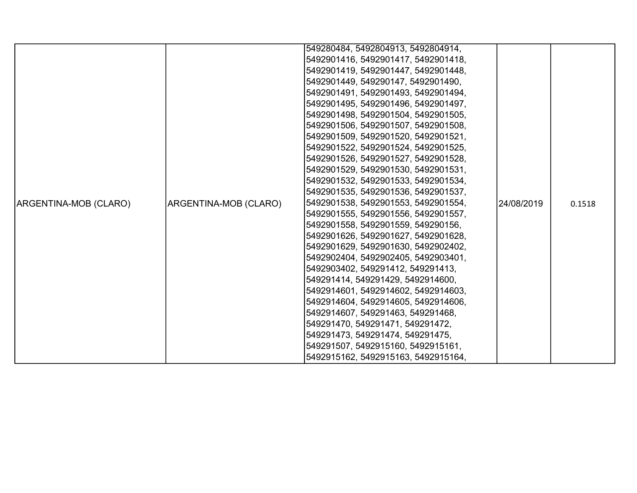|                       |                       | 549280484, 5492804913, 5492804914,  |            |        |
|-----------------------|-----------------------|-------------------------------------|------------|--------|
|                       |                       |                                     |            |        |
|                       |                       | 5492901416, 5492901417, 5492901418, |            |        |
|                       |                       | 5492901419, 5492901447, 5492901448, |            |        |
|                       |                       | 5492901449, 549290147, 5492901490,  |            |        |
|                       |                       | 5492901491, 5492901493, 5492901494, |            |        |
|                       |                       | 5492901495, 5492901496, 5492901497, |            |        |
|                       |                       | 5492901498, 5492901504, 5492901505, |            |        |
|                       |                       | 5492901506, 5492901507, 5492901508, |            |        |
|                       |                       | 5492901509, 5492901520, 5492901521, |            |        |
|                       |                       | 5492901522, 5492901524, 5492901525, |            |        |
|                       |                       | 5492901526, 5492901527, 5492901528, |            |        |
|                       |                       | 5492901529, 5492901530, 5492901531, |            |        |
|                       |                       | 5492901532, 5492901533, 5492901534, |            |        |
|                       |                       | 5492901535, 5492901536, 5492901537, |            |        |
| ARGENTINA-MOB (CLARO) | ARGENTINA-MOB (CLARO) | 5492901538, 5492901553, 5492901554, | 24/08/2019 | 0.1518 |
|                       |                       | 5492901555, 5492901556, 5492901557, |            |        |
|                       |                       | 5492901558, 5492901559, 549290156,  |            |        |
|                       |                       | 5492901626, 5492901627, 5492901628, |            |        |
|                       |                       | 5492901629, 5492901630, 5492902402, |            |        |
|                       |                       | 5492902404, 5492902405, 5492903401, |            |        |
|                       |                       | 5492903402, 549291412, 549291413,   |            |        |
|                       |                       | 549291414, 549291429, 5492914600,   |            |        |
|                       |                       | 5492914601, 5492914602, 5492914603, |            |        |
|                       |                       | 5492914604, 5492914605, 5492914606, |            |        |
|                       |                       | 5492914607, 549291463, 549291468,   |            |        |
|                       |                       | 549291470, 549291471, 549291472,    |            |        |
|                       |                       | 549291473, 549291474, 549291475,    |            |        |
|                       |                       | 549291507, 5492915160, 5492915161,  |            |        |
|                       |                       | 5492915162, 5492915163, 5492915164, |            |        |
|                       |                       |                                     |            |        |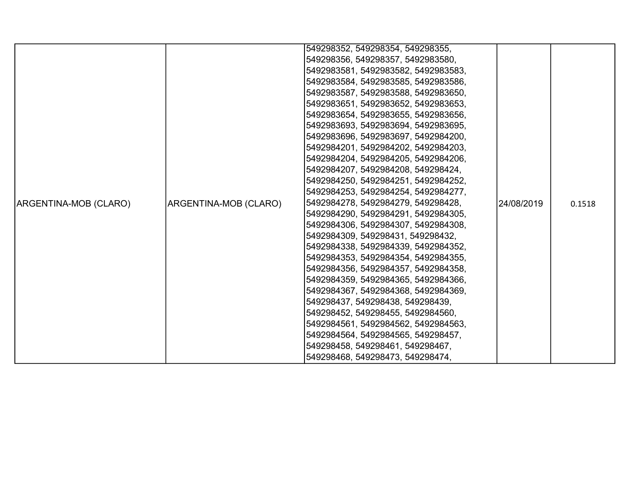|                       |                              | 549298352, 549298354, 549298355,    |            |        |
|-----------------------|------------------------------|-------------------------------------|------------|--------|
|                       |                              | 549298356, 549298357, 5492983580,   |            |        |
|                       |                              | 5492983581, 5492983582, 5492983583, |            |        |
|                       |                              | 5492983584, 5492983585, 5492983586, |            |        |
|                       |                              | 5492983587, 5492983588, 5492983650, |            |        |
|                       |                              | 5492983651, 5492983652, 5492983653, |            |        |
|                       |                              | 5492983654, 5492983655, 5492983656, |            |        |
|                       |                              | 5492983693, 5492983694, 5492983695, |            |        |
|                       |                              | 5492983696, 5492983697, 5492984200, |            |        |
|                       |                              | 5492984201, 5492984202, 5492984203, |            |        |
|                       |                              | 5492984204, 5492984205, 5492984206, |            |        |
|                       |                              | 5492984207, 5492984208, 549298424,  |            |        |
|                       |                              | 5492984250, 5492984251, 5492984252, |            |        |
|                       |                              | 5492984253, 5492984254, 5492984277, |            |        |
| ARGENTINA-MOB (CLARO) | <b>ARGENTINA-MOB (CLARO)</b> | 5492984278, 5492984279, 549298428,  | 24/08/2019 | 0.1518 |
|                       |                              | 5492984290, 5492984291, 5492984305, |            |        |
|                       |                              | 5492984306, 5492984307, 5492984308, |            |        |
|                       |                              | 5492984309, 549298431, 549298432,   |            |        |
|                       |                              | 5492984338, 5492984339, 5492984352, |            |        |
|                       |                              | 5492984353, 5492984354, 5492984355, |            |        |
|                       |                              | 5492984356, 5492984357, 5492984358, |            |        |
|                       |                              | 5492984359, 5492984365, 5492984366, |            |        |
|                       |                              | 5492984367, 5492984368, 5492984369, |            |        |
|                       |                              | 549298437, 549298438, 549298439,    |            |        |
|                       |                              | 549298452, 549298455, 5492984560,   |            |        |
|                       |                              | 5492984561, 5492984562, 5492984563, |            |        |
|                       |                              | 5492984564, 5492984565, 549298457,  |            |        |
|                       |                              | 549298458, 549298461, 549298467,    |            |        |
|                       |                              | 549298468, 549298473, 549298474,    |            |        |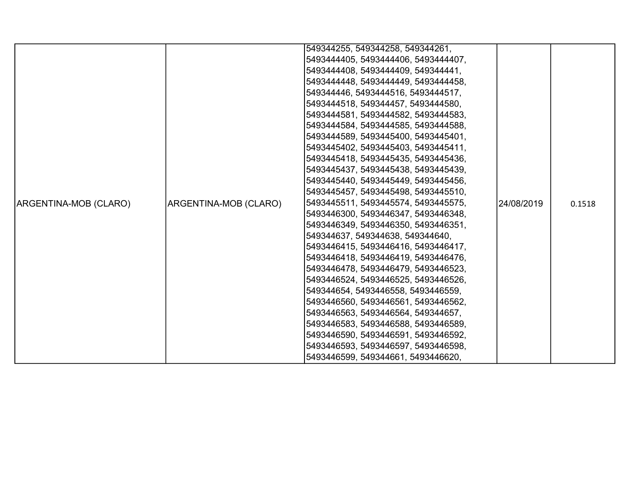|                       |                       | 549344255, 549344258, 549344261,    |            |        |
|-----------------------|-----------------------|-------------------------------------|------------|--------|
|                       |                       | 5493444405, 5493444406, 5493444407, |            |        |
|                       |                       | 5493444408, 5493444409, 549344441,  |            |        |
|                       |                       | 5493444448, 5493444449, 5493444458, |            |        |
|                       |                       | 549344446, 5493444516, 5493444517,  |            |        |
|                       |                       | 5493444518, 549344457, 5493444580,  |            |        |
|                       |                       | 5493444581, 5493444582, 5493444583, |            |        |
|                       |                       | 5493444584, 5493444585, 5493444588, |            |        |
|                       |                       | 5493444589, 5493445400, 5493445401, |            |        |
|                       |                       | 5493445402, 5493445403, 5493445411, |            |        |
|                       |                       | 5493445418, 5493445435, 5493445436, |            |        |
|                       |                       | 5493445437, 5493445438, 5493445439, |            |        |
|                       |                       | 5493445440, 5493445449, 5493445456, |            |        |
|                       |                       | 5493445457, 5493445498, 5493445510, |            |        |
| ARGENTINA-MOB (CLARO) | ARGENTINA-MOB (CLARO) | 5493445511, 5493445574, 5493445575, | 24/08/2019 | 0.1518 |
|                       |                       | 5493446300, 5493446347, 5493446348, |            |        |
|                       |                       | 5493446349, 5493446350, 5493446351, |            |        |
|                       |                       | 549344637, 549344638, 549344640,    |            |        |
|                       |                       | 5493446415, 5493446416, 5493446417, |            |        |
|                       |                       | 5493446418, 5493446419, 5493446476, |            |        |
|                       |                       | 5493446478, 5493446479, 5493446523, |            |        |
|                       |                       | 5493446524, 5493446525, 5493446526, |            |        |
|                       |                       | 549344654, 5493446558, 5493446559,  |            |        |
|                       |                       | 5493446560, 5493446561, 5493446562, |            |        |
|                       |                       | 5493446563, 5493446564, 549344657,  |            |        |
|                       |                       | 5493446583, 5493446588, 5493446589, |            |        |
|                       |                       | 5493446590, 5493446591, 5493446592, |            |        |
|                       |                       | 5493446593, 5493446597, 5493446598, |            |        |
|                       |                       | 5493446599, 549344661, 5493446620,  |            |        |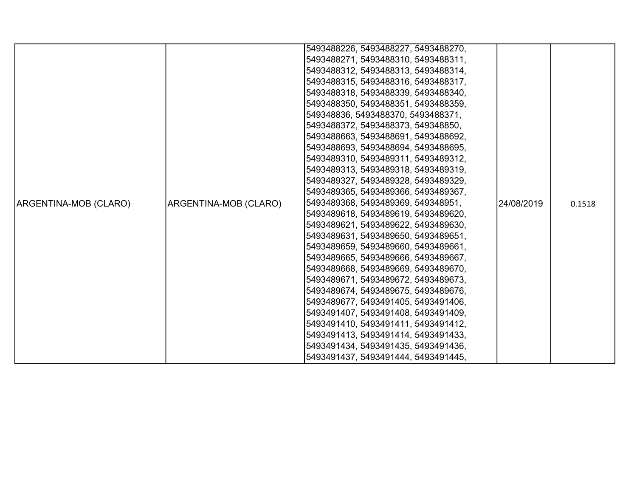|                       |                       | 5493488226, 5493488227, 5493488270, |            |        |
|-----------------------|-----------------------|-------------------------------------|------------|--------|
|                       |                       | 5493488271, 5493488310, 5493488311, |            |        |
|                       |                       | 5493488312, 5493488313, 5493488314, |            |        |
|                       |                       | 5493488315, 5493488316, 5493488317, |            |        |
|                       |                       | 5493488318, 5493488339, 5493488340, |            |        |
|                       |                       | 5493488350, 5493488351, 5493488359, |            |        |
|                       |                       | 549348836, 5493488370, 5493488371,  |            |        |
|                       |                       | 5493488372, 5493488373, 549348850,  |            |        |
|                       |                       | 5493488663, 5493488691, 5493488692, |            |        |
|                       |                       | 5493488693, 5493488694, 5493488695, |            |        |
|                       |                       | 5493489310, 5493489311, 5493489312, |            |        |
|                       |                       | 5493489313, 5493489318, 5493489319, |            |        |
|                       |                       | 5493489327, 5493489328, 5493489329, |            |        |
|                       |                       | 5493489365, 5493489366, 5493489367, |            |        |
| ARGENTINA-MOB (CLARO) | ARGENTINA-MOB (CLARO) | 5493489368, 5493489369, 549348951,  | 24/08/2019 | 0.1518 |
|                       |                       | 5493489618, 5493489619, 5493489620, |            |        |
|                       |                       | 5493489621, 5493489622, 5493489630, |            |        |
|                       |                       | 5493489631, 5493489650, 5493489651, |            |        |
|                       |                       | 5493489659, 5493489660, 5493489661, |            |        |
|                       |                       | 5493489665, 5493489666, 5493489667, |            |        |
|                       |                       | 5493489668, 5493489669, 5493489670, |            |        |
|                       |                       | 5493489671, 5493489672, 5493489673, |            |        |
|                       |                       | 5493489674, 5493489675, 5493489676, |            |        |
|                       |                       | 5493489677, 5493491405, 5493491406, |            |        |
|                       |                       | 5493491407, 5493491408, 5493491409, |            |        |
|                       |                       | 5493491410, 5493491411, 5493491412, |            |        |
|                       |                       | 5493491413, 5493491414, 5493491433, |            |        |
|                       |                       | 5493491434, 5493491435, 5493491436, |            |        |
|                       |                       | 5493491437, 5493491444, 5493491445, |            |        |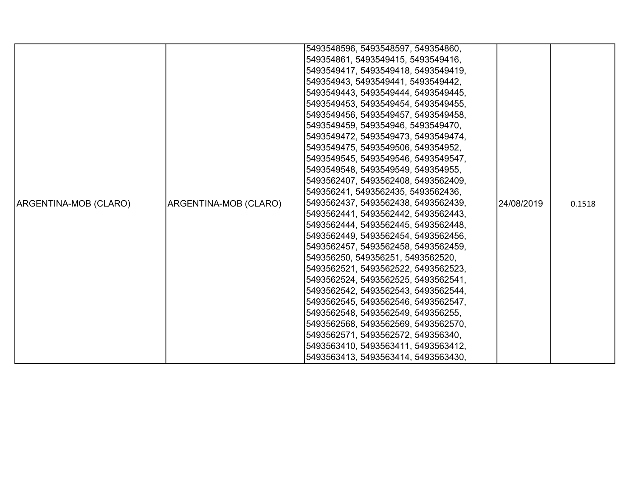|                       |                       | 5493548596, 5493548597, 549354860,  |            |        |
|-----------------------|-----------------------|-------------------------------------|------------|--------|
|                       |                       | 549354861, 5493549415, 5493549416,  |            |        |
|                       |                       | 5493549417, 5493549418, 5493549419, |            |        |
|                       |                       | 549354943, 5493549441, 5493549442,  |            |        |
|                       |                       | 5493549443, 5493549444, 5493549445, |            |        |
|                       |                       | 5493549453, 5493549454, 5493549455, |            |        |
|                       |                       | 5493549456, 5493549457, 5493549458, |            |        |
|                       |                       | 5493549459, 549354946, 5493549470,  |            |        |
|                       |                       | 5493549472, 5493549473, 5493549474, |            |        |
|                       |                       | 5493549475, 5493549506, 549354952,  |            |        |
|                       |                       | 5493549545, 5493549546, 5493549547, |            |        |
|                       |                       | 5493549548, 5493549549, 549354955,  |            |        |
|                       |                       | 5493562407, 5493562408, 5493562409, |            |        |
|                       |                       | 549356241, 5493562435, 5493562436,  |            |        |
|                       |                       |                                     |            |        |
| ARGENTINA-MOB (CLARO) | ARGENTINA-MOB (CLARO) | 5493562437, 5493562438, 5493562439, | 24/08/2019 | 0.1518 |
|                       |                       | 5493562441, 5493562442, 5493562443, |            |        |
|                       |                       | 5493562444, 5493562445, 5493562448, |            |        |
|                       |                       | 5493562449, 5493562454, 5493562456, |            |        |
|                       |                       | 5493562457, 5493562458, 5493562459, |            |        |
|                       |                       | 549356250, 549356251, 5493562520,   |            |        |
|                       |                       | 5493562521, 5493562522, 5493562523, |            |        |
|                       |                       | 5493562524, 5493562525, 5493562541, |            |        |
|                       |                       | 5493562542, 5493562543, 5493562544, |            |        |
|                       |                       | 5493562545, 5493562546, 5493562547, |            |        |
|                       |                       | 5493562548, 5493562549, 549356255,  |            |        |
|                       |                       | 5493562568, 5493562569, 5493562570, |            |        |
|                       |                       | 5493562571, 5493562572, 549356340,  |            |        |
|                       |                       | 5493563410, 5493563411, 5493563412, |            |        |
|                       |                       | 5493563413, 5493563414, 5493563430, |            |        |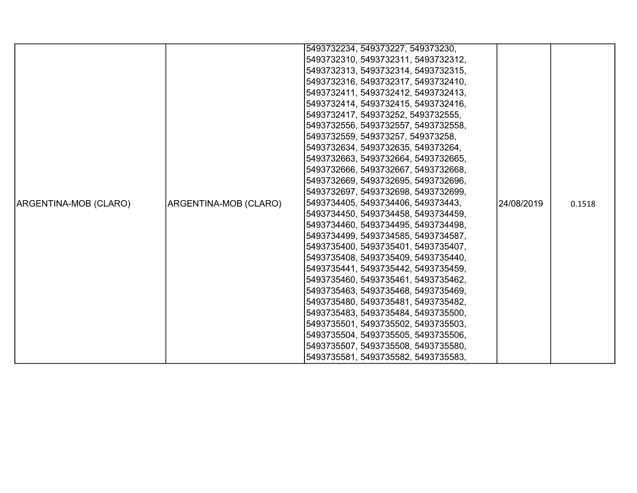|                       |                              | 5493732234, 549373227, 549373230,   |            |        |
|-----------------------|------------------------------|-------------------------------------|------------|--------|
|                       |                              | 5493732310, 5493732311, 5493732312, |            |        |
|                       |                              | 5493732313, 5493732314, 5493732315, |            |        |
|                       |                              | 5493732316, 5493732317, 5493732410, |            |        |
|                       |                              | 5493732411, 5493732412, 5493732413, |            |        |
|                       |                              | 5493732414, 5493732415, 5493732416, |            |        |
|                       |                              | 5493732417, 549373252, 5493732555,  |            |        |
|                       |                              | 5493732556, 5493732557, 5493732558, |            |        |
|                       |                              | 5493732559, 549373257, 549373258,   |            |        |
|                       |                              | 5493732634, 5493732635, 549373264,  |            |        |
|                       |                              | 5493732663, 5493732664, 5493732665, |            |        |
|                       |                              | 5493732666, 5493732667, 5493732668, |            |        |
|                       |                              | 5493732669, 5493732695, 5493732696, |            |        |
|                       |                              | 5493732697, 5493732698, 5493732699, |            |        |
| ARGENTINA-MOB (CLARO) | <b>ARGENTINA-MOB (CLARO)</b> | 5493734405, 5493734406, 549373443,  | 24/08/2019 | 0.1518 |
|                       |                              | 5493734450, 5493734458, 5493734459, |            |        |
|                       |                              | 5493734460, 5493734495, 5493734498, |            |        |
|                       |                              | 5493734499, 5493734585, 5493734587, |            |        |
|                       |                              | 5493735400, 5493735401, 5493735407, |            |        |
|                       |                              | 5493735408, 5493735409, 5493735440, |            |        |
|                       |                              | 5493735441, 5493735442, 5493735459, |            |        |
|                       |                              | 5493735460, 5493735461, 5493735462, |            |        |
|                       |                              | 5493735463, 5493735468, 5493735469, |            |        |
|                       |                              | 5493735480, 5493735481, 5493735482, |            |        |
|                       |                              | 5493735483, 5493735484, 5493735500, |            |        |
|                       |                              | 5493735501, 5493735502, 5493735503, |            |        |
|                       |                              | 5493735504, 5493735505, 5493735506, |            |        |
|                       |                              | 5493735507, 5493735508, 5493735580, |            |        |
|                       |                              | 5493735581, 5493735582, 5493735583, |            |        |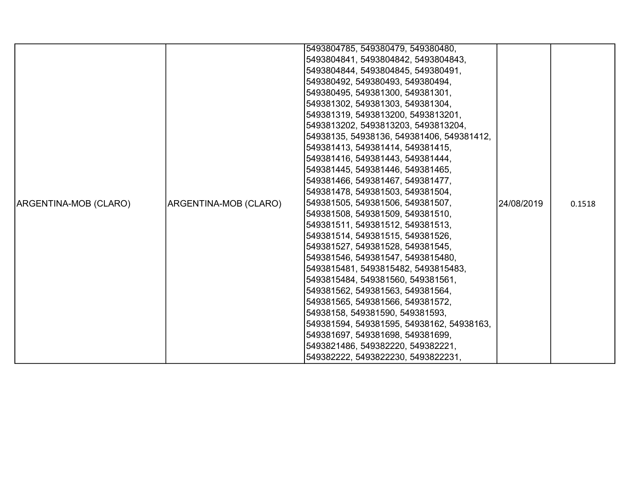|                       |                       | 5493804785, 549380479, 549380480,         |            |        |
|-----------------------|-----------------------|-------------------------------------------|------------|--------|
|                       |                       | 5493804841, 5493804842, 5493804843,       |            |        |
|                       |                       | 5493804844, 5493804845, 549380491,        |            |        |
|                       |                       | 549380492, 549380493, 549380494,          |            |        |
|                       |                       | 549380495, 549381300, 549381301,          |            |        |
|                       |                       | 549381302, 549381303, 549381304,          |            |        |
|                       |                       | 549381319, 5493813200, 5493813201,        |            |        |
|                       |                       | 5493813202, 5493813203, 5493813204,       |            |        |
|                       |                       | 54938135, 54938136, 549381406, 549381412, |            |        |
|                       |                       | 549381413, 549381414, 549381415,          |            |        |
|                       |                       | 549381416, 549381443, 549381444,          |            |        |
|                       |                       | 549381445, 549381446, 549381465,          |            |        |
|                       |                       | 549381466, 549381467, 549381477,          |            |        |
|                       |                       | 549381478, 549381503, 549381504,          |            |        |
| ARGENTINA-MOB (CLARO) | ARGENTINA-MOB (CLARO) | 549381505, 549381506, 549381507,          | 24/08/2019 | 0.1518 |
|                       |                       | 549381508, 549381509, 549381510,          |            |        |
|                       |                       | 549381511, 549381512, 549381513,          |            |        |
|                       |                       | 549381514, 549381515, 549381526,          |            |        |
|                       |                       | 549381527, 549381528, 549381545,          |            |        |
|                       |                       | 549381546, 549381547, 5493815480,         |            |        |
|                       |                       | 5493815481, 5493815482, 5493815483,       |            |        |
|                       |                       | 5493815484, 549381560, 549381561,         |            |        |
|                       |                       | 549381562, 549381563, 549381564,          |            |        |
|                       |                       | 549381565, 549381566, 549381572,          |            |        |
|                       |                       | 54938158, 549381590, 549381593,           |            |        |
|                       |                       | 549381594, 549381595, 54938162, 54938163, |            |        |
|                       |                       | 549381697, 549381698, 549381699,          |            |        |
|                       |                       | 5493821486, 549382220, 549382221,         |            |        |
|                       |                       | 549382222, 5493822230, 5493822231,        |            |        |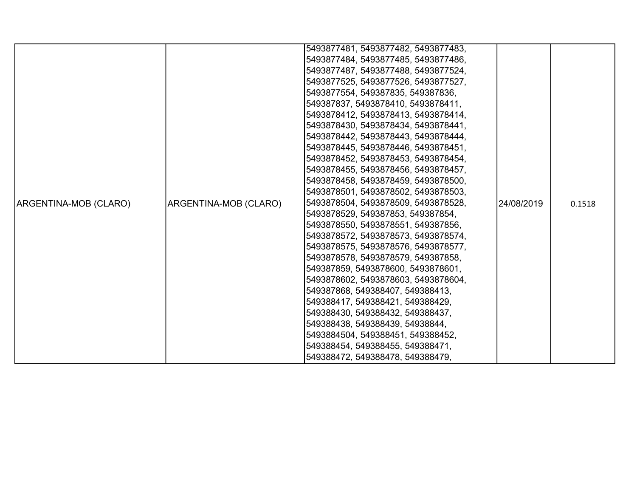|                       |                              | 5493877481, 5493877482, 5493877483, |            |        |
|-----------------------|------------------------------|-------------------------------------|------------|--------|
|                       |                              | 5493877484, 5493877485, 5493877486, |            |        |
|                       |                              | 5493877487, 5493877488, 5493877524, |            |        |
|                       |                              | 5493877525, 5493877526, 5493877527, |            |        |
|                       |                              | 5493877554, 549387835, 549387836,   |            |        |
|                       |                              | 549387837, 5493878410, 5493878411,  |            |        |
|                       |                              | 5493878412, 5493878413, 5493878414, |            |        |
|                       |                              | 5493878430, 5493878434, 5493878441, |            |        |
|                       |                              | 5493878442, 5493878443, 5493878444, |            |        |
|                       |                              | 5493878445, 5493878446, 5493878451, |            |        |
|                       |                              | 5493878452, 5493878453, 5493878454, |            |        |
|                       |                              | 5493878455, 5493878456, 5493878457, |            |        |
|                       |                              | 5493878458, 5493878459, 5493878500, |            |        |
|                       |                              | 5493878501, 5493878502, 5493878503, |            |        |
| ARGENTINA-MOB (CLARO) | <b>ARGENTINA-MOB (CLARO)</b> | 5493878504, 5493878509, 5493878528, | 24/08/2019 | 0.1518 |
|                       |                              | 5493878529, 549387853, 549387854,   |            |        |
|                       |                              | 5493878550, 5493878551, 549387856,  |            |        |
|                       |                              | 5493878572, 5493878573, 5493878574, |            |        |
|                       |                              | 5493878575, 5493878576, 5493878577, |            |        |
|                       |                              | 5493878578, 5493878579, 549387858,  |            |        |
|                       |                              | 549387859, 5493878600, 5493878601,  |            |        |
|                       |                              | 5493878602, 5493878603, 5493878604, |            |        |
|                       |                              | 549387868, 549388407, 549388413,    |            |        |
|                       |                              | 549388417, 549388421, 549388429,    |            |        |
|                       |                              | 549388430, 549388432, 549388437,    |            |        |
|                       |                              | 549388438, 549388439, 54938844,     |            |        |
|                       |                              | 5493884504, 549388451, 549388452,   |            |        |
|                       |                              | 549388454, 549388455, 549388471,    |            |        |
|                       |                              | 549388472, 549388478, 549388479,    |            |        |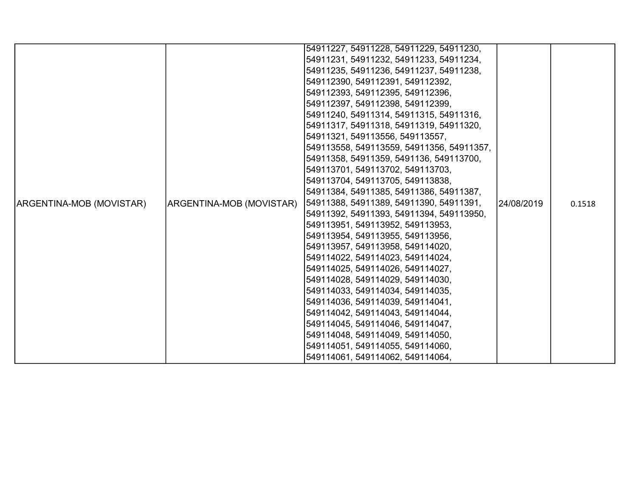|                                 |                          | 54911227, 54911228, 54911229, 54911230,   |            |        |
|---------------------------------|--------------------------|-------------------------------------------|------------|--------|
|                                 |                          | 54911231, 54911232, 54911233, 54911234,   |            |        |
|                                 |                          | 54911235, 54911236, 54911237, 54911238,   |            |        |
|                                 |                          | 549112390, 549112391, 549112392,          |            |        |
|                                 |                          | 549112393, 549112395, 549112396,          |            |        |
|                                 |                          | 549112397, 549112398, 549112399,          |            |        |
|                                 |                          | 54911240, 54911314, 54911315, 54911316,   |            |        |
|                                 |                          | 54911317, 54911318, 54911319, 54911320,   |            |        |
|                                 |                          | 54911321, 549113556, 549113557,           |            |        |
|                                 |                          | 549113558, 549113559, 54911356, 54911357, |            |        |
|                                 |                          | 54911358, 54911359, 5491136, 549113700,   |            |        |
|                                 |                          | 549113701, 549113702, 549113703,          |            |        |
|                                 |                          | 549113704, 549113705, 549113838,          |            |        |
|                                 |                          | 54911384, 54911385, 54911386, 54911387,   |            |        |
| <b>ARGENTINA-MOB (MOVISTAR)</b> | ARGENTINA-MOB (MOVISTAR) | 54911388, 54911389, 54911390, 54911391,   | 24/08/2019 | 0.1518 |
|                                 |                          | 54911392, 54911393, 54911394, 549113950,  |            |        |
|                                 |                          | 549113951, 549113952, 549113953,          |            |        |
|                                 |                          | 549113954, 549113955, 549113956,          |            |        |
|                                 |                          | 549113957, 549113958, 549114020,          |            |        |
|                                 |                          | 549114022, 549114023, 549114024,          |            |        |
|                                 |                          | 549114025, 549114026, 549114027,          |            |        |
|                                 |                          | 549114028, 549114029, 549114030,          |            |        |
|                                 |                          | 549114033, 549114034, 549114035,          |            |        |
|                                 |                          | 549114036, 549114039, 549114041,          |            |        |
|                                 |                          | 549114042, 549114043, 549114044,          |            |        |
|                                 |                          | 549114045, 549114046, 549114047,          |            |        |
|                                 |                          | 549114048, 549114049, 549114050,          |            |        |
|                                 |                          | 549114051, 549114055, 549114060,          |            |        |
|                                 |                          | 549114061, 549114062, 549114064,          |            |        |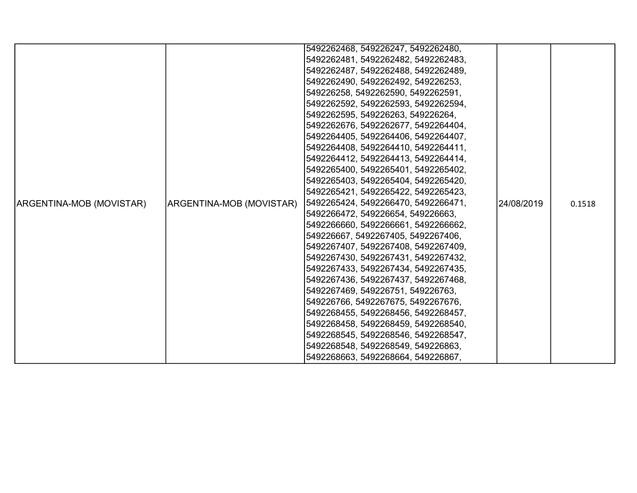|                                 |                          | 5492262468, 549226247, 5492262480,  |            |        |
|---------------------------------|--------------------------|-------------------------------------|------------|--------|
|                                 |                          | 5492262481, 5492262482, 5492262483, |            |        |
|                                 |                          | 5492262487, 5492262488, 5492262489, |            |        |
|                                 |                          | 5492262490, 5492262492, 549226253,  |            |        |
|                                 |                          | 549226258, 5492262590, 5492262591,  |            |        |
|                                 |                          | 5492262592, 5492262593, 5492262594, |            |        |
|                                 |                          | 5492262595, 549226263, 549226264,   |            |        |
|                                 |                          | 5492262676, 5492262677, 5492264404, |            |        |
|                                 |                          | 5492264405, 5492264406, 5492264407, |            |        |
|                                 |                          | 5492264408, 5492264410, 5492264411, |            |        |
|                                 |                          | 5492264412, 5492264413, 5492264414, |            |        |
|                                 |                          | 5492265400, 5492265401, 5492265402, |            |        |
|                                 |                          | 5492265403, 5492265404, 5492265420, |            |        |
|                                 |                          | 5492265421, 5492265422, 5492265423, |            |        |
| <b>ARGENTINA-MOB (MOVISTAR)</b> | ARGENTINA-MOB (MOVISTAR) | 5492265424, 5492266470, 5492266471, | 24/08/2019 | 0.1518 |
|                                 |                          | 5492266472, 549226654, 549226663,   |            |        |
|                                 |                          | 5492266660, 5492266661, 5492266662, |            |        |
|                                 |                          | 549226667, 5492267405, 5492267406,  |            |        |
|                                 |                          | 5492267407, 5492267408, 5492267409, |            |        |
|                                 |                          | 5492267430, 5492267431, 5492267432, |            |        |
|                                 |                          | 5492267433, 5492267434, 5492267435, |            |        |
|                                 |                          | 5492267436, 5492267437, 5492267468, |            |        |
|                                 |                          | 5492267469, 549226751, 549226763,   |            |        |
|                                 |                          | 549226766, 5492267675, 5492267676,  |            |        |
|                                 |                          | 5492268455, 5492268456, 5492268457, |            |        |
|                                 |                          | 5492268458, 5492268459, 5492268540, |            |        |
|                                 |                          | 5492268545, 5492268546, 5492268547, |            |        |
|                                 |                          | 5492268548, 5492268549, 549226863,  |            |        |
|                                 |                          | 5492268663, 5492268664, 549226867,  |            |        |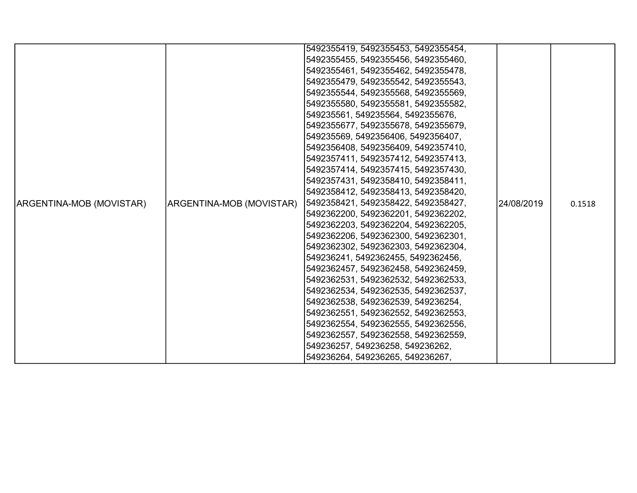|                          |                          | 5492355419, 5492355453, 5492355454, |            |        |
|--------------------------|--------------------------|-------------------------------------|------------|--------|
|                          |                          | 5492355455, 5492355456, 5492355460, |            |        |
|                          |                          | 5492355461, 5492355462, 5492355478, |            |        |
|                          |                          | 5492355479, 5492355542, 5492355543, |            |        |
|                          |                          | 5492355544, 5492355568, 5492355569, |            |        |
|                          |                          | 5492355580, 5492355581, 5492355582, |            |        |
|                          |                          | 549235561, 549235564, 5492355676,   |            |        |
|                          |                          | 5492355677, 5492355678, 5492355679, |            |        |
|                          |                          | 549235569, 5492356406, 5492356407,  |            |        |
|                          |                          | 5492356408, 5492356409, 5492357410, |            |        |
|                          |                          | 5492357411, 5492357412, 5492357413, |            |        |
|                          |                          | 5492357414, 5492357415, 5492357430, |            |        |
|                          |                          | 5492357431, 5492358410, 5492358411, |            |        |
|                          |                          | 5492358412, 5492358413, 5492358420, |            |        |
| ARGENTINA-MOB (MOVISTAR) | ARGENTINA-MOB (MOVISTAR) | 5492358421, 5492358422, 5492358427, | 24/08/2019 | 0.1518 |
|                          |                          | 5492362200, 5492362201, 5492362202, |            |        |
|                          |                          | 5492362203, 5492362204, 5492362205, |            |        |
|                          |                          | 5492362206, 5492362300, 5492362301, |            |        |
|                          |                          | 5492362302, 5492362303, 5492362304, |            |        |
|                          |                          | 549236241, 5492362455, 5492362456,  |            |        |
|                          |                          | 5492362457, 5492362458, 5492362459, |            |        |
|                          |                          | 5492362531, 5492362532, 5492362533, |            |        |
|                          |                          | 5492362534, 5492362535, 5492362537, |            |        |
|                          |                          | 5492362538, 5492362539, 549236254,  |            |        |
|                          |                          | 5492362551, 5492362552, 5492362553, |            |        |
|                          |                          | 5492362554, 5492362555, 5492362556, |            |        |
|                          |                          | 5492362557, 5492362558, 5492362559, |            |        |
|                          |                          | 549236257, 549236258, 549236262,    |            |        |
|                          |                          | 549236264, 549236265, 549236267,    |            |        |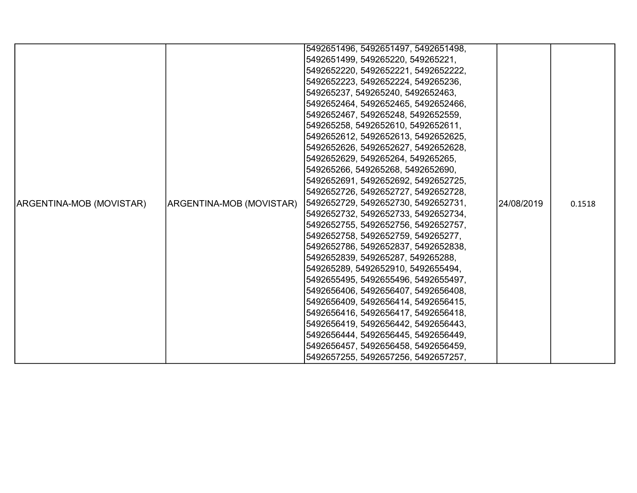|                          |                          | 5492651496, 5492651497, 5492651498, |            |        |
|--------------------------|--------------------------|-------------------------------------|------------|--------|
|                          |                          | 5492651499, 549265220, 549265221,   |            |        |
|                          |                          |                                     |            |        |
|                          |                          | 5492652220, 5492652221, 5492652222, |            |        |
|                          |                          | 5492652223, 5492652224, 549265236,  |            |        |
|                          |                          | 549265237, 549265240, 5492652463,   |            |        |
|                          |                          | 5492652464, 5492652465, 5492652466, |            |        |
|                          |                          | 5492652467, 549265248, 5492652559,  |            |        |
|                          |                          | 549265258, 5492652610, 5492652611,  |            |        |
|                          |                          | 5492652612, 5492652613, 5492652625, |            |        |
|                          |                          | 5492652626, 5492652627, 5492652628, |            |        |
|                          |                          | 5492652629, 549265264, 549265265,   |            |        |
|                          |                          | 549265266, 549265268, 5492652690,   |            |        |
|                          |                          | 5492652691, 5492652692, 5492652725, |            |        |
|                          |                          | 5492652726, 5492652727, 5492652728, |            |        |
| ARGENTINA-MOB (MOVISTAR) | ARGENTINA-MOB (MOVISTAR) | 5492652729, 5492652730, 5492652731, | 24/08/2019 | 0.1518 |
|                          |                          | 5492652732, 5492652733, 5492652734, |            |        |
|                          |                          | 5492652755, 5492652756, 5492652757, |            |        |
|                          |                          | 5492652758, 5492652759, 549265277,  |            |        |
|                          |                          | 5492652786, 5492652837, 5492652838, |            |        |
|                          |                          | 5492652839, 549265287, 549265288,   |            |        |
|                          |                          | 549265289, 5492652910, 5492655494,  |            |        |
|                          |                          | 5492655495, 5492655496, 5492655497, |            |        |
|                          |                          | 5492656406, 5492656407, 5492656408, |            |        |
|                          |                          | 5492656409, 5492656414, 5492656415, |            |        |
|                          |                          | 5492656416, 5492656417, 5492656418, |            |        |
|                          |                          | 5492656419, 5492656442, 5492656443, |            |        |
|                          |                          | 5492656444, 5492656445, 5492656449, |            |        |
|                          |                          | 5492656457, 5492656458, 5492656459, |            |        |
|                          |                          | 5492657255, 5492657256, 5492657257, |            |        |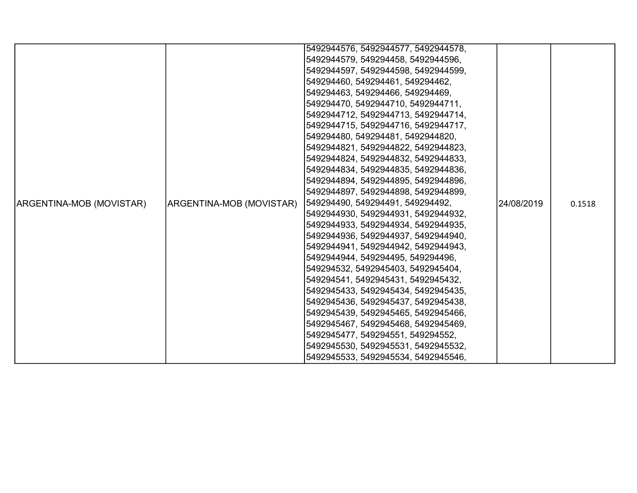|                          |                          | 5492944576, 5492944577, 5492944578, |            |        |
|--------------------------|--------------------------|-------------------------------------|------------|--------|
|                          |                          | 5492944579, 549294458, 5492944596,  |            |        |
|                          |                          | 5492944597, 5492944598, 5492944599, |            |        |
|                          |                          | 549294460, 549294461, 549294462,    |            |        |
|                          |                          | 549294463, 549294466, 549294469,    |            |        |
|                          |                          | 549294470, 5492944710, 5492944711,  |            |        |
|                          |                          | 5492944712, 5492944713, 5492944714, |            |        |
|                          |                          | 5492944715, 5492944716, 5492944717, |            |        |
|                          |                          | 549294480, 549294481, 5492944820,   |            |        |
|                          |                          | 5492944821, 5492944822, 5492944823, |            |        |
|                          |                          | 5492944824, 5492944832, 5492944833, |            |        |
|                          |                          | 5492944834, 5492944835, 5492944836, |            |        |
|                          |                          | 5492944894, 5492944895, 5492944896, |            |        |
|                          |                          | 5492944897, 5492944898, 5492944899, |            |        |
| ARGENTINA-MOB (MOVISTAR) | ARGENTINA-MOB (MOVISTAR) | 549294490, 549294491, 549294492,    | 24/08/2019 | 0.1518 |
|                          |                          | 5492944930, 5492944931, 5492944932, |            |        |
|                          |                          | 5492944933, 5492944934, 5492944935, |            |        |
|                          |                          | 5492944936, 5492944937, 5492944940, |            |        |
|                          |                          | 5492944941, 5492944942, 5492944943, |            |        |
|                          |                          | 5492944944, 549294495, 549294496,   |            |        |
|                          |                          | 549294532, 5492945403, 5492945404,  |            |        |
|                          |                          | 549294541, 5492945431, 5492945432,  |            |        |
|                          |                          | 5492945433, 5492945434, 5492945435, |            |        |
|                          |                          | 5492945436, 5492945437, 5492945438, |            |        |
|                          |                          | 5492945439, 5492945465, 5492945466, |            |        |
|                          |                          | 5492945467, 5492945468, 5492945469, |            |        |
|                          |                          | 5492945477, 549294551, 549294552,   |            |        |
|                          |                          | 5492945530, 5492945531, 5492945532, |            |        |
|                          |                          | 5492945533, 5492945534, 5492945546, |            |        |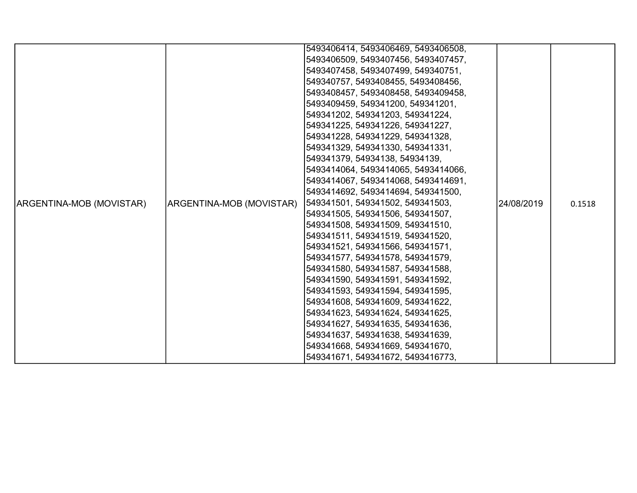|                          |                          | 5493406414, 5493406469, 5493406508, |            |        |
|--------------------------|--------------------------|-------------------------------------|------------|--------|
|                          |                          | 5493406509, 5493407456, 5493407457, |            |        |
|                          |                          | 5493407458, 5493407499, 549340751,  |            |        |
|                          |                          | 549340757, 5493408455, 5493408456,  |            |        |
|                          |                          | 5493408457, 5493408458, 5493409458, |            |        |
|                          |                          | 5493409459, 549341200, 549341201,   |            |        |
|                          |                          | 549341202, 549341203, 549341224,    |            |        |
|                          |                          | 549341225, 549341226, 549341227,    |            |        |
|                          |                          | 549341228, 549341229, 549341328,    |            |        |
|                          |                          | 549341329, 549341330, 549341331,    |            |        |
|                          |                          | 549341379, 54934138, 54934139,      |            |        |
|                          |                          | 5493414064, 5493414065, 5493414066, |            |        |
|                          |                          | 5493414067, 5493414068, 5493414691, |            |        |
|                          |                          | 5493414692, 5493414694, 549341500,  |            |        |
| ARGENTINA-MOB (MOVISTAR) | ARGENTINA-MOB (MOVISTAR) | 549341501, 549341502, 549341503,    | 24/08/2019 | 0.1518 |
|                          |                          | 549341505, 549341506, 549341507,    |            |        |
|                          |                          | 549341508, 549341509, 549341510,    |            |        |
|                          |                          | 549341511, 549341519, 549341520,    |            |        |
|                          |                          | 549341521, 549341566, 549341571,    |            |        |
|                          |                          | 549341577, 549341578, 549341579,    |            |        |
|                          |                          | 549341580, 549341587, 549341588,    |            |        |
|                          |                          | 549341590, 549341591, 549341592,    |            |        |
|                          |                          | 549341593, 549341594, 549341595,    |            |        |
|                          |                          | 549341608, 549341609, 549341622,    |            |        |
|                          |                          | 549341623, 549341624, 549341625,    |            |        |
|                          |                          | 549341627, 549341635, 549341636,    |            |        |
|                          |                          | 549341637, 549341638, 549341639,    |            |        |
|                          |                          | 549341668, 549341669, 549341670,    |            |        |
|                          |                          | 549341671, 549341672, 5493416773,   |            |        |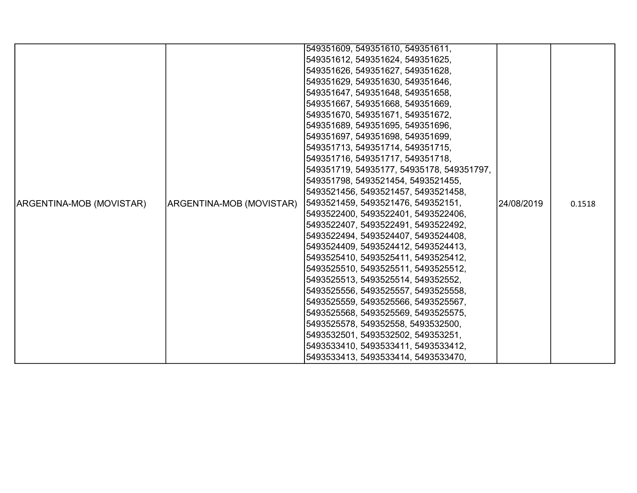|                          |                          | 549351609, 549351610, 549351611,          |            |        |
|--------------------------|--------------------------|-------------------------------------------|------------|--------|
|                          |                          | 549351612, 549351624, 549351625,          |            |        |
|                          |                          | 549351626, 549351627, 549351628,          |            |        |
|                          |                          | 549351629, 549351630, 549351646,          |            |        |
|                          |                          | 549351647, 549351648, 549351658,          |            |        |
|                          |                          | 549351667, 549351668, 549351669,          |            |        |
|                          |                          | 549351670, 549351671, 549351672,          |            |        |
|                          |                          | 549351689, 549351695, 549351696,          |            |        |
|                          |                          | 549351697, 549351698, 549351699,          |            |        |
|                          |                          | 549351713, 549351714, 549351715,          |            |        |
|                          |                          | 549351716, 549351717, 549351718,          |            |        |
|                          |                          | 549351719, 54935177, 54935178, 549351797, |            |        |
|                          |                          | 549351798, 5493521454, 5493521455,        |            |        |
|                          |                          | 5493521456, 5493521457, 5493521458,       |            |        |
| ARGENTINA-MOB (MOVISTAR) | ARGENTINA-MOB (MOVISTAR) | 5493521459, 5493521476, 549352151,        | 24/08/2019 | 0.1518 |
|                          |                          | 5493522400, 5493522401, 5493522406,       |            |        |
|                          |                          | 5493522407, 5493522491, 5493522492,       |            |        |
|                          |                          | 5493522494, 5493524407, 5493524408,       |            |        |
|                          |                          | 5493524409, 5493524412, 5493524413,       |            |        |
|                          |                          | 5493525410, 5493525411, 5493525412,       |            |        |
|                          |                          | 5493525510, 5493525511, 5493525512,       |            |        |
|                          |                          | 5493525513, 5493525514, 549352552,        |            |        |
|                          |                          | 5493525556, 5493525557, 5493525558,       |            |        |
|                          |                          | 5493525559, 5493525566, 5493525567,       |            |        |
|                          |                          | 5493525568, 5493525569, 5493525575,       |            |        |
|                          |                          | 5493525578, 549352558, 5493532500,        |            |        |
|                          |                          | 5493532501, 5493532502, 549353251,        |            |        |
|                          |                          | 5493533410, 5493533411, 5493533412,       |            |        |
|                          |                          | 5493533413, 5493533414, 5493533470,       |            |        |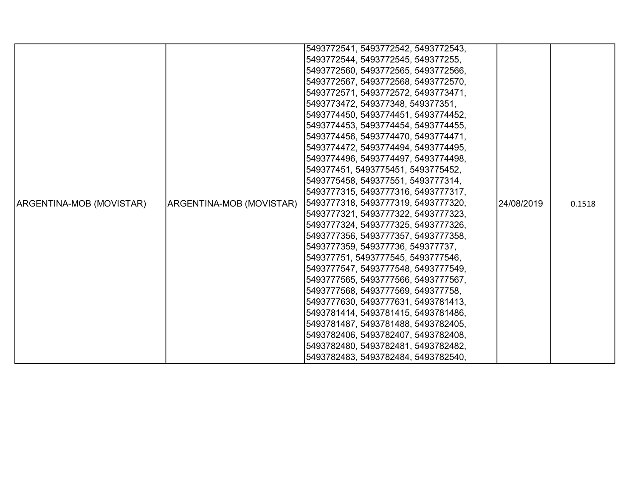|                          |                          | 5493772541, 5493772542, 5493772543, |            |        |
|--------------------------|--------------------------|-------------------------------------|------------|--------|
|                          |                          | 5493772544, 5493772545, 549377255,  |            |        |
|                          |                          | 5493772560, 5493772565, 5493772566, |            |        |
|                          |                          | 5493772567, 5493772568, 5493772570, |            |        |
|                          |                          | 5493772571, 5493772572, 5493773471, |            |        |
|                          |                          | 5493773472, 549377348, 549377351,   |            |        |
|                          |                          | 5493774450, 5493774451, 5493774452, |            |        |
|                          |                          | 5493774453, 5493774454, 5493774455, |            |        |
|                          |                          | 5493774456, 5493774470, 5493774471, |            |        |
|                          |                          | 5493774472, 5493774494, 5493774495, |            |        |
|                          |                          | 5493774496, 5493774497, 5493774498, |            |        |
|                          |                          | 549377451, 5493775451, 5493775452,  |            |        |
|                          |                          | 5493775458, 549377551, 5493777314,  |            |        |
|                          |                          | 5493777315, 5493777316, 5493777317, |            |        |
| ARGENTINA-MOB (MOVISTAR) | ARGENTINA-MOB (MOVISTAR) | 5493777318, 5493777319, 5493777320, | 24/08/2019 | 0.1518 |
|                          |                          | 5493777321, 5493777322, 5493777323, |            |        |
|                          |                          | 5493777324, 5493777325, 5493777326, |            |        |
|                          |                          | 5493777356, 5493777357, 5493777358, |            |        |
|                          |                          | 5493777359, 549377736, 549377737,   |            |        |
|                          |                          | 549377751, 5493777545, 5493777546,  |            |        |
|                          |                          | 5493777547, 5493777548, 5493777549, |            |        |
|                          |                          | 5493777565, 5493777566, 5493777567, |            |        |
|                          |                          | 5493777568, 5493777569, 549377758,  |            |        |
|                          |                          | 5493777630, 5493777631, 5493781413, |            |        |
|                          |                          | 5493781414, 5493781415, 5493781486, |            |        |
|                          |                          | 5493781487, 5493781488, 5493782405, |            |        |
|                          |                          | 5493782406, 5493782407, 5493782408, |            |        |
|                          |                          | 5493782480, 5493782481, 5493782482, |            |        |
|                          |                          | 5493782483, 5493782484, 5493782540, |            |        |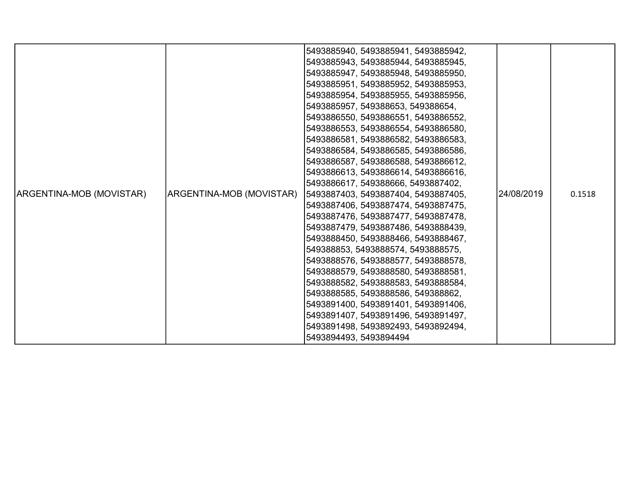| ARGENTINA-MOB (MOVISTAR) | ARGENTINA-MOB (MOVISTAR) | 5493885940, 5493885941, 5493885942,<br>5493885943, 5493885944, 5493885945,<br>5493885947, 5493885948, 5493885950,<br>5493885951, 5493885952, 5493885953,<br>5493885954, 5493885955, 5493885956,<br>5493885957, 549388653, 549388654,<br>5493886550, 5493886551, 5493886552,<br>5493886553, 5493886554, 5493886580,<br>5493886581, 5493886582, 5493886583,<br>5493886584, 5493886585, 5493886586,<br>5493886587, 5493886588, 5493886612,<br>5493886613, 5493886614, 5493886616,<br>5493886617, 549388666, 5493887402,<br> 5493887403, 5493887404, 5493887405,<br>5493887406, 5493887474, 5493887475,<br>5493887476, 5493887477, 5493887478,<br>5493887479, 5493887486, 5493888439,<br>5493888450, 5493888466, 5493888467,<br>549388853, 5493888574, 5493888575,<br>5493888576, 5493888577, 5493888578,<br>5493888579, 5493888580, 5493888581,<br>5493888582, 5493888583, 5493888584,<br>5493888585, 5493888586, 549388862,<br>5493891400, 5493891401, 5493891406,<br>5493891407, 5493891496, 5493891497,<br>5493891498, 5493892493, 5493892494, | 24/08/2019 | 0.1518 |
|--------------------------|--------------------------|------------------------------------------------------------------------------------------------------------------------------------------------------------------------------------------------------------------------------------------------------------------------------------------------------------------------------------------------------------------------------------------------------------------------------------------------------------------------------------------------------------------------------------------------------------------------------------------------------------------------------------------------------------------------------------------------------------------------------------------------------------------------------------------------------------------------------------------------------------------------------------------------------------------------------------------------------------------------------------------------------------------------------------------------|------------|--------|
|                          |                          | 5493894493, 5493894494                                                                                                                                                                                                                                                                                                                                                                                                                                                                                                                                                                                                                                                                                                                                                                                                                                                                                                                                                                                                                         |            |        |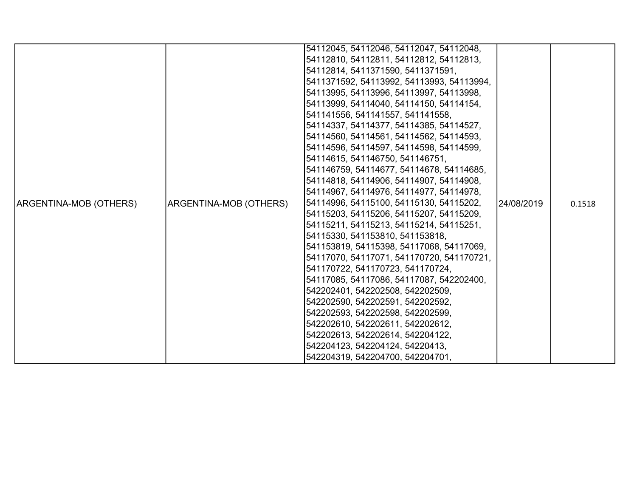|                        |                        | 54112045, 54112046, 54112047, 54112048,   |            |        |
|------------------------|------------------------|-------------------------------------------|------------|--------|
|                        |                        | 54112810, 54112811, 54112812, 54112813,   |            |        |
|                        |                        | 54112814, 5411371590, 5411371591,         |            |        |
|                        |                        | 5411371592, 54113992, 54113993, 54113994, |            |        |
|                        |                        | 54113995, 54113996, 54113997, 54113998,   |            |        |
|                        |                        | 54113999, 54114040, 54114150, 54114154,   |            |        |
|                        |                        | 541141556, 541141557, 541141558,          |            |        |
|                        |                        | 54114337, 54114377, 54114385, 54114527,   |            |        |
|                        |                        | 54114560, 54114561, 54114562, 54114593,   |            |        |
|                        |                        | 54114596, 54114597, 54114598, 54114599,   |            |        |
|                        |                        | 54114615, 541146750, 541146751,           |            |        |
|                        |                        | 541146759, 54114677, 54114678, 54114685,  |            | 0.1518 |
|                        |                        | 54114818, 54114906, 54114907, 54114908,   |            |        |
|                        | ARGENTINA-MOB (OTHERS) | 54114967, 54114976, 54114977, 54114978,   | 24/08/2019 |        |
| ARGENTINA-MOB (OTHERS) |                        | 54114996, 54115100, 54115130, 54115202,   |            |        |
|                        |                        | 54115203, 54115206, 54115207, 54115209,   |            |        |
|                        |                        | 54115211, 54115213, 54115214, 54115251,   |            |        |
|                        |                        | 54115330, 541153810, 541153818,           |            |        |
|                        |                        | 541153819, 54115398, 54117068, 54117069,  |            |        |
|                        |                        | 54117070, 54117071, 541170720, 541170721, |            |        |
|                        |                        | 541170722, 541170723, 541170724,          |            |        |
|                        |                        | 54117085, 54117086, 54117087, 542202400,  |            |        |
|                        |                        | 542202401, 542202508, 542202509,          |            |        |
|                        |                        | 542202590, 542202591, 542202592,          |            |        |
|                        |                        | 542202593, 542202598, 542202599,          |            |        |
|                        |                        | 542202610, 542202611, 542202612,          |            |        |
|                        |                        | 542202613, 542202614, 542204122,          |            |        |
|                        |                        | 542204123, 542204124, 54220413,           |            |        |
|                        |                        | 542204319, 542204700, 542204701,          |            |        |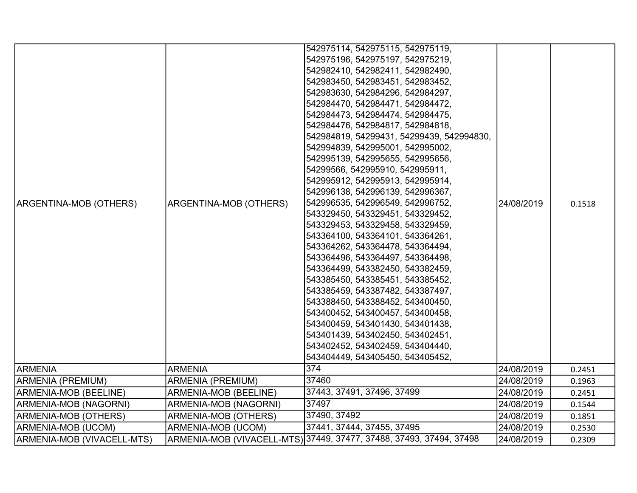|                              |                          | 542975114, 542975115, 542975119,                                    |            |        |
|------------------------------|--------------------------|---------------------------------------------------------------------|------------|--------|
|                              |                          | 542975196, 542975197, 542975219,                                    |            |        |
|                              |                          | 542982410, 542982411, 542982490,                                    |            |        |
|                              |                          | 542983450, 542983451, 542983452,                                    |            |        |
|                              |                          | 542983630, 542984296, 542984297,                                    |            |        |
|                              |                          | 542984470, 542984471, 542984472,                                    |            |        |
|                              |                          | 542984473, 542984474, 542984475,                                    |            |        |
|                              |                          | 542984476, 542984817, 542984818,                                    |            |        |
|                              |                          | 542984819, 54299431, 54299439, 542994830,                           |            |        |
|                              |                          | 542994839, 542995001, 542995002,                                    |            |        |
|                              |                          | 542995139, 542995655, 542995656,                                    |            |        |
|                              |                          | 54299566, 542995910, 542995911,                                     |            |        |
|                              |                          | 542995912, 542995913, 542995914,                                    |            |        |
|                              |                          | 542996138, 542996139, 542996367,                                    |            |        |
| ARGENTINA-MOB (OTHERS)       | ARGENTINA-MOB (OTHERS)   | 542996535, 542996549, 542996752,                                    | 24/08/2019 | 0.1518 |
|                              |                          | 543329450, 543329451, 543329452,                                    |            |        |
|                              |                          | 543329453, 543329458, 543329459,                                    |            |        |
|                              |                          | 543364100, 543364101, 543364261,                                    |            |        |
|                              |                          | 543364262, 543364478, 543364494,                                    |            |        |
|                              |                          | 543364496, 543364497, 543364498,                                    |            |        |
|                              |                          | 543364499, 543382450, 543382459,                                    |            |        |
|                              |                          | 543385450, 543385451, 543385452,                                    |            |        |
|                              |                          | 543385459, 543387482, 543387497,                                    |            |        |
|                              |                          | 543388450, 543388452, 543400450,                                    |            |        |
|                              |                          | 543400452, 543400457, 543400458,                                    |            |        |
|                              |                          | 543400459, 543401430, 543401438,                                    |            |        |
|                              |                          | 543401439, 543402450, 543402451,                                    |            |        |
|                              |                          | 543402452, 543402459, 543404440,                                    |            |        |
|                              |                          | 543404449, 543405450, 543405452,                                    |            |        |
| <b>ARMENIA</b>               | <b>ARMENIA</b>           | $\overline{374}$                                                    | 24/08/2019 | 0.2451 |
| ARMENIA (PREMIUM)            | <b>ARMENIA (PREMIUM)</b> | 37460                                                               | 24/08/2019 | 0.1963 |
| <b>ARMENIA-MOB (BEELINE)</b> | ARMENIA-MOB (BEELINE)    | 37443, 37491, 37496, 37499                                          | 24/08/2019 | 0.2451 |
| ARMENIA-MOB (NAGORNI)        | ARMENIA-MOB (NAGORNI)    | 37497                                                               | 24/08/2019 | 0.1544 |
| <b>ARMENIA-MOB (OTHERS)</b>  | ARMENIA-MOB (OTHERS)     | 37490, 37492                                                        | 24/08/2019 | 0.1851 |
| ARMENIA-MOB (UCOM)           | ARMENIA-MOB (UCOM)       | 37441, 37444, 37455, 37495                                          | 24/08/2019 | 0.2530 |
| ARMENIA-MOB (VIVACELL-MTS)   |                          | ARMENIA-MOB (VIVACELL-MTS) 37449, 37477, 37488, 37493, 37494, 37498 | 24/08/2019 | 0.2309 |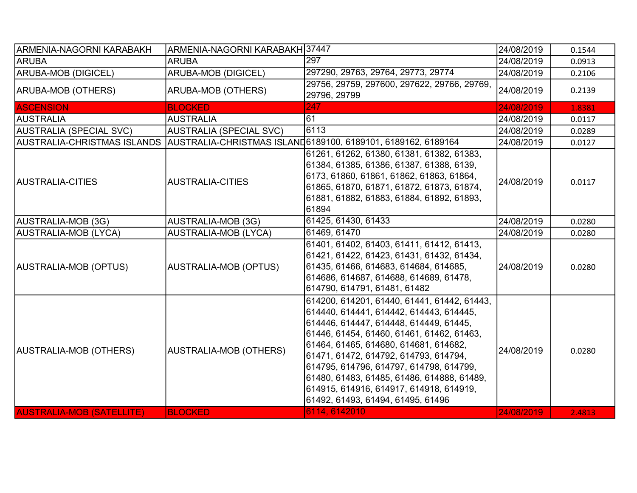| ARMENIA-NAGORNI KARABAKH         | ARMENIA-NAGORNI KARABAKH 37447 |                                                                                                                                                                                                                                                                                                                                                                                                                                                             | 24/08/2019 | 0.1544 |
|----------------------------------|--------------------------------|-------------------------------------------------------------------------------------------------------------------------------------------------------------------------------------------------------------------------------------------------------------------------------------------------------------------------------------------------------------------------------------------------------------------------------------------------------------|------------|--------|
| <b>ARUBA</b>                     | <b>ARUBA</b>                   | 297                                                                                                                                                                                                                                                                                                                                                                                                                                                         | 24/08/2019 | 0.0913 |
| ARUBA-MOB (DIGICEL)              | <b>ARUBA-MOB (DIGICEL)</b>     | 297290, 29763, 29764, 29773, 29774                                                                                                                                                                                                                                                                                                                                                                                                                          | 24/08/2019 | 0.2106 |
| ARUBA-MOB (OTHERS)               | <b>ARUBA-MOB (OTHERS)</b>      | 29756, 29759, 297600, 297622, 29766, 29769,<br>29796, 29799                                                                                                                                                                                                                                                                                                                                                                                                 | 24/08/2019 | 0.2139 |
| <b>ASCENSION</b>                 | <b>BLOCKED</b>                 | 247                                                                                                                                                                                                                                                                                                                                                                                                                                                         | 24/08/2019 | 1.8381 |
| <b>AUSTRALIA</b>                 | <b>AUSTRALIA</b>               | 611                                                                                                                                                                                                                                                                                                                                                                                                                                                         | 24/08/2019 | 0.0117 |
| <b>AUSTRALIA (SPECIAL SVC)</b>   | <b>AUSTRALIA (SPECIAL SVC)</b> | 6113                                                                                                                                                                                                                                                                                                                                                                                                                                                        | 24/08/2019 | 0.0289 |
| AUSTRALIA-CHRISTMAS ISLANDS      |                                | AUSTRALIA-CHRISTMAS ISLAND6189100, 6189101, 6189162, 6189164                                                                                                                                                                                                                                                                                                                                                                                                | 24/08/2019 | 0.0127 |
| <b>AUSTRALIA-CITIES</b>          | AUSTRALIA-CITIES               | 61261, 61262, 61380, 61381, 61382, 61383,<br>61384, 61385, 61386, 61387, 61388, 6139,<br>6173, 61860, 61861, 61862, 61863, 61864,<br>61865, 61870, 61871, 61872, 61873, 61874,<br>61881, 61882, 61883, 61884, 61892, 61893,<br>61894                                                                                                                                                                                                                        | 24/08/2019 | 0.0117 |
| AUSTRALIA-MOB (3G)               | AUSTRALIA-MOB (3G)             | 61425, 61430, 61433                                                                                                                                                                                                                                                                                                                                                                                                                                         | 24/08/2019 | 0.0280 |
| AUSTRALIA-MOB (LYCA)             | <b>AUSTRALIA-MOB (LYCA)</b>    | 61469, 61470                                                                                                                                                                                                                                                                                                                                                                                                                                                | 24/08/2019 | 0.0280 |
| AUSTRALIA-MOB (OPTUS)            | <b>AUSTRALIA-MOB (OPTUS)</b>   | 61401, 61402, 61403, 61411, 61412, 61413,<br> 61421, 61422, 61423, 61431, 61432, 61434,<br>61435, 61466, 614683, 614684, 614685,<br>614686, 614687, 614688, 614689, 61478,<br>614790, 614791, 61481, 61482                                                                                                                                                                                                                                                  | 24/08/2019 | 0.0280 |
| AUSTRALIA-MOB (OTHERS)           | AUSTRALIA-MOB (OTHERS)         | 614200, 614201, 61440, 61441, 61442, 61443,<br>614440, 614441, 614442, 614443, 614445,<br>614446, 614447, 614448, 614449, 61445,<br>61446, 61454, 61460, 61461, 61462, 61463,<br> 61464, 61465, 614680, 614681, 614682,<br> 61471, 61472, 614792, 614793, 614794,<br>614795, 614796, 614797, 614798, 614799,<br>61480, 61483, 61485, 61486, 614888, 61489,<br>614915, 614916, 614917, 614918, 614919,<br>61492, 61493, 61494, 61495, 61496<br>6114, 6142010 | 24/08/2019 | 0.0280 |
| <b>AUSTRALIA-MOB (SATELLITE)</b> | <b>BLOCKED</b>                 |                                                                                                                                                                                                                                                                                                                                                                                                                                                             | 24/08/2019 | 2.4813 |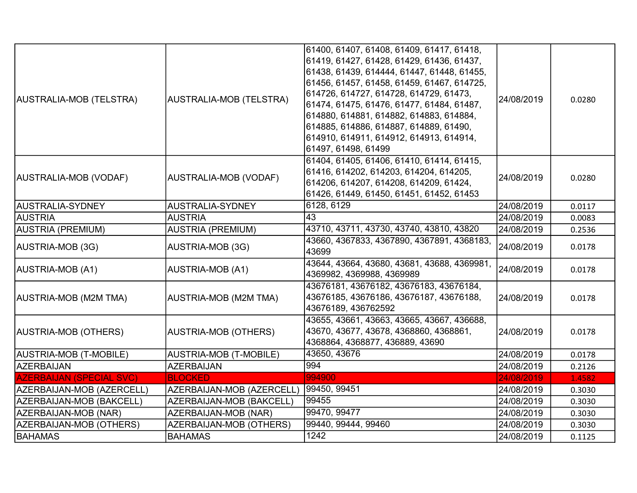| AUSTRALIA-MOB (TELSTRA)         | <b>AUSTRALIA-MOB (TELSTRA)</b>          | 61400, 61407, 61408, 61409, 61417, 61418,<br>61419, 61427, 61428, 61429, 61436, 61437,<br>61438, 61439, 614444, 61447, 61448, 61455,<br>61456, 61457, 61458, 61459, 61467, 614725,<br>614726, 614727, 614728, 614729, 61473,<br>61474, 61475, 61476, 61477, 61484, 61487,<br>614880, 614881, 614882, 614883, 614884,<br>614885, 614886, 614887, 614889, 61490,<br>614910, 614911, 614912, 614913, 614914,<br> 61497, 61498, 61499 | 24/08/2019 | 0.0280 |
|---------------------------------|-----------------------------------------|-----------------------------------------------------------------------------------------------------------------------------------------------------------------------------------------------------------------------------------------------------------------------------------------------------------------------------------------------------------------------------------------------------------------------------------|------------|--------|
| AUSTRALIA-MOB (VODAF)           | AUSTRALIA-MOB (VODAF)                   | 61404, 61405, 61406, 61410, 61414, 61415,<br>61416, 614202, 614203, 614204, 614205,<br>614206, 614207, 614208, 614209, 61424,<br>61426, 61449, 61450, 61451, 61452, 61453                                                                                                                                                                                                                                                         | 24/08/2019 | 0.0280 |
| AUSTRALIA-SYDNEY                | AUSTRALIA-SYDNEY                        | 6128, 6129                                                                                                                                                                                                                                                                                                                                                                                                                        | 24/08/2019 | 0.0117 |
| <b>AUSTRIA</b>                  | <b>AUSTRIA</b>                          | 43                                                                                                                                                                                                                                                                                                                                                                                                                                | 24/08/2019 | 0.0083 |
| AUSTRIA (PREMIUM)               | <b>AUSTRIA (PREMIUM)</b>                | 43710, 43711, 43730, 43740, 43810, 43820                                                                                                                                                                                                                                                                                                                                                                                          | 24/08/2019 | 0.2536 |
| AUSTRIA-MOB (3G)                | AUSTRIA-MOB (3G)                        | 43660, 4367833, 4367890, 4367891, 4368183,<br>43699                                                                                                                                                                                                                                                                                                                                                                               | 24/08/2019 | 0.0178 |
| AUSTRIA-MOB (A1)                | <b>AUSTRIA-MOB (A1)</b>                 | 43644, 43664, 43680, 43681, 43688, 4369981,<br>4369982, 4369988, 4369989                                                                                                                                                                                                                                                                                                                                                          | 24/08/2019 | 0.0178 |
| AUSTRIA-MOB (M2M TMA)           | <b>AUSTRIA-MOB (M2M TMA)</b>            | 43676181, 43676182, 43676183, 43676184,<br>43676185, 43676186, 43676187, 43676188,<br>43676189, 436762592                                                                                                                                                                                                                                                                                                                         | 24/08/2019 | 0.0178 |
| AUSTRIA-MOB (OTHERS)            | <b>AUSTRIA-MOB (OTHERS)</b>             | 43655, 43661, 43663, 43665, 43667, 436688,<br>43670, 43677, 43678, 4368860, 4368861,<br>4368864, 4368877, 436889, 43690                                                                                                                                                                                                                                                                                                           | 24/08/2019 | 0.0178 |
| AUSTRIA-MOB (T-MOBILE)          | <b>AUSTRIA-MOB (T-MOBILE)</b>           | 43650, 43676                                                                                                                                                                                                                                                                                                                                                                                                                      | 24/08/2019 | 0.0178 |
| AZERBAIJAN                      | <b>AZERBAIJAN</b>                       | 994                                                                                                                                                                                                                                                                                                                                                                                                                               | 24/08/2019 | 0.2126 |
| <b>AZERBAIJAN (SPECIAL SVC)</b> | <b>BLOCKED</b>                          | 994900                                                                                                                                                                                                                                                                                                                                                                                                                            | 24/08/2019 | 1.4582 |
| AZERBAIJAN-MOB (AZERCELL)       | AZERBAIJAN-MOB (AZERCELL)  99450, 99451 |                                                                                                                                                                                                                                                                                                                                                                                                                                   | 24/08/2019 | 0.3030 |
| AZERBAIJAN-MOB (BAKCELL)        | AZERBAIJAN-MOB (BAKCELL)                | 99455                                                                                                                                                                                                                                                                                                                                                                                                                             | 24/08/2019 | 0.3030 |
| AZERBAIJAN-MOB (NAR)            | AZERBAIJAN-MOB (NAR)                    | 99470, 99477                                                                                                                                                                                                                                                                                                                                                                                                                      | 24/08/2019 | 0.3030 |
| AZERBAIJAN-MOB (OTHERS)         | AZERBAIJAN-MOB (OTHERS)                 | 99440, 99444, 99460                                                                                                                                                                                                                                                                                                                                                                                                               | 24/08/2019 | 0.3030 |
| <b>BAHAMAS</b>                  | <b>BAHAMAS</b>                          | 1242                                                                                                                                                                                                                                                                                                                                                                                                                              | 24/08/2019 | 0.1125 |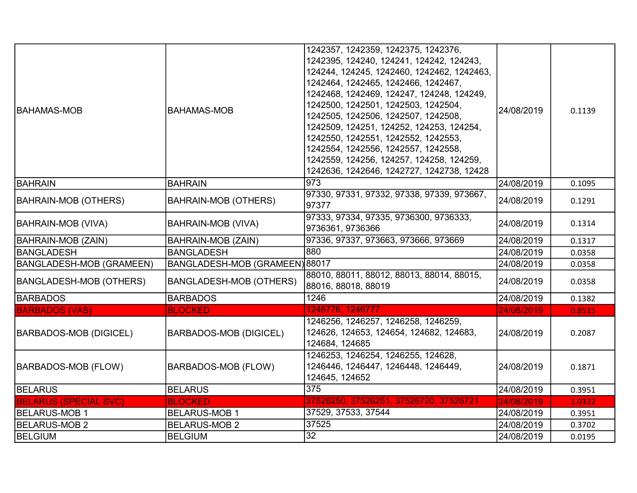| <b>BAHAMAS-MOB</b>              | <b>BAHAMAS-MOB</b>             | 1242357, 1242359, 1242375, 1242376,<br>1242395, 124240, 124241, 124242, 124243,<br>124244, 124245, 1242460, 1242462, 1242463,<br>1242464, 1242465, 1242466, 1242467,<br>1242468, 1242469, 124247, 124248, 124249,<br>1242500, 1242501, 1242503, 1242504,<br>1242505, 1242506, 1242507, 1242508,<br>1242509, 124251, 124252, 124253, 124254,<br>1242550, 1242551, 1242552, 1242553,<br>1242554, 1242556, 1242557, 1242558,<br>1242559, 124256, 124257, 124258, 124259,<br>1242636, 1242646, 1242727, 1242738, 12428 | 24/08/2019 | 0.1139 |
|---------------------------------|--------------------------------|--------------------------------------------------------------------------------------------------------------------------------------------------------------------------------------------------------------------------------------------------------------------------------------------------------------------------------------------------------------------------------------------------------------------------------------------------------------------------------------------------------------------|------------|--------|
| BAHRAIN                         | <b>BAHRAIN</b>                 | 973                                                                                                                                                                                                                                                                                                                                                                                                                                                                                                                | 24/08/2019 | 0.1095 |
| <b>BAHRAIN-MOB (OTHERS)</b>     | <b>BAHRAIN-MOB (OTHERS)</b>    | 97330, 97331, 97332, 97338, 97339, 973667,<br>97377                                                                                                                                                                                                                                                                                                                                                                                                                                                                | 24/08/2019 | 0.1291 |
| BAHRAIN-MOB (VIVA)              | <b>BAHRAIN-MOB (VIVA)</b>      | 97333, 97334, 97335, 9736300, 9736333,<br>9736361, 9736366                                                                                                                                                                                                                                                                                                                                                                                                                                                         | 24/08/2019 | 0.1314 |
| BAHRAIN-MOB (ZAIN)              | <b>BAHRAIN-MOB (ZAIN)</b>      | 97336, 97337, 973663, 973666, 973669                                                                                                                                                                                                                                                                                                                                                                                                                                                                               | 24/08/2019 | 0.1317 |
| <b>BANGLADESH</b>               | <b>BANGLADESH</b>              | 880                                                                                                                                                                                                                                                                                                                                                                                                                                                                                                                | 24/08/2019 | 0.0358 |
| <b>BANGLADESH-MOB (GRAMEEN)</b> | BANGLADESH-MOB (GRAMEEN) 88017 |                                                                                                                                                                                                                                                                                                                                                                                                                                                                                                                    | 24/08/2019 | 0.0358 |
| <b>BANGLADESH-MOB (OTHERS)</b>  | <b>BANGLADESH-MOB (OTHERS)</b> | 88010, 88011, 88012, 88013, 88014, 88015,<br>88016, 88018, 88019                                                                                                                                                                                                                                                                                                                                                                                                                                                   | 24/08/2019 | 0.0358 |
| <b>BARBADOS</b>                 | <b>BARBADOS</b>                | 1246                                                                                                                                                                                                                                                                                                                                                                                                                                                                                                               | 24/08/2019 | 0.1382 |
| <b>BARBADOS (VAS)</b>           | <b>BLOCKED</b>                 | 1246776, 1246777                                                                                                                                                                                                                                                                                                                                                                                                                                                                                                   | 24/08/2019 | 0.8515 |
| <b>BARBADOS-MOB (DIGICEL)</b>   | <b>BARBADOS-MOB (DIGICEL)</b>  | 1246256, 1246257, 1246258, 1246259,<br>124626, 124653, 124654, 124682, 124683,<br>124684, 124685                                                                                                                                                                                                                                                                                                                                                                                                                   | 24/08/2019 | 0.2087 |
| <b>BARBADOS-MOB (FLOW)</b>      | <b>BARBADOS-MOB (FLOW)</b>     | 1246253, 1246254, 1246255, 124628,<br>1246446, 1246447, 1246448, 1246449,<br>124645, 124652                                                                                                                                                                                                                                                                                                                                                                                                                        | 24/08/2019 | 0.1871 |
| <b>BELARUS</b>                  | <b>BELARUS</b>                 | 375                                                                                                                                                                                                                                                                                                                                                                                                                                                                                                                | 24/08/2019 | 0.3951 |
| <b>BELARUS (SPECIAL SVC)</b>    | <b>BLOCKED</b>                 | 37526250, 37526251, 37526720, 37526721                                                                                                                                                                                                                                                                                                                                                                                                                                                                             | 24/08/2019 | 1.0322 |
| <b>BELARUS-MOB 1</b>            | <b>BELARUS-MOB 1</b>           | 37529, 37533, 37544                                                                                                                                                                                                                                                                                                                                                                                                                                                                                                | 24/08/2019 | 0.3951 |
| <b>BELARUS-MOB 2</b>            | <b>BELARUS-MOB 2</b>           | 37525                                                                                                                                                                                                                                                                                                                                                                                                                                                                                                              | 24/08/2019 | 0.3702 |
| BELGIUM                         | BELGIUM                        | $\overline{32}$                                                                                                                                                                                                                                                                                                                                                                                                                                                                                                    | 24/08/2019 | 0.0195 |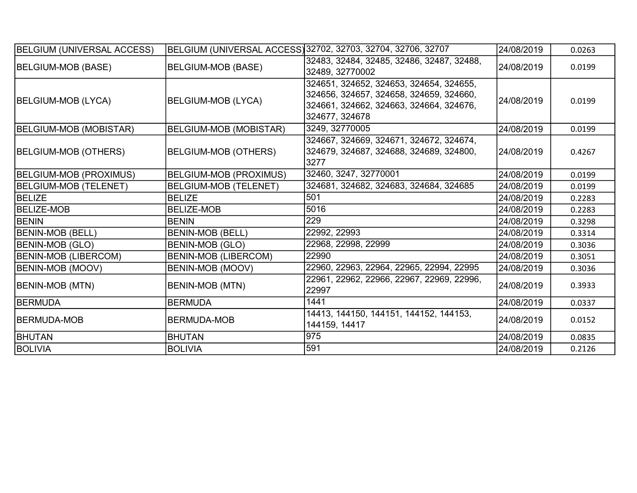| BELGIUM (UNIVERSAL ACCESS)    |                               | BELGIUM (UNIVERSAL ACCESS) 32702, 32703, 32704, 32706, 32707                                                                                    | 24/08/2019 | 0.0263 |
|-------------------------------|-------------------------------|-------------------------------------------------------------------------------------------------------------------------------------------------|------------|--------|
| BELGIUM-MOB (BASE)            | <b>BELGIUM-MOB (BASE)</b>     | 32483, 32484, 32485, 32486, 32487, 32488,<br>32489, 32770002                                                                                    | 24/08/2019 | 0.0199 |
| BELGIUM-MOB (LYCA)            | <b>BELGIUM-MOB (LYCA)</b>     | 324651, 324652, 324653, 324654, 324655,<br>324656, 324657, 324658, 324659, 324660,<br>324661, 324662, 324663, 324664, 324676,<br>324677, 324678 | 24/08/2019 | 0.0199 |
| BELGIUM-MOB (MOBISTAR)        | <b>BELGIUM-MOB (MOBISTAR)</b> | 3249, 32770005                                                                                                                                  | 24/08/2019 | 0.0199 |
| BELGIUM-MOB (OTHERS)          | <b>BELGIUM-MOB (OTHERS)</b>   | 324667, 324669, 324671, 324672, 324674,<br>324679, 324687, 324688, 324689, 324800,<br>3277                                                      | 24/08/2019 | 0.4267 |
| <b>BELGIUM-MOB (PROXIMUS)</b> | <b>BELGIUM-MOB (PROXIMUS)</b> | 32460, 3247, 32770001                                                                                                                           | 24/08/2019 | 0.0199 |
| <b>BELGIUM-MOB (TELENET)</b>  | <b>BELGIUM-MOB (TELENET)</b>  | 324681, 324682, 324683, 324684, 324685                                                                                                          | 24/08/2019 | 0.0199 |
| <b>BELIZE</b>                 | <b>BELIZE</b>                 | 501                                                                                                                                             | 24/08/2019 | 0.2283 |
| <b>BELIZE-MOB</b>             | BELIZE-MOB                    | 5016                                                                                                                                            | 24/08/2019 | 0.2283 |
| <b>BENIN</b>                  | BENIN                         | 229                                                                                                                                             | 24/08/2019 | 0.3298 |
| <b>BENIN-MOB (BELL)</b>       | <b>BENIN-MOB (BELL)</b>       | 22992, 22993                                                                                                                                    | 24/08/2019 | 0.3314 |
| <b>BENIN-MOB (GLO)</b>        | BENIN-MOB (GLO)               | 22968, 22998, 22999                                                                                                                             | 24/08/2019 | 0.3036 |
| <b>BENIN-MOB (LIBERCOM)</b>   | <b>BENIN-MOB (LIBERCOM)</b>   | 22990                                                                                                                                           | 24/08/2019 | 0.3051 |
| <b>BENIN-MOB (MOOV)</b>       | <b>BENIN-MOB (MOOV)</b>       | 22960, 22963, 22964, 22965, 22994, 22995                                                                                                        | 24/08/2019 | 0.3036 |
| <b>BENIN-MOB (MTN)</b>        | <b>BENIN-MOB (MTN)</b>        | 22961, 22962, 22966, 22967, 22969, 22996,<br>22997                                                                                              | 24/08/2019 | 0.3933 |
| BERMUDA                       | <b>BERMUDA</b>                | 1441                                                                                                                                            | 24/08/2019 | 0.0337 |
| BERMUDA-MOB                   | BERMUDA-MOB                   | 14413, 144150, 144151, 144152, 144153,<br>144159, 14417                                                                                         | 24/08/2019 | 0.0152 |
| <b>BHUTAN</b>                 | BHUTAN                        | 975                                                                                                                                             | 24/08/2019 | 0.0835 |
| <b>BOLIVIA</b>                | BOLIVIA                       | 591                                                                                                                                             | 24/08/2019 | 0.2126 |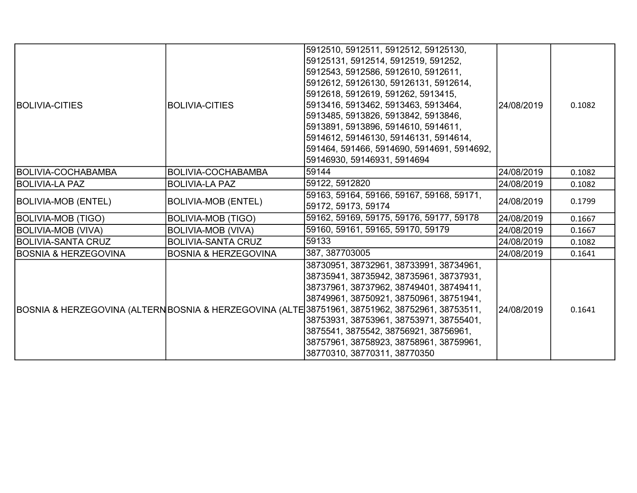| <b>BOLIVIA-CITIES</b>           | <b>BOLIVIA-CITIES</b>           | 5912510, 5912511, 5912512, 59125130,<br>59125131, 5912514, 5912519, 591252,<br>5912543, 5912586, 5912610, 5912611,<br>5912612, 59126130, 59126131, 5912614,<br>5912618, 5912619, 591262, 5913415,<br>5913416, 5913462, 5913463, 5913464,<br>5913485, 5913826, 5913842, 5913846,<br>5913891, 5913896, 5914610, 5914611,<br>5914612, 59146130, 59146131, 5914614,<br>591464, 591466, 5914690, 5914691, 5914692,<br>59146930, 59146931, 5914694 | 24/08/2019 | 0.1082 |
|---------------------------------|---------------------------------|----------------------------------------------------------------------------------------------------------------------------------------------------------------------------------------------------------------------------------------------------------------------------------------------------------------------------------------------------------------------------------------------------------------------------------------------|------------|--------|
| <b>BOLIVIA-COCHABAMBA</b>       | <b>BOLIVIA-COCHABAMBA</b>       | 59144                                                                                                                                                                                                                                                                                                                                                                                                                                        | 24/08/2019 | 0.1082 |
| BOLIVIA-LA PAZ                  | <b>BOLIVIA-LA PAZ</b>           | 59122, 5912820                                                                                                                                                                                                                                                                                                                                                                                                                               | 24/08/2019 | 0.1082 |
| <b>BOLIVIA-MOB (ENTEL)</b>      | <b>BOLIVIA-MOB (ENTEL)</b>      | 59163, 59164, 59166, 59167, 59168, 59171,<br>59172, 59173, 59174                                                                                                                                                                                                                                                                                                                                                                             | 24/08/2019 | 0.1799 |
| <b>BOLIVIA-MOB (TIGO)</b>       | <b>BOLIVIA-MOB (TIGO)</b>       | 59162, 59169, 59175, 59176, 59177, 59178                                                                                                                                                                                                                                                                                                                                                                                                     | 24/08/2019 | 0.1667 |
| <b>BOLIVIA-MOB (VIVA)</b>       | <b>BOLIVIA-MOB (VIVA)</b>       | 59160, 59161, 59165, 59170, 59179                                                                                                                                                                                                                                                                                                                                                                                                            | 24/08/2019 | 0.1667 |
| BOLIVIA-SANTA CRUZ              | <b>BOLIVIA-SANTA CRUZ</b>       | 59133                                                                                                                                                                                                                                                                                                                                                                                                                                        | 24/08/2019 | 0.1082 |
| <b>BOSNIA &amp; HERZEGOVINA</b> | <b>BOSNIA &amp; HERZEGOVINA</b> | 387, 387703005                                                                                                                                                                                                                                                                                                                                                                                                                               | 24/08/2019 | 0.1641 |
|                                 |                                 | 38730951, 38732961, 38733991, 38734961,<br>38735941, 38735942, 38735961, 38737931,<br>38737961, 38737962, 38749401, 38749411,<br>38749961, 38750921, 38750961, 38751941,<br>BOSNIA & HERZEGOVINA (ALTERNBOSNIA & HERZEGOVINA (ALTE 38751961, 38751962, 38752961, 38753511,<br>38753931, 38753961, 38753971, 38755401,<br>3875541, 3875542, 38756921, 38756961,<br>38757961, 38758923, 38758961, 38759961,<br>38770310, 38770311, 38770350    | 24/08/2019 | 0.1641 |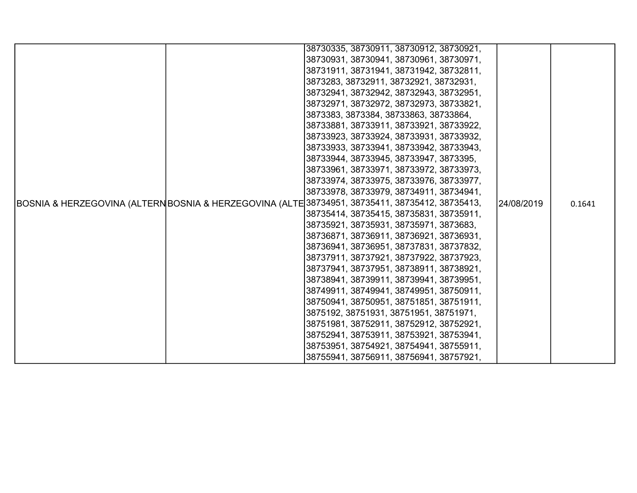|  |  | 38730335, 38730911, 38730912, 38730921,                                                        |            |        |
|--|--|------------------------------------------------------------------------------------------------|------------|--------|
|  |  | 38730931, 38730941, 38730961, 38730971,                                                        |            |        |
|  |  | 38731911, 38731941, 38731942, 38732811,                                                        |            |        |
|  |  | 3873283, 38732911, 38732921, 38732931,                                                         |            |        |
|  |  | 38732941, 38732942, 38732943, 38732951,                                                        |            |        |
|  |  | 38732971, 38732972, 38732973, 38733821,                                                        |            |        |
|  |  | 3873383, 3873384, 38733863, 38733864,                                                          |            |        |
|  |  | 38733881, 38733911, 38733921, 38733922,                                                        |            |        |
|  |  | 38733923, 38733924, 38733931, 38733932,                                                        |            |        |
|  |  | 38733933, 38733941, 38733942, 38733943,                                                        |            |        |
|  |  | 38733944, 38733945, 38733947, 3873395,                                                         |            |        |
|  |  | 38733961, 38733971, 38733972, 38733973,                                                        |            |        |
|  |  | 38733974, 38733975, 38733976, 38733977,                                                        |            |        |
|  |  | 38733978, 38733979, 38734911, 38734941,                                                        |            |        |
|  |  | BOSNIA & HERZEGOVINA (ALTERNBOSNIA & HERZEGOVINA (ALTE 38734951, 38735411, 38735412, 38735413, | 24/08/2019 | 0.1641 |
|  |  | 38735414, 38735415, 38735831, 38735911,                                                        |            |        |
|  |  | 38735921, 38735931, 38735971, 3873683,                                                         |            |        |
|  |  | 38736871, 38736911, 38736921, 38736931,                                                        |            |        |
|  |  | 38736941, 38736951, 38737831, 38737832,                                                        |            |        |
|  |  | 38737911, 38737921, 38737922, 38737923,                                                        |            |        |
|  |  | 38737941, 38737951, 38738911, 38738921,                                                        |            |        |
|  |  | 38738941, 38739911, 38739941, 38739951,                                                        |            |        |
|  |  | 38749911, 38749941, 38749951, 38750911,                                                        |            |        |
|  |  | 38750941, 38750951, 38751851, 38751911,                                                        |            |        |
|  |  | 3875192, 38751931, 38751951, 38751971,                                                         |            |        |
|  |  | 38751981, 38752911, 38752912, 38752921,                                                        |            |        |
|  |  | 38752941, 38753911, 38753921, 38753941,                                                        |            |        |
|  |  | 38753951, 38754921, 38754941, 38755911,                                                        |            |        |
|  |  | 38755941, 38756911, 38756941, 38757921,                                                        |            |        |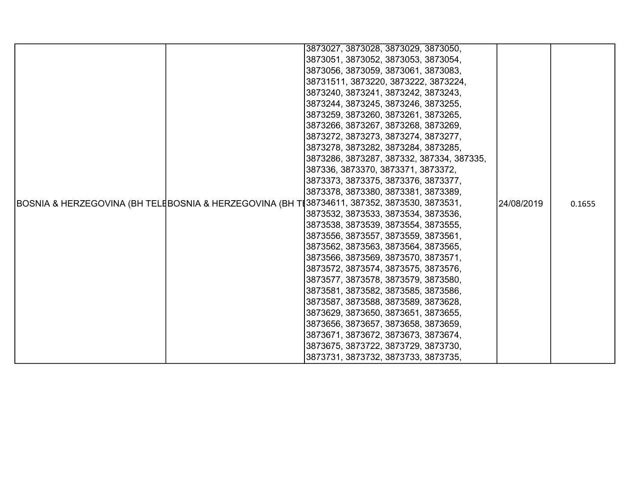|  | 3873027, 3873028, 3873029, 3873050,                                                         |            |        |
|--|---------------------------------------------------------------------------------------------|------------|--------|
|  | 3873051, 3873052, 3873053, 3873054,                                                         |            |        |
|  | 3873056, 3873059, 3873061, 3873083,                                                         |            |        |
|  | 38731511, 3873220, 3873222, 3873224,                                                        |            |        |
|  | 3873240, 3873241, 3873242, 3873243,                                                         |            |        |
|  | 3873244, 3873245, 3873246, 3873255,                                                         |            |        |
|  | 3873259, 3873260, 3873261, 3873265,                                                         |            |        |
|  | 3873266, 3873267, 3873268, 3873269,                                                         |            |        |
|  | 3873272, 3873273, 3873274, 3873277,                                                         |            |        |
|  | 3873278, 3873282, 3873284, 3873285,                                                         |            |        |
|  | 3873286, 3873287, 387332, 387334, 387335,                                                   |            |        |
|  | 387336, 3873370, 3873371, 3873372,                                                          |            |        |
|  | 3873373, 3873375, 3873376, 3873377,                                                         |            |        |
|  | 3873378, 3873380, 3873381, 3873389,                                                         |            |        |
|  | BOSNIA & HERZEGOVINA (BH TELĘBOSNIA & HERZEGOVINA (BH TĘ38734611, 387352, 3873530, 3873531, | 24/08/2019 | 0.1655 |
|  | 3873532, 3873533, 3873534, 3873536,                                                         |            |        |
|  | 3873538, 3873539, 3873554, 3873555,                                                         |            |        |
|  | 3873556, 3873557, 3873559, 3873561,                                                         |            |        |
|  | 3873562, 3873563, 3873564, 3873565,                                                         |            |        |
|  | 3873566, 3873569, 3873570, 3873571,                                                         |            |        |
|  | 3873572, 3873574, 3873575, 3873576,                                                         |            |        |
|  | 3873577, 3873578, 3873579, 3873580,                                                         |            |        |
|  | 3873581, 3873582, 3873585, 3873586,                                                         |            |        |
|  | 3873587, 3873588, 3873589, 3873628,                                                         |            |        |
|  | 3873629, 3873650, 3873651, 3873655,                                                         |            |        |
|  | 3873656, 3873657, 3873658, 3873659,                                                         |            |        |
|  | 3873671, 3873672, 3873673, 3873674,                                                         |            |        |
|  | 3873675, 3873722, 3873729, 3873730,                                                         |            |        |
|  | 3873731, 3873732, 3873733, 3873735,                                                         |            |        |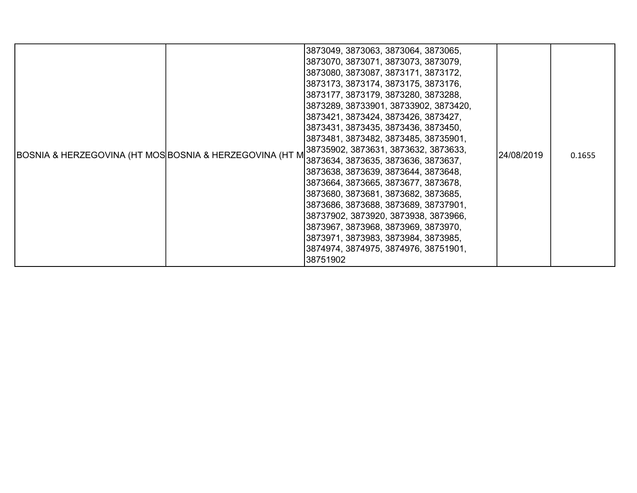| BOSNIA & HERZEGOVINA (HT MOS BOSNIA & HERZEGOVINA (HT M |  | 3873049, 3873063, 3873064, 3873065,<br>3873070, 3873071, 3873073, 3873079,<br>3873080, 3873087, 3873171, 3873172,<br>3873173, 3873174, 3873175, 3873176,<br>3873177, 3873179, 3873280, 3873288,<br>3873289, 38733901, 38733902, 3873420,<br>3873421, 3873424, 3873426, 3873427,<br>3873431, 3873435, 3873436, 3873450,<br>3873481, 3873482, 3873485, 38735901,<br>38735902, 3873631, 3873632, 3873633,<br>3873634, 3873635, 3873636, 3873637,<br>3873638, 3873639, 3873644, 3873648,<br>3873664, 3873665, 3873677, 3873678,<br>3873680, 3873681, 3873682, 3873685,<br>3873686, 3873688, 3873689, 38737901,<br>38737902, 3873920, 3873938, 3873966,<br>3873967, 3873968, 3873969, 3873970,<br>3873971, 3873983, 3873984, 3873985,<br>3874974, 3874975, 3874976, 38751901,<br>38751902 | 24/08/2019 | 0.1655 |
|---------------------------------------------------------|--|--------------------------------------------------------------------------------------------------------------------------------------------------------------------------------------------------------------------------------------------------------------------------------------------------------------------------------------------------------------------------------------------------------------------------------------------------------------------------------------------------------------------------------------------------------------------------------------------------------------------------------------------------------------------------------------------------------------------------------------------------------------------------------------|------------|--------|
|---------------------------------------------------------|--|--------------------------------------------------------------------------------------------------------------------------------------------------------------------------------------------------------------------------------------------------------------------------------------------------------------------------------------------------------------------------------------------------------------------------------------------------------------------------------------------------------------------------------------------------------------------------------------------------------------------------------------------------------------------------------------------------------------------------------------------------------------------------------------|------------|--------|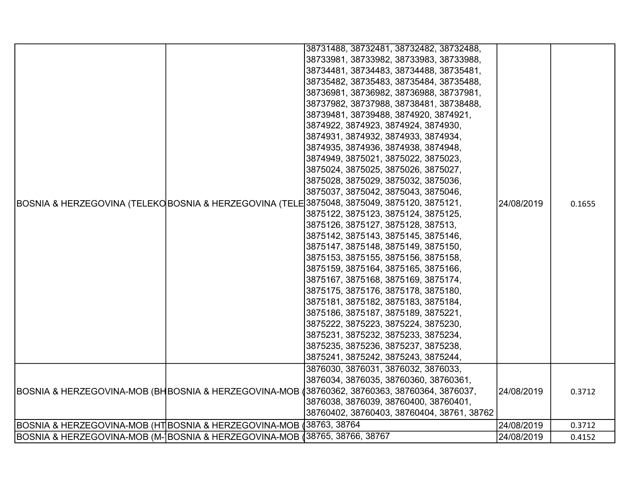|                                                                            |  | 38731488, 38732481, 38732482, 38732488,                                                      |            |        |
|----------------------------------------------------------------------------|--|----------------------------------------------------------------------------------------------|------------|--------|
|                                                                            |  | 38733981, 38733982, 38733983, 38733988,                                                      |            |        |
|                                                                            |  | 38734481, 38734483, 38734488, 38735481,                                                      |            |        |
|                                                                            |  | 38735482, 38735483, 38735484, 38735488,                                                      |            |        |
|                                                                            |  | 38736981, 38736982, 38736988, 38737981,                                                      |            |        |
|                                                                            |  | 38737982, 38737988, 38738481, 38738488,                                                      |            |        |
|                                                                            |  | 38739481, 38739488, 3874920, 3874921,                                                        |            |        |
|                                                                            |  | 3874922, 3874923, 3874924, 3874930,                                                          |            |        |
|                                                                            |  | 3874931, 3874932, 3874933, 3874934,                                                          |            |        |
|                                                                            |  | 3874935, 3874936, 3874938, 3874948,                                                          |            |        |
|                                                                            |  | 3874949, 3875021, 3875022, 3875023,                                                          |            |        |
|                                                                            |  | 3875024, 3875025, 3875026, 3875027,                                                          |            |        |
|                                                                            |  | 3875028, 3875029, 3875032, 3875036,                                                          |            |        |
|                                                                            |  | 3875037, 3875042, 3875043, 3875046,                                                          |            |        |
|                                                                            |  | BOSNIA & HERZEGOVINA (TELEKO BOSNIA & HERZEGOVINA (TELE 3875048, 3875049, 3875120, 3875121,  | 24/08/2019 | 0.1655 |
|                                                                            |  | 3875122, 3875123, 3875124, 3875125,                                                          |            |        |
|                                                                            |  | 3875126, 3875127, 3875128, 387513,                                                           |            |        |
|                                                                            |  | 3875142, 3875143, 3875145, 3875146,                                                          |            |        |
|                                                                            |  | 3875147, 3875148, 3875149, 3875150,                                                          |            |        |
|                                                                            |  | 3875153, 3875155, 3875156, 3875158,                                                          |            |        |
|                                                                            |  | 3875159, 3875164, 3875165, 3875166,                                                          |            |        |
|                                                                            |  | 3875167, 3875168, 3875169, 3875174,                                                          |            |        |
|                                                                            |  | 3875175, 3875176, 3875178, 3875180,                                                          |            |        |
|                                                                            |  | 3875181, 3875182, 3875183, 3875184,                                                          |            |        |
|                                                                            |  | 3875186, 3875187, 3875189, 3875221,                                                          |            |        |
|                                                                            |  | 3875222, 3875223, 3875224, 3875230,                                                          |            |        |
|                                                                            |  | 3875231, 3875232, 3875233, 3875234,                                                          |            |        |
|                                                                            |  | 3875235, 3875236, 3875237, 3875238,                                                          |            |        |
|                                                                            |  | 3875241, 3875242, 3875243, 3875244,                                                          |            |        |
|                                                                            |  | 3876030, 3876031, 3876032, 3876033,                                                          |            |        |
|                                                                            |  | 3876034, 3876035, 38760360, 38760361,                                                        |            |        |
|                                                                            |  | BOSNIA & HERZEGOVINA-MOB (BHBOSNIA & HERZEGOVINA-MOB (38760362, 38760363, 38760364, 3876037, | 24/08/2019 | 0.3712 |
|                                                                            |  | 3876038, 3876039, 38760400, 38760401,                                                        |            |        |
|                                                                            |  | 38760402, 38760403, 38760404, 38761, 38762                                                   |            |        |
| BOSNIA & HERZEGOVINA-MOB (HT BOSNIA & HERZEGOVINA-MOB (38763, 38764        |  |                                                                                              | 24/08/2019 | 0.3712 |
| BOSNIA & HERZEGOVINA-MOB (M- BOSNIA & HERZEGOVINA-MOB ∥38765, 38766, 38767 |  |                                                                                              | 24/08/2019 | 0.4152 |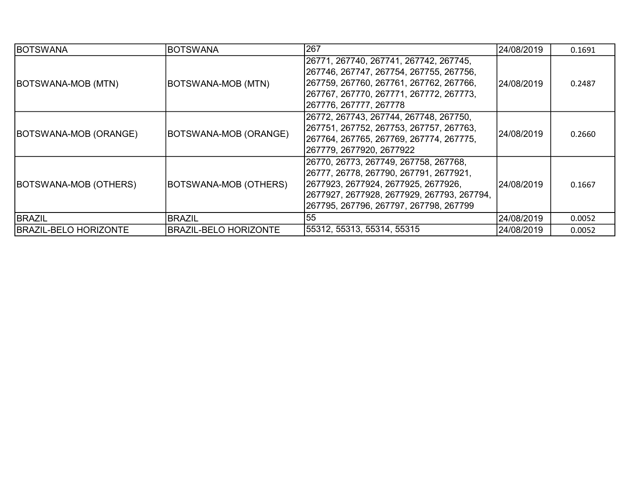| <b>BOTSWANA</b>              | <b>BOTSWANA</b>              | 1267                                                                                                                                                                                                               | 24/08/2019  | 0.1691 |
|------------------------------|------------------------------|--------------------------------------------------------------------------------------------------------------------------------------------------------------------------------------------------------------------|-------------|--------|
| BOTSWANA-MOB (MTN)           | BOTSWANA-MOB (MTN)           | 26771, 267740, 267741, 267742, 267745,<br> 267746, 267747, 267754, 267755, 267756,<br>267759, 267760, 267761, 267762, 267766,<br> 267767, 267770, 267771, 267772, 267773,<br>267776, 267777, 267778                | l24/08/2019 | 0.2487 |
| BOTSWANA-MOB (ORANGE)        | BOTSWANA-MOB (ORANGE)        | 26772, 267743, 267744, 267748, 267750,<br> 267751, 267752, 267753, 267757, 267763,<br> 267764, 267765, 267769, 267774, 267775,<br> 267779, 2677920, 2677922                                                        | l24/08/2019 | 0.2660 |
| BOTSWANA-MOB (OTHERS)        | BOTSWANA-MOB (OTHERS)        | 26770, 26773, 267749, 267758, 267768,<br> 26777, 26778, 267790, 267791, 2677921,<br> 2677923, 2677924, 2677925, 2677926,<br> 2677927, 2677928, 2677929, 267793, 267794,<br> 267795, 267796, 267797, 267798, 267799 | 24/08/2019  | 0.1667 |
| BRAZIL                       | <b>BRAZIL</b>                | 55                                                                                                                                                                                                                 | 24/08/2019  | 0.0052 |
| <b>BRAZIL-BELO HORIZONTE</b> | <b>BRAZIL-BELO HORIZONTE</b> | 55312, 55313, 55314, 55315                                                                                                                                                                                         | 24/08/2019  | 0.0052 |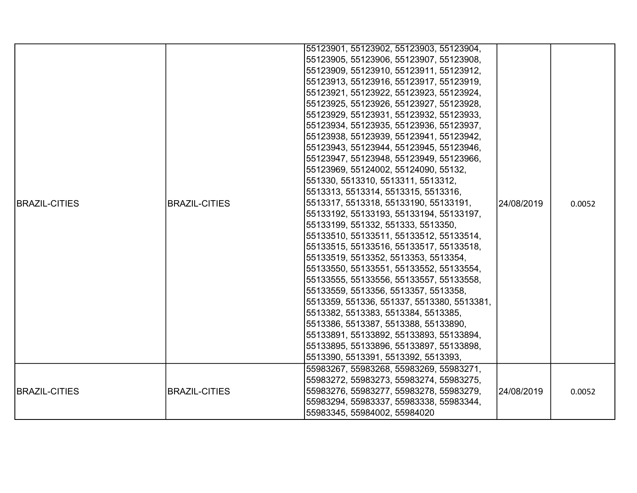|                      |                      | 55123901, 55123902, 55123903, 55123904,    |            |        |
|----------------------|----------------------|--------------------------------------------|------------|--------|
|                      |                      | 55123905, 55123906, 55123907, 55123908,    |            |        |
|                      |                      | 55123909, 55123910, 55123911, 55123912,    |            |        |
|                      |                      | 55123913, 55123916, 55123917, 55123919,    |            |        |
|                      |                      | 55123921, 55123922, 55123923, 55123924,    |            |        |
|                      |                      | 55123925, 55123926, 55123927, 55123928,    |            |        |
|                      |                      | 55123929, 55123931, 55123932, 55123933,    |            |        |
|                      |                      | 55123934, 55123935, 55123936, 55123937,    |            |        |
|                      |                      | 55123938, 55123939, 55123941, 55123942,    |            |        |
|                      |                      | 55123943, 55123944, 55123945, 55123946,    |            |        |
|                      |                      | 55123947, 55123948, 55123949, 55123966,    |            |        |
|                      |                      | 55123969, 55124002, 55124090, 55132,       |            |        |
| <b>BRAZIL-CITIES</b> |                      | 551330, 5513310, 5513311, 5513312,         |            |        |
|                      |                      | 5513313, 5513314, 5513315, 5513316,        | 24/08/2019 |        |
|                      | <b>BRAZIL-CITIES</b> | 5513317, 5513318, 55133190, 55133191,      |            | 0.0052 |
|                      |                      | 55133192, 55133193, 55133194, 55133197,    |            |        |
|                      |                      | 55133199, 551332, 551333, 5513350,         |            |        |
|                      |                      | 55133510, 55133511, 55133512, 55133514,    |            |        |
|                      |                      | 55133515, 55133516, 55133517, 55133518,    |            |        |
|                      |                      | 55133519, 5513352, 5513353, 5513354,       |            |        |
|                      |                      | 55133550, 55133551, 55133552, 55133554,    |            |        |
|                      |                      | 55133555, 55133556, 55133557, 55133558,    |            |        |
|                      |                      | 55133559, 5513356, 5513357, 5513358,       |            |        |
|                      |                      | 5513359, 551336, 551337, 5513380, 5513381, |            |        |
|                      |                      | 5513382, 5513383, 5513384, 5513385,        |            |        |
|                      |                      | 5513386, 5513387, 5513388, 55133890,       |            |        |
|                      |                      | 55133891, 55133892, 55133893, 55133894,    |            |        |
|                      |                      | 55133895, 55133896, 55133897, 55133898,    |            |        |
|                      |                      | 5513390, 5513391, 5513392, 5513393,        |            |        |
|                      |                      | 55983267, 55983268, 55983269, 55983271,    |            |        |
|                      |                      | 55983272, 55983273, 55983274, 55983275,    |            |        |
| <b>BRAZIL-CITIES</b> | <b>BRAZIL-CITIES</b> | 55983276, 55983277, 55983278, 55983279,    | 24/08/2019 | 0.0052 |
|                      |                      | 55983294, 55983337, 55983338, 55983344,    |            |        |
|                      |                      | 55983345, 55984002, 55984020               |            |        |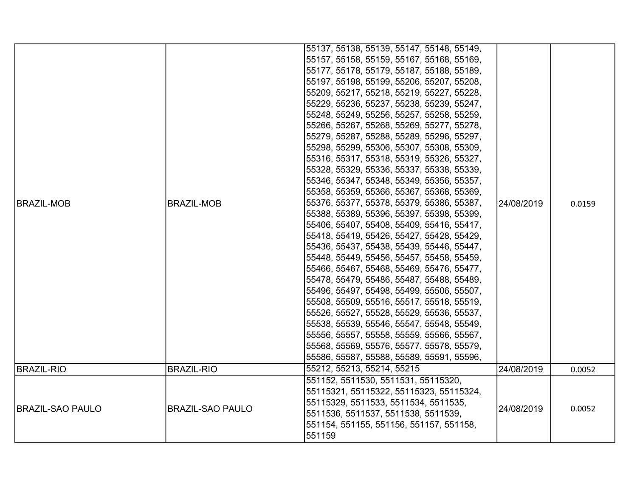| <b>BRAZIL-MOB</b>       | BRAZIL-MOB              | 55137, 55138, 55139, 55147, 55148, 55149,<br>55157, 55158, 55159, 55167, 55168, 55169,<br>55177, 55178, 55179, 55187, 55188, 55189,<br>55197, 55198, 55199, 55206, 55207, 55208,<br>55209, 55217, 55218, 55219, 55227, 55228,<br>55229, 55236, 55237, 55238, 55239, 55247,<br>55248, 55249, 55256, 55257, 55258, 55259,<br>55266, 55267, 55268, 55269, 55277, 55278,<br>55279, 55287, 55288, 55289, 55296, 55297,<br>55298, 55299, 55306, 55307, 55308, 55309,<br>55316, 55317, 55318, 55319, 55326, 55327,<br>55328, 55329, 55336, 55337, 55338, 55339,<br>55346, 55347, 55348, 55349, 55356, 55357,<br>55358, 55359, 55366, 55367, 55368, 55369,<br>55376, 55377, 55378, 55379, 55386, 55387,<br>55388, 55389, 55396, 55397, 55398, 55399,<br>55406, 55407, 55408, 55409, 55416, 55417,<br>55418, 55419, 55426, 55427, 55428, 55429,<br>55436, 55437, 55438, 55439, 55446, 55447,<br>55448, 55449, 55456, 55457, 55458, 55459,<br>55466, 55467, 55468, 55469, 55476, 55477,<br>55478, 55479, 55486, 55487, 55488, 55489,<br> 55496, 55497, 55498, 55499, 55506, 55507,<br>55508, 55509, 55516, 55517, 55518, 55519,<br>55526, 55527, 55528, 55529, 55536, 55537,<br>55538, 55539, 55546, 55547, 55548, 55549,<br>55556, 55557, 55558, 55559, 55566, 55567,<br>55568, 55569, 55576, 55577, 55578, 55579,<br>55586, 55587, 55588, 55589, 55591, 55596, | 24/08/2019 | 0.0159 |
|-------------------------|-------------------------|--------------------------------------------------------------------------------------------------------------------------------------------------------------------------------------------------------------------------------------------------------------------------------------------------------------------------------------------------------------------------------------------------------------------------------------------------------------------------------------------------------------------------------------------------------------------------------------------------------------------------------------------------------------------------------------------------------------------------------------------------------------------------------------------------------------------------------------------------------------------------------------------------------------------------------------------------------------------------------------------------------------------------------------------------------------------------------------------------------------------------------------------------------------------------------------------------------------------------------------------------------------------------------------------------------------------------------------------------------|------------|--------|
| <b>BRAZIL-RIO</b>       | <b>BRAZIL-RIO</b>       | 55212, 55213, 55214, 55215                                                                                                                                                                                                                                                                                                                                                                                                                                                                                                                                                                                                                                                                                                                                                                                                                                                                                                                                                                                                                                                                                                                                                                                                                                                                                                                             | 24/08/2019 | 0.0052 |
| <b>BRAZIL-SAO PAULO</b> | <b>BRAZIL-SAO PAULO</b> | 551152, 5511530, 5511531, 55115320,<br>55115321, 55115322, 55115323, 55115324,<br>55115329, 5511533, 5511534, 5511535,<br>5511536, 5511537, 5511538, 5511539,<br>551154, 551155, 551156, 551157, 551158,<br>551159                                                                                                                                                                                                                                                                                                                                                                                                                                                                                                                                                                                                                                                                                                                                                                                                                                                                                                                                                                                                                                                                                                                                     | 24/08/2019 | 0.0052 |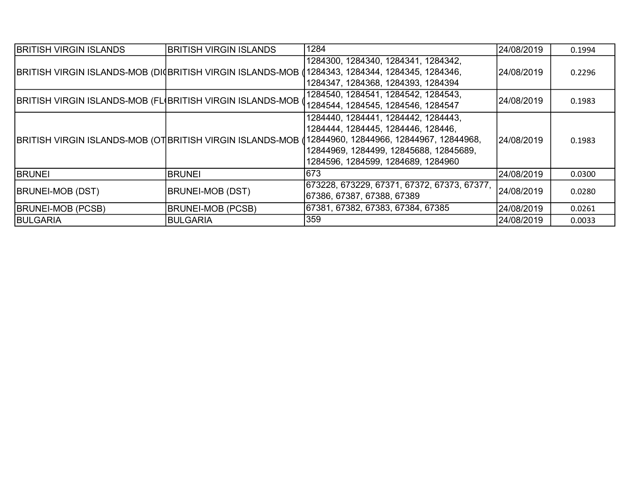| <b>BRITISH VIRGIN ISLANDS</b>                               | <b>BRITISH VIRGIN ISLANDS</b> | 1284                                                                                                                                                                                                                                                            | 24/08/2019  | 0.1994 |
|-------------------------------------------------------------|-------------------------------|-----------------------------------------------------------------------------------------------------------------------------------------------------------------------------------------------------------------------------------------------------------------|-------------|--------|
|                                                             |                               | 1284300, 1284340, 1284341, 1284342,<br>BRITISH VIRGIN ISLANDS-MOB (DI BRITISH VIRGIN ISLANDS-MOB (1284343, 1284344, 1284345, 1284346,<br>1284347, 1284368, 1284393, 1284394                                                                                     | 24/08/2019  | 0.2296 |
| BRITISH VIRGIN ISLANDS-MOB (FL(BRITISH VIRGIN ISLANDS-MOB ( |                               | 1284540, 1284541, 1284542, 1284543,<br>1284544, 1284545, 1284546, 1284547                                                                                                                                                                                       | 24/08/2019  | 0.1983 |
|                                                             |                               | 1284440, 1284441, 1284442, 1284443,<br>1284444, 1284445, 1284446, 128446,<br>BRITISH VIRGIN ISLANDS-MOB (OT BRITISH VIRGIN ISLANDS-MOB (12844960, 12844966, 12844967, 12844968,<br>12844969, 1284499, 12845688, 12845689,<br>1284596, 1284599, 1284689, 1284960 | l24/08/2019 | 0.1983 |
| <b>BRUNEI</b>                                               | <b>BRUNEI</b>                 | 673                                                                                                                                                                                                                                                             | 24/08/2019  | 0.0300 |
| <b>BRUNEI-MOB (DST)</b>                                     | <b>BRUNEI-MOB (DST)</b>       | 673228, 673229, 67371, 67372, 67373, 67377,<br> 67386, 67387, 67388, 67389                                                                                                                                                                                      | 24/08/2019  | 0.0280 |
| <b>BRUNEI-MOB (PCSB)</b>                                    | <b>BRUNEI-MOB (PCSB)</b>      | 67381, 67382, 67383, 67384, 67385                                                                                                                                                                                                                               | 24/08/2019  | 0.0261 |
| <b>BULGARIA</b>                                             | <b>BULGARIA</b>               | 359                                                                                                                                                                                                                                                             | 24/08/2019  | 0.0033 |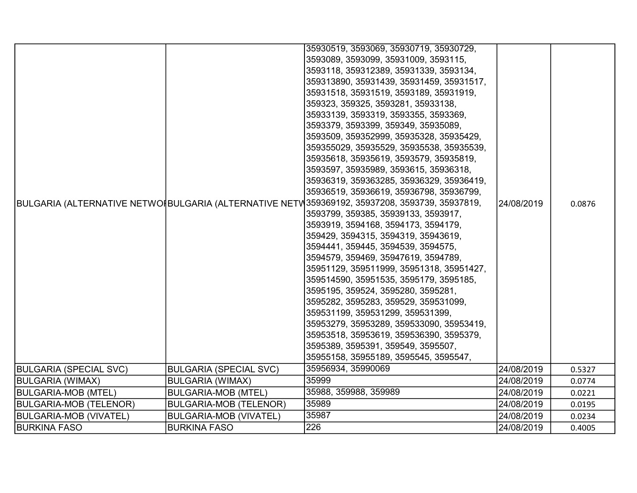|                               |                               | 35930519, 3593069, 35930719, 35930729,                                                        |            |        |
|-------------------------------|-------------------------------|-----------------------------------------------------------------------------------------------|------------|--------|
|                               |                               | 3593089, 3593099, 35931009, 3593115,                                                          |            |        |
|                               |                               | 3593118, 359312389, 35931339, 3593134,                                                        |            |        |
|                               |                               | 359313890, 35931439, 35931459, 35931517,                                                      |            |        |
|                               |                               | 35931518, 35931519, 3593189, 35931919,                                                        |            |        |
|                               |                               | 359323, 359325, 3593281, 35933138,                                                            |            |        |
|                               |                               | 35933139, 3593319, 3593355, 3593369,                                                          |            |        |
|                               |                               | 3593379, 3593399, 359349, 35935089,                                                           |            |        |
|                               |                               | 3593509, 359352999, 35935328, 35935429,                                                       |            |        |
|                               |                               | 359355029, 35935529, 35935538, 35935539,                                                      |            |        |
|                               |                               | 35935618, 35935619, 3593579, 35935819,                                                        |            |        |
|                               |                               | 3593597, 35935989, 3593615, 35936318,                                                         |            |        |
|                               |                               | 35936319, 359363285, 35936329, 35936419,                                                      |            |        |
|                               |                               | 35936519, 35936619, 35936798, 35936799,                                                       |            |        |
|                               |                               | BULGARIA (ALTERNATIVE NETWOIBULGARIA (ALTERNATIVE NETW359369192, 35937208, 3593739, 35937819, | 24/08/2019 | 0.0876 |
|                               |                               | 3593799, 359385, 35939133, 3593917,                                                           |            |        |
|                               |                               | 3593919, 3594168, 3594173, 3594179,                                                           |            |        |
|                               |                               | 359429, 3594315, 3594319, 35943619,                                                           |            |        |
|                               |                               | 3594441, 359445, 3594539, 3594575,                                                            |            |        |
|                               |                               | 3594579, 359469, 35947619, 3594789,                                                           |            |        |
|                               |                               | 35951129, 359511999, 35951318, 35951427,                                                      |            |        |
|                               |                               | 359514590, 35951535, 3595179, 3595185,                                                        |            |        |
|                               |                               | 3595195, 359524, 3595280, 3595281,                                                            |            |        |
|                               |                               | 3595282, 3595283, 359529, 359531099,                                                          |            |        |
|                               |                               | 359531199, 359531299, 359531399,                                                              |            |        |
|                               |                               | 35953279, 35953289, 359533090, 35953419,                                                      |            |        |
|                               |                               | 35953518, 35953619, 359536390, 3595379,                                                       |            |        |
|                               |                               | 3595389, 3595391, 359549, 3595507,                                                            |            |        |
|                               |                               | 35955158, 35955189, 3595545, 3595547,                                                         |            |        |
| <b>BULGARIA (SPECIAL SVC)</b> | <b>BULGARIA (SPECIAL SVC)</b> | 35956934, 35990069                                                                            | 24/08/2019 | 0.5327 |
| <b>BULGARIA (WIMAX)</b>       | <b>BULGARIA (WIMAX)</b>       | 35999                                                                                         | 24/08/2019 | 0.0774 |
| <b>BULGARIA-MOB (MTEL)</b>    | <b>BULGARIA-MOB (MTEL)</b>    | 35988, 359988, 359989                                                                         | 24/08/2019 | 0.0221 |
| <b>BULGARIA-MOB (TELENOR)</b> | <b>BULGARIA-MOB (TELENOR)</b> | 35989                                                                                         | 24/08/2019 | 0.0195 |
| BULGARIA-MOB (VIVATEL)        | <b>BULGARIA-MOB (VIVATEL)</b> | 35987                                                                                         | 24/08/2019 | 0.0234 |
| <b>BURKINA FASO</b>           | <b>BURKINA FASO</b>           | 226                                                                                           | 24/08/2019 | 0.4005 |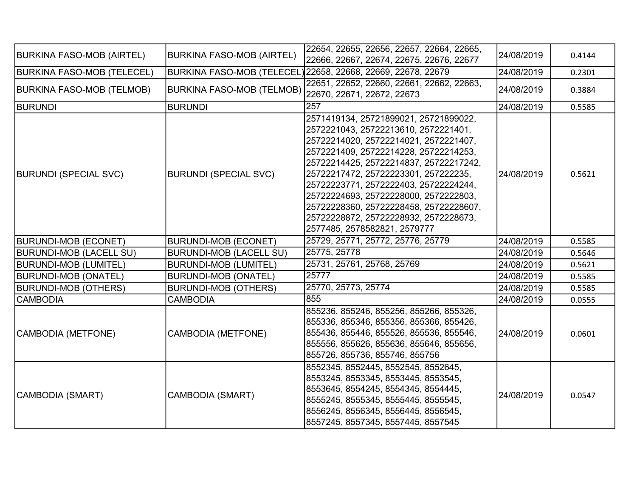| <b>BURKINA FASO-MOB (AIRTEL)</b> | <b>BURKINA FASO-MOB (AIRTEL)</b>                     | 22654, 22655, 22656, 22657, 22664, 22665,<br>22666, 22667, 22674, 22675, 22676, 22677                                                                                                                                                                                                                                                                                                                                                                  | 24/08/2019 | 0.4144 |
|----------------------------------|------------------------------------------------------|--------------------------------------------------------------------------------------------------------------------------------------------------------------------------------------------------------------------------------------------------------------------------------------------------------------------------------------------------------------------------------------------------------------------------------------------------------|------------|--------|
| BURKINA FASO-MOB (TELECEL)       |                                                      | BURKINA FASO-MOB (TELECEL) 22658, 22668, 22669, 22678, 22679                                                                                                                                                                                                                                                                                                                                                                                           | 24/08/2019 | 0.2301 |
| <b>BURKINA FASO-MOB (TELMOB)</b> | BURKINA FASO-MOB (TELMOB) 22670, 22671, 22672, 22673 | 22651, 22652, 22660, 22661, 22662, 22663,                                                                                                                                                                                                                                                                                                                                                                                                              | 24/08/2019 | 0.3884 |
| <b>BURUNDI</b>                   | <b>BURUNDI</b>                                       | 257                                                                                                                                                                                                                                                                                                                                                                                                                                                    | 24/08/2019 | 0.5585 |
| <b>BURUNDI (SPECIAL SVC)</b>     | <b>BURUNDI (SPECIAL SVC)</b>                         | 2571419134, 25721899021, 25721899022,<br>2572221043, 25722213610, 2572221401,<br>25722214020, 25722214021, 2572221407,<br>2572221409, 25722214228, 25722214253,<br>25722214425, 25722214837, 25722217242,<br>25722217472, 25722223301, 257222235,<br>25722223771, 2572222403, 25722224244,<br>25722224693, 25722228000, 2572222803,<br>25722228360, 25722228458, 25722228607,<br>25722228872, 25722228932, 2572228673,<br>2577485, 2578582821, 2579777 | 24/08/2019 | 0.5621 |
| <b>BURUNDI-MOB (ECONET)</b>      | <b>BURUNDI-MOB (ECONET)</b>                          | 25729, 25771, 25772, 25776, 25779                                                                                                                                                                                                                                                                                                                                                                                                                      | 24/08/2019 | 0.5585 |
| <b>BURUNDI-MOB (LACELL SU)</b>   | <b>BURUNDI-MOB (LACELL SU)</b>                       | 25775, 25778                                                                                                                                                                                                                                                                                                                                                                                                                                           | 24/08/2019 | 0.5646 |
| BURUNDI-MOB (LUMITEL)            | <b>BURUNDI-MOB (LUMITEL)</b>                         | 25731, 25761, 25768, 25769                                                                                                                                                                                                                                                                                                                                                                                                                             | 24/08/2019 | 0.5621 |
| <b>BURUNDI-MOB (ONATEL)</b>      | <b>BURUNDI-MOB (ONATEL)</b>                          | 25777                                                                                                                                                                                                                                                                                                                                                                                                                                                  | 24/08/2019 | 0.5585 |
| <b>BURUNDI-MOB (OTHERS)</b>      | <b>BURUNDI-MOB (OTHERS)</b>                          | 25770, 25773, 25774                                                                                                                                                                                                                                                                                                                                                                                                                                    | 24/08/2019 | 0.5585 |
| <b>CAMBODIA</b>                  | <b>CAMBODIA</b>                                      | 855                                                                                                                                                                                                                                                                                                                                                                                                                                                    | 24/08/2019 | 0.0555 |
| CAMBODIA (METFONE)               | <b>CAMBODIA (METFONE)</b>                            | 855236, 855246, 855256, 855266, 855326,<br>855336, 855346, 855356, 855366, 855426,<br>855436, 855446, 855526, 855536, 855546,<br>855556, 855626, 855636, 855646, 855656,<br>855726, 855736, 855746, 855756                                                                                                                                                                                                                                             | 24/08/2019 | 0.0601 |
| CAMBODIA (SMART)                 | <b>CAMBODIA (SMART)</b>                              | 8552345, 8552445, 8552545, 8552645,<br>8553245, 8553345, 8553445, 8553545,<br>8553645, 8554245, 8554345, 8554445,<br>8555245, 8555345, 8555445, 8555545,<br>8556245, 8556345, 8556445, 8556545,<br>8557245, 8557345, 8557445, 8557545                                                                                                                                                                                                                  | 24/08/2019 | 0.0547 |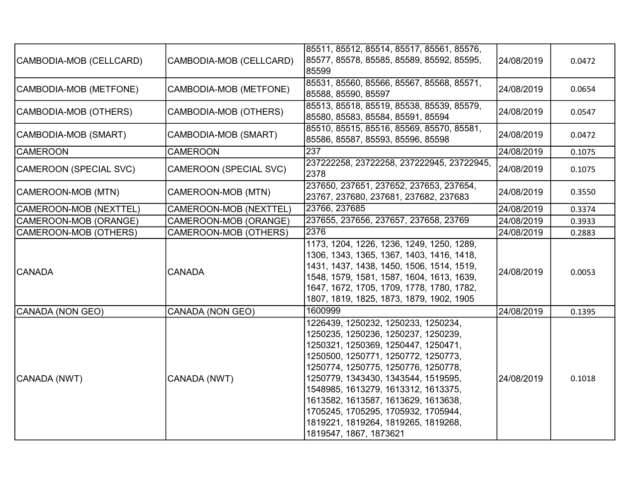|                         |                               | 85511, 85512, 85514, 85517, 85561, 85576,                                        |            |        |
|-------------------------|-------------------------------|----------------------------------------------------------------------------------|------------|--------|
| CAMBODIA-MOB (CELLCARD) | CAMBODIA-MOB (CELLCARD)       | 85577, 85578, 85585, 85589, 85592, 85595,                                        | 24/08/2019 | 0.0472 |
|                         |                               | 85599                                                                            |            |        |
|                         |                               | 85531, 85560, 85566, 85567, 85568, 85571,                                        |            |        |
| CAMBODIA-MOB (METFONE)  | CAMBODIA-MOB (METFONE)        | 85588, 85590, 85597                                                              | 24/08/2019 | 0.0654 |
| CAMBODIA-MOB (OTHERS)   | CAMBODIA-MOB (OTHERS)         | 85513, 85518, 85519, 85538, 85539, 85579,                                        | 24/08/2019 |        |
|                         |                               | 85580, 85583, 85584, 85591, 85594                                                |            | 0.0547 |
| CAMBODIA-MOB (SMART)    | CAMBODIA-MOB (SMART)          | 85510, 85515, 85516, 85569, 85570, 85581,                                        | 24/08/2019 | 0.0472 |
|                         |                               | 85586, 85587, 85593, 85596, 85598                                                |            |        |
| <b>CAMEROON</b>         | <b>CAMEROON</b>               | 237                                                                              | 24/08/2019 | 0.1075 |
| CAMEROON (SPECIAL SVC)  | <b>CAMEROON (SPECIAL SVC)</b> | 237222258, 23722258, 237222945, 23722945,<br>2378                                | 24/08/2019 | 0.1075 |
|                         |                               |                                                                                  |            |        |
| CAMEROON-MOB (MTN)      | CAMEROON-MOB (MTN)            | 237650, 237651, 237652, 237653, 237654,<br>23767, 237680, 237681, 237682, 237683 | 24/08/2019 | 0.3550 |
| CAMEROON-MOB (NEXTTEL)  | CAMEROON-MOB (NEXTTEL)        | 23766, 237685                                                                    | 24/08/2019 | 0.3374 |
| CAMEROON-MOB (ORANGE)   | CAMEROON-MOB (ORANGE)         | 237655, 237656, 237657, 237658, 23769                                            | 24/08/2019 | 0.3933 |
| CAMEROON-MOB (OTHERS)   | CAMEROON-MOB (OTHERS)         | 2376                                                                             | 24/08/2019 | 0.2883 |
|                         |                               | 1173, 1204, 1226, 1236, 1249, 1250, 1289,                                        |            |        |
|                         |                               | 1306, 1343, 1365, 1367, 1403, 1416, 1418,                                        |            |        |
|                         |                               | 1431, 1437, 1438, 1450, 1506, 1514, 1519,                                        |            |        |
| <b>CANADA</b>           | <b>CANADA</b>                 | 1548, 1579, 1581, 1587, 1604, 1613, 1639,                                        | 24/08/2019 | 0.0053 |
|                         |                               | 1647, 1672, 1705, 1709, 1778, 1780, 1782,                                        |            |        |
|                         |                               | 1807, 1819, 1825, 1873, 1879, 1902, 1905                                         |            |        |
| CANADA (NON GEO)        | CANADA (NON GEO)              | 1600999                                                                          | 24/08/2019 | 0.1395 |
|                         |                               | 1226439, 1250232, 1250233, 1250234,                                              |            |        |
|                         |                               | 1250235, 1250236, 1250237, 1250239,                                              |            |        |
|                         |                               | 1250321, 1250369, 1250447, 1250471,                                              |            |        |
|                         |                               | 1250500, 1250771, 1250772, 1250773,                                              |            |        |
|                         |                               | 1250774, 1250775, 1250776, 1250778,                                              |            |        |
| CANADA (NWT)            | CANADA (NWT)                  | 1250779, 1343430, 1343544, 1519595,                                              | 24/08/2019 | 0.1018 |
|                         |                               | 1548985, 1613279, 1613312, 1613375,                                              |            |        |
|                         |                               | 1613582, 1613587, 1613629, 1613638,                                              |            |        |
|                         |                               | 1705245, 1705295, 1705932, 1705944,                                              |            |        |
|                         |                               | 1819221, 1819264, 1819265, 1819268,                                              |            |        |
|                         |                               | 1819547, 1867, 1873621                                                           |            |        |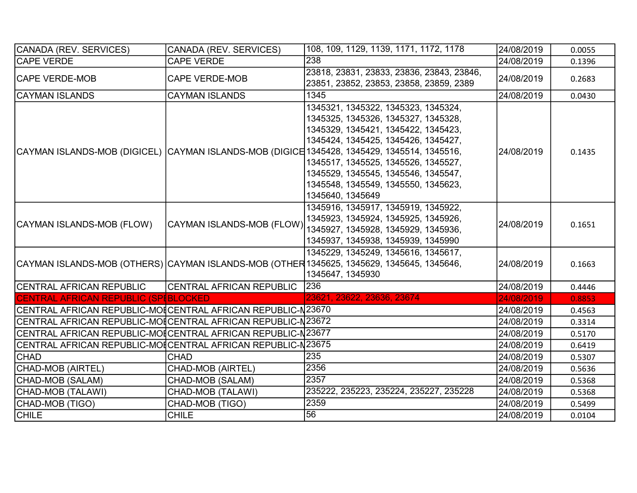| CANADA (REV. SERVICES)                                       | CANADA (REV. SERVICES)          | 108, 109, 1129, 1139, 1171, 1172, 1178                                                                                                                                                                                                                                                                                                                                                           | 24/08/2019 | 0.0055 |
|--------------------------------------------------------------|---------------------------------|--------------------------------------------------------------------------------------------------------------------------------------------------------------------------------------------------------------------------------------------------------------------------------------------------------------------------------------------------------------------------------------------------|------------|--------|
| <b>CAPE VERDE</b>                                            | <b>CAPE VERDE</b>               | 238                                                                                                                                                                                                                                                                                                                                                                                              | 24/08/2019 | 0.1396 |
| <b>CAPE VERDE-MOB</b>                                        | <b>CAPE VERDE-MOB</b>           | 23818, 23831, 23833, 23836, 23843, 23846,                                                                                                                                                                                                                                                                                                                                                        | 24/08/2019 | 0.2683 |
|                                                              |                                 | 23851, 23852, 23853, 23858, 23859, 2389                                                                                                                                                                                                                                                                                                                                                          |            |        |
| CAYMAN ISLANDS                                               | <b>CAYMAN ISLANDS</b>           | 1345                                                                                                                                                                                                                                                                                                                                                                                             | 24/08/2019 | 0.0430 |
|                                                              |                                 | 1345321, 1345322, 1345323, 1345324,<br>1345325, 1345326, 1345327, 1345328,<br>1345329, 1345421, 1345422, 1345423,<br>1345424, 1345425, 1345426, 1345427,<br>CAYMAN ISLANDS-MOB (DIGICEL) CAYMAN ISLANDS-MOB (DIGICE 1345428, 1345429, 1345514, 1345516,<br>1345517, 1345525, 1345526, 1345527,<br>1345529, 1345545, 1345546, 1345547,<br>1345548, 1345549, 1345550, 1345623,<br>1345640, 1345649 | 24/08/2019 | 0.1435 |
| CAYMAN ISLANDS-MOB (FLOW)                                    | CAYMAN ISLANDS-MOB (FLOW)       | 1345916, 1345917, 1345919, 1345922,<br>1345923, 1345924, 1345925, 1345926,<br>1345927, 1345928, 1345929, 1345936,<br>1345937, 1345938, 1345939, 1345990                                                                                                                                                                                                                                          | 24/08/2019 | 0.1651 |
|                                                              |                                 | 1345229, 1345249, 1345616, 1345617,<br>CAYMAN ISLANDS-MOB (OTHERS) CAYMAN ISLANDS-MOB (OTHER 1345625, 1345629, 1345645, 1345646,<br>1345647, 1345930                                                                                                                                                                                                                                             | 24/08/2019 | 0.1663 |
| CENTRAL AFRICAN REPUBLIC                                     | <b>CENTRAL AFRICAN REPUBLIC</b> | 236                                                                                                                                                                                                                                                                                                                                                                                              | 24/08/2019 | 0.4446 |
| CENTRAL AFRICAN REPUBLIC (SPIBLOCKED                         |                                 | 23621, 23622, 23636, 23674                                                                                                                                                                                                                                                                                                                                                                       | 24/08/2019 | 0.8853 |
| CENTRAL AFRICAN REPUBLIC-MO[CENTRAL AFRICAN REPUBLIC-N23670  |                                 |                                                                                                                                                                                                                                                                                                                                                                                                  | 24/08/2019 | 0.4563 |
| CENTRAL AFRICAN REPUBLIC-MO[ICENTRAL AFRICAN REPUBLIC-N23672 |                                 |                                                                                                                                                                                                                                                                                                                                                                                                  | 24/08/2019 | 0.3314 |
| CENTRAL AFRICAN REPUBLIC-MO[ICENTRAL AFRICAN REPUBLIC-N23677 |                                 |                                                                                                                                                                                                                                                                                                                                                                                                  | 24/08/2019 | 0.5170 |
| CENTRAL AFRICAN REPUBLIC-MO[ICENTRAL AFRICAN REPUBLIC-N23675 |                                 |                                                                                                                                                                                                                                                                                                                                                                                                  | 24/08/2019 | 0.6419 |
| <b>CHAD</b>                                                  | <b>CHAD</b>                     | 235                                                                                                                                                                                                                                                                                                                                                                                              | 24/08/2019 | 0.5307 |
| CHAD-MOB (AIRTEL)                                            | <b>CHAD-MOB (AIRTEL)</b>        | 2356                                                                                                                                                                                                                                                                                                                                                                                             | 24/08/2019 | 0.5636 |
| CHAD-MOB (SALAM)                                             | CHAD-MOB (SALAM)                | 2357                                                                                                                                                                                                                                                                                                                                                                                             | 24/08/2019 | 0.5368 |
| CHAD-MOB (TALAWI)                                            | CHAD-MOB (TALAWI)               | 235222, 235223, 235224, 235227, 235228                                                                                                                                                                                                                                                                                                                                                           | 24/08/2019 | 0.5368 |
| CHAD-MOB (TIGO)                                              | CHAD-MOB (TIGO)                 | 2359                                                                                                                                                                                                                                                                                                                                                                                             | 24/08/2019 | 0.5499 |
| <b>CHILE</b>                                                 | <b>CHILE</b>                    | 56                                                                                                                                                                                                                                                                                                                                                                                               | 24/08/2019 | 0.0104 |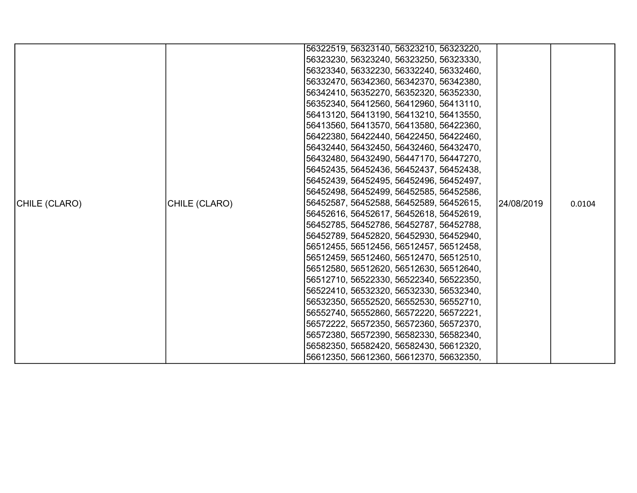|               |               | 56322519, 56323140, 56323210, 56323220, |            |        |
|---------------|---------------|-----------------------------------------|------------|--------|
|               |               | 56323230, 56323240, 56323250, 56323330, |            |        |
|               |               | 56323340, 56332230, 56332240, 56332460, |            |        |
|               |               | 56332470, 56342360, 56342370, 56342380, |            |        |
|               |               | 56342410, 56352270, 56352320, 56352330, |            |        |
|               |               | 56352340, 56412560, 56412960, 56413110, |            |        |
|               |               | 56413120, 56413190, 56413210, 56413550, |            |        |
|               |               | 56413560, 56413570, 56413580, 56422360, |            |        |
|               |               | 56422380, 56422440, 56422450, 56422460, |            |        |
|               |               | 56432440, 56432450, 56432460, 56432470, |            |        |
|               |               | 56432480, 56432490, 56447170, 56447270, |            |        |
|               |               | 56452435, 56452436, 56452437, 56452438, |            |        |
|               |               | 56452439, 56452495, 56452496, 56452497, |            |        |
|               |               | 56452498, 56452499, 56452585, 56452586, |            |        |
| CHILE (CLARO) | CHILE (CLARO) | 56452587, 56452588, 56452589, 56452615, | 24/08/2019 | 0.0104 |
|               |               | 56452616, 56452617, 56452618, 56452619, |            |        |
|               |               | 56452785, 56452786, 56452787, 56452788, |            |        |
|               |               | 56452789, 56452820, 56452930, 56452940, |            |        |
|               |               | 56512455, 56512456, 56512457, 56512458, |            |        |
|               |               | 56512459, 56512460, 56512470, 56512510, |            |        |
|               |               | 56512580, 56512620, 56512630, 56512640, |            |        |
|               |               | 56512710, 56522330, 56522340, 56522350, |            |        |
|               |               | 56522410, 56532320, 56532330, 56532340, |            |        |
|               |               | 56532350, 56552520, 56552530, 56552710, |            |        |
|               |               | 56552740, 56552860, 56572220, 56572221, |            |        |
|               |               | 56572222, 56572350, 56572360, 56572370, |            |        |
|               |               | 56572380, 56572390, 56582330, 56582340, |            |        |
|               |               | 56582350, 56582420, 56582430, 56612320, |            |        |
|               |               | 56612350, 56612360, 56612370, 56632350, |            |        |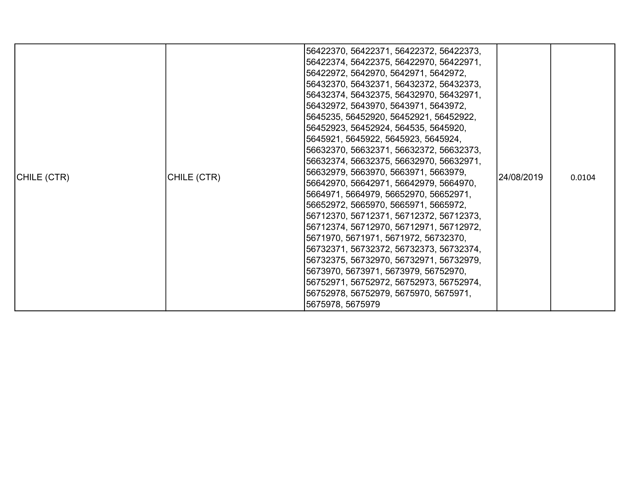|             |             | 56422370, 56422371, 56422372, 56422373, |             |        |
|-------------|-------------|-----------------------------------------|-------------|--------|
|             |             | 56422374, 56422375, 56422970, 56422971, |             |        |
|             | CHILE (CTR) | 56422972, 5642970, 5642971, 5642972,    |             |        |
|             |             | 56432370, 56432371, 56432372, 56432373, |             |        |
|             |             | 56432374, 56432375, 56432970, 56432971, |             |        |
|             |             | 56432972, 5643970, 5643971, 5643972,    |             |        |
|             |             | 5645235, 56452920, 56452921, 56452922,  |             |        |
|             |             | 56452923, 56452924, 564535, 5645920,    |             |        |
|             |             | 5645921, 5645922, 5645923, 5645924,     |             |        |
|             |             | 56632370, 56632371, 56632372, 56632373, |             | 0.0104 |
|             |             | 56632374, 56632375, 56632970, 56632971, | l24/08/2019 |        |
| CHILE (CTR) |             | 56632979, 5663970, 5663971, 5663979,    |             |        |
|             |             | 56642970, 56642971, 56642979, 5664970,  |             |        |
|             |             | 5664971, 5664979, 56652970, 56652971,   |             |        |
|             |             | 56652972, 5665970, 5665971, 5665972,    |             |        |
|             |             | 56712370, 56712371, 56712372, 56712373, |             |        |
|             |             | 56712374, 56712970, 56712971, 56712972, |             |        |
|             |             | 5671970, 5671971, 5671972, 56732370,    |             |        |
|             |             | 56732371, 56732372, 56732373, 56732374, |             |        |
|             |             | 56732375, 56732970, 56732971, 56732979, |             |        |
|             |             | 5673970, 5673971, 5673979, 56752970,    |             |        |
|             |             | 56752971, 56752972, 56752973, 56752974, |             |        |
|             |             | 56752978, 56752979, 5675970, 5675971,   |             |        |
|             |             | 5675978, 5675979                        |             |        |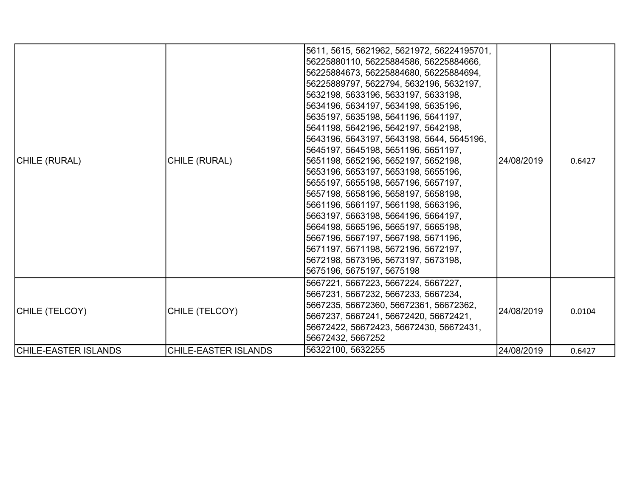| CHILE (RURAL)               | CHILE (RURAL)               | 5611, 5615, 5621962, 5621972, 56224195701,<br>56225880110, 56225884586, 56225884666,<br>56225884673, 56225884680, 56225884694,<br>56225889797, 5622794, 5632196, 5632197,<br>5632198, 5633196, 5633197, 5633198,<br>5634196, 5634197, 5634198, 5635196,<br> 5635197, 5635198, 5641196, 5641197,<br> 5641198, 5642196, 5642197, 5642198,<br>5643196, 5643197, 5643198, 5644, 5645196,<br> 5645197, 5645198, 5651196, 5651197,<br>5651198, 5652196, 5652197, 5652198,<br>5653196, 5653197, 5653198, 5655196,<br>5655197, 5655198, 5657196, 5657197,<br> 5657198, 5658196, 5658197, 5658198,<br>5661196, 5661197, 5661198, 5663196,<br>5663197, 5663198, 5664196, 5664197,<br>5664198, 5665196, 5665197, 5665198,<br> 5667196, 5667197, 5667198, 5671196,<br> 5671197, 5671198, 5672196, 5672197,<br>5672198, 5673196, 5673197, 5673198,<br> 5675196, 5675197, 5675198 | 24/08/2019 | 0.6427 |
|-----------------------------|-----------------------------|---------------------------------------------------------------------------------------------------------------------------------------------------------------------------------------------------------------------------------------------------------------------------------------------------------------------------------------------------------------------------------------------------------------------------------------------------------------------------------------------------------------------------------------------------------------------------------------------------------------------------------------------------------------------------------------------------------------------------------------------------------------------------------------------------------------------------------------------------------------------|------------|--------|
| CHILE (TELCOY)              | CHILE (TELCOY)              | 5667221, 5667223, 5667224, 5667227,<br>5667231, 5667232, 5667233, 5667234,<br>5667235, 56672360, 56672361, 56672362,<br>5667237, 5667241, 56672420, 56672421,<br>56672422, 56672423, 56672430, 56672431,<br>56672432, 5667252                                                                                                                                                                                                                                                                                                                                                                                                                                                                                                                                                                                                                                       | 24/08/2019 | 0.0104 |
| <b>CHILE-EASTER ISLANDS</b> | <b>CHILE-EASTER ISLANDS</b> | 56322100, 5632255                                                                                                                                                                                                                                                                                                                                                                                                                                                                                                                                                                                                                                                                                                                                                                                                                                                   | 24/08/2019 | 0.6427 |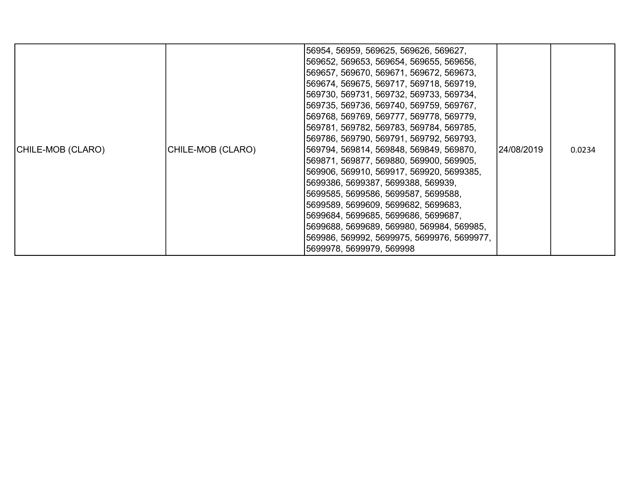| CHILE-MOB (CLARO) | CHILE-MOB (CLARO) | 56954, 56959, 569625, 569626, 569627,<br>569652, 569653, 569654, 569655, 569656,<br>569657, 569670, 569671, 569672, 569673,<br>569674, 569675, 569717, 569718, 569719,<br>569730, 569731, 569732, 569733, 569734,<br>569735, 569736, 569740, 569759, 569767,<br>569768, 569769, 569777, 569778, 569779,<br>569781, 569782, 569783, 569784, 569785,<br>569786, 569790, 569791, 569792, 569793,<br>569794, 569814, 569848, 569849, 569870,<br>569871, 569877, 569880, 569900, 569905,<br>569906, 569910, 569917, 569920, 5699385,<br>5699386, 5699387, 5699388, 569939,<br>5699585, 5699586, 5699587, 5699588,<br>5699589, 5699609, 5699682, 5699683,<br>5699684, 5699685, 5699686, 5699687,<br>5699688, 5699689, 569980, 569984, 569985,<br>569986, 569992, 5699975, 5699976, 5699977,<br>5699978, 5699979, 569998 | 24/08/2019 | 0.0234 |
|-------------------|-------------------|-------------------------------------------------------------------------------------------------------------------------------------------------------------------------------------------------------------------------------------------------------------------------------------------------------------------------------------------------------------------------------------------------------------------------------------------------------------------------------------------------------------------------------------------------------------------------------------------------------------------------------------------------------------------------------------------------------------------------------------------------------------------------------------------------------------------|------------|--------|
|-------------------|-------------------|-------------------------------------------------------------------------------------------------------------------------------------------------------------------------------------------------------------------------------------------------------------------------------------------------------------------------------------------------------------------------------------------------------------------------------------------------------------------------------------------------------------------------------------------------------------------------------------------------------------------------------------------------------------------------------------------------------------------------------------------------------------------------------------------------------------------|------------|--------|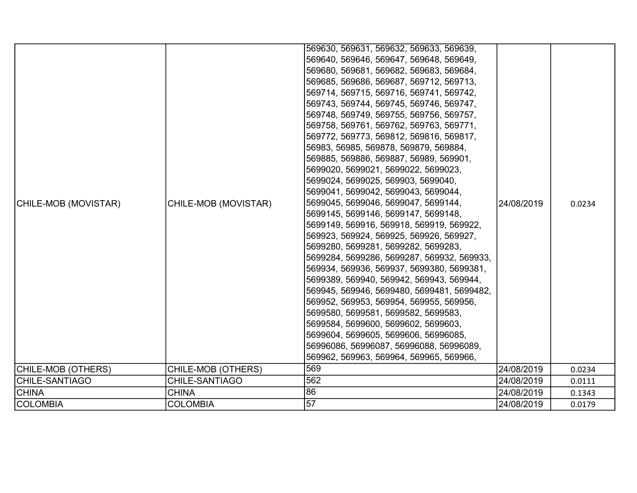| CHILE-MOB (MOVISTAR) | CHILE-MOB (MOVISTAR) | 569630, 569631, 569632, 569633, 569639,<br>569640, 569646, 569647, 569648, 569649,<br>569680, 569681, 569682, 569683, 569684,<br>569685, 569686, 569687, 569712, 569713,<br>569714, 569715, 569716, 569741, 569742,<br>569743, 569744, 569745, 569746, 569747,<br>569748, 569749, 569755, 569756, 569757,<br>569758, 569761, 569762, 569763, 569771,<br>569772, 569773, 569812, 569816, 569817,<br>56983, 56985, 569878, 569879, 569884,<br>569885, 569886, 569887, 56989, 569901,<br>5699020, 5699021, 5699022, 5699023,<br>5699024, 5699025, 569903, 5699040,<br>5699041, 5699042, 5699043, 5699044,<br>5699045, 5699046, 5699047, 5699144,<br>5699145, 5699146, 5699147, 5699148,<br>5699149, 569916, 569918, 569919, 569922,<br>569923, 569924, 569925, 569926, 569927,<br>5699280, 5699281, 5699282, 5699283,<br>5699284, 5699286, 5699287, 569932, 569933,<br>569934, 569936, 569937, 5699380, 5699381,<br>5699389, 569940, 569942, 569943, 569944,<br>569945, 569946, 5699480, 5699481, 5699482,<br>569952, 569953, 569954, 569955, 569956,<br>5699580, 5699581, 5699582, 5699583,<br>5699584, 5699600, 5699602, 5699603,<br>5699604, 5699605, 5699606, 56996085,<br>56996086, 56996087, 56996088, 56996089,<br>569962, 569963, 569964, 569965, 569966, | 24/08/2019 | 0.0234 |
|----------------------|----------------------|----------------------------------------------------------------------------------------------------------------------------------------------------------------------------------------------------------------------------------------------------------------------------------------------------------------------------------------------------------------------------------------------------------------------------------------------------------------------------------------------------------------------------------------------------------------------------------------------------------------------------------------------------------------------------------------------------------------------------------------------------------------------------------------------------------------------------------------------------------------------------------------------------------------------------------------------------------------------------------------------------------------------------------------------------------------------------------------------------------------------------------------------------------------------------------------------------------------------------------------------------------------|------------|--------|
| CHILE-MOB (OTHERS)   | CHILE-MOB (OTHERS)   | 569                                                                                                                                                                                                                                                                                                                                                                                                                                                                                                                                                                                                                                                                                                                                                                                                                                                                                                                                                                                                                                                                                                                                                                                                                                                            | 24/08/2019 | 0.0234 |
| CHILE-SANTIAGO       | CHILE-SANTIAGO       | 562                                                                                                                                                                                                                                                                                                                                                                                                                                                                                                                                                                                                                                                                                                                                                                                                                                                                                                                                                                                                                                                                                                                                                                                                                                                            | 24/08/2019 | 0.0111 |
| <b>CHINA</b>         | <b>CHINA</b>         | 86                                                                                                                                                                                                                                                                                                                                                                                                                                                                                                                                                                                                                                                                                                                                                                                                                                                                                                                                                                                                                                                                                                                                                                                                                                                             | 24/08/2019 | 0.1343 |
| COLOMBIA             | <b>COLOMBIA</b>      | $\overline{57}$                                                                                                                                                                                                                                                                                                                                                                                                                                                                                                                                                                                                                                                                                                                                                                                                                                                                                                                                                                                                                                                                                                                                                                                                                                                | 24/08/2019 | 0.0179 |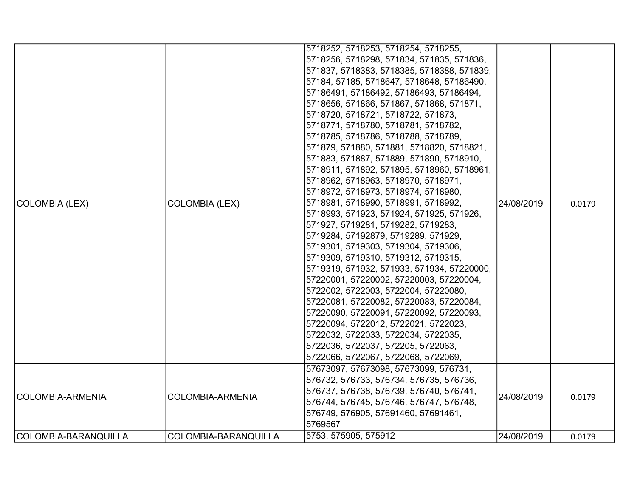| COLOMBIA (LEX)       | <b>COLOMBIA (LEX)</b>   | 5718252, 5718253, 5718254, 5718255,<br>5718256, 5718298, 571834, 571835, 571836,<br>571837, 5718383, 5718385, 5718388, 571839,<br>57184, 57185, 5718647, 5718648, 57186490,<br>57186491, 57186492, 57186493, 57186494,<br>5718656, 571866, 571867, 571868, 571871,<br>5718720, 5718721, 5718722, 571873,<br>5718771, 5718780, 5718781, 5718782,<br>5718785, 5718786, 5718788, 5718789,<br>571879, 571880, 571881, 5718820, 5718821,<br>571883, 571887, 571889, 571890, 5718910,<br>5718911, 571892, 571895, 5718960, 5718961,<br>5718962, 5718963, 5718970, 5718971,<br>5718972, 5718973, 5718974, 5718980,<br>5718981, 5718990, 5718991, 5718992,<br>5718993, 571923, 571924, 571925, 571926,<br>571927, 5719281, 5719282, 5719283,<br>5719284, 57192879, 5719289, 571929,<br>5719301, 5719303, 5719304, 5719306,<br>5719309, 5719310, 5719312, 5719315,<br>5719319, 571932, 571933, 571934, 57220000,<br>57220001, 57220002, 57220003, 57220004,<br>5722002, 5722003, 5722004, 57220080,<br>57220081, 57220082, 57220083, 57220084,<br>57220090, 57220091, 57220092, 57220093,<br>57220094, 5722012, 5722021, 5722023,<br>5722032, 5722033, 5722034, 5722035,<br>5722036, 5722037, 572205, 5722063,<br>5722066, 5722067, 5722068, 5722069, | 24/08/2019 | 0.0179 |
|----------------------|-------------------------|----------------------------------------------------------------------------------------------------------------------------------------------------------------------------------------------------------------------------------------------------------------------------------------------------------------------------------------------------------------------------------------------------------------------------------------------------------------------------------------------------------------------------------------------------------------------------------------------------------------------------------------------------------------------------------------------------------------------------------------------------------------------------------------------------------------------------------------------------------------------------------------------------------------------------------------------------------------------------------------------------------------------------------------------------------------------------------------------------------------------------------------------------------------------------------------------------------------------------------------------|------------|--------|
| COLOMBIA-ARMENIA     | <b>COLOMBIA-ARMENIA</b> | 57673097, 57673098, 57673099, 576731,<br>576732, 576733, 576734, 576735, 576736,<br>576737, 576738, 576739, 576740, 576741,<br>576744, 576745, 576746, 576747, 576748,<br>576749, 576905, 57691460, 57691461,<br>5769567                                                                                                                                                                                                                                                                                                                                                                                                                                                                                                                                                                                                                                                                                                                                                                                                                                                                                                                                                                                                                     | 24/08/2019 | 0.0179 |
| COLOMBIA-BARANQUILLA | COLOMBIA-BARANQUILLA    | 5753, 575905, 575912                                                                                                                                                                                                                                                                                                                                                                                                                                                                                                                                                                                                                                                                                                                                                                                                                                                                                                                                                                                                                                                                                                                                                                                                                         | 24/08/2019 | 0.0179 |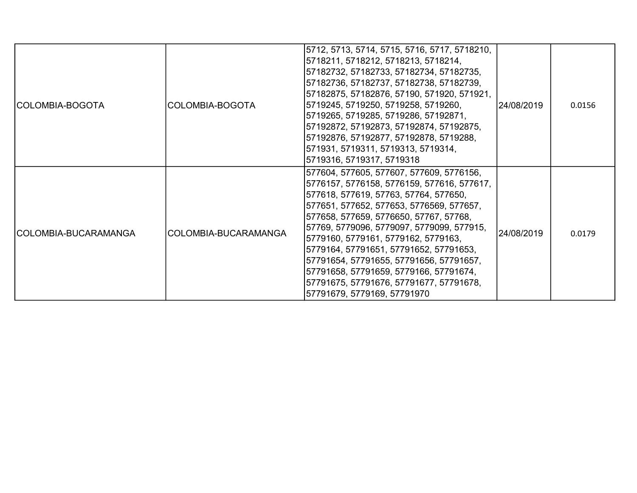| COLOMBIA-BOGOTA      | COLOMBIA-BOGOTA      | 5712, 5713, 5714, 5715, 5716, 5717, 5718210,<br> 5718211, 5718212, 5718213, 5718214,<br>57182732, 57182733, 57182734, 57182735,<br>57182736, 57182737, 57182738, 57182739,<br>57182875, 57182876, 57190, 571920, 571921,<br>5719245, 5719250, 5719258, 5719260,<br>5719265, 5719285, 5719286, 57192871,<br>57192872, 57192873, 57192874, 57192875,<br> 57192876, 57192877, 57192878, 5719288,<br>571931, 5719311, 5719313, 5719314,<br>5719316, 5719317, 5719318                                                       | 24/08/2019 | 0.0156 |
|----------------------|----------------------|------------------------------------------------------------------------------------------------------------------------------------------------------------------------------------------------------------------------------------------------------------------------------------------------------------------------------------------------------------------------------------------------------------------------------------------------------------------------------------------------------------------------|------------|--------|
| COLOMBIA-BUCARAMANGA | COLOMBIA-BUCARAMANGA | 577604, 577605, 577607, 577609, 5776156,<br>5776157, 5776158, 5776159, 577616, 577617,<br> 577618, 577619, 57763, 57764, 577650,<br>577651, 577652, 577653, 5776569, 577657,<br>577658, 577659, 5776650, 57767, 57768,<br> 57769, 5779096, 5779097, 5779099, 577915,<br>5779160, 5779161, 5779162, 5779163,<br>5779164, 57791651, 57791652, 57791653,<br>57791654, 57791655, 57791656, 57791657,<br> 57791658, 57791659, 5779166, 57791674,<br>57791675, 57791676, 57791677, 57791678,<br> 57791679, 5779169, 57791970 | 24/08/2019 | 0.0179 |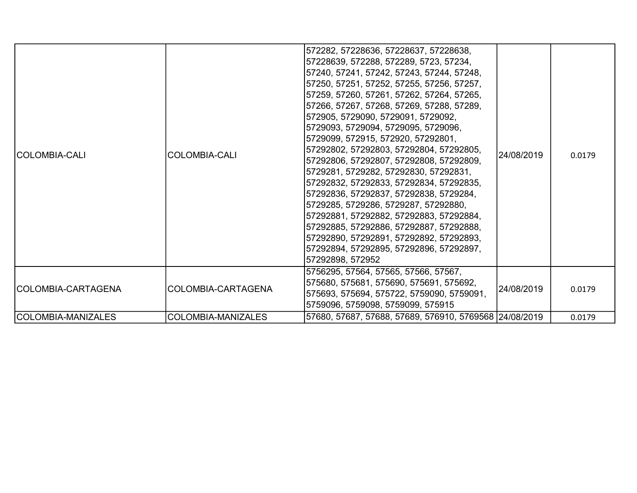| ICOLOMBIA-CALI     | <b>COLOMBIA-CALI</b> | 572282, 57228636, 57228637, 57228638,<br>57228639, 572288, 572289, 5723, 57234,<br>57240, 57241, 57242, 57243, 57244, 57248,<br>57250, 57251, 57252, 57255, 57256, 57257,<br>57259, 57260, 57261, 57262, 57264, 57265,<br>57266, 57267, 57268, 57269, 57288, 57289,<br> 572905, 5729090, 5729091, 5729092,<br>5729093, 5729094, 5729095, 5729096,<br>5729099, 572915, 572920, 57292801,<br>57292802, 57292803, 57292804, 57292805,<br>57292806, 57292807, 57292808, 57292809,<br>5729281, 5729282, 57292830, 57292831,<br> 57292832, 57292833, 57292834, 57292835,<br> 57292836, 57292837, 57292838, 5729284,<br>5729285, 5729286, 5729287, 57292880,<br>57292881, 57292882, 57292883, 57292884,<br>57292885, 57292886, 57292887, 57292888,<br> 57292890, 57292891, 57292892, 57292893,<br> 57292894, 57292895, 57292896, 57292897,<br>57292898, 572952 | 24/08/2019 | 0.0179 |
|--------------------|----------------------|---------------------------------------------------------------------------------------------------------------------------------------------------------------------------------------------------------------------------------------------------------------------------------------------------------------------------------------------------------------------------------------------------------------------------------------------------------------------------------------------------------------------------------------------------------------------------------------------------------------------------------------------------------------------------------------------------------------------------------------------------------------------------------------------------------------------------------------------------------|------------|--------|
| COLOMBIA-CARTAGENA | COLOMBIA-CARTAGENA   | 5756295, 57564, 57565, 57566, 57567,<br>575680, 575681, 575690, 575691, 575692,<br>575693, 575694, 575722, 5759090, 5759091,<br>5759096, 5759098, 5759099, 575915                                                                                                                                                                                                                                                                                                                                                                                                                                                                                                                                                                                                                                                                                       | 24/08/2019 | 0.0179 |
| COLOMBIA-MANIZALES | COLOMBIA-MANIZALES   | 57680, 57687, 57688, 57689, 576910, 5769568 24/08/2019                                                                                                                                                                                                                                                                                                                                                                                                                                                                                                                                                                                                                                                                                                                                                                                                  |            | 0.0179 |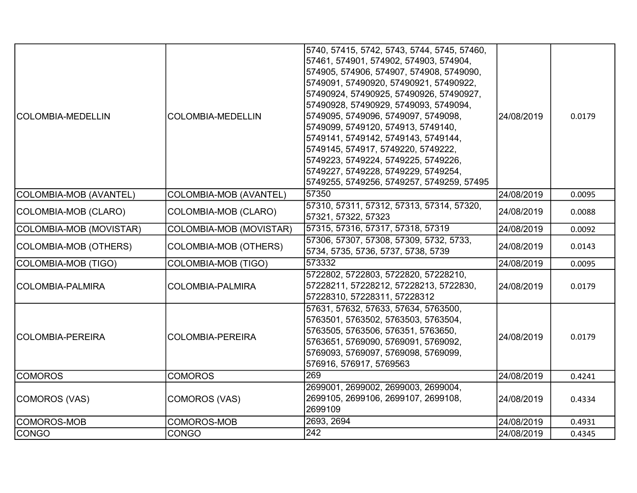| <b>COLOMBIA-MEDELLIN</b> | <b>COLOMBIA-MEDELLIN</b>      | 5740, 57415, 5742, 5743, 5744, 5745, 57460,<br>57461, 574901, 574902, 574903, 574904,<br>574905, 574906, 574907, 574908, 5749090,<br>5749091, 57490920, 57490921, 57490922,<br>57490924, 57490925, 57490926, 57490927,<br>57490928, 57490929, 5749093, 5749094,<br>5749095, 5749096, 5749097, 5749098,<br>5749099, 5749120, 574913, 5749140,<br>5749141, 5749142, 5749143, 5749144,<br>5749145, 574917, 5749220, 5749222,<br>5749223, 5749224, 5749225, 5749226,<br>5749227, 5749228, 5749229, 5749254,<br>5749255, 5749256, 5749257, 5749259, 57495 | 24/08/2019 | 0.0179 |
|--------------------------|-------------------------------|------------------------------------------------------------------------------------------------------------------------------------------------------------------------------------------------------------------------------------------------------------------------------------------------------------------------------------------------------------------------------------------------------------------------------------------------------------------------------------------------------------------------------------------------------|------------|--------|
| COLOMBIA-MOB (AVANTEL)   | <b>COLOMBIA-MOB (AVANTEL)</b> | 57350                                                                                                                                                                                                                                                                                                                                                                                                                                                                                                                                                | 24/08/2019 | 0.0095 |
| COLOMBIA-MOB (CLARO)     | COLOMBIA-MOB (CLARO)          | 57310, 57311, 57312, 57313, 57314, 57320,<br>57321, 57322, 57323                                                                                                                                                                                                                                                                                                                                                                                                                                                                                     | 24/08/2019 | 0.0088 |
| COLOMBIA-MOB (MOVISTAR)  | COLOMBIA-MOB (MOVISTAR)       | 57315, 57316, 57317, 57318, 57319                                                                                                                                                                                                                                                                                                                                                                                                                                                                                                                    | 24/08/2019 | 0.0092 |
| COLOMBIA-MOB (OTHERS)    | <b>COLOMBIA-MOB (OTHERS)</b>  | 57306, 57307, 57308, 57309, 5732, 5733,<br>5734, 5735, 5736, 5737, 5738, 5739                                                                                                                                                                                                                                                                                                                                                                                                                                                                        | 24/08/2019 | 0.0143 |
| COLOMBIA-MOB (TIGO)      | <b>COLOMBIA-MOB (TIGO)</b>    | 573332                                                                                                                                                                                                                                                                                                                                                                                                                                                                                                                                               | 24/08/2019 | 0.0095 |
| ICOLOMBIA-PALMIRA        | <b>COLOMBIA-PALMIRA</b>       | 5722802, 5722803, 5722820, 57228210,<br>57228211, 57228212, 57228213, 5722830,<br>57228310, 57228311, 57228312                                                                                                                                                                                                                                                                                                                                                                                                                                       | 24/08/2019 | 0.0179 |
| COLOMBIA-PEREIRA         | <b>COLOMBIA-PEREIRA</b>       | 57631, 57632, 57633, 57634, 5763500,<br>5763501, 5763502, 5763503, 5763504,<br>5763505, 5763506, 576351, 5763650,<br>5763651, 5769090, 5769091, 5769092,<br>5769093, 5769097, 5769098, 5769099,<br>576916, 576917, 5769563                                                                                                                                                                                                                                                                                                                           | 24/08/2019 | 0.0179 |
| <b>COMOROS</b>           | <b>COMOROS</b>                | 269                                                                                                                                                                                                                                                                                                                                                                                                                                                                                                                                                  | 24/08/2019 | 0.4241 |
| COMOROS (VAS)            | COMOROS (VAS)                 | 2699001, 2699002, 2699003, 2699004,<br>2699105, 2699106, 2699107, 2699108,<br>2699109                                                                                                                                                                                                                                                                                                                                                                                                                                                                | 24/08/2019 | 0.4334 |
| COMOROS-MOB              | <b>COMOROS-MOB</b>            | 2693, 2694                                                                                                                                                                                                                                                                                                                                                                                                                                                                                                                                           | 24/08/2019 | 0.4931 |
| <b>CONGO</b>             | <b>CONGO</b>                  | $\overline{242}$                                                                                                                                                                                                                                                                                                                                                                                                                                                                                                                                     | 24/08/2019 | 0.4345 |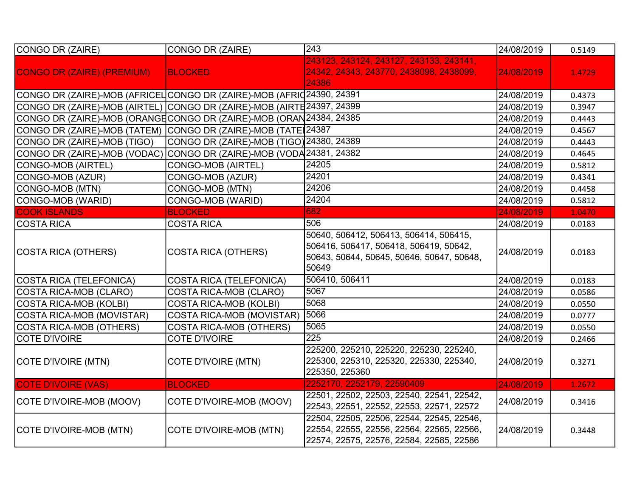| CONGO DR (ZAIRE)                                                       | CONGO DR (ZAIRE)                         | $\overline{243}$                                                                                                                       | 24/08/2019 | 0.5149 |
|------------------------------------------------------------------------|------------------------------------------|----------------------------------------------------------------------------------------------------------------------------------------|------------|--------|
| <b>CONGO DR (ZAIRE) (PREMIUM)</b>                                      | <b>BLOCKED</b>                           | 243123, 243124, 243127, 243133, 243141,<br>24342, 24343, 243770, 2438098, 2438099,<br>24386                                            | 24/08/2019 | 1.4729 |
| CONGO DR (ZAIRE)-MOB (AFRICEL CONGO DR (ZAIRE)-MOB (AFRIḍ24390, 24391  |                                          |                                                                                                                                        | 24/08/2019 | 0.4373 |
| CONGO DR (ZAIRE)-MOB (AIRTEL) CONGO DR (ZAIRE)-MOB (AIRTE 24397, 24399 |                                          |                                                                                                                                        | 24/08/2019 | 0.3947 |
| CONGO DR (ZAIRE)-MOB (ORANGE CONGO DR (ZAIRE)-MOB (ORAN 24384, 24385   |                                          |                                                                                                                                        | 24/08/2019 | 0.4443 |
| CONGO DR (ZAIRE)-MOB (TATEM)                                           | CONGO DR (ZAIRE)-MOB (TATE 24387         |                                                                                                                                        | 24/08/2019 | 0.4567 |
| CONGO DR (ZAIRE)-MOB (TIGO)                                            | CONGO DR (ZAIRE)-MOB (TIGO) 24380, 24389 |                                                                                                                                        | 24/08/2019 | 0.4443 |
| CONGO DR (ZAIRE)-MOB (VODAC) CONGO DR (ZAIRE)-MOB (VODA 24381, 24382   |                                          |                                                                                                                                        | 24/08/2019 | 0.4645 |
| CONGO-MOB (AIRTEL)                                                     | <b>CONGO-MOB (AIRTEL)</b>                | 24205                                                                                                                                  | 24/08/2019 | 0.5812 |
| CONGO-MOB (AZUR)                                                       | CONGO-MOB (AZUR)                         | 24201                                                                                                                                  | 24/08/2019 | 0.4341 |
| CONGO-MOB (MTN)                                                        | CONGO-MOB (MTN)                          | 24206                                                                                                                                  | 24/08/2019 | 0.4458 |
| CONGO-MOB (WARID)                                                      | CONGO-MOB (WARID)                        | 24204                                                                                                                                  | 24/08/2019 | 0.5812 |
| <b>COOK ISLANDS</b>                                                    | <b>BLOCKED</b>                           | 682                                                                                                                                    | 24/08/2019 | 1.0470 |
| <b>COSTA RICA</b>                                                      | <b>COSTA RICA</b>                        | 506                                                                                                                                    | 24/08/2019 | 0.0183 |
| COSTA RICA (OTHERS)                                                    | <b>COSTA RICA (OTHERS)</b>               | 50640, 506412, 506413, 506414, 506415,<br>506416, 506417, 506418, 506419, 50642,<br>50643, 50644, 50645, 50646, 50647, 50648,<br>50649 | 24/08/2019 | 0.0183 |
| COSTA RICA (TELEFONICA)                                                | <b>COSTA RICA (TELEFONICA)</b>           | 506410, 506411                                                                                                                         | 24/08/2019 | 0.0183 |
| COSTA RICA-MOB (CLARO)                                                 | <b>COSTA RICA-MOB (CLARO)</b>            | 5067                                                                                                                                   | 24/08/2019 | 0.0586 |
| <b>COSTA RICA-MOB (KOLBI)</b>                                          | <b>COSTA RICA-MOB (KOLBI)</b>            | 5068                                                                                                                                   | 24/08/2019 | 0.0550 |
| COSTA RICA-MOB (MOVISTAR)                                              | COSTA RICA-MOB (MOVISTAR)                | 5066                                                                                                                                   | 24/08/2019 | 0.0777 |
| COSTA RICA-MOB (OTHERS)                                                | <b>COSTA RICA-MOB (OTHERS)</b>           | 5065                                                                                                                                   | 24/08/2019 | 0.0550 |
| COTE D'IVOIRE                                                          | <b>COTE D'IVOIRE</b>                     | $\overline{225}$                                                                                                                       | 24/08/2019 | 0.2466 |
| COTE D'IVOIRE (MTN)                                                    | <b>COTE D'IVOIRE (MTN)</b>               | 225200, 225210, 225220, 225230, 225240,<br>225300, 225310, 225320, 225330, 225340,<br>225350, 225360                                   | 24/08/2019 | 0.3271 |
| <b>COTE D'IVOIRE (VAS)</b>                                             | <b>BLOCKED</b>                           | 2252170, 2252179, 22590409                                                                                                             | 24/08/2019 | 1.2672 |
| COTE D'IVOIRE-MOB (MOOV)                                               | COTE D'IVOIRE-MOB (MOOV)                 | 22501, 22502, 22503, 22540, 22541, 22542,<br>22543, 22551, 22552, 22553, 22571, 22572                                                  | 24/08/2019 | 0.3416 |
| COTE D'IVOIRE-MOB (MTN)                                                | COTE D'IVOIRE-MOB (MTN)                  | 22504, 22505, 22506, 22544, 22545, 22546,<br>22554, 22555, 22556, 22564, 22565, 22566,<br>22574, 22575, 22576, 22584, 22585, 22586     | 24/08/2019 | 0.3448 |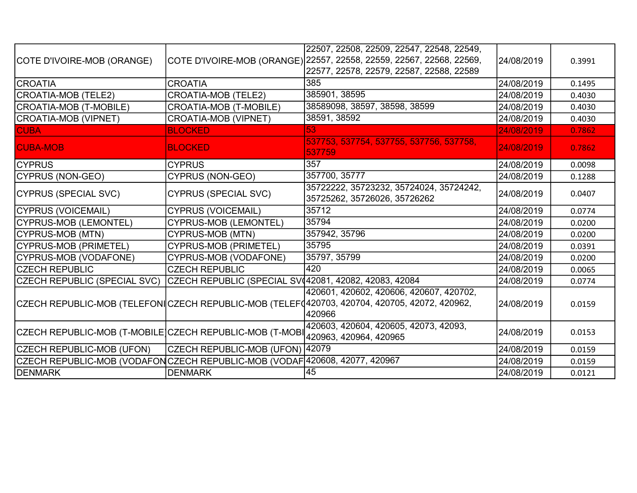| COTE D'IVOIRE-MOB (ORANGE)                                                  |                                                       | 22507, 22508, 22509, 22547, 22548, 22549,<br>COTE D'IVOIRE-MOB (ORANGE) 22557, 22558, 22559, 22567, 22568, 22569,<br>22577, 22578, 22579, 22587, 22588, 22589 | 24/08/2019 | 0.3991 |
|-----------------------------------------------------------------------------|-------------------------------------------------------|---------------------------------------------------------------------------------------------------------------------------------------------------------------|------------|--------|
| <b>CROATIA</b>                                                              | <b>CROATIA</b>                                        | 385                                                                                                                                                           | 24/08/2019 | 0.1495 |
| CROATIA-MOB (TELE2)                                                         | <b>CROATIA-MOB (TELE2)</b>                            | 385901, 38595                                                                                                                                                 | 24/08/2019 | 0.4030 |
| CROATIA-MOB (T-MOBILE)                                                      | <b>CROATIA-MOB (T-MOBILE)</b>                         | 38589098, 38597, 38598, 38599                                                                                                                                 | 24/08/2019 | 0.4030 |
| CROATIA-MOB (VIPNET)                                                        | <b>CROATIA-MOB (VIPNET)</b>                           | 38591, 38592                                                                                                                                                  | 24/08/2019 | 0.4030 |
| <b>CUBA</b>                                                                 | <b>BLOCKED</b>                                        | 53                                                                                                                                                            | 24/08/2019 | 0.7862 |
| <b>CUBA-MOB</b>                                                             | <b>BLOCKED</b>                                        | 537753, 537754, 537755, 537756, 537758,<br>537759                                                                                                             | 24/08/2019 | 0.7862 |
| <b>CYPRUS</b>                                                               | <b>CYPRUS</b>                                         | 357                                                                                                                                                           | 24/08/2019 | 0.0098 |
| CYPRUS (NON-GEO)                                                            | <b>CYPRUS (NON-GEO)</b>                               | 357700, 35777                                                                                                                                                 | 24/08/2019 | 0.1288 |
| CYPRUS (SPECIAL SVC)                                                        | <b>CYPRUS (SPECIAL SVC)</b>                           | 35722222, 35723232, 35724024, 35724242,<br>35725262, 35726026, 35726262                                                                                       | 24/08/2019 | 0.0407 |
| CYPRUS (VOICEMAIL)                                                          | <b>CYPRUS (VOICEMAIL)</b>                             | 35712                                                                                                                                                         | 24/08/2019 | 0.0774 |
| CYPRUS-MOB (LEMONTEL)                                                       | <b>CYPRUS-MOB (LEMONTEL)</b>                          | 35794                                                                                                                                                         | 24/08/2019 | 0.0200 |
| CYPRUS-MOB (MTN)                                                            | <b>CYPRUS-MOB (MTN)</b>                               | 357942, 35796                                                                                                                                                 | 24/08/2019 | 0.0200 |
| CYPRUS-MOB (PRIMETEL)                                                       | <b>CYPRUS-MOB (PRIMETEL)</b>                          | 35795                                                                                                                                                         | 24/08/2019 | 0.0391 |
| CYPRUS-MOB (VODAFONE)                                                       | <b>CYPRUS-MOB (VODAFONE)</b>                          | 35797, 35799                                                                                                                                                  | 24/08/2019 | 0.0200 |
| <b>CZECH REPUBLIC</b>                                                       | <b>CZECH REPUBLIC</b>                                 | 420                                                                                                                                                           | 24/08/2019 | 0.0065 |
| <b>CZECH REPUBLIC (SPECIAL SVC)</b>                                         | CZECH REPUBLIC (SPECIAL SV 42081, 42082, 42083, 42084 |                                                                                                                                                               | 24/08/2019 | 0.0774 |
|                                                                             |                                                       | 420601, 420602, 420606, 420607, 420702,<br>CZECH REPUBLIC-MOB (TELEFONICZECH REPUBLIC-MOB (TELEF 420703, 420704, 420705, 42072, 420962,<br>420966             | 24/08/2019 | 0.0159 |
| CZECH REPUBLIC-MOB (T-MOBILE CZECH REPUBLIC-MOB (T-MOBI                     |                                                       | 420603, 420604, 420605, 42073, 42093,<br>420963, 420964, 420965                                                                                               | 24/08/2019 | 0.0153 |
| CZECH REPUBLIC-MOB (UFON)                                                   | CZECH REPUBLIC-MOB (UFON) 42079                       |                                                                                                                                                               | 24/08/2019 | 0.0159 |
| CZECH REPUBLIC-MOB (VODAFON CZECH REPUBLIC-MOB (VODAF 420608, 42077, 420967 |                                                       |                                                                                                                                                               | 24/08/2019 | 0.0159 |
| DENMARK                                                                     | <b>DENMARK</b>                                        | 45                                                                                                                                                            | 24/08/2019 | 0.0121 |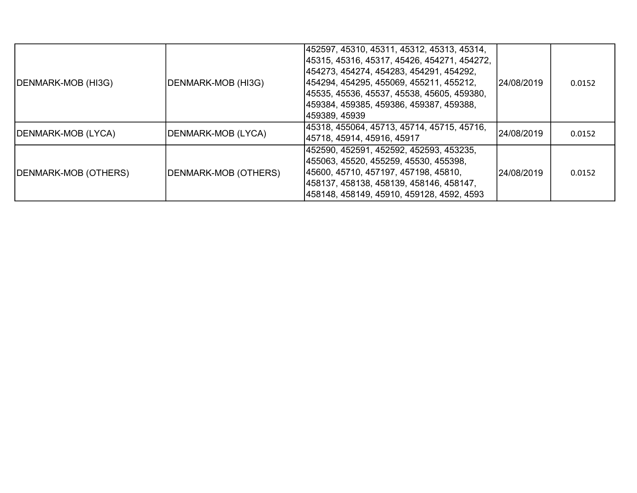| DENMARK-MOB (HI3G)   | DENMARK-MOB (HI3G)   | 452597, 45310, 45311, 45312, 45313, 45314,<br> 45315, 45316, 45317, 45426, 454271, 454272,<br> 454273, 454274, 454283, 454291, 454292,<br> 454294, 454295, 455069, 455211, 455212,<br> 45535, 45536, 45537, 45538, 45605, 459380,<br> 459384, 459385, 459386, 459387, 459388,<br> 459389, 45939 | 24/08/2019 | 0.0152 |
|----------------------|----------------------|-------------------------------------------------------------------------------------------------------------------------------------------------------------------------------------------------------------------------------------------------------------------------------------------------|------------|--------|
| DENMARK-MOB (LYCA)   | DENMARK-MOB (LYCA)   | 45318, 455064, 45713, 45714, 45715, 45716,<br> 45718, 45914, 45916, 45917                                                                                                                                                                                                                       | 24/08/2019 | 0.0152 |
| DENMARK-MOB (OTHERS) | DENMARK-MOB (OTHERS) | 452590, 452591, 452592, 452593, 453235,<br> 455063, 45520, 455259, 45530, 455398,<br> 45600, 45710, 457197, 457198, 45810,<br> 458137, 458138, 458139, 458146, 458147,<br> 458148, 458149, 45910, 459128, 4592, 4593                                                                            | 24/08/2019 | 0.0152 |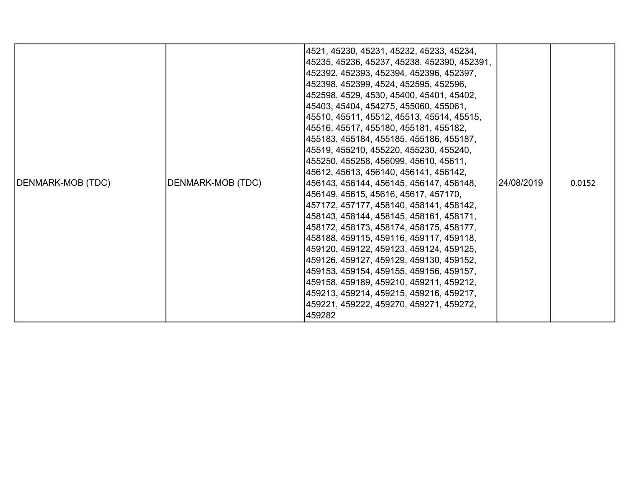|                                         | 4521, 45230, 45231, 45232, 45233, 45234,<br> 45235, 45236, 45237, 45238, 452390, 452391,<br> 452392, 452393, 452394, 452396, 452397,<br> 452398, 452399, 4524, 452595, 452596,<br> 452598, 4529, 4530, 45400, 45401, 45402,<br> 45403, 45404, 454275, 455060, 455061,<br> 45510, 45511, 45512, 45513, 45514, 45515,<br> 45516, 45517, 455180, 455181, 455182,<br> 455183, 455184, 455185, 455186, 455187,<br> 45519, 455210, 455220, 455230, 455240,<br> 455250, 455258, 456099, 45610, 45611, |  |
|-----------------------------------------|------------------------------------------------------------------------------------------------------------------------------------------------------------------------------------------------------------------------------------------------------------------------------------------------------------------------------------------------------------------------------------------------------------------------------------------------------------------------------------------------|--|
| 457172, 457177, 458140, 458141, 458142, | 458143, 458144, 458145, 458161, 458171,<br> 458172, 458173, 458174, 458175, 458177,<br> 458188, 459115, 459116, 459117, 459118,<br> 459120, 459122, 459123, 459124, 459125,<br> 459126, 459127, 459129, 459130, 459152,<br> 459153, 459154, 459155, 459156, 459157,<br> 459158, 459189, 459210, 459211, 459212,<br> 459213, 459214, 459215, 459216, 459217,<br> 459221, 459222, 459270, 459271, 459272,<br>459282                                                                              |  |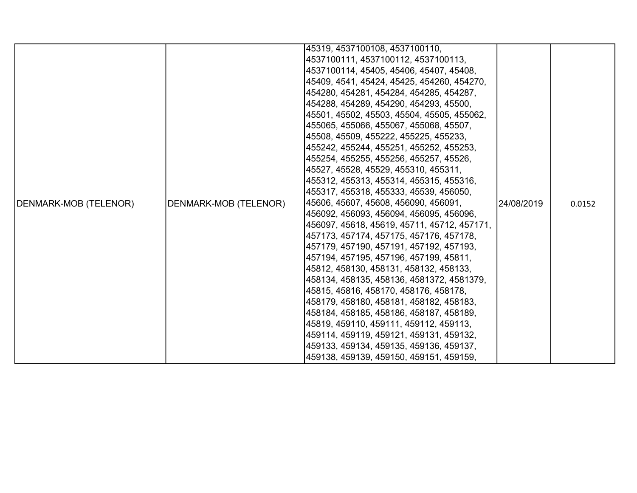|                       |                       | 45319, 4537100108, 4537100110,              |            |        |
|-----------------------|-----------------------|---------------------------------------------|------------|--------|
|                       |                       | 4537100111, 4537100112, 4537100113,         |            |        |
|                       |                       | 4537100114, 45405, 45406, 45407, 45408,     |            |        |
|                       |                       | 45409, 4541, 45424, 45425, 454260, 454270,  |            |        |
|                       |                       | 454280, 454281, 454284, 454285, 454287,     |            |        |
|                       |                       | 454288, 454289, 454290, 454293, 45500,      |            |        |
|                       |                       | 45501, 45502, 45503, 45504, 45505, 455062,  |            |        |
|                       |                       | 455065, 455066, 455067, 455068, 45507,      |            |        |
|                       |                       | 45508, 45509, 455222, 455225, 455233,       |            |        |
|                       |                       | 455242, 455244, 455251, 455252, 455253,     |            |        |
|                       |                       | 455254, 455255, 455256, 455257, 45526,      |            | 0.0152 |
|                       |                       | 45527, 45528, 45529, 455310, 455311,        |            |        |
|                       |                       | 455312, 455313, 455314, 455315, 455316,     | 24/08/2019 |        |
|                       | DENMARK-MOB (TELENOR) | 455317, 455318, 455333, 45539, 456050,      |            |        |
| DENMARK-MOB (TELENOR) |                       | 45606, 45607, 45608, 456090, 456091,        |            |        |
|                       |                       | 456092, 456093, 456094, 456095, 456096,     |            |        |
|                       |                       | 456097, 45618, 45619, 45711, 45712, 457171, |            |        |
|                       |                       | 457173, 457174, 457175, 457176, 457178,     |            |        |
|                       |                       | 457179, 457190, 457191, 457192, 457193,     |            |        |
|                       |                       | 457194, 457195, 457196, 457199, 45811,      |            |        |
|                       |                       | 45812, 458130, 458131, 458132, 458133,      |            |        |
|                       |                       | 458134, 458135, 458136, 4581372, 4581379,   |            |        |
|                       |                       | 45815, 45816, 458170, 458176, 458178,       |            |        |
|                       |                       | 458179, 458180, 458181, 458182, 458183,     |            |        |
|                       |                       | 458184, 458185, 458186, 458187, 458189,     |            |        |
|                       |                       | 45819, 459110, 459111, 459112, 459113,      |            |        |
|                       |                       | 459114, 459119, 459121, 459131, 459132,     |            |        |
|                       |                       | 459133, 459134, 459135, 459136, 459137,     |            |        |
|                       |                       | 459138, 459139, 459150, 459151, 459159,     |            |        |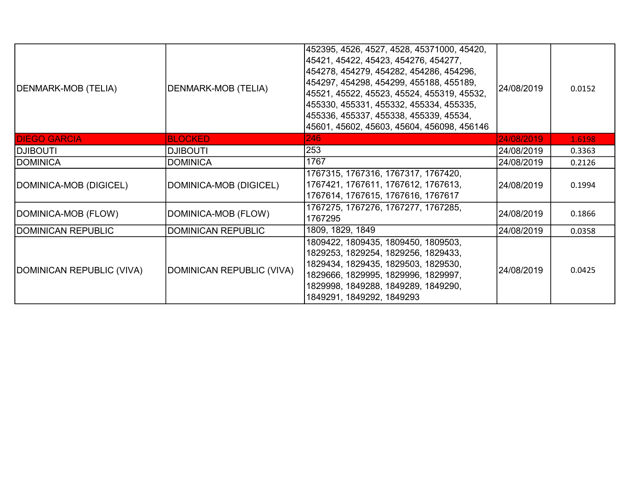| DENMARK-MOB (TELIA)       | <b>DENMARK-MOB (TELIA)</b> | 452395, 4526, 4527, 4528, 45371000, 45420,<br> 45421, 45422, 45423, 454276, 454277,<br> 454278, 454279, 454282, 454286, 454296,<br>454297, 454298, 454299, 455188, 455189,<br>45521, 45522, 45523, 45524, 455319, 45532,<br>455330, 455331, 455332, 455334, 455335,<br>455336, 455337, 455338, 455339, 45534,<br>45601, 45602, 45603, 45604, 456098, 456146 | 24/08/2019 | 0.0152 |
|---------------------------|----------------------------|-------------------------------------------------------------------------------------------------------------------------------------------------------------------------------------------------------------------------------------------------------------------------------------------------------------------------------------------------------------|------------|--------|
| <b>DIEGO GARCIA</b>       | <b>BLOCKED</b>             | 246                                                                                                                                                                                                                                                                                                                                                         | 24/08/2019 | 1.6198 |
| <b>ITUOBILG</b>           | <b>DJIBOUTI</b>            | 253                                                                                                                                                                                                                                                                                                                                                         | 24/08/2019 | 0.3363 |
| <b>DOMINICA</b>           | <b>DOMINICA</b>            | 1767                                                                                                                                                                                                                                                                                                                                                        | 24/08/2019 | 0.2126 |
| DOMINICA-MOB (DIGICEL)    | DOMINICA-MOB (DIGICEL)     | 1767315, 1767316, 1767317, 1767420,<br>1767421, 1767611, 1767612, 1767613,<br>1767614, 1767615, 1767616, 1767617                                                                                                                                                                                                                                            | 24/08/2019 | 0.1994 |
| DOMINICA-MOB (FLOW)       | DOMINICA-MOB (FLOW)        | 1767275, 1767276, 1767277, 1767285,<br>1767295                                                                                                                                                                                                                                                                                                              | 24/08/2019 | 0.1866 |
| DOMINICAN REPUBLIC        | <b>DOMINICAN REPUBLIC</b>  | 1809, 1829, 1849                                                                                                                                                                                                                                                                                                                                            | 24/08/2019 | 0.0358 |
| DOMINICAN REPUBLIC (VIVA) | DOMINICAN REPUBLIC (VIVA)  | 1809422, 1809435, 1809450, 1809503,<br>1829253, 1829254, 1829256, 1829433,<br>1829434, 1829435, 1829503, 1829530,<br>1829666, 1829995, 1829996, 1829997,<br>1829998, 1849288, 1849289, 1849290,<br>1849291, 1849292, 1849293                                                                                                                                | 24/08/2019 | 0.0425 |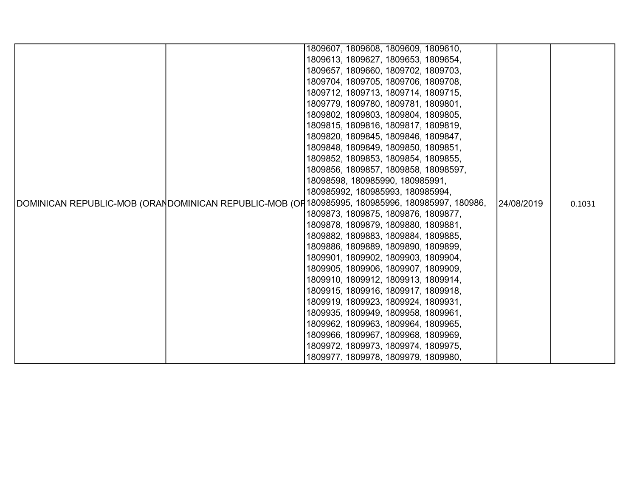| 1809607, 1809608, 1809609, 1809610,                                                            |            |        |
|------------------------------------------------------------------------------------------------|------------|--------|
| 1809613, 1809627, 1809653, 1809654,                                                            |            |        |
| 1809657, 1809660, 1809702, 1809703,                                                            |            |        |
| 1809704, 1809705, 1809706, 1809708,                                                            |            |        |
| 1809712, 1809713, 1809714, 1809715,                                                            |            |        |
| 1809779, 1809780, 1809781, 1809801,                                                            |            |        |
| 1809802, 1809803, 1809804, 1809805,                                                            |            |        |
| 1809815, 1809816, 1809817, 1809819,                                                            |            |        |
| 1809820, 1809845, 1809846, 1809847,                                                            |            |        |
| 1809848, 1809849, 1809850, 1809851,                                                            |            |        |
| 1809852, 1809853, 1809854, 1809855,                                                            |            |        |
| 1809856, 1809857, 1809858, 18098597,                                                           |            |        |
| 18098598, 180985990, 180985991,                                                                |            |        |
| 180985992, 180985993, 180985994,                                                               |            |        |
| DOMINICAN REPUBLIC-MOB (ORANDOMINICAN REPUBLIC-MOB (OR180985995, 180985996, 180985997, 180986, | 24/08/2019 | 0.1031 |
| 1809873, 1809875, 1809876, 1809877,                                                            |            |        |
| 1809878, 1809879, 1809880, 1809881,                                                            |            |        |
| 1809882, 1809883, 1809884, 1809885,                                                            |            |        |
| 1809886, 1809889, 1809890, 1809899,                                                            |            |        |
| 1809901, 1809902, 1809903, 1809904,                                                            |            |        |
| 1809905, 1809906, 1809907, 1809909,                                                            |            |        |
| 1809910, 1809912, 1809913, 1809914,                                                            |            |        |
| 1809915, 1809916, 1809917, 1809918,                                                            |            |        |
| 1809919, 1809923, 1809924, 1809931,                                                            |            |        |
| 1809935, 1809949, 1809958, 1809961,                                                            |            |        |
| 1809962, 1809963, 1809964, 1809965,                                                            |            |        |
| 1809966, 1809967, 1809968, 1809969,                                                            |            |        |
| 1809972, 1809973, 1809974, 1809975,                                                            |            |        |
| 1809977, 1809978, 1809979, 1809980,                                                            |            |        |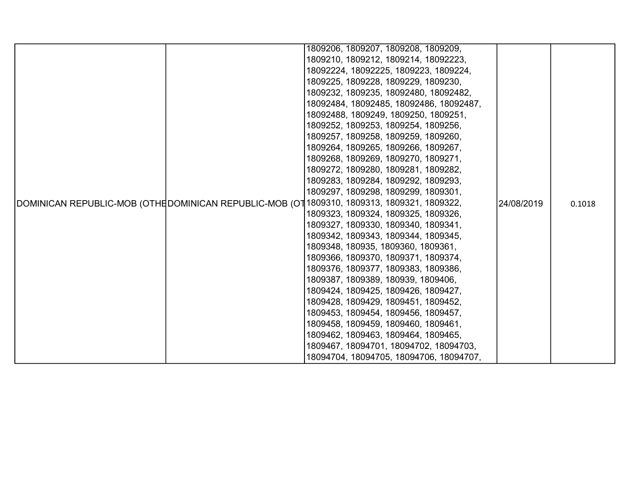|  | 1809206, 1809207, 1809208, 1809209,                                                         |            |        |
|--|---------------------------------------------------------------------------------------------|------------|--------|
|  | 1809210, 1809212, 1809214, 18092223,                                                        |            |        |
|  | 18092224, 18092225, 1809223, 1809224,                                                       |            |        |
|  | 1809225, 1809228, 1809229, 1809230,                                                         |            |        |
|  | 1809232, 1809235, 18092480, 18092482,                                                       |            |        |
|  | 18092484, 18092485, 18092486, 18092487,                                                     |            |        |
|  | 18092488, 1809249, 1809250, 1809251,                                                        |            |        |
|  | 1809252, 1809253, 1809254, 1809256,                                                         |            |        |
|  | 1809257, 1809258, 1809259, 1809260,                                                         |            |        |
|  | 1809264, 1809265, 1809266, 1809267,                                                         |            |        |
|  | 1809268, 1809269, 1809270, 1809271,                                                         |            |        |
|  | 1809272, 1809280, 1809281, 1809282,                                                         |            |        |
|  | 1809283, 1809284, 1809292, 1809293,                                                         |            |        |
|  | 1809297, 1809298, 1809299, 1809301,                                                         |            |        |
|  | DOMINICAN REPUBLIC-MOB (OTHE DOMINICAN REPUBLIC-MOB (OT 1809310, 1809313, 1809321, 1809322, | 24/08/2019 | 0.1018 |
|  | 1809323, 1809324, 1809325, 1809326,                                                         |            |        |
|  | 1809327, 1809330, 1809340, 1809341,                                                         |            |        |
|  | 1809342, 1809343, 1809344, 1809345,                                                         |            |        |
|  | 1809348, 180935, 1809360, 1809361,                                                          |            |        |
|  | 1809366, 1809370, 1809371, 1809374,                                                         |            |        |
|  | 1809376, 1809377, 1809383, 1809386,                                                         |            |        |
|  | 1809387, 1809389, 180939, 1809406,                                                          |            |        |
|  | 1809424, 1809425, 1809426, 1809427,                                                         |            |        |
|  | 1809428, 1809429, 1809451, 1809452,                                                         |            |        |
|  | 1809453, 1809454, 1809456, 1809457,                                                         |            |        |
|  | 1809458, 1809459, 1809460, 1809461,                                                         |            |        |
|  | 1809462, 1809463, 1809464, 1809465,                                                         |            |        |
|  | 1809467, 18094701, 18094702, 18094703,                                                      |            |        |
|  | 18094704, 18094705, 18094706, 18094707,                                                     |            |        |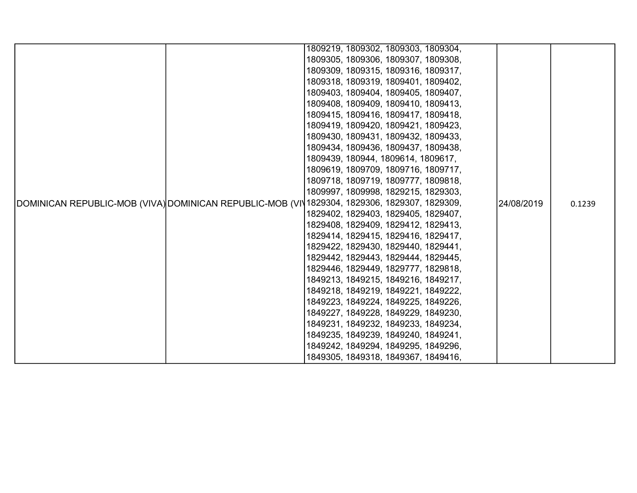|                                                                                              |                                                                            | 1809219, 1809302, 1809303, 1809304, |  |            |        |
|----------------------------------------------------------------------------------------------|----------------------------------------------------------------------------|-------------------------------------|--|------------|--------|
|                                                                                              |                                                                            | 1809305, 1809306, 1809307, 1809308, |  |            |        |
|                                                                                              |                                                                            | 1809309, 1809315, 1809316, 1809317, |  |            |        |
|                                                                                              |                                                                            | 1809318, 1809319, 1809401, 1809402, |  |            |        |
|                                                                                              |                                                                            | 1809403, 1809404, 1809405, 1809407, |  |            |        |
|                                                                                              |                                                                            | 1809408, 1809409, 1809410, 1809413, |  |            |        |
|                                                                                              |                                                                            | 1809415, 1809416, 1809417, 1809418, |  |            |        |
|                                                                                              |                                                                            | 1809419, 1809420, 1809421, 1809423, |  |            |        |
|                                                                                              |                                                                            |                                     |  |            |        |
|                                                                                              | 1809430, 1809431, 1809432, 1809433,<br>1809434, 1809436, 1809437, 1809438, |                                     |  |            |        |
|                                                                                              |                                                                            | 1809439, 180944, 1809614, 1809617,  |  |            |        |
|                                                                                              |                                                                            | 1809619, 1809709, 1809716, 1809717, |  |            |        |
|                                                                                              |                                                                            | 1809718, 1809719, 1809777, 1809818, |  |            |        |
|                                                                                              |                                                                            | 1809997, 1809998, 1829215, 1829303, |  |            |        |
|                                                                                              |                                                                            |                                     |  | 24/08/2019 |        |
| DOMINICAN REPUBLIC-MOB (VIVA) DOMINICAN REPUBLIC-MOB (VIV1829304, 1829306, 1829307, 1829309, |                                                                            | 1829402, 1829403, 1829405, 1829407, |  |            | 0.1239 |
|                                                                                              |                                                                            | 1829408, 1829409, 1829412, 1829413, |  |            |        |
|                                                                                              |                                                                            | 1829414, 1829415, 1829416, 1829417, |  |            |        |
|                                                                                              |                                                                            | 1829422, 1829430, 1829440, 1829441, |  |            |        |
|                                                                                              |                                                                            | 1829442, 1829443, 1829444, 1829445, |  |            |        |
|                                                                                              |                                                                            | 1829446, 1829449, 1829777, 1829818, |  |            |        |
|                                                                                              |                                                                            | 1849213, 1849215, 1849216, 1849217, |  |            |        |
|                                                                                              |                                                                            | 1849218, 1849219, 1849221, 1849222, |  |            |        |
|                                                                                              |                                                                            | 1849223, 1849224, 1849225, 1849226, |  |            |        |
|                                                                                              |                                                                            | 1849227, 1849228, 1849229, 1849230, |  |            |        |
|                                                                                              |                                                                            | 1849231, 1849232, 1849233, 1849234, |  |            |        |
|                                                                                              |                                                                            | 1849235, 1849239, 1849240, 1849241, |  |            |        |
|                                                                                              |                                                                            | 1849242, 1849294, 1849295, 1849296, |  |            |        |
|                                                                                              |                                                                            | 1849305, 1849318, 1849367, 1849416, |  |            |        |
|                                                                                              |                                                                            |                                     |  |            |        |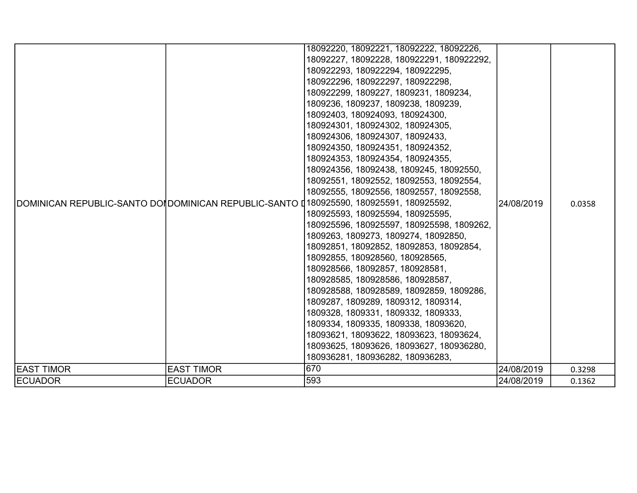|                   |                                                                                         | 18092220, 18092221, 18092222, 18092226,<br>18092227, 18092228, 180922291, 180922292, |            |        |
|-------------------|-----------------------------------------------------------------------------------------|--------------------------------------------------------------------------------------|------------|--------|
|                   |                                                                                         | 180922293, 180922294, 180922295,                                                     |            |        |
|                   |                                                                                         | 180922296, 180922297, 180922298,                                                     |            |        |
|                   |                                                                                         | 180922299, 1809227, 1809231, 1809234,                                                |            |        |
|                   |                                                                                         | 1809236, 1809237, 1809238, 1809239,                                                  |            |        |
|                   |                                                                                         | 18092403, 180924093, 180924300,                                                      |            |        |
|                   |                                                                                         | 180924301, 180924302, 180924305,                                                     |            |        |
|                   |                                                                                         | 180924306, 180924307, 18092433,                                                      |            |        |
|                   |                                                                                         | 180924350, 180924351, 180924352,                                                     |            |        |
|                   |                                                                                         | 180924353, 180924354, 180924355,                                                     |            | 0.0358 |
|                   |                                                                                         | 180924356, 18092438, 1809245, 18092550,                                              |            |        |
|                   | DOMINICAN REPUBLIC-SANTO DOI DOMINICAN REPUBLIC-SANTO 0180925590, 180925591, 180925592, | 18092551, 18092552, 18092553, 18092554,                                              | 24/08/2019 |        |
|                   |                                                                                         | 18092555, 18092556, 18092557, 18092558,                                              |            |        |
|                   |                                                                                         |                                                                                      |            |        |
|                   |                                                                                         | 180925593, 180925594, 180925595,                                                     |            |        |
|                   |                                                                                         | 180925596, 180925597, 180925598, 1809262,                                            |            |        |
|                   |                                                                                         | 1809263, 1809273, 1809274, 18092850,                                                 |            |        |
|                   |                                                                                         | 18092851, 18092852, 18092853, 18092854,                                              |            |        |
|                   |                                                                                         | 18092855, 180928560, 180928565,                                                      |            |        |
|                   |                                                                                         | 180928566, 18092857, 180928581,                                                      |            |        |
|                   |                                                                                         | 180928585, 180928586, 180928587,                                                     |            |        |
|                   |                                                                                         | 180928588, 180928589, 18092859, 1809286,                                             |            |        |
|                   |                                                                                         | 1809287, 1809289, 1809312, 1809314,                                                  |            |        |
|                   |                                                                                         | 1809328, 1809331, 1809332, 1809333,                                                  |            |        |
|                   |                                                                                         | 1809334, 1809335, 1809338, 18093620,                                                 |            |        |
|                   |                                                                                         | 18093621, 18093622, 18093623, 18093624,                                              |            |        |
|                   |                                                                                         | 18093625, 18093626, 18093627, 180936280,                                             |            |        |
|                   |                                                                                         | 180936281, 180936282, 180936283,                                                     |            |        |
| <b>EAST TIMOR</b> | <b>EAST TIMOR</b>                                                                       | 670                                                                                  | 24/08/2019 | 0.3298 |
| <b>ECUADOR</b>    | <b>ECUADOR</b>                                                                          | 593                                                                                  | 24/08/2019 | 0.1362 |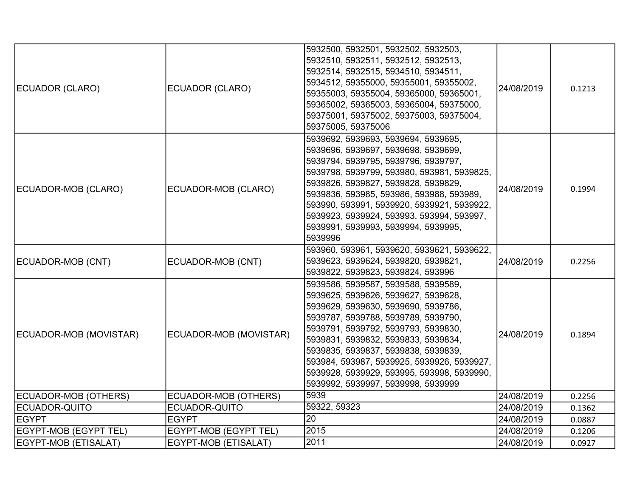| ECUADOR (CLARO)        | ECUADOR (CLARO)        | 5932500, 5932501, 5932502, 5932503,<br>5932510, 5932511, 5932512, 5932513,<br>5932514, 5932515, 5934510, 5934511,<br>5934512, 59355000, 59355001, 59355002,<br>59355003, 59355004, 59365000, 59365001,<br>59365002, 59365003, 59365004, 59375000,<br>59375001, 59375002, 59375003, 59375004,<br>59375005, 59375006                                                                                              | 24/08/2019 | 0.1213 |
|------------------------|------------------------|-----------------------------------------------------------------------------------------------------------------------------------------------------------------------------------------------------------------------------------------------------------------------------------------------------------------------------------------------------------------------------------------------------------------|------------|--------|
| ECUADOR-MOB (CLARO)    | ECUADOR-MOB (CLARO)    | 5939692, 5939693, 5939694, 5939695,<br>5939696, 5939697, 5939698, 5939699,<br>5939794, 5939795, 5939796, 5939797,<br>5939798, 5939799, 593980, 593981, 5939825,<br>5939826, 5939827, 5939828, 5939829,<br>5939836, 593985, 593986, 593988, 593989,<br>593990, 593991, 5939920, 5939921, 5939922,<br>5939923, 5939924, 593993, 593994, 593997,<br>5939991, 5939993, 5939994, 5939995,<br>5939996                 | 24/08/2019 | 0.1994 |
| ECUADOR-MOB (CNT)      | ECUADOR-MOB (CNT)      | 593960, 593961, 5939620, 5939621, 5939622,<br>5939623, 5939624, 5939820, 5939821,<br>5939822, 5939823, 5939824, 593996                                                                                                                                                                                                                                                                                          | 24/08/2019 | 0.2256 |
| ECUADOR-MOB (MOVISTAR) | ECUADOR-MOB (MOVISTAR) | 5939586, 5939587, 5939588, 5939589,<br>5939625, 5939626, 5939627, 5939628,<br>5939629, 5939630, 5939690, 5939786,<br>5939787, 5939788, 5939789, 5939790,<br>5939791, 5939792, 5939793, 5939830,<br>5939831, 5939832, 5939833, 5939834,<br>5939835, 5939837, 5939838, 5939839,<br>593984, 593987, 5939925, 5939926, 5939927,<br>5939928, 5939929, 593995, 593998, 5939990,<br>5939992, 5939997, 5939998, 5939999 | 24/08/2019 | 0.1894 |
| ECUADOR-MOB (OTHERS)   | ECUADOR-MOB (OTHERS)   | 5939                                                                                                                                                                                                                                                                                                                                                                                                            | 24/08/2019 | 0.2256 |
| ECUADOR-QUITO          | ECUADOR-QUITO          | 59322, 59323                                                                                                                                                                                                                                                                                                                                                                                                    | 24/08/2019 | 0.1362 |
| <b>IEGYPT</b>          | <b>EGYPT</b>           | 20                                                                                                                                                                                                                                                                                                                                                                                                              | 24/08/2019 | 0.0887 |
| EGYPT-MOB (EGYPT TEL)  | EGYPT-MOB (EGYPT TEL)  | 2015                                                                                                                                                                                                                                                                                                                                                                                                            | 24/08/2019 | 0.1206 |
| EGYPT-MOB (ETISALAT)   | EGYPT-MOB (ETISALAT)   | 2011                                                                                                                                                                                                                                                                                                                                                                                                            | 24/08/2019 | 0.0927 |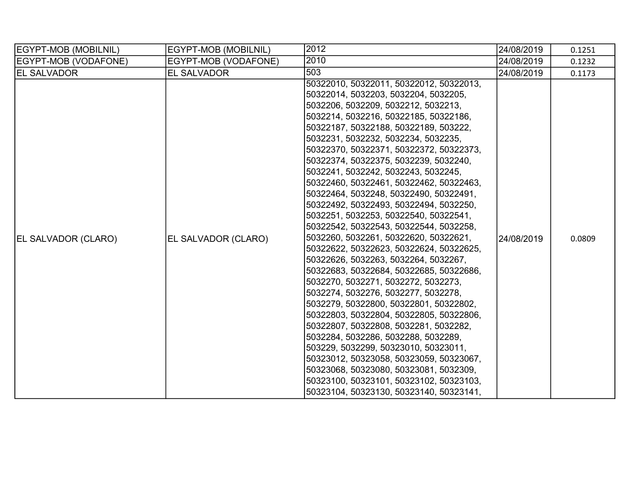| EGYPT-MOB (MOBILNIL)       | EGYPT-MOB (MOBILNIL) | 2012                                                                                                                                                                                                                                                                                                                                                                                                                                                                                                                                                                                                                                                                                                                                                                                                                                                                                                                                                                                                                                                                                                                                                                                                                                      | 24/08/2019 | 0.1251 |
|----------------------------|----------------------|-------------------------------------------------------------------------------------------------------------------------------------------------------------------------------------------------------------------------------------------------------------------------------------------------------------------------------------------------------------------------------------------------------------------------------------------------------------------------------------------------------------------------------------------------------------------------------------------------------------------------------------------------------------------------------------------------------------------------------------------------------------------------------------------------------------------------------------------------------------------------------------------------------------------------------------------------------------------------------------------------------------------------------------------------------------------------------------------------------------------------------------------------------------------------------------------------------------------------------------------|------------|--------|
| EGYPT-MOB (VODAFONE)       | EGYPT-MOB (VODAFONE) | 2010                                                                                                                                                                                                                                                                                                                                                                                                                                                                                                                                                                                                                                                                                                                                                                                                                                                                                                                                                                                                                                                                                                                                                                                                                                      | 24/08/2019 | 0.1232 |
| <b>EL SALVADOR</b>         | <b>EL SALVADOR</b>   | 503                                                                                                                                                                                                                                                                                                                                                                                                                                                                                                                                                                                                                                                                                                                                                                                                                                                                                                                                                                                                                                                                                                                                                                                                                                       | 24/08/2019 | 0.1173 |
| <b>EL SALVADOR (CLARO)</b> | EL SALVADOR (CLARO)  | 50322010, 50322011, 50322012, 50322013,<br>50322014, 5032203, 5032204, 5032205,<br>5032206, 5032209, 5032212, 5032213,<br>5032214, 5032216, 50322185, 50322186,<br>50322187, 50322188, 50322189, 503222,<br>5032231, 5032232, 5032234, 5032235,<br>50322370, 50322371, 50322372, 50322373,<br>50322374, 50322375, 5032239, 5032240,<br>5032241, 5032242, 5032243, 5032245,<br>50322460, 50322461, 50322462, 50322463,<br>50322464, 5032248, 50322490, 50322491,<br>50322492, 50322493, 50322494, 5032250,<br>5032251, 5032253, 50322540, 50322541,<br>50322542, 50322543, 50322544, 5032258,<br>5032260, 5032261, 50322620, 50322621,<br>50322622, 50322623, 50322624, 50322625,<br>50322626, 5032263, 5032264, 5032267,<br>50322683, 50322684, 50322685, 50322686,<br>5032270, 5032271, 5032272, 5032273,<br>5032274, 5032276, 5032277, 5032278,<br>5032279, 50322800, 50322801, 50322802,<br>50322803, 50322804, 50322805, 50322806,<br>50322807, 50322808, 5032281, 5032282,<br>5032284, 5032286, 5032288, 5032289,<br>503229, 5032299, 50323010, 50323011,<br>50323012, 50323058, 50323059, 50323067,<br>50323068, 50323080, 50323081, 5032309,<br>50323100, 50323101, 50323102, 50323103,<br>50323104, 50323130, 50323140, 50323141, | 24/08/2019 | 0.0809 |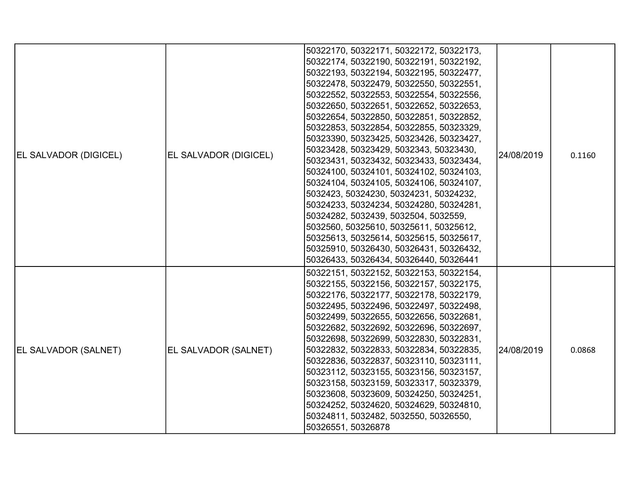| <b>EL SALVADOR (DIGICEL)</b> | <b>EL SALVADOR (DIGICEL)</b> | 50322170, 50322171, 50322172, 50322173,<br>50322174, 50322190, 50322191, 50322192,<br>50322193, 50322194, 50322195, 50322477,<br>50322478, 50322479, 50322550, 50322551,<br>50322552, 50322553, 50322554, 50322556,<br>50322650, 50322651, 50322652, 50322653,<br>50322654, 50322850, 50322851, 50322852,<br>50322853, 50322854, 50322855, 50323329,<br>50323390, 50323425, 50323426, 50323427,<br>50323428, 50323429, 5032343, 50323430,<br>50323431, 50323432, 50323433, 50323434,<br>50324100, 50324101, 50324102, 50324103,<br>50324104, 50324105, 50324106, 50324107,<br>5032423, 50324230, 50324231, 50324232,<br>50324233, 50324234, 50324280, 50324281,<br>50324282, 5032439, 5032504, 5032559,<br>5032560, 50325610, 50325611, 50325612, | 24/08/2019 | 0.1160 |
|------------------------------|------------------------------|---------------------------------------------------------------------------------------------------------------------------------------------------------------------------------------------------------------------------------------------------------------------------------------------------------------------------------------------------------------------------------------------------------------------------------------------------------------------------------------------------------------------------------------------------------------------------------------------------------------------------------------------------------------------------------------------------------------------------------------------------|------------|--------|
| <b>EL SALVADOR (SALNET)</b>  | EL SALVADOR (SALNET)         | 50325613, 50325614, 50325615, 50325617,<br>50325910, 50326430, 50326431, 50326432,<br>50326433, 50326434, 50326440, 50326441<br>50322151, 50322152, 50322153, 50322154,<br>50322155, 50322156, 50322157, 50322175,<br>50322176, 50322177, 50322178, 50322179,<br>50322495, 50322496, 50322497, 50322498,<br>50322499, 50322655, 50322656, 50322681,<br>50322682, 50322692, 50322696, 50322697,<br>50322698, 50322699, 50322830, 50322831,<br>50322832, 50322833, 50322834, 50322835,<br>50322836, 50322837, 50323110, 50323111,<br>50323112, 50323155, 50323156, 50323157,<br>50323158, 50323159, 50323317, 50323379,<br>50323608, 50323609, 50324250, 50324251,                                                                                  | 24/08/2019 | 0.0868 |
|                              |                              | 50324252, 50324620, 50324629, 50324810,<br>50324811, 5032482, 5032550, 50326550,<br>50326551, 50326878                                                                                                                                                                                                                                                                                                                                                                                                                                                                                                                                                                                                                                            |            |        |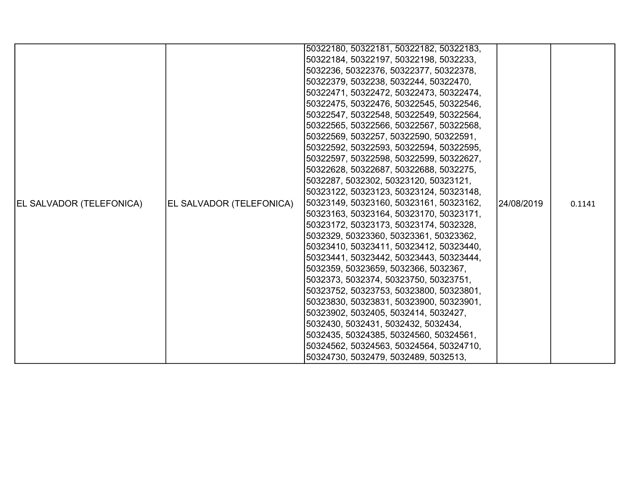|                                 |                          | 50322180, 50322181, 50322182, 50322183, |            |        |
|---------------------------------|--------------------------|-----------------------------------------|------------|--------|
|                                 |                          | 50322184, 50322197, 50322198, 5032233,  |            |        |
|                                 |                          | 5032236, 50322376, 50322377, 50322378,  |            |        |
|                                 |                          | 50322379, 5032238, 5032244, 50322470,   |            |        |
|                                 |                          | 50322471, 50322472, 50322473, 50322474, |            |        |
|                                 |                          | 50322475, 50322476, 50322545, 50322546, |            |        |
|                                 |                          | 50322547, 50322548, 50322549, 50322564, |            |        |
|                                 |                          | 50322565, 50322566, 50322567, 50322568, |            |        |
|                                 |                          | 50322569, 5032257, 50322590, 50322591,  |            |        |
|                                 |                          | 50322592, 50322593, 50322594, 50322595, |            |        |
|                                 |                          | 50322597, 50322598, 50322599, 50322627, |            |        |
|                                 |                          | 50322628, 50322687, 50322688, 5032275,  |            |        |
|                                 |                          | 5032287, 5032302, 50323120, 50323121,   |            |        |
|                                 |                          | 50323122, 50323123, 50323124, 50323148, |            |        |
| <b>EL SALVADOR (TELEFONICA)</b> | EL SALVADOR (TELEFONICA) | 50323149, 50323160, 50323161, 50323162, | 24/08/2019 | 0.1141 |
|                                 |                          | 50323163, 50323164, 50323170, 50323171, |            |        |
|                                 |                          | 50323172, 50323173, 50323174, 5032328,  |            |        |
|                                 |                          | 5032329, 50323360, 50323361, 50323362,  |            |        |
|                                 |                          | 50323410, 50323411, 50323412, 50323440, |            |        |
|                                 |                          | 50323441, 50323442, 50323443, 50323444, |            |        |
|                                 |                          | 5032359, 50323659, 5032366, 5032367,    |            |        |
|                                 |                          | 5032373, 5032374, 50323750, 50323751,   |            |        |
|                                 |                          | 50323752, 50323753, 50323800, 50323801, |            |        |
|                                 |                          | 50323830, 50323831, 50323900, 50323901, |            |        |
|                                 |                          | 50323902, 5032405, 5032414, 5032427,    |            |        |
|                                 |                          | 5032430, 5032431, 5032432, 5032434,     |            |        |
|                                 |                          | 5032435, 50324385, 50324560, 50324561,  |            |        |
|                                 |                          | 50324562, 50324563, 50324564, 50324710, |            |        |
|                                 |                          | 50324730, 5032479, 5032489, 5032513,    |            |        |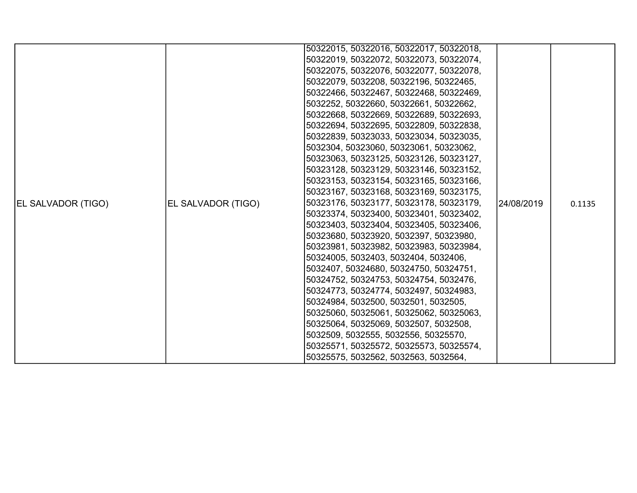|                    |                    | 50322015, 50322016, 50322017, 50322018, |            |        |
|--------------------|--------------------|-----------------------------------------|------------|--------|
|                    |                    | 50322019, 50322072, 50322073, 50322074, |            |        |
|                    |                    | 50322075, 50322076, 50322077, 50322078, |            |        |
|                    |                    | 50322079, 5032208, 50322196, 50322465,  |            |        |
|                    |                    | 50322466, 50322467, 50322468, 50322469, |            |        |
|                    |                    | 5032252, 50322660, 50322661, 50322662,  |            |        |
|                    |                    | 50322668, 50322669, 50322689, 50322693, |            |        |
|                    |                    | 50322694, 50322695, 50322809, 50322838, |            |        |
|                    |                    | 50322839, 50323033, 50323034, 50323035, |            |        |
|                    |                    | 5032304, 50323060, 50323061, 50323062,  |            | 0.1135 |
|                    | EL SALVADOR (TIGO) | 50323063, 50323125, 50323126, 50323127, |            |        |
|                    |                    | 50323128, 50323129, 50323146, 50323152, | 24/08/2019 |        |
|                    |                    | 50323153, 50323154, 50323165, 50323166, |            |        |
|                    |                    | 50323167, 50323168, 50323169, 50323175, |            |        |
| EL SALVADOR (TIGO) |                    | 50323176, 50323177, 50323178, 50323179, |            |        |
|                    |                    | 50323374, 50323400, 50323401, 50323402, |            |        |
|                    |                    | 50323403, 50323404, 50323405, 50323406, |            |        |
|                    |                    | 50323680, 50323920, 5032397, 50323980,  |            |        |
|                    |                    | 50323981, 50323982, 50323983, 50323984, |            |        |
|                    |                    | 50324005, 5032403, 5032404, 5032406,    |            |        |
|                    |                    | 5032407, 50324680, 50324750, 50324751,  |            |        |
|                    |                    | 50324752, 50324753, 50324754, 5032476,  |            |        |
|                    |                    | 50324773, 50324774, 5032497, 50324983,  |            |        |
|                    |                    | 50324984, 5032500, 5032501, 5032505,    |            |        |
|                    |                    | 50325060, 50325061, 50325062, 50325063, |            |        |
|                    |                    | 50325064, 50325069, 5032507, 5032508,   |            |        |
|                    |                    | 5032509, 5032555, 5032556, 50325570,    |            |        |
|                    |                    | 50325571, 50325572, 50325573, 50325574, |            |        |
|                    |                    | 50325575, 5032562, 5032563, 5032564,    |            |        |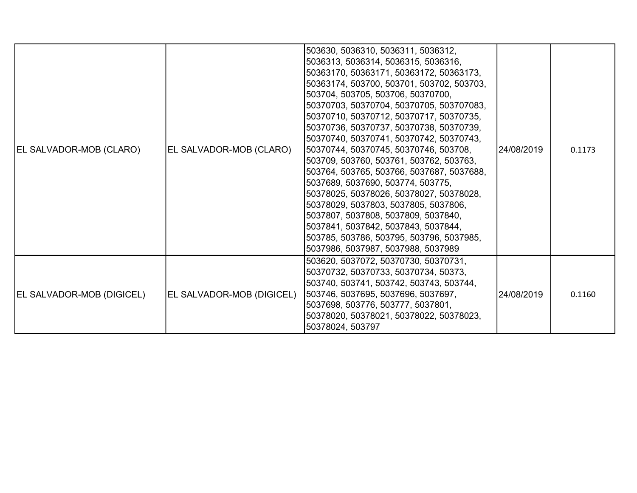| <b>EL SALVADOR-MOB (DIGICEL)</b> | EL SALVADOR-MOB (DIGICEL) | 503785, 503786, 503795, 503796, 5037985,<br>5037986, 5037987, 5037988, 5037989<br>503620, 5037072, 50370730, 50370731,<br>50370732, 50370733, 50370734, 50373,<br>503740, 503741, 503742, 503743, 503744,<br>503746, 5037695, 5037696, 5037697,<br>5037698, 503776, 503777, 5037801,<br>50378020, 50378021, 50378022, 50378023,<br>50378024, 503797                                                                                                                                                                                                                                                                                                                                                                        | 24/08/2019 | 0.1160 |
|----------------------------------|---------------------------|----------------------------------------------------------------------------------------------------------------------------------------------------------------------------------------------------------------------------------------------------------------------------------------------------------------------------------------------------------------------------------------------------------------------------------------------------------------------------------------------------------------------------------------------------------------------------------------------------------------------------------------------------------------------------------------------------------------------------|------------|--------|
| EL SALVADOR-MOB (CLARO)          | EL SALVADOR-MOB (CLARO)   | 503630, 5036310, 5036311, 5036312,<br>5036313, 5036314, 5036315, 5036316,<br>50363170, 50363171, 50363172, 50363173,<br>50363174, 503700, 503701, 503702, 503703,<br>503704, 503705, 503706, 50370700,<br>50370703, 50370704, 50370705, 503707083,<br>50370710, 50370712, 50370717, 50370735,<br>50370736, 50370737, 50370738, 50370739,<br>50370740, 50370741, 50370742, 50370743,<br>50370744, 50370745, 50370746, 503708,<br>503709, 503760, 503761, 503762, 503763,<br>503764, 503765, 503766, 5037687, 5037688,<br>5037689, 5037690, 503774, 503775,<br>50378025, 50378026, 50378027, 50378028,<br>50378029, 5037803, 5037805, 5037806,<br>5037807, 5037808, 5037809, 5037840,<br>5037841, 5037842, 5037843, 5037844, | 24/08/2019 | 0.1173 |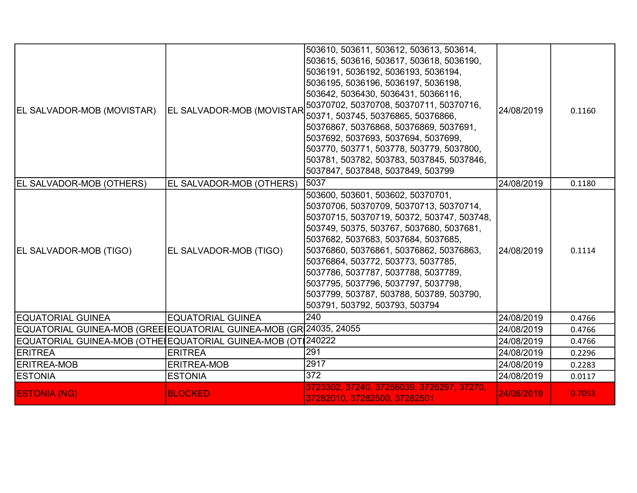| EL SALVADOR-MOB (MOVISTAR)                                         | <b>EL SALVADOR-MOB (MOVISTAR</b> | 503610, 503611, 503612, 503613, 503614,<br>503615, 503616, 503617, 503618, 5036190,<br>5036191, 5036192, 5036193, 5036194,<br>5036195, 5036196, 5036197, 5036198,<br>503642, 5036430, 5036431, 50366116,<br>50370702, 50370708, 50370711, 50370716,<br>50371, 503745, 50376865, 50376866,<br>50376867, 50376868, 50376869, 5037691,<br>5037692, 5037693, 5037694, 5037699,<br>503770, 503771, 503778, 503779, 5037800,<br>503781, 503782, 503783, 5037845, 5037846,<br>5037847, 5037848, 5037849, 503799 | 24/08/2019 | 0.1160 |
|--------------------------------------------------------------------|----------------------------------|----------------------------------------------------------------------------------------------------------------------------------------------------------------------------------------------------------------------------------------------------------------------------------------------------------------------------------------------------------------------------------------------------------------------------------------------------------------------------------------------------------|------------|--------|
| EL SALVADOR-MOB (OTHERS)                                           | EL SALVADOR-MOB (OTHERS)         | 5037                                                                                                                                                                                                                                                                                                                                                                                                                                                                                                     | 24/08/2019 | 0.1180 |
| EL SALVADOR-MOB (TIGO)                                             | EL SALVADOR-MOB (TIGO)           | 503600, 503601, 503602, 50370701,<br>50370706, 50370709, 50370713, 50370714,<br>50370715, 50370719, 50372, 503747, 503748,<br>503749, 50375, 503767, 5037680, 5037681,<br>5037682, 5037683, 5037684, 5037685,<br>50376860, 50376861, 50376862, 50376863,<br>50376864, 503772, 503773, 5037785,<br>5037786, 5037787, 5037788, 5037789,<br>5037795, 5037796, 5037797, 5037798,<br>5037799, 503787, 503788, 503789, 503790,<br>503791, 503792, 503793, 503794                                               | 24/08/2019 | 0.1114 |
| <b>EQUATORIAL GUINEA</b>                                           | <b>EQUATORIAL GUINEA</b>         | 240                                                                                                                                                                                                                                                                                                                                                                                                                                                                                                      | 24/08/2019 | 0.4766 |
| EQUATORIAL GUINEA-MOB (GREE EQUATORIAL GUINEA-MOB (GR 24035, 24055 |                                  |                                                                                                                                                                                                                                                                                                                                                                                                                                                                                                          | 24/08/2019 | 0.4766 |
| EQUATORIAL GUINEA-MOB (OTHE EQUATORIAL GUINEA-MOB (OT 240222       |                                  |                                                                                                                                                                                                                                                                                                                                                                                                                                                                                                          | 24/08/2019 | 0.4766 |
| <b>ERITREA</b>                                                     | <b>ERITREA</b>                   | 291                                                                                                                                                                                                                                                                                                                                                                                                                                                                                                      | 24/08/2019 | 0.2296 |
| <b>ERITREA-MOB</b>                                                 | <b>ERITREA-MOB</b>               | 2917                                                                                                                                                                                                                                                                                                                                                                                                                                                                                                     | 24/08/2019 | 0.2283 |
| <b>ESTONIA</b>                                                     | <b>ESTONIA</b>                   | $\overline{372}$                                                                                                                                                                                                                                                                                                                                                                                                                                                                                         | 24/08/2019 | 0.0117 |
| <b>ESTONIA (NG)</b>                                                | <b>BLOCKED</b>                   | 3723302, 37240, 37256039, 3726297, 37270,<br>37282010, 37282500, 37282501                                                                                                                                                                                                                                                                                                                                                                                                                                | 24/08/2019 | 0.7053 |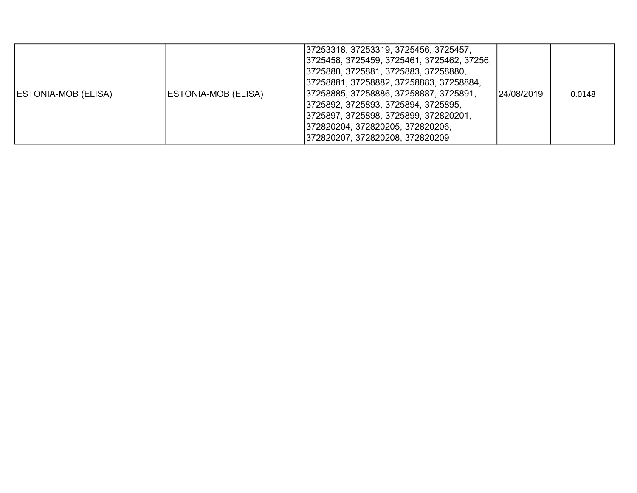| <b>ESTONIA-MOB (ELISA)</b><br> ESTONIA-MOB (ELISA) | 37253318, 37253319, 3725456, 3725457,<br> 3725458, 3725459, 3725461, 3725462, 37256,<br>3725880, 3725881, 3725883, 37258880,<br> 37258881, 37258882, 37258883, 37258884,<br> 37258885, 37258886, 37258887, 3725891,<br> 3725892, 3725893, 3725894, 3725895,<br> 3725897, 3725898, 3725899, 372820201,<br>372820204, 372820205, 372820206,<br> 372820207, 372820208, 372820209 | 124/08/2019 | 0.0148 |
|----------------------------------------------------|-------------------------------------------------------------------------------------------------------------------------------------------------------------------------------------------------------------------------------------------------------------------------------------------------------------------------------------------------------------------------------|-------------|--------|
|----------------------------------------------------|-------------------------------------------------------------------------------------------------------------------------------------------------------------------------------------------------------------------------------------------------------------------------------------------------------------------------------------------------------------------------------|-------------|--------|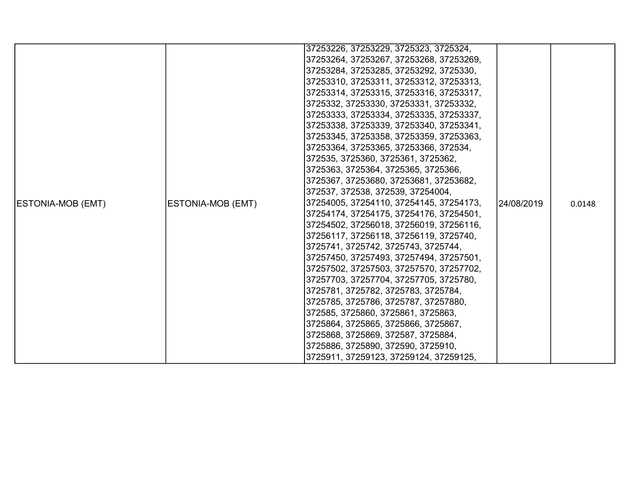|                          |                   | 37253226, 37253229, 3725323, 3725324,   |             |        |
|--------------------------|-------------------|-----------------------------------------|-------------|--------|
|                          |                   | 37253264, 37253267, 37253268, 37253269, |             |        |
|                          |                   | 37253284, 37253285, 37253292, 3725330,  |             |        |
|                          |                   | 37253310, 37253311, 37253312, 37253313, |             |        |
|                          |                   | 37253314, 37253315, 37253316, 37253317, |             |        |
|                          |                   | 3725332, 37253330, 37253331, 37253332,  |             |        |
|                          |                   | 37253333, 37253334, 37253335, 37253337, |             |        |
|                          |                   | 37253338, 37253339, 37253340, 37253341, |             |        |
|                          |                   | 37253345, 37253358, 37253359, 37253363, |             |        |
|                          |                   | 37253364, 37253365, 37253366, 372534,   |             |        |
|                          |                   | 372535, 3725360, 3725361, 3725362,      |             |        |
|                          |                   | 3725363, 3725364, 3725365, 3725366,     |             |        |
|                          |                   | 3725367, 37253680, 37253681, 37253682,  |             |        |
|                          |                   | 372537, 372538, 372539, 37254004,       |             |        |
| <b>ESTONIA-MOB (EMT)</b> | ESTONIA-MOB (EMT) | 37254005, 37254110, 37254145, 37254173, | 124/08/2019 | 0.0148 |
|                          |                   | 37254174, 37254175, 37254176, 37254501, |             |        |
|                          |                   | 37254502, 37256018, 37256019, 37256116, |             |        |
|                          |                   | 37256117, 37256118, 37256119, 3725740,  |             |        |
|                          |                   | 3725741, 3725742, 3725743, 3725744,     |             |        |
|                          |                   | 37257450, 37257493, 37257494, 37257501, |             |        |
|                          |                   | 37257502, 37257503, 37257570, 37257702, |             |        |
|                          |                   | 37257703, 37257704, 37257705, 3725780,  |             |        |
|                          |                   | 3725781, 3725782, 3725783, 3725784,     |             |        |
|                          |                   | 3725785, 3725786, 3725787, 37257880,    |             |        |
|                          |                   | 372585, 3725860, 3725861, 3725863,      |             |        |
|                          |                   | 3725864, 3725865, 3725866, 3725867,     |             |        |
|                          |                   | 3725868, 3725869, 372587, 3725884,      |             |        |
|                          |                   | 3725886, 3725890, 372590, 3725910,      |             |        |
|                          |                   | 3725911, 37259123, 37259124, 37259125,  |             |        |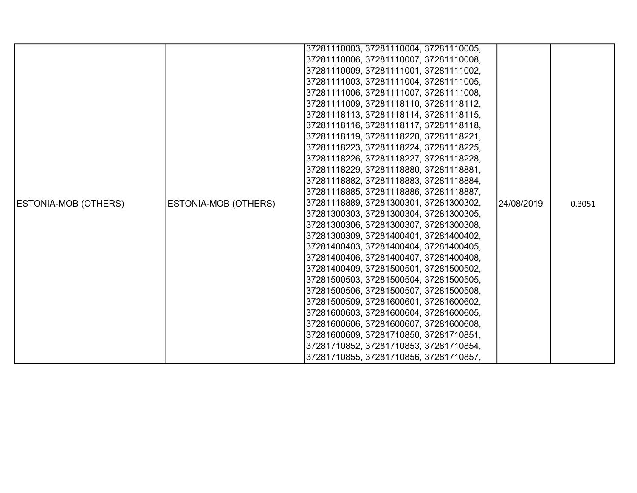|                      |                             | 37281110003, 37281110004, 37281110005, |            |        |
|----------------------|-----------------------------|----------------------------------------|------------|--------|
|                      |                             | 37281110006, 37281110007, 37281110008, |            |        |
|                      |                             | 37281110009, 37281111001, 37281111002, |            |        |
|                      |                             | 37281111003, 37281111004, 37281111005, |            |        |
|                      |                             | 37281111006, 37281111007, 37281111008, |            |        |
|                      |                             | 37281111009, 37281118110, 37281118112, |            |        |
|                      |                             | 37281118113, 37281118114, 37281118115, |            |        |
|                      |                             | 37281118116, 37281118117, 37281118118, |            |        |
|                      |                             | 37281118119, 37281118220, 37281118221, |            |        |
|                      |                             | 37281118223, 37281118224, 37281118225, |            |        |
|                      |                             | 37281118226, 37281118227, 37281118228, |            |        |
|                      |                             | 37281118229, 37281118880, 37281118881, |            |        |
|                      |                             | 37281118882, 37281118883, 37281118884, |            |        |
|                      |                             | 37281118885, 37281118886, 37281118887, |            |        |
| ESTONIA-MOB (OTHERS) | <b>ESTONIA-MOB (OTHERS)</b> | 37281118889, 37281300301, 37281300302, | 24/08/2019 | 0.3051 |
|                      |                             | 37281300303, 37281300304, 37281300305, |            |        |
|                      |                             | 37281300306, 37281300307, 37281300308, |            |        |
|                      |                             | 37281300309, 37281400401, 37281400402, |            |        |
|                      |                             | 37281400403, 37281400404, 37281400405, |            |        |
|                      |                             | 37281400406, 37281400407, 37281400408, |            |        |
|                      |                             | 37281400409, 37281500501, 37281500502, |            |        |
|                      |                             | 37281500503, 37281500504, 37281500505, |            |        |
|                      |                             | 37281500506, 37281500507, 37281500508, |            |        |
|                      |                             | 37281500509, 37281600601, 37281600602, |            |        |
|                      |                             | 37281600603, 37281600604, 37281600605, |            |        |
|                      |                             | 37281600606, 37281600607, 37281600608, |            |        |
|                      |                             | 37281600609, 37281710850, 37281710851, |            |        |
|                      |                             | 37281710852, 37281710853, 37281710854, |            |        |
|                      |                             | 37281710855, 37281710856, 37281710857, |            |        |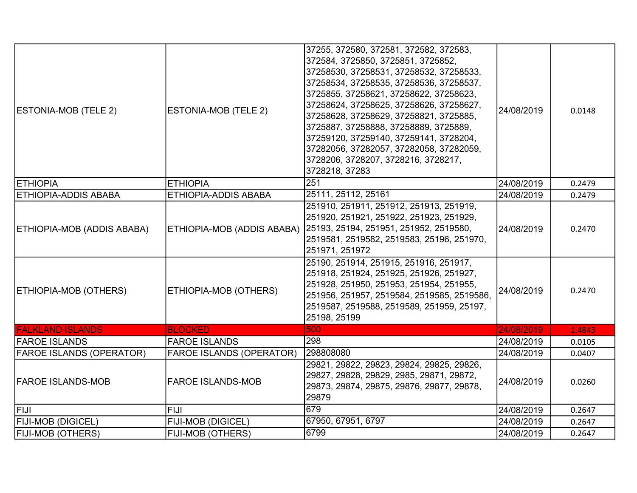| <b>ESTONIA-MOB (TELE 2)</b>     | ESTONIA-MOB (TELE 2)            | 37255, 372580, 372581, 372582, 372583,<br>372584, 3725850, 3725851, 3725852,<br>37258530, 37258531, 37258532, 37258533,<br>37258534, 37258535, 37258536, 37258537,<br>3725855, 37258621, 37258622, 37258623,<br>37258624, 37258625, 37258626, 37258627,<br>37258628, 37258629, 37258821, 3725885,<br>3725887, 37258888, 37258889, 3725889,<br>37259120, 37259140, 37259141, 3728204,<br>37282056, 37282057, 37282058, 37282059,<br>3728206, 3728207, 3728216, 3728217,<br>3728218, 37283 | 24/08/2019 | 0.0148 |
|---------------------------------|---------------------------------|------------------------------------------------------------------------------------------------------------------------------------------------------------------------------------------------------------------------------------------------------------------------------------------------------------------------------------------------------------------------------------------------------------------------------------------------------------------------------------------|------------|--------|
| <b>ETHIOPIA</b>                 | <b>ETHIOPIA</b>                 | 251                                                                                                                                                                                                                                                                                                                                                                                                                                                                                      | 24/08/2019 | 0.2479 |
| <b>ETHIOPIA-ADDIS ABABA</b>     | <b>ETHIOPIA-ADDIS ABABA</b>     | 25111, 25112, 25161                                                                                                                                                                                                                                                                                                                                                                                                                                                                      | 24/08/2019 | 0.2479 |
| ETHIOPIA-MOB (ADDIS ABABA)      |                                 | 251910, 251911, 251912, 251913, 251919,<br>251920, 251921, 251922, 251923, 251929,<br>ETHIOPIA-MOB (ADDIS ABABA) 25193, 25194, 251951, 251952, 2519580,<br>2519581, 2519582, 2519583, 25196, 251970,<br>251971, 251972                                                                                                                                                                                                                                                                   | 24/08/2019 | 0.2470 |
| ETHIOPIA-MOB (OTHERS)           | ETHIOPIA-MOB (OTHERS)           | 25190, 251914, 251915, 251916, 251917,<br>251918, 251924, 251925, 251926, 251927,<br>251928, 251950, 251953, 251954, 251955,<br>251956, 251957, 2519584, 2519585, 2519586,<br>2519587, 2519588, 2519589, 251959, 25197,<br>25198, 25199                                                                                                                                                                                                                                                  | 24/08/2019 | 0.2470 |
| <b>FALKLAND ISLANDS</b>         | <b>BLOCKED</b>                  | 500                                                                                                                                                                                                                                                                                                                                                                                                                                                                                      | 24/08/2019 | 1.4843 |
| <b>FAROE ISLANDS</b>            | <b>FAROE ISLANDS</b>            | 298                                                                                                                                                                                                                                                                                                                                                                                                                                                                                      | 24/08/2019 | 0.0105 |
| <b>FAROE ISLANDS (OPERATOR)</b> | <b>FAROE ISLANDS (OPERATOR)</b> | 298808080                                                                                                                                                                                                                                                                                                                                                                                                                                                                                | 24/08/2019 | 0.0407 |
| <b>FAROE ISLANDS-MOB</b>        | <b>FAROE ISLANDS-MOB</b>        | 29821, 29822, 29823, 29824, 29825, 29826,<br>29827, 29828, 29829, 2985, 29871, 29872,<br>29873, 29874, 29875, 29876, 29877, 29878,<br>29879                                                                                                                                                                                                                                                                                                                                              | 24/08/2019 | 0.0260 |
| lfiji                           | FIJI                            | 679                                                                                                                                                                                                                                                                                                                                                                                                                                                                                      | 24/08/2019 | 0.2647 |
| <b>FIJI-MOB (DIGICEL)</b>       | <b>FIJI-MOB (DIGICEL)</b>       | 67950, 67951, 6797                                                                                                                                                                                                                                                                                                                                                                                                                                                                       | 24/08/2019 | 0.2647 |
| <b>FIJI-MOB (OTHERS)</b>        | <b>FIJI-MOB (OTHERS)</b>        | 6799                                                                                                                                                                                                                                                                                                                                                                                                                                                                                     | 24/08/2019 | 0.2647 |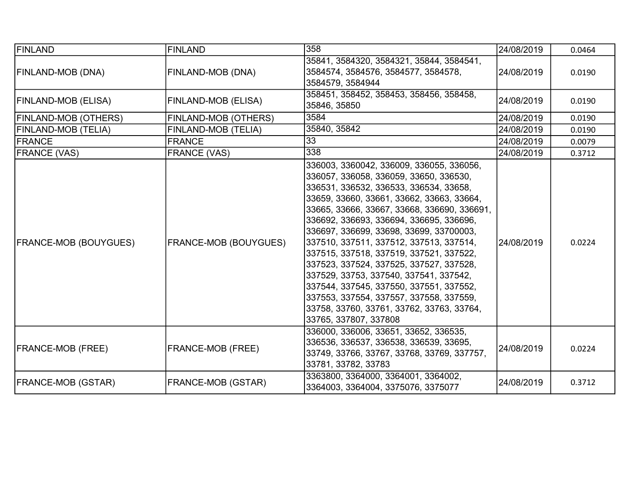| FINLAND                      | <b>FINLAND</b>               | 358                                                                                                                                                                                                                                                                                                                                                                                                                                                                                                                                                                                                                                                   | 24/08/2019 | 0.0464 |
|------------------------------|------------------------------|-------------------------------------------------------------------------------------------------------------------------------------------------------------------------------------------------------------------------------------------------------------------------------------------------------------------------------------------------------------------------------------------------------------------------------------------------------------------------------------------------------------------------------------------------------------------------------------------------------------------------------------------------------|------------|--------|
| FINLAND-MOB (DNA)            | <b>FINLAND-MOB (DNA)</b>     | 35841, 3584320, 3584321, 35844, 3584541,<br>3584574, 3584576, 3584577, 3584578,<br>3584579, 3584944                                                                                                                                                                                                                                                                                                                                                                                                                                                                                                                                                   | 24/08/2019 | 0.0190 |
| FINLAND-MOB (ELISA)          | <b>FINLAND-MOB (ELISA)</b>   | 358451, 358452, 358453, 358456, 358458,<br>35846, 35850                                                                                                                                                                                                                                                                                                                                                                                                                                                                                                                                                                                               | 24/08/2019 | 0.0190 |
| <b>FINLAND-MOB (OTHERS)</b>  | FINLAND-MOB (OTHERS)         | 3584                                                                                                                                                                                                                                                                                                                                                                                                                                                                                                                                                                                                                                                  | 24/08/2019 | 0.0190 |
| FINLAND-MOB (TELIA)          | FINLAND-MOB (TELIA)          | 35840, 35842                                                                                                                                                                                                                                                                                                                                                                                                                                                                                                                                                                                                                                          | 24/08/2019 | 0.0190 |
| FRANCE                       | <b>FRANCE</b>                | $\overline{33}$                                                                                                                                                                                                                                                                                                                                                                                                                                                                                                                                                                                                                                       | 24/08/2019 | 0.0079 |
| <b>FRANCE (VAS)</b>          | <b>FRANCE (VAS)</b>          | 338                                                                                                                                                                                                                                                                                                                                                                                                                                                                                                                                                                                                                                                   | 24/08/2019 | 0.3712 |
| <b>FRANCE-MOB (BOUYGUES)</b> | <b>FRANCE-MOB (BOUYGUES)</b> | 336003, 3360042, 336009, 336055, 336056,<br>336057, 336058, 336059, 33650, 336530,<br>336531, 336532, 336533, 336534, 33658,<br>33659, 33660, 33661, 33662, 33663, 33664,<br>33665, 33666, 33667, 33668, 336690, 336691,<br>336692, 336693, 336694, 336695, 336696,<br>336697, 336699, 33698, 33699, 33700003,<br>337510, 337511, 337512, 337513, 337514,<br>337515, 337518, 337519, 337521, 337522,<br>337523, 337524, 337525, 337527, 337528,<br>337529, 33753, 337540, 337541, 337542,<br>337544, 337545, 337550, 337551, 337552,<br>337553, 337554, 337557, 337558, 337559,<br>33758, 33760, 33761, 33762, 33763, 33764,<br>33765, 337807, 337808 | 24/08/2019 | 0.0224 |
| <b>FRANCE-MOB (FREE)</b>     | <b>FRANCE-MOB (FREE)</b>     | 336000, 336006, 33651, 33652, 336535,<br>336536, 336537, 336538, 336539, 33695,<br>33749, 33766, 33767, 33768, 33769, 337757,<br>33781, 33782, 33783                                                                                                                                                                                                                                                                                                                                                                                                                                                                                                  | 24/08/2019 | 0.0224 |
| <b>FRANCE-MOB (GSTAR)</b>    | <b>FRANCE-MOB (GSTAR)</b>    | 3363800, 3364000, 3364001, 3364002,<br>3364003, 3364004, 3375076, 3375077                                                                                                                                                                                                                                                                                                                                                                                                                                                                                                                                                                             | 24/08/2019 | 0.3712 |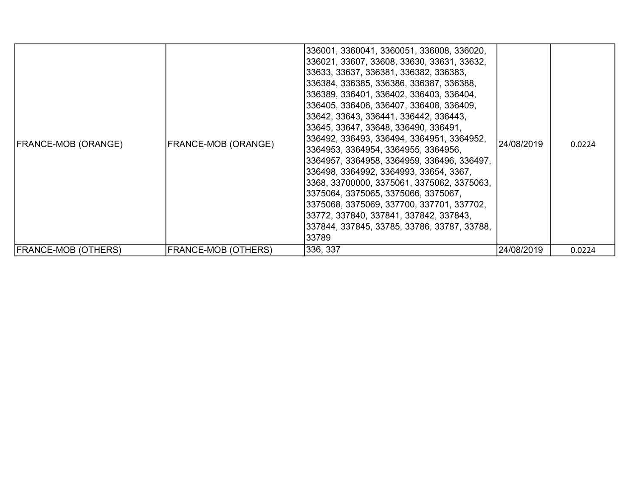| <b>FRANCE-MOB (ORANGE)</b> | FRANCE-MOB (ORANGE)        | 336001, 3360041, 3360051, 336008, 336020,<br>336021, 33607, 33608, 33630, 33631, 33632,<br>33633, 33637, 336381, 336382, 336383,<br>336384, 336385, 336386, 336387, 336388,<br>336389, 336401, 336402, 336403, 336404,<br>336405, 336406, 336407, 336408, 336409,<br>33642, 33643, 336441, 336442, 336443,<br>33645, 33647, 33648, 336490, 336491,<br>336492, 336493, 336494, 3364951, 3364952,<br>3364953, 3364954, 3364955, 3364956,<br>3364957, 3364958, 3364959, 336496, 336497,<br>336498, 3364992, 3364993, 33654, 3367,<br>3368, 33700000, 3375061, 3375062, 3375063,<br>3375064, 3375065, 3375066, 3375067,<br>3375068, 3375069, 337700, 337701, 337702,<br>33772, 337840, 337841, 337842, 337843,<br>337844, 337845, 33785, 33786, 33787, 33788,<br>33789 | 24/08/2019 | 0.0224 |
|----------------------------|----------------------------|--------------------------------------------------------------------------------------------------------------------------------------------------------------------------------------------------------------------------------------------------------------------------------------------------------------------------------------------------------------------------------------------------------------------------------------------------------------------------------------------------------------------------------------------------------------------------------------------------------------------------------------------------------------------------------------------------------------------------------------------------------------------|------------|--------|
| <b>FRANCE-MOB (OTHERS)</b> | <b>FRANCE-MOB (OTHERS)</b> | 336, 337                                                                                                                                                                                                                                                                                                                                                                                                                                                                                                                                                                                                                                                                                                                                                           | 24/08/2019 | 0.0224 |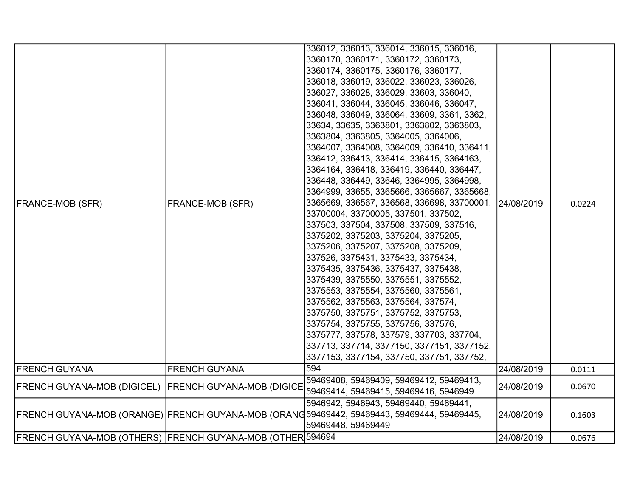|                                                            |                         | 336012, 336013, 336014, 336015, 336016,                                                    |            |        |
|------------------------------------------------------------|-------------------------|--------------------------------------------------------------------------------------------|------------|--------|
|                                                            |                         | 3360170, 3360171, 3360172, 3360173,                                                        |            |        |
|                                                            |                         | 3360174, 3360175, 3360176, 3360177,                                                        |            |        |
|                                                            |                         | 336018, 336019, 336022, 336023, 336026,                                                    |            |        |
|                                                            |                         | 336027, 336028, 336029, 33603, 336040,                                                     |            |        |
|                                                            |                         | 336041, 336044, 336045, 336046, 336047,                                                    |            |        |
|                                                            |                         | 336048, 336049, 336064, 33609, 3361, 3362,                                                 |            |        |
|                                                            |                         | 33634, 33635, 3363801, 3363802, 3363803,                                                   |            |        |
|                                                            |                         | 3363804, 3363805, 3364005, 3364006,                                                        |            |        |
|                                                            |                         | 3364007, 3364008, 3364009, 336410, 336411,                                                 |            |        |
|                                                            |                         | 336412, 336413, 336414, 336415, 3364163,                                                   |            |        |
|                                                            |                         | 3364164, 336418, 336419, 336440, 336447,                                                   |            |        |
|                                                            |                         | 336448, 336449, 33646, 3364995, 3364998,                                                   |            |        |
|                                                            | <b>FRANCE-MOB (SFR)</b> | 3364999, 33655, 3365666, 3365667, 3365668,                                                 |            |        |
| <b>FRANCE-MOB (SFR)</b>                                    |                         | 3365669, 336567, 336568, 336698, 33700001, 24/08/2019                                      |            | 0.0224 |
|                                                            |                         | 33700004, 33700005, 337501, 337502,                                                        |            |        |
|                                                            |                         | 337503, 337504, 337508, 337509, 337516,                                                    |            |        |
|                                                            |                         | 3375202, 3375203, 3375204, 3375205,                                                        |            |        |
|                                                            |                         | 3375206, 3375207, 3375208, 3375209,                                                        |            |        |
|                                                            |                         | 337526, 3375431, 3375433, 3375434,                                                         |            |        |
|                                                            |                         | 3375435, 3375436, 3375437, 3375438,                                                        |            |        |
|                                                            |                         | 3375439, 3375550, 3375551, 3375552,                                                        |            |        |
|                                                            |                         | 3375553, 3375554, 3375560, 3375561,                                                        |            |        |
|                                                            |                         | 3375562, 3375563, 3375564, 337574,                                                         |            |        |
|                                                            |                         | 3375750, 3375751, 3375752, 3375753,                                                        |            |        |
|                                                            |                         | 3375754, 3375755, 3375756, 337576,                                                         |            |        |
|                                                            |                         | 3375777, 337578, 337579, 337703, 337704,                                                   |            |        |
|                                                            |                         | 337713, 337714, 3377150, 3377151, 3377152,                                                 |            |        |
|                                                            |                         | 3377153, 3377154, 337750, 337751, 337752,                                                  |            |        |
| <b>FRENCH GUYANA</b>                                       | FRENCH GUYANA           | 594                                                                                        | 24/08/2019 | 0.0111 |
| FRENCH GUYANA-MOB (DIGICEL) FRENCH GUYANA-MOB (DIGICE      |                         | 59469408, 59469409, 59469412, 59469413,                                                    | 24/08/2019 | 0.0670 |
|                                                            |                         | 59469414, 59469415, 59469416, 5946949                                                      |            |        |
|                                                            |                         | 5946942, 5946943, 59469440, 59469441,                                                      |            |        |
|                                                            |                         | FRENCH GUYANA-MOB (ORANGE) FRENCH GUYANA-MOB (ORANG59469442, 59469443, 59469444, 59469445, | 24/08/2019 | 0.1603 |
|                                                            |                         | 59469448, 59469449                                                                         |            |        |
| FRENCH GUYANA-MOB (OTHERS) FRENCH GUYANA-MOB (OTHER 594694 |                         |                                                                                            | 24/08/2019 | 0.0676 |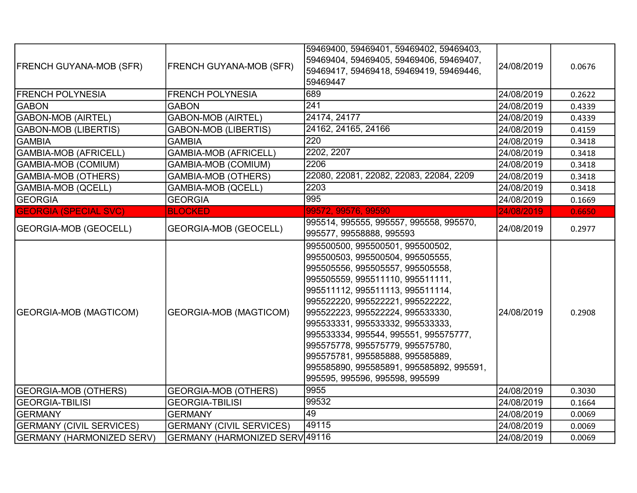| <b>FRENCH GUYANA-MOB (SFR)</b>   | <b>FRENCH GUYANA-MOB (SFR)</b>  | 59469400, 59469401, 59469402, 59469403,<br>59469404, 59469405, 59469406, 59469407,<br>59469417, 59469418, 59469419, 59469446,<br>59469447                                                                                                                                                                                                                                                                                                                                                      | 24/08/2019 | 0.0676 |
|----------------------------------|---------------------------------|------------------------------------------------------------------------------------------------------------------------------------------------------------------------------------------------------------------------------------------------------------------------------------------------------------------------------------------------------------------------------------------------------------------------------------------------------------------------------------------------|------------|--------|
| <b>FRENCH POLYNESIA</b>          | <b>FRENCH POLYNESIA</b>         | 689                                                                                                                                                                                                                                                                                                                                                                                                                                                                                            | 24/08/2019 | 0.2622 |
| <b>GABON</b>                     | <b>GABON</b>                    | 241                                                                                                                                                                                                                                                                                                                                                                                                                                                                                            | 24/08/2019 | 0.4339 |
| <b>GABON-MOB (AIRTEL)</b>        | <b>GABON-MOB (AIRTEL)</b>       | 24174, 24177                                                                                                                                                                                                                                                                                                                                                                                                                                                                                   | 24/08/2019 | 0.4339 |
| <b>GABON-MOB (LIBERTIS)</b>      | <b>GABON-MOB (LIBERTIS)</b>     | 24162, 24165, 24166                                                                                                                                                                                                                                                                                                                                                                                                                                                                            | 24/08/2019 | 0.4159 |
| <b>GAMBIA</b>                    | <b>GAMBIA</b>                   | 220                                                                                                                                                                                                                                                                                                                                                                                                                                                                                            | 24/08/2019 | 0.3418 |
| GAMBIA-MOB (AFRICELL)            | <b>GAMBIA-MOB (AFRICELL)</b>    | 2202, 2207                                                                                                                                                                                                                                                                                                                                                                                                                                                                                     | 24/08/2019 | 0.3418 |
| GAMBIA-MOB (COMIUM)              | <b>GAMBIA-MOB (COMIUM)</b>      | 2206                                                                                                                                                                                                                                                                                                                                                                                                                                                                                           | 24/08/2019 | 0.3418 |
| <b>GAMBIA-MOB (OTHERS)</b>       | <b>GAMBIA-MOB (OTHERS)</b>      | 22080, 22081, 22082, 22083, 22084, 2209                                                                                                                                                                                                                                                                                                                                                                                                                                                        | 24/08/2019 | 0.3418 |
| <b>GAMBIA-MOB (QCELL)</b>        | <b>GAMBIA-MOB (QCELL)</b>       | 2203                                                                                                                                                                                                                                                                                                                                                                                                                                                                                           | 24/08/2019 | 0.3418 |
| <b>GEORGIA</b>                   | <b>GEORGIA</b>                  | 995                                                                                                                                                                                                                                                                                                                                                                                                                                                                                            | 24/08/2019 | 0.1669 |
| <b>GEORGIA (SPECIAL SVC)</b>     | <b>BLOCKED</b>                  | 99572, 99576, 99590                                                                                                                                                                                                                                                                                                                                                                                                                                                                            | 24/08/2019 | 0.6650 |
| <b>GEORGIA-MOB (GEOCELL)</b>     | <b>GEORGIA-MOB (GEOCELL)</b>    | 995514, 995555, 995557, 995558, 995570,<br> 995577, 99558888, 995593                                                                                                                                                                                                                                                                                                                                                                                                                           | 24/08/2019 | 0.2977 |
| <b>GEORGIA-MOB (MAGTICOM)</b>    | <b>GEORGIA-MOB (MAGTICOM)</b>   | 995500500, 995500501, 995500502,<br>995500503, 995500504, 995505555,<br>995505556, 995505557, 995505558,<br>995505559, 995511110, 995511111,<br>995511112, 995511113, 995511114,<br>995522220, 995522221, 995522222,<br>995522223, 995522224, 995533330,<br> 995533331, 995533332, 995533333,<br>995533334, 995544, 995551, 995575777,<br>995575778, 995575779, 995575780,<br> 995575781, 995585888, 995585889,<br> 995585890, 995585891, 995585892, 995591,<br>995595, 995596, 995598, 995599 | 24/08/2019 | 0.2908 |
| <b>GEORGIA-MOB (OTHERS)</b>      | <b>GEORGIA-MOB (OTHERS)</b>     | 9955                                                                                                                                                                                                                                                                                                                                                                                                                                                                                           | 24/08/2019 | 0.3030 |
| <b>GEORGIA-TBILISI</b>           | <b>GEORGIA-TBILISI</b>          | 99532                                                                                                                                                                                                                                                                                                                                                                                                                                                                                          | 24/08/2019 | 0.1664 |
| <b>GERMANY</b>                   | <b>GERMANY</b>                  | 49                                                                                                                                                                                                                                                                                                                                                                                                                                                                                             | 24/08/2019 | 0.0069 |
| <b>GERMANY (CIVIL SERVICES)</b>  | <b>GERMANY (CIVIL SERVICES)</b> | 49115                                                                                                                                                                                                                                                                                                                                                                                                                                                                                          | 24/08/2019 | 0.0069 |
| <b>GERMANY (HARMONIZED SERV)</b> | GERMANY (HARMONIZED SERV 49116  |                                                                                                                                                                                                                                                                                                                                                                                                                                                                                                | 24/08/2019 | 0.0069 |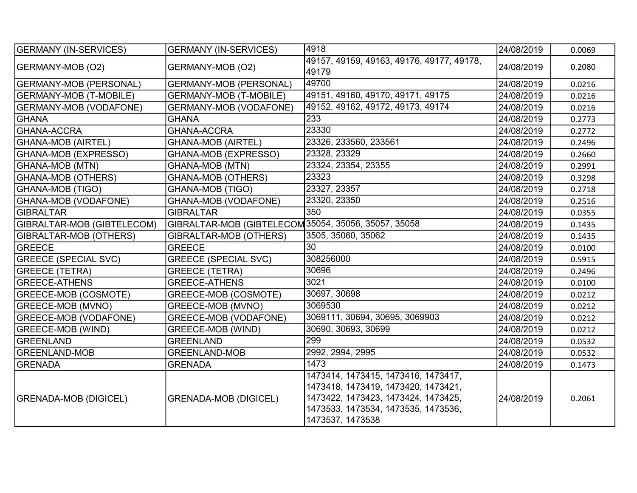| <b>GERMANY (IN-SERVICES)</b>  | <b>GERMANY (IN-SERVICES)</b>                         | 4918                                                                                                                                                                         | 24/08/2019 | 0.0069 |
|-------------------------------|------------------------------------------------------|------------------------------------------------------------------------------------------------------------------------------------------------------------------------------|------------|--------|
| GERMANY-MOB (O2)              | GERMANY-MOB (O2)                                     | 49157, 49159, 49163, 49176, 49177, 49178,<br>49179                                                                                                                           | 24/08/2019 | 0.2080 |
| GERMANY-MOB (PERSONAL)        | <b>GERMANY-MOB (PERSONAL)</b>                        | 49700                                                                                                                                                                        | 24/08/2019 | 0.0216 |
| <b>GERMANY-MOB (T-MOBILE)</b> | <b>GERMANY-MOB (T-MOBILE)</b>                        | 49151, 49160, 49170, 49171, 49175                                                                                                                                            | 24/08/2019 | 0.0216 |
| <b>GERMANY-MOB (VODAFONE)</b> | <b>GERMANY-MOB (VODAFONE)</b>                        | 49152, 49162, 49172, 49173, 49174                                                                                                                                            | 24/08/2019 | 0.0216 |
| <b>GHANA</b>                  | <b>GHANA</b>                                         | 233                                                                                                                                                                          | 24/08/2019 | 0.2773 |
| <b>GHANA-ACCRA</b>            | <b>GHANA-ACCRA</b>                                   | 23330                                                                                                                                                                        | 24/08/2019 | 0.2772 |
| <b>GHANA-MOB (AIRTEL)</b>     | <b>GHANA-MOB (AIRTEL)</b>                            | 23326, 233560, 233561                                                                                                                                                        | 24/08/2019 | 0.2496 |
| GHANA-MOB (EXPRESSO)          | GHANA-MOB (EXPRESSO)                                 | 23328, 23329                                                                                                                                                                 | 24/08/2019 | 0.2660 |
| <b>GHANA-MOB (MTN)</b>        | <b>GHANA-MOB (MTN)</b>                               | 23324, 23354, 23355                                                                                                                                                          | 24/08/2019 | 0.2991 |
| <b>GHANA-MOB (OTHERS)</b>     | <b>GHANA-MOB (OTHERS)</b>                            | 23323                                                                                                                                                                        | 24/08/2019 | 0.3298 |
| GHANA-MOB (TIGO)              | <b>GHANA-MOB (TIGO)</b>                              | 23327, 23357                                                                                                                                                                 | 24/08/2019 | 0.2718 |
| GHANA-MOB (VODAFONE)          | <b>GHANA-MOB (VODAFONE)</b>                          | 23320, 23350                                                                                                                                                                 | 24/08/2019 | 0.2516 |
| <b>GIBRALTAR</b>              | <b>GIBRALTAR</b>                                     | 350                                                                                                                                                                          | 24/08/2019 | 0.0355 |
| GIBRALTAR-MOB (GIBTELECOM)    | GIBRALTAR-MOB (GIBTELECOM 35054, 35056, 35057, 35058 |                                                                                                                                                                              | 24/08/2019 | 0.1435 |
| GIBRALTAR-MOB (OTHERS)        | GIBRALTAR-MOB (OTHERS)                               | 3505, 35060, 35062                                                                                                                                                           | 24/08/2019 | 0.1435 |
| GREECE                        | <b>GREECE</b>                                        | 30                                                                                                                                                                           | 24/08/2019 | 0.0100 |
| <b>GREECE (SPECIAL SVC)</b>   | <b>GREECE (SPECIAL SVC)</b>                          | 308256000                                                                                                                                                                    | 24/08/2019 | 0.5915 |
| <b>GREECE (TETRA)</b>         | <b>GREECE (TETRA)</b>                                | 30696                                                                                                                                                                        | 24/08/2019 | 0.2496 |
| <b>GREECE-ATHENS</b>          | <b>GREECE-ATHENS</b>                                 | 3021                                                                                                                                                                         | 24/08/2019 | 0.0100 |
| <b>GREECE-MOB (COSMOTE)</b>   | GREECE-MOB (COSMOTE)                                 | 30697, 30698                                                                                                                                                                 | 24/08/2019 | 0.0212 |
| <b>GREECE-MOB (MVNO)</b>      | GREECE-MOB (MVNO)                                    | 3069530                                                                                                                                                                      | 24/08/2019 | 0.0212 |
| GREECE-MOB (VODAFONE)         | <b>GREECE-MOB (VODAFONE)</b>                         | 3069111, 30694, 30695, 3069903                                                                                                                                               | 24/08/2019 | 0.0212 |
| <b>GREECE-MOB (WIND)</b>      | <b>GREECE-MOB (WIND)</b>                             | 30690, 30693, 30699                                                                                                                                                          | 24/08/2019 | 0.0212 |
| <b>GREENLAND</b>              | <b>GREENLAND</b>                                     | 299                                                                                                                                                                          | 24/08/2019 | 0.0532 |
| <b>GREENLAND-MOB</b>          | <b>GREENLAND-MOB</b>                                 | 2992, 2994, 2995                                                                                                                                                             | 24/08/2019 | 0.0532 |
| <b>GRENADA</b>                | <b>GRENADA</b>                                       | 1473                                                                                                                                                                         | 24/08/2019 | 0.1473 |
| <b>GRENADA-MOB (DIGICEL)</b>  | <b>GRENADA-MOB (DIGICEL)</b>                         | 1473414, 1473415, 1473416, 1473417,<br>1473418, 1473419, 1473420, 1473421,<br>1473422, 1473423, 1473424, 1473425,<br>1473533, 1473534, 1473535, 1473536,<br>1473537, 1473538 | 24/08/2019 | 0.2061 |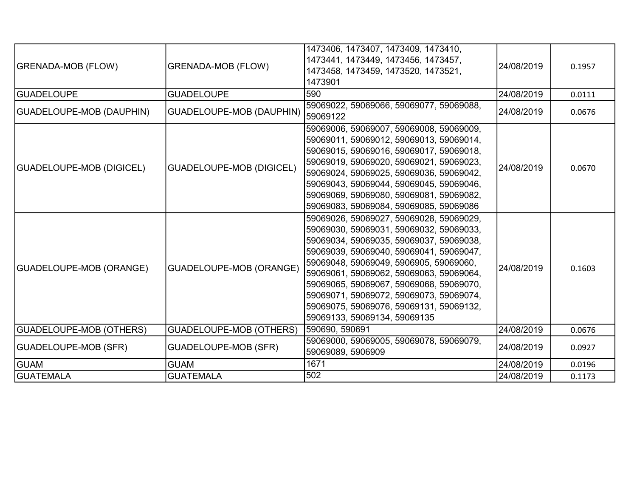| <b>GRENADA-MOB (FLOW)</b>      | <b>GRENADA-MOB (FLOW)</b>       | 1473406, 1473407, 1473409, 1473410,<br>1473441, 1473449, 1473456, 1473457,<br>1473458, 1473459, 1473520, 1473521,<br>1473901                                                                                                                                                                                                                                                                                                    | 24/08/2019 | 0.1957 |
|--------------------------------|---------------------------------|---------------------------------------------------------------------------------------------------------------------------------------------------------------------------------------------------------------------------------------------------------------------------------------------------------------------------------------------------------------------------------------------------------------------------------|------------|--------|
| <b>GUADELOUPE</b>              | <b>GUADELOUPE</b>               | 590                                                                                                                                                                                                                                                                                                                                                                                                                             | 24/08/2019 | 0.0111 |
| (GUADELOUPE-MOB (DAUPHIN)      | <b>GUADELOUPE-MOB (DAUPHIN)</b> | 59069022, 59069066, 59069077, 59069088,<br>59069122                                                                                                                                                                                                                                                                                                                                                                             | 24/08/2019 | 0.0676 |
| GUADELOUPE-MOB (DIGICEL)       | <b>GUADELOUPE-MOB (DIGICEL)</b> | 59069006, 59069007, 59069008, 59069009,<br>59069011, 59069012, 59069013, 59069014,<br>59069015, 59069016, 59069017, 59069018,<br>59069019, 59069020, 59069021, 59069023,<br> 59069024, 59069025, 59069036, 59069042,<br>59069043, 59069044, 59069045, 59069046,<br>59069069, 59069080, 59069081, 59069082,<br>59069083, 59069084, 59069085, 59069086                                                                            | 24/08/2019 | 0.0670 |
| GUADELOUPE-MOB (ORANGE)        | <b>GUADELOUPE-MOB (ORANGE)</b>  | 59069026, 59069027, 59069028, 59069029,<br>59069030, 59069031, 59069032, 59069033,<br>59069034, 59069035, 59069037, 59069038,<br>59069039, 59069040, 59069041, 59069047,<br>59069048, 59069049, 5906905, 59069060,<br> 59069061, 59069062, 59069063, 59069064,<br>59069065, 59069067, 59069068, 59069070,<br>59069071, 59069072, 59069073, 59069074,<br>59069075, 59069076, 59069131, 59069132,<br>59069133, 59069134, 59069135 | 24/08/2019 | 0.1603 |
| <b>GUADELOUPE-MOB (OTHERS)</b> | <b>GUADELOUPE-MOB (OTHERS)</b>  | 590690, 590691                                                                                                                                                                                                                                                                                                                                                                                                                  | 24/08/2019 | 0.0676 |
| <b>GUADELOUPE-MOB (SFR)</b>    | <b>GUADELOUPE-MOB (SFR)</b>     | 59069000, 59069005, 59069078, 59069079,<br>59069089, 5906909                                                                                                                                                                                                                                                                                                                                                                    | 24/08/2019 | 0.0927 |
| <b>GUAM</b>                    | <b>GUAM</b>                     | 1671                                                                                                                                                                                                                                                                                                                                                                                                                            | 24/08/2019 | 0.0196 |
| <b>GUATEMALA</b>               | <b>GUATEMALA</b>                | 502                                                                                                                                                                                                                                                                                                                                                                                                                             | 24/08/2019 | 0.1173 |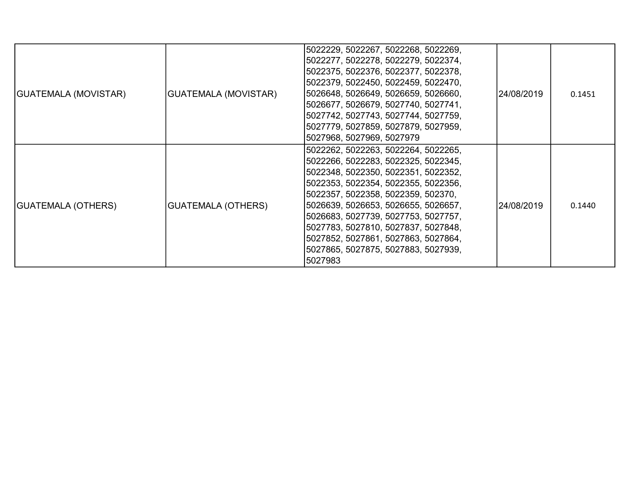| <b>GUATEMALA (MOVISTAR)</b> | <b>GUATEMALA (MOVISTAR)</b> | 5022229, 5022267, 5022268, 5022269,<br>5022277, 5022278, 5022279, 5022374,<br>5022375, 5022376, 5022377, 5022378,<br>5022379, 5022450, 5022459, 5022470,<br>5026648, 5026649, 5026659, 5026660,<br>5026677, 5026679, 5027740, 5027741,<br>5027742, 5027743, 5027744, 5027759,<br>5027779, 5027859, 5027879, 5027959,<br>5027968, 5027969, 5027979                                                            | 24/08/2019 | 0.1451 |
|-----------------------------|-----------------------------|--------------------------------------------------------------------------------------------------------------------------------------------------------------------------------------------------------------------------------------------------------------------------------------------------------------------------------------------------------------------------------------------------------------|------------|--------|
| GUATEMALA (OTHERS)          | <b>GUATEMALA (OTHERS)</b>   | 5022262, 5022263, 5022264, 5022265,<br>5022266, 5022283, 5022325, 5022345,<br>5022348, 5022350, 5022351, 5022352,<br>5022353, 5022354, 5022355, 5022356,<br>5022357, 5022358, 5022359, 502370,<br>5026639, 5026653, 5026655, 5026657,<br>5026683, 5027739, 5027753, 5027757,<br>5027783, 5027810, 5027837, 5027848,<br>5027852, 5027861, 5027863, 5027864,<br>5027865, 5027875, 5027883, 5027939,<br>5027983 | 24/08/2019 | 0.1440 |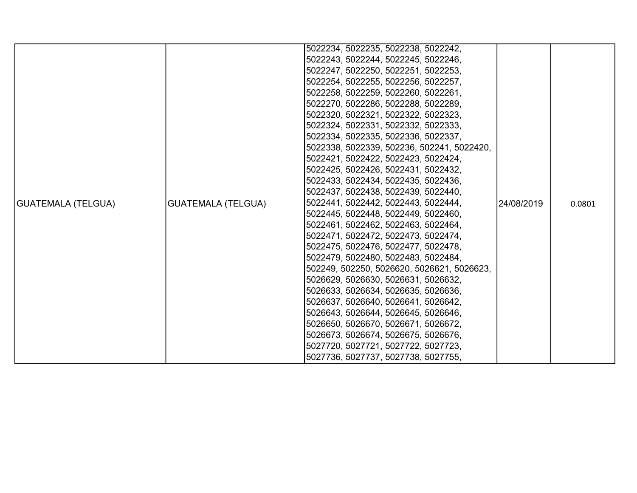|                    |                           | 5022234, 5022235, 5022238, 5022242,        |            |        |
|--------------------|---------------------------|--------------------------------------------|------------|--------|
|                    |                           | 5022243, 5022244, 5022245, 5022246,        |            |        |
|                    |                           | 5022247, 5022250, 5022251, 5022253,        |            |        |
|                    |                           | 5022254, 5022255, 5022256, 5022257,        |            |        |
|                    |                           | 5022258, 5022259, 5022260, 5022261,        |            |        |
|                    |                           | 5022270, 5022286, 5022288, 5022289,        |            |        |
|                    |                           | 5022320, 5022321, 5022322, 5022323,        |            |        |
|                    |                           | 5022324, 5022331, 5022332, 5022333,        |            |        |
|                    |                           | 5022334, 5022335, 5022336, 5022337,        |            |        |
|                    |                           | 5022338, 5022339, 502236, 502241, 5022420, |            |        |
|                    |                           | 5022421, 5022422, 5022423, 5022424,        |            |        |
|                    |                           | 5022425, 5022426, 5022431, 5022432,        |            |        |
|                    |                           | 5022433, 5022434, 5022435, 5022436,        |            |        |
|                    |                           | 5022437, 5022438, 5022439, 5022440,        |            |        |
| GUATEMALA (TELGUA) | <b>GUATEMALA (TELGUA)</b> | 5022441, 5022442, 5022443, 5022444,        | 24/08/2019 | 0.0801 |
|                    |                           | 5022445, 5022448, 5022449, 5022460,        |            |        |
|                    |                           | 5022461, 5022462, 5022463, 5022464,        |            |        |
|                    |                           | 5022471, 5022472, 5022473, 5022474,        |            |        |
|                    |                           | 5022475, 5022476, 5022477, 5022478,        |            |        |
|                    |                           | 5022479, 5022480, 5022483, 5022484,        |            |        |
|                    |                           | 502249, 502250, 5026620, 5026621, 5026623, |            |        |
|                    |                           | 5026629, 5026630, 5026631, 5026632,        |            |        |
|                    |                           | 5026633, 5026634, 5026635, 5026636,        |            |        |
|                    |                           | 5026637, 5026640, 5026641, 5026642,        |            |        |
|                    |                           | 5026643, 5026644, 5026645, 5026646,        |            |        |
|                    |                           | 5026650, 5026670, 5026671, 5026672,        |            |        |
|                    |                           | 5026673, 5026674, 5026675, 5026676,        |            |        |
|                    |                           | 5027720, 5027721, 5027722, 5027723,        |            |        |
|                    |                           | 5027736, 5027737, 5027738, 5027755,        |            |        |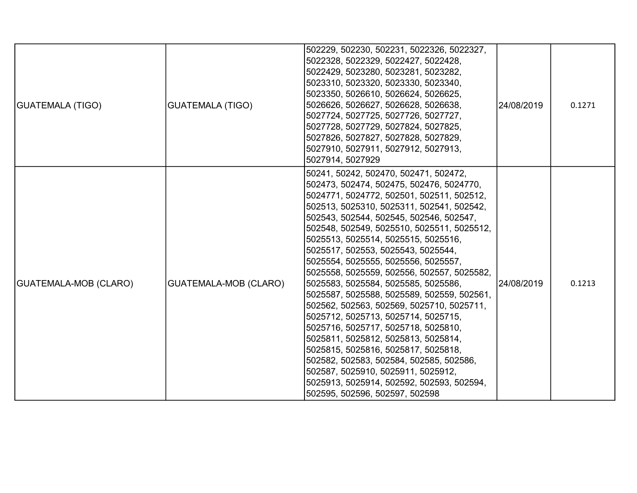| <b>GUATEMALA (TIGO)</b> | <b>GUATEMALA (TIGO)</b> | 502229, 502230, 502231, 5022326, 5022327,<br>5022328, 5022329, 5022427, 5022428,<br>5022429, 5023280, 5023281, 5023282,<br>5023310, 5023320, 5023330, 5023340,<br>5023350, 5026610, 5026624, 5026625,<br>5026626, 5026627, 5026628, 5026638,<br>5027724, 5027725, 5027726, 5027727,<br>5027728, 5027729, 5027824, 5027825,<br>5027826, 5027827, 5027828, 5027829,<br>5027910, 5027911, 5027912, 5027913,<br>5027914, 5027929                                                                                                                                                                                                                                                                                                                                                                                                                                                                         | 24/08/2019 | 0.1271 |
|-------------------------|-------------------------|------------------------------------------------------------------------------------------------------------------------------------------------------------------------------------------------------------------------------------------------------------------------------------------------------------------------------------------------------------------------------------------------------------------------------------------------------------------------------------------------------------------------------------------------------------------------------------------------------------------------------------------------------------------------------------------------------------------------------------------------------------------------------------------------------------------------------------------------------------------------------------------------------|------------|--------|
| GUATEMALA-MOB (CLARO)   | GUATEMALA-MOB (CLARO)   | 50241, 50242, 502470, 502471, 502472,<br>502473, 502474, 502475, 502476, 5024770,<br>5024771, 5024772, 502501, 502511, 502512,<br>502513, 5025310, 5025311, 502541, 502542,<br>502543, 502544, 502545, 502546, 502547,<br>502548, 502549, 5025510, 5025511, 5025512,<br>5025513, 5025514, 5025515, 5025516,<br>5025517, 502553, 5025543, 5025544,<br>5025554, 5025555, 5025556, 5025557,<br>5025558, 5025559, 502556, 502557, 5025582,<br>5025583, 5025584, 5025585, 5025586,<br>5025587, 5025588, 5025589, 502559, 502561,<br>502562, 502563, 502569, 5025710, 5025711,<br>5025712, 5025713, 5025714, 5025715,<br>5025716, 5025717, 5025718, 5025810,<br>5025811, 5025812, 5025813, 5025814,<br>5025815, 5025816, 5025817, 5025818,<br>502582, 502583, 502584, 502585, 502586,<br>502587, 5025910, 5025911, 5025912,<br>5025913, 5025914, 502592, 502593, 502594,<br>502595, 502596, 502597, 502598 | 24/08/2019 | 0.1213 |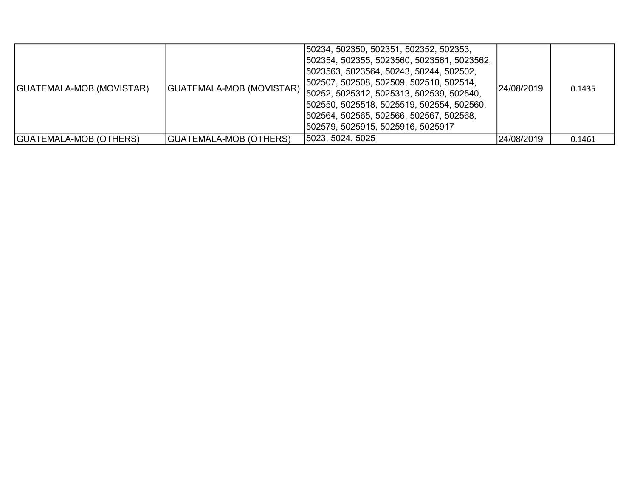| GUATEMALA-MOB (MOVISTAR)      | GUATEMALA-MOB (MOVISTAR) | 50234, 502350, 502351, 502352, 502353,<br> 502354, 502355, 5023560, 5023561, 5023562,<br> 5023563, 5023564, 50243, 50244, 502502,<br>[502507, 502508, 502509, 502510, 502514,<br> 50252, 5025312, 5025313, 502539, 502540,<br> 502550, 5025518, 5025519, 502554, 502560,<br> 502564, 502565, 502566, 502567, 502568,<br> 502579, 5025915, 5025916, 5025917 | 24/08/2019 | 0.1435 |
|-------------------------------|--------------------------|------------------------------------------------------------------------------------------------------------------------------------------------------------------------------------------------------------------------------------------------------------------------------------------------------------------------------------------------------------|------------|--------|
| <b>GUATEMALA-MOB (OTHERS)</b> | GUATEMALA-MOB (OTHERS)   | 5023, 5024, 5025                                                                                                                                                                                                                                                                                                                                           | 24/08/2019 | 0.1461 |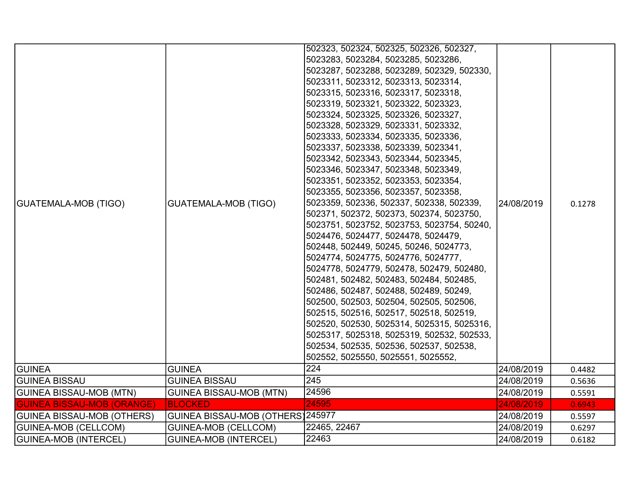|                                   |                                   | 502323, 502324, 502325, 502326, 502327,    |            |        |
|-----------------------------------|-----------------------------------|--------------------------------------------|------------|--------|
|                                   |                                   | 5023283, 5023284, 5023285, 5023286,        |            |        |
|                                   |                                   | 5023287, 5023288, 5023289, 502329, 502330, |            |        |
|                                   |                                   | 5023311, 5023312, 5023313, 5023314,        |            |        |
|                                   |                                   | 5023315, 5023316, 5023317, 5023318,        |            |        |
|                                   |                                   | 5023319, 5023321, 5023322, 5023323,        |            |        |
|                                   |                                   | 5023324, 5023325, 5023326, 5023327,        |            |        |
|                                   |                                   | 5023328, 5023329, 5023331, 5023332,        |            |        |
|                                   |                                   | 5023333, 5023334, 5023335, 5023336,        |            |        |
|                                   |                                   | 5023337, 5023338, 5023339, 5023341,        |            |        |
|                                   |                                   | 5023342, 5023343, 5023344, 5023345,        |            |        |
|                                   |                                   | 5023346, 5023347, 5023348, 5023349,        |            |        |
|                                   |                                   | 5023351, 5023352, 5023353, 5023354,        |            |        |
|                                   |                                   | 5023355, 5023356, 5023357, 5023358,        |            |        |
| <b>GUATEMALA-MOB (TIGO)</b>       | <b>GUATEMALA-MOB (TIGO)</b>       | 5023359, 502336, 502337, 502338, 502339,   | 24/08/2019 | 0.1278 |
|                                   |                                   | 502371, 502372, 502373, 502374, 5023750,   |            |        |
|                                   |                                   | 5023751, 5023752, 5023753, 5023754, 50240, |            |        |
|                                   |                                   | 5024476, 5024477, 5024478, 5024479,        |            |        |
|                                   |                                   | 502448, 502449, 50245, 50246, 5024773,     |            |        |
|                                   |                                   | 5024774, 5024775, 5024776, 5024777,        |            |        |
|                                   |                                   | 5024778, 5024779, 502478, 502479, 502480,  |            |        |
|                                   |                                   | 502481, 502482, 502483, 502484, 502485,    |            |        |
|                                   |                                   | 502486, 502487, 502488, 502489, 50249,     |            |        |
|                                   |                                   | 502500, 502503, 502504, 502505, 502506,    |            |        |
|                                   |                                   | 502515, 502516, 502517, 502518, 502519,    |            |        |
|                                   |                                   | 502520, 502530, 5025314, 5025315, 5025316, |            |        |
|                                   |                                   | 5025317, 5025318, 5025319, 502532, 502533, |            |        |
|                                   |                                   | 502534, 502535, 502536, 502537, 502538,    |            |        |
|                                   |                                   | 502552, 5025550, 5025551, 5025552,         |            |        |
| <b>GUINEA</b>                     | <b>GUINEA</b>                     | $\overline{224}$                           | 24/08/2019 | 0.4482 |
| <b>GUINEA BISSAU</b>              | <b>GUINEA BISSAU</b>              | 245                                        | 24/08/2019 | 0.5636 |
| <b>GUINEA BISSAU-MOB (MTN)</b>    | <b>GUINEA BISSAU-MOB (MTN)</b>    | 24596                                      | 24/08/2019 | 0.5591 |
| <b>GUINEA BISSAU-MOB (ORANGE)</b> | <b>BLOCKED</b>                    | 24595                                      | 24/08/2019 | 0.6943 |
| GUINEA BISSAU-MOB (OTHERS)        | GUINEA BISSAU-MOB (OTHERS) 245977 |                                            | 24/08/2019 | 0.5597 |
| <b>GUINEA-MOB (CELLCOM)</b>       | <b>GUINEA-MOB (CELLCOM)</b>       | 22465, 22467                               | 24/08/2019 | 0.6297 |
| GUINEA-MOB (INTERCEL)             | <b>GUINEA-MOB (INTERCEL)</b>      | 22463                                      | 24/08/2019 | 0.6182 |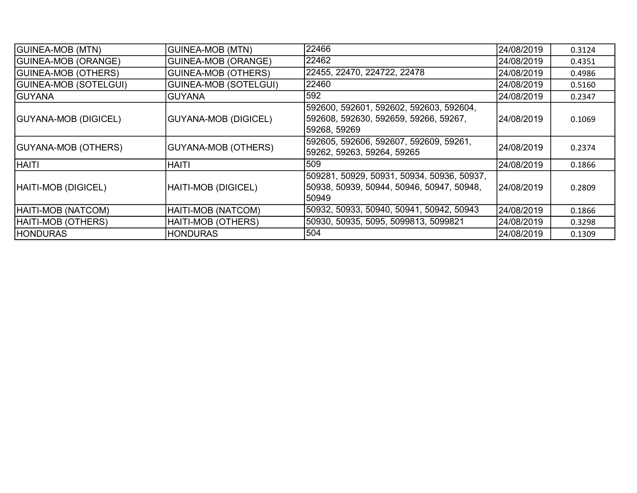| <b>GUINEA-MOB (MTN)</b>      | <b>GUINEA-MOB (MTN)</b>      | 22466                                                                                             | 24/08/2019  | 0.3124 |
|------------------------------|------------------------------|---------------------------------------------------------------------------------------------------|-------------|--------|
| <b>GUINEA-MOB (ORANGE)</b>   | <b>GUINEA-MOB (ORANGE)</b>   | 22462                                                                                             | 24/08/2019  | 0.4351 |
| <b>GUINEA-MOB (OTHERS)</b>   | <b>GUINEA-MOB (OTHERS)</b>   | 22455, 22470, 224722, 22478                                                                       | 24/08/2019  | 0.4986 |
| <b>GUINEA-MOB (SOTELGUI)</b> | <b>GUINEA-MOB (SOTELGUI)</b> | 22460                                                                                             | 24/08/2019  | 0.5160 |
| <b>GUYANA</b>                | <b>GUYANA</b>                | 592                                                                                               | 24/08/2019  | 0.2347 |
| <b>GUYANA-MOB (DIGICEL)</b>  | <b>GUYANA-MOB (DIGICEL)</b>  | 592600, 592601, 592602, 592603, 592604,<br> 592608, 592630, 592659, 59266, 59267,<br>59268, 59269 | 24/08/2019  | 0.1069 |
| <b>GUYANA-MOB (OTHERS)</b>   | <b>GUYANA-MOB (OTHERS)</b>   | 592605, 592606, 592607, 592609, 59261,<br>59262, 59263, 59264, 59265                              | 24/08/2019  | 0.2374 |
| <b>HAITI</b>                 | <b>HAITI</b>                 | 509                                                                                               | 24/08/2019  | 0.1866 |
| HAITI-MOB (DIGICEL)          | HAITI-MOB (DIGICEL)          | 509281, 50929, 50931, 50934, 50936, 50937,<br>50938, 50939, 50944, 50946, 50947, 50948,<br>50949  | l24/08/2019 | 0.2809 |
| HAITI-MOB (NATCOM)           | HAITI-MOB (NATCOM)           | 50932, 50933, 50940, 50941, 50942, 50943                                                          | 24/08/2019  | 0.1866 |
| HAITI-MOB (OTHERS)           | HAITI-MOB (OTHERS)           | 50930, 50935, 5095, 5099813, 5099821                                                              | 24/08/2019  | 0.3298 |
| <b>HONDURAS</b>              | <b>HONDURAS</b>              | 504                                                                                               | 24/08/2019  | 0.1309 |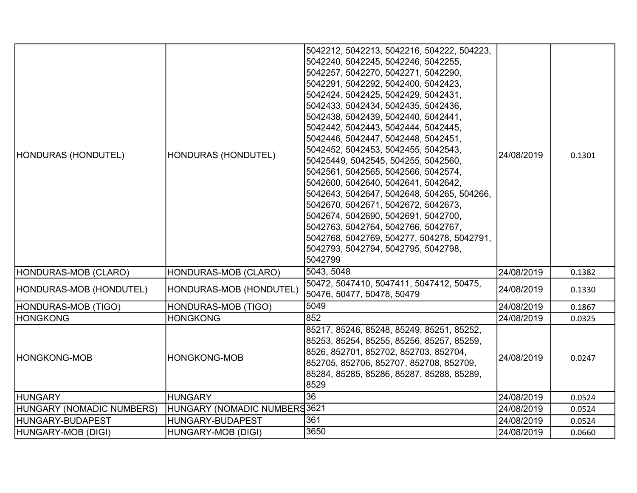| HONDURAS (HONDUTEL)       | HONDURAS (HONDUTEL)          | 5042212, 5042213, 5042216, 504222, 504223,<br>5042240, 5042245, 5042246, 5042255,<br>5042257, 5042270, 5042271, 5042290,<br>5042291, 5042292, 5042400, 5042423,<br>5042424, 5042425, 5042429, 5042431,<br>5042433, 5042434, 5042435, 5042436,<br>5042438, 5042439, 5042440, 5042441,<br>5042442, 5042443, 5042444, 5042445,<br>5042446, 5042447, 5042448, 5042451,<br>5042452, 5042453, 5042455, 5042543,<br>50425449, 5042545, 504255, 5042560,<br>5042561, 5042565, 5042566, 5042574,<br>5042600, 5042640, 5042641, 5042642,<br>5042643, 5042647, 5042648, 504265, 504266,<br>5042670, 5042671, 5042672, 5042673,<br>5042674, 5042690, 5042691, 5042700,<br>5042763, 5042764, 5042766, 5042767,<br>5042768, 5042769, 504277, 504278, 5042791,<br>5042793, 5042794, 5042795, 5042798,<br>5042799 | 24/08/2019 | 0.1301 |
|---------------------------|------------------------------|---------------------------------------------------------------------------------------------------------------------------------------------------------------------------------------------------------------------------------------------------------------------------------------------------------------------------------------------------------------------------------------------------------------------------------------------------------------------------------------------------------------------------------------------------------------------------------------------------------------------------------------------------------------------------------------------------------------------------------------------------------------------------------------------------|------------|--------|
| HONDURAS-MOB (CLARO)      | HONDURAS-MOB (CLARO)         | 5043, 5048                                                                                                                                                                                                                                                                                                                                                                                                                                                                                                                                                                                                                                                                                                                                                                                        | 24/08/2019 | 0.1382 |
| HONDURAS-MOB (HONDUTEL)   | HONDURAS-MOB (HONDUTEL)      | 50472, 5047410, 5047411, 5047412, 50475,<br>50476, 50477, 50478, 50479                                                                                                                                                                                                                                                                                                                                                                                                                                                                                                                                                                                                                                                                                                                            | 24/08/2019 | 0.1330 |
| HONDURAS-MOB (TIGO)       | HONDURAS-MOB (TIGO)          | 5049                                                                                                                                                                                                                                                                                                                                                                                                                                                                                                                                                                                                                                                                                                                                                                                              | 24/08/2019 | 0.1867 |
| <b>IHONGKONG</b>          | <b>HONGKONG</b>              | 852                                                                                                                                                                                                                                                                                                                                                                                                                                                                                                                                                                                                                                                                                                                                                                                               | 24/08/2019 | 0.0325 |
| HONGKONG-MOB              | <b>HONGKONG-MOB</b>          | 85217, 85246, 85248, 85249, 85251, 85252,<br>85253, 85254, 85255, 85256, 85257, 85259,<br>8526, 852701, 852702, 852703, 852704,<br>852705, 852706, 852707, 852708, 852709,<br>85284, 85285, 85286, 85287, 85288, 85289,<br>8529                                                                                                                                                                                                                                                                                                                                                                                                                                                                                                                                                                   | 24/08/2019 | 0.0247 |
| <b>HUNGARY</b>            | <b>HUNGARY</b>               | 36                                                                                                                                                                                                                                                                                                                                                                                                                                                                                                                                                                                                                                                                                                                                                                                                | 24/08/2019 | 0.0524 |
| HUNGARY (NOMADIC NUMBERS) | HUNGARY (NOMADIC NUMBERS3621 |                                                                                                                                                                                                                                                                                                                                                                                                                                                                                                                                                                                                                                                                                                                                                                                                   | 24/08/2019 | 0.0524 |
| HUNGARY-BUDAPEST          | HUNGARY-BUDAPEST             | 361                                                                                                                                                                                                                                                                                                                                                                                                                                                                                                                                                                                                                                                                                                                                                                                               | 24/08/2019 | 0.0524 |
| HUNGARY-MOB (DIGI)        | HUNGARY-MOB (DIGI)           | 3650                                                                                                                                                                                                                                                                                                                                                                                                                                                                                                                                                                                                                                                                                                                                                                                              | 24/08/2019 | 0.0660 |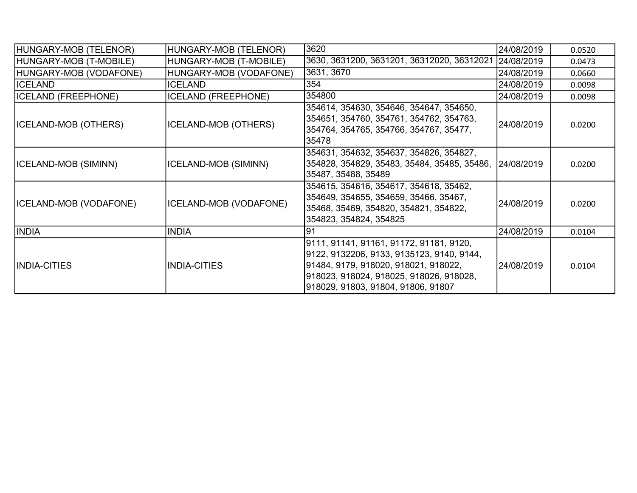| HUNGARY-MOB (TELENOR)       | HUNGARY-MOB (TELENOR)      | 3620                                                                                                                                                                                                           | 24/08/2019  | 0.0520 |
|-----------------------------|----------------------------|----------------------------------------------------------------------------------------------------------------------------------------------------------------------------------------------------------------|-------------|--------|
| HUNGARY-MOB (T-MOBILE)      | HUNGARY-MOB (T-MOBILE)     | 3630, 3631200, 3631201, 36312020, 36312021                                                                                                                                                                     | 24/08/2019  | 0.0473 |
| HUNGARY-MOB (VODAFONE)      | HUNGARY-MOB (VODAFONE)     | 3631, 3670                                                                                                                                                                                                     | 24/08/2019  | 0.0660 |
| <b>ICELAND</b>              | <b>ICELAND</b>             | 354                                                                                                                                                                                                            | 24/08/2019  | 0.0098 |
| <b>ICELAND (FREEPHONE)</b>  | <b>ICELAND (FREEPHONE)</b> | 354800                                                                                                                                                                                                         | 24/08/2019  | 0.0098 |
| <b>ICELAND-MOB (OTHERS)</b> | ICELAND-MOB (OTHERS)       | 354614, 354630, 354646, 354647, 354650,<br>354651, 354760, 354761, 354762, 354763,<br>354764, 354765, 354766, 354767, 35477,<br>35478                                                                          | 24/08/2019  | 0.0200 |
| ICELAND-MOB (SIMINN)        | ICELAND-MOB (SIMINN)       | 354631, 354632, 354637, 354826, 354827,<br>354828, 354829, 35483, 35484, 35485, 35486,<br>35487, 35488, 35489                                                                                                  | 24/08/2019  | 0.0200 |
| ICELAND-MOB (VODAFONE)      | ICELAND-MOB (VODAFONE)     | 354615, 354616, 354617, 354618, 35462,<br>354649, 354655, 354659, 35466, 35467,<br>35468, 35469, 354820, 354821, 354822,<br>354823, 354824, 354825                                                             | 24/08/2019  | 0.0200 |
| <b>INDIA</b>                | <b>INDIA</b>               | 191                                                                                                                                                                                                            | 24/08/2019  | 0.0104 |
| <b>INDIA-CITIES</b>         | INDIA-CITIES               | 9111, 91141, 91161, 91172, 91181, 9120,<br>9122, 9132206, 9133, 9135123, 9140, 9144,<br> 91484, 9179, 918020, 918021, 918022,<br>918023, 918024, 918025, 918026, 918028,<br>918029, 91803, 91804, 91806, 91807 | l24/08/2019 | 0.0104 |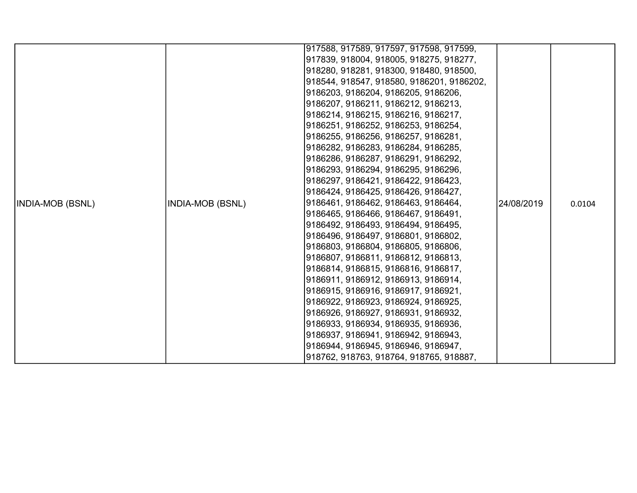|                         |                         | 917588, 917589, 917597, 917598, 917599,   |            |        |
|-------------------------|-------------------------|-------------------------------------------|------------|--------|
|                         |                         | 917839, 918004, 918005, 918275, 918277,   |            |        |
|                         |                         |                                           |            |        |
|                         |                         | 918280, 918281, 918300, 918480, 918500,   |            |        |
|                         |                         | 918544, 918547, 918580, 9186201, 9186202, |            |        |
|                         |                         | 9186203, 9186204, 9186205, 9186206,       |            |        |
|                         |                         | 9186207, 9186211, 9186212, 9186213,       |            |        |
|                         |                         | 9186214, 9186215, 9186216, 9186217,       |            |        |
|                         |                         | 9186251, 9186252, 9186253, 9186254,       |            |        |
|                         |                         | 9186255, 9186256, 9186257, 9186281,       |            |        |
|                         |                         | 9186282, 9186283, 9186284, 9186285,       |            |        |
|                         |                         | 9186286, 9186287, 9186291, 9186292,       |            |        |
|                         |                         | 9186293, 9186294, 9186295, 9186296,       |            |        |
|                         |                         | 9186297, 9186421, 9186422, 9186423,       |            |        |
|                         |                         | 9186424, 9186425, 9186426, 9186427,       |            |        |
| <b>INDIA-MOB (BSNL)</b> | <b>INDIA-MOB (BSNL)</b> | 9186461, 9186462, 9186463, 9186464,       |            | 0.0104 |
|                         |                         | 9186465, 9186466, 9186467, 9186491,       |            |        |
|                         |                         | 9186492, 9186493, 9186494, 9186495,       |            |        |
|                         |                         | 9186496, 9186497, 9186801, 9186802,       |            |        |
|                         |                         | 9186803, 9186804, 9186805, 9186806,       |            |        |
|                         |                         | 9186807, 9186811, 9186812, 9186813,       |            |        |
|                         |                         | 9186814, 9186815, 9186816, 9186817,       | 24/08/2019 |        |
|                         |                         | 9186911, 9186912, 9186913, 9186914,       |            |        |
|                         |                         | 9186915, 9186916, 9186917, 9186921,       |            |        |
|                         |                         | 9186922, 9186923, 9186924, 9186925,       |            |        |
|                         |                         | 9186926, 9186927, 9186931, 9186932,       |            |        |
|                         |                         | 9186933, 9186934, 9186935, 9186936,       |            |        |
|                         |                         | 9186937, 9186941, 9186942, 9186943,       |            |        |
|                         |                         | 9186944, 9186945, 9186946, 9186947,       |            |        |
|                         |                         | 918762, 918763, 918764, 918765, 918887,   |            |        |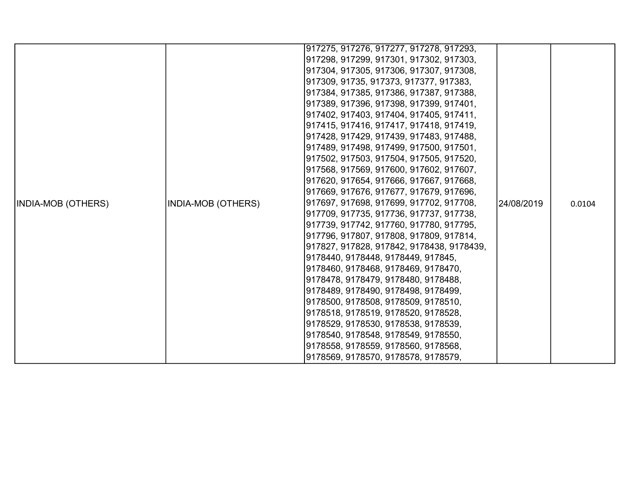|                           |                           | 917275, 917276, 917277, 917278, 917293,   |            |        |
|---------------------------|---------------------------|-------------------------------------------|------------|--------|
|                           |                           | 917298, 917299, 917301, 917302, 917303,   |            |        |
|                           |                           |                                           |            |        |
|                           |                           | 917304, 917305, 917306, 917307, 917308,   |            |        |
|                           |                           | 917309, 91735, 917373, 917377, 917383,    |            |        |
|                           |                           | 917384, 917385, 917386, 917387, 917388,   |            |        |
|                           |                           | 917389, 917396, 917398, 917399, 917401,   |            |        |
|                           |                           | 917402, 917403, 917404, 917405, 917411,   |            |        |
|                           |                           | 917415, 917416, 917417, 917418, 917419,   |            |        |
|                           |                           | 917428, 917429, 917439, 917483, 917488,   |            |        |
|                           |                           | 917489, 917498, 917499, 917500, 917501,   |            |        |
|                           |                           | 917502, 917503, 917504, 917505, 917520,   |            | 0.0104 |
|                           |                           | 917568, 917569, 917600, 917602, 917607,   |            |        |
|                           |                           | 917620, 917654, 917666, 917667, 917668,   |            |        |
|                           | <b>INDIA-MOB (OTHERS)</b> | 917669, 917676, 917677, 917679, 917696,   |            |        |
| <b>INDIA-MOB (OTHERS)</b> |                           | 917697, 917698, 917699, 917702, 917708,   | 24/08/2019 |        |
|                           |                           | 917709, 917735, 917736, 917737, 917738,   |            |        |
|                           |                           | 917739, 917742, 917760, 917780, 917795,   |            |        |
|                           |                           | 917796, 917807, 917808, 917809, 917814,   |            |        |
|                           |                           | 917827, 917828, 917842, 9178438, 9178439, |            |        |
|                           |                           | 9178440, 9178448, 9178449, 917845,        |            |        |
|                           |                           | 9178460, 9178468, 9178469, 9178470,       |            |        |
|                           |                           | 9178478, 9178479, 9178480, 9178488,       |            |        |
|                           |                           | 9178489, 9178490, 9178498, 9178499,       |            |        |
|                           |                           | 9178500, 9178508, 9178509, 9178510,       |            |        |
|                           |                           | 9178518, 9178519, 9178520, 9178528,       |            |        |
|                           |                           | 9178529, 9178530, 9178538, 9178539,       |            |        |
|                           |                           | 9178540, 9178548, 9178549, 9178550,       |            |        |
|                           |                           | 9178558, 9178559, 9178560, 9178568,       |            |        |
|                           |                           | 9178569, 9178570, 9178578, 9178579,       |            |        |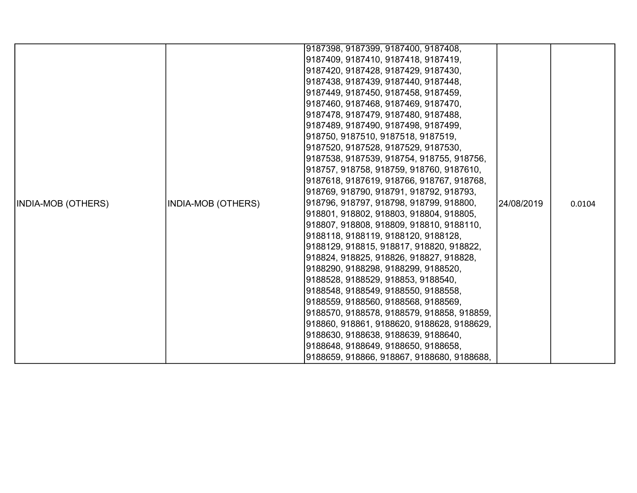| <b>INDIA-MOB (OTHERS)</b> | <b>INDIA-MOB (OTHERS)</b> | 9187398, 9187399, 9187400, 9187408,<br> 9187409, 9187410, 9187418, 9187419,<br> 9187420, 9187428, 9187429, 9187430,<br> 9187438, 9187439, 9187440, 9187448,<br> 9187449, 9187450, 9187458, 9187459,<br> 9187460, 9187468, 9187469, 9187470,<br> 9187478, 9187479, 9187480, 9187488,<br> 9187489, 9187490, 9187498, 9187499,<br> 918750, 9187510, 9187518, 9187519,<br> 9187520, 9187528, 9187529, 9187530,<br> 9187538, 9187539, 918754, 918755, 918756,<br> 918757, 918758, 918759, 918760, 9187610,<br> 9187618, 9187619, 918766, 918767, 918768,<br> 918769, 918790, 918791, 918792, 918793,<br> 918796, 918797, 918798, 918799, 918800,<br> 918801, 918802, 918803, 918804, 918805,<br>918807, 918808, 918809, 918810, 9188110,<br> 9188118, 9188119, 9188120, 9188128,<br> 9188129, 918815, 918817, 918820, 918822,<br> 918824, 918825, 918826, 918827, 918828,<br> 9188290, 9188298, 9188299, 9188520,<br> 9188528, 9188529, 918853, 9188540,<br> 9188548, 9188549, 9188550, 9188558, | 24/08/2019 | 0.0104 |
|---------------------------|---------------------------|---------------------------------------------------------------------------------------------------------------------------------------------------------------------------------------------------------------------------------------------------------------------------------------------------------------------------------------------------------------------------------------------------------------------------------------------------------------------------------------------------------------------------------------------------------------------------------------------------------------------------------------------------------------------------------------------------------------------------------------------------------------------------------------------------------------------------------------------------------------------------------------------------------------------------------------------------------------------------------------------|------------|--------|
|                           |                           | 9188559, 9188560, 9188568, 9188569,<br> 9188570, 9188578, 9188579, 918858, 918859,<br> 918860, 918861, 9188620, 9188628, 9188629,<br> 9188630, 9188638, 9188639, 9188640,<br> 9188648, 9188649, 9188650, 9188658,<br>9188659, 918866, 918867, 9188680, 9188688,                                                                                                                                                                                                                                                                                                                                                                                                                                                                                                                                                                                                                                                                                                                             |            |        |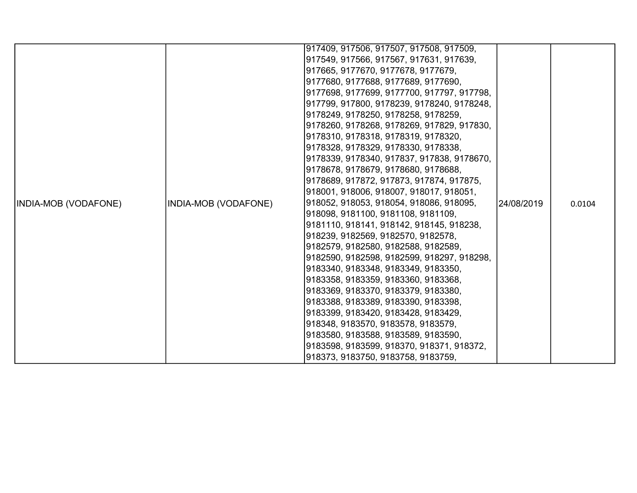|                             |                      | 917409, 917506, 917507, 917508, 917509,    |            |        |
|-----------------------------|----------------------|--------------------------------------------|------------|--------|
|                             |                      | 917549, 917566, 917567, 917631, 917639,    |            |        |
|                             |                      | 917665, 9177670, 9177678, 9177679,         |            |        |
|                             |                      | 9177680, 9177688, 9177689, 9177690,        |            |        |
|                             |                      | 9177698, 9177699, 9177700, 917797, 917798, |            |        |
|                             |                      | 917799, 917800, 9178239, 9178240, 9178248, |            |        |
|                             |                      | 9178249, 9178250, 9178258, 9178259,        |            |        |
|                             |                      | 9178260, 9178268, 9178269, 917829, 917830, |            |        |
|                             |                      | 9178310, 9178318, 9178319, 9178320,        |            |        |
|                             |                      | 9178328, 9178329, 9178330, 9178338,        |            |        |
|                             |                      | 9178339, 9178340, 917837, 917838, 9178670, |            |        |
|                             |                      | 9178678, 9178679, 9178680, 9178688,        |            |        |
|                             |                      | 9178689, 917872, 917873, 917874, 917875,   |            |        |
|                             |                      | 918001, 918006, 918007, 918017, 918051,    |            |        |
| <b>INDIA-MOB (VODAFONE)</b> | INDIA-MOB (VODAFONE) | 918052, 918053, 918054, 918086, 918095,    | 24/08/2019 | 0.0104 |
|                             |                      | 918098, 9181100, 9181108, 9181109,         |            |        |
|                             |                      | 9181110, 918141, 918142, 918145, 918238,   |            |        |
|                             |                      | 918239, 9182569, 9182570, 9182578,         |            |        |
|                             |                      | 9182579, 9182580, 9182588, 9182589,        |            |        |
|                             |                      | 9182590, 9182598, 9182599, 918297, 918298, |            |        |
|                             |                      | 9183340, 9183348, 9183349, 9183350,        |            |        |
|                             |                      | 9183358, 9183359, 9183360, 9183368,        |            |        |
|                             |                      | 9183369, 9183370, 9183379, 9183380,        |            |        |
|                             |                      | 9183388, 9183389, 9183390, 9183398,        |            |        |
|                             |                      | 9183399, 9183420, 9183428, 9183429,        |            |        |
|                             |                      | 918348, 9183570, 9183578, 9183579,         |            |        |
|                             |                      | 9183580, 9183588, 9183589, 9183590,        |            |        |
|                             |                      | 9183598, 9183599, 918370, 918371, 918372,  |            |        |
|                             |                      | 918373, 9183750, 9183758, 9183759,         |            |        |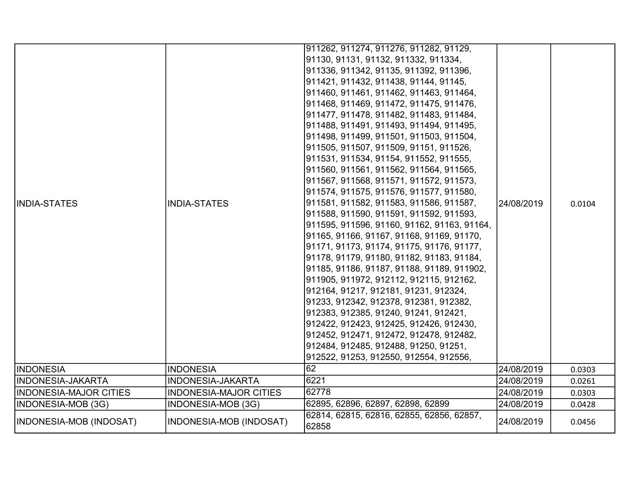| <b>IINDIA-STATES</b>          | <b>INDIA-STATES</b>           | 911262, 911274, 911276, 911282, 91129,<br>91130, 91131, 91132, 911332, 911334,<br>911336, 911342, 91135, 911392, 911396,<br>911421, 911432, 911438, 91144, 91145,<br>911460, 911461, 911462, 911463, 911464,<br>911468, 911469, 911472, 911475, 911476,<br>911477, 911478, 911482, 911483, 911484,<br>911488, 911491, 911493, 911494, 911495,<br>911498, 911499, 911501, 911503, 911504,<br>911505, 911507, 911509, 91151, 911526,<br>911531, 911534, 91154, 911552, 911555,<br>911560, 911561, 911562, 911564, 911565,<br>911567, 911568, 911571, 911572, 911573,<br> 911574, 911575, 911576, 911577, 911580,<br>911581, 911582, 911583, 911586, 911587,<br>911588, 911590, 911591, 911592, 911593,<br>911595, 911596, 91160, 91162, 91163, 91164,<br>91165, 91166, 91167, 91168, 91169, 91170,<br>91171, 91173, 91174, 91175, 91176, 91177,<br>91178, 91179, 91180, 91182, 91183, 91184,<br>91185, 91186, 91187, 91188, 91189, 911902,<br>911905, 911972, 912112, 912115, 912162,<br>912164, 91217, 912181, 91231, 912324,<br>91233, 912342, 912378, 912381, 912382,<br>912383, 912385, 91240, 91241, 912421,<br>912422, 912423, 912425, 912426, 912430,<br>912452, 912471, 912472, 912478, 912482,<br>912484, 912485, 912488, 91250, 91251,<br>912522, 91253, 912550, 912554, 912556, | 24/08/2019 | 0.0104 |
|-------------------------------|-------------------------------|------------------------------------------------------------------------------------------------------------------------------------------------------------------------------------------------------------------------------------------------------------------------------------------------------------------------------------------------------------------------------------------------------------------------------------------------------------------------------------------------------------------------------------------------------------------------------------------------------------------------------------------------------------------------------------------------------------------------------------------------------------------------------------------------------------------------------------------------------------------------------------------------------------------------------------------------------------------------------------------------------------------------------------------------------------------------------------------------------------------------------------------------------------------------------------------------------------------------------------------------------------------------------------------|------------|--------|
| <b>INDONESIA</b>              | <b>INDONESIA</b>              | 62                                                                                                                                                                                                                                                                                                                                                                                                                                                                                                                                                                                                                                                                                                                                                                                                                                                                                                                                                                                                                                                                                                                                                                                                                                                                                       | 24/08/2019 | 0.0303 |
| INDONESIA-JAKARTA             | <b>INDONESIA-JAKARTA</b>      | 6221                                                                                                                                                                                                                                                                                                                                                                                                                                                                                                                                                                                                                                                                                                                                                                                                                                                                                                                                                                                                                                                                                                                                                                                                                                                                                     | 24/08/2019 | 0.0261 |
| <b>INDONESIA-MAJOR CITIES</b> | <b>INDONESIA-MAJOR CITIES</b> | 62778                                                                                                                                                                                                                                                                                                                                                                                                                                                                                                                                                                                                                                                                                                                                                                                                                                                                                                                                                                                                                                                                                                                                                                                                                                                                                    | 24/08/2019 | 0.0303 |
| INDONESIA-MOB (3G)            | INDONESIA-MOB (3G)            | 62895, 62896, 62897, 62898, 62899                                                                                                                                                                                                                                                                                                                                                                                                                                                                                                                                                                                                                                                                                                                                                                                                                                                                                                                                                                                                                                                                                                                                                                                                                                                        | 24/08/2019 | 0.0428 |
| INDONESIA-MOB (INDOSAT)       | INDONESIA-MOB (INDOSAT)       | 62814, 62815, 62816, 62855, 62856, 62857,<br>62858                                                                                                                                                                                                                                                                                                                                                                                                                                                                                                                                                                                                                                                                                                                                                                                                                                                                                                                                                                                                                                                                                                                                                                                                                                       | 24/08/2019 | 0.0456 |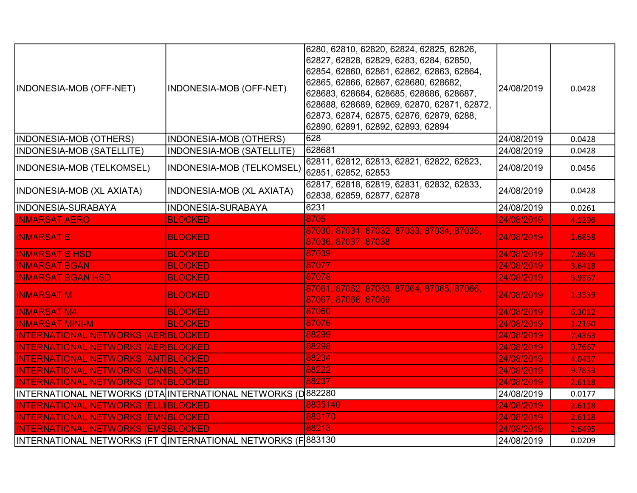|                                                              |                           | 6280, 62810, 62820, 62824, 62825, 62826,                         |            |        |
|--------------------------------------------------------------|---------------------------|------------------------------------------------------------------|------------|--------|
|                                                              |                           | 62827, 62828, 62829, 6283, 6284, 62850,                          |            |        |
|                                                              |                           | 62854, 62860, 62861, 62862, 62863, 62864,                        |            |        |
| INDONESIA-MOB (OFF-NET)                                      | INDONESIA-MOB (OFF-NET)   | 62865, 62866, 62867, 628680, 628682,                             | 24/08/2019 | 0.0428 |
|                                                              |                           | 628683, 628684, 628685, 628686, 628687,                          |            |        |
|                                                              |                           | 628688, 628689, 62869, 62870, 62871, 62872,                      |            |        |
|                                                              |                           | 62873, 62874, 62875, 62876, 62879, 6288,                         |            |        |
|                                                              |                           | 62890, 62891, 62892, 62893, 62894                                |            |        |
| INDONESIA-MOB (OTHERS)                                       | INDONESIA-MOB (OTHERS)    | 628                                                              | 24/08/2019 | 0.0428 |
| <b>INDONESIA-MOB (SATELLITE)</b>                             | INDONESIA-MOB (SATELLITE) | 628681                                                           | 24/08/2019 | 0.0428 |
| <b>INDONESIA-MOB (TELKOMSEL)</b>                             | INDONESIA-MOB (TELKOMSEL) | 62811, 62812, 62813, 62821, 62822, 62823,<br>62851, 62852, 62853 | 24/08/2019 | 0.0456 |
|                                                              |                           | 62817, 62818, 62819, 62831, 62832, 62833,                        |            |        |
| INDONESIA-MOB (XL AXIATA)                                    | INDONESIA-MOB (XL AXIATA) | 62838, 62859, 62877, 62878                                       | 24/08/2019 | 0.0428 |
| INDONESIA-SURABAYA                                           | <b>INDONESIA-SURABAYA</b> | 6231                                                             | 24/08/2019 | 0.0261 |
| <b>INMARSAT AERO</b>                                         | <b>BLOCKED</b>            | 8705                                                             | 24/08/2019 | 4.1296 |
| <b>INMARSAT B</b>                                            | <b>BLOCKED</b>            | 87030, 87031, 87032, 87033, 87034, 87035,                        | 24/08/2019 | 1.6858 |
|                                                              |                           | 87036, 87037, 87038                                              |            |        |
| <b>INMARSAT B HSD</b>                                        | <b>BLOCKED</b>            | 87039                                                            | 24/08/2019 | 7.8905 |
| <b>INMARSAT BGAN</b>                                         | <b>BLOCKED</b>            | 87077                                                            | 24/08/2019 | 3.6418 |
| <b>INMARSAT BGAN HSD</b>                                     | <b>BLOCKED</b>            | 87078                                                            | 24/08/2019 | 5.9367 |
| <b>INMARSAT M</b>                                            | <b>BLOCKED</b>            | 87061, 87062, 87063, 87064, 87065, 87066,<br>87067, 87068, 87069 | 24/08/2019 | 1.3339 |
| <b>INMARSAT M4</b>                                           | <b>BLOCKED</b>            | 87060                                                            | 24/08/2019 | 6.3012 |
| <b>INMARSAT MINI-M</b>                                       | <b>BLOCKED</b>            | 87076                                                            | 24/08/2019 | 1.2150 |
| <b>INTERNATIONAL NETWORKS (AER BLOCKED</b>                   |                           | 88299                                                            | 24/08/2019 | 7.4363 |
| <b>INTERNATIONAL NETWORKS (AER BLOCKED</b>                   |                           | 88298                                                            | 24/08/2019 | 0.7667 |
| <b>INTERNATIONAL NETWORKS (ANT BLOCKED)</b>                  |                           | 88234                                                            | 24/08/2019 | 4.0437 |
| <b>INTERNATIONAL NETWORKS (CANBLOCKED)</b>                   |                           | 88222                                                            | 24/08/2019 | 9.7833 |
| <b>INTERNATIONAL NETWORKS (CINOBLOCKED)</b>                  |                           | 88237                                                            | 24/08/2019 | 2.6118 |
| INTERNATIONAL NETWORKS (DTA INTERNATIONAL NETWORKS (D 882280 |                           |                                                                  | 24/08/2019 | 0.0177 |
| <b>INTERNATIONAL NETWORKS (ELLIBLOCKED)</b>                  |                           | 8835140                                                          | 24/08/2019 | 2.6118 |
| <b>INTERNATIONAL NETWORKS (EMNBLOCKED)</b>                   |                           | 883170                                                           | 24/08/2019 | 2.6118 |
| <b>INTERNATIONAL NETWORKS (EMSBLOCKED)</b>                   |                           | 88213                                                            | 24/08/2019 | 2.6495 |
| INTERNATIONAL NETWORKS (FT CINTERNATIONAL NETWORKS (F 883130 |                           |                                                                  | 24/08/2019 | 0.0209 |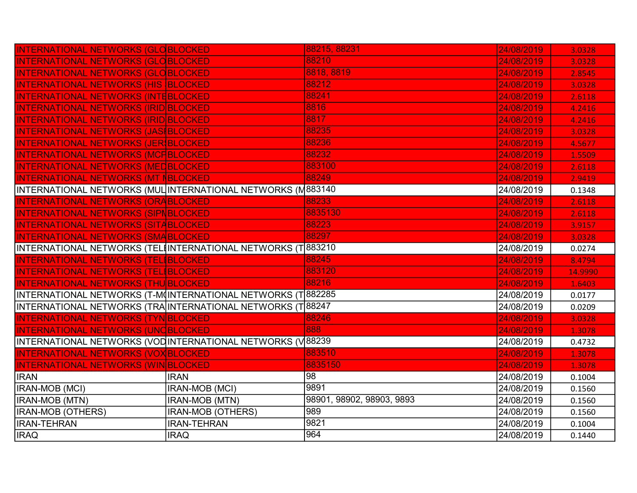| <b>INTERNATIONAL NETWORKS (GLOBLOCKED</b>                    |                       | 88215, 88231              | 24/08/2019 | 3.0328  |
|--------------------------------------------------------------|-----------------------|---------------------------|------------|---------|
| <b>INTERNATIONAL NETWORKS (GLOBLOCKED</b>                    |                       | 88210                     | 24/08/2019 | 3.0328  |
| <b>INTERNATIONAL NETWORKS (GLOBLOCKED)</b>                   |                       | 8818, 8819                | 24/08/2019 | 2.8545  |
| <b>INTERNATIONAL NETWORKS (HIS BLOCKED</b>                   |                       | 88212                     | 24/08/2019 | 3.0328  |
| <b>INTERNATIONAL NETWORKS (INTEBLOCKED</b>                   |                       | 88241                     | 24/08/2019 | 2.6118  |
| <b>INTERNATIONAL NETWORKS (IRID BLOCKED</b>                  |                       | 8816                      | 24/08/2019 | 4.2416  |
| <b>INTERNATIONAL NETWORKS (IRID BLOCKED</b>                  |                       | 8817                      | 24/08/2019 | 4.2416  |
| <b>INTERNATIONAL NETWORKS (JAS BLOCKED</b>                   |                       | 88235                     | 24/08/2019 | 3.0328  |
| INTERNATIONAL NETWORKS (JER BLOCKED                          |                       | 88236                     | 24/08/2019 | 4.5677  |
| <b>INTERNATIONAL NETWORKS (MCFBLOCKED</b>                    |                       | 88232                     | 24/08/2019 | 1.5509  |
| <b>INTERNATIONAL NETWORKS (MEDBLOCKED</b>                    |                       | 883100                    | 24/08/2019 | 2.6118  |
| <b>INTERNATIONAL NETWORKS (MT NBLOCKED)</b>                  |                       | 88249                     | 24/08/2019 | 2.9419  |
| INTERNATIONAL NETWORKS (MUL INTERNATIONAL NETWORKS (M883140  |                       |                           | 24/08/2019 | 0.1348  |
| <b>INTERNATIONAL NETWORKS (ORABLOCKED)</b>                   |                       | 88233                     | 24/08/2019 | 2.6118  |
| <b>INTERNATIONAL NETWORKS (SIPNBLOCKED)</b>                  |                       | 8835130                   | 24/08/2019 | 2.6118  |
| <b>INTERNATIONAL NETWORKS (SITABLOCKED</b>                   |                       | 88223                     | 24/08/2019 | 3.9157  |
| <b>INTERNATIONAL NETWORKS (SMABLOCKED</b>                    |                       | 88297                     | 24/08/2019 | 3.0328  |
|                                                              |                       |                           |            |         |
| INTERNATIONAL NETWORKS (TELIINTERNATIONAL NETWORKS (T883210  |                       |                           | 24/08/2019 | 0.0274  |
| INTERNATIONAL NETWORKS (TEL BLOCKED                          |                       | 88245                     | 24/08/2019 | 8.4794  |
| INTERNATIONAL NETWORKS (TELIBLOCKED                          |                       | 883120                    | 24/08/2019 | 14.9990 |
| <b>INTERNATIONAL NETWORKS (THU BLOCKED</b>                   |                       | 88216                     | 24/08/2019 | 1.6403  |
| INTERNATIONAL NETWORKS (T-M(INTERNATIONAL NETWORKS (T 882285 |                       |                           | 24/08/2019 | 0.0177  |
| INTERNATIONAL NETWORKS (TRA INTERNATIONAL NETWORKS (T)88247  |                       |                           | 24/08/2019 | 0.0209  |
| <b>INTERNATIONAL NETWORKS (TYN BLOCKED)</b>                  |                       | 88246                     | 24/08/2019 | 3.0328  |
| <b>INTERNATIONAL NETWORKS (UNCBLOCKED</b>                    |                       | 888                       | 24/08/2019 | 1.3078  |
| INTERNATIONAL NETWORKS (VOD INTERNATIONAL NETWORKS (V 88239  |                       |                           | 24/08/2019 | 0.4732  |
| <b>INTERNATIONAL NETWORKS (VOX BLOCKED)</b>                  |                       | 883510                    | 24/08/2019 | 1.3078  |
| <u>INTERNATIONAL NETWORKS (WIN BLOCKED</u>                   |                       | 8835150                   | 24/08/2019 | 1.3078  |
| <b>IRAN</b>                                                  | <b>IRAN</b>           | 98                        | 24/08/2019 | 0.1004  |
| IRAN-MOB (MCI)                                               | <b>IRAN-MOB (MCI)</b> | 9891                      | 24/08/2019 | 0.1560  |
| <b>IRAN-MOB (MTN)</b>                                        | <b>IRAN-MOB (MTN)</b> | 98901, 98902, 98903, 9893 | 24/08/2019 | 0.1560  |
| <b>IRAN-MOB (OTHERS)</b>                                     | IRAN-MOB (OTHERS)     | 989                       | 24/08/2019 | 0.1560  |
| <b>IRAN-TEHRAN</b>                                           | <b>IRAN-TEHRAN</b>    | 9821<br>964               | 24/08/2019 | 0.1004  |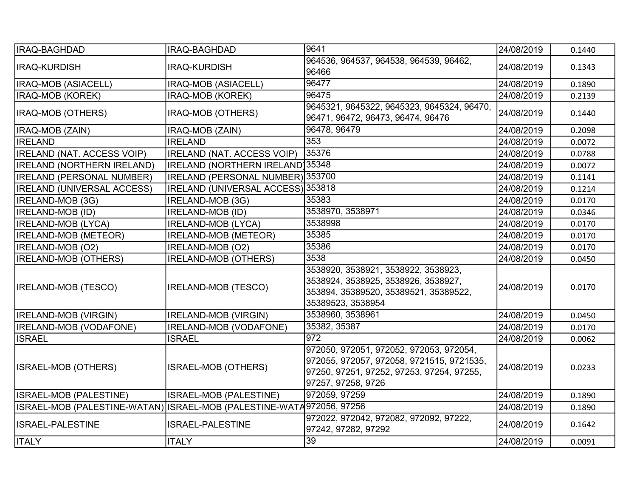| <b>IRAQ-BAGHDAD</b>                                                   | IRAQ-BAGHDAD                      | 9641                                                                                                                                                    | 24/08/2019 | 0.1440 |
|-----------------------------------------------------------------------|-----------------------------------|---------------------------------------------------------------------------------------------------------------------------------------------------------|------------|--------|
| <b>IRAQ-KURDISH</b>                                                   | <b>IRAQ-KURDISH</b>               | 964536, 964537, 964538, 964539, 96462,<br>96466                                                                                                         | 24/08/2019 | 0.1343 |
| <b>IRAQ-MOB (ASIACELL)</b>                                            | IRAQ-MOB (ASIACELL)               | 96477                                                                                                                                                   | 24/08/2019 | 0.1890 |
| <b>IRAQ-MOB (KOREK)</b>                                               | IRAQ-MOB (KOREK)                  | 96475                                                                                                                                                   | 24/08/2019 | 0.2139 |
| <b>IRAQ-MOB (OTHERS)</b>                                              | IRAQ-MOB (OTHERS)                 | 9645321, 9645322, 9645323, 9645324, 96470,<br>96471, 96472, 96473, 96474, 96476                                                                         | 24/08/2019 | 0.1440 |
| IRAQ-MOB (ZAIN)                                                       | IRAQ-MOB (ZAIN)                   | 96478, 96479                                                                                                                                            | 24/08/2019 | 0.2098 |
| <b>IRELAND</b>                                                        | <b>IRELAND</b>                    | 353                                                                                                                                                     | 24/08/2019 | 0.0072 |
| <b>IRELAND (NAT. ACCESS VOIP)</b>                                     | <b>IRELAND (NAT. ACCESS VOIP)</b> | 35376                                                                                                                                                   | 24/08/2019 | 0.0788 |
| <b>IRELAND (NORTHERN IRELAND)</b>                                     | IRELAND (NORTHERN IRELAND) 35348  |                                                                                                                                                         | 24/08/2019 | 0.0072 |
| <b>IRELAND (PERSONAL NUMBER)</b>                                      | IRELAND (PERSONAL NUMBER) 353700  |                                                                                                                                                         | 24/08/2019 | 0.1141 |
| <b>IRELAND (UNIVERSAL ACCESS)</b>                                     | IRELAND (UNIVERSAL ACCESS) 353818 |                                                                                                                                                         | 24/08/2019 | 0.1214 |
| IRELAND-MOB (3G)                                                      | IRELAND-MOB (3G)                  | 35383                                                                                                                                                   | 24/08/2019 | 0.0170 |
| <b>IRELAND-MOB (ID)</b>                                               | <b>IRELAND-MOB (ID)</b>           | 3538970, 3538971                                                                                                                                        | 24/08/2019 | 0.0346 |
| <b>IRELAND-MOB (LYCA)</b>                                             | <b>IRELAND-MOB (LYCA)</b>         | 3538998                                                                                                                                                 | 24/08/2019 | 0.0170 |
| <b>IRELAND-MOB (METEOR)</b>                                           | <b>IRELAND-MOB (METEOR)</b>       | 35385                                                                                                                                                   | 24/08/2019 | 0.0170 |
| IRELAND-MOB (O2)                                                      | IRELAND-MOB (O2)                  | 35386                                                                                                                                                   | 24/08/2019 | 0.0170 |
| <b>IRELAND-MOB (OTHERS)</b>                                           | <b>IRELAND-MOB (OTHERS)</b>       | 3538                                                                                                                                                    | 24/08/2019 | 0.0450 |
| <b>IRELAND-MOB (TESCO)</b>                                            | <b>IRELAND-MOB (TESCO)</b>        | 3538920, 3538921, 3538922, 3538923,<br>3538924, 3538925, 3538926, 3538927,<br>353894, 35389520, 35389521, 35389522,<br>35389523, 3538954                | 24/08/2019 | 0.0170 |
| <b>IRELAND-MOB (VIRGIN)</b>                                           | IRELAND-MOB (VIRGIN)              | 3538960, 3538961                                                                                                                                        | 24/08/2019 | 0.0450 |
| <b>IRELAND-MOB (VODAFONE)</b>                                         | <b>IRELAND-MOB (VODAFONE)</b>     | 35382, 35387                                                                                                                                            | 24/08/2019 | 0.0170 |
| <b>ISRAEL</b>                                                         | <b>ISRAEL</b>                     | 972                                                                                                                                                     | 24/08/2019 | 0.0062 |
| <b>ISRAEL-MOB (OTHERS)</b>                                            | <b>ISRAEL-MOB (OTHERS)</b>        | 972050, 972051, 972052, 972053, 972054,<br>972055, 972057, 972058, 9721515, 9721535,<br>97250, 97251, 97252, 97253, 97254, 97255,<br>97257, 97258, 9726 | 24/08/2019 | 0.0233 |
| ISRAEL-MOB (PALESTINE)                                                | ISRAEL-MOB (PALESTINE)            | 972059, 97259                                                                                                                                           | 24/08/2019 | 0.1890 |
| ISRAEL-MOB (PALESTINE-WATAN) ISRAEL-MOB (PALESTINE-WATA 972056, 97256 |                                   |                                                                                                                                                         | 24/08/2019 | 0.1890 |
| <b>ISRAEL-PALESTINE</b>                                               | <b>ISRAEL-PALESTINE</b>           | 972022, 972042, 972082, 972092, 97222,<br>97242, 97282, 97292                                                                                           | 24/08/2019 | 0.1642 |
| <b>ITALY</b>                                                          | <b>ITALY</b>                      | $\overline{39}$                                                                                                                                         | 24/08/2019 | 0.0091 |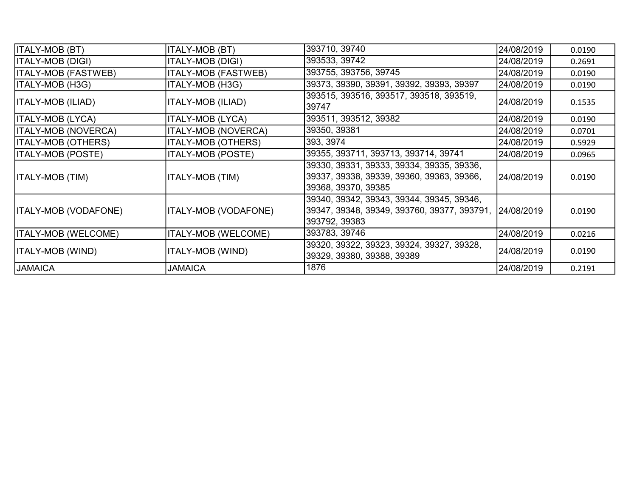| <b>ITALY-MOB (BT)</b>       | ITALY-MOB (BT)              | 393710, 39740                                                                                                        | 24/08/2019 | 0.0190 |
|-----------------------------|-----------------------------|----------------------------------------------------------------------------------------------------------------------|------------|--------|
| ITALY-MOB (DIGI)            | ITALY-MOB (DIGI)            | 393533, 39742                                                                                                        | 24/08/2019 | 0.2691 |
| <b>ITALY-MOB (FASTWEB)</b>  | <b>ITALY-MOB (FASTWEB)</b>  | 393755, 393756, 39745                                                                                                | 24/08/2019 | 0.0190 |
| ITALY-MOB (H3G)             | ITALY-MOB (H3G)             | 39373, 39390, 39391, 39392, 39393, 39397                                                                             | 24/08/2019 | 0.0190 |
| ITALY-MOB (ILIAD)           | <b>ITALY-MOB (ILIAD)</b>    | 393515, 393516, 393517, 393518, 393519,<br>39747                                                                     | 24/08/2019 | 0.1535 |
| ITALY-MOB (LYCA)            | <b>ITALY-MOB (LYCA)</b>     | 393511, 393512, 39382                                                                                                | 24/08/2019 | 0.0190 |
| <b>ITALY-MOB (NOVERCA)</b>  | <b>ITALY-MOB (NOVERCA)</b>  | 39350, 39381                                                                                                         | 24/08/2019 | 0.0701 |
| <b>ITALY-MOB (OTHERS)</b>   | <b>ITALY-MOB (OTHERS)</b>   | 393, 3974                                                                                                            | 24/08/2019 | 0.5929 |
| <b>ITALY-MOB (POSTE)</b>    | <b>ITALY-MOB (POSTE)</b>    | 39355, 393711, 393713, 393714, 39741                                                                                 | 24/08/2019 | 0.0965 |
| ITALY-MOB (TIM)             | <b>ITALY-MOB (TIM)</b>      | 39330, 39331, 39333, 39334, 39335, 39336,<br>39337, 39338, 39339, 39360, 39363, 39366,<br>39368, 39370, 39385        | 24/08/2019 | 0.0190 |
| <b>ITALY-MOB (VODAFONE)</b> | <b>ITALY-MOB (VODAFONE)</b> | 39340, 39342, 39343, 39344, 39345, 39346,<br>39347, 39348, 39349, 393760, 39377, 393791, 24/08/2019<br>393792, 39383 |            | 0.0190 |
| ITALY-MOB (WELCOME)         | <b>ITALY-MOB (WELCOME)</b>  | 393783, 39746                                                                                                        | 24/08/2019 | 0.0216 |
| ITALY-MOB (WIND)            | ITALY-MOB (WIND)            | 39320, 39322, 39323, 39324, 39327, 39328,<br>39329, 39380, 39388, 39389                                              | 24/08/2019 | 0.0190 |
| <b>JAMAICA</b>              | <b>JAMAICA</b>              | 1876                                                                                                                 | 24/08/2019 | 0.2191 |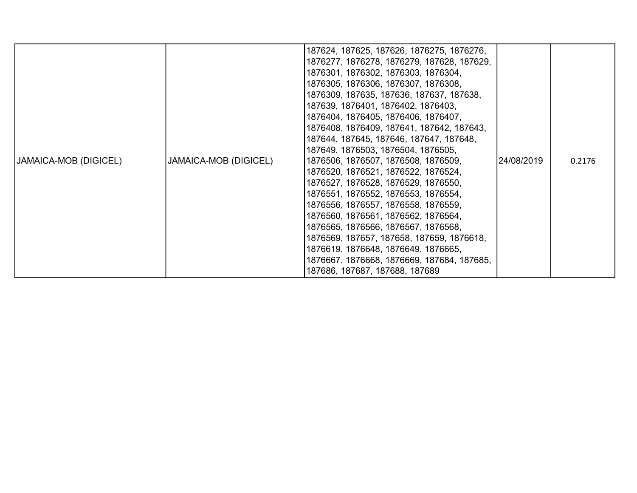| JAMAICA-MOB (DIGICEL) | JAMAICA-MOB (DIGICEL) | 187624, 187625, 187626, 1876275, 1876276,<br>1876277, 1876278, 1876279, 187628, 187629,<br>1876301, 1876302, 1876303, 1876304,<br>1876305, 1876306, 1876307, 1876308,<br>1876309, 187635, 187636, 187637, 187638,<br>187639, 1876401, 1876402, 1876403,<br>1876404, 1876405, 1876406, 1876407,<br>1876408, 1876409, 187641, 187642, 187643,<br>187644, 187645, 187646, 187647, 187648,<br>187649, 1876503, 1876504, 1876505,<br>1876506, 1876507, 1876508, 1876509,<br>1876520, 1876521, 1876522, 1876524,<br>1876527, 1876528, 1876529, 1876550,<br>1876551, 1876552, 1876553, 1876554,<br>1876556, 1876557, 1876558, 1876559,<br>1876560, 1876561, 1876562, 1876564,<br>1876565, 1876566, 1876567, 1876568,<br>1876569, 187657, 187658, 187659, 1876618,<br>1876619, 1876648, 1876649, 1876665,<br>1876667, 1876668, 1876669, 187684, 187685,<br>187686, 187687, 187688, 187689 | 24/08/2019 | 0.2176 |
|-----------------------|-----------------------|-----------------------------------------------------------------------------------------------------------------------------------------------------------------------------------------------------------------------------------------------------------------------------------------------------------------------------------------------------------------------------------------------------------------------------------------------------------------------------------------------------------------------------------------------------------------------------------------------------------------------------------------------------------------------------------------------------------------------------------------------------------------------------------------------------------------------------------------------------------------------------------|------------|--------|
|-----------------------|-----------------------|-----------------------------------------------------------------------------------------------------------------------------------------------------------------------------------------------------------------------------------------------------------------------------------------------------------------------------------------------------------------------------------------------------------------------------------------------------------------------------------------------------------------------------------------------------------------------------------------------------------------------------------------------------------------------------------------------------------------------------------------------------------------------------------------------------------------------------------------------------------------------------------|------------|--------|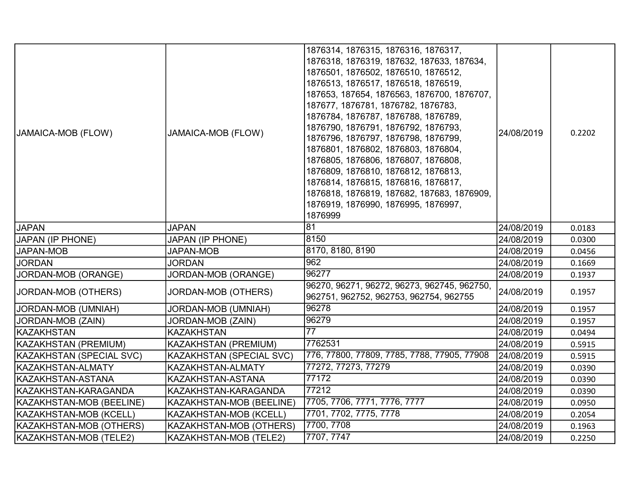| JAMAICA-MOB (FLOW)       | JAMAICA-MOB (FLOW)              | 1876314, 1876315, 1876316, 1876317,<br>1876318, 1876319, 187632, 187633, 187634,<br>1876501, 1876502, 1876510, 1876512,<br>1876513, 1876517, 1876518, 1876519,<br>187653, 187654, 1876563, 1876700, 1876707,<br>187677, 1876781, 1876782, 1876783,<br>1876784, 1876787, 1876788, 1876789,<br>1876790, 1876791, 1876792, 1876793,<br>1876796, 1876797, 1876798, 1876799,<br>1876801, 1876802, 1876803, 1876804,<br>1876805, 1876806, 1876807, 1876808,<br>1876809, 1876810, 1876812, 1876813,<br>1876814, 1876815, 1876816, 1876817,<br>1876818, 1876819, 187682, 187683, 1876909,<br>1876919, 1876990, 1876995, 1876997,<br>1876999 | 24/08/2019 | 0.2202 |
|--------------------------|---------------------------------|-------------------------------------------------------------------------------------------------------------------------------------------------------------------------------------------------------------------------------------------------------------------------------------------------------------------------------------------------------------------------------------------------------------------------------------------------------------------------------------------------------------------------------------------------------------------------------------------------------------------------------------|------------|--------|
| <b>JAPAN</b>             | <b>JAPAN</b>                    | 81                                                                                                                                                                                                                                                                                                                                                                                                                                                                                                                                                                                                                                  | 24/08/2019 | 0.0183 |
| <b>JAPAN (IP PHONE)</b>  | <b>JAPAN (IP PHONE)</b>         | 8150                                                                                                                                                                                                                                                                                                                                                                                                                                                                                                                                                                                                                                | 24/08/2019 | 0.0300 |
| <b>JAPAN-MOB</b>         | <b>JAPAN-MOB</b>                | 8170, 8180, 8190                                                                                                                                                                                                                                                                                                                                                                                                                                                                                                                                                                                                                    | 24/08/2019 | 0.0456 |
| <b>JORDAN</b>            | <b>JORDAN</b>                   | 962                                                                                                                                                                                                                                                                                                                                                                                                                                                                                                                                                                                                                                 | 24/08/2019 | 0.1669 |
| JORDAN-MOB (ORANGE)      | JORDAN-MOB (ORANGE)             | 96277                                                                                                                                                                                                                                                                                                                                                                                                                                                                                                                                                                                                                               | 24/08/2019 | 0.1937 |
| JORDAN-MOB (OTHERS)      | JORDAN-MOB (OTHERS)             | 96270, 96271, 96272, 96273, 962745, 962750,<br>962751, 962752, 962753, 962754, 962755                                                                                                                                                                                                                                                                                                                                                                                                                                                                                                                                               | 24/08/2019 | 0.1957 |
| JORDAN-MOB (UMNIAH)      | JORDAN-MOB (UMNIAH)             | 96278                                                                                                                                                                                                                                                                                                                                                                                                                                                                                                                                                                                                                               | 24/08/2019 | 0.1957 |
| JORDAN-MOB (ZAIN)        | JORDAN-MOB (ZAIN)               | 96279                                                                                                                                                                                                                                                                                                                                                                                                                                                                                                                                                                                                                               | 24/08/2019 | 0.1957 |
| <b>KAZAKHSTAN</b>        | <b>KAZAKHSTAN</b>               | $\overline{77}$                                                                                                                                                                                                                                                                                                                                                                                                                                                                                                                                                                                                                     | 24/08/2019 | 0.0494 |
| KAZAKHSTAN (PREMIUM)     | KAZAKHSTAN (PREMIUM)            | 7762531                                                                                                                                                                                                                                                                                                                                                                                                                                                                                                                                                                                                                             | 24/08/2019 | 0.5915 |
| KAZAKHSTAN (SPECIAL SVC) | <b>KAZAKHSTAN (SPECIAL SVC)</b> | 776, 77800, 77809, 7785, 7788, 77905, 77908                                                                                                                                                                                                                                                                                                                                                                                                                                                                                                                                                                                         | 24/08/2019 | 0.5915 |
| KAZAKHSTAN-ALMATY        | KAZAKHSTAN-ALMATY               | 77272, 77273, 77279                                                                                                                                                                                                                                                                                                                                                                                                                                                                                                                                                                                                                 | 24/08/2019 | 0.0390 |
| KAZAKHSTAN-ASTANA        | KAZAKHSTAN-ASTANA               | 77172                                                                                                                                                                                                                                                                                                                                                                                                                                                                                                                                                                                                                               | 24/08/2019 | 0.0390 |
| KAZAKHSTAN-KARAGANDA     | KAZAKHSTAN-KARAGANDA            | $\frac{1}{77212}$                                                                                                                                                                                                                                                                                                                                                                                                                                                                                                                                                                                                                   | 24/08/2019 | 0.0390 |
| KAZAKHSTAN-MOB (BEELINE) | KAZAKHSTAN-MOB (BEELINE)        | 7705, 7706, 7771, 7776, 7777                                                                                                                                                                                                                                                                                                                                                                                                                                                                                                                                                                                                        | 24/08/2019 | 0.0950 |
| KAZAKHSTAN-MOB (KCELL)   | KAZAKHSTAN-MOB (KCELL)          | 7701, 7702, 7775, 7778                                                                                                                                                                                                                                                                                                                                                                                                                                                                                                                                                                                                              | 24/08/2019 | 0.2054 |
| KAZAKHSTAN-MOB (OTHERS)  | KAZAKHSTAN-MOB (OTHERS)         | 7700, 7708                                                                                                                                                                                                                                                                                                                                                                                                                                                                                                                                                                                                                          | 24/08/2019 | 0.1963 |
| KAZAKHSTAN-MOB (TELE2)   | KAZAKHSTAN-MOB (TELE2)          | 7707, 7747                                                                                                                                                                                                                                                                                                                                                                                                                                                                                                                                                                                                                          | 24/08/2019 | 0.2250 |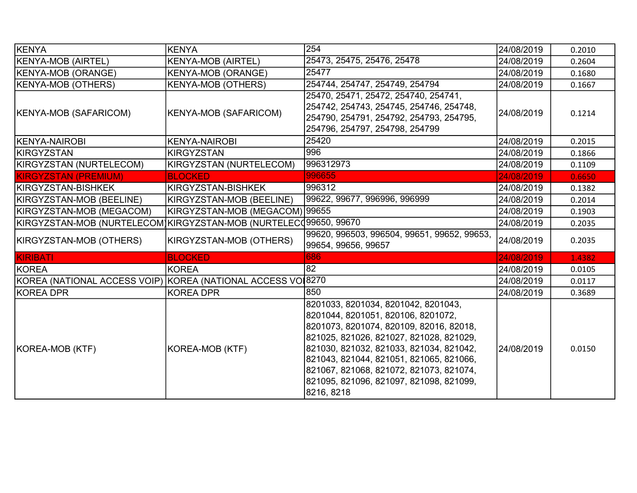| KENYA                                                             | <b>KENYA</b>                   | 254                                                                                                                                                                                                                                                                                                                                                       | 24/08/2019 | 0.2010 |
|-------------------------------------------------------------------|--------------------------------|-----------------------------------------------------------------------------------------------------------------------------------------------------------------------------------------------------------------------------------------------------------------------------------------------------------------------------------------------------------|------------|--------|
| <b>KENYA-MOB (AIRTEL)</b>                                         | <b>KENYA-MOB (AIRTEL)</b>      | 25473, 25475, 25476, 25478                                                                                                                                                                                                                                                                                                                                | 24/08/2019 | 0.2604 |
| <b>KENYA-MOB (ORANGE)</b>                                         | <b>KENYA-MOB (ORANGE)</b>      | 25477                                                                                                                                                                                                                                                                                                                                                     | 24/08/2019 | 0.1680 |
| <b>KENYA-MOB (OTHERS)</b>                                         | <b>KENYA-MOB (OTHERS)</b>      | 254744, 254747, 254749, 254794                                                                                                                                                                                                                                                                                                                            | 24/08/2019 | 0.1667 |
| KENYA-MOB (SAFARICOM)                                             | <b>KENYA-MOB (SAFARICOM)</b>   | 25470, 25471, 25472, 254740, 254741,<br>254742, 254743, 254745, 254746, 254748,<br>254790, 254791, 254792, 254793, 254795,<br>254796, 254797, 254798, 254799                                                                                                                                                                                              | 24/08/2019 | 0.1214 |
| KENYA-NAIROBI                                                     | <b>KENYA-NAIROBI</b>           | 25420                                                                                                                                                                                                                                                                                                                                                     | 24/08/2019 | 0.2015 |
| KIRGYZSTAN                                                        | <b>KIRGYZSTAN</b>              | 996                                                                                                                                                                                                                                                                                                                                                       | 24/08/2019 | 0.1866 |
| KIRGYZSTAN (NURTELECOM)                                           | KIRGYZSTAN (NURTELECOM)        | 996312973                                                                                                                                                                                                                                                                                                                                                 | 24/08/2019 | 0.1109 |
| <b>KIRGYZSTAN (PREMIUM)</b>                                       | <b>BLOCKED</b>                 | 996655                                                                                                                                                                                                                                                                                                                                                    | 24/08/2019 | 0.6650 |
| KIRGYZSTAN-BISHKEK                                                | KIRGYZSTAN-BISHKEK             | 996312                                                                                                                                                                                                                                                                                                                                                    | 24/08/2019 | 0.1382 |
| KIRGYZSTAN-MOB (BEELINE)                                          | KIRGYZSTAN-MOB (BEELINE)       | 99622, 99677, 996996, 996999                                                                                                                                                                                                                                                                                                                              | 24/08/2019 | 0.2014 |
| KIRGYZSTAN-MOB (MEGACOM)                                          | KIRGYZSTAN-MOB (MEGACOM) 99655 |                                                                                                                                                                                                                                                                                                                                                           | 24/08/2019 | 0.1903 |
| KIRGYZSTAN-MOB (NURTELECOM)KIRGYZSTAN-MOB (NURTELEC 499650, 99670 |                                |                                                                                                                                                                                                                                                                                                                                                           | 24/08/2019 | 0.2035 |
| KIRGYZSTAN-MOB (OTHERS)                                           | KIRGYZSTAN-MOB (OTHERS)        | 99620, 996503, 996504, 99651, 99652, 99653,<br>99654, 99656, 99657                                                                                                                                                                                                                                                                                        | 24/08/2019 | 0.2035 |
| KIRIBATI                                                          | <b>BLOCKED</b>                 | 686                                                                                                                                                                                                                                                                                                                                                       | 24/08/2019 | 1.4382 |
| KOREA                                                             | <b>KOREA</b>                   | 82                                                                                                                                                                                                                                                                                                                                                        | 24/08/2019 | 0.0105 |
| KOREA (NATIONAL ACCESS VOIP) KOREA (NATIONAL ACCESS VOI8270       |                                |                                                                                                                                                                                                                                                                                                                                                           | 24/08/2019 | 0.0117 |
| KOREA DPR                                                         | <b>KOREA DPR</b>               | 850                                                                                                                                                                                                                                                                                                                                                       | 24/08/2019 | 0.3689 |
| KOREA-MOB (KTF)                                                   | KOREA-MOB (KTF)                | 8201033, 8201034, 8201042, 8201043,<br>8201044, 8201051, 820106, 8201072,<br>8201073, 8201074, 820109, 82016, 82018,<br>821025, 821026, 821027, 821028, 821029,<br>821030, 821032, 821033, 821034, 821042,<br>821043, 821044, 821051, 821065, 821066,<br>821067, 821068, 821072, 821073, 821074,<br>821095, 821096, 821097, 821098, 821099,<br>8216, 8218 | 24/08/2019 | 0.0150 |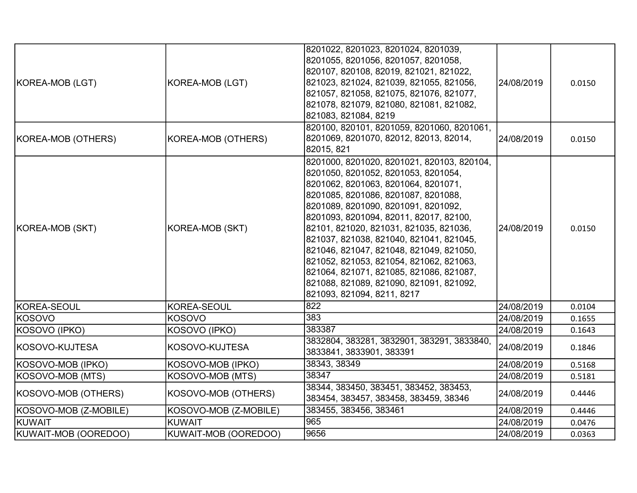| KOREA-MOB (LGT)       | KOREA-MOB (LGT)       | 8201022, 8201023, 8201024, 8201039,<br>8201055, 8201056, 8201057, 8201058,<br>820107, 820108, 82019, 821021, 821022,<br>821023, 821024, 821039, 821055, 821056,<br>821057, 821058, 821075, 821076, 821077,<br> 821078, 821079, 821080, 821081, 821082,<br>821083, 821084, 8219                                                                                                                                                                                                                                                                  | 24/08/2019 | 0.0150 |
|-----------------------|-----------------------|-------------------------------------------------------------------------------------------------------------------------------------------------------------------------------------------------------------------------------------------------------------------------------------------------------------------------------------------------------------------------------------------------------------------------------------------------------------------------------------------------------------------------------------------------|------------|--------|
| KOREA-MOB (OTHERS)    | KOREA-MOB (OTHERS)    | 820100, 820101, 8201059, 8201060, 8201061,<br>8201069, 8201070, 82012, 82013, 82014,<br>82015, 821                                                                                                                                                                                                                                                                                                                                                                                                                                              | 24/08/2019 | 0.0150 |
| KOREA-MOB (SKT)       | KOREA-MOB (SKT)       | 8201000, 8201020, 8201021, 820103, 820104,<br>8201050, 8201052, 8201053, 8201054,<br>8201062, 8201063, 8201064, 8201071,<br>8201085, 8201086, 8201087, 8201088,<br>8201089, 8201090, 8201091, 8201092,<br>8201093, 8201094, 82011, 82017, 82100,<br>82101, 821020, 821031, 821035, 821036,<br>821037, 821038, 821040, 821041, 821045,<br>821046, 821047, 821048, 821049, 821050,<br>821052, 821053, 821054, 821062, 821063,<br>821064, 821071, 821085, 821086, 821087,<br>821088, 821089, 821090, 821091, 821092,<br>821093, 821094, 8211, 8217 | 24/08/2019 | 0.0150 |
| KOREA-SEOUL           | KOREA-SEOUL           | 822                                                                                                                                                                                                                                                                                                                                                                                                                                                                                                                                             | 24/08/2019 | 0.0104 |
| <b>KOSOVO</b>         | KOSOVO                | 383                                                                                                                                                                                                                                                                                                                                                                                                                                                                                                                                             | 24/08/2019 | 0.1655 |
| KOSOVO (IPKO)         | KOSOVO (IPKO)         | 383387                                                                                                                                                                                                                                                                                                                                                                                                                                                                                                                                          | 24/08/2019 | 0.1643 |
| KOSOVO-KUJTESA        | KOSOVO-KUJTESA        | 3832804, 383281, 3832901, 383291, 3833840,<br>3833841, 3833901, 383391                                                                                                                                                                                                                                                                                                                                                                                                                                                                          | 24/08/2019 | 0.1846 |
| KOSOVO-MOB (IPKO)     | KOSOVO-MOB (IPKO)     | 38343, 38349                                                                                                                                                                                                                                                                                                                                                                                                                                                                                                                                    | 24/08/2019 | 0.5168 |
| KOSOVO-MOB (MTS)      | KOSOVO-MOB (MTS)      | 38347                                                                                                                                                                                                                                                                                                                                                                                                                                                                                                                                           | 24/08/2019 | 0.5181 |
| KOSOVO-MOB (OTHERS)   | KOSOVO-MOB (OTHERS)   | 38344, 383450, 383451, 383452, 383453,<br>383454, 383457, 383458, 383459, 38346                                                                                                                                                                                                                                                                                                                                                                                                                                                                 | 24/08/2019 | 0.4446 |
| KOSOVO-MOB (Z-MOBILE) | KOSOVO-MOB (Z-MOBILE) | 383455, 383456, 383461                                                                                                                                                                                                                                                                                                                                                                                                                                                                                                                          | 24/08/2019 | 0.4446 |
| KUWAIT                | KUWAIT                | 965                                                                                                                                                                                                                                                                                                                                                                                                                                                                                                                                             | 24/08/2019 | 0.0476 |
| KUWAIT-MOB (OOREDOO)  | KUWAIT-MOB (OOREDOO)  | 9656                                                                                                                                                                                                                                                                                                                                                                                                                                                                                                                                            | 24/08/2019 | 0.0363 |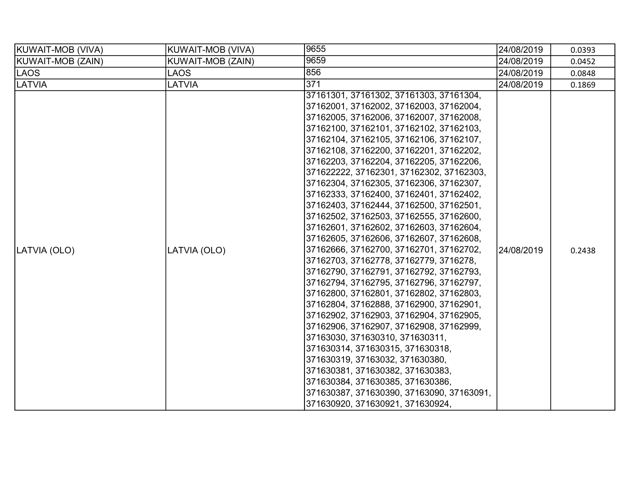| KUWAIT-MOB (VIVA) | <b>KUWAIT-MOB (VIVA)</b> | 9655                                                                                                                                                                                                                                                                                                                                                                                                                                                                                                                                                                                                                                                                                                                                                                                                                                                                                                                                                                                                                                                                                                                                                                                                                                                | 24/08/2019 | 0.0393 |
|-------------------|--------------------------|-----------------------------------------------------------------------------------------------------------------------------------------------------------------------------------------------------------------------------------------------------------------------------------------------------------------------------------------------------------------------------------------------------------------------------------------------------------------------------------------------------------------------------------------------------------------------------------------------------------------------------------------------------------------------------------------------------------------------------------------------------------------------------------------------------------------------------------------------------------------------------------------------------------------------------------------------------------------------------------------------------------------------------------------------------------------------------------------------------------------------------------------------------------------------------------------------------------------------------------------------------|------------|--------|
| KUWAIT-MOB (ZAIN) | KUWAIT-MOB (ZAIN)        | 9659                                                                                                                                                                                                                                                                                                                                                                                                                                                                                                                                                                                                                                                                                                                                                                                                                                                                                                                                                                                                                                                                                                                                                                                                                                                | 24/08/2019 | 0.0452 |
| LAOS              | LAOS                     | 856                                                                                                                                                                                                                                                                                                                                                                                                                                                                                                                                                                                                                                                                                                                                                                                                                                                                                                                                                                                                                                                                                                                                                                                                                                                 | 24/08/2019 | 0.0848 |
| <b>LATVIA</b>     | <b>LATVIA</b>            | 371                                                                                                                                                                                                                                                                                                                                                                                                                                                                                                                                                                                                                                                                                                                                                                                                                                                                                                                                                                                                                                                                                                                                                                                                                                                 | 24/08/2019 | 0.1869 |
| LATVIA (OLO)      | LATVIA (OLO)             | 37161301, 37161302, 37161303, 37161304,<br>37162001, 37162002, 37162003, 37162004,<br>37162005, 37162006, 37162007, 37162008,<br>37162100, 37162101, 37162102, 37162103,<br>37162104, 37162105, 37162106, 37162107,<br>37162108, 37162200, 37162201, 37162202,<br>37162203, 37162204, 37162205, 37162206,<br>371622222, 37162301, 37162302, 37162303,<br>37162304, 37162305, 37162306, 37162307,<br>37162333, 37162400, 37162401, 37162402,<br>37162403, 37162444, 37162500, 37162501,<br>37162502, 37162503, 37162555, 37162600,<br> 37162601, 37162602, 37162603, 37162604,<br>37162605, 37162606, 37162607, 37162608,<br>37162666, 37162700, 37162701, 37162702,<br>37162703, 37162778, 37162779, 3716278,<br>37162790, 37162791, 37162792, 37162793,<br>37162794, 37162795, 37162796, 37162797,<br>37162800, 37162801, 37162802, 37162803,<br>37162804, 37162888, 37162900, 37162901,<br>37162902, 37162903, 37162904, 37162905,<br>37162906, 37162907, 37162908, 37162999,<br>37163030, 371630310, 371630311,<br>371630314, 371630315, 371630318,<br>371630319, 37163032, 371630380,<br>371630381, 371630382, 371630383,<br>371630384, 371630385, 371630386,<br> 371630387, 371630390, 37163090, 37163091,<br>371630920, 371630921, 371630924, | 24/08/2019 | 0.2438 |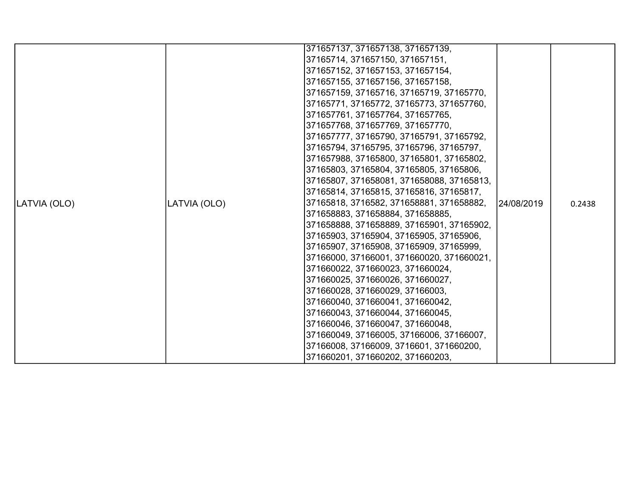|              |              | 371657137, 371657138, 371657139,          |            |        |
|--------------|--------------|-------------------------------------------|------------|--------|
|              |              | 37165714, 371657150, 371657151,           |            |        |
|              |              | 371657152, 371657153, 371657154,          |            |        |
|              |              | 371657155, 371657156, 371657158,          |            |        |
|              |              | 371657159, 37165716, 37165719, 37165770,  |            |        |
|              |              | 37165771, 37165772, 37165773, 371657760,  |            |        |
|              |              | 371657761, 371657764, 371657765,          |            |        |
|              |              | 371657768, 371657769, 371657770,          |            |        |
|              |              | 371657777, 37165790, 37165791, 37165792,  |            |        |
|              |              | 37165794, 37165795, 37165796, 37165797,   |            |        |
|              |              | 371657988, 37165800, 37165801, 37165802,  |            |        |
|              |              | 37165803, 37165804, 37165805, 37165806,   |            |        |
|              |              | 37165807, 371658081, 371658088, 37165813, |            |        |
|              |              | 37165814, 37165815, 37165816, 37165817,   |            |        |
| LATVIA (OLO) | LATVIA (OLO) | 37165818, 3716582, 371658881, 371658882,  | 24/08/2019 | 0.2438 |
|              |              | 371658883, 371658884, 371658885,          |            |        |
|              |              | 371658888, 371658889, 37165901, 37165902, |            |        |
|              |              | 37165903, 37165904, 37165905, 37165906,   |            |        |
|              |              | 37165907, 37165908, 37165909, 37165999,   |            |        |
|              |              | 37166000, 37166001, 371660020, 371660021, |            |        |
|              |              | 371660022, 371660023, 371660024,          |            |        |
|              |              | 371660025, 371660026, 371660027,          |            |        |
|              |              | 371660028, 371660029, 37166003,           |            |        |
|              |              | 371660040, 371660041, 371660042,          |            |        |
|              |              | 371660043, 371660044, 371660045,          |            |        |
|              |              | 371660046, 371660047, 371660048,          |            |        |
|              |              | 371660049, 37166005, 37166006, 37166007,  |            |        |
|              |              | 37166008, 37166009, 3716601, 371660200,   |            |        |
|              |              | 371660201, 371660202, 371660203,          |            |        |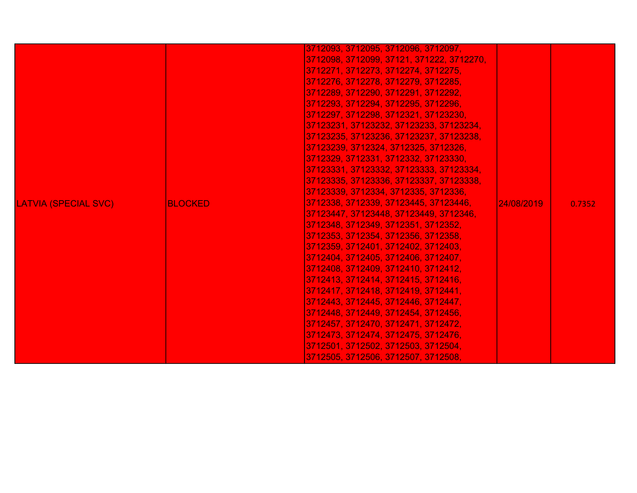|                             |                | 3712093, 3712095, 3712096, 3712097,       |            |        |
|-----------------------------|----------------|-------------------------------------------|------------|--------|
|                             |                | 3712098, 3712099, 37121, 371222, 3712270, |            |        |
|                             |                | 3712271, 3712273, 3712274, 3712275,       |            |        |
|                             |                | 3712276, 3712278, 3712279, 3712285,       |            |        |
|                             |                | 3712289, 3712290, 3712291, 3712292,       |            |        |
|                             |                | 3712293, 3712294, 3712295, 3712296,       |            |        |
|                             |                | 3712297, 3712298, 3712321, 37123230,      |            |        |
|                             |                | 37123231, 37123232, 37123233, 37123234,   |            |        |
|                             |                | 37123235, 37123236, 37123237, 37123238,   |            |        |
|                             |                | 37123239, 3712324, 3712325, 3712326,      |            |        |
|                             |                | 3712329, 3712331, 3712332, 37123330,      |            |        |
|                             |                | 37123331, 37123332, 37123333, 37123334,   |            |        |
|                             |                | 37123335, 37123336, 37123337, 37123338,   |            |        |
|                             |                | 37123339, 3712334, 3712335, 3712336,      |            |        |
| <b>LATVIA (SPECIAL SVC)</b> | <b>BLOCKED</b> | 3712338, 3712339, 37123445, 37123446,     | 24/08/2019 | 0.7352 |
|                             |                | 37123447, 37123448, 37123449, 3712346,    |            |        |
|                             |                | 3712348, 3712349, 3712351, 3712352,       |            |        |
|                             |                | 3712353, 3712354, 3712356, 3712358,       |            |        |
|                             |                | 3712359, 3712401, 3712402, 3712403,       |            |        |
|                             |                | 3712404, 3712405, 3712406, 3712407,       |            |        |
|                             |                | 3712408, 3712409, 3712410, 3712412,       |            |        |
|                             |                | 3712413, 3712414, 3712415, 3712416,       |            |        |
|                             |                | 3712417, 3712418, 3712419, 3712441,       |            |        |
|                             |                | 3712443, 3712445, 3712446, 3712447,       |            |        |
|                             |                | 3712448, 3712449, 3712454, 3712456,       |            |        |
|                             |                | 3712457, 3712470, 3712471, 3712472,       |            |        |
|                             |                | 3712473, 3712474, 3712475, 3712476,       |            |        |
|                             |                | 3712501, 3712502, 3712503, 3712504,       |            |        |
|                             |                | 3712505, 3712506, 3712507, 3712508,       |            |        |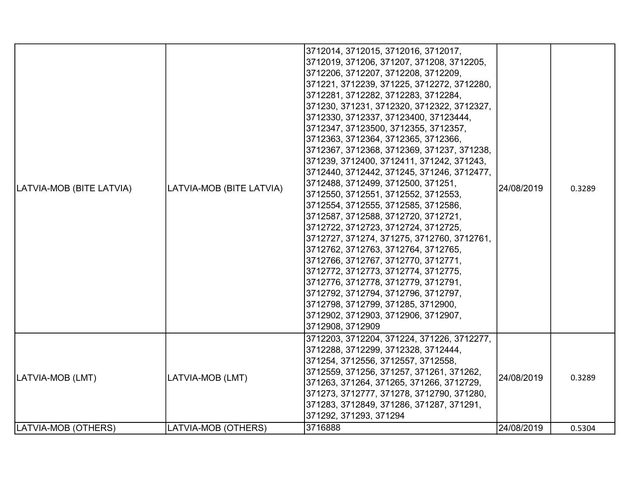| LATVIA-MOB (BITE LATVIA) | LATVIA-MOB (BITE LATVIA) | 3712014, 3712015, 3712016, 3712017,<br>3712019, 371206, 371207, 371208, 3712205,<br>3712206, 3712207, 3712208, 3712209,<br>371221, 3712239, 371225, 3712272, 3712280,<br>3712281, 3712282, 3712283, 3712284,<br>371230, 371231, 3712320, 3712322, 3712327,<br>3712330, 3712337, 37123400, 37123444,<br>3712347, 37123500, 3712355, 3712357,<br>3712363, 3712364, 3712365, 3712366,<br>3712367, 3712368, 3712369, 371237, 371238,<br>371239, 3712400, 3712411, 371242, 371243,<br>3712440, 3712442, 371245, 371246, 3712477,<br>3712488, 3712499, 3712500, 371251,<br>3712550, 3712551, 3712552, 3712553,<br>3712554, 3712555, 3712585, 3712586,<br>3712587, 3712588, 3712720, 3712721,<br>3712722, 3712723, 3712724, 3712725,<br>3712727, 371274, 371275, 3712760, 3712761,<br>3712762, 3712763, 3712764, 3712765,<br>3712766, 3712767, 3712770, 3712771,<br>3712772, 3712773, 3712774, 3712775,<br>3712776, 3712778, 3712779, 3712791,<br>3712792, 3712794, 3712796, 3712797,<br>3712798, 3712799, 371285, 3712900,<br>3712902, 3712903, 3712906, 3712907,<br>3712908, 3712909 | 24/08/2019 | 0.3289 |
|--------------------------|--------------------------|---------------------------------------------------------------------------------------------------------------------------------------------------------------------------------------------------------------------------------------------------------------------------------------------------------------------------------------------------------------------------------------------------------------------------------------------------------------------------------------------------------------------------------------------------------------------------------------------------------------------------------------------------------------------------------------------------------------------------------------------------------------------------------------------------------------------------------------------------------------------------------------------------------------------------------------------------------------------------------------------------------------------------------------------------------------------------------|------------|--------|
| LATVIA-MOB (LMT)         | LATVIA-MOB (LMT)         | 3712203, 3712204, 371224, 371226, 3712277,<br>3712288, 3712299, 3712328, 3712444,<br>371254, 3712556, 3712557, 3712558,<br>3712559, 371256, 371257, 371261, 371262,<br>371263, 371264, 371265, 371266, 3712729,<br>371273, 3712777, 371278, 3712790, 371280,<br>371283, 3712849, 371286, 371287, 371291,<br>371292, 371293, 371294                                                                                                                                                                                                                                                                                                                                                                                                                                                                                                                                                                                                                                                                                                                                              | 24/08/2019 | 0.3289 |
| LATVIA-MOB (OTHERS)      | LATVIA-MOB (OTHERS)      | 3716888                                                                                                                                                                                                                                                                                                                                                                                                                                                                                                                                                                                                                                                                                                                                                                                                                                                                                                                                                                                                                                                                         | 24/08/2019 | 0.5304 |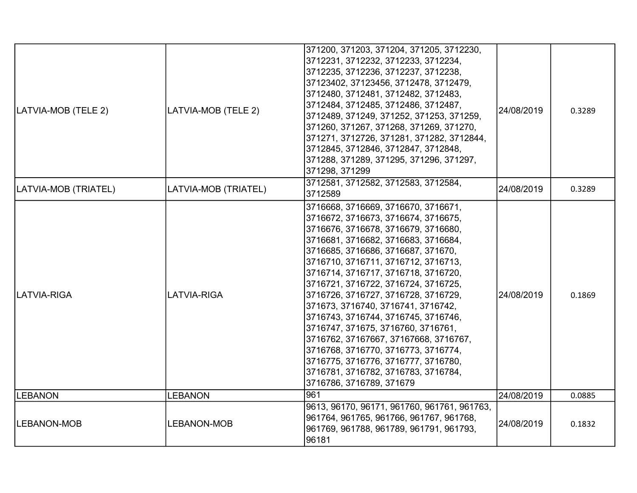| LATVIA-MOB (TELE 2)  | LATVIA-MOB (TELE 2)  | 371200, 371203, 371204, 371205, 3712230,<br>3712231, 3712232, 3712233, 3712234,<br>3712235, 3712236, 3712237, 3712238,<br>37123402, 37123456, 3712478, 3712479,<br>3712480, 3712481, 3712482, 3712483,<br>3712484, 3712485, 3712486, 3712487,<br>3712489, 371249, 371252, 371253, 371259,<br>371260, 371267, 371268, 371269, 371270,<br>371271, 3712726, 371281, 371282, 3712844,<br>3712845, 3712846, 3712847, 3712848,<br>371288, 371289, 371295, 371296, 371297,<br>371298, 371299                                                                                                                                                                                   | 24/08/2019 | 0.3289 |
|----------------------|----------------------|-------------------------------------------------------------------------------------------------------------------------------------------------------------------------------------------------------------------------------------------------------------------------------------------------------------------------------------------------------------------------------------------------------------------------------------------------------------------------------------------------------------------------------------------------------------------------------------------------------------------------------------------------------------------------|------------|--------|
| LATVIA-MOB (TRIATEL) | LATVIA-MOB (TRIATEL) | 3712581, 3712582, 3712583, 3712584,<br>3712589                                                                                                                                                                                                                                                                                                                                                                                                                                                                                                                                                                                                                          | 24/08/2019 | 0.3289 |
| lLATVIA-RIGA         | <b>LATVIA-RIGA</b>   | 3716668, 3716669, 3716670, 3716671,<br>3716672, 3716673, 3716674, 3716675,<br>3716676, 3716678, 3716679, 3716680,<br>3716681, 3716682, 3716683, 3716684,<br>3716685, 3716686, 3716687, 371670,<br>3716710, 3716711, 3716712, 3716713,<br>3716714, 3716717, 3716718, 3716720,<br>3716721, 3716722, 3716724, 3716725,<br>3716726, 3716727, 3716728, 3716729,<br>371673, 3716740, 3716741, 3716742,<br>3716743, 3716744, 3716745, 3716746,<br>3716747, 371675, 3716760, 3716761,<br>3716762, 37167667, 37167668, 3716767,<br>3716768, 3716770, 3716773, 3716774,<br>3716775, 3716776, 3716777, 3716780,<br>3716781, 3716782, 3716783, 3716784,<br>3716786, 3716789, 371679 | 24/08/2019 | 0.1869 |
| <b>LEBANON</b>       | <b>LEBANON</b>       | 961                                                                                                                                                                                                                                                                                                                                                                                                                                                                                                                                                                                                                                                                     | 24/08/2019 | 0.0885 |
| <b>LEBANON-MOB</b>   | <b>LEBANON-MOB</b>   | 9613, 96170, 96171, 961760, 961761, 961763,<br>961764, 961765, 961766, 961767, 961768,<br>961769, 961788, 961789, 961791, 961793,<br>96181                                                                                                                                                                                                                                                                                                                                                                                                                                                                                                                              | 24/08/2019 | 0.1832 |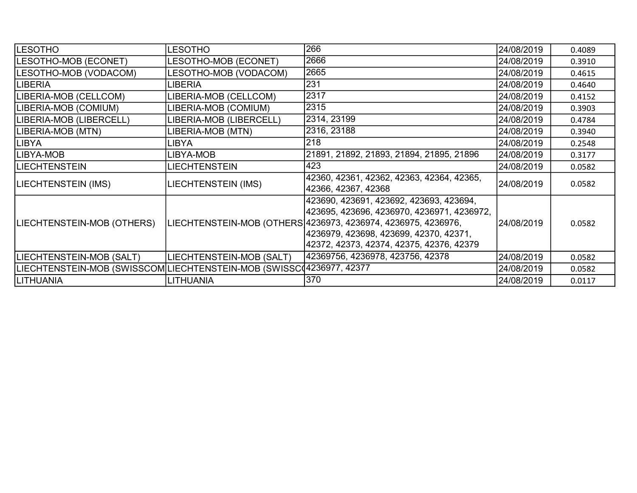| <b>LESOTHO</b>                                                       | <b>LESOTHO</b>             | 266                                                                                                                                                                                                                                             | 24/08/2019 | 0.4089 |
|----------------------------------------------------------------------|----------------------------|-------------------------------------------------------------------------------------------------------------------------------------------------------------------------------------------------------------------------------------------------|------------|--------|
| LESOTHO-MOB (ECONET)                                                 | LESOTHO-MOB (ECONET)       | 2666                                                                                                                                                                                                                                            | 24/08/2019 | 0.3910 |
| LESOTHO-MOB (VODACOM)                                                | LESOTHO-MOB (VODACOM)      | 2665                                                                                                                                                                                                                                            | 24/08/2019 | 0.4615 |
| LIBERIA                                                              | LIBERIA                    | 231                                                                                                                                                                                                                                             | 24/08/2019 | 0.4640 |
| LIBERIA-MOB (CELLCOM)                                                | LIBERIA-MOB (CELLCOM)      | 2317                                                                                                                                                                                                                                            | 24/08/2019 | 0.4152 |
| LIBERIA-MOB (COMIUM)                                                 | LIBERIA-MOB (COMIUM)       | 2315                                                                                                                                                                                                                                            | 24/08/2019 | 0.3903 |
| LIBERIA-MOB (LIBERCELL)                                              | LIBERIA-MOB (LIBERCELL)    | 2314, 23199                                                                                                                                                                                                                                     | 24/08/2019 | 0.4784 |
| LIBERIA-MOB (MTN)                                                    | LIBERIA-MOB (MTN)          | 2316, 23188                                                                                                                                                                                                                                     | 24/08/2019 | 0.3940 |
| <b>LIBYA</b>                                                         | LIBYA                      | 218                                                                                                                                                                                                                                             | 24/08/2019 | 0.2548 |
| LIBYA-MOB                                                            | LIBYA-MOB                  | 21891, 21892, 21893, 21894, 21895, 21896                                                                                                                                                                                                        | 24/08/2019 | 0.3177 |
| <b>LIECHTENSTEIN</b>                                                 | <b>LIECHTENSTEIN</b>       | 423                                                                                                                                                                                                                                             | 24/08/2019 | 0.0582 |
| LIECHTENSTEIN (IMS)                                                  | <b>LIECHTENSTEIN (IMS)</b> | 42360, 42361, 42362, 42363, 42364, 42365,<br>42366, 42367, 42368                                                                                                                                                                                | 24/08/2019 | 0.0582 |
| LIECHTENSTEIN-MOB (OTHERS)                                           |                            | 423690, 423691, 423692, 423693, 423694,<br> 423695, 423696, 4236970, 4236971, 4236972,<br>LIECHTENSTEIN-MOB (OTHERS 4236973, 4236974, 4236975, 4236976,<br> 4236979, 423698, 423699, 42370, 42371,<br> 42372, 42373, 42374, 42375, 42376, 42379 | 24/08/2019 | 0.0582 |
| LIECHTENSTEIN-MOB (SALT)                                             | LIECHTENSTEIN-MOB (SALT)   | 42369756, 4236978, 423756, 42378                                                                                                                                                                                                                | 24/08/2019 | 0.0582 |
| LIECHTENSTEIN-MOB (SWISSCOM LIECHTENSTEIN-MOB (SWISSC 4236977, 42377 |                            |                                                                                                                                                                                                                                                 | 24/08/2019 | 0.0582 |
| <b>LITHUANIA</b>                                                     | <b>LITHUANIA</b>           | 370                                                                                                                                                                                                                                             | 24/08/2019 | 0.0117 |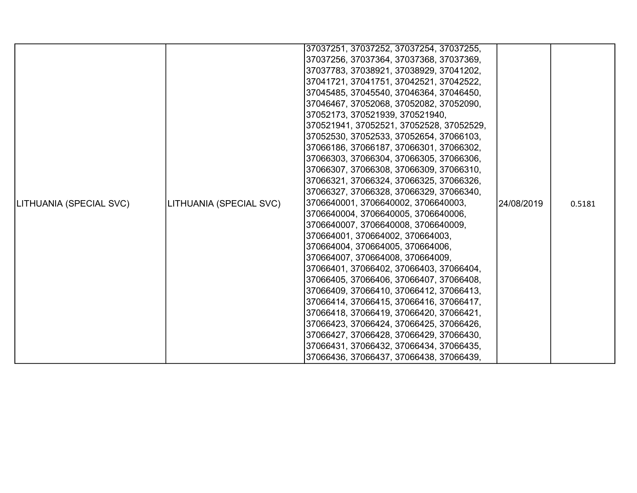|                         |                         | 37037251, 37037252, 37037254, 37037255,  |            |        |
|-------------------------|-------------------------|------------------------------------------|------------|--------|
|                         |                         |                                          |            |        |
|                         |                         | 37037256, 37037364, 37037368, 37037369,  |            |        |
|                         |                         | 37037783, 37038921, 37038929, 37041202,  |            |        |
|                         |                         | 37041721, 37041751, 37042521, 37042522,  |            |        |
|                         |                         | 37045485, 37045540, 37046364, 37046450,  |            |        |
|                         |                         | 37046467, 37052068, 37052082, 37052090,  |            |        |
|                         |                         | 37052173, 370521939, 370521940,          |            |        |
|                         |                         | 370521941, 37052521, 37052528, 37052529, |            |        |
|                         |                         | 37052530, 37052533, 37052654, 37066103,  |            |        |
|                         |                         | 37066186, 37066187, 37066301, 37066302,  |            |        |
|                         |                         | 37066303, 37066304, 37066305, 37066306,  |            |        |
|                         |                         | 37066307, 37066308, 37066309, 37066310,  |            |        |
|                         |                         | 37066321, 37066324, 37066325, 37066326,  |            |        |
|                         |                         | 37066327, 37066328, 37066329, 37066340,  |            |        |
| LITHUANIA (SPECIAL SVC) | LITHUANIA (SPECIAL SVC) | 3706640001, 3706640002, 3706640003,      | 24/08/2019 | 0.5181 |
|                         |                         | 3706640004, 3706640005, 3706640006,      |            |        |
|                         |                         | 3706640007, 3706640008, 3706640009,      |            |        |
|                         |                         | 370664001, 370664002, 370664003,         |            |        |
|                         |                         | 370664004, 370664005, 370664006,         |            |        |
|                         |                         | 370664007, 370664008, 370664009,         |            |        |
|                         |                         | 37066401, 37066402, 37066403, 37066404,  |            |        |
|                         |                         | 37066405, 37066406, 37066407, 37066408,  |            |        |
|                         |                         | 37066409, 37066410, 37066412, 37066413,  |            |        |
|                         |                         | 37066414, 37066415, 37066416, 37066417,  |            |        |
|                         |                         | 37066418, 37066419, 37066420, 37066421,  |            |        |
|                         |                         | 37066423, 37066424, 37066425, 37066426,  |            |        |
|                         |                         | 37066427, 37066428, 37066429, 37066430,  |            |        |
|                         |                         | 37066431, 37066432, 37066434, 37066435,  |            |        |
|                         |                         | 37066436, 37066437, 37066438, 37066439,  |            |        |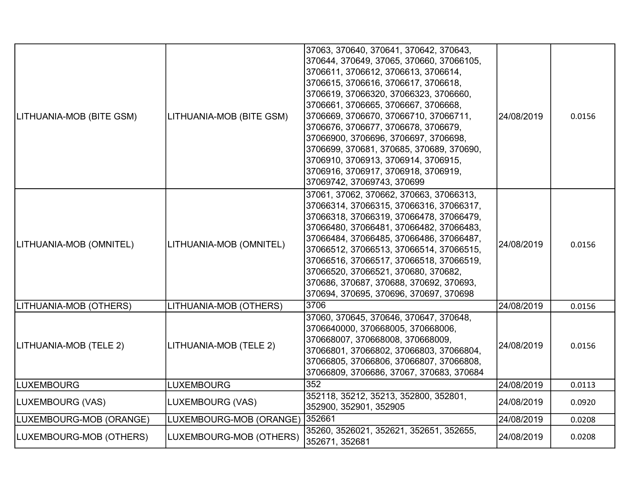| LITHUANIA-MOB (BITE GSM) | LITHUANIA-MOB (BITE GSM) | 37063, 370640, 370641, 370642, 370643,<br>370644, 370649, 37065, 370660, 37066105,<br>3706611, 3706612, 3706613, 3706614,<br>3706615, 3706616, 3706617, 3706618,<br>3706619, 37066320, 37066323, 3706660,<br>3706661, 3706665, 3706667, 3706668,<br>3706669, 3706670, 37066710, 37066711,<br>3706676, 3706677, 3706678, 3706679,<br>37066900, 3706696, 3706697, 3706698,<br>3706699, 370681, 370685, 370689, 370690,<br>3706910, 3706913, 3706914, 3706915,<br>3706916, 3706917, 3706918, 3706919,<br>37069742, 37069743, 370699 | 24/08/2019 | 0.0156 |
|--------------------------|--------------------------|----------------------------------------------------------------------------------------------------------------------------------------------------------------------------------------------------------------------------------------------------------------------------------------------------------------------------------------------------------------------------------------------------------------------------------------------------------------------------------------------------------------------------------|------------|--------|
| LITHUANIA-MOB (OMNITEL)  | LITHUANIA-MOB (OMNITEL)  | 37061, 37062, 370662, 370663, 37066313,<br>37066314, 37066315, 37066316, 37066317,<br>37066318, 37066319, 37066478, 37066479,<br>37066480, 37066481, 37066482, 37066483,<br>37066484, 37066485, 37066486, 37066487,<br>37066512, 37066513, 37066514, 37066515,<br>37066516, 37066517, 37066518, 37066519,<br>37066520, 37066521, 370680, 370682,<br>370686, 370687, 370688, 370692, 370693,<br>370694, 370695, 370696, 370697, 370698                                                                                            | 24/08/2019 | 0.0156 |
| LITHUANIA-MOB (OTHERS)   | LITHUANIA-MOB (OTHERS)   | 3706                                                                                                                                                                                                                                                                                                                                                                                                                                                                                                                             | 24/08/2019 | 0.0156 |
| LITHUANIA-MOB (TELE 2)   | LITHUANIA-MOB (TELE 2)   | 37060, 370645, 370646, 370647, 370648,<br>3706640000, 370668005, 370668006,<br>370668007, 370668008, 370668009,<br>37066801, 37066802, 37066803, 37066804,<br>37066805, 37066806, 37066807, 37066808,<br>37066809, 3706686, 37067, 370683, 370684                                                                                                                                                                                                                                                                                | 24/08/2019 | 0.0156 |
| <b>LUXEMBOURG</b>        | <b>LUXEMBOURG</b>        | 352                                                                                                                                                                                                                                                                                                                                                                                                                                                                                                                              | 24/08/2019 | 0.0113 |
| LUXEMBOURG (VAS)         | LUXEMBOURG (VAS)         | 352118, 35212, 35213, 352800, 352801,<br>352900, 352901, 352905                                                                                                                                                                                                                                                                                                                                                                                                                                                                  | 24/08/2019 | 0.0920 |
| LUXEMBOURG-MOB (ORANGE)  | LUXEMBOURG-MOB (ORANGE)  | 352661                                                                                                                                                                                                                                                                                                                                                                                                                                                                                                                           | 24/08/2019 | 0.0208 |
| LUXEMBOURG-MOB (OTHERS)  | LUXEMBOURG-MOB (OTHERS)  | 35260, 3526021, 352621, 352651, 352655,<br>352671, 352681                                                                                                                                                                                                                                                                                                                                                                                                                                                                        | 24/08/2019 | 0.0208 |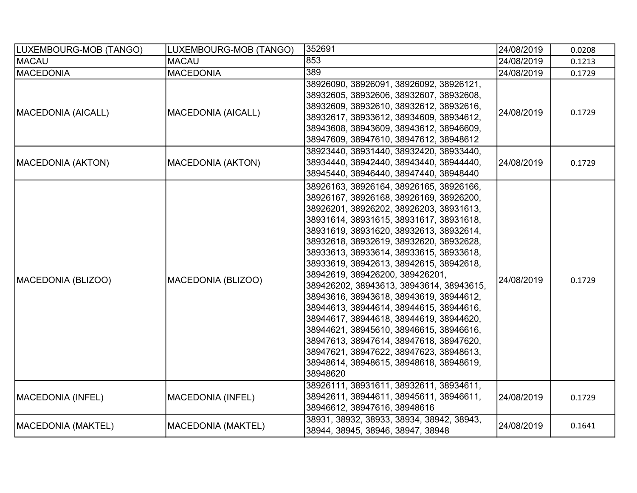| LUXEMBOURG-MOB (TANGO)    | LUXEMBOURG-MOB (TANGO)    | 352691                                                                                                                                                                                                                                                                                                                                                                                                                                                                                                                                                                                                                                                                                                                                                       | 24/08/2019 | 0.0208 |
|---------------------------|---------------------------|--------------------------------------------------------------------------------------------------------------------------------------------------------------------------------------------------------------------------------------------------------------------------------------------------------------------------------------------------------------------------------------------------------------------------------------------------------------------------------------------------------------------------------------------------------------------------------------------------------------------------------------------------------------------------------------------------------------------------------------------------------------|------------|--------|
| <b>MACAU</b>              | <b>MACAU</b>              | 853                                                                                                                                                                                                                                                                                                                                                                                                                                                                                                                                                                                                                                                                                                                                                          | 24/08/2019 | 0.1213 |
| <b>MACEDONIA</b>          | <b>MACEDONIA</b>          | 389                                                                                                                                                                                                                                                                                                                                                                                                                                                                                                                                                                                                                                                                                                                                                          | 24/08/2019 | 0.1729 |
| <b>MACEDONIA (AICALL)</b> | MACEDONIA (AICALL)        | 38926090, 38926091, 38926092, 38926121,<br>38932605, 38932606, 38932607, 38932608,<br>38932609, 38932610, 38932612, 38932616,<br>38932617, 38933612, 38934609, 38934612,<br>38943608, 38943609, 38943612, 38946609,<br>38947609, 38947610, 38947612, 38948612                                                                                                                                                                                                                                                                                                                                                                                                                                                                                                | 24/08/2019 | 0.1729 |
| MACEDONIA (AKTON)         | <b>MACEDONIA (AKTON)</b>  | 38923440, 38931440, 38932420, 38933440,<br>38934440, 38942440, 38943440, 38944440,<br>38945440, 38946440, 38947440, 38948440                                                                                                                                                                                                                                                                                                                                                                                                                                                                                                                                                                                                                                 | 24/08/2019 | 0.1729 |
| MACEDONIA (BLIZOO)        | MACEDONIA (BLIZOO)        | 38926163, 38926164, 38926165, 38926166,<br>38926167, 38926168, 38926169, 38926200,<br>38926201, 38926202, 38926203, 38931613,<br>38931614, 38931615, 38931617, 38931618,<br>38931619, 38931620, 38932613, 38932614,<br>38932618, 38932619, 38932620, 38932628,<br>38933613, 38933614, 38933615, 38933618,<br>38933619, 38942613, 38942615, 38942618,<br>38942619, 389426200, 389426201,<br>389426202, 38943613, 38943614, 38943615,<br>38943616, 38943618, 38943619, 38944612,<br>38944613, 38944614, 38944615, 38944616,<br>38944617, 38944618, 38944619, 38944620,<br>38944621, 38945610, 38946615, 38946616,<br>38947613, 38947614, 38947618, 38947620,<br>38947621, 38947622, 38947623, 38948613,<br>38948614, 38948615, 38948618, 38948619,<br>38948620 | 24/08/2019 | 0.1729 |
| MACEDONIA (INFEL)         | MACEDONIA (INFEL)         | 38926111, 38931611, 38932611, 38934611,<br>38942611, 38944611, 38945611, 38946611,<br>38946612, 38947616, 38948616                                                                                                                                                                                                                                                                                                                                                                                                                                                                                                                                                                                                                                           | 24/08/2019 | 0.1729 |
| MACEDONIA (MAKTEL)        | <b>MACEDONIA (MAKTEL)</b> | 38931, 38932, 38933, 38934, 38942, 38943,<br>38944, 38945, 38946, 38947, 38948                                                                                                                                                                                                                                                                                                                                                                                                                                                                                                                                                                                                                                                                               | 24/08/2019 | 0.1641 |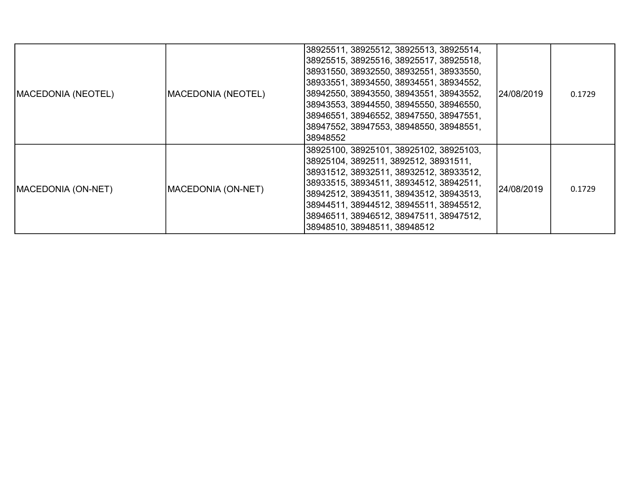| MACEDONIA (NEOTEL) | <b>MACEDONIA (NEOTEL)</b>  | 38925511, 38925512, 38925513, 38925514,<br>38925515, 38925516, 38925517, 38925518,<br>38931550, 38932550, 38932551, 38933550,<br>38933551, 38934550, 38934551, 38934552,<br>38942550, 38943550, 38943551, 38943552,<br>38943553, 38944550, 38945550, 38946550,<br>38946551, 38946552, 38947550, 38947551,<br>38947552, 38947553, 38948550, 38948551,<br>38948552 | 24/08/2019 | 0.1729 |
|--------------------|----------------------------|------------------------------------------------------------------------------------------------------------------------------------------------------------------------------------------------------------------------------------------------------------------------------------------------------------------------------------------------------------------|------------|--------|
| MACEDONIA (ON-NET) | <b>IMACEDONIA (ON-NET)</b> | 38925100, 38925101, 38925102, 38925103,<br> 38925104, 3892511, 3892512, 38931511,<br>38931512, 38932511, 38932512, 38933512,<br>38933515, 38934511, 38934512, 38942511,<br>38942512, 38943511, 38943512, 38943513,<br>38944511, 38944512, 38945511, 38945512,<br>38946511, 38946512, 38947511, 38947512,<br>38948510, 38948511, 38948512                         | 24/08/2019 | 0.1729 |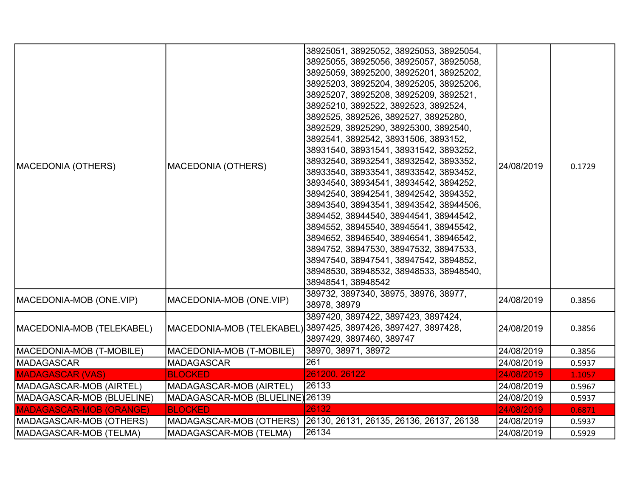| <b>MACEDONIA (OTHERS)</b>      | <b>MACEDONIA (OTHERS)</b>       | 38925051, 38925052, 38925053, 38925054,<br>38925055, 38925056, 38925057, 38925058,<br>38925059, 38925200, 38925201, 38925202,<br>38925203, 38925204, 38925205, 38925206,<br>38925207, 38925208, 38925209, 3892521,<br>38925210, 3892522, 3892523, 3892524,<br>3892525, 3892526, 3892527, 38925280,<br>3892529, 38925290, 38925300, 3892540,<br>3892541, 3892542, 38931506, 3893152,<br>38931540, 38931541, 38931542, 3893252,<br>38932540, 38932541, 38932542, 3893352,<br>38933540, 38933541, 38933542, 3893452,<br>38934540, 38934541, 38934542, 3894252,<br>38942540, 38942541, 38942542, 3894352,<br>38943540, 38943541, 38943542, 38944506,<br>3894452, 38944540, 38944541, 38944542,<br>3894552, 38945540, 38945541, 38945542,<br>3894652, 38946540, 38946541, 38946542,<br>3894752, 38947530, 38947532, 38947533,<br>38947540, 38947541, 38947542, 3894852,<br>38948530, 38948532, 38948533, 38948540,<br>38948541, 38948542 | 24/08/2019 | 0.1729 |
|--------------------------------|---------------------------------|-------------------------------------------------------------------------------------------------------------------------------------------------------------------------------------------------------------------------------------------------------------------------------------------------------------------------------------------------------------------------------------------------------------------------------------------------------------------------------------------------------------------------------------------------------------------------------------------------------------------------------------------------------------------------------------------------------------------------------------------------------------------------------------------------------------------------------------------------------------------------------------------------------------------------------------|------------|--------|
| MACEDONIA-MOB (ONE.VIP)        | MACEDONIA-MOB (ONE.VIP)         | 389732, 3897340, 38975, 38976, 38977,<br>38978, 38979                                                                                                                                                                                                                                                                                                                                                                                                                                                                                                                                                                                                                                                                                                                                                                                                                                                                               | 24/08/2019 | 0.3856 |
| MACEDONIA-MOB (TELEKABEL)      |                                 | 3897420, 3897422, 3897423, 3897424,<br>MACEDONIA-MOB (TELEKABEL) 3897425, 3897426, 3897427, 3897428,<br>3897429, 3897460, 389747                                                                                                                                                                                                                                                                                                                                                                                                                                                                                                                                                                                                                                                                                                                                                                                                    | 24/08/2019 | 0.3856 |
| MACEDONIA-MOB (T-MOBILE)       | MACEDONIA-MOB (T-MOBILE)        | 38970, 38971, 38972                                                                                                                                                                                                                                                                                                                                                                                                                                                                                                                                                                                                                                                                                                                                                                                                                                                                                                                 | 24/08/2019 | 0.3856 |
| MADAGASCAR                     | <b>MADAGASCAR</b>               | 261                                                                                                                                                                                                                                                                                                                                                                                                                                                                                                                                                                                                                                                                                                                                                                                                                                                                                                                                 | 24/08/2019 | 0.5937 |
| <b>MADAGASCAR (VAS)</b>        | <b>BLOCKED</b>                  | 261200, 26122                                                                                                                                                                                                                                                                                                                                                                                                                                                                                                                                                                                                                                                                                                                                                                                                                                                                                                                       | 24/08/2019 | 1.1057 |
| MADAGASCAR-MOB (AIRTEL)        | MADAGASCAR-MOB (AIRTEL)         | 26133                                                                                                                                                                                                                                                                                                                                                                                                                                                                                                                                                                                                                                                                                                                                                                                                                                                                                                                               | 24/08/2019 | 0.5967 |
| MADAGASCAR-MOB (BLUELINE)      | MADAGASCAR-MOB (BLUELINE) 26139 |                                                                                                                                                                                                                                                                                                                                                                                                                                                                                                                                                                                                                                                                                                                                                                                                                                                                                                                                     | 24/08/2019 | 0.5937 |
| <b>MADAGASCAR-MOB (ORANGE)</b> | <b>BLOCKED</b>                  | 26132                                                                                                                                                                                                                                                                                                                                                                                                                                                                                                                                                                                                                                                                                                                                                                                                                                                                                                                               | 24/08/2019 | 0.6871 |
| MADAGASCAR-MOB (OTHERS)        | MADAGASCAR-MOB (OTHERS)         | 26130, 26131, 26135, 26136, 26137, 26138                                                                                                                                                                                                                                                                                                                                                                                                                                                                                                                                                                                                                                                                                                                                                                                                                                                                                            | 24/08/2019 | 0.5937 |
| MADAGASCAR-MOB (TELMA)         | MADAGASCAR-MOB (TELMA)          | 26134                                                                                                                                                                                                                                                                                                                                                                                                                                                                                                                                                                                                                                                                                                                                                                                                                                                                                                                               | 24/08/2019 | 0.5929 |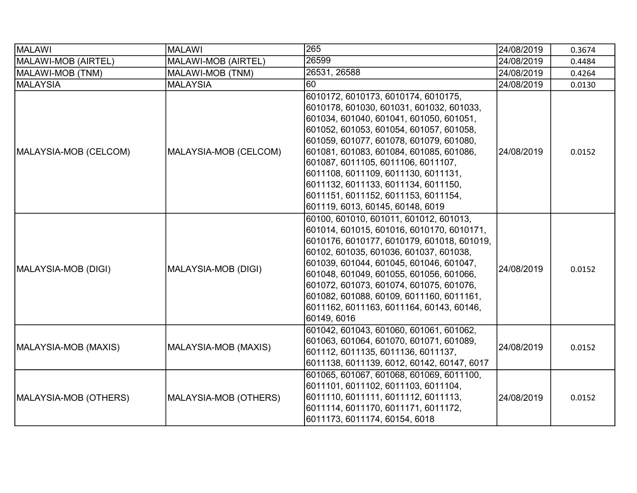| <b>MALAWI</b>         | <b>MALAWI</b>         | 265                                                                                                                                                                                                                                                                                                                                                                                                                                                        | 24/08/2019 | 0.3674 |
|-----------------------|-----------------------|------------------------------------------------------------------------------------------------------------------------------------------------------------------------------------------------------------------------------------------------------------------------------------------------------------------------------------------------------------------------------------------------------------------------------------------------------------|------------|--------|
| MALAWI-MOB (AIRTEL)   | MALAWI-MOB (AIRTEL)   | 26599                                                                                                                                                                                                                                                                                                                                                                                                                                                      | 24/08/2019 | 0.4484 |
| MALAWI-MOB (TNM)      | MALAWI-MOB (TNM)      | 26531, 26588                                                                                                                                                                                                                                                                                                                                                                                                                                               | 24/08/2019 | 0.4264 |
| <b>MALAYSIA</b>       | <b>MALAYSIA</b>       | 160                                                                                                                                                                                                                                                                                                                                                                                                                                                        | 24/08/2019 | 0.0130 |
| MALAYSIA-MOB (CELCOM) | MALAYSIA-MOB (CELCOM) | 6010172, 6010173, 6010174, 6010175,<br>6010178, 601030, 601031, 601032, 601033,<br>601034, 601040, 601041, 601050, 601051,<br>601052, 601053, 601054, 601057, 601058,<br>601059, 601077, 601078, 601079, 601080,<br>601081, 601083, 601084, 601085, 601086,<br>601087, 6011105, 6011106, 6011107,<br>6011108, 6011109, 6011130, 6011131,<br>6011132, 6011133, 6011134, 6011150,<br>6011151, 6011152, 6011153, 6011154,<br>601119, 6013, 60145, 60148, 6019 | 24/08/2019 | 0.0152 |
| MALAYSIA-MOB (DIGI)   | MALAYSIA-MOB (DIGI)   | 60100, 601010, 601011, 601012, 601013,<br>601014, 601015, 601016, 6010170, 6010171,<br>6010176, 6010177, 6010179, 601018, 601019,<br>60102, 601035, 601036, 601037, 601038,<br>601039, 601044, 601045, 601046, 601047,<br>601048, 601049, 601055, 601056, 601066,<br>601072, 601073, 601074, 601075, 601076,<br>601082, 601088, 60109, 6011160, 6011161,<br>6011162, 6011163, 6011164, 60143, 60146,<br>60149, 6016                                        | 24/08/2019 | 0.0152 |
| MALAYSIA-MOB (MAXIS)  | MALAYSIA-MOB (MAXIS)  | 601042, 601043, 601060, 601061, 601062,<br>601063, 601064, 601070, 601071, 601089,<br>601112, 6011135, 6011136, 6011137,<br>6011138, 6011139, 6012, 60142, 60147, 6017                                                                                                                                                                                                                                                                                     | 24/08/2019 | 0.0152 |
| MALAYSIA-MOB (OTHERS) | MALAYSIA-MOB (OTHERS) | 601065, 601067, 601068, 601069, 6011100,<br>6011101, 6011102, 6011103, 6011104,<br>6011110, 6011111, 6011112, 6011113,<br>6011114, 6011170, 6011171, 6011172,<br>6011173, 6011174, 60154, 6018                                                                                                                                                                                                                                                             | 24/08/2019 | 0.0152 |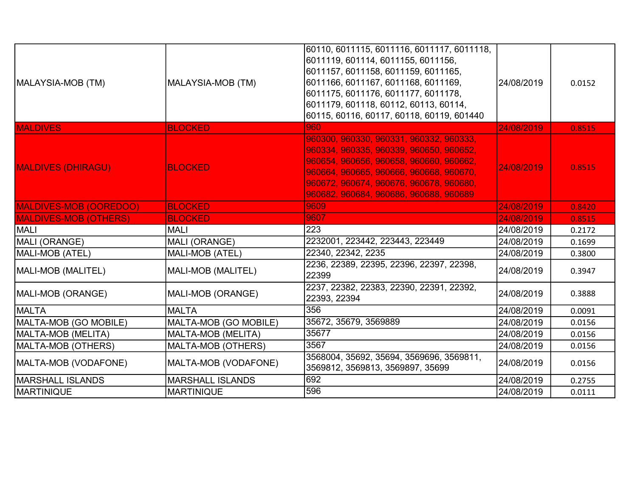| MALAYSIA-MOB (TM)            | MALAYSIA-MOB (TM)       | 60110, 6011115, 6011116, 6011117, 6011118,<br> 6011119, 601114, 6011155, 6011156,<br>6011157, 6011158, 6011159, 6011165,<br>6011166, 6011167, 6011168, 6011169,<br>6011175, 6011176, 6011177, 6011178,<br>6011179, 601118, 60112, 60113, 60114,<br>60115, 60116, 60117, 60118, 60119, 601440 | 24/08/2019 | 0.0152 |
|------------------------------|-------------------------|----------------------------------------------------------------------------------------------------------------------------------------------------------------------------------------------------------------------------------------------------------------------------------------------|------------|--------|
| <b>MALDIVES</b>              | <b>BLOCKED</b>          | 960                                                                                                                                                                                                                                                                                          | 24/08/2019 | 0.8515 |
| <b>MALDIVES (DHIRAGU)</b>    | <b>BLOCKED</b>          | 960300, 960330, 960331, 960332, 960333,<br>960334, 960335, 960339, 960650, 960652,<br>960654, 960656, 960658, 960660, 960662,<br>960664, 960665, 960666, 960668, 960670,<br>960672, 960674, 960676, 960678, 960680,<br>960682, 960684, 960686, 960688, 960689                                | 24/08/2019 | 0.8515 |
| MALDIVES-MOB (OOREDOO)       | <b>BLOCKED</b>          | 9609                                                                                                                                                                                                                                                                                         | 24/08/2019 | 0.8420 |
| <b>MALDIVES-MOB (OTHERS)</b> | <b>BLOCKED</b>          | 9607                                                                                                                                                                                                                                                                                         | 24/08/2019 | 0.8515 |
| <b>MALI</b>                  | MALI                    | 223                                                                                                                                                                                                                                                                                          | 24/08/2019 | 0.2172 |
| MALI (ORANGE)                | MALI (ORANGE)           | 2232001, 223442, 223443, 223449                                                                                                                                                                                                                                                              | 24/08/2019 | 0.1699 |
| MALI-MOB (ATEL)              | MALI-MOB (ATEL)         | 22340, 22342, 2235                                                                                                                                                                                                                                                                           | 24/08/2019 | 0.3800 |
| MALI-MOB (MALITEL)           | MALI-MOB (MALITEL)      | 2236, 22389, 22395, 22396, 22397, 22398,<br>22399                                                                                                                                                                                                                                            | 24/08/2019 | 0.3947 |
| MALI-MOB (ORANGE)            | MALI-MOB (ORANGE)       | 2237, 22382, 22383, 22390, 22391, 22392,<br>22393, 22394                                                                                                                                                                                                                                     | 24/08/2019 | 0.3888 |
| <b>IMALTA</b>                | <b>IMALTA</b>           | 356                                                                                                                                                                                                                                                                                          | 24/08/2019 | 0.0091 |
| MALTA-MOB (GO MOBILE)        | MALTA-MOB (GO MOBILE)   | 35672, 35679, 3569889                                                                                                                                                                                                                                                                        | 24/08/2019 | 0.0156 |
| MALTA-MOB (MELITA)           | MALTA-MOB (MELITA)      | 35677                                                                                                                                                                                                                                                                                        | 24/08/2019 | 0.0156 |
| MALTA-MOB (OTHERS)           | MALTA-MOB (OTHERS)      | 3567                                                                                                                                                                                                                                                                                         | 24/08/2019 | 0.0156 |
| MALTA-MOB (VODAFONE)         | MALTA-MOB (VODAFONE)    | 3568004, 35692, 35694, 3569696, 3569811,<br>3569812, 3569813, 3569897, 35699                                                                                                                                                                                                                 | 24/08/2019 | 0.0156 |
| <b>MARSHALL ISLANDS</b>      | <b>MARSHALL ISLANDS</b> | 692                                                                                                                                                                                                                                                                                          | 24/08/2019 | 0.2755 |
| <b>MARTINIQUE</b>            | <b>MARTINIQUE</b>       | 596                                                                                                                                                                                                                                                                                          | 24/08/2019 | 0.0111 |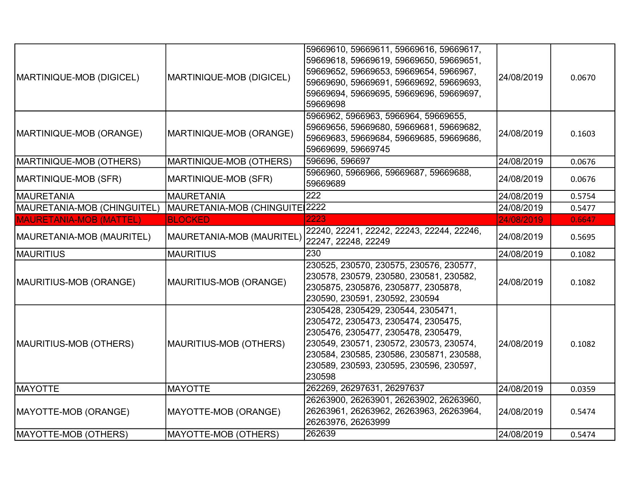| MARTINIQUE-MOB (DIGICEL)       | MARTINIQUE-MOB (DIGICEL)       | 59669610, 59669611, 59669616, 59669617,<br>59669618, 59669619, 59669650, 59669651,<br>59669652, 59669653, 59669654, 5966967,<br>59669690, 59669691, 59669692, 59669693,<br>59669694, 59669695, 59669696, 59669697,<br>59669698                               | 24/08/2019 | 0.0670 |
|--------------------------------|--------------------------------|--------------------------------------------------------------------------------------------------------------------------------------------------------------------------------------------------------------------------------------------------------------|------------|--------|
| MARTINIQUE-MOB (ORANGE)        | MARTINIQUE-MOB (ORANGE)        | 5966962, 5966963, 5966964, 59669655,<br>59669656, 59669680, 59669681, 59669682,<br>59669683, 59669684, 59669685, 59669686,<br>59669699, 59669745                                                                                                             | 24/08/2019 | 0.1603 |
| MARTINIQUE-MOB (OTHERS)        | MARTINIQUE-MOB (OTHERS)        | 596696, 596697                                                                                                                                                                                                                                               | 24/08/2019 | 0.0676 |
| MARTINIQUE-MOB (SFR)           | MARTINIQUE-MOB (SFR)           | 5966960, 5966966, 59669687, 59669688,<br>59669689                                                                                                                                                                                                            | 24/08/2019 | 0.0676 |
| MAURETANIA                     | <b>MAURETANIA</b>              | $\overline{222}$                                                                                                                                                                                                                                             | 24/08/2019 | 0.5754 |
| MAURETANIA-MOB (CHINGUITEL)    | MAURETANIA-MOB (CHINGUITE 2222 |                                                                                                                                                                                                                                                              | 24/08/2019 | 0.5477 |
| <b>MAURETANIA-MOB (MATTEL)</b> | <b>BLOCKED</b>                 | 2223                                                                                                                                                                                                                                                         | 24/08/2019 | 0.6647 |
| MAURETANIA-MOB (MAURITEL)      | MAURETANIA-MOB (MAURITEL)      | 22240, 22241, 22242, 22243, 22244, 22246,<br>22247, 22248, 22249                                                                                                                                                                                             | 24/08/2019 | 0.5695 |
| MAURITIUS                      | MAURITIUS                      | 230                                                                                                                                                                                                                                                          | 24/08/2019 | 0.1082 |
| MAURITIUS-MOB (ORANGE)         | MAURITIUS-MOB (ORANGE)         | 230525, 230570, 230575, 230576, 230577,<br>230578, 230579, 230580, 230581, 230582,<br>2305875, 2305876, 2305877, 2305878,<br>230590, 230591, 230592, 230594                                                                                                  | 24/08/2019 | 0.1082 |
| MAURITIUS-MOB (OTHERS)         | MAURITIUS-MOB (OTHERS)         | 2305428, 2305429, 230544, 2305471,<br>2305472, 2305473, 2305474, 2305475,<br>2305476, 2305477, 2305478, 2305479,<br>230549, 230571, 230572, 230573, 230574,<br>230584, 230585, 230586, 2305871, 230588,<br>230589, 230593, 230595, 230596, 230597,<br>230598 | 24/08/2019 | 0.1082 |
| <b>MAYOTTE</b>                 | <b>MAYOTTE</b>                 | 262269, 26297631, 26297637                                                                                                                                                                                                                                   | 24/08/2019 | 0.0359 |
| MAYOTTE-MOB (ORANGE)           | MAYOTTE-MOB (ORANGE)           | 26263900, 26263901, 26263902, 26263960,<br>26263961, 26263962, 26263963, 26263964,<br>26263976, 26263999                                                                                                                                                     | 24/08/2019 | 0.5474 |
| MAYOTTE-MOB (OTHERS)           | MAYOTTE-MOB (OTHERS)           | 262639                                                                                                                                                                                                                                                       | 24/08/2019 | 0.5474 |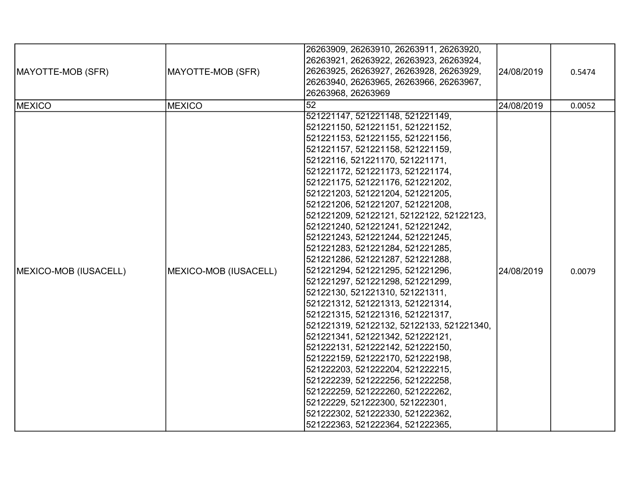| MAYOTTE-MOB (SFR)                      | MAYOTTE-MOB (SFR)                      | 26263909, 26263910, 26263911, 26263920,<br>26263921, 26263922, 26263923, 26263924,<br>26263925, 26263927, 26263928, 26263929,<br>26263940, 26263965, 26263966, 26263967,<br>26263968, 26263969<br>$\overline{52}$                                                                                                                                                                                                                                                                                                                                                                                                                                                                                                                                                                                                                                                                                                                                                                                                                                                                              | 24/08/2019               | 0.5474           |
|----------------------------------------|----------------------------------------|------------------------------------------------------------------------------------------------------------------------------------------------------------------------------------------------------------------------------------------------------------------------------------------------------------------------------------------------------------------------------------------------------------------------------------------------------------------------------------------------------------------------------------------------------------------------------------------------------------------------------------------------------------------------------------------------------------------------------------------------------------------------------------------------------------------------------------------------------------------------------------------------------------------------------------------------------------------------------------------------------------------------------------------------------------------------------------------------|--------------------------|------------------|
| <b>MEXICO</b><br>MEXICO-MOB (IUSACELL) | <b>MEXICO</b><br>MEXICO-MOB (IUSACELL) | 521221147, 521221148, 521221149,<br>521221150, 521221151, 521221152,<br>521221153, 521221155, 521221156,<br>521221157, 521221158, 521221159,<br>52122116, 521221170, 521221171,<br>521221172, 521221173, 521221174,<br>521221175, 521221176, 521221202,<br>521221203, 521221204, 521221205,<br>521221206, 521221207, 521221208,<br>521221209, 52122121, 52122122, 52122123,<br>521221240, 521221241, 521221242,<br>521221243, 521221244, 521221245,<br>521221283, 521221284, 521221285,<br>521221286, 521221287, 521221288,<br>521221294, 521221295, 521221296,<br>521221297, 521221298, 521221299,<br>52122130, 521221310, 521221311,<br>521221312, 521221313, 521221314,<br>521221315, 521221316, 521221317,<br>521221319, 52122132, 52122133, 521221340,<br>521221341, 521221342, 521222121,<br>521222131, 521222142, 521222150,<br>521222159, 521222170, 521222198,<br>521222203, 521222204, 521222215,<br>521222239, 521222256, 521222258,<br>521222259, 521222260, 521222262,<br>52122229, 521222300, 521222301,<br>521222302, 521222330, 521222362,<br>521222363, 521222364, 521222365, | 24/08/2019<br>24/08/2019 | 0.0052<br>0.0079 |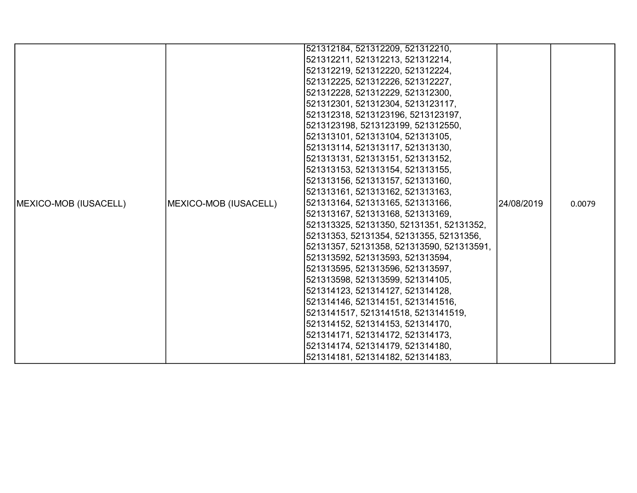|                               |                       | 521312184, 521312209, 521312210,          |            |        |
|-------------------------------|-----------------------|-------------------------------------------|------------|--------|
|                               |                       | 521312211, 521312213, 521312214,          |            |        |
|                               |                       | 521312219, 521312220, 521312224,          |            |        |
|                               |                       | 521312225, 521312226, 521312227,          |            |        |
|                               |                       | 521312228, 521312229, 521312300,          |            |        |
|                               |                       | 521312301, 521312304, 5213123117,         |            |        |
|                               |                       | 521312318, 5213123196, 5213123197,        |            |        |
|                               |                       | 5213123198, 5213123199, 521312550,        |            |        |
|                               |                       | 521313101, 521313104, 521313105,          |            |        |
|                               |                       | 521313114, 521313117, 521313130,          |            |        |
|                               |                       | 521313131, 521313151, 521313152,          |            |        |
|                               |                       | 521313153, 521313154, 521313155,          |            |        |
|                               |                       | 521313156, 521313157, 521313160,          |            |        |
|                               |                       | 521313161, 521313162, 521313163,          |            |        |
| <b>IMEXICO-MOB (IUSACELL)</b> | MEXICO-MOB (IUSACELL) | 521313164, 521313165, 521313166,          | 24/08/2019 | 0.0079 |
|                               |                       | 521313167, 521313168, 521313169,          |            |        |
|                               |                       | 521313325, 52131350, 52131351, 52131352,  |            |        |
|                               |                       | 52131353, 52131354, 52131355, 52131356,   |            |        |
|                               |                       | 52131357, 52131358, 521313590, 521313591, |            |        |
|                               |                       | 521313592, 521313593, 521313594,          |            |        |
|                               |                       | 521313595, 521313596, 521313597,          |            |        |
|                               |                       | 521313598, 521313599, 521314105,          |            |        |
|                               |                       | 521314123, 521314127, 521314128,          |            |        |
|                               |                       | 521314146, 521314151, 5213141516,         |            |        |
|                               |                       | 5213141517, 5213141518, 5213141519,       |            |        |
|                               |                       | 521314152, 521314153, 521314170,          |            |        |
|                               |                       | 521314171, 521314172, 521314173,          |            |        |
|                               |                       | 521314174, 521314179, 521314180,          |            |        |
|                               |                       | 521314181, 521314182, 521314183,          |            |        |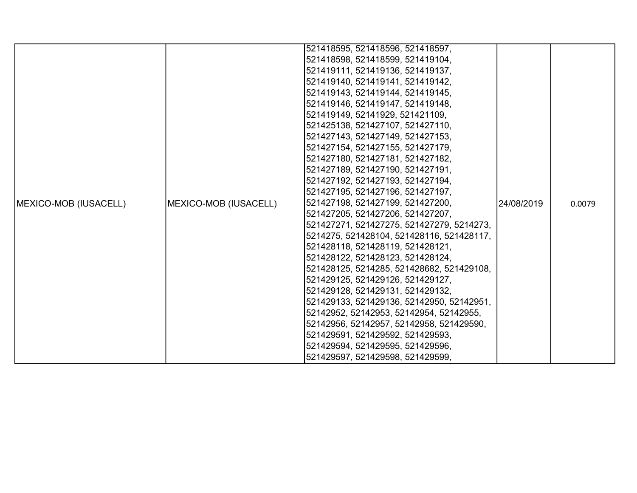|                       |                       | 521418595, 521418596, 521418597,          |            |        |
|-----------------------|-----------------------|-------------------------------------------|------------|--------|
|                       |                       | 521418598, 521418599, 521419104,          |            |        |
|                       |                       | 521419111, 521419136, 521419137,          |            |        |
|                       |                       | 521419140, 521419141, 521419142,          |            |        |
|                       |                       | 521419143, 521419144, 521419145,          |            |        |
|                       |                       | 521419146, 521419147, 521419148,          |            |        |
|                       |                       | 521419149, 52141929, 521421109,           |            |        |
|                       |                       | 521425138, 521427107, 521427110,          |            |        |
|                       |                       | 521427143, 521427149, 521427153,          |            |        |
|                       |                       | 521427154, 521427155, 521427179,          |            |        |
|                       |                       | 521427180, 521427181, 521427182,          |            |        |
|                       |                       | 521427189, 521427190, 521427191,          |            |        |
|                       |                       | 521427192, 521427193, 521427194,          |            |        |
|                       |                       | 521427195, 521427196, 521427197,          |            |        |
| MEXICO-MOB (IUSACELL) | MEXICO-MOB (IUSACELL) | 521427198, 521427199, 521427200,          | 24/08/2019 | 0.0079 |
|                       |                       | 521427205, 521427206, 521427207,          |            |        |
|                       |                       | 521427271, 521427275, 521427279, 5214273, |            |        |
|                       |                       | 5214275, 521428104, 521428116, 521428117, |            |        |
|                       |                       | 521428118, 521428119, 521428121,          |            |        |
|                       |                       | 521428122, 521428123, 521428124,          |            |        |
|                       |                       | 521428125, 5214285, 521428682, 521429108, |            |        |
|                       |                       | 521429125, 521429126, 521429127,          |            |        |
|                       |                       | 521429128, 521429131, 521429132,          |            |        |
|                       |                       | 521429133, 521429136, 52142950, 52142951, |            |        |
|                       |                       | 52142952, 52142953, 52142954, 52142955,   |            |        |
|                       |                       | 52142956, 52142957, 52142958, 521429590,  |            |        |
|                       |                       | 521429591, 521429592, 521429593,          |            |        |
|                       |                       | 521429594, 521429595, 521429596,          |            |        |
|                       |                       | 521429597, 521429598, 521429599,          |            |        |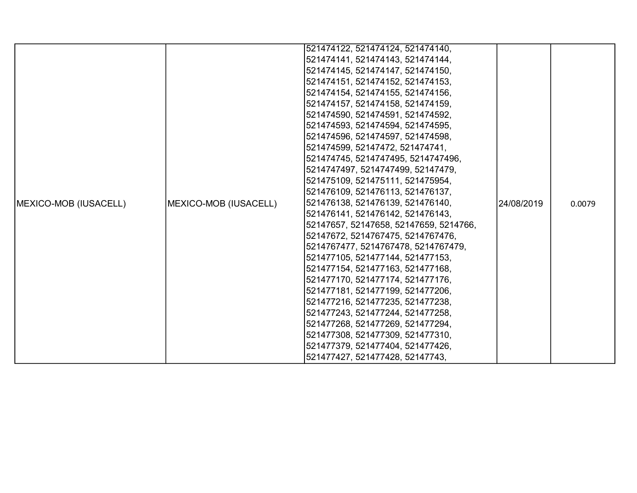|                               |                       | 521474122, 521474124, 521474140,       |            |        |
|-------------------------------|-----------------------|----------------------------------------|------------|--------|
|                               |                       | 521474141, 521474143, 521474144,       |            |        |
|                               |                       | 521474145, 521474147, 521474150,       |            |        |
|                               |                       | 521474151, 521474152, 521474153,       |            |        |
|                               |                       | 521474154, 521474155, 521474156,       |            |        |
|                               |                       | 521474157, 521474158, 521474159,       |            |        |
|                               |                       | 521474590, 521474591, 521474592,       |            |        |
|                               |                       | 521474593, 521474594, 521474595,       |            |        |
|                               |                       | 521474596, 521474597, 521474598,       |            |        |
|                               |                       | 521474599, 52147472, 521474741,        |            |        |
|                               |                       | 521474745, 5214747495, 5214747496,     |            |        |
|                               |                       | 5214747497, 5214747499, 52147479,      |            |        |
|                               |                       | 521475109, 521475111, 521475954,       |            |        |
|                               |                       | 521476109, 521476113, 521476137,       |            |        |
| <b>IMEXICO-MOB (IUSACELL)</b> | MEXICO-MOB (IUSACELL) | 521476138, 521476139, 521476140,       | 24/08/2019 | 0.0079 |
|                               |                       | 521476141, 521476142, 521476143,       |            |        |
|                               |                       | 52147657, 52147658, 52147659, 5214766, |            |        |
|                               |                       | 52147672, 5214767475, 5214767476,      |            |        |
|                               |                       | 5214767477, 5214767478, 5214767479,    |            |        |
|                               |                       | 521477105, 521477144, 521477153,       |            |        |
|                               |                       | 521477154, 521477163, 521477168,       |            |        |
|                               |                       | 521477170, 521477174, 521477176,       |            |        |
|                               |                       | 521477181, 521477199, 521477206,       |            |        |
|                               |                       | 521477216, 521477235, 521477238,       |            |        |
|                               |                       | 521477243, 521477244, 521477258,       |            |        |
|                               |                       | 521477268, 521477269, 521477294,       |            |        |
|                               |                       | 521477308, 521477309, 521477310,       |            |        |
|                               |                       | 521477379, 521477404, 521477426,       |            |        |
|                               |                       | 521477427, 521477428, 52147743,        |            |        |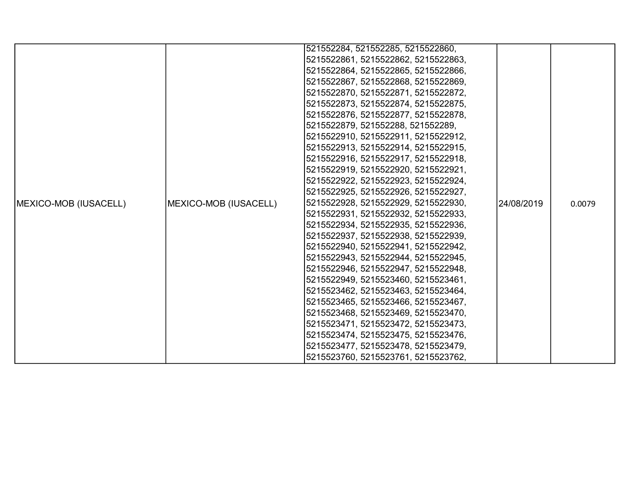|                               |                       | 521552284, 521552285, 5215522860,   |            |        |
|-------------------------------|-----------------------|-------------------------------------|------------|--------|
|                               |                       | 5215522861, 5215522862, 5215522863, |            |        |
|                               |                       | 5215522864, 5215522865, 5215522866, |            |        |
|                               |                       | 5215522867, 5215522868, 5215522869, |            |        |
|                               |                       | 5215522870, 5215522871, 5215522872, |            |        |
|                               |                       | 5215522873, 5215522874, 5215522875, |            |        |
|                               |                       | 5215522876, 5215522877, 5215522878, |            |        |
|                               |                       | 5215522879, 521552288, 521552289,   |            |        |
|                               |                       | 5215522910, 5215522911, 5215522912, |            |        |
|                               |                       | 5215522913, 5215522914, 5215522915, |            |        |
|                               |                       | 5215522916, 5215522917, 5215522918, |            |        |
|                               |                       | 5215522919, 5215522920, 5215522921, |            |        |
|                               |                       | 5215522922, 5215522923, 5215522924, |            |        |
|                               |                       | 5215522925, 5215522926, 5215522927, |            |        |
| <b>IMEXICO-MOB (IUSACELL)</b> | MEXICO-MOB (IUSACELL) | 5215522928, 5215522929, 5215522930, | 24/08/2019 | 0.0079 |
|                               |                       | 5215522931, 5215522932, 5215522933, |            |        |
|                               |                       | 5215522934, 5215522935, 5215522936, |            |        |
|                               |                       | 5215522937, 5215522938, 5215522939, |            |        |
|                               |                       | 5215522940, 5215522941, 5215522942, |            |        |
|                               |                       | 5215522943, 5215522944, 5215522945, |            |        |
|                               |                       | 5215522946, 5215522947, 5215522948, |            |        |
|                               |                       | 5215522949, 5215523460, 5215523461, |            |        |
|                               |                       | 5215523462, 5215523463, 5215523464, |            |        |
|                               |                       | 5215523465, 5215523466, 5215523467, |            |        |
|                               |                       | 5215523468, 5215523469, 5215523470, |            |        |
|                               |                       | 5215523471, 5215523472, 5215523473, |            |        |
|                               |                       | 5215523474, 5215523475, 5215523476, |            |        |
|                               |                       | 5215523477, 5215523478, 5215523479, |            |        |
|                               |                       | 5215523760, 5215523761, 5215523762, |            |        |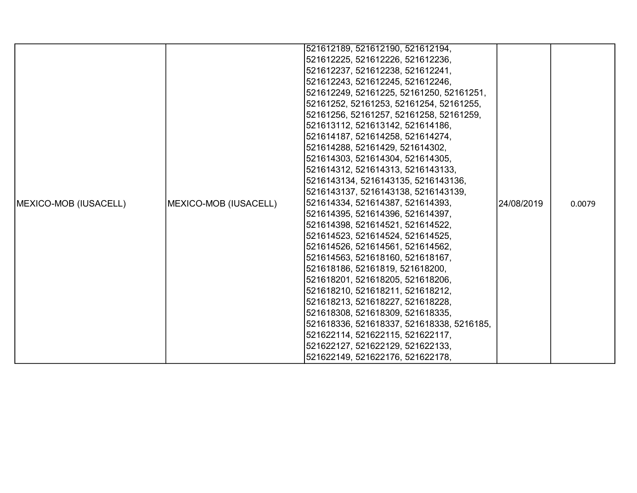|                               |                       | 521612189, 521612190, 521612194,          |            |        |
|-------------------------------|-----------------------|-------------------------------------------|------------|--------|
|                               |                       | 521612225, 521612226, 521612236,          |            |        |
|                               |                       | 521612237, 521612238, 521612241,          |            |        |
|                               |                       | 521612243, 521612245, 521612246,          |            |        |
|                               |                       | 521612249, 52161225, 52161250, 52161251,  |            |        |
|                               |                       | 52161252, 52161253, 52161254, 52161255,   |            |        |
|                               |                       | 52161256, 52161257, 52161258, 52161259,   |            |        |
|                               |                       | 521613112, 521613142, 521614186,          |            |        |
|                               |                       | 521614187, 521614258, 521614274,          |            |        |
|                               |                       | 521614288, 52161429, 521614302,           |            |        |
|                               |                       | 521614303, 521614304, 521614305,          |            |        |
|                               |                       | 521614312, 521614313, 5216143133,         |            |        |
|                               |                       | 5216143134, 5216143135, 5216143136,       |            |        |
|                               |                       | 5216143137, 5216143138, 5216143139,       |            |        |
| <b>IMEXICO-MOB (IUSACELL)</b> | MEXICO-MOB (IUSACELL) | 521614334, 521614387, 521614393,          | 24/08/2019 | 0.0079 |
|                               |                       | 521614395, 521614396, 521614397,          |            |        |
|                               |                       | 521614398, 521614521, 521614522,          |            |        |
|                               |                       | 521614523, 521614524, 521614525,          |            |        |
|                               |                       | 521614526, 521614561, 521614562,          |            |        |
|                               |                       | 521614563, 521618160, 521618167,          |            |        |
|                               |                       | 521618186, 52161819, 521618200,           |            |        |
|                               |                       | 521618201, 521618205, 521618206,          |            |        |
|                               |                       | 521618210, 521618211, 521618212,          |            |        |
|                               |                       | 521618213, 521618227, 521618228,          |            |        |
|                               |                       | 521618308, 521618309, 521618335,          |            |        |
|                               |                       | 521618336, 521618337, 521618338, 5216185, |            |        |
|                               |                       | 521622114, 521622115, 521622117,          |            |        |
|                               |                       | 521622127, 521622129, 521622133,          |            |        |
|                               |                       | 521622149, 521622176, 521622178,          |            |        |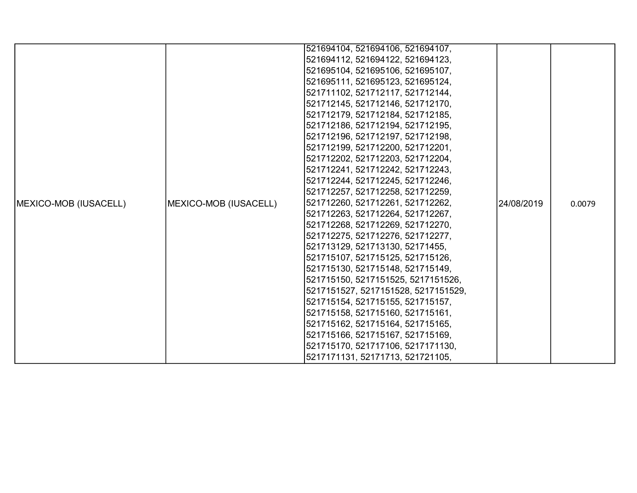|                               |                       | 521694104, 521694106, 521694107,    |            |        |
|-------------------------------|-----------------------|-------------------------------------|------------|--------|
|                               |                       | 521694112, 521694122, 521694123,    |            |        |
|                               |                       | 521695104, 521695106, 521695107,    |            |        |
|                               |                       | 521695111, 521695123, 521695124,    |            |        |
|                               |                       | 521711102, 521712117, 521712144,    |            |        |
|                               |                       | 521712145, 521712146, 521712170,    |            |        |
|                               |                       | 521712179, 521712184, 521712185,    |            |        |
|                               |                       | 521712186, 521712194, 521712195,    |            |        |
|                               |                       | 521712196, 521712197, 521712198,    |            |        |
|                               |                       | 521712199, 521712200, 521712201,    |            |        |
|                               |                       | 521712202, 521712203, 521712204,    |            |        |
|                               |                       | 521712241, 521712242, 521712243,    |            |        |
|                               |                       | 521712244, 521712245, 521712246,    |            |        |
|                               |                       | 521712257, 521712258, 521712259,    |            |        |
| <b>IMEXICO-MOB (IUSACELL)</b> | MEXICO-MOB (IUSACELL) | 521712260, 521712261, 521712262,    | 24/08/2019 | 0.0079 |
|                               |                       | 521712263, 521712264, 521712267,    |            |        |
|                               |                       | 521712268, 521712269, 521712270,    |            |        |
|                               |                       | 521712275, 521712276, 521712277,    |            |        |
|                               |                       | 521713129, 521713130, 52171455,     |            |        |
|                               |                       | 521715107, 521715125, 521715126,    |            |        |
|                               |                       | 521715130, 521715148, 521715149,    |            |        |
|                               |                       | 521715150, 5217151525, 5217151526,  |            |        |
|                               |                       | 5217151527, 5217151528, 5217151529, |            |        |
|                               |                       | 521715154, 521715155, 521715157,    |            |        |
|                               |                       | 521715158, 521715160, 521715161,    |            |        |
|                               |                       | 521715162, 521715164, 521715165,    |            |        |
|                               |                       | 521715166, 521715167, 521715169,    |            |        |
|                               |                       | 521715170, 521717106, 5217171130,   |            |        |
|                               |                       | 5217171131, 52171713, 521721105,    |            |        |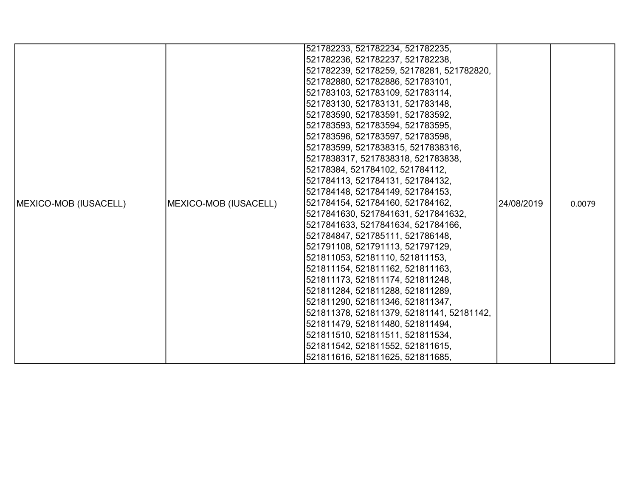|                               |                       | 521782233, 521782234, 521782235,          |            |        |
|-------------------------------|-----------------------|-------------------------------------------|------------|--------|
|                               |                       | 521782236, 521782237, 521782238,          |            |        |
|                               |                       | 521782239, 52178259, 52178281, 521782820, |            |        |
|                               |                       | 521782880, 521782886, 521783101,          |            |        |
|                               |                       | 521783103, 521783109, 521783114,          |            |        |
|                               |                       | 521783130, 521783131, 521783148,          |            |        |
|                               |                       | 521783590, 521783591, 521783592,          |            |        |
|                               |                       | 521783593, 521783594, 521783595,          |            |        |
|                               |                       | 521783596, 521783597, 521783598,          |            |        |
|                               |                       | 521783599, 5217838315, 5217838316,        |            |        |
|                               |                       | 5217838317, 5217838318, 521783838,        |            |        |
|                               |                       | 52178384, 521784102, 521784112,           |            |        |
|                               |                       | 521784113, 521784131, 521784132,          |            |        |
|                               |                       | 521784148, 521784149, 521784153,          |            |        |
| <b>IMEXICO-MOB (IUSACELL)</b> | MEXICO-MOB (IUSACELL) | 521784154, 521784160, 521784162,          | 24/08/2019 | 0.0079 |
|                               |                       | 5217841630, 5217841631, 5217841632,       |            |        |
|                               |                       | 5217841633, 5217841634, 521784166,        |            |        |
|                               |                       | 521784847, 521785111, 521786148,          |            |        |
|                               |                       | 521791108, 521791113, 521797129,          |            |        |
|                               |                       | 521811053, 52181110, 521811153,           |            |        |
|                               |                       | 521811154, 521811162, 521811163,          |            |        |
|                               |                       | 521811173, 521811174, 521811248,          |            |        |
|                               |                       | 521811284, 521811288, 521811289,          |            |        |
|                               |                       | 521811290, 521811346, 521811347,          |            |        |
|                               |                       | 521811378, 521811379, 52181141, 52181142, |            |        |
|                               |                       | 521811479, 521811480, 521811494,          |            |        |
|                               |                       | 521811510, 521811511, 521811534,          |            |        |
|                               |                       | 521811542, 521811552, 521811615,          |            |        |
|                               |                       | 521811616, 521811625, 521811685,          |            |        |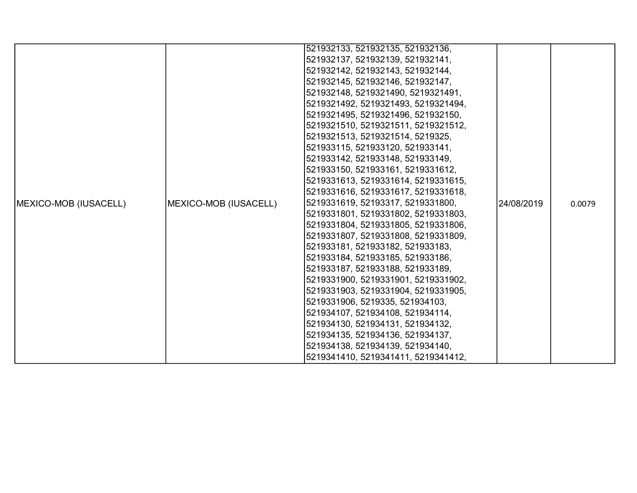|                               |                       | 521932133, 521932135, 521932136,    |            |        |
|-------------------------------|-----------------------|-------------------------------------|------------|--------|
|                               |                       | 521932137, 521932139, 521932141,    |            |        |
|                               |                       | 521932142, 521932143, 521932144,    |            |        |
|                               |                       | 521932145, 521932146, 521932147,    |            |        |
|                               |                       | 521932148, 5219321490, 5219321491,  |            |        |
|                               |                       | 5219321492, 5219321493, 5219321494, |            |        |
|                               |                       | 5219321495, 5219321496, 521932150,  |            |        |
|                               |                       | 5219321510, 5219321511, 5219321512, |            |        |
|                               |                       | 5219321513, 5219321514, 5219325,    |            |        |
|                               |                       | 521933115, 521933120, 521933141,    |            |        |
|                               |                       | 521933142, 521933148, 521933149,    |            |        |
|                               |                       | 521933150, 521933161, 5219331612,   |            |        |
|                               |                       | 5219331613, 5219331614, 5219331615, |            |        |
|                               |                       | 5219331616, 5219331617, 5219331618, |            |        |
| <b>IMEXICO-MOB (IUSACELL)</b> | MEXICO-MOB (IUSACELL) | 5219331619, 52193317, 5219331800,   | 24/08/2019 | 0.0079 |
|                               |                       | 5219331801, 5219331802, 5219331803, |            |        |
|                               |                       | 5219331804, 5219331805, 5219331806, |            |        |
|                               |                       | 5219331807, 5219331808, 5219331809, |            |        |
|                               |                       | 521933181, 521933182, 521933183,    |            |        |
|                               |                       | 521933184, 521933185, 521933186,    |            |        |
|                               |                       | 521933187, 521933188, 521933189,    |            |        |
|                               |                       | 5219331900, 5219331901, 5219331902, |            |        |
|                               |                       | 5219331903, 5219331904, 5219331905, |            |        |
|                               |                       | 5219331906, 5219335, 521934103,     |            |        |
|                               |                       | 521934107, 521934108, 521934114,    |            |        |
|                               |                       | 521934130, 521934131, 521934132,    |            |        |
|                               |                       | 521934135, 521934136, 521934137,    |            |        |
|                               |                       | 521934138, 521934139, 521934140,    |            |        |
|                               |                       | 5219341410, 5219341411, 5219341412, |            |        |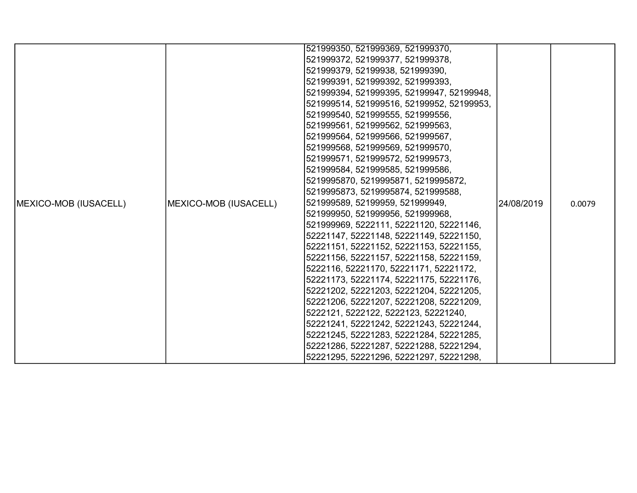|                       |                       | 521999350, 521999369, 521999370,          |            |        |
|-----------------------|-----------------------|-------------------------------------------|------------|--------|
|                       |                       | 521999372, 521999377, 521999378,          |            |        |
|                       |                       | 521999379, 52199938, 521999390,           |            |        |
|                       |                       | 521999391, 521999392, 521999393,          |            |        |
|                       |                       | 521999394, 521999395, 52199947, 52199948, |            |        |
|                       |                       | 521999514, 521999516, 52199952, 52199953, |            |        |
|                       |                       | 521999540, 521999555, 521999556,          |            |        |
|                       |                       | 521999561, 521999562, 521999563,          |            |        |
|                       |                       | 521999564, 521999566, 521999567,          |            |        |
|                       |                       | 521999568, 521999569, 521999570,          |            |        |
|                       |                       | 521999571, 521999572, 521999573,          |            |        |
|                       |                       | 521999584, 521999585, 521999586,          |            |        |
|                       |                       | 5219995870, 5219995871, 5219995872,       |            |        |
|                       |                       | 5219995873, 5219995874, 521999588,        |            |        |
| MEXICO-MOB (IUSACELL) | MEXICO-MOB (IUSACELL) | 521999589, 52199959, 521999949,           | 24/08/2019 | 0.0079 |
|                       |                       | 521999950, 521999956, 521999968,          |            |        |
|                       |                       | 521999969, 5222111, 52221120, 52221146,   |            |        |
|                       |                       | 52221147, 52221148, 52221149, 52221150,   |            |        |
|                       |                       | 52221151, 52221152, 52221153, 52221155,   |            |        |
|                       |                       | 52221156, 52221157, 52221158, 52221159,   |            |        |
|                       |                       | 5222116, 52221170, 52221171, 52221172,    |            |        |
|                       |                       | 52221173, 52221174, 52221175, 52221176,   |            |        |
|                       |                       | 52221202, 52221203, 52221204, 52221205,   |            |        |
|                       |                       | 52221206, 52221207, 52221208, 52221209,   |            |        |
|                       |                       | 5222121, 5222122, 5222123, 52221240,      |            |        |
|                       |                       | 52221241, 52221242, 52221243, 52221244,   |            |        |
|                       |                       | 52221245, 52221283, 52221284, 52221285,   |            |        |
|                       |                       | 52221286, 52221287, 52221288, 52221294,   |            |        |
|                       |                       | 52221295, 52221296, 52221297, 52221298,   |            |        |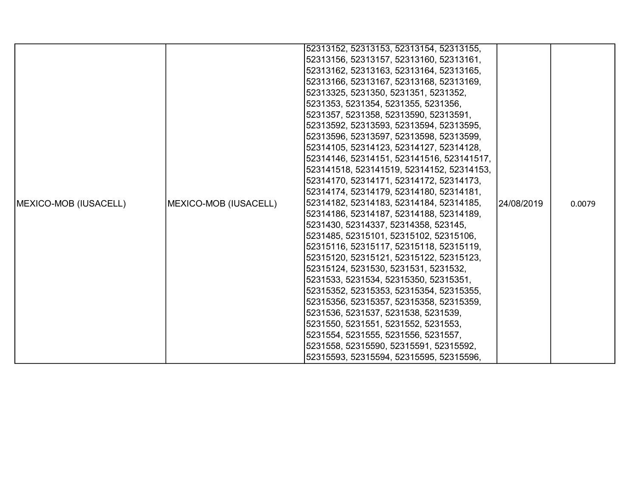|                       |                                                                                                                                                                                                                | 52313152, 52313153, 52313154, 52313155,   |             |        |
|-----------------------|----------------------------------------------------------------------------------------------------------------------------------------------------------------------------------------------------------------|-------------------------------------------|-------------|--------|
|                       |                                                                                                                                                                                                                | 52313156, 52313157, 52313160, 52313161,   |             |        |
|                       |                                                                                                                                                                                                                | 52313162, 52313163, 52313164, 52313165,   |             |        |
|                       |                                                                                                                                                                                                                | 52313166, 52313167, 52313168, 52313169,   |             |        |
|                       |                                                                                                                                                                                                                | 52313325, 5231350, 5231351, 5231352,      |             |        |
|                       |                                                                                                                                                                                                                | 5231353, 5231354, 5231355, 5231356,       |             |        |
|                       |                                                                                                                                                                                                                | 5231357, 5231358, 52313590, 52313591,     |             |        |
|                       |                                                                                                                                                                                                                | 52313592, 52313593, 52313594, 52313595,   |             |        |
|                       |                                                                                                                                                                                                                | 52313596, 52313597, 52313598, 52313599,   |             |        |
|                       |                                                                                                                                                                                                                | 52314105, 52314123, 52314127, 52314128,   |             |        |
|                       |                                                                                                                                                                                                                | 52314146, 52314151, 523141516, 523141517, |             |        |
|                       |                                                                                                                                                                                                                | 523141518, 523141519, 52314152, 52314153, |             |        |
|                       |                                                                                                                                                                                                                | 52314170, 52314171, 52314172, 52314173,   |             |        |
|                       |                                                                                                                                                                                                                | 52314174, 52314179, 52314180, 52314181,   |             |        |
| MEXICO-MOB (IUSACELL) | MEXICO-MOB (IUSACELL)                                                                                                                                                                                          | 52314182, 52314183, 52314184, 52314185,   | l24/08/2019 | 0.0079 |
|                       |                                                                                                                                                                                                                | 52314186, 52314187, 52314188, 52314189,   |             |        |
|                       |                                                                                                                                                                                                                | 5231430, 52314337, 52314358, 523145,      |             |        |
|                       |                                                                                                                                                                                                                | 5231485, 52315101, 52315102, 52315106,    |             |        |
|                       |                                                                                                                                                                                                                | 52315116, 52315117, 52315118, 52315119,   |             |        |
|                       | 52315120, 52315121, 52315122, 52315123,<br>52315124, 5231530, 5231531, 5231532,<br>5231533, 5231534, 52315350, 52315351,<br>52315352, 52315353, 52315354, 52315355,<br>52315356, 52315357, 52315358, 52315359, |                                           |             |        |
|                       |                                                                                                                                                                                                                |                                           |             |        |
|                       |                                                                                                                                                                                                                |                                           |             |        |
|                       |                                                                                                                                                                                                                |                                           |             |        |
|                       |                                                                                                                                                                                                                |                                           |             |        |
|                       |                                                                                                                                                                                                                | 5231536, 5231537, 5231538, 5231539,       |             |        |
|                       |                                                                                                                                                                                                                | 5231550, 5231551, 5231552, 5231553,       |             |        |
|                       |                                                                                                                                                                                                                | 5231554, 5231555, 5231556, 5231557,       |             |        |
|                       |                                                                                                                                                                                                                | 5231558, 52315590, 52315591, 52315592,    |             |        |
|                       |                                                                                                                                                                                                                | 52315593, 52315594, 52315595, 52315596,   |             |        |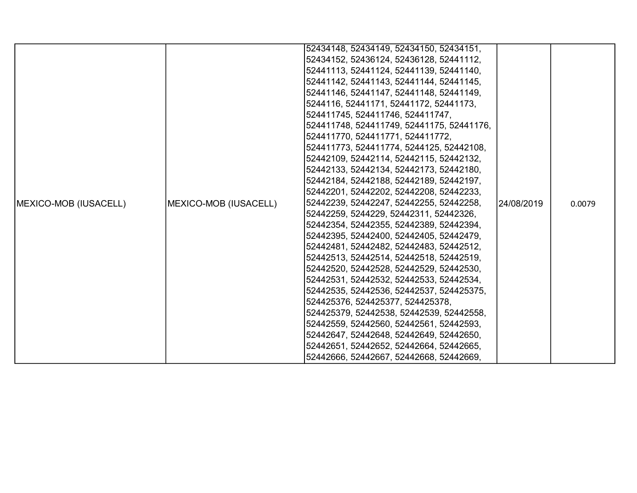|                               |                               | 52434148, 52434149, 52434150, 52434151,   |            |        |
|-------------------------------|-------------------------------|-------------------------------------------|------------|--------|
|                               |                               | 52434152, 52436124, 52436128, 52441112,   |            |        |
|                               |                               | 52441113, 52441124, 52441139, 52441140,   |            |        |
|                               |                               | 52441142, 52441143, 52441144, 52441145,   |            |        |
|                               |                               | 52441146, 52441147, 52441148, 52441149,   |            |        |
|                               |                               | 5244116, 52441171, 52441172, 52441173,    |            |        |
|                               |                               | 524411745, 524411746, 524411747,          |            |        |
|                               |                               | 524411748, 524411749, 52441175, 52441176, |            |        |
|                               |                               | 524411770, 524411771, 524411772,          |            |        |
|                               |                               | 524411773, 524411774, 5244125, 52442108,  |            |        |
|                               |                               | 52442109, 52442114, 52442115, 52442132,   |            |        |
|                               |                               | 52442133, 52442134, 52442173, 52442180,   |            |        |
|                               |                               | 52442184, 52442188, 52442189, 52442197,   |            |        |
|                               |                               | 52442201, 52442202, 52442208, 52442233,   |            |        |
| <b>IMEXICO-MOB (IUSACELL)</b> | <b>IMEXICO-MOB (IUSACELL)</b> | 52442239, 52442247, 52442255, 52442258,   | 24/08/2019 | 0.0079 |
|                               |                               | 52442259, 5244229, 52442311, 52442326,    |            |        |
|                               |                               | 52442354, 52442355, 52442389, 52442394,   |            |        |
|                               |                               | 52442395, 52442400, 52442405, 52442479,   |            |        |
|                               |                               | 52442481, 52442482, 52442483, 52442512,   |            |        |
|                               |                               | 52442513, 52442514, 52442518, 52442519,   |            |        |
|                               |                               | 52442520, 52442528, 52442529, 52442530,   |            |        |
|                               |                               | 52442531, 52442532, 52442533, 52442534,   |            |        |
|                               |                               | 52442535, 52442536, 52442537, 524425375,  |            |        |
|                               |                               | 524425376, 524425377, 524425378,          |            |        |
|                               |                               | 524425379, 52442538, 52442539, 52442558,  |            |        |
|                               |                               | 52442559, 52442560, 52442561, 52442593,   |            |        |
|                               |                               | 52442647, 52442648, 52442649, 52442650,   |            |        |
|                               |                               | 52442651, 52442652, 52442664, 52442665,   |            |        |
|                               |                               | 52442666, 52442667, 52442668, 52442669,   |            |        |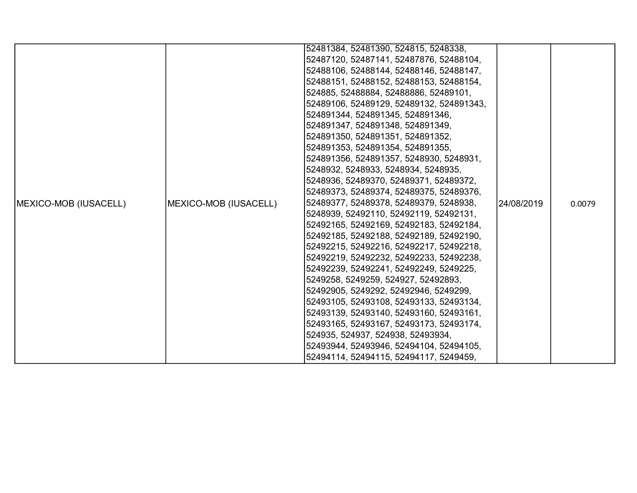|                               |                       | 52481384, 52481390, 524815, 5248338,     |            |        |
|-------------------------------|-----------------------|------------------------------------------|------------|--------|
|                               |                       | 52487120, 52487141, 52487876, 52488104,  |            |        |
|                               |                       | 52488106, 52488144, 52488146, 52488147,  |            |        |
|                               |                       | 52488151, 52488152, 52488153, 52488154,  |            |        |
|                               |                       | 524885, 52488884, 52488886, 52489101,    |            |        |
|                               |                       | 52489106, 52489129, 52489132, 524891343, |            |        |
|                               |                       | 524891344, 524891345, 524891346,         |            |        |
|                               |                       | 524891347, 524891348, 524891349,         |            |        |
|                               |                       | 524891350, 524891351, 524891352,         |            |        |
|                               |                       | 524891353, 524891354, 524891355,         |            |        |
|                               |                       | 524891356, 524891357, 5248930, 5248931,  |            |        |
|                               |                       | 5248932, 5248933, 5248934, 5248935,      |            |        |
|                               |                       | 5248936, 52489370, 52489371, 52489372,   |            |        |
|                               |                       | 52489373, 52489374, 52489375, 52489376,  |            |        |
| <b>IMEXICO-MOB (IUSACELL)</b> | MEXICO-MOB (IUSACELL) | 52489377, 52489378, 52489379, 5248938,   | 24/08/2019 | 0.0079 |
|                               |                       | 5248939, 52492110, 52492119, 52492131,   |            |        |
|                               |                       | 52492165, 52492169, 52492183, 52492184,  |            |        |
|                               |                       | 52492185, 52492188, 52492189, 52492190,  |            |        |
|                               |                       | 52492215, 52492216, 52492217, 52492218,  |            |        |
|                               |                       | 52492219, 52492232, 52492233, 52492238,  |            |        |
|                               |                       | 52492239, 52492241, 52492249, 5249225,   |            |        |
|                               |                       | 5249258, 5249259, 524927, 52492893,      |            |        |
|                               |                       | 52492905, 5249292, 52492946, 5249299,    |            |        |
|                               |                       | 52493105, 52493108, 52493133, 52493134,  |            |        |
|                               |                       | 52493139, 52493140, 52493160, 52493161,  |            |        |
|                               |                       | 52493165, 52493167, 52493173, 52493174,  |            |        |
|                               |                       | 524935, 524937, 524938, 52493934,        |            |        |
|                               |                       | 52493944, 52493946, 52494104, 52494105,  |            |        |
|                               |                       | 52494114, 52494115, 52494117, 5249459,   |            |        |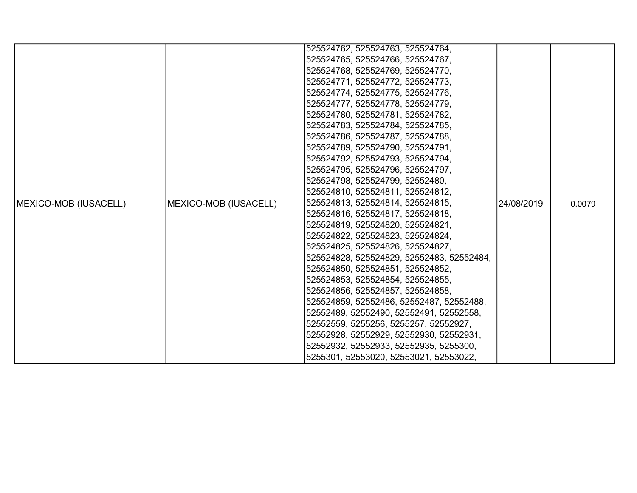|                       |                       | 525524762, 525524763, 525524764,          |            |        |
|-----------------------|-----------------------|-------------------------------------------|------------|--------|
|                       |                       |                                           |            |        |
|                       |                       | 525524765, 525524766, 525524767,          |            |        |
|                       |                       | 525524768, 525524769, 525524770,          |            |        |
|                       |                       | 525524771, 525524772, 525524773,          |            |        |
|                       |                       | 525524774, 525524775, 525524776,          |            |        |
|                       |                       | 525524777, 525524778, 525524779,          |            |        |
|                       |                       | 525524780, 525524781, 525524782,          |            |        |
|                       |                       | 525524783, 525524784, 525524785,          |            |        |
|                       |                       | 525524786, 525524787, 525524788,          |            |        |
|                       |                       | 525524789, 525524790, 525524791,          |            |        |
|                       |                       | 525524792, 525524793, 525524794,          |            |        |
|                       |                       | 525524795, 525524796, 525524797,          |            |        |
|                       |                       | 525524798, 525524799, 52552480,           |            |        |
|                       |                       | 525524810, 525524811, 525524812,          |            |        |
| MEXICO-MOB (IUSACELL) | MEXICO-MOB (IUSACELL) | 525524813, 525524814, 525524815,          | 24/08/2019 | 0.0079 |
|                       |                       | 525524816, 525524817, 525524818,          |            |        |
|                       |                       | 525524819, 525524820, 525524821,          |            |        |
|                       |                       | 525524822, 525524823, 525524824,          |            |        |
|                       |                       | 525524825, 525524826, 525524827,          |            |        |
|                       |                       | 525524828, 525524829, 52552483, 52552484, |            |        |
|                       |                       | 525524850, 525524851, 525524852,          |            |        |
|                       |                       | 525524853, 525524854, 525524855,          |            |        |
|                       |                       | 525524856, 525524857, 525524858,          |            |        |
|                       |                       | 525524859, 52552486, 52552487, 52552488,  |            |        |
|                       |                       | 52552489, 52552490, 52552491, 52552558,   |            |        |
|                       |                       | 52552559, 5255256, 5255257, 52552927,     |            |        |
|                       |                       | 52552928, 52552929, 52552930, 52552931,   |            |        |
|                       |                       | 52552932, 52552933, 52552935, 5255300,    |            |        |
|                       |                       | 5255301, 52553020, 52553021, 52553022,    |            |        |
|                       |                       |                                           |            |        |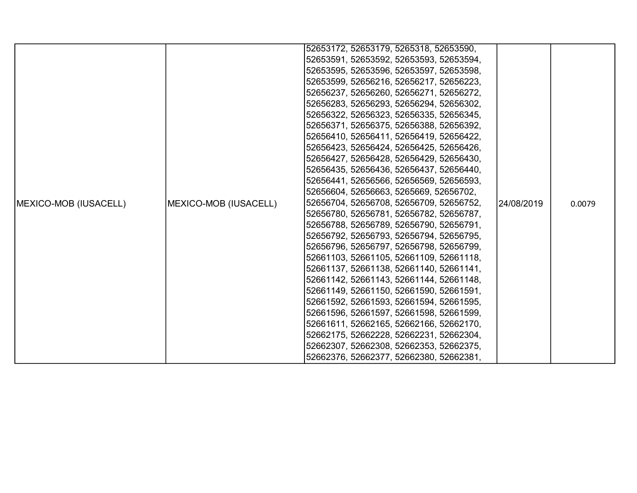|                               |                       | 52653172, 52653179, 5265318, 52653590,  |            |        |
|-------------------------------|-----------------------|-----------------------------------------|------------|--------|
|                               |                       | 52653591, 52653592, 52653593, 52653594, |            |        |
|                               |                       | 52653595, 52653596, 52653597, 52653598, |            |        |
|                               |                       | 52653599, 52656216, 52656217, 52656223, |            |        |
|                               |                       | 52656237, 52656260, 52656271, 52656272, |            |        |
|                               |                       | 52656283, 52656293, 52656294, 52656302, |            |        |
|                               |                       | 52656322, 52656323, 52656335, 52656345, |            |        |
|                               |                       | 52656371, 52656375, 52656388, 52656392, |            |        |
|                               |                       | 52656410, 52656411, 52656419, 52656422, |            |        |
|                               |                       | 52656423, 52656424, 52656425, 52656426, |            |        |
|                               |                       | 52656427, 52656428, 52656429, 52656430, |            |        |
|                               |                       | 52656435, 52656436, 52656437, 52656440, |            |        |
|                               |                       | 52656441, 52656566, 52656569, 52656593, |            |        |
|                               |                       | 52656604, 52656663, 5265669, 52656702,  |            |        |
| <b>IMEXICO-MOB (IUSACELL)</b> | MEXICO-MOB (IUSACELL) | 52656704, 52656708, 52656709, 52656752, | 24/08/2019 | 0.0079 |
|                               |                       | 52656780, 52656781, 52656782, 52656787, |            |        |
|                               |                       | 52656788, 52656789, 52656790, 52656791, |            |        |
|                               |                       | 52656792, 52656793, 52656794, 52656795, |            |        |
|                               |                       | 52656796, 52656797, 52656798, 52656799, |            |        |
|                               |                       | 52661103, 52661105, 52661109, 52661118, |            |        |
|                               |                       | 52661137, 52661138, 52661140, 52661141, |            |        |
|                               |                       | 52661142, 52661143, 52661144, 52661148, |            |        |
|                               |                       | 52661149, 52661150, 52661590, 52661591, |            |        |
|                               |                       | 52661592, 52661593, 52661594, 52661595, |            |        |
|                               |                       | 52661596, 52661597, 52661598, 52661599, |            |        |
|                               |                       | 52661611, 52662165, 52662166, 52662170, |            |        |
|                               |                       | 52662175, 52662228, 52662231, 52662304, |            |        |
|                               |                       | 52662307, 52662308, 52662353, 52662375, |            |        |
|                               |                       | 52662376, 52662377, 52662380, 52662381, |            |        |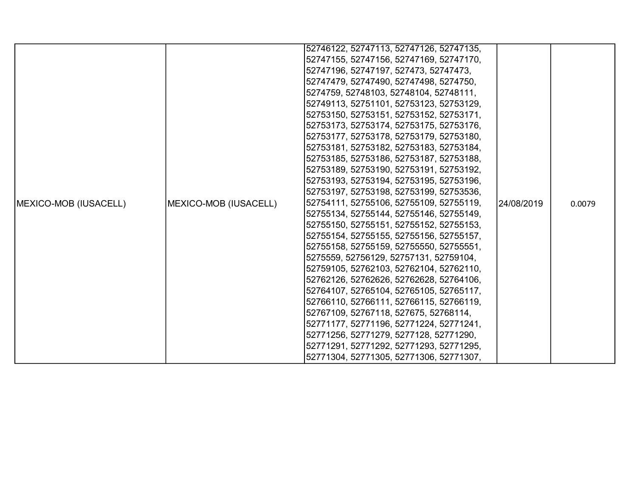|                       |                       | 52746122, 52747113, 52747126, 52747135, |            |        |
|-----------------------|-----------------------|-----------------------------------------|------------|--------|
|                       |                       | 52747155, 52747156, 52747169, 52747170, |            |        |
|                       |                       | 52747196, 52747197, 527473, 52747473,   |            |        |
|                       |                       | 52747479, 52747490, 52747498, 5274750,  |            |        |
|                       |                       | 5274759, 52748103, 52748104, 52748111,  |            |        |
|                       |                       | 52749113, 52751101, 52753123, 52753129, |            |        |
|                       |                       | 52753150, 52753151, 52753152, 52753171, |            |        |
|                       |                       | 52753173, 52753174, 52753175, 52753176, |            |        |
|                       |                       | 52753177, 52753178, 52753179, 52753180, |            |        |
|                       |                       | 52753181, 52753182, 52753183, 52753184, |            |        |
|                       |                       | 52753185, 52753186, 52753187, 52753188, |            |        |
|                       |                       | 52753189, 52753190, 52753191, 52753192, |            |        |
|                       |                       | 52753193, 52753194, 52753195, 52753196, |            |        |
|                       |                       | 52753197, 52753198, 52753199, 52753536, |            |        |
| MEXICO-MOB (IUSACELL) | MEXICO-MOB (IUSACELL) | 52754111, 52755106, 52755109, 52755119, | 24/08/2019 | 0.0079 |
|                       |                       | 52755134, 52755144, 52755146, 52755149, |            |        |
|                       |                       | 52755150, 52755151, 52755152, 52755153, |            |        |
|                       |                       | 52755154, 52755155, 52755156, 52755157, |            |        |
|                       |                       | 52755158, 52755159, 52755550, 52755551, |            |        |
|                       |                       | 5275559, 52756129, 52757131, 52759104,  |            |        |
|                       |                       | 52759105, 52762103, 52762104, 52762110, |            |        |
|                       |                       | 52762126, 52762626, 52762628, 52764106, |            |        |
|                       |                       | 52764107, 52765104, 52765105, 52765117, |            |        |
|                       |                       | 52766110, 52766111, 52766115, 52766119, |            |        |
|                       |                       | 52767109, 52767118, 527675, 52768114,   |            |        |
|                       |                       | 52771177, 52771196, 52771224, 52771241, |            |        |
|                       |                       | 52771256, 52771279, 5277128, 52771290,  |            |        |
|                       |                       | 52771291, 52771292, 52771293, 52771295, |            |        |
|                       |                       | 52771304, 52771305, 52771306, 52771307, |            |        |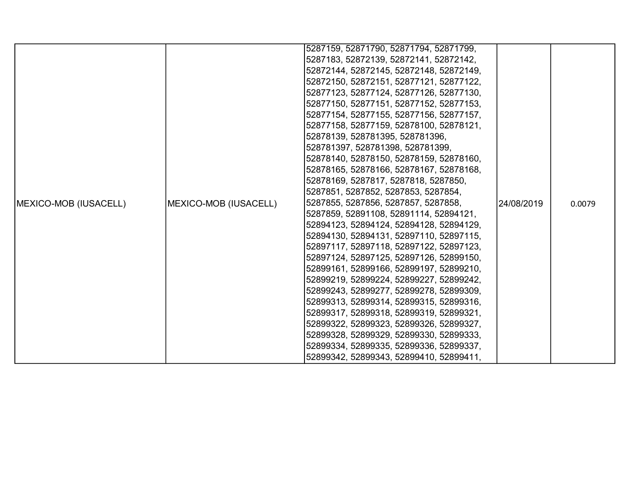|                               |                       | 5287159, 52871790, 52871794, 52871799,  |            |        |
|-------------------------------|-----------------------|-----------------------------------------|------------|--------|
|                               |                       | 5287183, 52872139, 52872141, 52872142,  |            |        |
|                               |                       | 52872144, 52872145, 52872148, 52872149, |            |        |
|                               |                       | 52872150, 52872151, 52877121, 52877122, |            |        |
|                               |                       | 52877123, 52877124, 52877126, 52877130, |            |        |
|                               |                       | 52877150, 52877151, 52877152, 52877153, |            |        |
|                               |                       | 52877154, 52877155, 52877156, 52877157, |            |        |
|                               |                       | 52877158, 52877159, 52878100, 52878121, |            |        |
|                               |                       | 52878139, 528781395, 528781396,         |            |        |
|                               |                       | 528781397, 528781398, 528781399,        |            |        |
|                               |                       | 52878140, 52878150, 52878159, 52878160, |            |        |
|                               |                       | 52878165, 52878166, 52878167, 52878168, |            |        |
|                               |                       | 52878169, 5287817, 5287818, 5287850,    |            |        |
|                               |                       | 5287851, 5287852, 5287853, 5287854,     |            |        |
| <b>IMEXICO-MOB (IUSACELL)</b> | MEXICO-MOB (IUSACELL) | 5287855, 5287856, 5287857, 5287858,     | 24/08/2019 | 0.0079 |
|                               |                       | 5287859, 52891108, 52891114, 52894121,  |            |        |
|                               |                       | 52894123, 52894124, 52894128, 52894129, |            |        |
|                               |                       | 52894130, 52894131, 52897110, 52897115, |            |        |
|                               |                       | 52897117, 52897118, 52897122, 52897123, |            |        |
|                               |                       | 52897124, 52897125, 52897126, 52899150, |            |        |
|                               |                       | 52899161, 52899166, 52899197, 52899210, |            |        |
|                               |                       | 52899219, 52899224, 52899227, 52899242, |            |        |
|                               |                       | 52899243, 52899277, 52899278, 52899309, |            |        |
|                               |                       | 52899313, 52899314, 52899315, 52899316, |            |        |
|                               |                       | 52899317, 52899318, 52899319, 52899321, |            |        |
|                               |                       | 52899322, 52899323, 52899326, 52899327, |            |        |
|                               |                       | 52899328, 52899329, 52899330, 52899333, |            |        |
|                               |                       | 52899334, 52899335, 52899336, 52899337, |            |        |
|                               |                       | 52899342, 52899343, 52899410, 52899411, |            |        |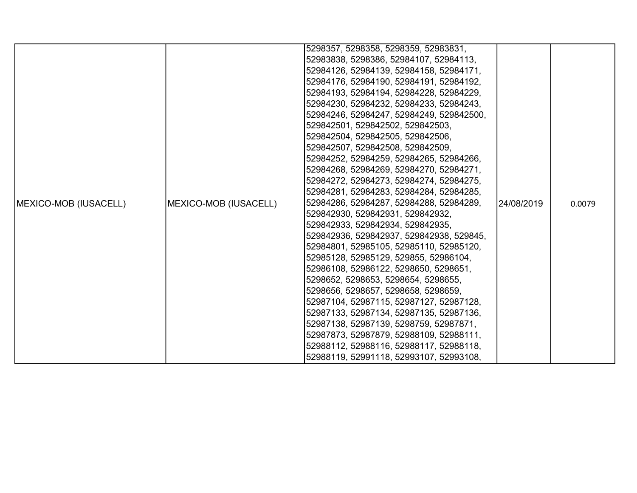|                               |                               | 5298357, 5298358, 5298359, 52983831,     |            |        |
|-------------------------------|-------------------------------|------------------------------------------|------------|--------|
|                               |                               | 52983838, 5298386, 52984107, 52984113,   |            |        |
|                               |                               | 52984126, 52984139, 52984158, 52984171,  |            |        |
|                               |                               | 52984176, 52984190, 52984191, 52984192,  |            |        |
|                               |                               | 52984193, 52984194, 52984228, 52984229,  |            |        |
|                               |                               | 52984230, 52984232, 52984233, 52984243,  |            |        |
|                               |                               | 52984246, 52984247, 52984249, 529842500, |            |        |
|                               |                               | 529842501, 529842502, 529842503,         |            |        |
|                               |                               | 529842504, 529842505, 529842506,         |            |        |
|                               |                               | 529842507, 529842508, 529842509,         |            |        |
|                               |                               | 52984252, 52984259, 52984265, 52984266,  |            |        |
|                               |                               | 52984268, 52984269, 52984270, 52984271,  |            |        |
|                               |                               | 52984272, 52984273, 52984274, 52984275,  |            |        |
|                               |                               | 52984281, 52984283, 52984284, 52984285,  |            |        |
| <b>IMEXICO-MOB (IUSACELL)</b> | <b>IMEXICO-MOB (IUSACELL)</b> | 52984286, 52984287, 52984288, 52984289,  | 24/08/2019 | 0.0079 |
|                               |                               | 529842930, 529842931, 529842932,         |            |        |
|                               |                               | 529842933, 529842934, 529842935,         |            |        |
|                               |                               | 529842936, 529842937, 529842938, 529845, |            |        |
|                               |                               | 52984801, 52985105, 52985110, 52985120,  |            |        |
|                               |                               | 52985128, 52985129, 529855, 52986104,    |            |        |
|                               |                               | 52986108, 52986122, 5298650, 5298651,    |            |        |
|                               |                               | 5298652, 5298653, 5298654, 5298655,      |            |        |
|                               |                               | 5298656, 5298657, 5298658, 5298659,      |            |        |
|                               |                               | 52987104, 52987115, 52987127, 52987128,  |            |        |
|                               |                               | 52987133, 52987134, 52987135, 52987136,  |            |        |
|                               |                               | 52987138, 52987139, 5298759, 52987871,   |            |        |
|                               |                               | 52987873, 52987879, 52988109, 52988111,  |            |        |
|                               |                               | 52988112, 52988116, 52988117, 52988118,  |            |        |
|                               |                               | 52988119, 52991118, 52993107, 52993108,  |            |        |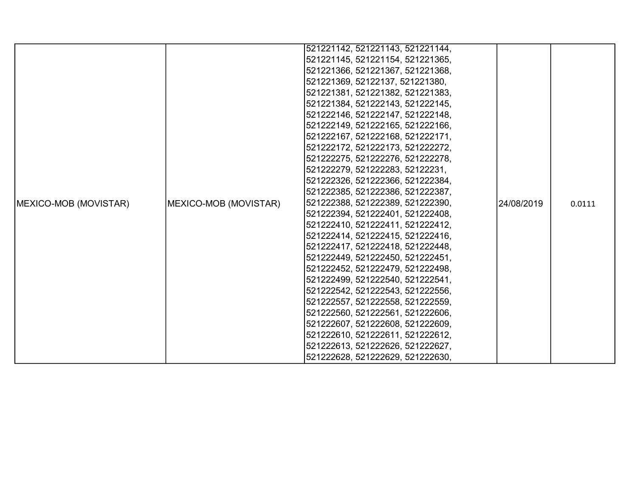|                               |                       | 521221142, 521221143, 521221144, |             |        |
|-------------------------------|-----------------------|----------------------------------|-------------|--------|
|                               |                       | 521221145, 521221154, 521221365, |             |        |
|                               |                       | 521221366, 521221367, 521221368, |             |        |
|                               |                       | 521221369, 52122137, 521221380,  |             |        |
|                               |                       | 521221381, 521221382, 521221383, |             |        |
|                               |                       | 521221384, 521222143, 521222145, |             |        |
|                               |                       | 521222146, 521222147, 521222148, |             |        |
|                               |                       | 521222149, 521222165, 521222166, |             |        |
|                               |                       | 521222167, 521222168, 521222171, |             |        |
|                               |                       | 521222172, 521222173, 521222272, |             |        |
|                               |                       | 521222275, 521222276, 521222278, |             |        |
|                               |                       | 521222279, 521222283, 52122231,  |             |        |
|                               |                       | 521222326, 521222366, 521222384, |             |        |
|                               |                       | 521222385, 521222386, 521222387, |             |        |
| <b>IMEXICO-MOB (MOVISTAR)</b> | MEXICO-MOB (MOVISTAR) | 521222388, 521222389, 521222390, | l24/08/2019 | 0.0111 |
|                               |                       | 521222394, 521222401, 521222408, |             |        |
|                               |                       | 521222410, 521222411, 521222412, |             |        |
|                               |                       | 521222414, 521222415, 521222416, |             |        |
|                               |                       | 521222417, 521222418, 521222448, |             |        |
|                               |                       | 521222449, 521222450, 521222451, |             |        |
|                               |                       | 521222452, 521222479, 521222498, |             |        |
|                               |                       | 521222499, 521222540, 521222541, |             |        |
|                               |                       | 521222542, 521222543, 521222556, |             |        |
|                               |                       | 521222557, 521222558, 521222559, |             |        |
|                               |                       | 521222560, 521222561, 521222606, |             |        |
|                               |                       | 521222607, 521222608, 521222609, |             |        |
|                               |                       | 521222610, 521222611, 521222612, |             |        |
|                               |                       | 521222613, 521222626, 521222627, |             |        |
|                               |                       | 521222628, 521222629, 521222630, |             |        |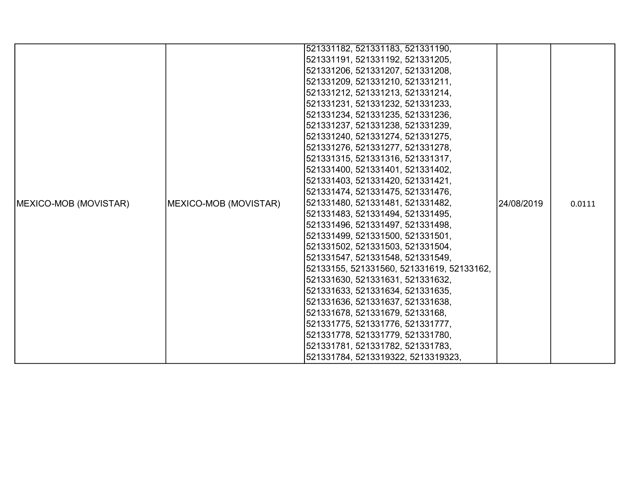|                       |                       | 521331182, 521331183, 521331190,          |            |        |
|-----------------------|-----------------------|-------------------------------------------|------------|--------|
|                       |                       | 521331191, 521331192, 521331205,          |            |        |
|                       |                       | 521331206, 521331207, 521331208,          |            |        |
|                       |                       | 521331209, 521331210, 521331211,          |            |        |
|                       |                       | 521331212, 521331213, 521331214,          |            |        |
|                       |                       | 521331231, 521331232, 521331233,          |            |        |
|                       |                       | 521331234, 521331235, 521331236,          |            |        |
|                       |                       | 521331237, 521331238, 521331239,          |            |        |
|                       |                       | 521331240, 521331274, 521331275,          |            |        |
|                       |                       | 521331276, 521331277, 521331278,          |            |        |
|                       |                       | 521331315, 521331316, 521331317,          |            |        |
|                       |                       | 521331400, 521331401, 521331402,          |            |        |
|                       |                       | 521331403, 521331420, 521331421,          |            |        |
|                       |                       | 521331474, 521331475, 521331476,          |            |        |
| MEXICO-MOB (MOVISTAR) | MEXICO-MOB (MOVISTAR) | 521331480, 521331481, 521331482,          | 24/08/2019 | 0.0111 |
|                       |                       | 521331483, 521331494, 521331495,          |            |        |
|                       |                       | 521331496, 521331497, 521331498,          |            |        |
|                       |                       | 521331499, 521331500, 521331501,          |            |        |
|                       |                       | 521331502, 521331503, 521331504,          |            |        |
|                       |                       | 521331547, 521331548, 521331549,          |            |        |
|                       |                       | 52133155, 521331560, 521331619, 52133162, |            |        |
|                       |                       | 521331630, 521331631, 521331632,          |            |        |
|                       |                       | 521331633, 521331634, 521331635,          |            |        |
|                       |                       | 521331636, 521331637, 521331638,          |            |        |
|                       |                       | 521331678, 521331679, 52133168,           |            |        |
|                       |                       | 521331775, 521331776, 521331777,          |            |        |
|                       |                       | 521331778, 521331779, 521331780,          |            |        |
|                       |                       | 521331781, 521331782, 521331783,          |            |        |
|                       |                       | 521331784, 5213319322, 5213319323,        |            |        |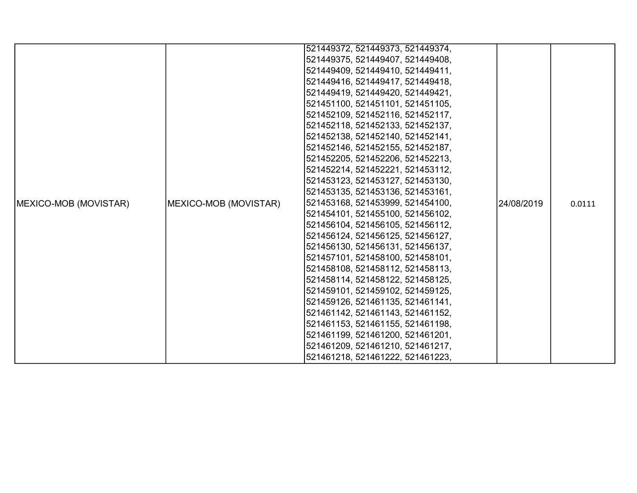|                       |                       | 521449372, 521449373, 521449374, |             |        |
|-----------------------|-----------------------|----------------------------------|-------------|--------|
|                       |                       | 521449375, 521449407, 521449408, |             |        |
|                       |                       | 521449409, 521449410, 521449411, |             |        |
|                       |                       | 521449416, 521449417, 521449418, |             |        |
|                       |                       | 521449419, 521449420, 521449421, |             |        |
|                       |                       | 521451100, 521451101, 521451105, |             |        |
|                       |                       | 521452109, 521452116, 521452117, |             |        |
|                       |                       | 521452118, 521452133, 521452137, |             |        |
|                       |                       | 521452138, 521452140, 521452141, |             |        |
|                       |                       | 521452146, 521452155, 521452187, |             |        |
|                       |                       | 521452205, 521452206, 521452213, |             |        |
|                       |                       | 521452214, 521452221, 521453112, |             |        |
|                       |                       | 521453123, 521453127, 521453130, |             |        |
|                       |                       | 521453135, 521453136, 521453161, |             |        |
| MEXICO-MOB (MOVISTAR) | MEXICO-MOB (MOVISTAR) | 521453168, 521453999, 521454100, | l24/08/2019 | 0.0111 |
|                       |                       | 521454101, 521455100, 521456102, |             |        |
|                       |                       | 521456104, 521456105, 521456112, |             |        |
|                       |                       | 521456124, 521456125, 521456127, |             |        |
|                       |                       | 521456130, 521456131, 521456137, |             |        |
|                       |                       | 521457101, 521458100, 521458101, |             |        |
|                       |                       | 521458108, 521458112, 521458113, |             |        |
|                       |                       | 521458114, 521458122, 521458125, |             |        |
|                       |                       | 521459101, 521459102, 521459125, |             |        |
|                       |                       | 521459126, 521461135, 521461141, |             |        |
|                       |                       | 521461142, 521461143, 521461152, |             |        |
|                       |                       | 521461153, 521461155, 521461198, |             |        |
|                       |                       | 521461199, 521461200, 521461201, |             |        |
|                       |                       | 521461209, 521461210, 521461217, |             |        |
|                       |                       | 521461218, 521461222, 521461223, |             |        |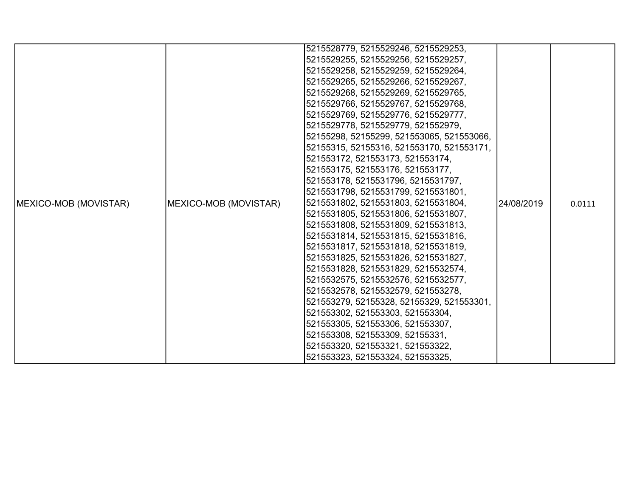|                       |                       | 5215528779, 5215529246, 5215529253,       |            |        |
|-----------------------|-----------------------|-------------------------------------------|------------|--------|
|                       |                       | 5215529255, 5215529256, 5215529257,       |            |        |
|                       |                       | 5215529258, 5215529259, 5215529264,       |            |        |
|                       |                       | 5215529265, 5215529266, 5215529267,       |            |        |
|                       |                       | 5215529268, 5215529269, 5215529765,       |            |        |
|                       |                       | 5215529766, 5215529767, 5215529768,       |            |        |
|                       |                       | 5215529769, 5215529776, 5215529777,       |            |        |
|                       |                       | 5215529778, 5215529779, 521552979,        |            |        |
|                       |                       | 52155298, 52155299, 521553065, 521553066, |            |        |
|                       |                       | 52155315, 52155316, 521553170, 521553171, |            |        |
|                       |                       | 521553172, 521553173, 521553174,          |            |        |
|                       |                       | 521553175, 521553176, 521553177,          |            |        |
|                       |                       | 521553178, 5215531796, 5215531797,        |            |        |
|                       |                       | 5215531798, 5215531799, 5215531801,       |            |        |
| MEXICO-MOB (MOVISTAR) | MEXICO-MOB (MOVISTAR) | 5215531802, 5215531803, 5215531804,       | 24/08/2019 | 0.0111 |
|                       |                       | 5215531805, 5215531806, 5215531807,       |            |        |
|                       |                       | 5215531808, 5215531809, 5215531813,       |            |        |
|                       |                       | 5215531814, 5215531815, 5215531816,       |            |        |
|                       |                       | 5215531817, 5215531818, 5215531819,       |            |        |
|                       |                       | 5215531825, 5215531826, 5215531827,       |            |        |
|                       |                       | 5215531828, 5215531829, 5215532574,       |            |        |
|                       |                       | 5215532575, 5215532576, 5215532577,       |            |        |
|                       |                       | 5215532578, 5215532579, 521553278,        |            |        |
|                       |                       | 521553279, 52155328, 52155329, 521553301, |            |        |
|                       |                       | 521553302, 521553303, 521553304,          |            |        |
|                       |                       | 521553305, 521553306, 521553307,          |            |        |
|                       |                       | 521553308, 521553309, 52155331,           |            |        |
|                       |                       | 521553320, 521553321, 521553322,          |            |        |
|                       |                       | 521553323, 521553324, 521553325,          |            |        |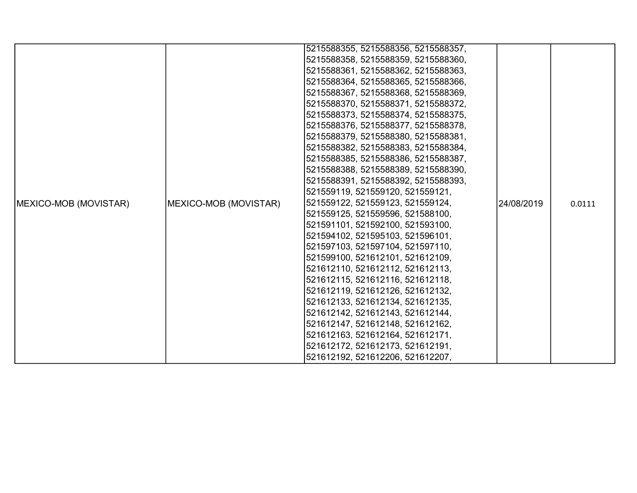|                       |                       | 5215588355, 5215588356, 5215588357, |            |        |
|-----------------------|-----------------------|-------------------------------------|------------|--------|
|                       |                       | 5215588358, 5215588359, 5215588360, |            |        |
|                       |                       | 5215588361, 5215588362, 5215588363, |            |        |
|                       |                       | 5215588364, 5215588365, 5215588366, |            |        |
|                       |                       | 5215588367, 5215588368, 5215588369, |            |        |
|                       |                       | 5215588370, 5215588371, 5215588372, |            |        |
|                       |                       | 5215588373, 5215588374, 5215588375, |            |        |
|                       |                       | 5215588376, 5215588377, 5215588378, |            |        |
|                       |                       | 5215588379, 5215588380, 5215588381, |            |        |
|                       |                       | 5215588382, 5215588383, 5215588384, |            |        |
|                       |                       | 5215588385, 5215588386, 5215588387, |            |        |
|                       |                       | 5215588388, 5215588389, 5215588390, |            |        |
|                       |                       | 5215588391, 5215588392, 5215588393, |            |        |
|                       |                       | 521559119, 521559120, 521559121,    |            |        |
| MEXICO-MOB (MOVISTAR) | MEXICO-MOB (MOVISTAR) | 521559122, 521559123, 521559124,    | 24/08/2019 | 0.0111 |
|                       |                       | 521559125, 521559596, 521588100,    |            |        |
|                       |                       | 521591101, 521592100, 521593100,    |            |        |
|                       |                       | 521594102, 521595103, 521596101,    |            |        |
|                       |                       | 521597103, 521597104, 521597110,    |            |        |
|                       |                       | 521599100, 521612101, 521612109,    |            |        |
|                       |                       | 521612110, 521612112, 521612113,    |            |        |
|                       |                       | 521612115, 521612116, 521612118,    |            |        |
|                       |                       | 521612119, 521612126, 521612132,    |            |        |
|                       |                       | 521612133, 521612134, 521612135,    |            |        |
|                       |                       | 521612142, 521612143, 521612144,    |            |        |
|                       |                       | 521612147, 521612148, 521612162,    |            |        |
|                       |                       | 521612163, 521612164, 521612171,    |            |        |
|                       |                       | 521612172, 521612173, 521612191,    |            |        |
|                       |                       | 521612192, 521612206, 521612207,    |            |        |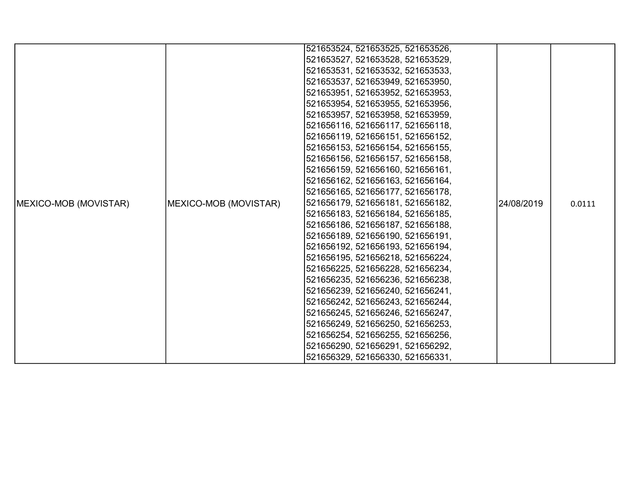|                       |                               | 521653524, 521653525, 521653526, |            |        |
|-----------------------|-------------------------------|----------------------------------|------------|--------|
|                       |                               | 521653527, 521653528, 521653529, |            |        |
|                       |                               | 521653531, 521653532, 521653533, |            |        |
|                       |                               | 521653537, 521653949, 521653950, |            |        |
|                       |                               | 521653951, 521653952, 521653953, |            |        |
|                       |                               | 521653954, 521653955, 521653956, |            |        |
|                       |                               | 521653957, 521653958, 521653959, |            |        |
|                       |                               | 521656116, 521656117, 521656118, |            |        |
|                       |                               | 521656119, 521656151, 521656152, |            |        |
|                       |                               | 521656153, 521656154, 521656155, |            |        |
|                       |                               | 521656156, 521656157, 521656158, |            |        |
|                       |                               | 521656159, 521656160, 521656161, |            |        |
|                       |                               |                                  |            |        |
|                       |                               | 521656162, 521656163, 521656164, |            |        |
|                       |                               | 521656165, 521656177, 521656178, |            |        |
| MEXICO-MOB (MOVISTAR) | <b>IMEXICO-MOB (MOVISTAR)</b> | 521656179, 521656181, 521656182, | 24/08/2019 | 0.0111 |
|                       |                               | 521656183, 521656184, 521656185, |            |        |
|                       |                               | 521656186, 521656187, 521656188, |            |        |
|                       |                               | 521656189, 521656190, 521656191, |            |        |
|                       |                               | 521656192, 521656193, 521656194, |            |        |
|                       |                               | 521656195, 521656218, 521656224, |            |        |
|                       |                               | 521656225, 521656228, 521656234, |            |        |
|                       |                               | 521656235, 521656236, 521656238, |            |        |
|                       |                               | 521656239, 521656240, 521656241, |            |        |
|                       |                               | 521656242, 521656243, 521656244, |            |        |
|                       |                               | 521656245, 521656246, 521656247, |            |        |
|                       |                               | 521656249, 521656250, 521656253, |            |        |
|                       |                               | 521656254, 521656255, 521656256, |            |        |
|                       |                               | 521656290, 521656291, 521656292, |            |        |
|                       |                               | 521656329, 521656330, 521656331, |            |        |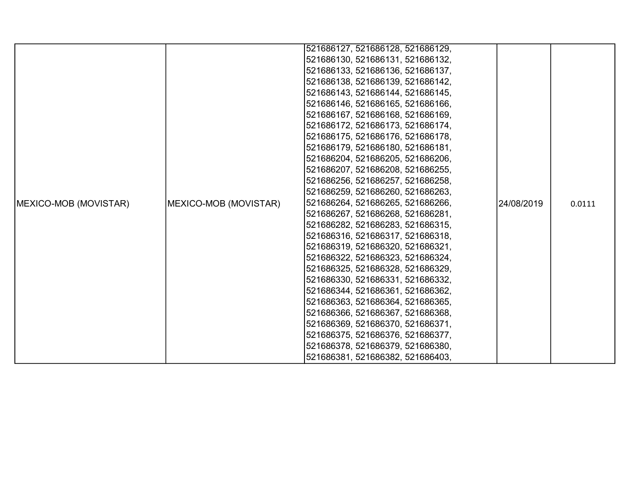|                       |                               | 521686127, 521686128, 521686129, |            |        |
|-----------------------|-------------------------------|----------------------------------|------------|--------|
|                       |                               |                                  |            |        |
|                       |                               | 521686130, 521686131, 521686132, |            |        |
|                       |                               | 521686133, 521686136, 521686137, |            |        |
|                       |                               | 521686138, 521686139, 521686142, |            |        |
|                       |                               | 521686143, 521686144, 521686145, |            |        |
|                       |                               | 521686146, 521686165, 521686166, |            |        |
|                       |                               | 521686167, 521686168, 521686169, |            |        |
|                       |                               | 521686172, 521686173, 521686174, |            |        |
|                       |                               | 521686175, 521686176, 521686178, |            |        |
|                       |                               | 521686179, 521686180, 521686181, |            |        |
|                       |                               | 521686204, 521686205, 521686206, |            |        |
|                       |                               | 521686207, 521686208, 521686255, |            |        |
|                       |                               | 521686256, 521686257, 521686258, |            |        |
|                       |                               | 521686259, 521686260, 521686263, |            |        |
| MEXICO-MOB (MOVISTAR) | <b>IMEXICO-MOB (MOVISTAR)</b> | 521686264, 521686265, 521686266, | 24/08/2019 | 0.0111 |
|                       |                               | 521686267, 521686268, 521686281, |            |        |
|                       |                               | 521686282, 521686283, 521686315, |            |        |
|                       |                               | 521686316, 521686317, 521686318, |            |        |
|                       |                               | 521686319, 521686320, 521686321, |            |        |
|                       |                               | 521686322, 521686323, 521686324, |            |        |
|                       |                               | 521686325, 521686328, 521686329, |            |        |
|                       |                               | 521686330, 521686331, 521686332, |            |        |
|                       |                               | 521686344, 521686361, 521686362, |            |        |
|                       |                               | 521686363, 521686364, 521686365, |            |        |
|                       |                               | 521686366, 521686367, 521686368, |            |        |
|                       |                               | 521686369, 521686370, 521686371, |            |        |
|                       |                               | 521686375, 521686376, 521686377, |            |        |
|                       |                               | 521686378, 521686379, 521686380, |            |        |
|                       |                               | 521686381, 521686382, 521686403, |            |        |
|                       |                               |                                  |            |        |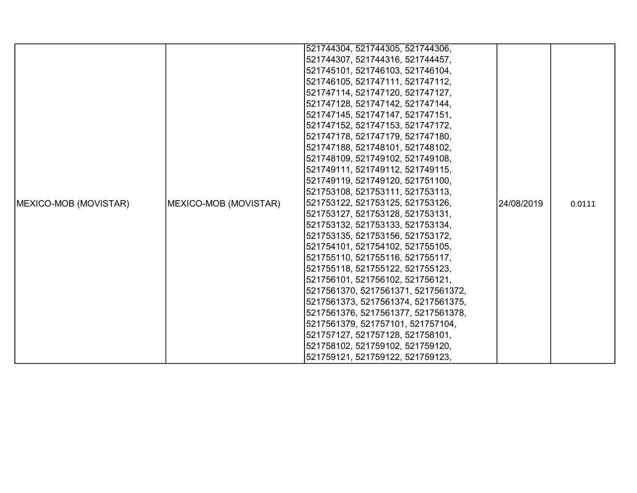|                               |                       | 521744304, 521744305, 521744306,    |             |        |
|-------------------------------|-----------------------|-------------------------------------|-------------|--------|
|                               |                       | 521744307, 521744316, 521744457,    |             |        |
|                               |                       | 521745101, 521746103, 521746104,    |             |        |
|                               |                       | 521746105, 521747111, 521747112,    |             |        |
|                               |                       | 521747114, 521747120, 521747127,    |             |        |
|                               |                       | 521747128, 521747142, 521747144,    |             |        |
|                               |                       | 521747145, 521747147, 521747151,    |             |        |
|                               |                       | 521747152, 521747153, 521747172,    |             |        |
|                               |                       | 521747178, 521747179, 521747180,    |             |        |
|                               |                       | 521747188, 521748101, 521748102,    |             |        |
|                               |                       | 521748109, 521749102, 521749108,    |             |        |
|                               |                       | 521749111, 521749112, 521749115,    |             |        |
|                               |                       | 521749119, 521749120, 521751100,    |             |        |
|                               |                       | 521753108, 521753111, 521753113,    |             |        |
| <b>IMEXICO-MOB (MOVISTAR)</b> | MEXICO-MOB (MOVISTAR) | 521753122, 521753125, 521753126,    | 124/08/2019 | 0.0111 |
|                               |                       | 521753127, 521753128, 521753131,    |             |        |
|                               |                       | 521753132, 521753133, 521753134,    |             |        |
|                               |                       | 521753135, 521753156, 521753172,    |             |        |
|                               |                       | 521754101, 521754102, 521755105,    |             |        |
|                               |                       | 521755110, 521755116, 521755117,    |             |        |
|                               |                       | 521755118, 521755122, 521755123,    |             |        |
|                               |                       | 521756101, 521756102, 521756121,    |             |        |
|                               |                       | 5217561370, 5217561371, 5217561372, |             |        |
|                               |                       | 5217561373, 5217561374, 5217561375, |             |        |
|                               |                       | 5217561376, 5217561377, 5217561378, |             |        |
|                               |                       | 5217561379, 521757101, 521757104,   |             |        |
|                               |                       | 521757127, 521757128, 521758101,    |             |        |
|                               |                       | 521758102, 521759102, 521759120,    |             |        |
|                               |                       | 521759121, 521759122, 521759123,    |             |        |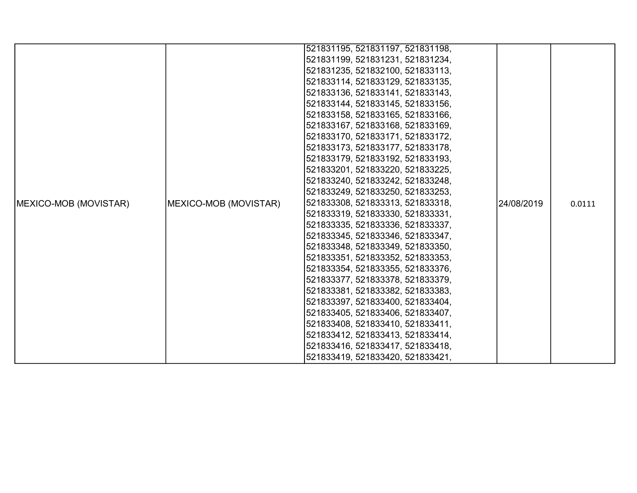| 521831195, 521831197, 521831198,                                                                 |        |
|--------------------------------------------------------------------------------------------------|--------|
| 521831199, 521831231, 521831234,                                                                 |        |
| 521831235, 521832100, 521833113,                                                                 |        |
|                                                                                                  |        |
| 521833114, 521833129, 521833135,                                                                 |        |
| 521833136, 521833141, 521833143,                                                                 |        |
| 521833144, 521833145, 521833156,                                                                 |        |
| 521833158, 521833165, 521833166,                                                                 |        |
| 521833167, 521833168, 521833169,                                                                 |        |
| 521833170, 521833171, 521833172,                                                                 |        |
| 521833173, 521833177, 521833178,                                                                 |        |
| 521833179, 521833192, 521833193,                                                                 |        |
| 521833201, 521833220, 521833225,                                                                 |        |
| 521833240, 521833242, 521833248,                                                                 |        |
| 521833249, 521833250, 521833253,                                                                 |        |
| 521833308, 521833313, 521833318,<br>MEXICO-MOB (MOVISTAR)<br>MEXICO-MOB (MOVISTAR)<br>24/08/2019 | 0.0111 |
| 521833319, 521833330, 521833331,                                                                 |        |
| 521833335, 521833336, 521833337,                                                                 |        |
| 521833345, 521833346, 521833347,                                                                 |        |
| 521833348, 521833349, 521833350,                                                                 |        |
| 521833351, 521833352, 521833353,                                                                 |        |
| 521833354, 521833355, 521833376,                                                                 |        |
| 521833377, 521833378, 521833379,                                                                 |        |
| 521833381, 521833382, 521833383,                                                                 |        |
| 521833397, 521833400, 521833404,                                                                 |        |
| 521833405, 521833406, 521833407,                                                                 |        |
| 521833408, 521833410, 521833411,                                                                 |        |
| 521833412, 521833413, 521833414,                                                                 |        |
| 521833416, 521833417, 521833418,                                                                 |        |
| 521833419, 521833420, 521833421,                                                                 |        |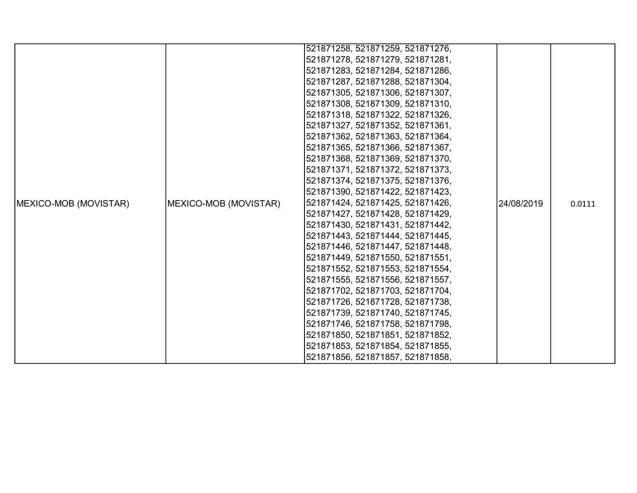|                       |                       | 521871258, 521871259, 521871276, |            |        |
|-----------------------|-----------------------|----------------------------------|------------|--------|
|                       |                       | 521871278, 521871279, 521871281, |            |        |
|                       |                       | 521871283, 521871284, 521871286, |            |        |
|                       |                       | 521871287, 521871288, 521871304, |            |        |
|                       |                       | 521871305, 521871306, 521871307, |            |        |
|                       |                       | 521871308, 521871309, 521871310, |            |        |
|                       |                       | 521871318, 521871322, 521871326, |            |        |
|                       |                       | 521871327, 521871352, 521871361, |            |        |
|                       |                       | 521871362, 521871363, 521871364, |            |        |
|                       |                       | 521871365, 521871366, 521871367, |            |        |
|                       |                       | 521871368, 521871369, 521871370, |            |        |
|                       |                       | 521871371, 521871372, 521871373, |            |        |
|                       |                       | 521871374, 521871375, 521871376, |            |        |
|                       |                       | 521871390, 521871422, 521871423, |            |        |
| MEXICO-MOB (MOVISTAR) | MEXICO-MOB (MOVISTAR) | 521871424, 521871425, 521871426, | 24/08/2019 | 0.0111 |
|                       |                       | 521871427, 521871428, 521871429, |            |        |
|                       |                       | 521871430, 521871431, 521871442, |            |        |
|                       |                       | 521871443, 521871444, 521871445, |            |        |
|                       |                       | 521871446, 521871447, 521871448, |            |        |
|                       |                       | 521871449, 521871550, 521871551, |            |        |
|                       |                       | 521871552, 521871553, 521871554, |            |        |
|                       |                       | 521871555, 521871556, 521871557, |            |        |
|                       |                       | 521871702, 521871703, 521871704, |            |        |
|                       |                       | 521871726, 521871728, 521871738, |            |        |
|                       |                       | 521871739, 521871740, 521871745, |            |        |
|                       |                       | 521871746, 521871758, 521871798, |            |        |
|                       |                       | 521871850, 521871851, 521871852, |            |        |
|                       |                       | 521871853, 521871854, 521871855, |            |        |
|                       |                       | 521871856, 521871857, 521871858, |            |        |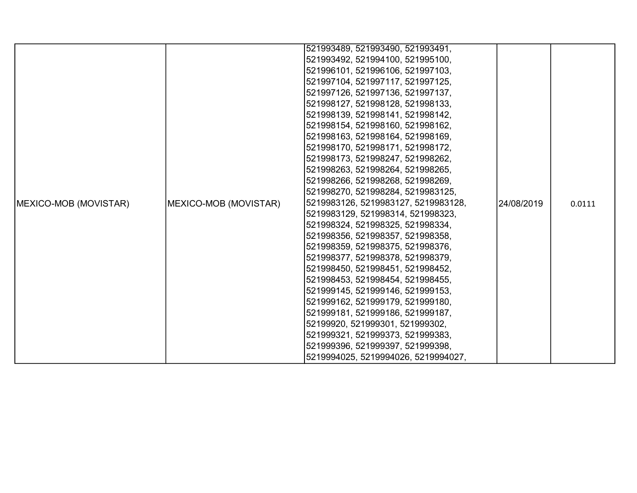|                               |                       | 521993489, 521993490, 521993491,    |            |        |
|-------------------------------|-----------------------|-------------------------------------|------------|--------|
|                               |                       | 521993492, 521994100, 521995100,    |            |        |
|                               |                       | 521996101, 521996106, 521997103,    |            |        |
|                               |                       | 521997104, 521997117, 521997125,    |            |        |
|                               |                       | 521997126, 521997136, 521997137,    |            |        |
|                               |                       | 521998127, 521998128, 521998133,    |            |        |
|                               |                       | 521998139, 521998141, 521998142,    |            |        |
|                               |                       | 521998154, 521998160, 521998162,    |            |        |
|                               |                       | 521998163, 521998164, 521998169,    |            |        |
|                               |                       | 521998170, 521998171, 521998172,    |            |        |
|                               |                       | 521998173, 521998247, 521998262,    |            |        |
|                               |                       | 521998263, 521998264, 521998265,    |            |        |
|                               |                       | 521998266, 521998268, 521998269,    |            |        |
|                               |                       | 521998270, 521998284, 5219983125,   |            |        |
| <b>IMEXICO-MOB (MOVISTAR)</b> | MEXICO-MOB (MOVISTAR) | 5219983126, 5219983127, 5219983128, | 24/08/2019 | 0.0111 |
|                               |                       | 5219983129, 521998314, 521998323,   |            |        |
|                               |                       | 521998324, 521998325, 521998334,    |            |        |
|                               |                       | 521998356, 521998357, 521998358,    |            |        |
|                               |                       | 521998359, 521998375, 521998376,    |            |        |
|                               |                       | 521998377, 521998378, 521998379,    |            |        |
|                               |                       | 521998450, 521998451, 521998452,    |            |        |
|                               |                       | 521998453, 521998454, 521998455,    |            |        |
|                               |                       | 521999145, 521999146, 521999153,    |            |        |
|                               |                       | 521999162, 521999179, 521999180,    |            |        |
|                               |                       | 521999181, 521999186, 521999187,    |            |        |
|                               |                       | 52199920, 521999301, 521999302,     |            |        |
|                               |                       | 521999321, 521999373, 521999383,    |            |        |
|                               |                       | 521999396, 521999397, 521999398,    |            |        |
|                               |                       | 5219994025, 5219994026, 5219994027, |            |        |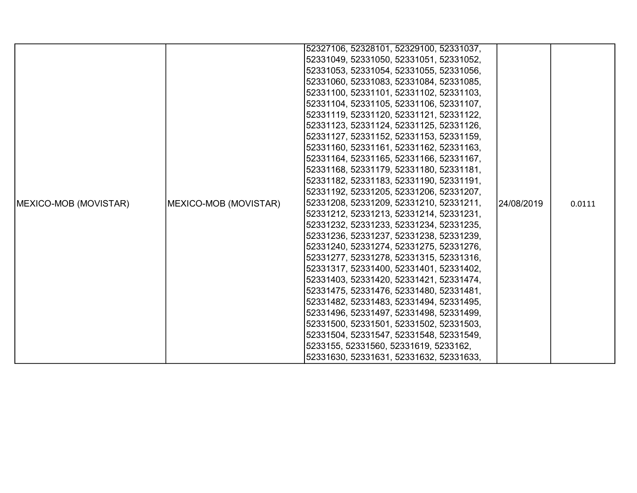|                       |                       | 52327106, 52328101, 52329100, 52331037, |            |        |
|-----------------------|-----------------------|-----------------------------------------|------------|--------|
|                       |                       |                                         |            |        |
|                       |                       | 52331049, 52331050, 52331051, 52331052, |            |        |
|                       |                       | 52331053, 52331054, 52331055, 52331056, |            |        |
|                       |                       | 52331060, 52331083, 52331084, 52331085, |            |        |
|                       |                       | 52331100, 52331101, 52331102, 52331103, |            |        |
|                       |                       | 52331104, 52331105, 52331106, 52331107, |            |        |
|                       |                       | 52331119, 52331120, 52331121, 52331122, |            |        |
|                       |                       | 52331123, 52331124, 52331125, 52331126, |            |        |
|                       |                       | 52331127, 52331152, 52331153, 52331159, |            |        |
|                       |                       | 52331160, 52331161, 52331162, 52331163, |            | 0.0111 |
|                       |                       | 52331164, 52331165, 52331166, 52331167, |            |        |
|                       |                       | 52331168, 52331179, 52331180, 52331181, |            |        |
|                       |                       | 52331182, 52331183, 52331190, 52331191, |            |        |
|                       |                       | 52331192, 52331205, 52331206, 52331207, |            |        |
| MEXICO-MOB (MOVISTAR) | MEXICO-MOB (MOVISTAR) | 52331208, 52331209, 52331210, 52331211, | 24/08/2019 |        |
|                       |                       | 52331212, 52331213, 52331214, 52331231, |            |        |
|                       |                       | 52331232, 52331233, 52331234, 52331235, |            |        |
|                       |                       | 52331236, 52331237, 52331238, 52331239, |            |        |
|                       |                       | 52331240, 52331274, 52331275, 52331276, |            |        |
|                       |                       | 52331277, 52331278, 52331315, 52331316, |            |        |
|                       |                       | 52331317, 52331400, 52331401, 52331402, |            |        |
|                       |                       | 52331403, 52331420, 52331421, 52331474, |            |        |
|                       |                       | 52331475, 52331476, 52331480, 52331481, |            |        |
|                       |                       | 52331482, 52331483, 52331494, 52331495, |            |        |
|                       |                       | 52331496, 52331497, 52331498, 52331499, |            |        |
|                       |                       | 52331500, 52331501, 52331502, 52331503, |            |        |
|                       |                       | 52331504, 52331547, 52331548, 52331549, |            |        |
|                       |                       | 5233155, 52331560, 52331619, 5233162,   |            |        |
|                       |                       | 52331630, 52331631, 52331632, 52331633, |            |        |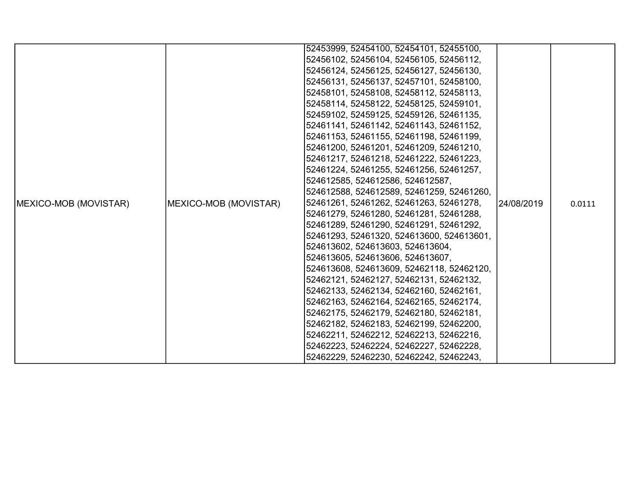|                               |                       | 52453999, 52454100, 52454101, 52455100,   |            |        |
|-------------------------------|-----------------------|-------------------------------------------|------------|--------|
|                               |                       | 52456102, 52456104, 52456105, 52456112,   |            |        |
|                               |                       | 52456124, 52456125, 52456127, 52456130,   |            |        |
|                               |                       | 52456131, 52456137, 52457101, 52458100,   |            |        |
|                               |                       | 52458101, 52458108, 52458112, 52458113,   |            |        |
|                               |                       | 52458114, 52458122, 52458125, 52459101,   |            |        |
|                               |                       | 52459102, 52459125, 52459126, 52461135,   |            |        |
|                               |                       | 52461141, 52461142, 52461143, 52461152,   |            |        |
|                               |                       | 52461153, 52461155, 52461198, 52461199,   |            |        |
|                               |                       | 52461200, 52461201, 52461209, 52461210,   |            |        |
|                               |                       | 52461217, 52461218, 52461222, 52461223,   |            |        |
|                               |                       | 52461224, 52461255, 52461256, 52461257,   |            |        |
|                               |                       | 524612585, 524612586, 524612587,          |            |        |
|                               |                       | 524612588, 524612589, 52461259, 52461260, |            |        |
| <b>IMEXICO-MOB (MOVISTAR)</b> | MEXICO-MOB (MOVISTAR) | 52461261, 52461262, 52461263, 52461278,   | 24/08/2019 | 0.0111 |
|                               |                       | 52461279, 52461280, 52461281, 52461288,   |            |        |
|                               |                       | 52461289, 52461290, 52461291, 52461292,   |            |        |
|                               |                       | 52461293, 52461320, 524613600, 524613601, |            |        |
|                               |                       | 524613602, 524613603, 524613604,          |            |        |
|                               |                       | 524613605, 524613606, 524613607,          |            |        |
|                               |                       | 524613608, 524613609, 52462118, 52462120, |            |        |
|                               |                       | 52462121, 52462127, 52462131, 52462132,   |            |        |
|                               |                       | 52462133, 52462134, 52462160, 52462161,   |            |        |
|                               |                       | 52462163, 52462164, 52462165, 52462174,   |            |        |
|                               |                       | 52462175, 52462179, 52462180, 52462181,   |            |        |
|                               |                       | 52462182, 52462183, 52462199, 52462200,   |            |        |
|                               |                       | 52462211, 52462212, 52462213, 52462216,   |            |        |
|                               |                       | 52462223, 52462224, 52462227, 52462228,   |            |        |
|                               |                       | 52462229, 52462230, 52462242, 52462243,   |            |        |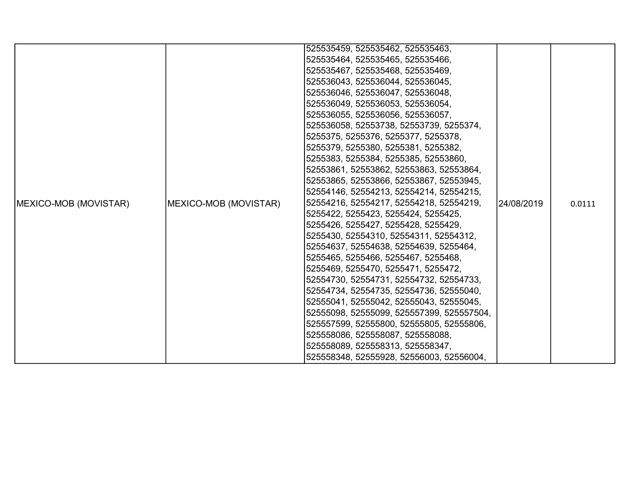|                       |                       | 525535459, 525535462, 525535463,          |             |        |
|-----------------------|-----------------------|-------------------------------------------|-------------|--------|
|                       |                       | 525535464, 525535465, 525535466,          |             |        |
|                       |                       | 525535467, 525535468, 525535469,          |             |        |
|                       |                       | 525536043, 525536044, 525536045,          |             |        |
|                       |                       | 525536046, 525536047, 525536048,          |             |        |
|                       |                       | 525536049, 525536053, 525536054,          |             |        |
|                       |                       | 525536055, 525536056, 525536057,          |             |        |
|                       |                       | 525536058, 52553738, 52553739, 5255374,   |             |        |
|                       |                       | 5255375, 5255376, 5255377, 5255378,       |             |        |
|                       |                       | 5255379, 5255380, 5255381, 5255382,       |             |        |
|                       |                       | 5255383, 5255384, 5255385, 52553860,      |             |        |
|                       |                       | 52553861, 52553862, 52553863, 52553864,   |             |        |
|                       |                       | 52553865, 52553866, 52553867, 52553945,   |             |        |
|                       |                       | 52554146, 52554213, 52554214, 52554215,   |             |        |
| MEXICO-MOB (MOVISTAR) | MEXICO-MOB (MOVISTAR) | 52554216, 52554217, 52554218, 52554219,   | l24/08/2019 | 0.0111 |
|                       |                       | 5255422, 5255423, 5255424, 5255425,       |             |        |
|                       |                       | 5255426, 5255427, 5255428, 5255429,       |             |        |
|                       |                       | 5255430, 52554310, 52554311, 52554312,    |             |        |
|                       |                       | 52554637, 52554638, 52554639, 5255464,    |             |        |
|                       |                       | 5255465, 5255466, 5255467, 5255468,       |             |        |
|                       |                       | 5255469, 5255470, 5255471, 5255472,       |             |        |
|                       |                       | 52554730, 52554731, 52554732, 52554733,   |             |        |
|                       |                       | 52554734, 52554735, 52554736, 52555040,   |             |        |
|                       |                       | 52555041, 52555042, 52555043, 52555045,   |             |        |
|                       |                       | 52555098, 52555099, 525557399, 525557504, |             |        |
|                       |                       | 525557599, 52555800, 52555805, 52555806,  |             |        |
|                       |                       | 525558086, 525558087, 525558088,          |             |        |
|                       |                       | 525558089, 525558313, 525558347,          |             |        |
|                       |                       | 525558348, 52555928, 52556003, 52556004,  |             |        |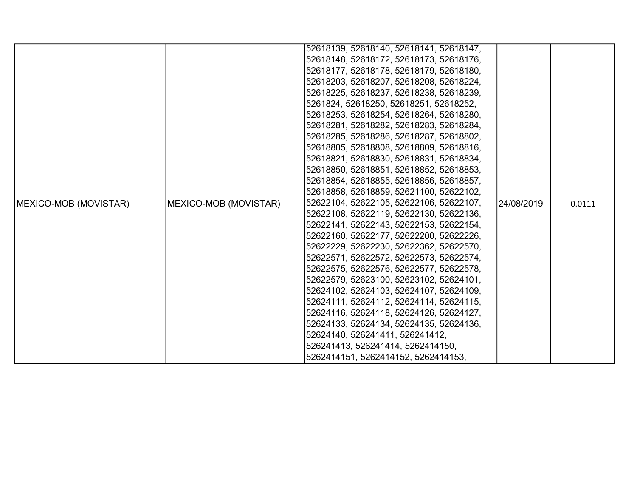|                       |                       | 52618139, 52618140, 52618141, 52618147, |            |        |
|-----------------------|-----------------------|-----------------------------------------|------------|--------|
|                       |                       | 52618148, 52618172, 52618173, 52618176, |            |        |
|                       |                       | 52618177, 52618178, 52618179, 52618180, |            |        |
|                       |                       | 52618203, 52618207, 52618208, 52618224, |            |        |
|                       |                       | 52618225, 52618237, 52618238, 52618239, |            |        |
|                       |                       | 5261824, 52618250, 52618251, 52618252,  |            |        |
|                       |                       | 52618253, 52618254, 52618264, 52618280, |            |        |
|                       |                       | 52618281, 52618282, 52618283, 52618284, |            |        |
|                       |                       | 52618285, 52618286, 52618287, 52618802, |            |        |
|                       |                       | 52618805, 52618808, 52618809, 52618816, |            | 0.0111 |
|                       |                       | 52618821, 52618830, 52618831, 52618834, |            |        |
|                       |                       | 52618850, 52618851, 52618852, 52618853, | 24/08/2019 |        |
|                       | MEXICO-MOB (MOVISTAR) | 52618854, 52618855, 52618856, 52618857, |            |        |
|                       |                       | 52618858, 52618859, 52621100, 52622102, |            |        |
| MEXICO-MOB (MOVISTAR) |                       | 52622104, 52622105, 52622106, 52622107, |            |        |
|                       |                       | 52622108, 52622119, 52622130, 52622136, |            |        |
|                       |                       | 52622141, 52622143, 52622153, 52622154, |            |        |
|                       |                       | 52622160, 52622177, 52622200, 52622226, |            |        |
|                       |                       | 52622229, 52622230, 52622362, 52622570, |            |        |
|                       |                       | 52622571, 52622572, 52622573, 52622574, |            |        |
|                       |                       | 52622575, 52622576, 52622577, 52622578, |            |        |
|                       |                       | 52622579, 52623100, 52623102, 52624101, |            |        |
|                       |                       | 52624102, 52624103, 52624107, 52624109, |            |        |
|                       |                       | 52624111, 52624112, 52624114, 52624115, |            |        |
|                       |                       | 52624116, 52624118, 52624126, 52624127, |            |        |
|                       |                       | 52624133, 52624134, 52624135, 52624136, |            |        |
|                       |                       | 52624140, 526241411, 526241412,         |            |        |
|                       |                       | 526241413, 526241414, 5262414150,       |            |        |
|                       |                       | 5262414151, 5262414152, 5262414153,     |            |        |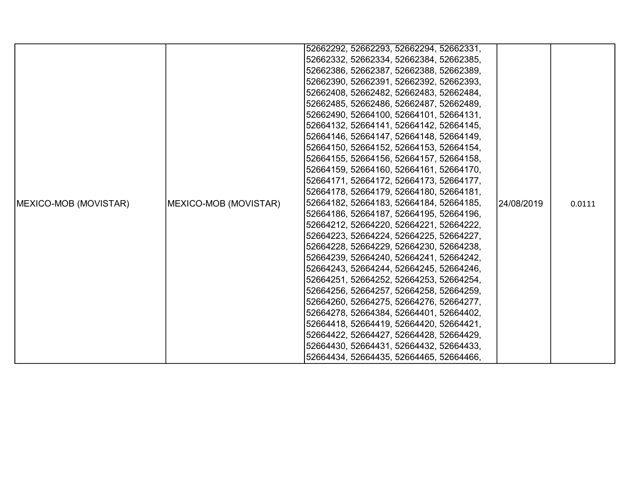|                       |                       | 52662292, 52662293, 52662294, 52662331, |            |        |
|-----------------------|-----------------------|-----------------------------------------|------------|--------|
|                       |                       | 52662332, 52662334, 52662384, 52662385, |            |        |
|                       |                       | 52662386, 52662387, 52662388, 52662389, |            |        |
|                       |                       |                                         |            |        |
|                       |                       | 52662390, 52662391, 52662392, 52662393, |            |        |
|                       |                       | 52662408, 52662482, 52662483, 52662484, |            |        |
|                       |                       | 52662485, 52662486, 52662487, 52662489, |            |        |
|                       |                       | 52662490, 52664100, 52664101, 52664131, |            |        |
|                       |                       | 52664132, 52664141, 52664142, 52664145, |            |        |
|                       |                       | 52664146, 52664147, 52664148, 52664149, |            |        |
|                       |                       | 52664150, 52664152, 52664153, 52664154, |            | 0.0111 |
|                       |                       | 52664155, 52664156, 52664157, 52664158, |            |        |
|                       |                       | 52664159, 52664160, 52664161, 52664170, |            |        |
|                       | MEXICO-MOB (MOVISTAR) | 52664171, 52664172, 52664173, 52664177, |            |        |
|                       |                       | 52664178, 52664179, 52664180, 52664181, |            |        |
| MEXICO-MOB (MOVISTAR) |                       | 52664182, 52664183, 52664184, 52664185, | 24/08/2019 |        |
|                       |                       | 52664186, 52664187, 52664195, 52664196, |            |        |
|                       |                       | 52664212, 52664220, 52664221, 52664222, |            |        |
|                       |                       | 52664223, 52664224, 52664225, 52664227, |            |        |
|                       |                       | 52664228, 52664229, 52664230, 52664238, |            |        |
|                       |                       | 52664239, 52664240, 52664241, 52664242, |            |        |
|                       |                       | 52664243, 52664244, 52664245, 52664246, |            |        |
|                       |                       | 52664251, 52664252, 52664253, 52664254, |            |        |
|                       |                       | 52664256, 52664257, 52664258, 52664259, |            |        |
|                       |                       | 52664260, 52664275, 52664276, 52664277, |            |        |
|                       |                       | 52664278, 52664384, 52664401, 52664402, |            |        |
|                       |                       | 52664418, 52664419, 52664420, 52664421, |            |        |
|                       |                       | 52664422, 52664427, 52664428, 52664429, |            |        |
|                       |                       | 52664430, 52664431, 52664432, 52664433, |            |        |
|                       |                       |                                         |            |        |
|                       |                       | 52664434, 52664435, 52664465, 52664466, |            |        |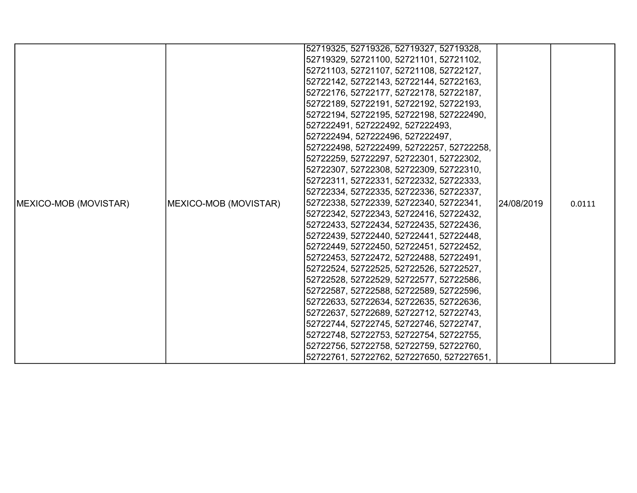|                               |                               | 52719325, 52719326, 52719327, 52719328,   |             |        |
|-------------------------------|-------------------------------|-------------------------------------------|-------------|--------|
|                               |                               | 52719329, 52721100, 52721101, 52721102,   |             |        |
|                               |                               | 52721103, 52721107, 52721108, 52722127,   |             |        |
|                               |                               | 52722142, 52722143, 52722144, 52722163,   |             |        |
|                               |                               |                                           |             |        |
|                               |                               | 52722176, 52722177, 52722178, 52722187,   |             |        |
|                               |                               | 52722189, 52722191, 52722192, 52722193,   |             |        |
|                               |                               | 52722194, 52722195, 52722198, 527222490,  |             |        |
|                               |                               | 527222491, 527222492, 527222493,          |             |        |
|                               |                               | 527222494, 527222496, 527222497,          |             |        |
|                               |                               | 527222498, 527222499, 52722257, 52722258, |             | 0.0111 |
|                               |                               | 52722259, 52722297, 52722301, 52722302,   |             |        |
|                               |                               | 52722307, 52722308, 52722309, 52722310,   | l24/08/2019 |        |
|                               | <b>IMEXICO-MOB (MOVISTAR)</b> | 52722311, 52722331, 52722332, 52722333,   |             |        |
|                               |                               | 52722334, 52722335, 52722336, 52722337,   |             |        |
| <b>IMEXICO-MOB (MOVISTAR)</b> |                               | 52722338, 52722339, 52722340, 52722341,   |             |        |
|                               |                               | 52722342, 52722343, 52722416, 52722432,   |             |        |
|                               |                               | 52722433, 52722434, 52722435, 52722436,   |             |        |
|                               |                               | 52722439, 52722440, 52722441, 52722448,   |             |        |
|                               |                               | 52722449, 52722450, 52722451, 52722452,   |             |        |
|                               |                               | 52722453, 52722472, 52722488, 52722491,   |             |        |
|                               |                               | 52722524, 52722525, 52722526, 52722527,   |             |        |
|                               |                               | 52722528, 52722529, 52722577, 52722586,   |             |        |
|                               |                               | 52722587, 52722588, 52722589, 52722596,   |             |        |
|                               |                               | 52722633, 52722634, 52722635, 52722636,   |             |        |
|                               |                               | 52722637, 52722689, 52722712, 52722743,   |             |        |
|                               |                               | 52722744, 52722745, 52722746, 52722747,   |             |        |
|                               |                               | 52722748, 52722753, 52722754, 52722755,   |             |        |
|                               |                               | 52722756, 52722758, 52722759, 52722760,   |             |        |
|                               |                               | 52722761, 52722762, 527227650, 527227651, |             |        |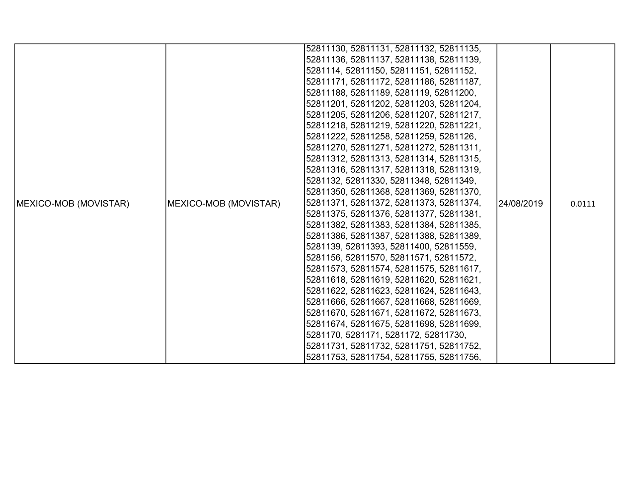|                               |                       | 52811130, 52811131, 52811132, 52811135, |            |        |
|-------------------------------|-----------------------|-----------------------------------------|------------|--------|
|                               |                       |                                         |            |        |
|                               |                       | 52811136, 52811137, 52811138, 52811139, |            |        |
|                               |                       | 5281114, 52811150, 52811151, 52811152,  |            |        |
|                               |                       | 52811171, 52811172, 52811186, 52811187, |            |        |
|                               |                       | 52811188, 52811189, 5281119, 52811200,  |            |        |
|                               |                       | 52811201, 52811202, 52811203, 52811204, |            |        |
|                               |                       | 52811205, 52811206, 52811207, 52811217, |            |        |
|                               |                       | 52811218, 52811219, 52811220, 52811221, |            |        |
|                               |                       | 52811222, 52811258, 52811259, 5281126,  |            |        |
|                               |                       | 52811270, 52811271, 52811272, 52811311, |            | 0.0111 |
|                               |                       | 52811312, 52811313, 52811314, 52811315, |            |        |
|                               |                       | 52811316, 52811317, 52811318, 52811319, |            |        |
|                               | MEXICO-MOB (MOVISTAR) | 5281132, 52811330, 52811348, 52811349,  |            |        |
|                               |                       | 52811350, 52811368, 52811369, 52811370, |            |        |
| <b>IMEXICO-MOB (MOVISTAR)</b> |                       | 52811371, 52811372, 52811373, 52811374, | 24/08/2019 |        |
|                               |                       | 52811375, 52811376, 52811377, 52811381, |            |        |
|                               |                       | 52811382, 52811383, 52811384, 52811385, |            |        |
|                               |                       | 52811386, 52811387, 52811388, 52811389, |            |        |
|                               |                       | 5281139, 52811393, 52811400, 52811559,  |            |        |
|                               |                       | 5281156, 52811570, 52811571, 52811572,  |            |        |
|                               |                       | 52811573, 52811574, 52811575, 52811617, |            |        |
|                               |                       | 52811618, 52811619, 52811620, 52811621, |            |        |
|                               |                       | 52811622, 52811623, 52811624, 52811643, |            |        |
|                               |                       | 52811666, 52811667, 52811668, 52811669, |            |        |
|                               |                       | 52811670, 52811671, 52811672, 52811673, |            |        |
|                               |                       | 52811674, 52811675, 52811698, 52811699, |            |        |
|                               |                       | 5281170, 5281171, 5281172, 52811730,    |            |        |
|                               |                       | 52811731, 52811732, 52811751, 52811752, |            |        |
|                               |                       | 52811753, 52811754, 52811755, 52811756, |            |        |
|                               |                       |                                         |            |        |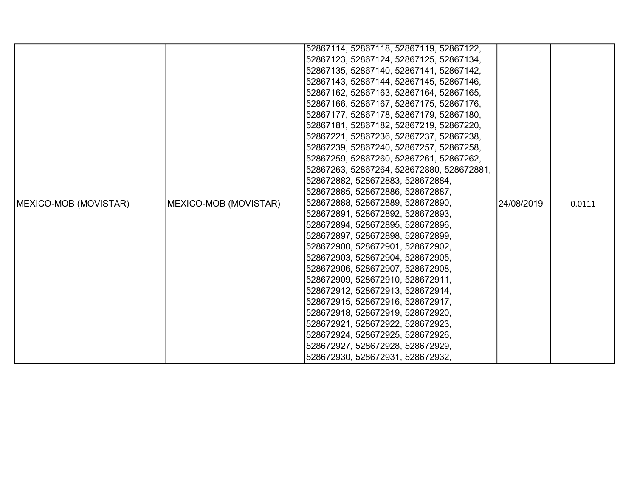| 52867123, 52867124, 52867125, 52867134,<br>52867135, 52867140, 52867141, 52867142,<br>52867143, 52867144, 52867145, 52867146,<br>52867162, 52867163, 52867164, 52867165,<br>52867166, 52867167, 52867175, 52867176,<br>52867177, 52867178, 52867179, 52867180,<br>52867181, 52867182, 52867219, 52867220,<br>52867221, 52867236, 52867237, 52867238,<br>52867239, 52867240, 52867257, 52867258,<br>52867259, 52867260, 52867261, 52867262,<br>52867263, 52867264, 528672880, 528672881,<br>528672882, 528672883, 528672884,<br>528672885, 528672886, 528672887,<br>528672888, 528672889, 528672890,<br>MEXICO-MOB (MOVISTAR)<br>24/08/2019<br>0.0111<br>528672891, 528672892, 528672893,<br>528672894, 528672895, 528672896,<br>528672897, 528672898, 528672899,<br>528672900, 528672901, 528672902,<br>528672903, 528672904, 528672905,<br>528672906, 528672907, 528672908,<br>528672909, 528672910, 528672911,<br>528672912, 528672913, 528672914,<br>528672915, 528672916, 528672917,<br>528672918, 528672919, 528672920,<br>528672921, 528672922, 528672923, |                       | 52867114, 52867118, 52867119, 52867122, |  |  |
|------------------------------------------------------------------------------------------------------------------------------------------------------------------------------------------------------------------------------------------------------------------------------------------------------------------------------------------------------------------------------------------------------------------------------------------------------------------------------------------------------------------------------------------------------------------------------------------------------------------------------------------------------------------------------------------------------------------------------------------------------------------------------------------------------------------------------------------------------------------------------------------------------------------------------------------------------------------------------------------------------------------------------------------------------------------|-----------------------|-----------------------------------------|--|--|
|                                                                                                                                                                                                                                                                                                                                                                                                                                                                                                                                                                                                                                                                                                                                                                                                                                                                                                                                                                                                                                                                  |                       |                                         |  |  |
|                                                                                                                                                                                                                                                                                                                                                                                                                                                                                                                                                                                                                                                                                                                                                                                                                                                                                                                                                                                                                                                                  |                       |                                         |  |  |
|                                                                                                                                                                                                                                                                                                                                                                                                                                                                                                                                                                                                                                                                                                                                                                                                                                                                                                                                                                                                                                                                  |                       |                                         |  |  |
|                                                                                                                                                                                                                                                                                                                                                                                                                                                                                                                                                                                                                                                                                                                                                                                                                                                                                                                                                                                                                                                                  |                       |                                         |  |  |
|                                                                                                                                                                                                                                                                                                                                                                                                                                                                                                                                                                                                                                                                                                                                                                                                                                                                                                                                                                                                                                                                  |                       |                                         |  |  |
|                                                                                                                                                                                                                                                                                                                                                                                                                                                                                                                                                                                                                                                                                                                                                                                                                                                                                                                                                                                                                                                                  |                       |                                         |  |  |
|                                                                                                                                                                                                                                                                                                                                                                                                                                                                                                                                                                                                                                                                                                                                                                                                                                                                                                                                                                                                                                                                  |                       |                                         |  |  |
|                                                                                                                                                                                                                                                                                                                                                                                                                                                                                                                                                                                                                                                                                                                                                                                                                                                                                                                                                                                                                                                                  |                       |                                         |  |  |
|                                                                                                                                                                                                                                                                                                                                                                                                                                                                                                                                                                                                                                                                                                                                                                                                                                                                                                                                                                                                                                                                  |                       |                                         |  |  |
|                                                                                                                                                                                                                                                                                                                                                                                                                                                                                                                                                                                                                                                                                                                                                                                                                                                                                                                                                                                                                                                                  |                       |                                         |  |  |
|                                                                                                                                                                                                                                                                                                                                                                                                                                                                                                                                                                                                                                                                                                                                                                                                                                                                                                                                                                                                                                                                  |                       |                                         |  |  |
|                                                                                                                                                                                                                                                                                                                                                                                                                                                                                                                                                                                                                                                                                                                                                                                                                                                                                                                                                                                                                                                                  |                       |                                         |  |  |
|                                                                                                                                                                                                                                                                                                                                                                                                                                                                                                                                                                                                                                                                                                                                                                                                                                                                                                                                                                                                                                                                  |                       |                                         |  |  |
|                                                                                                                                                                                                                                                                                                                                                                                                                                                                                                                                                                                                                                                                                                                                                                                                                                                                                                                                                                                                                                                                  |                       |                                         |  |  |
|                                                                                                                                                                                                                                                                                                                                                                                                                                                                                                                                                                                                                                                                                                                                                                                                                                                                                                                                                                                                                                                                  | MEXICO-MOB (MOVISTAR) |                                         |  |  |
|                                                                                                                                                                                                                                                                                                                                                                                                                                                                                                                                                                                                                                                                                                                                                                                                                                                                                                                                                                                                                                                                  |                       |                                         |  |  |
|                                                                                                                                                                                                                                                                                                                                                                                                                                                                                                                                                                                                                                                                                                                                                                                                                                                                                                                                                                                                                                                                  |                       |                                         |  |  |
|                                                                                                                                                                                                                                                                                                                                                                                                                                                                                                                                                                                                                                                                                                                                                                                                                                                                                                                                                                                                                                                                  |                       |                                         |  |  |
|                                                                                                                                                                                                                                                                                                                                                                                                                                                                                                                                                                                                                                                                                                                                                                                                                                                                                                                                                                                                                                                                  |                       |                                         |  |  |
|                                                                                                                                                                                                                                                                                                                                                                                                                                                                                                                                                                                                                                                                                                                                                                                                                                                                                                                                                                                                                                                                  |                       |                                         |  |  |
|                                                                                                                                                                                                                                                                                                                                                                                                                                                                                                                                                                                                                                                                                                                                                                                                                                                                                                                                                                                                                                                                  |                       |                                         |  |  |
|                                                                                                                                                                                                                                                                                                                                                                                                                                                                                                                                                                                                                                                                                                                                                                                                                                                                                                                                                                                                                                                                  |                       |                                         |  |  |
|                                                                                                                                                                                                                                                                                                                                                                                                                                                                                                                                                                                                                                                                                                                                                                                                                                                                                                                                                                                                                                                                  |                       |                                         |  |  |
|                                                                                                                                                                                                                                                                                                                                                                                                                                                                                                                                                                                                                                                                                                                                                                                                                                                                                                                                                                                                                                                                  |                       |                                         |  |  |
|                                                                                                                                                                                                                                                                                                                                                                                                                                                                                                                                                                                                                                                                                                                                                                                                                                                                                                                                                                                                                                                                  |                       |                                         |  |  |
|                                                                                                                                                                                                                                                                                                                                                                                                                                                                                                                                                                                                                                                                                                                                                                                                                                                                                                                                                                                                                                                                  |                       |                                         |  |  |
|                                                                                                                                                                                                                                                                                                                                                                                                                                                                                                                                                                                                                                                                                                                                                                                                                                                                                                                                                                                                                                                                  |                       | 528672924, 528672925, 528672926,        |  |  |
| 528672927, 528672928, 528672929,                                                                                                                                                                                                                                                                                                                                                                                                                                                                                                                                                                                                                                                                                                                                                                                                                                                                                                                                                                                                                                 |                       |                                         |  |  |
| 528672930, 528672931, 528672932,                                                                                                                                                                                                                                                                                                                                                                                                                                                                                                                                                                                                                                                                                                                                                                                                                                                                                                                                                                                                                                 |                       |                                         |  |  |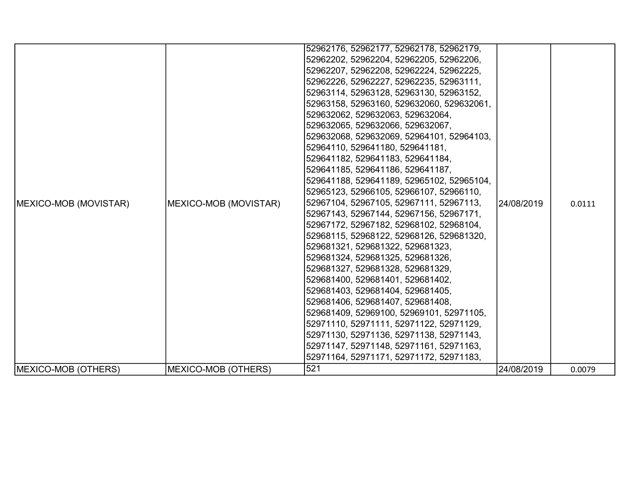| <b>IMEXICO-MOB (MOVISTAR)</b> | MEXICO-MOB (MOVISTAR) | 52962176, 52962177, 52962178, 52962179,<br>52962202, 52962204, 52962205, 52962206,<br>52962207, 52962208, 52962224, 52962225,<br>52962226, 52962227, 52962235, 52963111,<br>52963114, 52963128, 52963130, 52963152,<br>52963158, 52963160, 529632060, 529632061,<br>529632062, 529632063, 529632064,<br>529632065, 529632066, 529632067,<br>529632068, 529632069, 52964101, 52964103,<br>52964110, 529641180, 529641181,<br>529641182, 529641183, 529641184,<br>529641185, 529641186, 529641187,<br>529641188, 529641189, 52965102, 52965104,<br>52965123, 52966105, 52966107, 52966110,<br>52967104, 52967105, 52967111, 52967113,<br>52967143, 52967144, 52967156, 52967171,<br>52967172, 52967182, 52968102, 52968104,<br>52968115, 52968122, 52968126, 529681320,<br>529681321, 529681322, 529681323,<br>529681324, 529681325, 529681326,<br>529681327, 529681328, 529681329,<br>529681400, 529681401, 529681402,<br>529681403, 529681404, 529681405,<br>529681406, 529681407, 529681408,<br>529681409, 52969100, 52969101, 52971105, | 24/08/2019 | 0.0111 |
|-------------------------------|-----------------------|-------------------------------------------------------------------------------------------------------------------------------------------------------------------------------------------------------------------------------------------------------------------------------------------------------------------------------------------------------------------------------------------------------------------------------------------------------------------------------------------------------------------------------------------------------------------------------------------------------------------------------------------------------------------------------------------------------------------------------------------------------------------------------------------------------------------------------------------------------------------------------------------------------------------------------------------------------------------------------------------------------------------------------------------|------------|--------|
|                               |                       | 52971110, 52971111, 52971122, 52971129,<br>52971130, 52971136, 52971138, 52971143,<br>52971147, 52971148, 52971161, 52971163,<br>52971164, 52971171, 52971172, 52971183,                                                                                                                                                                                                                                                                                                                                                                                                                                                                                                                                                                                                                                                                                                                                                                                                                                                                  |            |        |
| MEXICO-MOB (OTHERS)           | MEXICO-MOB (OTHERS)   | 521                                                                                                                                                                                                                                                                                                                                                                                                                                                                                                                                                                                                                                                                                                                                                                                                                                                                                                                                                                                                                                       | 24/08/2019 | 0.0079 |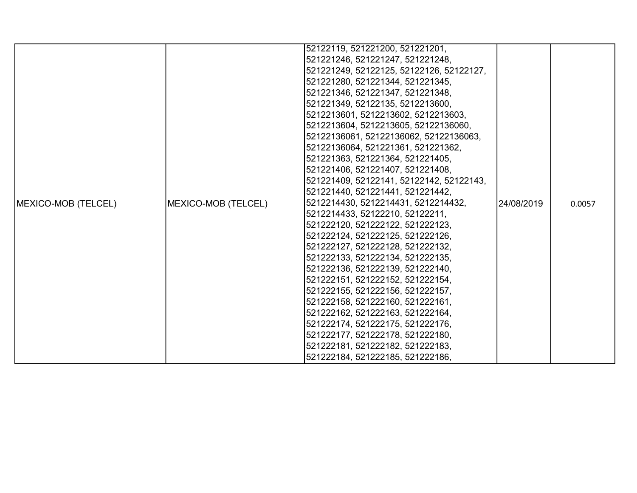|                             |                     | 52122119, 521221200, 521221201,          |             |        |
|-----------------------------|---------------------|------------------------------------------|-------------|--------|
|                             |                     | 521221246, 521221247, 521221248,         |             |        |
|                             |                     | 521221249, 52122125, 52122126, 52122127, |             |        |
|                             |                     | 521221280, 521221344, 521221345,         |             |        |
|                             |                     | 521221346, 521221347, 521221348,         |             |        |
|                             |                     | 521221349, 52122135, 5212213600,         |             |        |
|                             |                     | 5212213601, 5212213602, 5212213603,      |             |        |
|                             |                     | 5212213604, 5212213605, 52122136060,     |             |        |
|                             |                     | 52122136061, 52122136062, 52122136063,   |             |        |
|                             |                     | 52122136064, 521221361, 521221362,       |             |        |
|                             |                     | 521221363, 521221364, 521221405,         |             |        |
|                             |                     | 521221406, 521221407, 521221408,         |             |        |
|                             |                     | 521221409, 52122141, 52122142, 52122143, |             |        |
|                             |                     | 521221440, 521221441, 521221442,         |             |        |
| <b>IMEXICO-MOB (TELCEL)</b> | MEXICO-MOB (TELCEL) | 5212214430, 5212214431, 5212214432,      | 124/08/2019 | 0.0057 |
|                             |                     | 5212214433, 52122210, 52122211,          |             |        |
|                             |                     | 521222120, 521222122, 521222123,         |             |        |
|                             |                     | 521222124, 521222125, 521222126,         |             |        |
|                             |                     | 521222127, 521222128, 521222132,         |             |        |
|                             |                     | 521222133, 521222134, 521222135,         |             |        |
|                             |                     | 521222136, 521222139, 521222140,         |             |        |
|                             |                     | 521222151, 521222152, 521222154,         |             |        |
|                             |                     | 521222155, 521222156, 521222157,         |             |        |
|                             |                     | 521222158, 521222160, 521222161,         |             |        |
|                             |                     | 521222162, 521222163, 521222164,         |             |        |
|                             |                     | 521222174, 521222175, 521222176,         |             |        |
|                             |                     | 521222177, 521222178, 521222180,         |             |        |
|                             |                     | 521222181, 521222182, 521222183,         |             |        |
|                             |                     | 521222184, 521222185, 521222186,         |             |        |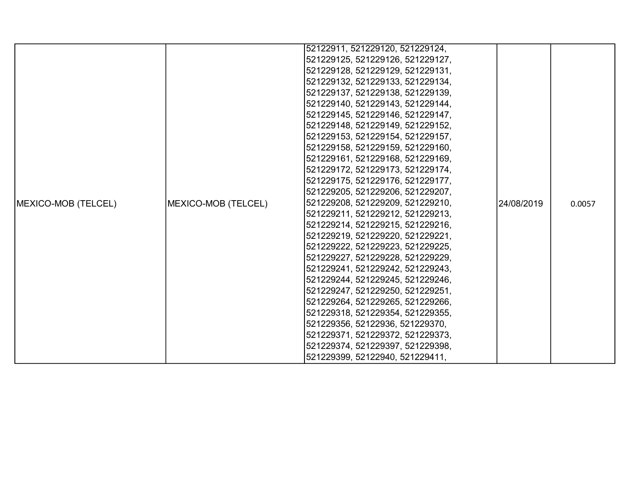|                            |                     | 52122911, 521229120, 521229124,  |            |        |
|----------------------------|---------------------|----------------------------------|------------|--------|
|                            |                     | 521229125, 521229126, 521229127, |            |        |
|                            |                     | 521229128, 521229129, 521229131, |            |        |
|                            |                     | 521229132, 521229133, 521229134, |            |        |
|                            |                     | 521229137, 521229138, 521229139, |            |        |
|                            |                     | 521229140, 521229143, 521229144, |            |        |
|                            |                     | 521229145, 521229146, 521229147, |            |        |
|                            |                     | 521229148, 521229149, 521229152, |            |        |
|                            |                     | 521229153, 521229154, 521229157, |            |        |
|                            |                     | 521229158, 521229159, 521229160, |            |        |
|                            |                     | 521229161, 521229168, 521229169, |            |        |
|                            |                     | 521229172, 521229173, 521229174, |            |        |
|                            |                     | 521229175, 521229176, 521229177, |            |        |
|                            |                     | 521229205, 521229206, 521229207, |            |        |
| <b>MEXICO-MOB (TELCEL)</b> | MEXICO-MOB (TELCEL) | 521229208, 521229209, 521229210, | 24/08/2019 | 0.0057 |
|                            |                     | 521229211, 521229212, 521229213, |            |        |
|                            |                     | 521229214, 521229215, 521229216, |            |        |
|                            |                     | 521229219, 521229220, 521229221, |            |        |
|                            |                     | 521229222, 521229223, 521229225, |            |        |
|                            |                     | 521229227, 521229228, 521229229, |            |        |
|                            |                     | 521229241, 521229242, 521229243, |            |        |
|                            |                     | 521229244, 521229245, 521229246, |            |        |
|                            |                     | 521229247, 521229250, 521229251, |            |        |
|                            |                     | 521229264, 521229265, 521229266, |            |        |
|                            |                     | 521229318, 521229354, 521229355, |            |        |
|                            |                     | 521229356, 52122936, 521229370,  |            |        |
|                            |                     | 521229371, 521229372, 521229373, |            |        |
|                            |                     | 521229374, 521229397, 521229398, |            |        |
|                            |                     | 521229399, 52122940, 521229411,  |            |        |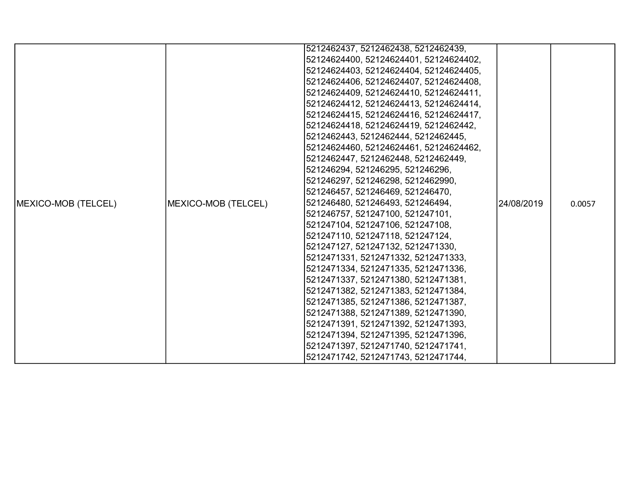|                             |                     | 5212462437, 5212462438, 5212462439,    |            |        |
|-----------------------------|---------------------|----------------------------------------|------------|--------|
|                             |                     | 52124624400, 52124624401, 52124624402, |            |        |
|                             |                     | 52124624403, 52124624404, 52124624405, |            |        |
|                             |                     | 52124624406, 52124624407, 52124624408, |            |        |
|                             |                     | 52124624409, 52124624410, 52124624411, |            |        |
|                             |                     | 52124624412, 52124624413, 52124624414, |            |        |
|                             |                     | 52124624415, 52124624416, 52124624417, |            |        |
|                             |                     | 52124624418, 52124624419, 5212462442,  |            |        |
|                             |                     | 5212462443, 5212462444, 5212462445,    |            |        |
|                             |                     | 52124624460, 52124624461, 52124624462, |            |        |
|                             |                     | 5212462447, 5212462448, 5212462449,    |            |        |
|                             |                     | 521246294, 521246295, 521246296,       |            |        |
|                             |                     | 521246297, 521246298, 5212462990,      |            |        |
|                             |                     | 521246457, 521246469, 521246470,       |            |        |
| <b>IMEXICO-MOB (TELCEL)</b> | MEXICO-MOB (TELCEL) | 521246480, 521246493, 521246494,       | 24/08/2019 | 0.0057 |
|                             |                     | 521246757, 521247100, 521247101,       |            |        |
|                             |                     | 521247104, 521247106, 521247108,       |            |        |
|                             |                     | 521247110, 521247118, 521247124,       |            |        |
|                             |                     | 521247127, 521247132, 5212471330,      |            |        |
|                             |                     | 5212471331, 5212471332, 5212471333,    |            |        |
|                             |                     | 5212471334, 5212471335, 5212471336,    |            |        |
|                             |                     | 5212471337, 5212471380, 5212471381,    |            |        |
|                             |                     | 5212471382, 5212471383, 5212471384,    |            |        |
|                             |                     | 5212471385, 5212471386, 5212471387,    |            |        |
|                             |                     | 5212471388, 5212471389, 5212471390,    |            |        |
|                             |                     | 5212471391, 5212471392, 5212471393,    |            |        |
|                             |                     | 5212471394, 5212471395, 5212471396,    |            |        |
|                             |                     | 5212471397, 5212471740, 5212471741,    |            |        |
|                             |                     | 5212471742, 5212471743, 5212471744,    |            |        |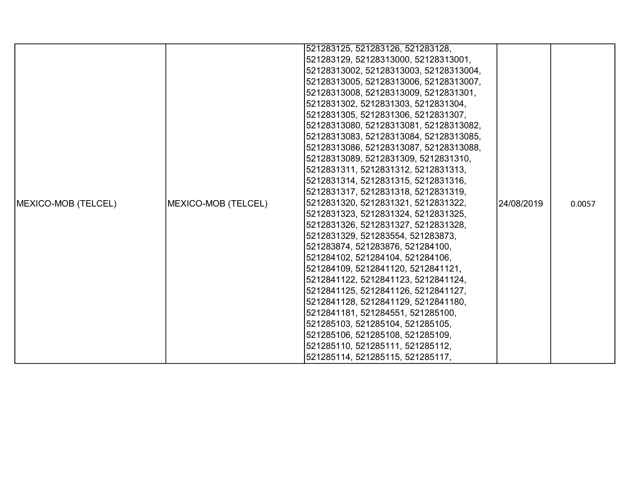|                             |                     | 521283125, 521283126, 521283128,       |            |        |
|-----------------------------|---------------------|----------------------------------------|------------|--------|
|                             |                     | 521283129, 52128313000, 52128313001,   |            |        |
|                             |                     | 52128313002, 52128313003, 52128313004, |            |        |
|                             |                     | 52128313005, 52128313006, 52128313007, |            |        |
|                             |                     | 52128313008, 52128313009, 5212831301,  |            |        |
|                             |                     | 5212831302, 5212831303, 5212831304,    |            |        |
|                             |                     | 5212831305, 5212831306, 5212831307,    |            |        |
|                             |                     | 52128313080, 52128313081, 52128313082, |            |        |
|                             |                     | 52128313083, 52128313084, 52128313085, |            |        |
|                             |                     | 52128313086, 52128313087, 52128313088, |            |        |
|                             |                     | 52128313089, 5212831309, 5212831310,   |            |        |
|                             |                     | 5212831311, 5212831312, 5212831313,    |            |        |
|                             |                     | 5212831314, 5212831315, 5212831316,    |            |        |
|                             |                     | 5212831317, 5212831318, 5212831319,    |            |        |
| <b>IMEXICO-MOB (TELCEL)</b> | MEXICO-MOB (TELCEL) | 5212831320, 5212831321, 5212831322,    | 24/08/2019 | 0.0057 |
|                             |                     | 5212831323, 5212831324, 5212831325,    |            |        |
|                             |                     | 5212831326, 5212831327, 5212831328,    |            |        |
|                             |                     | 5212831329, 521283554, 521283873,      |            |        |
|                             |                     | 521283874, 521283876, 521284100,       |            |        |
|                             |                     | 521284102, 521284104, 521284106,       |            |        |
|                             |                     | 521284109, 5212841120, 5212841121,     |            |        |
|                             |                     | 5212841122, 5212841123, 5212841124,    |            |        |
|                             |                     | 5212841125, 5212841126, 5212841127,    |            |        |
|                             |                     | 5212841128, 5212841129, 5212841180,    |            |        |
|                             |                     | 5212841181, 521284551, 521285100,      |            |        |
|                             |                     | 521285103, 521285104, 521285105,       |            |        |
|                             |                     | 521285106, 521285108, 521285109,       |            |        |
|                             |                     | 521285110, 521285111, 521285112,       |            |        |
|                             |                     | 521285114, 521285115, 521285117,       |            |        |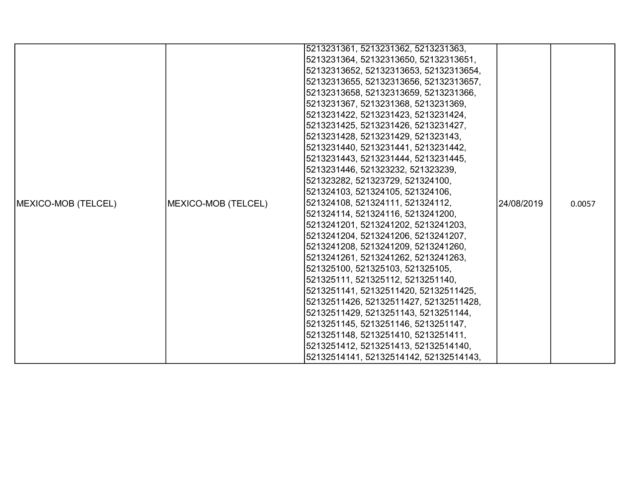|                     |                     | 5213231361, 5213231362, 5213231363,    |            |        |
|---------------------|---------------------|----------------------------------------|------------|--------|
|                     |                     | 5213231364, 52132313650, 52132313651,  |            |        |
|                     |                     | 52132313652, 52132313653, 52132313654, |            |        |
|                     |                     | 52132313655, 52132313656, 52132313657, |            |        |
|                     |                     | 52132313658, 52132313659, 5213231366,  |            |        |
|                     |                     | 5213231367, 5213231368, 5213231369,    |            |        |
|                     |                     | 5213231422, 5213231423, 5213231424,    |            |        |
|                     |                     | 5213231425, 5213231426, 5213231427,    |            |        |
|                     |                     | 5213231428, 5213231429, 521323143,     |            |        |
|                     |                     | 5213231440, 5213231441, 5213231442,    |            |        |
|                     |                     | 5213231443, 5213231444, 5213231445,    |            |        |
|                     |                     | 5213231446, 521323232, 521323239,      |            |        |
|                     |                     | 521323282, 521323729, 521324100,       |            |        |
|                     |                     | 521324103, 521324105, 521324106,       |            |        |
| MEXICO-MOB (TELCEL) | MEXICO-MOB (TELCEL) | 521324108, 521324111, 521324112,       | 24/08/2019 | 0.0057 |
|                     |                     | 521324114, 521324116, 5213241200,      |            |        |
|                     |                     | 5213241201, 5213241202, 5213241203,    |            |        |
|                     |                     | 5213241204, 5213241206, 5213241207,    |            |        |
|                     |                     | 5213241208, 5213241209, 5213241260,    |            |        |
|                     |                     | 5213241261, 5213241262, 5213241263,    |            |        |
|                     |                     | 521325100, 521325103, 521325105,       |            |        |
|                     |                     | 521325111, 521325112, 5213251140,      |            |        |
|                     |                     | 5213251141, 52132511420, 52132511425,  |            |        |
|                     |                     | 52132511426, 52132511427, 52132511428, |            |        |
|                     |                     | 52132511429, 5213251143, 5213251144,   |            |        |
|                     |                     | 5213251145, 5213251146, 5213251147,    |            |        |
|                     |                     | 5213251148, 5213251410, 5213251411,    |            |        |
|                     |                     | 5213251412, 5213251413, 52132514140,   |            |        |
|                     |                     | 52132514141, 52132514142, 52132514143, |            |        |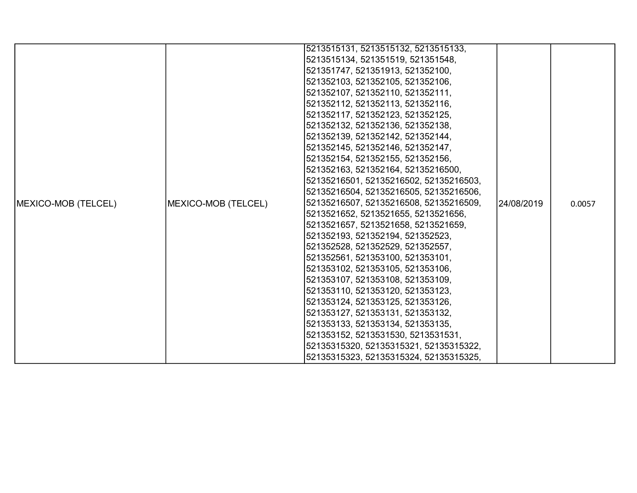|                     |                     | 5213515131, 5213515132, 5213515133,    |            |        |
|---------------------|---------------------|----------------------------------------|------------|--------|
|                     |                     | 5213515134, 521351519, 521351548,      |            |        |
|                     |                     | 521351747, 521351913, 521352100,       |            |        |
|                     |                     | 521352103, 521352105, 521352106,       |            |        |
|                     |                     | 521352107, 521352110, 521352111,       |            |        |
|                     |                     | 521352112, 521352113, 521352116,       |            |        |
|                     |                     | 521352117, 521352123, 521352125,       |            |        |
|                     |                     | 521352132, 521352136, 521352138,       |            |        |
|                     |                     | 521352139, 521352142, 521352144,       |            |        |
|                     |                     | 521352145, 521352146, 521352147,       |            |        |
|                     |                     | 521352154, 521352155, 521352156,       |            |        |
|                     |                     | 521352163, 521352164, 52135216500,     |            |        |
|                     |                     | 52135216501, 52135216502, 52135216503, |            |        |
|                     |                     | 52135216504, 52135216505, 52135216506, |            |        |
| MEXICO-MOB (TELCEL) | MEXICO-MOB (TELCEL) | 52135216507, 52135216508, 52135216509, | 24/08/2019 | 0.0057 |
|                     |                     | 5213521652, 5213521655, 5213521656,    |            |        |
|                     |                     | 5213521657, 5213521658, 5213521659,    |            |        |
|                     |                     | 521352193, 521352194, 521352523,       |            |        |
|                     |                     | 521352528, 521352529, 521352557,       |            |        |
|                     |                     | 521352561, 521353100, 521353101,       |            |        |
|                     |                     | 521353102, 521353105, 521353106,       |            |        |
|                     |                     | 521353107, 521353108, 521353109,       |            |        |
|                     |                     | 521353110, 521353120, 521353123,       |            |        |
|                     |                     | 521353124, 521353125, 521353126,       |            |        |
|                     |                     | 521353127, 521353131, 521353132,       |            |        |
|                     |                     | 521353133, 521353134, 521353135,       |            |        |
|                     |                     | 521353152, 5213531530, 5213531531,     |            |        |
|                     |                     | 52135315320, 52135315321, 52135315322, |            |        |
|                     |                     | 52135315323, 52135315324, 52135315325, |            |        |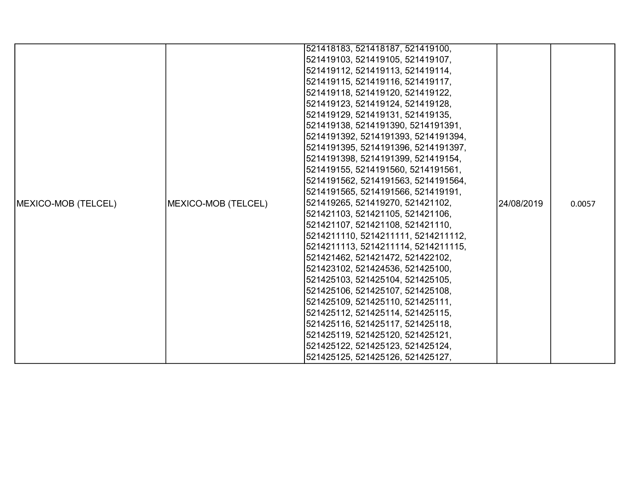|                            |                     | 521418183, 521418187, 521419100,    |            |        |
|----------------------------|---------------------|-------------------------------------|------------|--------|
|                            |                     | 521419103, 521419105, 521419107,    |            |        |
|                            |                     | 521419112, 521419113, 521419114,    |            |        |
|                            |                     | 521419115, 521419116, 521419117,    |            |        |
|                            |                     | 521419118, 521419120, 521419122,    |            |        |
|                            |                     | 521419123, 521419124, 521419128,    |            |        |
|                            |                     | 521419129, 521419131, 521419135,    |            |        |
|                            |                     | 521419138, 5214191390, 5214191391,  |            |        |
|                            |                     | 5214191392, 5214191393, 5214191394, |            |        |
|                            |                     | 5214191395, 5214191396, 5214191397, |            |        |
|                            |                     | 5214191398, 5214191399, 521419154,  |            |        |
|                            |                     | 521419155, 5214191560, 5214191561,  |            |        |
|                            |                     | 5214191562, 5214191563, 5214191564, |            |        |
|                            |                     | 5214191565, 5214191566, 521419191,  |            |        |
| <b>MEXICO-MOB (TELCEL)</b> | MEXICO-MOB (TELCEL) | 521419265, 521419270, 521421102,    | 24/08/2019 | 0.0057 |
|                            |                     | 521421103, 521421105, 521421106,    |            |        |
|                            |                     | 521421107, 521421108, 521421110,    |            |        |
|                            |                     | 5214211110, 5214211111, 5214211112, |            |        |
|                            |                     | 5214211113, 5214211114, 5214211115, |            |        |
|                            |                     | 521421462, 521421472, 521422102,    |            |        |
|                            |                     | 521423102, 521424536, 521425100,    |            |        |
|                            |                     | 521425103, 521425104, 521425105,    |            |        |
|                            |                     | 521425106, 521425107, 521425108,    |            |        |
|                            |                     | 521425109, 521425110, 521425111,    |            |        |
|                            |                     | 521425112, 521425114, 521425115,    |            |        |
|                            |                     | 521425116, 521425117, 521425118,    |            |        |
|                            |                     | 521425119, 521425120, 521425121,    |            |        |
|                            |                     | 521425122, 521425123, 521425124,    |            |        |
|                            |                     | 521425125, 521425126, 521425127,    |            |        |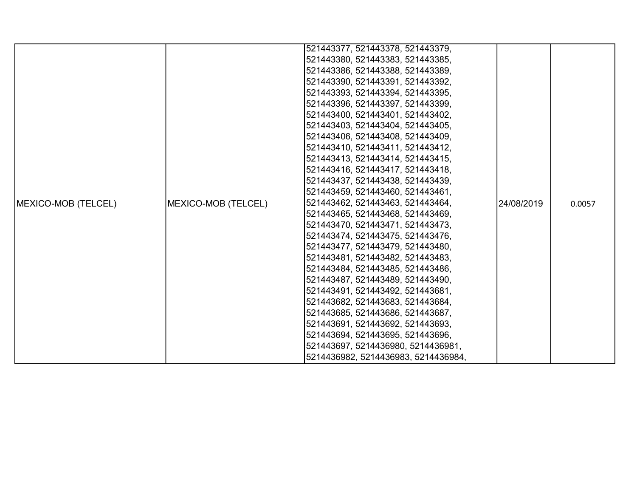|                            |                     | 521443377, 521443378, 521443379,    |            |        |
|----------------------------|---------------------|-------------------------------------|------------|--------|
|                            |                     | 521443380, 521443383, 521443385,    |            |        |
|                            |                     | 521443386, 521443388, 521443389,    |            |        |
|                            |                     | 521443390, 521443391, 521443392,    |            |        |
|                            |                     | 521443393, 521443394, 521443395,    |            |        |
|                            |                     | 521443396, 521443397, 521443399,    |            |        |
|                            |                     | 521443400, 521443401, 521443402,    |            |        |
|                            |                     | 521443403, 521443404, 521443405,    |            |        |
|                            |                     | 521443406, 521443408, 521443409,    |            |        |
|                            |                     | 521443410, 521443411, 521443412,    |            |        |
|                            |                     | 521443413, 521443414, 521443415,    |            |        |
|                            |                     | 521443416, 521443417, 521443418,    |            |        |
|                            |                     | 521443437, 521443438, 521443439,    |            |        |
|                            |                     | 521443459, 521443460, 521443461,    |            |        |
| <b>MEXICO-MOB (TELCEL)</b> | MEXICO-MOB (TELCEL) | 521443462, 521443463, 521443464,    | 24/08/2019 | 0.0057 |
|                            |                     | 521443465, 521443468, 521443469,    |            |        |
|                            |                     | 521443470, 521443471, 521443473,    |            |        |
|                            |                     | 521443474, 521443475, 521443476,    |            |        |
|                            |                     | 521443477, 521443479, 521443480,    |            |        |
|                            |                     | 521443481, 521443482, 521443483,    |            |        |
|                            |                     | 521443484, 521443485, 521443486,    |            |        |
|                            |                     | 521443487, 521443489, 521443490,    |            |        |
|                            |                     | 521443491, 521443492, 521443681,    |            |        |
|                            |                     | 521443682, 521443683, 521443684,    |            |        |
|                            |                     | 521443685, 521443686, 521443687,    |            |        |
|                            |                     | 521443691, 521443692, 521443693,    |            |        |
|                            |                     | 521443694, 521443695, 521443696,    |            |        |
|                            |                     | 521443697, 5214436980, 5214436981,  |            |        |
|                            |                     | 5214436982, 5214436983, 5214436984, |            |        |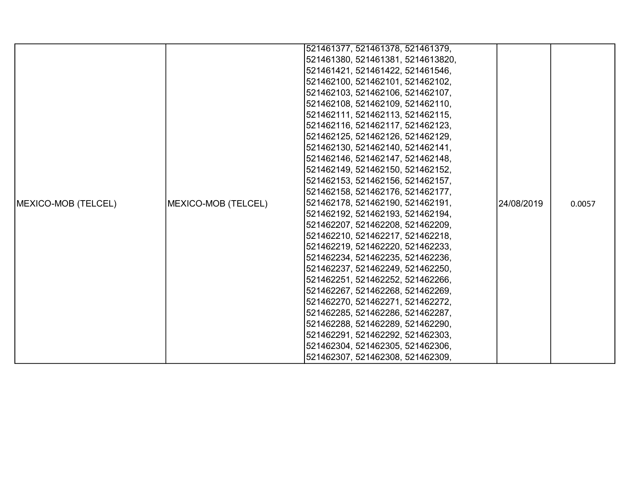|                             |                     | 521461377, 521461378, 521461379,  |            |        |
|-----------------------------|---------------------|-----------------------------------|------------|--------|
|                             |                     | 521461380, 521461381, 5214613820, |            |        |
|                             |                     | 521461421, 521461422, 521461546,  |            |        |
|                             |                     | 521462100, 521462101, 521462102,  |            |        |
|                             |                     | 521462103, 521462106, 521462107,  |            |        |
|                             |                     | 521462108, 521462109, 521462110,  |            |        |
|                             |                     | 521462111, 521462113, 521462115,  |            |        |
|                             |                     | 521462116, 521462117, 521462123,  |            |        |
|                             |                     | 521462125, 521462126, 521462129,  |            |        |
|                             |                     | 521462130, 521462140, 521462141,  |            |        |
|                             |                     | 521462146, 521462147, 521462148,  |            |        |
|                             |                     | 521462149, 521462150, 521462152,  |            |        |
|                             |                     | 521462153, 521462156, 521462157,  |            |        |
|                             |                     | 521462158, 521462176, 521462177,  |            |        |
| <b>IMEXICO-MOB (TELCEL)</b> | MEXICO-MOB (TELCEL) | 521462178, 521462190, 521462191,  | 24/08/2019 | 0.0057 |
|                             |                     | 521462192, 521462193, 521462194,  |            |        |
|                             |                     | 521462207, 521462208, 521462209,  |            |        |
|                             |                     | 521462210, 521462217, 521462218,  |            |        |
|                             |                     | 521462219, 521462220, 521462233,  |            |        |
|                             |                     | 521462234, 521462235, 521462236,  |            |        |
|                             |                     | 521462237, 521462249, 521462250,  |            |        |
|                             |                     | 521462251, 521462252, 521462266,  |            |        |
|                             |                     | 521462267, 521462268, 521462269,  |            |        |
|                             |                     | 521462270, 521462271, 521462272,  |            |        |
|                             |                     | 521462285, 521462286, 521462287,  |            |        |
|                             |                     | 521462288, 521462289, 521462290,  |            |        |
|                             |                     | 521462291, 521462292, 521462303,  |            |        |
|                             |                     | 521462304, 521462305, 521462306,  |            |        |
|                             |                     | 521462307, 521462308, 521462309,  |            |        |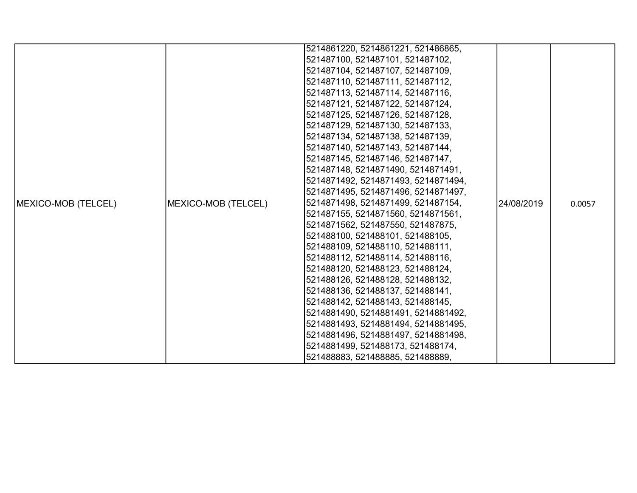|                     |                     | 5214861220, 5214861221, 521486865,  |            |        |
|---------------------|---------------------|-------------------------------------|------------|--------|
|                     |                     | 521487100, 521487101, 521487102,    |            |        |
|                     |                     | 521487104, 521487107, 521487109,    |            |        |
|                     |                     | 521487110, 521487111, 521487112,    |            |        |
|                     |                     | 521487113, 521487114, 521487116,    |            |        |
|                     |                     | 521487121, 521487122, 521487124,    |            |        |
|                     |                     | 521487125, 521487126, 521487128,    |            |        |
|                     |                     | 521487129, 521487130, 521487133,    |            |        |
|                     |                     | 521487134, 521487138, 521487139,    |            |        |
|                     |                     | 521487140, 521487143, 521487144,    |            |        |
|                     |                     | 521487145, 521487146, 521487147,    |            |        |
|                     |                     | 521487148, 5214871490, 5214871491,  |            |        |
|                     |                     | 5214871492, 5214871493, 5214871494, |            |        |
|                     |                     | 5214871495, 5214871496, 5214871497, |            |        |
| MEXICO-MOB (TELCEL) | MEXICO-MOB (TELCEL) | 5214871498, 5214871499, 521487154,  | 24/08/2019 | 0.0057 |
|                     |                     | 521487155, 5214871560, 5214871561,  |            |        |
|                     |                     | 5214871562, 521487550, 521487875,   |            |        |
|                     |                     | 521488100, 521488101, 521488105,    |            |        |
|                     |                     | 521488109, 521488110, 521488111,    |            |        |
|                     |                     | 521488112, 521488114, 521488116,    |            |        |
|                     |                     | 521488120, 521488123, 521488124,    |            |        |
|                     |                     | 521488126, 521488128, 521488132,    |            |        |
|                     |                     | 521488136, 521488137, 521488141,    |            |        |
|                     |                     | 521488142, 521488143, 521488145,    |            |        |
|                     |                     | 5214881490, 5214881491, 5214881492, |            |        |
|                     |                     | 5214881493, 5214881494, 5214881495, |            |        |
|                     |                     | 5214881496, 5214881497, 5214881498, |            |        |
|                     |                     | 5214881499, 521488173, 521488174,   |            |        |
|                     |                     | 521488883, 521488885, 521488889,    |            |        |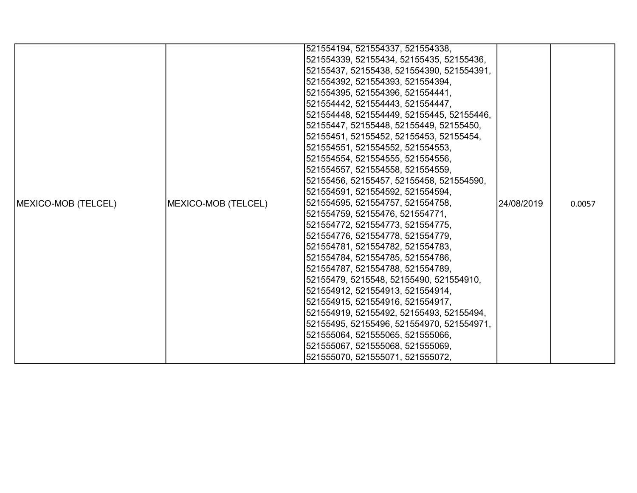|                             |                     | 521554194, 521554337, 521554338,          |             |        |
|-----------------------------|---------------------|-------------------------------------------|-------------|--------|
|                             |                     | 521554339, 52155434, 52155435, 52155436,  |             |        |
|                             |                     | 52155437, 52155438, 521554390, 521554391, |             |        |
|                             |                     | 521554392, 521554393, 521554394,          |             |        |
|                             |                     | 521554395, 521554396, 521554441,          |             |        |
|                             |                     | 521554442, 521554443, 521554447,          |             |        |
|                             |                     | 521554448, 521554449, 52155445, 52155446, |             |        |
|                             |                     | 52155447, 52155448, 52155449, 52155450,   |             |        |
|                             |                     | 52155451, 52155452, 52155453, 52155454,   |             |        |
|                             |                     | 521554551, 521554552, 521554553,          |             |        |
|                             |                     | 521554554, 521554555, 521554556,          |             |        |
|                             |                     | 521554557, 521554558, 521554559,          |             |        |
|                             |                     | 52155456, 52155457, 52155458, 521554590,  |             |        |
|                             |                     | 521554591, 521554592, 521554594,          |             |        |
| <b>IMEXICO-MOB (TELCEL)</b> | MEXICO-MOB (TELCEL) | 521554595, 521554757, 521554758,          | 124/08/2019 | 0.0057 |
|                             |                     | 521554759, 52155476, 521554771,           |             |        |
|                             |                     | 521554772, 521554773, 521554775,          |             |        |
|                             |                     | 521554776, 521554778, 521554779,          |             |        |
|                             |                     | 521554781, 521554782, 521554783,          |             |        |
|                             |                     | 521554784, 521554785, 521554786,          |             |        |
|                             |                     | 521554787, 521554788, 521554789,          |             |        |
|                             |                     | 52155479, 5215548, 52155490, 521554910,   |             |        |
|                             |                     | 521554912, 521554913, 521554914,          |             |        |
|                             |                     | 521554915, 521554916, 521554917,          |             |        |
|                             |                     | 521554919, 52155492, 52155493, 52155494,  |             |        |
|                             |                     | 52155495, 52155496, 521554970, 521554971, |             |        |
|                             |                     | 521555064, 521555065, 521555066,          |             |        |
|                             |                     | 521555067, 521555068, 521555069,          |             |        |
|                             |                     | 521555070, 521555071, 521555072,          |             |        |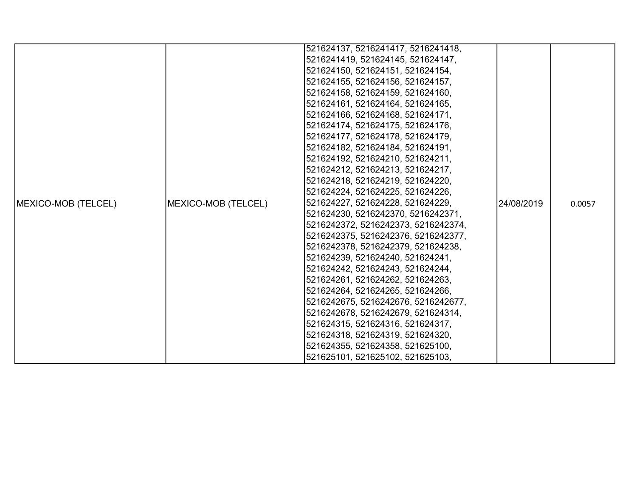|                            |                     | 521624137, 5216241417, 5216241418,  |             |        |
|----------------------------|---------------------|-------------------------------------|-------------|--------|
|                            |                     | 5216241419, 521624145, 521624147,   |             |        |
|                            |                     | 521624150, 521624151, 521624154,    |             |        |
|                            |                     | 521624155, 521624156, 521624157,    |             |        |
|                            |                     | 521624158, 521624159, 521624160,    |             |        |
|                            |                     | 521624161, 521624164, 521624165,    |             |        |
|                            |                     | 521624166, 521624168, 521624171,    |             |        |
|                            |                     | 521624174, 521624175, 521624176,    |             |        |
|                            |                     | 521624177, 521624178, 521624179,    |             |        |
|                            |                     | 521624182, 521624184, 521624191,    |             |        |
|                            |                     | 521624192, 521624210, 521624211,    |             |        |
|                            |                     | 521624212, 521624213, 521624217,    |             |        |
|                            |                     | 521624218, 521624219, 521624220,    |             |        |
|                            |                     | 521624224, 521624225, 521624226,    |             |        |
| <b>MEXICO-MOB (TELCEL)</b> | MEXICO-MOB (TELCEL) | 521624227, 521624228, 521624229,    | 124/08/2019 | 0.0057 |
|                            |                     | 521624230, 5216242370, 5216242371,  |             |        |
|                            |                     | 5216242372, 5216242373, 5216242374, |             |        |
|                            |                     | 5216242375, 5216242376, 5216242377, |             |        |
|                            |                     | 5216242378, 5216242379, 521624238,  |             |        |
|                            |                     | 521624239, 521624240, 521624241,    |             |        |
|                            |                     | 521624242, 521624243, 521624244,    |             |        |
|                            |                     | 521624261, 521624262, 521624263,    |             |        |
|                            |                     | 521624264, 521624265, 521624266,    |             |        |
|                            |                     | 5216242675, 5216242676, 5216242677, |             |        |
|                            |                     | 5216242678, 5216242679, 521624314,  |             |        |
|                            |                     | 521624315, 521624316, 521624317,    |             |        |
|                            |                     | 521624318, 521624319, 521624320,    |             |        |
|                            |                     | 521624355, 521624358, 521625100,    |             |        |
|                            |                     | 521625101, 521625102, 521625103,    |             |        |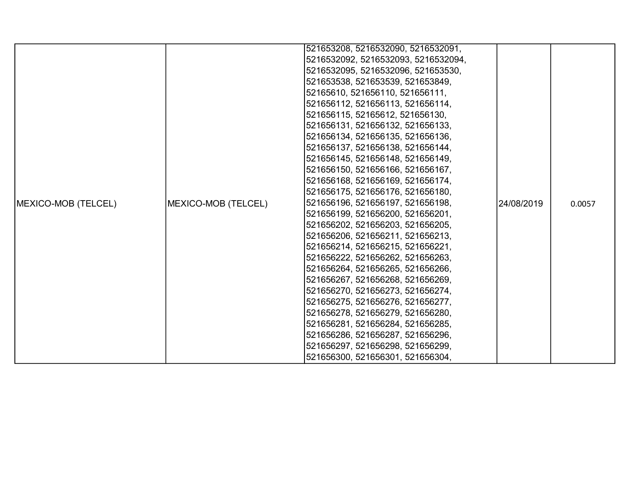|                     |                     | 521653208, 5216532090, 5216532091,  |            |        |
|---------------------|---------------------|-------------------------------------|------------|--------|
|                     |                     | 5216532092, 5216532093, 5216532094, |            |        |
|                     |                     | 5216532095, 5216532096, 521653530,  |            |        |
|                     |                     | 521653538, 521653539, 521653849,    |            |        |
|                     |                     | 52165610, 521656110, 521656111,     |            |        |
|                     |                     | 521656112, 521656113, 521656114,    |            |        |
|                     |                     | 521656115, 52165612, 521656130,     |            |        |
|                     |                     | 521656131, 521656132, 521656133,    |            |        |
|                     |                     | 521656134, 521656135, 521656136,    |            |        |
|                     |                     | 521656137, 521656138, 521656144,    |            |        |
|                     |                     | 521656145, 521656148, 521656149,    |            |        |
|                     |                     | 521656150, 521656166, 521656167,    |            |        |
|                     |                     | 521656168, 521656169, 521656174,    |            |        |
|                     |                     | 521656175, 521656176, 521656180,    |            |        |
| MEXICO-MOB (TELCEL) | MEXICO-MOB (TELCEL) | 521656196, 521656197, 521656198,    | 24/08/2019 | 0.0057 |
|                     |                     | 521656199, 521656200, 521656201,    |            |        |
|                     |                     | 521656202, 521656203, 521656205,    |            |        |
|                     |                     | 521656206, 521656211, 521656213,    |            |        |
|                     |                     | 521656214, 521656215, 521656221,    |            |        |
|                     |                     | 521656222, 521656262, 521656263,    |            |        |
|                     |                     | 521656264, 521656265, 521656266,    |            |        |
|                     |                     | 521656267, 521656268, 521656269,    |            |        |
|                     |                     | 521656270, 521656273, 521656274,    |            |        |
|                     |                     | 521656275, 521656276, 521656277,    |            |        |
|                     |                     | 521656278, 521656279, 521656280,    |            |        |
|                     |                     | 521656281, 521656284, 521656285,    |            |        |
|                     |                     | 521656286, 521656287, 521656296,    |            |        |
|                     |                     | 521656297, 521656298, 521656299,    |            |        |
|                     |                     | 521656300, 521656301, 521656304,    |            |        |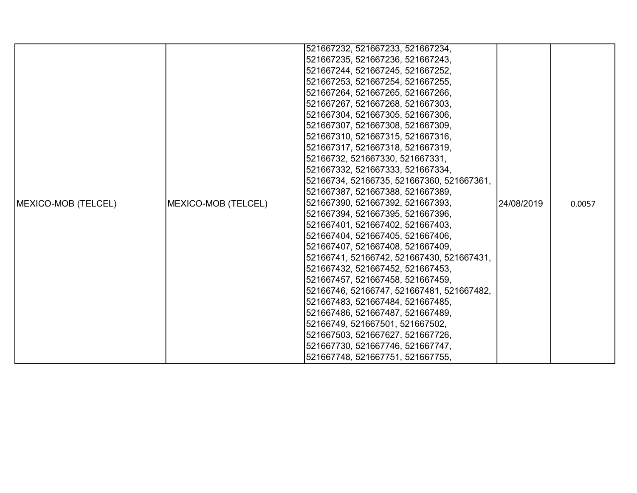|                     |                     | 521667232, 521667233, 521667234,          |            |        |
|---------------------|---------------------|-------------------------------------------|------------|--------|
|                     |                     | 521667235, 521667236, 521667243,          |            |        |
|                     |                     | 521667244, 521667245, 521667252,          |            |        |
|                     |                     | 521667253, 521667254, 521667255,          |            |        |
|                     |                     | 521667264, 521667265, 521667266,          |            |        |
|                     |                     | 521667267, 521667268, 521667303,          |            |        |
|                     |                     | 521667304, 521667305, 521667306,          |            |        |
|                     |                     | 521667307, 521667308, 521667309,          |            |        |
|                     |                     | 521667310, 521667315, 521667316,          |            |        |
|                     |                     | 521667317, 521667318, 521667319,          |            |        |
|                     |                     | 52166732, 521667330, 521667331,           |            |        |
|                     |                     | 521667332, 521667333, 521667334,          |            |        |
|                     |                     | 52166734, 52166735, 521667360, 521667361, |            |        |
|                     |                     | 521667387, 521667388, 521667389,          |            |        |
| MEXICO-MOB (TELCEL) | MEXICO-MOB (TELCEL) | 521667390, 521667392, 521667393,          | 24/08/2019 | 0.0057 |
|                     |                     | 521667394, 521667395, 521667396,          |            |        |
|                     |                     | 521667401, 521667402, 521667403,          |            |        |
|                     |                     | 521667404, 521667405, 521667406,          |            |        |
|                     |                     | 521667407, 521667408, 521667409,          |            |        |
|                     |                     | 52166741, 52166742, 521667430, 521667431, |            |        |
|                     |                     | 521667432, 521667452, 521667453,          |            |        |
|                     |                     | 521667457, 521667458, 521667459,          |            |        |
|                     |                     | 52166746, 52166747, 521667481, 521667482, |            |        |
|                     |                     | 521667483, 521667484, 521667485,          |            |        |
|                     |                     | 521667486, 521667487, 521667489,          |            |        |
|                     |                     | 52166749, 521667501, 521667502,           |            |        |
|                     |                     | 521667503, 521667627, 521667726,          |            |        |
|                     |                     | 521667730, 521667746, 521667747,          |            |        |
|                     |                     | 521667748, 521667751, 521667755,          |            |        |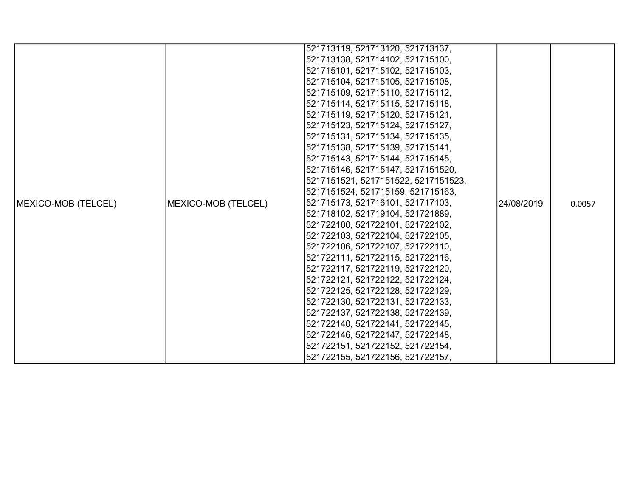|                     |                     | 521713119, 521713120, 521713137,    |            |        |
|---------------------|---------------------|-------------------------------------|------------|--------|
|                     |                     | 521713138, 521714102, 521715100,    |            |        |
|                     |                     | 521715101, 521715102, 521715103,    |            |        |
|                     |                     | 521715104, 521715105, 521715108,    |            |        |
|                     |                     | 521715109, 521715110, 521715112,    |            |        |
|                     |                     | 521715114, 521715115, 521715118,    |            |        |
|                     |                     | 521715119, 521715120, 521715121,    |            |        |
|                     |                     |                                     |            |        |
|                     |                     | 521715123, 521715124, 521715127,    |            |        |
|                     |                     | 521715131, 521715134, 521715135,    |            |        |
|                     |                     | 521715138, 521715139, 521715141,    |            |        |
|                     |                     | 521715143, 521715144, 521715145,    |            |        |
|                     |                     | 521715146, 521715147, 5217151520,   |            |        |
|                     |                     | 5217151521, 5217151522, 5217151523, |            |        |
|                     |                     | 5217151524, 521715159, 521715163,   |            |        |
| MEXICO-MOB (TELCEL) | MEXICO-MOB (TELCEL) | 521715173, 521716101, 521717103,    | 24/08/2019 | 0.0057 |
|                     |                     | 521718102, 521719104, 521721889,    |            |        |
|                     |                     | 521722100, 521722101, 521722102,    |            |        |
|                     |                     | 521722103, 521722104, 521722105,    |            |        |
|                     |                     | 521722106, 521722107, 521722110,    |            |        |
|                     |                     | 521722111, 521722115, 521722116,    |            |        |
|                     |                     | 521722117, 521722119, 521722120,    |            |        |
|                     |                     | 521722121, 521722122, 521722124,    |            |        |
|                     |                     | 521722125, 521722128, 521722129,    |            |        |
|                     |                     | 521722130, 521722131, 521722133,    |            |        |
|                     |                     | 521722137, 521722138, 521722139,    |            |        |
|                     |                     | 521722140, 521722141, 521722145,    |            |        |
|                     |                     | 521722146, 521722147, 521722148,    |            |        |
|                     |                     | 521722151, 521722152, 521722154,    |            |        |
|                     |                     | 521722155, 521722156, 521722157,    |            |        |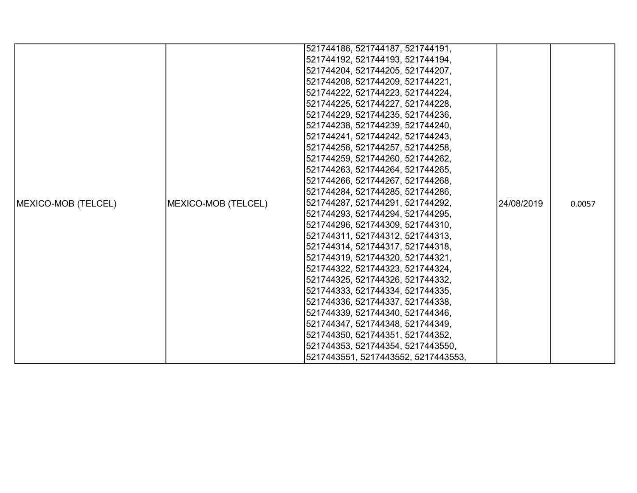|                             |                     | 521744186, 521744187, 521744191,    |            |        |
|-----------------------------|---------------------|-------------------------------------|------------|--------|
|                             |                     | 521744192, 521744193, 521744194,    |            |        |
|                             |                     | 521744204, 521744205, 521744207,    |            |        |
|                             |                     | 521744208, 521744209, 521744221,    |            |        |
|                             |                     | 521744222, 521744223, 521744224,    |            |        |
|                             |                     | 521744225, 521744227, 521744228,    |            |        |
|                             |                     | 521744229, 521744235, 521744236,    |            |        |
|                             |                     | 521744238, 521744239, 521744240,    |            |        |
|                             |                     | 521744241, 521744242, 521744243,    |            |        |
|                             |                     | 521744256, 521744257, 521744258,    |            |        |
|                             |                     | 521744259, 521744260, 521744262,    |            |        |
|                             |                     | 521744263, 521744264, 521744265,    |            |        |
|                             |                     | 521744266, 521744267, 521744268,    |            |        |
|                             |                     | 521744284, 521744285, 521744286,    |            |        |
| <b>IMEXICO-MOB (TELCEL)</b> | MEXICO-MOB (TELCEL) | 521744287, 521744291, 521744292,    | 24/08/2019 | 0.0057 |
|                             |                     | 521744293, 521744294, 521744295,    |            |        |
|                             |                     | 521744296, 521744309, 521744310,    |            |        |
|                             |                     | 521744311, 521744312, 521744313,    |            |        |
|                             |                     | 521744314, 521744317, 521744318,    |            |        |
|                             |                     | 521744319, 521744320, 521744321,    |            |        |
|                             |                     | 521744322, 521744323, 521744324,    |            |        |
|                             |                     | 521744325, 521744326, 521744332,    |            |        |
|                             |                     | 521744333, 521744334, 521744335,    |            |        |
|                             |                     | 521744336, 521744337, 521744338,    |            |        |
|                             |                     | 521744339, 521744340, 521744346,    |            |        |
|                             |                     | 521744347, 521744348, 521744349,    |            |        |
|                             |                     | 521744350, 521744351, 521744352,    |            |        |
|                             |                     | 521744353, 521744354, 5217443550,   |            |        |
|                             |                     | 5217443551, 5217443552, 5217443553, |            |        |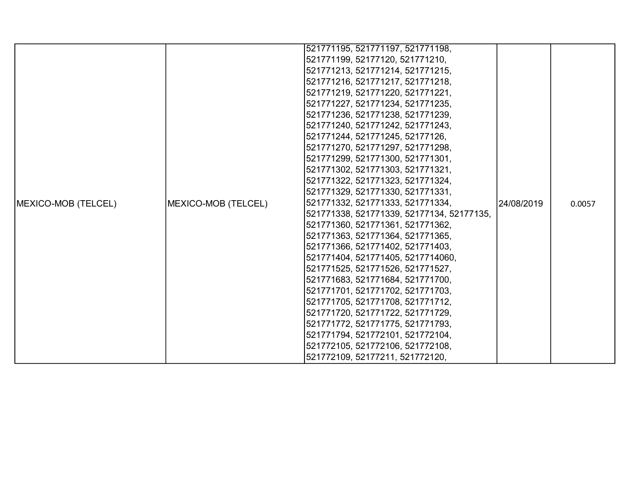|                     |                     | 521771195, 521771197, 521771198,          |            |        |
|---------------------|---------------------|-------------------------------------------|------------|--------|
|                     |                     | 521771199, 52177120, 521771210,           |            |        |
|                     |                     | 521771213, 521771214, 521771215,          |            |        |
|                     |                     | 521771216, 521771217, 521771218,          |            |        |
|                     |                     | 521771219, 521771220, 521771221,          |            |        |
|                     |                     | 521771227, 521771234, 521771235,          |            |        |
|                     |                     | 521771236, 521771238, 521771239,          |            |        |
|                     |                     | 521771240, 521771242, 521771243,          |            |        |
|                     |                     | 521771244, 521771245, 52177126,           |            |        |
|                     |                     | 521771270, 521771297, 521771298,          |            |        |
|                     |                     | 521771299, 521771300, 521771301,          |            |        |
|                     |                     | 521771302, 521771303, 521771321,          |            |        |
|                     |                     | 521771322, 521771323, 521771324,          |            |        |
|                     |                     | 521771329, 521771330, 521771331,          |            |        |
| MEXICO-MOB (TELCEL) | MEXICO-MOB (TELCEL) | 521771332, 521771333, 521771334,          | 24/08/2019 | 0.0057 |
|                     |                     | 521771338, 521771339, 52177134, 52177135, |            |        |
|                     |                     | 521771360, 521771361, 521771362,          |            |        |
|                     |                     | 521771363, 521771364, 521771365,          |            |        |
|                     |                     | 521771366, 521771402, 521771403,          |            |        |
|                     |                     | 521771404, 521771405, 5217714060,         |            |        |
|                     |                     | 521771525, 521771526, 521771527,          |            |        |
|                     |                     | 521771683, 521771684, 521771700,          |            |        |
|                     |                     | 521771701, 521771702, 521771703,          |            |        |
|                     |                     | 521771705, 521771708, 521771712,          |            |        |
|                     |                     | 521771720, 521771722, 521771729,          |            |        |
|                     |                     | 521771772, 521771775, 521771793,          |            |        |
|                     |                     | 521771794, 521772101, 521772104,          |            |        |
|                     |                     | 521772105, 521772106, 521772108,          |            |        |
|                     |                     | 521772109, 52177211, 521772120,           |            |        |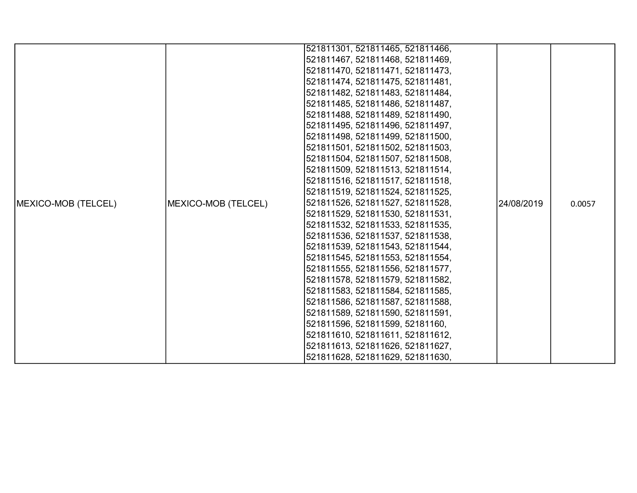|                             |                     | 521811301, 521811465, 521811466, |            |        |
|-----------------------------|---------------------|----------------------------------|------------|--------|
|                             |                     | 521811467, 521811468, 521811469, |            |        |
|                             |                     | 521811470, 521811471, 521811473, |            |        |
|                             |                     | 521811474, 521811475, 521811481, |            |        |
|                             |                     | 521811482, 521811483, 521811484, |            |        |
|                             |                     | 521811485, 521811486, 521811487, |            |        |
|                             |                     | 521811488, 521811489, 521811490, |            |        |
|                             |                     | 521811495, 521811496, 521811497, |            |        |
|                             |                     | 521811498, 521811499, 521811500, |            |        |
|                             |                     | 521811501, 521811502, 521811503, |            |        |
|                             |                     | 521811504, 521811507, 521811508, |            |        |
|                             |                     | 521811509, 521811513, 521811514, |            |        |
|                             |                     | 521811516, 521811517, 521811518, |            |        |
|                             |                     | 521811519, 521811524, 521811525, |            |        |
| <b>IMEXICO-MOB (TELCEL)</b> | MEXICO-MOB (TELCEL) | 521811526, 521811527, 521811528, | 24/08/2019 | 0.0057 |
|                             |                     | 521811529, 521811530, 521811531, |            |        |
|                             |                     | 521811532, 521811533, 521811535, |            |        |
|                             |                     | 521811536, 521811537, 521811538, |            |        |
|                             |                     | 521811539, 521811543, 521811544, |            |        |
|                             |                     | 521811545, 521811553, 521811554, |            |        |
|                             |                     | 521811555, 521811556, 521811577, |            |        |
|                             |                     | 521811578, 521811579, 521811582, |            |        |
|                             |                     | 521811583, 521811584, 521811585, |            |        |
|                             |                     | 521811586, 521811587, 521811588, |            |        |
|                             |                     | 521811589, 521811590, 521811591, |            |        |
|                             |                     | 521811596, 521811599, 52181160,  |            |        |
|                             |                     | 521811610, 521811611, 521811612, |            |        |
|                             |                     | 521811613, 521811626, 521811627, |            |        |
|                             |                     | 521811628, 521811629, 521811630, |            |        |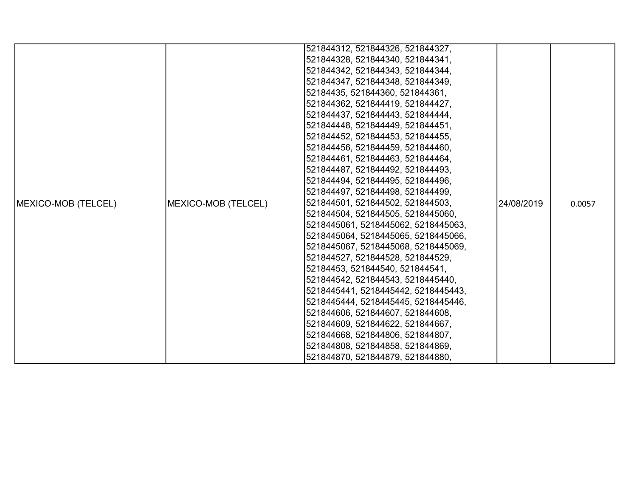|                     |                     | 521844312, 521844326, 521844327,    |            |        |
|---------------------|---------------------|-------------------------------------|------------|--------|
|                     |                     | 521844328, 521844340, 521844341,    |            |        |
|                     |                     | 521844342, 521844343, 521844344,    |            |        |
|                     |                     | 521844347, 521844348, 521844349,    |            |        |
|                     |                     | 52184435, 521844360, 521844361,     |            |        |
|                     |                     | 521844362, 521844419, 521844427,    |            |        |
|                     |                     | 521844437, 521844443, 521844444,    |            |        |
|                     |                     | 521844448, 521844449, 521844451,    |            |        |
|                     |                     | 521844452, 521844453, 521844455,    |            |        |
|                     |                     | 521844456, 521844459, 521844460,    |            |        |
|                     |                     | 521844461, 521844463, 521844464,    |            |        |
|                     |                     | 521844487, 521844492, 521844493,    |            |        |
|                     |                     | 521844494, 521844495, 521844496,    |            |        |
|                     |                     | 521844497, 521844498, 521844499,    |            |        |
| MEXICO-MOB (TELCEL) | MEXICO-MOB (TELCEL) | 521844501, 521844502, 521844503,    |            | 0.0057 |
|                     |                     | 521844504, 521844505, 5218445060,   |            |        |
|                     |                     | 5218445061, 5218445062, 5218445063, |            |        |
|                     |                     | 5218445064, 5218445065, 5218445066, |            |        |
|                     |                     | 5218445067, 5218445068, 5218445069, |            |        |
|                     |                     | 521844527, 521844528, 521844529,    |            |        |
|                     |                     | 52184453, 521844540, 521844541,     | 24/08/2019 |        |
|                     |                     | 521844542, 521844543, 5218445440,   |            |        |
|                     |                     | 5218445441, 5218445442, 5218445443, |            |        |
|                     |                     | 5218445444, 5218445445, 5218445446, |            |        |
|                     |                     | 521844606, 521844607, 521844608,    |            |        |
|                     |                     | 521844609, 521844622, 521844667,    |            |        |
|                     |                     | 521844668, 521844806, 521844807,    |            |        |
|                     |                     | 521844808, 521844858, 521844869,    |            |        |
|                     |                     | 521844870, 521844879, 521844880,    |            |        |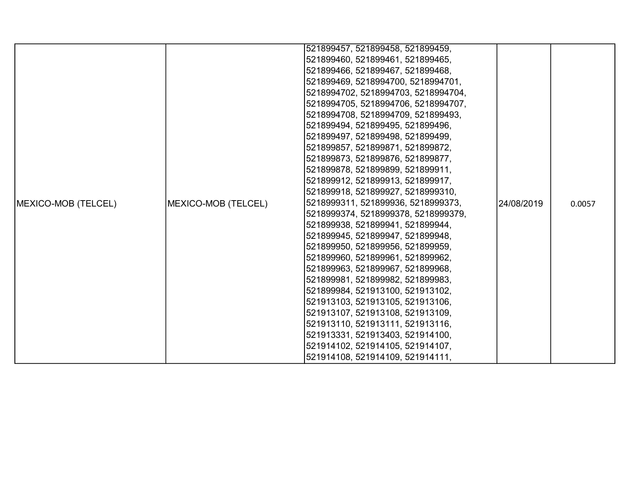|                     |                     | 521899457, 521899458, 521899459,    |            |        |
|---------------------|---------------------|-------------------------------------|------------|--------|
|                     |                     | 521899460, 521899461, 521899465,    |            |        |
|                     |                     | 521899466, 521899467, 521899468,    |            |        |
|                     |                     | 521899469, 5218994700, 5218994701,  |            |        |
|                     |                     | 5218994702, 5218994703, 5218994704, |            |        |
|                     |                     | 5218994705, 5218994706, 5218994707, |            |        |
|                     |                     | 5218994708, 5218994709, 521899493,  |            |        |
|                     |                     | 521899494, 521899495, 521899496,    |            |        |
|                     |                     | 521899497, 521899498, 521899499,    |            |        |
|                     |                     | 521899857, 521899871, 521899872,    |            |        |
|                     |                     | 521899873, 521899876, 521899877,    |            |        |
|                     |                     | 521899878, 521899899, 521899911,    |            |        |
|                     |                     | 521899912, 521899913, 521899917,    |            |        |
|                     |                     | 521899918, 521899927, 5218999310,   |            |        |
| MEXICO-MOB (TELCEL) | MEXICO-MOB (TELCEL) | 5218999311, 521899936, 5218999373,  | 24/08/2019 | 0.0057 |
|                     |                     | 5218999374, 5218999378, 5218999379, |            |        |
|                     |                     | 521899938, 521899941, 521899944,    |            |        |
|                     |                     | 521899945, 521899947, 521899948,    |            |        |
|                     |                     | 521899950, 521899956, 521899959,    |            |        |
|                     |                     | 521899960, 521899961, 521899962,    |            |        |
|                     |                     | 521899963, 521899967, 521899968,    |            |        |
|                     |                     | 521899981, 521899982, 521899983,    |            |        |
|                     |                     | 521899984, 521913100, 521913102,    |            |        |
|                     |                     | 521913103, 521913105, 521913106,    |            |        |
|                     |                     | 521913107, 521913108, 521913109,    |            |        |
|                     |                     | 521913110, 521913111, 521913116,    |            |        |
|                     |                     | 521913331, 521913403, 521914100,    |            |        |
|                     |                     | 521914102, 521914105, 521914107,    |            |        |
|                     |                     | 521914108, 521914109, 521914111,    |            |        |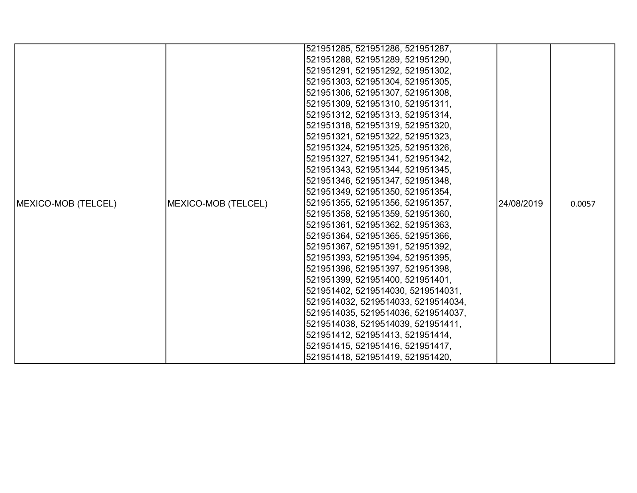|                             |                     | 521951285, 521951286, 521951287,    |            |        |
|-----------------------------|---------------------|-------------------------------------|------------|--------|
|                             |                     | 521951288, 521951289, 521951290,    |            |        |
|                             |                     | 521951291, 521951292, 521951302,    |            |        |
|                             |                     | 521951303, 521951304, 521951305,    |            |        |
|                             |                     | 521951306, 521951307, 521951308,    |            |        |
|                             |                     |                                     |            |        |
|                             |                     | 521951309, 521951310, 521951311,    |            |        |
|                             |                     | 521951312, 521951313, 521951314,    |            |        |
|                             |                     | 521951318, 521951319, 521951320,    |            |        |
|                             |                     | 521951321, 521951322, 521951323,    |            |        |
|                             |                     | 521951324, 521951325, 521951326,    |            |        |
|                             |                     | 521951327, 521951341, 521951342,    |            |        |
|                             |                     | 521951343, 521951344, 521951345,    |            |        |
|                             |                     | 521951346, 521951347, 521951348,    |            |        |
|                             |                     | 521951349, 521951350, 521951354,    |            |        |
| <b>IMEXICO-MOB (TELCEL)</b> | MEXICO-MOB (TELCEL) | 521951355, 521951356, 521951357,    | 24/08/2019 | 0.0057 |
|                             |                     | 521951358, 521951359, 521951360,    |            |        |
|                             |                     | 521951361, 521951362, 521951363,    |            |        |
|                             |                     | 521951364, 521951365, 521951366,    |            |        |
|                             |                     | 521951367, 521951391, 521951392,    |            |        |
|                             |                     | 521951393, 521951394, 521951395,    |            |        |
|                             |                     | 521951396, 521951397, 521951398,    |            |        |
|                             |                     | 521951399, 521951400, 521951401,    |            |        |
|                             |                     | 521951402, 5219514030, 5219514031,  |            |        |
|                             |                     | 5219514032, 5219514033, 5219514034, |            |        |
|                             |                     | 5219514035, 5219514036, 5219514037, |            |        |
|                             |                     | 5219514038, 5219514039, 521951411,  |            |        |
|                             |                     | 521951412, 521951413, 521951414,    |            |        |
|                             |                     | 521951415, 521951416, 521951417,    |            |        |
|                             |                     | 521951418, 521951419, 521951420,    |            |        |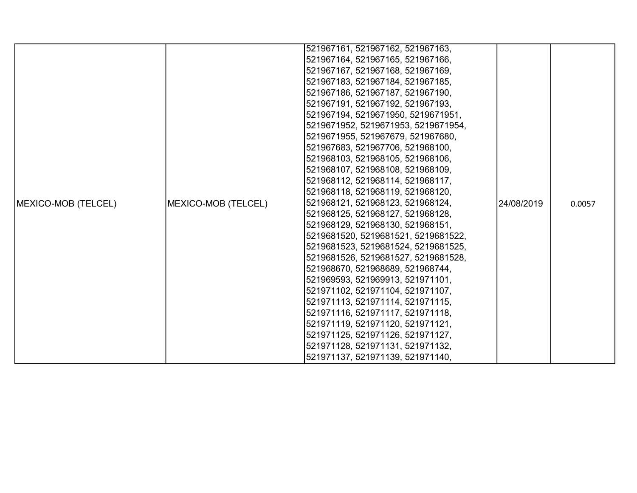|                            |                     | 521967161, 521967162, 521967163,    |            |        |
|----------------------------|---------------------|-------------------------------------|------------|--------|
|                            |                     | 521967164, 521967165, 521967166,    |            |        |
|                            |                     | 521967167, 521967168, 521967169,    |            |        |
|                            |                     | 521967183, 521967184, 521967185,    |            |        |
|                            |                     | 521967186, 521967187, 521967190,    |            |        |
|                            |                     | 521967191, 521967192, 521967193,    |            |        |
|                            |                     | 521967194, 5219671950, 5219671951,  |            |        |
|                            |                     | 5219671952, 5219671953, 5219671954, |            |        |
|                            |                     | 5219671955, 521967679, 521967680,   |            |        |
|                            |                     | 521967683, 521967706, 521968100,    |            |        |
|                            |                     | 521968103, 521968105, 521968106,    |            |        |
|                            |                     | 521968107, 521968108, 521968109,    |            |        |
|                            |                     | 521968112, 521968114, 521968117,    |            |        |
|                            |                     | 521968118, 521968119, 521968120,    |            |        |
| <b>MEXICO-MOB (TELCEL)</b> | MEXICO-MOB (TELCEL) | 521968121, 521968123, 521968124,    |            | 0.0057 |
|                            |                     | 521968125, 521968127, 521968128,    |            |        |
|                            |                     | 521968129, 521968130, 521968151,    |            |        |
|                            |                     | 5219681520, 5219681521, 5219681522, |            |        |
|                            |                     | 5219681523, 5219681524, 5219681525, |            |        |
|                            |                     | 5219681526, 5219681527, 5219681528, |            |        |
|                            |                     | 521968670, 521968689, 521968744,    | 24/08/2019 |        |
|                            |                     | 521969593, 521969913, 521971101,    |            |        |
|                            |                     | 521971102, 521971104, 521971107,    |            |        |
|                            |                     | 521971113, 521971114, 521971115,    |            |        |
|                            |                     | 521971116, 521971117, 521971118,    |            |        |
|                            |                     | 521971119, 521971120, 521971121,    |            |        |
|                            |                     | 521971125, 521971126, 521971127,    |            |        |
|                            |                     | 521971128, 521971131, 521971132,    |            |        |
|                            |                     | 521971137, 521971139, 521971140,    |            |        |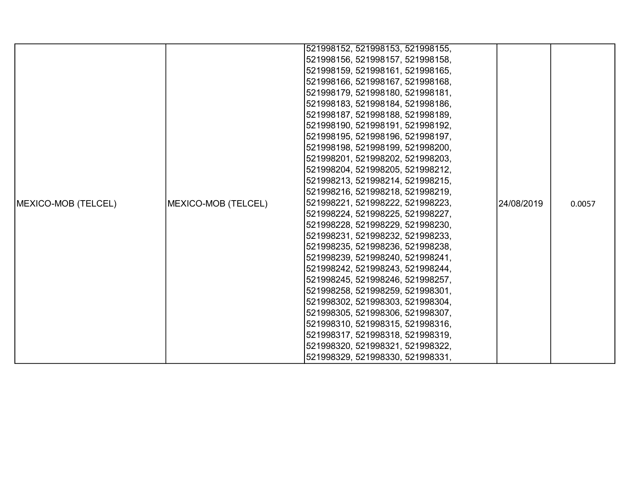|                            |                     | 521998152, 521998153, 521998155, |            |        |
|----------------------------|---------------------|----------------------------------|------------|--------|
|                            |                     | 521998156, 521998157, 521998158, |            |        |
|                            |                     | 521998159, 521998161, 521998165, |            |        |
|                            |                     | 521998166, 521998167, 521998168, |            |        |
|                            |                     | 521998179, 521998180, 521998181, |            |        |
|                            |                     | 521998183, 521998184, 521998186, |            |        |
|                            |                     | 521998187, 521998188, 521998189, |            |        |
|                            |                     | 521998190, 521998191, 521998192, |            |        |
|                            |                     | 521998195, 521998196, 521998197, |            |        |
|                            |                     | 521998198, 521998199, 521998200, |            |        |
|                            |                     | 521998201, 521998202, 521998203, |            |        |
|                            |                     | 521998204, 521998205, 521998212, |            |        |
|                            |                     | 521998213, 521998214, 521998215, |            |        |
|                            |                     | 521998216, 521998218, 521998219, |            |        |
| <b>MEXICO-MOB (TELCEL)</b> | MEXICO-MOB (TELCEL) | 521998221, 521998222, 521998223, | 24/08/2019 | 0.0057 |
|                            |                     | 521998224, 521998225, 521998227, |            |        |
|                            |                     | 521998228, 521998229, 521998230, |            |        |
|                            |                     | 521998231, 521998232, 521998233, |            |        |
|                            |                     | 521998235, 521998236, 521998238, |            |        |
|                            |                     | 521998239, 521998240, 521998241, |            |        |
|                            |                     | 521998242, 521998243, 521998244, |            |        |
|                            |                     | 521998245, 521998246, 521998257, |            |        |
|                            |                     | 521998258, 521998259, 521998301, |            |        |
|                            |                     | 521998302, 521998303, 521998304, |            |        |
|                            |                     | 521998305, 521998306, 521998307, |            |        |
|                            |                     | 521998310, 521998315, 521998316, |            |        |
|                            |                     | 521998317, 521998318, 521998319, |            |        |
|                            |                     | 521998320, 521998321, 521998322, |            |        |
|                            |                     | 521998329, 521998330, 521998331, |            |        |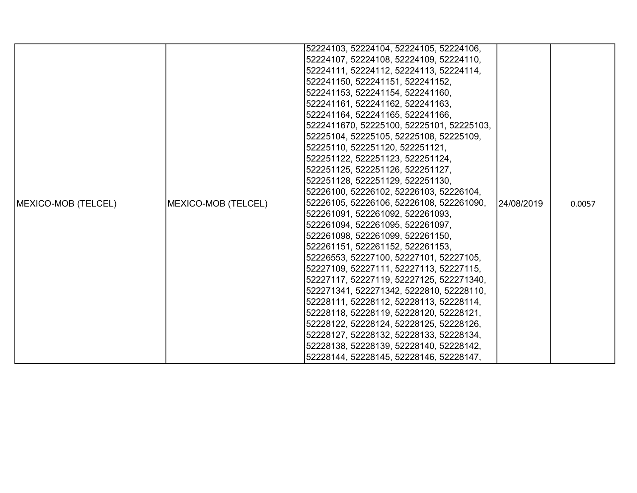|                     |                     | 52224103, 52224104, 52224105, 52224106,   |            |        |
|---------------------|---------------------|-------------------------------------------|------------|--------|
|                     |                     | 52224107, 52224108, 52224109, 52224110,   |            |        |
|                     |                     | 52224111, 52224112, 52224113, 52224114,   |            |        |
|                     |                     | 522241150, 522241151, 522241152,          |            |        |
|                     |                     | 522241153, 522241154, 522241160,          |            |        |
|                     |                     | 522241161, 522241162, 522241163,          |            |        |
|                     |                     | 522241164, 522241165, 522241166,          |            |        |
|                     |                     |                                           |            |        |
|                     |                     | 5222411670, 52225100, 52225101, 52225103, |            |        |
|                     |                     | 52225104, 52225105, 52225108, 52225109,   |            |        |
|                     |                     | 52225110, 522251120, 522251121,           |            |        |
|                     |                     | 522251122, 522251123, 522251124,          |            |        |
|                     |                     | 522251125, 522251126, 522251127,          |            |        |
|                     |                     | 522251128, 522251129, 522251130,          |            |        |
|                     |                     | 52226100, 52226102, 52226103, 52226104,   |            |        |
| MEXICO-MOB (TELCEL) | MEXICO-MOB (TELCEL) | 52226105, 52226106, 52226108, 522261090,  | 24/08/2019 | 0.0057 |
|                     |                     | 522261091, 522261092, 522261093,          |            |        |
|                     |                     | 522261094, 522261095, 522261097,          |            |        |
|                     |                     | 522261098, 522261099, 522261150,          |            |        |
|                     |                     | 522261151, 522261152, 522261153,          |            |        |
|                     |                     | 52226553, 52227100, 52227101, 52227105,   |            |        |
|                     |                     | 52227109, 52227111, 52227113, 52227115,   |            |        |
|                     |                     | 52227117, 52227119, 52227125, 522271340,  |            |        |
|                     |                     | 522271341, 522271342, 5222810, 52228110,  |            |        |
|                     |                     | 52228111, 52228112, 52228113, 52228114,   |            |        |
|                     |                     | 52228118, 52228119, 52228120, 52228121,   |            |        |
|                     |                     | 52228122, 52228124, 52228125, 52228126,   |            |        |
|                     |                     | 52228127, 52228132, 52228133, 52228134,   |            |        |
|                     |                     | 52228138, 52228139, 52228140, 52228142,   |            |        |
|                     |                     | 52228144, 52228145, 52228146, 52228147,   |            |        |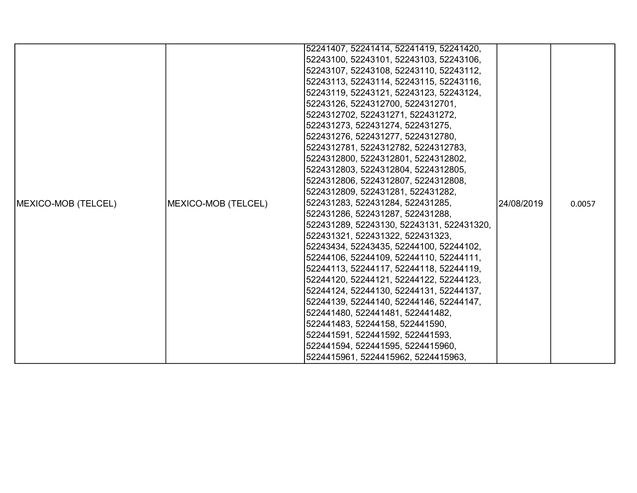|                            |                     | 52241407, 52241414, 52241419, 52241420,   |            |        |
|----------------------------|---------------------|-------------------------------------------|------------|--------|
|                            |                     | 52243100, 52243101, 52243103, 52243106,   |            |        |
|                            |                     | 52243107, 52243108, 52243110, 52243112,   |            |        |
|                            |                     | 52243113, 52243114, 52243115, 52243116,   |            |        |
|                            |                     | 52243119, 52243121, 52243123, 52243124,   |            |        |
|                            |                     | 52243126, 5224312700, 5224312701,         |            |        |
|                            |                     | 5224312702, 522431271, 522431272,         |            |        |
|                            |                     | 522431273, 522431274, 522431275,          |            |        |
|                            |                     | 522431276, 522431277, 5224312780,         |            |        |
|                            |                     | 5224312781, 5224312782, 5224312783,       |            |        |
|                            |                     | 5224312800, 5224312801, 5224312802,       |            |        |
|                            |                     | 5224312803, 5224312804, 5224312805,       |            |        |
|                            |                     | 5224312806, 5224312807, 5224312808,       |            |        |
|                            |                     | 5224312809, 522431281, 522431282,         |            |        |
| <b>MEXICO-MOB (TELCEL)</b> | MEXICO-MOB (TELCEL) | 522431283, 522431284, 522431285,          | 24/08/2019 | 0.0057 |
|                            |                     | 522431286, 522431287, 522431288,          |            |        |
|                            |                     | 522431289, 52243130, 52243131, 522431320, |            |        |
|                            |                     | 522431321, 522431322, 522431323,          |            |        |
|                            |                     | 52243434, 52243435, 52244100, 52244102,   |            |        |
|                            |                     | 52244106, 52244109, 52244110, 52244111,   |            |        |
|                            |                     | 52244113, 52244117, 52244118, 52244119,   |            |        |
|                            |                     | 52244120, 52244121, 52244122, 52244123,   |            |        |
|                            |                     | 52244124, 52244130, 52244131, 52244137,   |            |        |
|                            |                     | 52244139, 52244140, 52244146, 52244147,   |            |        |
|                            |                     | 522441480, 522441481, 522441482,          |            |        |
|                            |                     | 522441483, 52244158, 522441590,           |            |        |
|                            |                     | 522441591, 522441592, 522441593,          |            |        |
|                            |                     | 522441594, 522441595, 5224415960,         |            |        |
|                            |                     | 5224415961, 5224415962, 5224415963,       |            |        |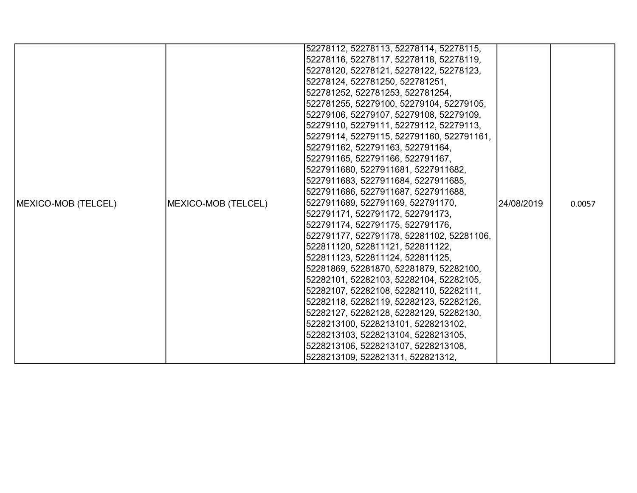|                     |                     | 52278112, 52278113, 52278114, 52278115,   |            |        |
|---------------------|---------------------|-------------------------------------------|------------|--------|
|                     |                     | 52278116, 52278117, 52278118, 52278119,   |            |        |
|                     |                     | 52278120, 52278121, 52278122, 52278123,   |            |        |
|                     |                     | 52278124, 522781250, 522781251,           |            |        |
|                     |                     | 522781252, 522781253, 522781254,          |            |        |
|                     |                     | 522781255, 52279100, 52279104, 52279105,  |            |        |
|                     |                     | 52279106, 52279107, 52279108, 52279109,   |            |        |
|                     |                     | 52279110, 52279111, 52279112, 52279113,   |            |        |
|                     |                     | 52279114, 52279115, 522791160, 522791161, |            |        |
|                     |                     | 522791162, 522791163, 522791164,          |            |        |
|                     |                     | 522791165, 522791166, 522791167,          |            | 0.0057 |
|                     |                     | 5227911680, 5227911681, 5227911682,       |            |        |
|                     | MEXICO-MOB (TELCEL) | 5227911683, 5227911684, 5227911685,       | 24/08/2019 |        |
|                     |                     | 5227911686, 5227911687, 5227911688,       |            |        |
| MEXICO-MOB (TELCEL) |                     | 5227911689, 522791169, 522791170,         |            |        |
|                     |                     | 522791171, 522791172, 522791173,          |            |        |
|                     |                     | 522791174, 522791175, 522791176,          |            |        |
|                     |                     | 522791177, 522791178, 52281102, 52281106, |            |        |
|                     |                     | 522811120, 522811121, 522811122,          |            |        |
|                     |                     | 522811123, 522811124, 522811125,          |            |        |
|                     |                     | 52281869, 52281870, 52281879, 52282100,   |            |        |
|                     |                     | 52282101, 52282103, 52282104, 52282105,   |            |        |
|                     |                     | 52282107, 52282108, 52282110, 52282111,   |            |        |
|                     |                     | 52282118, 52282119, 52282123, 52282126,   |            |        |
|                     |                     | 52282127, 52282128, 52282129, 52282130,   |            |        |
|                     |                     | 5228213100, 5228213101, 5228213102,       |            |        |
|                     |                     | 5228213103, 5228213104, 5228213105,       |            |        |
|                     |                     | 5228213106, 5228213107, 5228213108,       |            |        |
|                     |                     | 5228213109, 522821311, 522821312,         |            |        |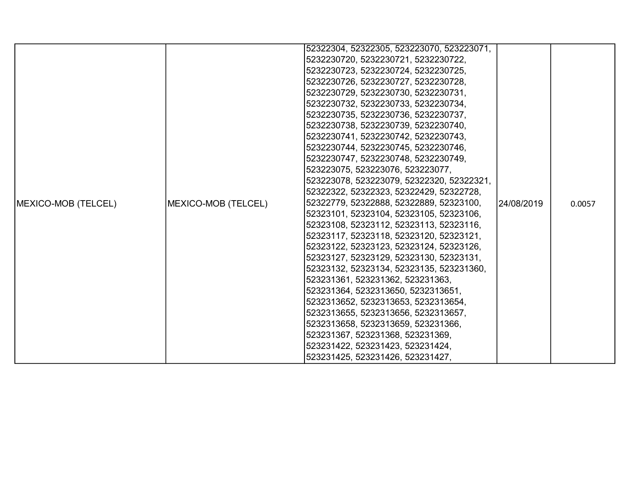|                             |                     | 52322304, 52322305, 523223070, 523223071, |             |        |
|-----------------------------|---------------------|-------------------------------------------|-------------|--------|
|                             |                     | 5232230720, 5232230721, 5232230722,       |             |        |
|                             |                     | 5232230723, 5232230724, 5232230725,       |             |        |
|                             |                     | 5232230726, 5232230727, 5232230728,       |             |        |
|                             |                     | 5232230729, 5232230730, 5232230731,       |             |        |
|                             |                     | 5232230732, 5232230733, 5232230734,       |             |        |
|                             |                     | 5232230735, 5232230736, 5232230737,       |             |        |
|                             |                     | 5232230738, 5232230739, 5232230740,       |             |        |
|                             |                     | 5232230741, 5232230742, 5232230743,       |             |        |
|                             |                     | 5232230744, 5232230745, 5232230746,       |             |        |
|                             |                     | 5232230747, 5232230748, 5232230749,       |             | 0.0057 |
|                             |                     | 523223075, 523223076, 523223077,          | l24/08/2019 |        |
|                             |                     | 523223078, 523223079, 52322320, 52322321, |             |        |
|                             |                     | 52322322, 52322323, 52322429, 52322728,   |             |        |
| <b>IMEXICO-MOB (TELCEL)</b> |                     | 52322779, 52322888, 52322889, 52323100,   |             |        |
|                             |                     | 52323101, 52323104, 52323105, 52323106,   |             |        |
|                             |                     | 52323108, 52323112, 52323113, 52323116,   |             |        |
|                             |                     | 52323117, 52323118, 52323120, 52323121,   |             |        |
|                             |                     | 52323122, 52323123, 52323124, 52323126,   |             |        |
|                             | MEXICO-MOB (TELCEL) | 52323127, 52323129, 52323130, 52323131,   |             |        |
|                             |                     | 52323132, 52323134, 52323135, 523231360,  |             |        |
|                             |                     | 523231361, 523231362, 523231363,          |             |        |
|                             |                     | 523231364, 5232313650, 5232313651,        |             |        |
|                             |                     | 5232313652, 5232313653, 5232313654,       |             |        |
|                             |                     | 5232313655, 5232313656, 5232313657,       |             |        |
|                             |                     | 5232313658, 5232313659, 523231366,        |             |        |
|                             |                     | 523231367, 523231368, 523231369,          |             |        |
|                             |                     | 523231422, 523231423, 523231424,          |             |        |
|                             |                     | 523231425, 523231426, 523231427,          |             |        |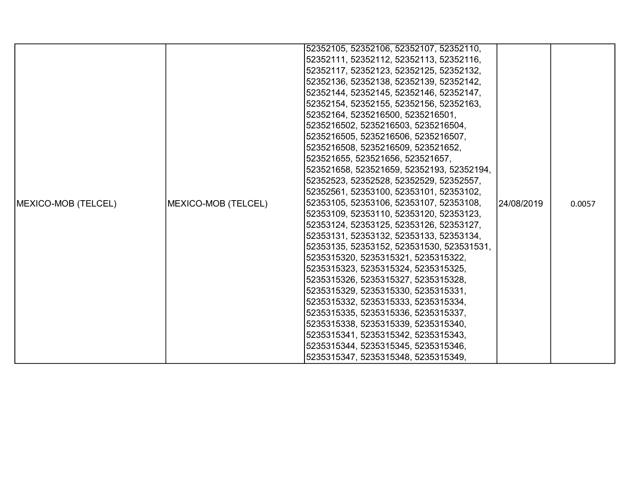|                            |                     | 52352105, 52352106, 52352107, 52352110,   |             |        |
|----------------------------|---------------------|-------------------------------------------|-------------|--------|
|                            |                     | 52352111, 52352112, 52352113, 52352116,   |             |        |
|                            |                     | 52352117, 52352123, 52352125, 52352132,   |             |        |
|                            |                     | 52352136, 52352138, 52352139, 52352142,   |             |        |
|                            |                     | 52352144, 52352145, 52352146, 52352147,   |             |        |
|                            |                     | 52352154, 52352155, 52352156, 52352163,   |             |        |
|                            |                     | 52352164, 5235216500, 5235216501,         |             |        |
|                            |                     | 5235216502, 5235216503, 5235216504,       |             |        |
|                            |                     | 5235216505, 5235216506, 5235216507,       |             |        |
|                            |                     | 5235216508, 5235216509, 523521652,        |             |        |
|                            |                     | 523521655, 523521656, 523521657,          |             |        |
|                            |                     | 523521658, 523521659, 52352193, 52352194, |             |        |
|                            |                     | 52352523, 52352528, 52352529, 52352557,   |             |        |
|                            |                     | 52352561, 52353100, 52353101, 52353102,   |             |        |
| <b>MEXICO-MOB (TELCEL)</b> | MEXICO-MOB (TELCEL) | 52353105, 52353106, 52353107, 52353108,   | l24/08/2019 | 0.0057 |
|                            |                     | 52353109, 52353110, 52353120, 52353123,   |             |        |
|                            |                     | 52353124, 52353125, 52353126, 52353127,   |             |        |
|                            |                     | 52353131, 52353132, 52353133, 52353134,   |             |        |
|                            |                     | 52353135, 52353152, 523531530, 523531531, |             |        |
|                            |                     | 5235315320, 5235315321, 5235315322,       |             |        |
|                            |                     | 5235315323, 5235315324, 5235315325,       |             |        |
|                            |                     | 5235315326, 5235315327, 5235315328,       |             |        |
|                            |                     | 5235315329, 5235315330, 5235315331,       |             |        |
|                            |                     | 5235315332, 5235315333, 5235315334,       |             |        |
|                            |                     | 5235315335, 5235315336, 5235315337,       |             |        |
|                            |                     | 5235315338, 5235315339, 5235315340,       |             |        |
|                            |                     | 5235315341, 5235315342, 5235315343,       |             |        |
|                            |                     | 5235315344, 5235315345, 5235315346,       |             |        |
|                            |                     | 5235315347, 5235315348, 5235315349,       |             |        |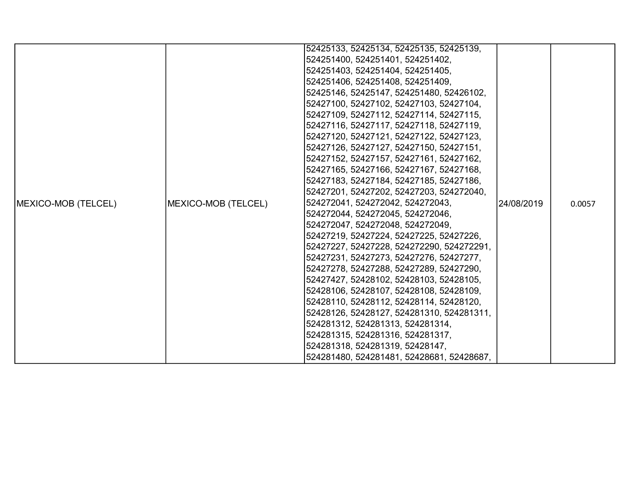|                             |                     | 52425133, 52425134, 52425135, 52425139,   |            |        |
|-----------------------------|---------------------|-------------------------------------------|------------|--------|
|                             |                     | 524251400, 524251401, 524251402,          |            |        |
|                             |                     | 524251403, 524251404, 524251405,          |            |        |
|                             |                     | 524251406, 524251408, 524251409,          |            |        |
|                             |                     | 52425146, 52425147, 524251480, 52426102,  |            |        |
|                             |                     | 52427100, 52427102, 52427103, 52427104,   |            |        |
|                             |                     | 52427109, 52427112, 52427114, 52427115,   |            |        |
|                             |                     | 52427116, 52427117, 52427118, 52427119,   |            |        |
|                             |                     | 52427120, 52427121, 52427122, 52427123,   |            |        |
|                             |                     | 52427126, 52427127, 52427150, 52427151,   |            |        |
|                             |                     | 52427152, 52427157, 52427161, 52427162,   |            | 0.0057 |
|                             |                     | 52427165, 52427166, 52427167, 52427168,   | 24/08/2019 |        |
|                             |                     | 52427183, 52427184, 52427185, 52427186,   |            |        |
|                             | MEXICO-MOB (TELCEL) | 52427201, 52427202, 52427203, 524272040,  |            |        |
| <b>IMEXICO-MOB (TELCEL)</b> |                     | 524272041, 524272042, 524272043,          |            |        |
|                             |                     | 524272044, 524272045, 524272046,          |            |        |
|                             |                     | 524272047, 524272048, 524272049,          |            |        |
|                             |                     | 52427219, 52427224, 52427225, 52427226,   |            |        |
|                             |                     | 52427227, 52427228, 524272290, 524272291, |            |        |
|                             |                     | 52427231, 52427273, 52427276, 52427277,   |            |        |
|                             |                     | 52427278, 52427288, 52427289, 52427290,   |            |        |
|                             |                     | 52427427, 52428102, 52428103, 52428105,   |            |        |
|                             |                     | 52428106, 52428107, 52428108, 52428109,   |            |        |
|                             |                     | 52428110, 52428112, 52428114, 52428120,   |            |        |
|                             |                     | 52428126, 52428127, 524281310, 524281311, |            |        |
|                             |                     | 524281312, 524281313, 524281314,          |            |        |
|                             |                     | 524281315, 524281316, 524281317,          |            |        |
|                             |                     | 524281318, 524281319, 52428147,           |            |        |
|                             |                     | 524281480, 524281481, 52428681, 52428687, |            |        |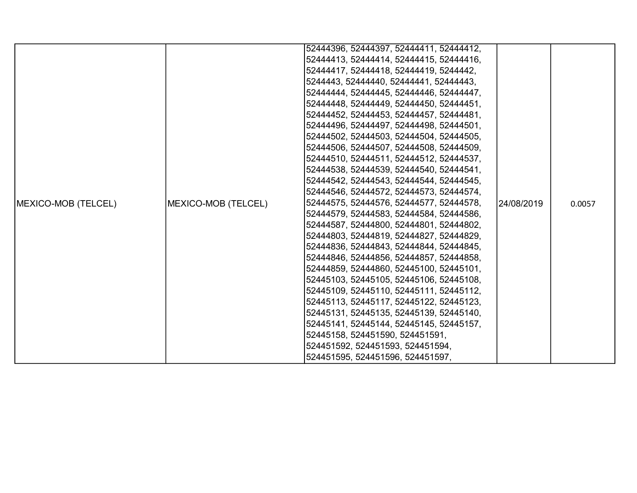|                             |                     | 52444396, 52444397, 52444411, 52444412, |            |        |
|-----------------------------|---------------------|-----------------------------------------|------------|--------|
|                             |                     | 52444413, 52444414, 52444415, 52444416, |            |        |
|                             |                     |                                         |            |        |
|                             |                     | 52444417, 52444418, 52444419, 5244442,  |            |        |
|                             |                     | 5244443, 52444440, 52444441, 52444443,  |            |        |
|                             |                     | 52444444, 52444445, 52444446, 52444447, |            |        |
|                             |                     | 52444448, 52444449, 52444450, 52444451, |            |        |
|                             |                     | 52444452, 52444453, 52444457, 52444481, |            |        |
|                             |                     | 52444496, 52444497, 52444498, 52444501, |            |        |
|                             |                     | 52444502, 52444503, 52444504, 52444505, |            |        |
|                             |                     | 52444506, 52444507, 52444508, 52444509, |            | 0.0057 |
|                             |                     | 52444510, 52444511, 52444512, 52444537, |            |        |
|                             |                     | 52444538, 52444539, 52444540, 52444541, | 24/08/2019 |        |
|                             |                     | 52444542, 52444543, 52444544, 52444545, |            |        |
|                             |                     | 52444546, 52444572, 52444573, 52444574, |            |        |
| <b>IMEXICO-MOB (TELCEL)</b> | MEXICO-MOB (TELCEL) | 52444575, 52444576, 52444577, 52444578, |            |        |
|                             |                     | 52444579, 52444583, 52444584, 52444586, |            |        |
|                             |                     | 52444587, 52444800, 52444801, 52444802, |            |        |
|                             |                     | 52444803, 52444819, 52444827, 52444829, |            |        |
|                             |                     | 52444836, 52444843, 52444844, 52444845, |            |        |
|                             |                     | 52444846, 52444856, 52444857, 52444858, |            |        |
|                             |                     | 52444859, 52444860, 52445100, 52445101, |            |        |
|                             |                     | 52445103, 52445105, 52445106, 52445108, |            |        |
|                             |                     | 52445109, 52445110, 52445111, 52445112, |            |        |
|                             |                     | 52445113, 52445117, 52445122, 52445123, |            |        |
|                             |                     | 52445131, 52445135, 52445139, 52445140, |            |        |
|                             |                     | 52445141, 52445144, 52445145, 52445157, |            |        |
|                             |                     | 52445158, 524451590, 524451591,         |            |        |
|                             |                     | 524451592, 524451593, 524451594,        |            |        |
|                             |                     | 524451595, 524451596, 524451597,        |            |        |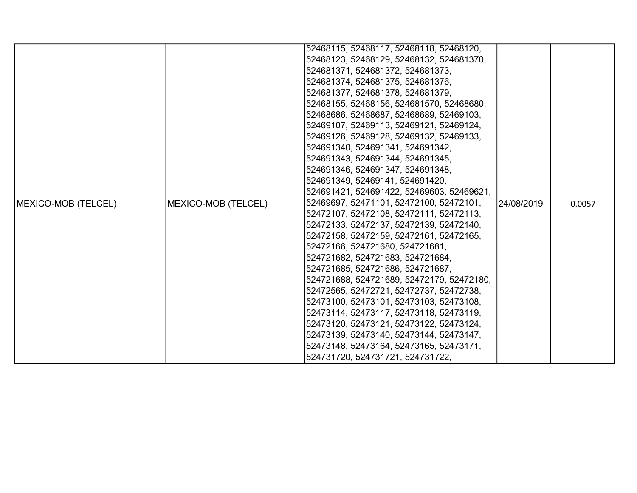|                            |                     | 52468115, 52468117, 52468118, 52468120,   |            |        |
|----------------------------|---------------------|-------------------------------------------|------------|--------|
|                            |                     |                                           |            |        |
|                            |                     | 52468123, 52468129, 52468132, 524681370,  |            |        |
|                            |                     | 524681371, 524681372, 524681373,          |            |        |
|                            |                     | 524681374, 524681375, 524681376,          |            |        |
|                            |                     | 524681377, 524681378, 524681379,          |            |        |
|                            |                     | 52468155, 52468156, 524681570, 52468680,  |            |        |
|                            |                     | 52468686, 52468687, 52468689, 52469103,   |            |        |
|                            |                     | 52469107, 52469113, 52469121, 52469124,   |            |        |
|                            |                     | 52469126, 52469128, 52469132, 52469133,   |            |        |
|                            |                     | 524691340, 524691341, 524691342,          |            |        |
|                            |                     | 524691343, 524691344, 524691345,          | 24/08/2019 | 0.0057 |
|                            |                     | 524691346, 524691347, 524691348,          |            |        |
|                            | MEXICO-MOB (TELCEL) | 524691349, 52469141, 524691420,           |            |        |
|                            |                     | 524691421, 524691422, 52469603, 52469621, |            |        |
| <b>MEXICO-MOB (TELCEL)</b> |                     | 52469697, 52471101, 52472100, 52472101,   |            |        |
|                            |                     | 52472107, 52472108, 52472111, 52472113,   |            |        |
|                            |                     | 52472133, 52472137, 52472139, 52472140,   |            |        |
|                            |                     | 52472158, 52472159, 52472161, 52472165,   |            |        |
|                            |                     | 52472166, 524721680, 524721681,           |            |        |
|                            |                     | 524721682, 524721683, 524721684,          |            |        |
|                            |                     | 524721685, 524721686, 524721687,          |            |        |
|                            |                     | 524721688, 524721689, 52472179, 52472180, |            |        |
|                            |                     | 52472565, 52472721, 52472737, 52472738,   |            |        |
|                            |                     | 52473100, 52473101, 52473103, 52473108,   |            |        |
|                            |                     | 52473114, 52473117, 52473118, 52473119,   |            |        |
|                            |                     | 52473120, 52473121, 52473122, 52473124,   |            |        |
|                            |                     | 52473139, 52473140, 52473144, 52473147,   |            |        |
|                            |                     | 52473148, 52473164, 52473165, 52473171,   |            |        |
|                            |                     | 524731720, 524731721, 524731722,          |            |        |
|                            |                     |                                           |            |        |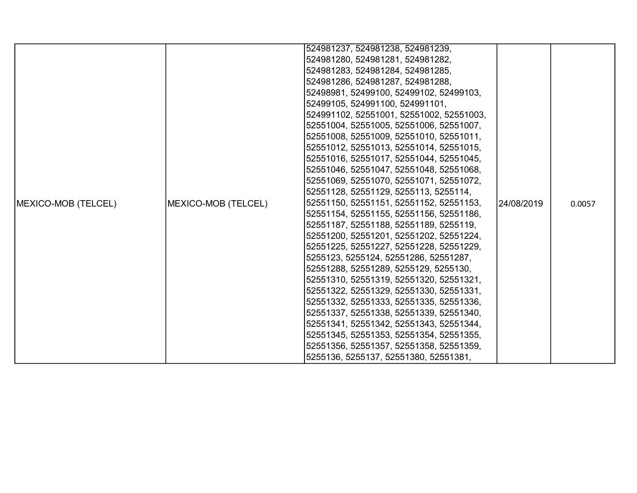|                             |                     | 524981237, 524981238, 524981239,         |            |        |
|-----------------------------|---------------------|------------------------------------------|------------|--------|
|                             |                     | 524981280, 524981281, 524981282,         |            |        |
|                             |                     | 524981283, 524981284, 524981285,         |            |        |
|                             |                     | 524981286, 524981287, 524981288,         |            |        |
|                             |                     | 52498981, 52499100, 52499102, 52499103,  |            |        |
|                             |                     | 52499105, 524991100, 524991101,          |            |        |
|                             |                     | 524991102, 52551001, 52551002, 52551003, |            |        |
|                             |                     | 52551004, 52551005, 52551006, 52551007,  |            |        |
|                             |                     | 52551008, 52551009, 52551010, 52551011,  |            |        |
|                             |                     | 52551012, 52551013, 52551014, 52551015,  |            | 0.0057 |
|                             |                     | 52551016, 52551017, 52551044, 52551045,  |            |        |
|                             |                     | 52551046, 52551047, 52551048, 52551068,  | 24/08/2019 |        |
|                             |                     | 52551069, 52551070, 52551071, 52551072,  |            |        |
|                             |                     | 52551128, 52551129, 5255113, 5255114,    |            |        |
| <b>IMEXICO-MOB (TELCEL)</b> | MEXICO-MOB (TELCEL) | 52551150, 52551151, 52551152, 52551153,  |            |        |
|                             |                     | 52551154, 52551155, 52551156, 52551186,  |            |        |
|                             |                     | 52551187, 52551188, 52551189, 5255119,   |            |        |
|                             |                     | 52551200, 52551201, 52551202, 52551224,  |            |        |
|                             |                     | 52551225, 52551227, 52551228, 52551229,  |            |        |
|                             |                     | 5255123, 5255124, 52551286, 52551287,    |            |        |
|                             |                     | 52551288, 52551289, 5255129, 5255130,    |            |        |
|                             |                     | 52551310, 52551319, 52551320, 52551321,  |            |        |
|                             |                     | 52551322, 52551329, 52551330, 52551331,  |            |        |
|                             |                     | 52551332, 52551333, 52551335, 52551336,  |            |        |
|                             |                     | 52551337, 52551338, 52551339, 52551340,  |            |        |
|                             |                     | 52551341, 52551342, 52551343, 52551344,  |            |        |
|                             |                     | 52551345, 52551353, 52551354, 52551355,  |            |        |
|                             |                     | 52551356, 52551357, 52551358, 52551359,  |            |        |
|                             |                     | 5255136, 5255137, 52551380, 52551381,    |            |        |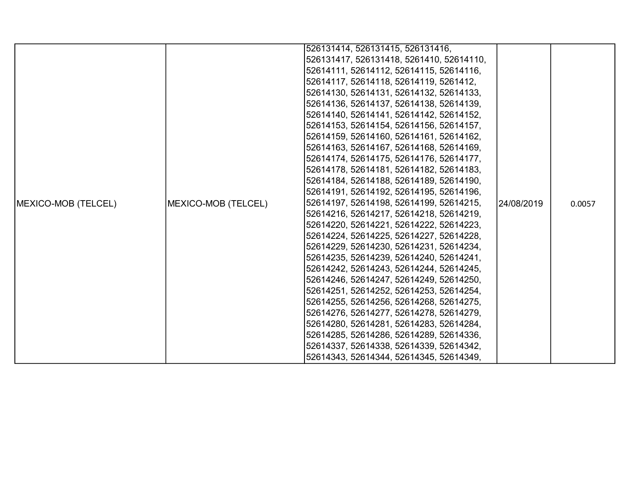|                            |                     | 526131414, 526131415, 526131416,         |             |        |
|----------------------------|---------------------|------------------------------------------|-------------|--------|
|                            |                     | 526131417, 526131418, 5261410, 52614110, |             |        |
|                            |                     | 52614111, 52614112, 52614115, 52614116,  |             |        |
|                            |                     | 52614117, 52614118, 52614119, 5261412,   |             |        |
|                            |                     | 52614130, 52614131, 52614132, 52614133,  |             |        |
|                            |                     | 52614136, 52614137, 52614138, 52614139,  |             |        |
|                            |                     | 52614140, 52614141, 52614142, 52614152,  |             |        |
|                            |                     | 52614153, 52614154, 52614156, 52614157,  |             |        |
|                            |                     | 52614159, 52614160, 52614161, 52614162,  |             |        |
|                            |                     | 52614163, 52614167, 52614168, 52614169,  |             |        |
|                            |                     | 52614174, 52614175, 52614176, 52614177,  |             | 0.0057 |
|                            | MEXICO-MOB (TELCEL) | 52614178, 52614181, 52614182, 52614183,  | l24/08/2019 |        |
|                            |                     | 52614184, 52614188, 52614189, 52614190,  |             |        |
|                            |                     | 52614191, 52614192, 52614195, 52614196,  |             |        |
| <b>MEXICO-MOB (TELCEL)</b> |                     | 52614197, 52614198, 52614199, 52614215,  |             |        |
|                            |                     | 52614216, 52614217, 52614218, 52614219,  |             |        |
|                            |                     | 52614220, 52614221, 52614222, 52614223,  |             |        |
|                            |                     | 52614224, 52614225, 52614227, 52614228,  |             |        |
|                            |                     | 52614229, 52614230, 52614231, 52614234,  |             |        |
|                            |                     | 52614235, 52614239, 52614240, 52614241,  |             |        |
|                            |                     | 52614242, 52614243, 52614244, 52614245,  |             |        |
|                            |                     | 52614246, 52614247, 52614249, 52614250,  |             |        |
|                            |                     | 52614251, 52614252, 52614253, 52614254,  |             |        |
|                            |                     | 52614255, 52614256, 52614268, 52614275,  |             |        |
|                            |                     | 52614276, 52614277, 52614278, 52614279,  |             |        |
|                            |                     | 52614280, 52614281, 52614283, 52614284,  |             |        |
|                            |                     | 52614285, 52614286, 52614289, 52614336,  |             |        |
|                            |                     | 52614337, 52614338, 52614339, 52614342,  |             |        |
|                            |                     | 52614343, 52614344, 52614345, 52614349,  |             |        |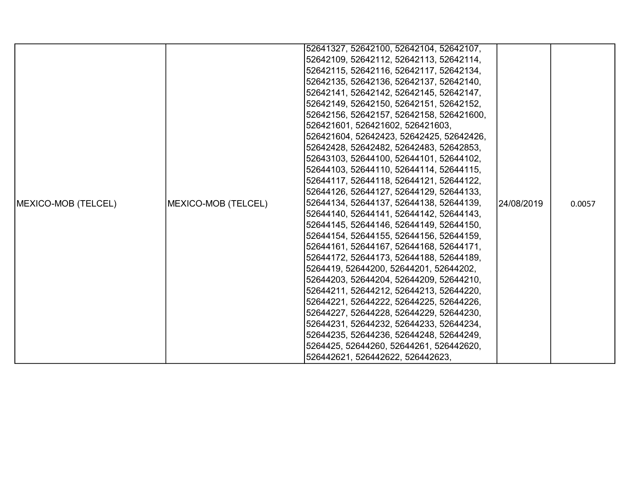|                             |                     | 52641327, 52642100, 52642104, 52642107,  |            |        |
|-----------------------------|---------------------|------------------------------------------|------------|--------|
|                             |                     | 52642109, 52642112, 52642113, 52642114,  |            |        |
|                             |                     | 52642115, 52642116, 52642117, 52642134,  |            |        |
|                             |                     | 52642135, 52642136, 52642137, 52642140,  |            |        |
|                             |                     | 52642141, 52642142, 52642145, 52642147,  |            |        |
|                             |                     | 52642149, 52642150, 52642151, 52642152,  |            |        |
|                             |                     | 52642156, 52642157, 52642158, 526421600, |            |        |
|                             |                     | 526421601, 526421602, 526421603,         |            |        |
|                             |                     | 526421604, 52642423, 52642425, 52642426, |            |        |
|                             |                     | 52642428, 52642482, 52642483, 52642853,  |            |        |
|                             |                     | 52643103, 52644100, 52644101, 52644102,  | 24/08/2019 | 0.0057 |
|                             |                     | 52644103, 52644110, 52644114, 52644115,  |            |        |
|                             |                     | 52644117, 52644118, 52644121, 52644122,  |            |        |
|                             |                     | 52644126, 52644127, 52644129, 52644133,  |            |        |
| <b>IMEXICO-MOB (TELCEL)</b> | MEXICO-MOB (TELCEL) | 52644134, 52644137, 52644138, 52644139,  |            |        |
|                             |                     | 52644140, 52644141, 52644142, 52644143,  |            |        |
|                             |                     | 52644145, 52644146, 52644149, 52644150,  |            |        |
|                             |                     | 52644154, 52644155, 52644156, 52644159,  |            |        |
|                             |                     | 52644161, 52644167, 52644168, 52644171,  |            |        |
|                             |                     | 52644172, 52644173, 52644188, 52644189,  |            |        |
|                             |                     | 5264419, 52644200, 52644201, 52644202,   |            |        |
|                             |                     | 52644203, 52644204, 52644209, 52644210,  |            |        |
|                             |                     | 52644211, 52644212, 52644213, 52644220,  |            |        |
|                             |                     | 52644221, 52644222, 52644225, 52644226,  |            |        |
|                             |                     | 52644227, 52644228, 52644229, 52644230,  |            |        |
|                             |                     | 52644231, 52644232, 52644233, 52644234,  |            |        |
|                             |                     | 52644235, 52644236, 52644248, 52644249,  |            |        |
|                             |                     | 5264425, 52644260, 52644261, 526442620,  |            |        |
|                             |                     | 526442621, 526442622, 526442623,         |            |        |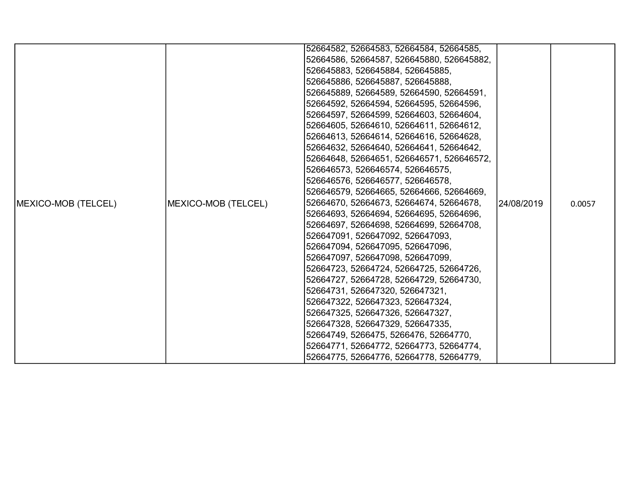|                             |                     | 52664582, 52664583, 52664584, 52664585,   |             |        |
|-----------------------------|---------------------|-------------------------------------------|-------------|--------|
|                             |                     | 52664586, 52664587, 526645880, 526645882, |             |        |
|                             |                     | 526645883, 526645884, 526645885,          |             |        |
|                             |                     | 526645886, 526645887, 526645888,          |             |        |
|                             |                     | 526645889, 52664589, 52664590, 52664591,  |             |        |
|                             |                     | 52664592, 52664594, 52664595, 52664596,   |             |        |
|                             |                     | 52664597, 52664599, 52664603, 52664604,   |             |        |
|                             |                     | 52664605, 52664610, 52664611, 52664612,   |             |        |
|                             |                     | 52664613, 52664614, 52664616, 52664628,   |             |        |
|                             |                     | 52664632, 52664640, 52664641, 52664642,   |             |        |
|                             |                     | 52664648, 52664651, 526646571, 526646572, |             |        |
|                             |                     | 526646573, 526646574, 526646575,          |             |        |
|                             |                     | 526646576, 526646577, 526646578,          |             |        |
|                             |                     | 526646579, 52664665, 52664666, 52664669,  |             |        |
| <b>IMEXICO-MOB (TELCEL)</b> | MEXICO-MOB (TELCEL) | 52664670, 52664673, 52664674, 52664678,   | 124/08/2019 | 0.0057 |
|                             |                     | 52664693, 52664694, 52664695, 52664696,   |             |        |
|                             |                     | 52664697, 52664698, 52664699, 52664708,   |             |        |
|                             |                     | 526647091, 526647092, 526647093,          |             |        |
|                             |                     | 526647094, 526647095, 526647096,          |             |        |
|                             |                     | 526647097, 526647098, 526647099,          |             |        |
|                             |                     | 52664723, 52664724, 52664725, 52664726,   |             |        |
|                             |                     | 52664727, 52664728, 52664729, 52664730,   |             |        |
|                             |                     | 52664731, 526647320, 526647321,           |             |        |
|                             |                     | 526647322, 526647323, 526647324,          |             |        |
|                             |                     | 526647325, 526647326, 526647327,          |             |        |
|                             |                     | 526647328, 526647329, 526647335,          |             |        |
|                             |                     | 52664749, 5266475, 5266476, 52664770,     |             |        |
|                             |                     | 52664771, 52664772, 52664773, 52664774,   |             |        |
|                             |                     | 52664775, 52664776, 52664778, 52664779,   |             |        |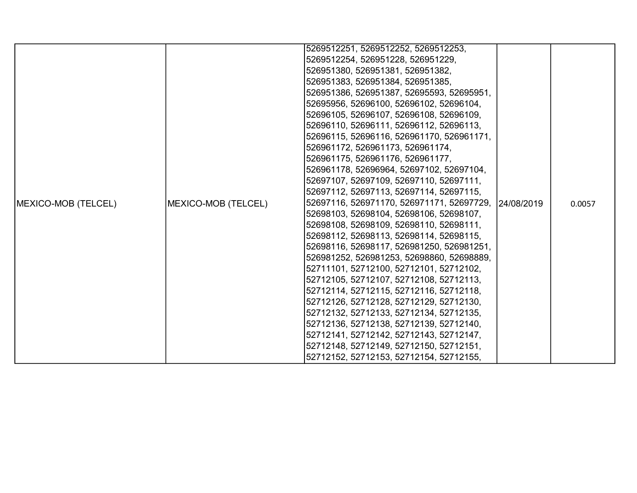|                             |                     | 5269512251, 5269512252, 5269512253,                  |  |        |
|-----------------------------|---------------------|------------------------------------------------------|--|--------|
|                             |                     | 5269512254, 526951228, 526951229,                    |  |        |
|                             |                     | 526951380, 526951381, 526951382,                     |  |        |
|                             |                     | 526951383, 526951384, 526951385,                     |  |        |
|                             |                     | 526951386, 526951387, 52695593, 52695951,            |  |        |
|                             |                     | 52695956, 52696100, 52696102, 52696104,              |  |        |
|                             |                     | 52696105, 52696107, 52696108, 52696109,              |  |        |
|                             |                     | 52696110, 52696111, 52696112, 52696113,              |  |        |
|                             |                     | 52696115, 52696116, 526961170, 526961171,            |  |        |
|                             |                     | 526961172, 526961173, 526961174,                     |  |        |
|                             |                     | 526961175, 526961176, 526961177,                     |  |        |
|                             |                     | 526961178, 52696964, 52697102, 52697104,             |  |        |
|                             |                     | 52697107, 52697109, 52697110, 52697111,              |  |        |
|                             |                     | 52697112, 52697113, 52697114, 52697115,              |  |        |
| <b>IMEXICO-MOB (TELCEL)</b> | MEXICO-MOB (TELCEL) | 52697116, 526971170, 526971171, 52697729, 24/08/2019 |  | 0.0057 |
|                             |                     | 52698103, 52698104, 52698106, 52698107,              |  |        |
|                             |                     | 52698108, 52698109, 52698110, 52698111,              |  |        |
|                             |                     | 52698112, 52698113, 52698114, 52698115,              |  |        |
|                             |                     | 52698116, 52698117, 526981250, 526981251,            |  |        |
|                             |                     | 526981252, 526981253, 52698860, 52698889,            |  |        |
|                             |                     | 52711101, 52712100, 52712101, 52712102,              |  |        |
|                             |                     | 52712105, 52712107, 52712108, 52712113,              |  |        |
|                             |                     | 52712114, 52712115, 52712116, 52712118,              |  |        |
|                             |                     | 52712126, 52712128, 52712129, 52712130,              |  |        |
|                             |                     | 52712132, 52712133, 52712134, 52712135,              |  |        |
|                             |                     | 52712136, 52712138, 52712139, 52712140,              |  |        |
|                             |                     | 52712141, 52712142, 52712143, 52712147,              |  |        |
|                             |                     | 52712148, 52712149, 52712150, 52712151,              |  |        |
|                             |                     | 52712152, 52712153, 52712154, 52712155,              |  |        |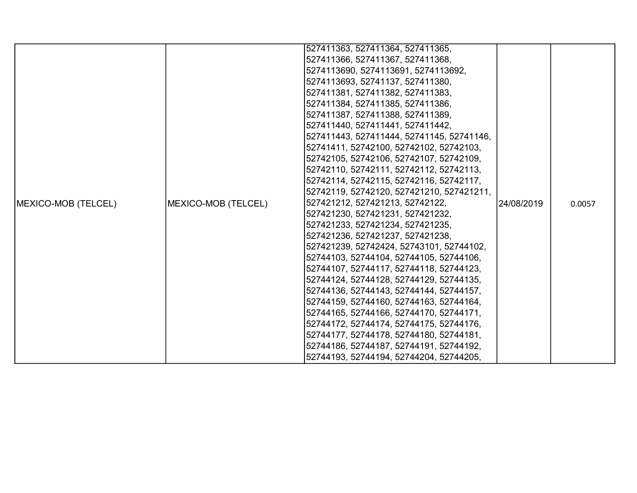|                            |                     | 527411363, 527411364, 527411365,          |            |        |
|----------------------------|---------------------|-------------------------------------------|------------|--------|
|                            |                     | 527411366, 527411367, 527411368,          |            |        |
|                            |                     | 5274113690, 5274113691, 5274113692,       |            |        |
|                            |                     | 5274113693, 52741137, 527411380,          |            |        |
|                            |                     | 527411381, 527411382, 527411383,          |            |        |
|                            |                     | 527411384, 527411385, 527411386,          |            |        |
|                            |                     | 527411387, 527411388, 527411389,          |            |        |
|                            |                     | 527411440, 527411441, 527411442,          |            |        |
|                            |                     | 527411443, 527411444, 52741145, 52741146, |            |        |
|                            |                     | 52741411, 52742100, 52742102, 52742103,   |            |        |
|                            |                     | 52742105, 52742106, 52742107, 52742109,   |            |        |
|                            |                     | 52742110, 52742111, 52742112, 52742113,   |            |        |
|                            |                     | 52742114, 52742115, 52742116, 52742117,   |            |        |
|                            |                     | 52742119, 52742120, 527421210, 527421211, |            |        |
| <b>MEXICO-MOB (TELCEL)</b> | MEXICO-MOB (TELCEL) | 527421212, 527421213, 52742122,           | 24/08/2019 | 0.0057 |
|                            |                     | 527421230, 527421231, 527421232,          |            |        |
|                            |                     | 527421233, 527421234, 527421235,          |            |        |
|                            |                     | 527421236, 527421237, 527421238,          |            |        |
|                            |                     | 527421239, 52742424, 52743101, 52744102,  |            |        |
|                            |                     | 52744103, 52744104, 52744105, 52744106,   |            |        |
|                            |                     | 52744107, 52744117, 52744118, 52744123,   |            |        |
|                            |                     | 52744124, 52744128, 52744129, 52744135,   |            |        |
|                            |                     | 52744136, 52744143, 52744144, 52744157,   |            |        |
|                            |                     | 52744159, 52744160, 52744163, 52744164,   |            |        |
|                            |                     | 52744165, 52744166, 52744170, 52744171,   |            |        |
|                            |                     | 52744172, 52744174, 52744175, 52744176,   |            |        |
|                            |                     | 52744177, 52744178, 52744180, 52744181,   |            |        |
|                            |                     | 52744186, 52744187, 52744191, 52744192,   |            |        |
|                            |                     | 52744193, 52744194, 52744204, 52744205,   |            |        |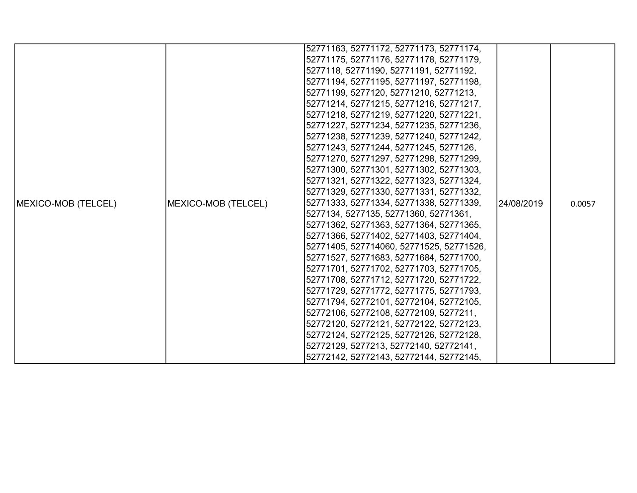|                             |                     | 52771163, 52771172, 52771173, 52771174,  |            |        |
|-----------------------------|---------------------|------------------------------------------|------------|--------|
|                             |                     | 52771175, 52771176, 52771178, 52771179,  |            |        |
|                             |                     | 5277118, 52771190, 52771191, 52771192,   |            |        |
|                             |                     | 52771194, 52771195, 52771197, 52771198,  |            |        |
|                             |                     | 52771199, 5277120, 52771210, 52771213,   |            |        |
|                             |                     | 52771214, 52771215, 52771216, 52771217,  |            |        |
|                             |                     | 52771218, 52771219, 52771220, 52771221,  |            |        |
|                             |                     | 52771227, 52771234, 52771235, 52771236,  |            |        |
|                             |                     | 52771238, 52771239, 52771240, 52771242,  |            |        |
|                             |                     | 52771243, 52771244, 52771245, 5277126,   |            |        |
|                             | MEXICO-MOB (TELCEL) | 52771270, 52771297, 52771298, 52771299,  |            | 0.0057 |
|                             |                     | 52771300, 52771301, 52771302, 52771303,  | 24/08/2019 |        |
|                             |                     | 52771321, 52771322, 52771323, 52771324,  |            |        |
|                             |                     | 52771329, 52771330, 52771331, 52771332,  |            |        |
| <b>IMEXICO-MOB (TELCEL)</b> |                     | 52771333, 52771334, 52771338, 52771339,  |            |        |
|                             |                     | 5277134, 5277135, 52771360, 52771361,    |            |        |
|                             |                     | 52771362, 52771363, 52771364, 52771365,  |            |        |
|                             |                     | 52771366, 52771402, 52771403, 52771404,  |            |        |
|                             |                     | 52771405, 527714060, 52771525, 52771526, |            |        |
|                             |                     | 52771527, 52771683, 52771684, 52771700,  |            |        |
|                             |                     | 52771701, 52771702, 52771703, 52771705,  |            |        |
|                             |                     | 52771708, 52771712, 52771720, 52771722,  |            |        |
|                             |                     | 52771729, 52771772, 52771775, 52771793,  |            |        |
|                             |                     | 52771794, 52772101, 52772104, 52772105,  |            |        |
|                             |                     | 52772106, 52772108, 52772109, 5277211,   |            |        |
|                             |                     | 52772120, 52772121, 52772122, 52772123,  |            |        |
|                             |                     | 52772124, 52772125, 52772126, 52772128,  |            |        |
|                             |                     | 52772129, 5277213, 52772140, 52772141,   |            |        |
|                             |                     | 52772142, 52772143, 52772144, 52772145,  |            |        |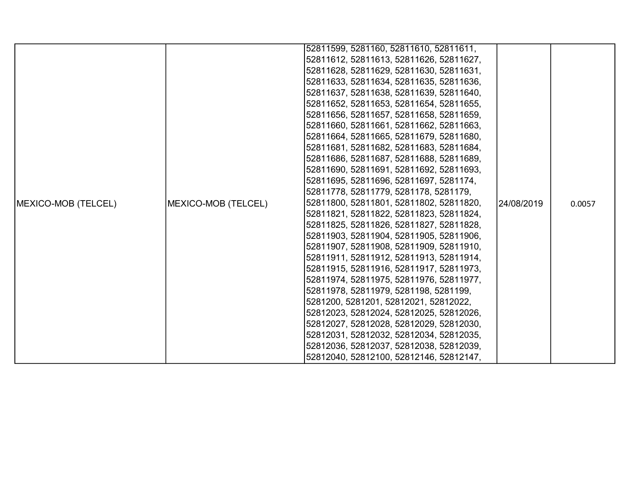|                             |                     | 52811599, 5281160, 52811610, 52811611,  |            |        |
|-----------------------------|---------------------|-----------------------------------------|------------|--------|
|                             |                     | 52811612, 52811613, 52811626, 52811627, |            |        |
|                             |                     | 52811628, 52811629, 52811630, 52811631, |            |        |
|                             |                     | 52811633, 52811634, 52811635, 52811636, |            |        |
|                             |                     | 52811637, 52811638, 52811639, 52811640, |            |        |
|                             |                     | 52811652, 52811653, 52811654, 52811655, |            |        |
|                             |                     | 52811656, 52811657, 52811658, 52811659, |            |        |
|                             |                     | 52811660, 52811661, 52811662, 52811663, |            |        |
|                             |                     | 52811664, 52811665, 52811679, 52811680, |            |        |
|                             |                     | 52811681, 52811682, 52811683, 52811684, |            |        |
|                             |                     | 52811686, 52811687, 52811688, 52811689, |            |        |
|                             |                     | 52811690, 52811691, 52811692, 52811693, |            |        |
|                             |                     | 52811695, 52811696, 52811697, 5281174,  |            |        |
|                             |                     | 52811778, 52811779, 5281178, 5281179,   |            |        |
| <b>IMEXICO-MOB (TELCEL)</b> | MEXICO-MOB (TELCEL) | 52811800, 52811801, 52811802, 52811820, | 24/08/2019 | 0.0057 |
|                             |                     | 52811821, 52811822, 52811823, 52811824, |            |        |
|                             |                     | 52811825, 52811826, 52811827, 52811828, |            |        |
|                             |                     | 52811903, 52811904, 52811905, 52811906, |            |        |
|                             |                     | 52811907, 52811908, 52811909, 52811910, |            |        |
|                             |                     | 52811911, 52811912, 52811913, 52811914, |            |        |
|                             |                     | 52811915, 52811916, 52811917, 52811973, |            |        |
|                             |                     | 52811974, 52811975, 52811976, 52811977, |            |        |
|                             |                     | 52811978, 52811979, 5281198, 5281199,   |            |        |
|                             |                     | 5281200, 5281201, 52812021, 52812022,   |            |        |
|                             |                     | 52812023, 52812024, 52812025, 52812026, |            |        |
|                             |                     | 52812027, 52812028, 52812029, 52812030, |            |        |
|                             |                     | 52812031, 52812032, 52812034, 52812035, |            |        |
|                             |                     | 52812036, 52812037, 52812038, 52812039, |            |        |
|                             |                     | 52812040, 52812100, 52812146, 52812147, |            |        |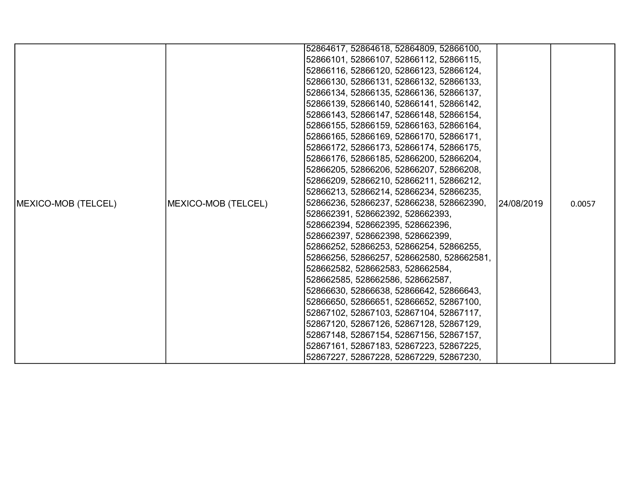|                     |                     | 52864617, 52864618, 52864809, 52866100,   |            |        |
|---------------------|---------------------|-------------------------------------------|------------|--------|
|                     |                     | 52866101, 52866107, 52866112, 52866115,   |            |        |
|                     |                     | 52866116, 52866120, 52866123, 52866124,   |            |        |
|                     |                     | 52866130, 52866131, 52866132, 52866133,   |            |        |
|                     |                     | 52866134, 52866135, 52866136, 52866137,   |            |        |
|                     |                     | 52866139, 52866140, 52866141, 52866142,   |            |        |
|                     |                     | 52866143, 52866147, 52866148, 52866154,   |            |        |
|                     |                     | 52866155, 52866159, 52866163, 52866164,   |            |        |
|                     |                     | 52866165, 52866169, 52866170, 52866171,   |            |        |
|                     |                     | 52866172, 52866173, 52866174, 52866175,   |            |        |
|                     |                     | 52866176, 52866185, 52866200, 52866204,   |            |        |
|                     |                     | 52866205, 52866206, 52866207, 52866208,   |            |        |
|                     |                     | 52866209, 52866210, 52866211, 52866212,   |            |        |
|                     |                     | 52866213, 52866214, 52866234, 52866235,   |            |        |
| MEXICO-MOB (TELCEL) | MEXICO-MOB (TELCEL) | 52866236, 52866237, 52866238, 528662390,  | 24/08/2019 | 0.0057 |
|                     |                     | 528662391, 528662392, 528662393,          |            |        |
|                     |                     | 528662394, 528662395, 528662396,          |            |        |
|                     |                     | 528662397, 528662398, 528662399,          |            |        |
|                     |                     | 52866252, 52866253, 52866254, 52866255,   |            |        |
|                     |                     | 52866256, 52866257, 528662580, 528662581, |            |        |
|                     |                     | 528662582, 528662583, 528662584,          |            |        |
|                     |                     | 528662585, 528662586, 528662587,          |            |        |
|                     |                     | 52866630, 52866638, 52866642, 52866643,   |            |        |
|                     |                     | 52866650, 52866651, 52866652, 52867100,   |            |        |
|                     |                     | 52867102, 52867103, 52867104, 52867117,   |            |        |
|                     |                     | 52867120, 52867126, 52867128, 52867129,   |            |        |
|                     |                     | 52867148, 52867154, 52867156, 52867157,   |            |        |
|                     |                     | 52867161, 52867183, 52867223, 52867225,   |            |        |
|                     |                     | 52867227, 52867228, 52867229, 52867230,   |            |        |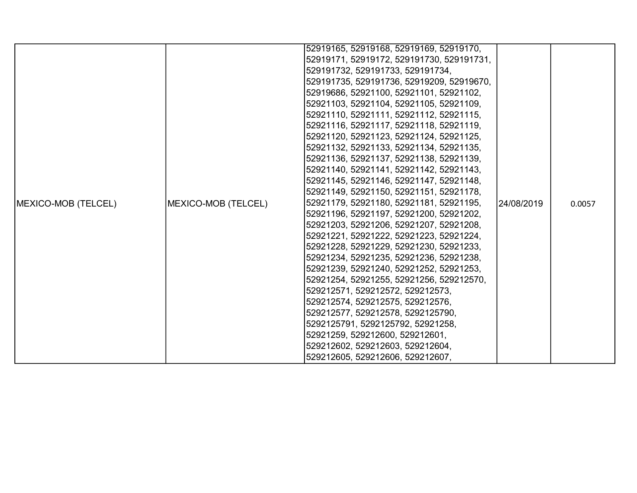|                            |                     | 52919165, 52919168, 52919169, 52919170,   |             |        |
|----------------------------|---------------------|-------------------------------------------|-------------|--------|
|                            |                     | 52919171, 52919172, 529191730, 529191731, |             |        |
|                            |                     | 529191732, 529191733, 529191734,          |             |        |
|                            |                     | 529191735, 529191736, 52919209, 52919670, |             |        |
|                            |                     | 52919686, 52921100, 52921101, 52921102,   |             |        |
|                            |                     | 52921103, 52921104, 52921105, 52921109,   |             |        |
|                            |                     | 52921110, 52921111, 52921112, 52921115,   |             |        |
|                            |                     | 52921116, 52921117, 52921118, 52921119,   |             |        |
|                            |                     | 52921120, 52921123, 52921124, 52921125,   |             |        |
|                            |                     | 52921132, 52921133, 52921134, 52921135,   |             |        |
|                            |                     | 52921136, 52921137, 52921138, 52921139,   |             |        |
|                            |                     | 52921140, 52921141, 52921142, 52921143,   |             |        |
|                            |                     | 52921145, 52921146, 52921147, 52921148,   |             |        |
|                            |                     | 52921149, 52921150, 52921151, 52921178,   |             |        |
| <b>MEXICO-MOB (TELCEL)</b> | MEXICO-MOB (TELCEL) | 52921179, 52921180, 52921181, 52921195,   | l24/08/2019 | 0.0057 |
|                            |                     | 52921196, 52921197, 52921200, 52921202,   |             |        |
|                            |                     | 52921203, 52921206, 52921207, 52921208,   |             |        |
|                            |                     | 52921221, 52921222, 52921223, 52921224,   |             |        |
|                            |                     | 52921228, 52921229, 52921230, 52921233,   |             |        |
|                            |                     | 52921234, 52921235, 52921236, 52921238,   |             |        |
|                            |                     | 52921239, 52921240, 52921252, 52921253,   |             |        |
|                            |                     | 52921254, 52921255, 52921256, 529212570,  |             |        |
|                            |                     | 529212571, 529212572, 529212573,          |             |        |
|                            |                     | 529212574, 529212575, 529212576,          |             |        |
|                            |                     | 529212577, 529212578, 5292125790,         |             |        |
|                            |                     | 5292125791, 5292125792, 52921258,         |             |        |
|                            |                     | 52921259, 529212600, 529212601,           |             |        |
|                            |                     | 529212602, 529212603, 529212604,          |             |        |
|                            |                     | 529212605, 529212606, 529212607,          |             |        |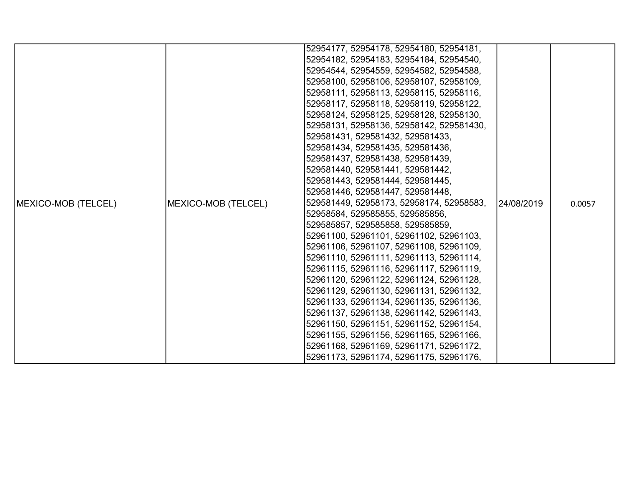|                     |                     | 52954177, 52954178, 52954180, 52954181,  |            |        |
|---------------------|---------------------|------------------------------------------|------------|--------|
|                     |                     | 52954182, 52954183, 52954184, 52954540,  |            |        |
|                     |                     | 52954544, 52954559, 52954582, 52954588,  |            |        |
|                     |                     | 52958100, 52958106, 52958107, 52958109,  |            |        |
|                     |                     |                                          |            |        |
|                     |                     | 52958111, 52958113, 52958115, 52958116,  |            |        |
|                     |                     | 52958117, 52958118, 52958119, 52958122,  |            |        |
|                     |                     | 52958124, 52958125, 52958128, 52958130,  |            |        |
|                     |                     | 52958131, 52958136, 52958142, 529581430, |            |        |
|                     |                     | 529581431, 529581432, 529581433,         |            |        |
|                     |                     | 529581434, 529581435, 529581436,         |            |        |
|                     |                     | 529581437, 529581438, 529581439,         |            |        |
|                     |                     | 529581440, 529581441, 529581442,         |            |        |
|                     |                     | 529581443, 529581444, 529581445,         |            |        |
|                     |                     | 529581446, 529581447, 529581448,         |            |        |
| MEXICO-MOB (TELCEL) | MEXICO-MOB (TELCEL) | 529581449, 52958173, 52958174, 52958583, | 24/08/2019 | 0.0057 |
|                     |                     | 52958584, 529585855, 529585856,          |            |        |
|                     |                     | 529585857, 529585858, 529585859,         |            |        |
|                     |                     | 52961100, 52961101, 52961102, 52961103,  |            |        |
|                     |                     | 52961106, 52961107, 52961108, 52961109,  |            |        |
|                     |                     | 52961110, 52961111, 52961113, 52961114,  |            |        |
|                     |                     | 52961115, 52961116, 52961117, 52961119,  |            |        |
|                     |                     | 52961120, 52961122, 52961124, 52961128,  |            |        |
|                     |                     | 52961129, 52961130, 52961131, 52961132,  |            |        |
|                     |                     | 52961133, 52961134, 52961135, 52961136,  |            |        |
|                     |                     | 52961137, 52961138, 52961142, 52961143,  |            |        |
|                     |                     | 52961150, 52961151, 52961152, 52961154,  |            |        |
|                     |                     | 52961155, 52961156, 52961165, 52961166,  |            |        |
|                     |                     | 52961168, 52961169, 52961171, 52961172,  |            |        |
|                     |                     | 52961173, 52961174, 52961175, 52961176,  |            |        |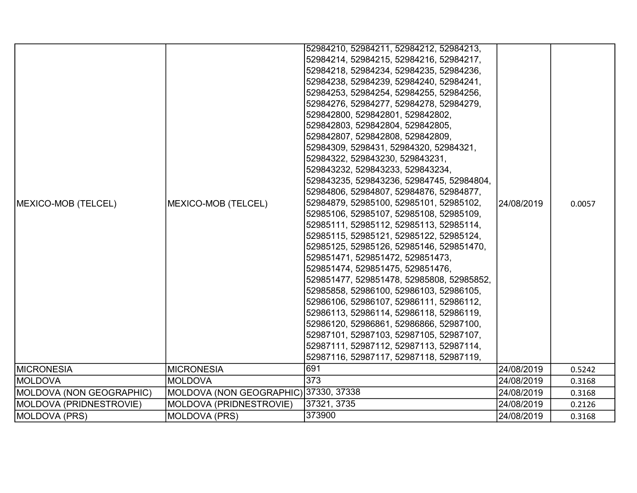|                          |                                       | 52984210, 52984211, 52984212, 52984213,   |            |        |
|--------------------------|---------------------------------------|-------------------------------------------|------------|--------|
|                          |                                       | 52984214, 52984215, 52984216, 52984217,   |            |        |
|                          |                                       | 52984218, 52984234, 52984235, 52984236,   |            |        |
|                          |                                       | 52984238, 52984239, 52984240, 52984241,   |            |        |
|                          |                                       | 52984253, 52984254, 52984255, 52984256,   |            |        |
|                          |                                       | 52984276, 52984277, 52984278, 52984279,   |            |        |
|                          |                                       | 529842800, 529842801, 529842802,          |            |        |
|                          |                                       | 529842803, 529842804, 529842805,          |            |        |
|                          |                                       | 529842807, 529842808, 529842809,          |            |        |
|                          |                                       | 52984309, 5298431, 52984320, 52984321,    |            |        |
|                          |                                       | 52984322, 529843230, 529843231,           |            |        |
|                          |                                       | 529843232, 529843233, 529843234,          |            |        |
|                          |                                       | 529843235, 529843236, 52984745, 52984804, |            |        |
|                          |                                       | 52984806, 52984807, 52984876, 52984877,   |            |        |
| MEXICO-MOB (TELCEL)      | MEXICO-MOB (TELCEL)                   | 52984879, 52985100, 52985101, 52985102,   | 24/08/2019 | 0.0057 |
|                          |                                       | 52985106, 52985107, 52985108, 52985109,   |            |        |
|                          |                                       | 52985111, 52985112, 52985113, 52985114,   |            |        |
|                          |                                       | 52985115, 52985121, 52985122, 52985124,   |            |        |
|                          |                                       | 52985125, 52985126, 52985146, 529851470,  |            |        |
|                          |                                       | 529851471, 529851472, 529851473,          |            |        |
|                          |                                       | 529851474, 529851475, 529851476,          |            |        |
|                          |                                       | 529851477, 529851478, 52985808, 52985852, |            |        |
|                          |                                       | 52985858, 52986100, 52986103, 52986105,   |            |        |
|                          |                                       | 52986106, 52986107, 52986111, 52986112,   |            |        |
|                          |                                       | 52986113, 52986114, 52986118, 52986119,   |            |        |
|                          |                                       | 52986120, 52986861, 52986866, 52987100,   |            |        |
|                          |                                       | 52987101, 52987103, 52987105, 52987107,   |            |        |
|                          |                                       | 52987111, 52987112, 52987113, 52987114,   |            |        |
|                          |                                       | 52987116, 52987117, 52987118, 52987119,   |            |        |
| <b>MICRONESIA</b>        | <b>MICRONESIA</b>                     | 691                                       | 24/08/2019 | 0.5242 |
| <b>IMOLDOVA</b>          | IMOLDOVA                              | 373                                       | 24/08/2019 | 0.3168 |
| MOLDOVA (NON GEOGRAPHIC) | MOLDOVA (NON GEOGRAPHIC) 37330, 37338 |                                           | 24/08/2019 | 0.3168 |
| MOLDOVA (PRIDNESTROVIE)  | MOLDOVA (PRIDNESTROVIE)               | 37321, 3735                               | 24/08/2019 | 0.2126 |
| MOLDOVA (PRS)            | <b>MOLDOVA (PRS)</b>                  | 373900                                    | 24/08/2019 | 0.3168 |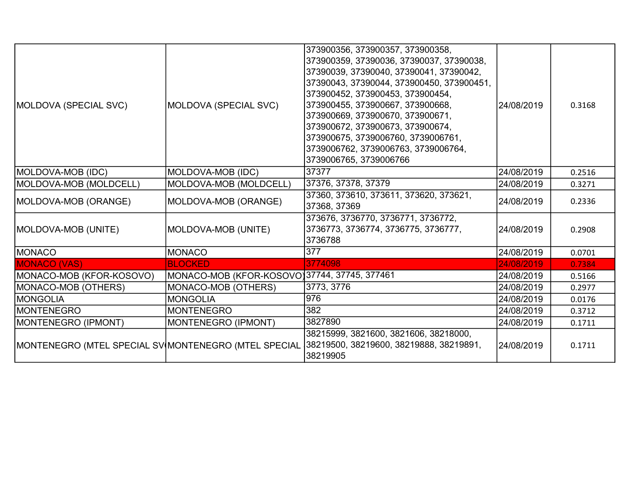| MOLDOVA (SPECIAL SVC)    | MOLDOVA (SPECIAL SVC)                        | 373900356, 373900357, 373900358,<br>373900359, 37390036, 37390037, 37390038,<br>37390039, 37390040, 37390041, 37390042,<br>37390043, 37390044, 373900450, 373900451,<br>373900452, 373900453, 373900454,<br>373900455, 373900667, 373900668,<br>373900669, 373900670, 373900671,<br>373900672, 373900673, 373900674,<br>373900675, 3739006760, 3739006761,<br>3739006762, 3739006763, 3739006764,<br>3739006765, 3739006766 | 24/08/2019 | 0.3168 |
|--------------------------|----------------------------------------------|-----------------------------------------------------------------------------------------------------------------------------------------------------------------------------------------------------------------------------------------------------------------------------------------------------------------------------------------------------------------------------------------------------------------------------|------------|--------|
| MOLDOVA-MOB (IDC)        | MOLDOVA-MOB (IDC)                            | 37377                                                                                                                                                                                                                                                                                                                                                                                                                       | 24/08/2019 | 0.2516 |
| MOLDOVA-MOB (MOLDCELL)   | MOLDOVA-MOB (MOLDCELL)                       | 37376, 37378, 37379                                                                                                                                                                                                                                                                                                                                                                                                         | 24/08/2019 | 0.3271 |
| MOLDOVA-MOB (ORANGE)     | MOLDOVA-MOB (ORANGE)                         | 37360, 373610, 373611, 373620, 373621,<br>37368, 37369                                                                                                                                                                                                                                                                                                                                                                      | 24/08/2019 | 0.2336 |
| MOLDOVA-MOB (UNITE)      | MOLDOVA-MOB (UNITE)                          | 373676, 3736770, 3736771, 3736772,<br>3736773, 3736774, 3736775, 3736777,<br>3736788                                                                                                                                                                                                                                                                                                                                        | 24/08/2019 | 0.2908 |
| MONACO                   | <b>MONACO</b>                                | 377                                                                                                                                                                                                                                                                                                                                                                                                                         | 24/08/2019 | 0.0701 |
| <b>MONACO (VAS)</b>      | <b>BLOCKED</b>                               | 3774098                                                                                                                                                                                                                                                                                                                                                                                                                     | 24/08/2019 | 0.7384 |
| MONACO-MOB (KFOR-KOSOVO) | MONACO-MOB (KFOR-KOSOVO)37744, 37745, 377461 |                                                                                                                                                                                                                                                                                                                                                                                                                             | 24/08/2019 | 0.5166 |
| MONACO-MOB (OTHERS)      | MONACO-MOB (OTHERS)                          | 3773, 3776                                                                                                                                                                                                                                                                                                                                                                                                                  | 24/08/2019 | 0.2977 |
| MONGOLIA                 | <b>MONGOLIA</b>                              | 976                                                                                                                                                                                                                                                                                                                                                                                                                         | 24/08/2019 | 0.0176 |
| <b>IMONTENEGRO</b>       | <b>MONTENEGRO</b>                            | 382                                                                                                                                                                                                                                                                                                                                                                                                                         | 24/08/2019 | 0.3712 |
| MONTENEGRO (IPMONT)      | MONTENEGRO (IPMONT)                          | 3827890                                                                                                                                                                                                                                                                                                                                                                                                                     | 24/08/2019 | 0.1711 |
|                          |                                              | 38215999, 3821600, 3821606, 38218000,<br>MONTENEGRO (MTEL SPECIAL SV MONTENEGRO (MTEL SPECIAL 38219500, 38219600, 38219888, 38219891,<br>38219905                                                                                                                                                                                                                                                                           | 24/08/2019 | 0.1711 |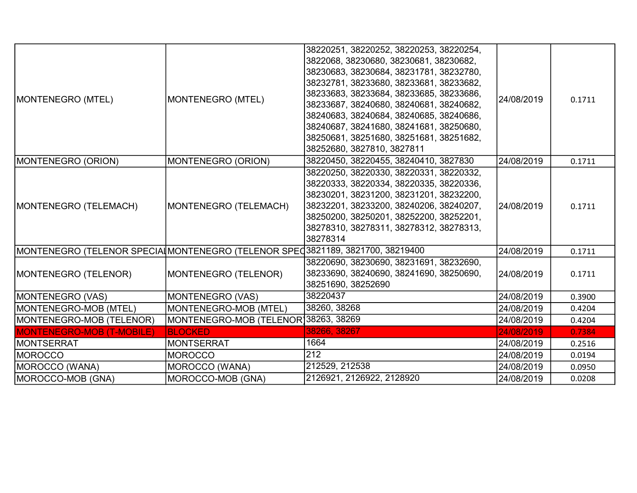| MONTENEGRO (MTEL)                                                             | MONTENEGRO (MTEL)                     | 38220251, 38220252, 38220253, 38220254,<br>3822068, 38230680, 38230681, 38230682,<br>38230683, 38230684, 38231781, 38232780,<br>38232781, 38233680, 38233681, 38233682,<br>38233683, 38233684, 38233685, 38233686,<br>38233687, 38240680, 38240681, 38240682,<br>38240683, 38240684, 38240685, 38240686,<br>38240687, 38241680, 38241681, 38250680,<br>38250681, 38251680, 38251681, 38251682,<br>38252680, 3827810, 3827811 | 24/08/2019 | 0.1711 |
|-------------------------------------------------------------------------------|---------------------------------------|------------------------------------------------------------------------------------------------------------------------------------------------------------------------------------------------------------------------------------------------------------------------------------------------------------------------------------------------------------------------------------------------------------------------------|------------|--------|
| MONTENEGRO (ORION)                                                            | MONTENEGRO (ORION)                    | 38220450, 38220455, 38240410, 3827830                                                                                                                                                                                                                                                                                                                                                                                        | 24/08/2019 | 0.1711 |
| MONTENEGRO (TELEMACH)                                                         | MONTENEGRO (TELEMACH)                 | 38220250, 38220330, 38220331, 38220332,<br>38220333, 38220334, 38220335, 38220336,<br>38230201, 38231200, 38231201, 38232200,<br>38232201, 38233200, 38240206, 38240207,<br>38250200, 38250201, 38252200, 38252201,<br>38278310, 38278311, 38278312, 38278313,<br>38278314                                                                                                                                                   | 24/08/2019 | 0.1711 |
| MONTENEGRO (TELENOR SPECIAIMONTENEGRO (TELENOR SPEC3821189, 3821700, 38219400 |                                       |                                                                                                                                                                                                                                                                                                                                                                                                                              | 24/08/2019 | 0.1711 |
| MONTENEGRO (TELENOR)                                                          | MONTENEGRO (TELENOR)                  | 38220690, 38230690, 38231691, 38232690,<br>38233690, 38240690, 38241690, 38250690,<br>38251690, 38252690                                                                                                                                                                                                                                                                                                                     | 24/08/2019 | 0.1711 |
| MONTENEGRO (VAS)                                                              | <b>MONTENEGRO (VAS)</b>               | 38220437                                                                                                                                                                                                                                                                                                                                                                                                                     | 24/08/2019 | 0.3900 |
| MONTENEGRO-MOB (MTEL)                                                         | MONTENEGRO-MOB (MTEL)                 | 38260, 38268                                                                                                                                                                                                                                                                                                                                                                                                                 | 24/08/2019 | 0.4204 |
| MONTENEGRO-MOB (TELENOR)                                                      | MONTENEGRO-MOB (TELENOR) 38263, 38269 |                                                                                                                                                                                                                                                                                                                                                                                                                              | 24/08/2019 | 0.4204 |
| <b>MONTENEGRO-MOB (T-MOBILE)</b>                                              | <b>BLOCKED</b>                        | 38266, 38267                                                                                                                                                                                                                                                                                                                                                                                                                 | 24/08/2019 | 0.7384 |
| <b>MONTSERRAT</b>                                                             | <b>MONTSERRAT</b>                     | 1664                                                                                                                                                                                                                                                                                                                                                                                                                         | 24/08/2019 | 0.2516 |
| <b>IMOROCCO</b>                                                               | <b>MOROCCO</b>                        | 212                                                                                                                                                                                                                                                                                                                                                                                                                          | 24/08/2019 | 0.0194 |
| MOROCCO (WANA)                                                                | MOROCCO (WANA)                        | 212529, 212538                                                                                                                                                                                                                                                                                                                                                                                                               | 24/08/2019 | 0.0950 |
| MOROCCO-MOB (GNA)                                                             | MOROCCO-MOB (GNA)                     | 2126921, 2126922, 2128920                                                                                                                                                                                                                                                                                                                                                                                                    | 24/08/2019 | 0.0208 |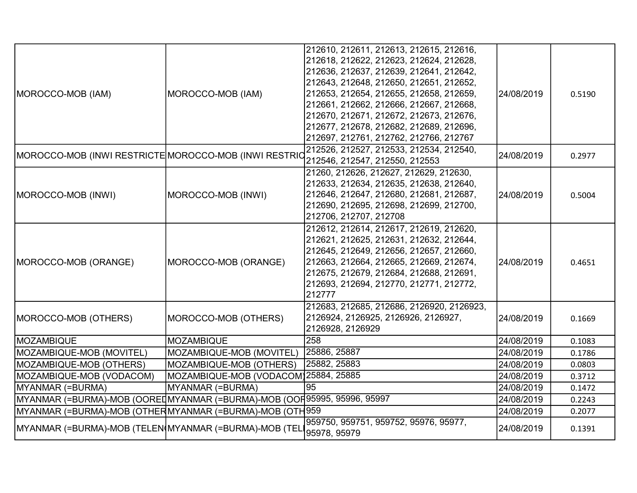| MOROCCO-MOB (IAM)                                                       | MOROCCO-MOB (IAM)                    | 212610, 212611, 212613, 212615, 212616,<br>212618, 212622, 212623, 212624, 212628,<br>212636, 212637, 212639, 212641, 212642,<br>212643, 212648, 212650, 212651, 212652,<br>212653, 212654, 212655, 212658, 212659,<br>212661, 212662, 212666, 212667, 212668,<br>212670, 212671, 212672, 212673, 212676,<br>212677, 212678, 212682, 212689, 212696,<br>212697, 212761, 212762, 212766, 212767 | 24/08/2019 | 0.5190 |
|-------------------------------------------------------------------------|--------------------------------------|------------------------------------------------------------------------------------------------------------------------------------------------------------------------------------------------------------------------------------------------------------------------------------------------------------------------------------------------------------------------------------------------|------------|--------|
| MOROCCO-MOB (INWI RESTRICTE MOROCCO-MOB (INWI RESTRIC                   |                                      | 212526, 212527, 212533, 212534, 212540,<br>212546, 212547, 212550, 212553                                                                                                                                                                                                                                                                                                                      | 24/08/2019 | 0.2977 |
| MOROCCO-MOB (INWI)                                                      | MOROCCO-MOB (INWI)                   | 21260, 212626, 212627, 212629, 212630,<br>212633, 212634, 212635, 212638, 212640,<br>212646, 212647, 212680, 212681, 212687,<br>212690, 212695, 212698, 212699, 212700,<br>212706, 212707, 212708                                                                                                                                                                                              | 24/08/2019 | 0.5004 |
| MOROCCO-MOB (ORANGE)                                                    | MOROCCO-MOB (ORANGE)                 | 212612, 212614, 212617, 212619, 212620,<br>212621, 212625, 212631, 212632, 212644,<br>212645, 212649, 212656, 212657, 212660,<br>212663, 212664, 212665, 212669, 212674,<br>212675, 212679, 212684, 212688, 212691,<br>212693, 212694, 212770, 212771, 212772,<br>212777                                                                                                                       | 24/08/2019 | 0.4651 |
| MOROCCO-MOB (OTHERS)                                                    | MOROCCO-MOB (OTHERS)                 | 212683, 212685, 212686, 2126920, 2126923,<br>2126924, 2126925, 2126926, 2126927,<br>2126928, 2126929                                                                                                                                                                                                                                                                                           | 24/08/2019 | 0.1669 |
| MOZAMBIQUE                                                              | <b>MOZAMBIQUE</b>                    | 258                                                                                                                                                                                                                                                                                                                                                                                            | 24/08/2019 | 0.1083 |
| MOZAMBIQUE-MOB (MOVITEL)                                                | MOZAMBIQUE-MOB (MOVITEL)             | 25886, 25887                                                                                                                                                                                                                                                                                                                                                                                   | 24/08/2019 | 0.1786 |
| MOZAMBIQUE-MOB (OTHERS)                                                 | MOZAMBIQUE-MOB (OTHERS)              | 25882, 25883                                                                                                                                                                                                                                                                                                                                                                                   | 24/08/2019 | 0.0803 |
| MOZAMBIQUE-MOB (VODACOM)                                                | MOZAMBIQUE-MOB (VODACOM)25884, 25885 |                                                                                                                                                                                                                                                                                                                                                                                                | 24/08/2019 | 0.3712 |
| MYANMAR (=BURMA)                                                        | MYANMAR (=BURMA)                     | 95                                                                                                                                                                                                                                                                                                                                                                                             | 24/08/2019 | 0.1472 |
| MYANMAR (=BURMA)-MOB (OORE∐MYANMAR (=BURMA)-MOB (OOH95995, 95996, 95997 |                                      |                                                                                                                                                                                                                                                                                                                                                                                                | 24/08/2019 | 0.2243 |
| MYANMAR (=BURMA)-MOB (OTHERMYANMAR (=BURMA)-MOB (OTH 959                |                                      |                                                                                                                                                                                                                                                                                                                                                                                                | 24/08/2019 | 0.2077 |
| MYANMAR (=BURMA)-MOB (TELEN(MYANMAR (=BURMA)-MOB (TEL                   |                                      | 959750, 959751, 959752, 95976, 95977,<br>95978, 95979                                                                                                                                                                                                                                                                                                                                          | 24/08/2019 | 0.1391 |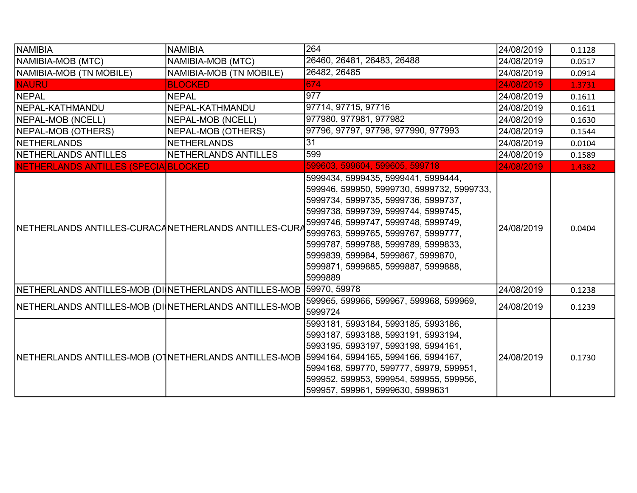| NAMIBIA                                                            | <b>NAMIBIA</b>            | 264                                                                                                                                                                                                                                                                                                                                                                          | 24/08/2019 | 0.1128 |
|--------------------------------------------------------------------|---------------------------|------------------------------------------------------------------------------------------------------------------------------------------------------------------------------------------------------------------------------------------------------------------------------------------------------------------------------------------------------------------------------|------------|--------|
| NAMIBIA-MOB (MTC)                                                  | NAMIBIA-MOB (MTC)         | 26460, 26481, 26483, 26488                                                                                                                                                                                                                                                                                                                                                   | 24/08/2019 | 0.0517 |
| NAMIBIA-MOB (TN MOBILE)                                            | NAMIBIA-MOB (TN MOBILE)   | 26482, 26485                                                                                                                                                                                                                                                                                                                                                                 | 24/08/2019 | 0.0914 |
| <b>NAURU</b>                                                       | <b>BLOCKED</b>            | 674                                                                                                                                                                                                                                                                                                                                                                          | 24/08/2019 | 1.3731 |
| NEPAL                                                              | <b>NEPAL</b>              | 977                                                                                                                                                                                                                                                                                                                                                                          | 24/08/2019 | 0.1611 |
| NEPAL-KATHMANDU                                                    | NEPAL-KATHMANDU           | 97714, 97715, 97716                                                                                                                                                                                                                                                                                                                                                          | 24/08/2019 | 0.1611 |
| NEPAL-MOB (NCELL)                                                  | NEPAL-MOB (NCELL)         | 977980, 977981, 977982                                                                                                                                                                                                                                                                                                                                                       | 24/08/2019 | 0.1630 |
| NEPAL-MOB (OTHERS)                                                 | <b>NEPAL-MOB (OTHERS)</b> | 97796, 97797, 97798, 977990, 977993                                                                                                                                                                                                                                                                                                                                          | 24/08/2019 | 0.1544 |
| NETHERLANDS                                                        | <b>NETHERLANDS</b>        | 31                                                                                                                                                                                                                                                                                                                                                                           | 24/08/2019 | 0.0104 |
| NETHERLANDS ANTILLES                                               | NETHERLANDS ANTILLES      | 599                                                                                                                                                                                                                                                                                                                                                                          | 24/08/2019 | 0.1589 |
| NETHERLANDS ANTILLES (SPECIA BLOCKED                               |                           | 599603, 599604, 599605, 599718                                                                                                                                                                                                                                                                                                                                               | 24/08/2019 | 1.4382 |
| NETHERLANDS ANTILLES-CURACANETHERLANDS ANTILLES-CURA               |                           | 5999434, 5999435, 5999441, 5999444,<br>599946, 599950, 5999730, 5999732, 5999733,<br>5999734, 5999735, 5999736, 5999737,<br>5999738, 5999739, 5999744, 5999745,<br>5999746, 5999747, 5999748, 5999749,<br>5999763, 5999765, 5999767, 5999777,<br>5999787, 5999788, 5999789, 5999833,<br>5999839, 599984, 5999867, 5999870,<br>5999871, 5999885, 5999887, 5999888,<br>5999889 | 24/08/2019 | 0.0404 |
| NETHERLANDS ANTILLES-MOB (DI NETHERLANDS ANTILLES-MOB 59970, 59978 |                           |                                                                                                                                                                                                                                                                                                                                                                              | 24/08/2019 | 0.1238 |
| NETHERLANDS ANTILLES-MOB (DI NETHERLANDS ANTILLES-MOB              |                           | 599965, 599966, 599967, 599968, 599969,<br>5999724                                                                                                                                                                                                                                                                                                                           | 24/08/2019 | 0.1239 |
|                                                                    |                           | 5993181, 5993184, 5993185, 5993186,<br>5993187, 5993188, 5993191, 5993194,<br>5993195, 5993197, 5993198, 5994161,<br>NETHERLANDS ANTILLES-MOB (OTNETHERLANDS ANTILLES-MOB   5994164, 5994165, 5994166, 5994167,<br>5994168, 599770, 599777, 59979, 599951,<br>599952, 599953, 599954, 599955, 599956,<br>599957, 599961, 5999630, 5999631                                    | 24/08/2019 | 0.1730 |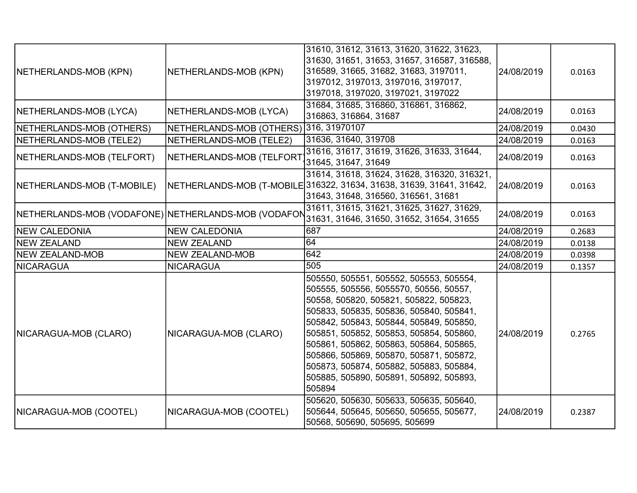| NETHERLANDS-MOB (KPN)                               | NETHERLANDS-MOB (KPN)                  | 31610, 31612, 31613, 31620, 31622, 31623,<br>31630, 31651, 31653, 31657, 316587, 316588,<br>316589, 31665, 31682, 31683, 3197011,<br>3197012, 3197013, 3197016, 3197017,<br>3197018, 3197020, 3197021, 3197022                                                                                                                                                                                                                                     | 24/08/2019 | 0.0163 |
|-----------------------------------------------------|----------------------------------------|----------------------------------------------------------------------------------------------------------------------------------------------------------------------------------------------------------------------------------------------------------------------------------------------------------------------------------------------------------------------------------------------------------------------------------------------------|------------|--------|
| NETHERLANDS-MOB (LYCA)                              | NETHERLANDS-MOB (LYCA)                 | 31684, 31685, 316860, 316861, 316862,<br>316863, 316864, 31687                                                                                                                                                                                                                                                                                                                                                                                     | 24/08/2019 | 0.0163 |
| NETHERLANDS-MOB (OTHERS)                            | NETHERLANDS-MOB (OTHERS) 316, 31970107 |                                                                                                                                                                                                                                                                                                                                                                                                                                                    | 24/08/2019 | 0.0430 |
| NETHERLANDS-MOB (TELE2)                             | NETHERLANDS-MOB (TELE2)                | 31636, 31640, 319708                                                                                                                                                                                                                                                                                                                                                                                                                               | 24/08/2019 | 0.0163 |
| NETHERLANDS-MOB (TELFORT)                           | NETHERLANDS-MOB (TELFORT               | 31616, 31617, 31619, 31626, 31633, 31644,<br>31645, 31647, 31649                                                                                                                                                                                                                                                                                                                                                                                   | 24/08/2019 | 0.0163 |
| NETHERLANDS-MOB (T-MOBILE)                          |                                        | 31614, 31618, 31624, 31628, 316320, 316321,<br>NETHERLANDS-MOB (T-MOBILE 316322, 31634, 31638, 31639, 31641, 31642,<br>31643, 31648, 316560, 316561, 31681                                                                                                                                                                                                                                                                                         | 24/08/2019 | 0.0163 |
| NETHERLANDS-MOB (VODAFONE) NETHERLANDS-MOB (VODAFON |                                        | 31611, 31615, 31621, 31625, 31627, 31629,<br>31631, 31646, 31650, 31652, 31654, 31655                                                                                                                                                                                                                                                                                                                                                              | 24/08/2019 | 0.0163 |
| <b>NEW CALEDONIA</b>                                | <b>NEW CALEDONIA</b>                   | 687                                                                                                                                                                                                                                                                                                                                                                                                                                                | 24/08/2019 | 0.2683 |
| NEW ZEALAND                                         | <b>NEW ZEALAND</b>                     | $\overline{64}$                                                                                                                                                                                                                                                                                                                                                                                                                                    | 24/08/2019 | 0.0138 |
| NEW ZEALAND-MOB                                     | <b>NEW ZEALAND-MOB</b>                 | 642                                                                                                                                                                                                                                                                                                                                                                                                                                                | 24/08/2019 | 0.0398 |
| NICARAGUA                                           | <b>NICARAGUA</b>                       | 505                                                                                                                                                                                                                                                                                                                                                                                                                                                | 24/08/2019 | 0.1357 |
| NICARAGUA-MOB (CLARO)                               | NICARAGUA-MOB (CLARO)                  | 505550, 505551, 505552, 505553, 505554,<br>505555, 505556, 5055570, 50556, 50557,<br>50558, 505820, 505821, 505822, 505823,<br>505833, 505835, 505836, 505840, 505841,<br>505842, 505843, 505844, 505849, 505850,<br>505851, 505852, 505853, 505854, 505860,<br>505861, 505862, 505863, 505864, 505865,<br>505866, 505869, 505870, 505871, 505872,<br>505873, 505874, 505882, 505883, 505884,<br>505885, 505890, 505891, 505892, 505893,<br>505894 | 24/08/2019 | 0.2765 |
| NICARAGUA-MOB (COOTEL)                              | NICARAGUA-MOB (COOTEL)                 | 505620, 505630, 505633, 505635, 505640,<br>505644, 505645, 505650, 505655, 505677,<br>50568, 505690, 505695, 505699                                                                                                                                                                                                                                                                                                                                | 24/08/2019 | 0.2387 |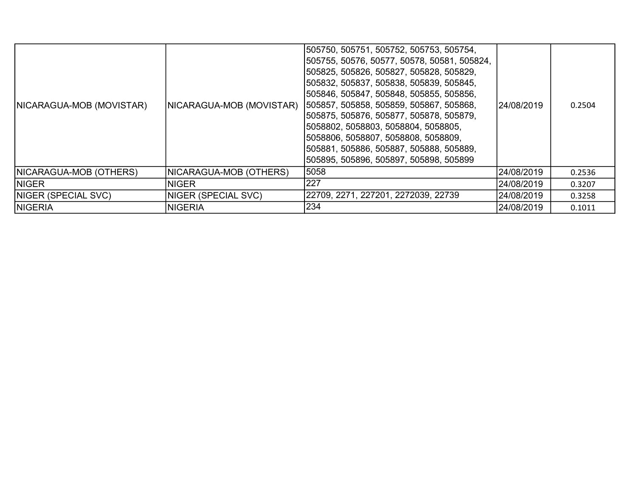| NICARAGUA-MOB (MOVISTAR) | NICARAGUA-MOB (MOVISTAR)   | 1505750, 505751, 505752, 505753, 505754,<br> 505755, 50576, 50577, 50578, 50581, 505824,<br>505825, 505826, 505827, 505828, 505829,<br>505832, 505837, 505838, 505839, 505845,<br> 505846, 505847, 505848, 505855, 505856,<br> 505857, 505858, 505859, 505867, 505868,<br> 505875, 505876, 505877, 505878, 505879,<br> 5058802, 5058803, 5058804, 5058805,<br>5058806, 5058807, 5058808, 5058809,<br> 505881, 505886, 505887, 505888, 505889,<br> 505895, 505896, 505897, 505898, 505899 | 24/08/2019 | 0.2504 |
|--------------------------|----------------------------|------------------------------------------------------------------------------------------------------------------------------------------------------------------------------------------------------------------------------------------------------------------------------------------------------------------------------------------------------------------------------------------------------------------------------------------------------------------------------------------|------------|--------|
| NICARAGUA-MOB (OTHERS)   | NICARAGUA-MOB (OTHERS)     | 5058                                                                                                                                                                                                                                                                                                                                                                                                                                                                                     | 24/08/2019 | 0.2536 |
| <b>INIGER</b>            | <b>NIGER</b>               | 227                                                                                                                                                                                                                                                                                                                                                                                                                                                                                      | 24/08/2019 | 0.3207 |
| NIGER (SPECIAL SVC)      | <b>NIGER (SPECIAL SVC)</b> | 22709, 2271, 227201, 2272039, 22739                                                                                                                                                                                                                                                                                                                                                                                                                                                      | 24/08/2019 | 0.3258 |
| <b>NIGERIA</b>           | <b>NIGERIA</b>             | 234                                                                                                                                                                                                                                                                                                                                                                                                                                                                                      | 24/08/2019 | 0.1011 |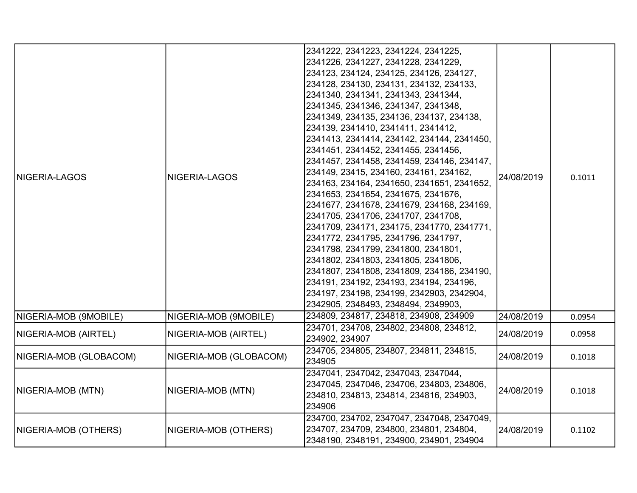| <b>NIGERIA-LAGOS</b>     | NIGERIA-LAGOS          | 2341222, 2341223, 2341224, 2341225,<br>2341226, 2341227, 2341228, 2341229,<br>234123, 234124, 234125, 234126, 234127,<br>234128, 234130, 234131, 234132, 234133,<br>2341340, 2341341, 2341343, 2341344,<br>2341345, 2341346, 2341347, 2341348,<br>2341349, 234135, 234136, 234137, 234138,<br>234139, 2341410, 2341411, 2341412,<br>2341413, 2341414, 234142, 234144, 2341450,<br>2341451, 2341452, 2341455, 2341456,<br>2341457, 2341458, 2341459, 234146, 234147,<br>234149, 23415, 234160, 234161, 234162,<br>234163, 234164, 2341650, 2341651, 2341652,<br>2341653, 2341654, 2341675, 2341676,<br>2341677, 2341678, 2341679, 234168, 234169,<br>2341705, 2341706, 2341707, 2341708,<br>2341709, 234171, 234175, 2341770, 2341771,<br>2341772, 2341795, 2341796, 2341797,<br>2341798, 2341799, 2341800, 2341801,<br>2341802, 2341803, 2341805, 2341806,<br>2341807, 2341808, 2341809, 234186, 234190,<br>234191, 234192, 234193, 234194, 234196,<br>234197, 234198, 234199, 2342903, 2342904,<br>2342905, 2348493, 2348494, 2349903, | 24/08/2019 | 0.1011 |
|--------------------------|------------------------|-----------------------------------------------------------------------------------------------------------------------------------------------------------------------------------------------------------------------------------------------------------------------------------------------------------------------------------------------------------------------------------------------------------------------------------------------------------------------------------------------------------------------------------------------------------------------------------------------------------------------------------------------------------------------------------------------------------------------------------------------------------------------------------------------------------------------------------------------------------------------------------------------------------------------------------------------------------------------------------------------------------------------------------------|------------|--------|
| NIGERIA-MOB (9MOBILE)    | NIGERIA-MOB (9MOBILE)  | 234809, 234817, 234818, 234908, 234909                                                                                                                                                                                                                                                                                                                                                                                                                                                                                                                                                                                                                                                                                                                                                                                                                                                                                                                                                                                                  | 24/08/2019 | 0.0954 |
| NIGERIA-MOB (AIRTEL)     | NIGERIA-MOB (AIRTEL)   | 234701, 234708, 234802, 234808, 234812,<br>234902, 234907                                                                                                                                                                                                                                                                                                                                                                                                                                                                                                                                                                                                                                                                                                                                                                                                                                                                                                                                                                               | 24/08/2019 | 0.0958 |
| NIGERIA-MOB (GLOBACOM)   | NIGERIA-MOB (GLOBACOM) | 234705, 234805, 234807, 234811, 234815,<br>234905                                                                                                                                                                                                                                                                                                                                                                                                                                                                                                                                                                                                                                                                                                                                                                                                                                                                                                                                                                                       | 24/08/2019 | 0.1018 |
| <b>NIGERIA-MOB (MTN)</b> | NIGERIA-MOB (MTN)      | 2347041, 2347042, 2347043, 2347044,<br>2347045, 2347046, 234706, 234803, 234806,<br>234810, 234813, 234814, 234816, 234903,<br>234906                                                                                                                                                                                                                                                                                                                                                                                                                                                                                                                                                                                                                                                                                                                                                                                                                                                                                                   | 24/08/2019 | 0.1018 |
| NIGERIA-MOB (OTHERS)     | NIGERIA-MOB (OTHERS)   | 234700, 234702, 2347047, 2347048, 2347049,<br>234707, 234709, 234800, 234801, 234804,<br>2348190, 2348191, 234900, 234901, 234904                                                                                                                                                                                                                                                                                                                                                                                                                                                                                                                                                                                                                                                                                                                                                                                                                                                                                                       | 24/08/2019 | 0.1102 |
|                          |                        |                                                                                                                                                                                                                                                                                                                                                                                                                                                                                                                                                                                                                                                                                                                                                                                                                                                                                                                                                                                                                                         |            |        |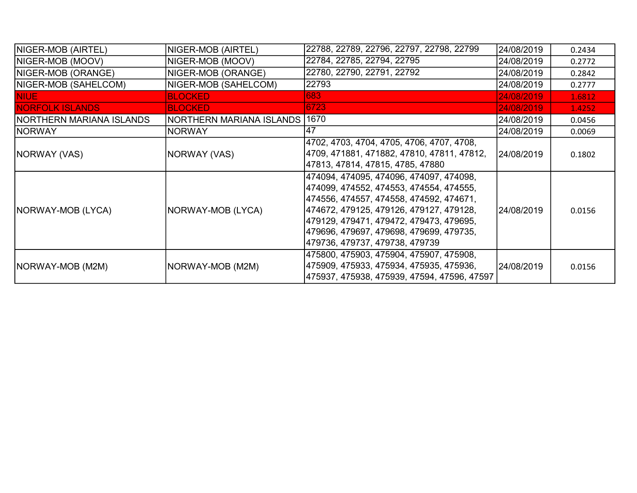| NIGER-MOB (AIRTEL)        | NIGER-MOB (AIRTEL)       | 22788, 22789, 22796, 22797, 22798, 22799                                                                                                                                                                                                                                                          | 24/08/2019  | 0.2434 |
|---------------------------|--------------------------|---------------------------------------------------------------------------------------------------------------------------------------------------------------------------------------------------------------------------------------------------------------------------------------------------|-------------|--------|
| NIGER-MOB (MOOV)          | NIGER-MOB (MOOV)         | 22784, 22785, 22794, 22795                                                                                                                                                                                                                                                                        | 24/08/2019  | 0.2772 |
| NIGER-MOB (ORANGE)        | NIGER-MOB (ORANGE)       | 22780, 22790, 22791, 22792                                                                                                                                                                                                                                                                        | 24/08/2019  | 0.2842 |
| NIGER-MOB (SAHELCOM)      | NIGER-MOB (SAHELCOM)     | 22793                                                                                                                                                                                                                                                                                             | 24/08/2019  | 0.2777 |
| <b>NIUE</b>               | <b>BLOCKED</b>           | 683                                                                                                                                                                                                                                                                                               | 24/08/2019  | 1.6812 |
| <b>NORFOLK ISLANDS</b>    | <b>BLOCKED</b>           | 6723                                                                                                                                                                                                                                                                                              | 24/08/2019  | 1.4252 |
| INORTHERN MARIANA ISLANDS | NORTHERN MARIANA ISLANDS | 1670                                                                                                                                                                                                                                                                                              | 24/08/2019  | 0.0456 |
| <b>NORWAY</b>             | <b>NORWAY</b>            | 147                                                                                                                                                                                                                                                                                               | 24/08/2019  | 0.0069 |
| <b>NORWAY (VAS)</b>       | NORWAY (VAS)             | 4702, 4703, 4704, 4705, 4706, 4707, 4708,<br>4709, 471881, 471882, 47810, 47811, 47812,<br>47813, 47814, 47815, 4785, 47880                                                                                                                                                                       | 124/08/2019 | 0.1802 |
| NORWAY-MOB (LYCA)         | NORWAY-MOB (LYCA)        | 474094, 474095, 474096, 474097, 474098,<br>474099, 474552, 474553, 474554, 474555,<br> 474556, 474557, 474558, 474592, 474671,<br>474672, 479125, 479126, 479127, 479128,<br>479129, 479471, 479472, 479473, 479695,<br>479696, 479697, 479698, 479699, 479735,<br>479736, 479737, 479738, 479739 | 24/08/2019  | 0.0156 |
| <b>NORWAY-MOB (M2M)</b>   | NORWAY-MOB (M2M)         | 475800, 475903, 475904, 475907, 475908,<br>475909, 475933, 475934, 475935, 475936,<br>475937, 475938, 475939, 47594, 47596, 47597                                                                                                                                                                 | 24/08/2019  | 0.0156 |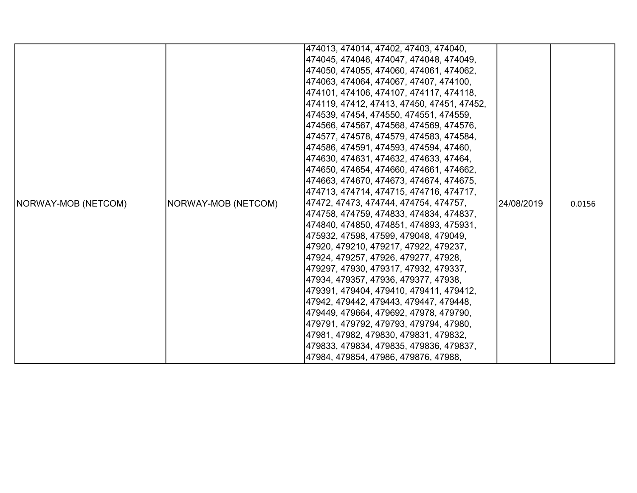|                     |                     | 474013, 474014, 47402, 47403, 474040,      |            |        |
|---------------------|---------------------|--------------------------------------------|------------|--------|
|                     |                     | 474045, 474046, 474047, 474048, 474049,    |            |        |
|                     |                     | 474050, 474055, 474060, 474061, 474062,    |            |        |
|                     |                     | 474063, 474064, 474067, 47407, 474100,     |            |        |
|                     |                     | 474101, 474106, 474107, 474117, 474118,    |            |        |
|                     |                     | 474119, 47412, 47413, 47450, 47451, 47452, |            |        |
|                     |                     | 474539, 47454, 474550, 474551, 474559,     |            |        |
|                     |                     | 474566, 474567, 474568, 474569, 474576,    |            |        |
|                     |                     | 474577, 474578, 474579, 474583, 474584,    |            |        |
|                     |                     | 474586, 474591, 474593, 474594, 47460,     |            |        |
|                     |                     | 474630, 474631, 474632, 474633, 47464,     |            |        |
|                     |                     | 474650, 474654, 474660, 474661, 474662,    |            |        |
|                     |                     | 474663, 474670, 474673, 474674, 474675,    |            |        |
|                     |                     | 474713, 474714, 474715, 474716, 474717,    |            |        |
| NORWAY-MOB (NETCOM) | NORWAY-MOB (NETCOM) | 47472, 47473, 474744, 474754, 474757,      | 24/08/2019 | 0.0156 |
|                     |                     | 474758, 474759, 474833, 474834, 474837,    |            |        |
|                     |                     | 474840, 474850, 474851, 474893, 475931,    |            |        |
|                     |                     | 475932, 47598, 47599, 479048, 479049,      |            |        |
|                     |                     | 47920, 479210, 479217, 47922, 479237,      |            |        |
|                     |                     | 47924, 479257, 47926, 479277, 47928,       |            |        |
|                     |                     | 479297, 47930, 479317, 47932, 479337,      |            |        |
|                     |                     | 47934, 479357, 47936, 479377, 47938,       |            |        |
|                     |                     | 479391, 479404, 479410, 479411, 479412,    |            |        |
|                     |                     | 47942, 479442, 479443, 479447, 479448,     |            |        |
|                     |                     | 479449, 479664, 479692, 47978, 479790,     |            |        |
|                     |                     | 479791, 479792, 479793, 479794, 47980,     |            |        |
|                     |                     | 47981, 47982, 479830, 479831, 479832,      |            |        |
|                     |                     | 479833, 479834, 479835, 479836, 479837,    |            |        |
|                     |                     | 47984, 479854, 47986, 479876, 47988,       |            |        |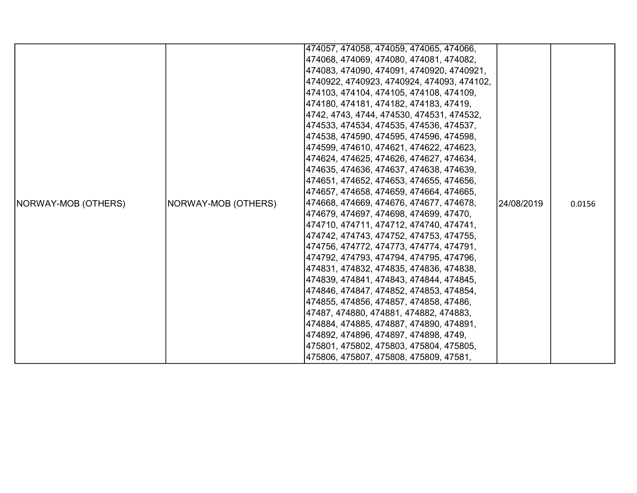|                     |                     | 474057, 474058, 474059, 474065, 474066,    |             |        |
|---------------------|---------------------|--------------------------------------------|-------------|--------|
|                     |                     |                                            |             |        |
|                     |                     | 474068, 474069, 474080, 474081, 474082,    |             |        |
|                     |                     | 474083, 474090, 474091, 4740920, 4740921,  |             |        |
|                     |                     | 4740922, 4740923, 4740924, 474093, 474102, |             |        |
|                     |                     | 474103, 474104, 474105, 474108, 474109,    |             |        |
|                     |                     | 474180, 474181, 474182, 474183, 47419,     |             |        |
|                     |                     | 4742, 4743, 4744, 474530, 474531, 474532,  |             |        |
|                     |                     | 474533, 474534, 474535, 474536, 474537,    |             |        |
|                     |                     | 474538, 474590, 474595, 474596, 474598,    |             |        |
|                     |                     | 474599, 474610, 474621, 474622, 474623,    |             | 0.0156 |
|                     |                     | 474624, 474625, 474626, 474627, 474634,    |             |        |
|                     | NORWAY-MOB (OTHERS) | 474635, 474636, 474637, 474638, 474639,    | l24/08/2019 |        |
|                     |                     | 474651, 474652, 474653, 474655, 474656,    |             |        |
|                     |                     | 474657, 474658, 474659, 474664, 474665,    |             |        |
| NORWAY-MOB (OTHERS) |                     | 474668, 474669, 474676, 474677, 474678,    |             |        |
|                     |                     | 474679, 474697, 474698, 474699, 47470,     |             |        |
|                     |                     | 474710, 474711, 474712, 474740, 474741,    |             |        |
|                     |                     | 474742, 474743, 474752, 474753, 474755,    |             |        |
|                     |                     | 474756, 474772, 474773, 474774, 474791,    |             |        |
|                     |                     | 474792, 474793, 474794, 474795, 474796,    |             |        |
|                     |                     | 474831, 474832, 474835, 474836, 474838,    |             |        |
|                     |                     | 474839, 474841, 474843, 474844, 474845,    |             |        |
|                     |                     | 474846, 474847, 474852, 474853, 474854,    |             |        |
|                     |                     | 474855, 474856, 474857, 474858, 47486,     |             |        |
|                     |                     | 47487, 474880, 474881, 474882, 474883,     |             |        |
|                     |                     | 474884, 474885, 474887, 474890, 474891,    |             |        |
|                     |                     | 474892, 474896, 474897, 474898, 4749,      |             |        |
|                     |                     | 475801, 475802, 475803, 475804, 475805,    |             |        |
|                     |                     | 475806, 475807, 475808, 475809, 47581,     |             |        |
|                     |                     |                                            |             |        |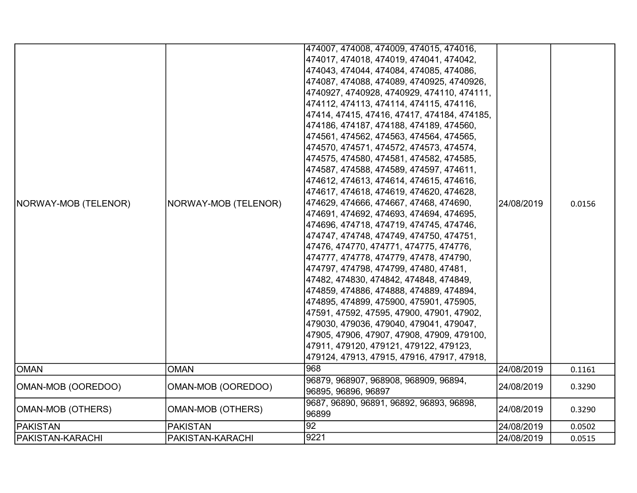| NORWAY-MOB (TELENOR)    | NORWAY-MOB (TELENOR)     | 474007, 474008, 474009, 474015, 474016,<br>474017, 474018, 474019, 474041, 474042,<br>474043, 474044, 474084, 474085, 474086,<br>474087, 474088, 474089, 4740925, 4740926,<br>4740927, 4740928, 4740929, 474110, 474111,<br>474112, 474113, 474114, 474115, 474116,<br> 47414, 47415, 47416, 47417, 474184, 474185,<br> 474186, 474187, 474188, 474189, 474560,<br> 474561, 474562, 474563, 474564, 474565,<br> 474570, 474571, 474572, 474573, 474574,<br>474575, 474580, 474581, 474582, 474585,<br> 474587, 474588, 474589, 474597, 474611,<br> 474612, 474613, 474614, 474615, 474616,<br> 474617, 474618, 474619, 474620, 474628,<br> 474629, 474666, 474667, 47468, 474690,<br>474691, 474692, 474693, 474694, 474695,<br> 474696, 474718, 474719, 474745, 474746,<br> 474747, 474748, 474749, 474750, 474751,<br> 47476, 474770, 474771, 474775, 474776,<br> 474777, 474778, 474779, 47478, 474790,<br>474797, 474798, 474799, 47480, 47481,<br>47482, 474830, 474842, 474848, 474849,<br>474859, 474886, 474888, 474889, 474894,<br>474895, 474899, 475900, 475901, 475905,<br>47591, 47592, 47595, 47900, 47901, 47902,<br>479030, 479036, 479040, 479041, 479047,<br>47905, 47906, 47907, 47908, 47909, 479100,<br> 47911, 479120, 479121, 479122, 479123,<br>479124, 47913, 47915, 47916, 47917, 47918, | 24/08/2019 | 0.0156 |
|-------------------------|--------------------------|--------------------------------------------------------------------------------------------------------------------------------------------------------------------------------------------------------------------------------------------------------------------------------------------------------------------------------------------------------------------------------------------------------------------------------------------------------------------------------------------------------------------------------------------------------------------------------------------------------------------------------------------------------------------------------------------------------------------------------------------------------------------------------------------------------------------------------------------------------------------------------------------------------------------------------------------------------------------------------------------------------------------------------------------------------------------------------------------------------------------------------------------------------------------------------------------------------------------------------------------------------------------------------------------------------------------|------------|--------|
| <b>OMAN</b>             | <b>OMAN</b>              | 968                                                                                                                                                                                                                                                                                                                                                                                                                                                                                                                                                                                                                                                                                                                                                                                                                                                                                                                                                                                                                                                                                                                                                                                                                                                                                                                | 24/08/2019 | 0.1161 |
| OMAN-MOB (OOREDOO)      | OMAN-MOB (OOREDOO)       | 96879, 968907, 968908, 968909, 96894,<br>96895, 96896, 96897                                                                                                                                                                                                                                                                                                                                                                                                                                                                                                                                                                                                                                                                                                                                                                                                                                                                                                                                                                                                                                                                                                                                                                                                                                                       | 24/08/2019 | 0.3290 |
| OMAN-MOB (OTHERS)       | <b>OMAN-MOB (OTHERS)</b> | 9687, 96890, 96891, 96892, 96893, 96898,<br>96899                                                                                                                                                                                                                                                                                                                                                                                                                                                                                                                                                                                                                                                                                                                                                                                                                                                                                                                                                                                                                                                                                                                                                                                                                                                                  | 24/08/2019 | 0.3290 |
| <b>PAKISTAN</b>         | <b>PAKISTAN</b>          | 92                                                                                                                                                                                                                                                                                                                                                                                                                                                                                                                                                                                                                                                                                                                                                                                                                                                                                                                                                                                                                                                                                                                                                                                                                                                                                                                 | 24/08/2019 | 0.0502 |
| <b>PAKISTAN-KARACHI</b> | PAKISTAN-KARACHI         | 9221                                                                                                                                                                                                                                                                                                                                                                                                                                                                                                                                                                                                                                                                                                                                                                                                                                                                                                                                                                                                                                                                                                                                                                                                                                                                                                               | 24/08/2019 | 0.0515 |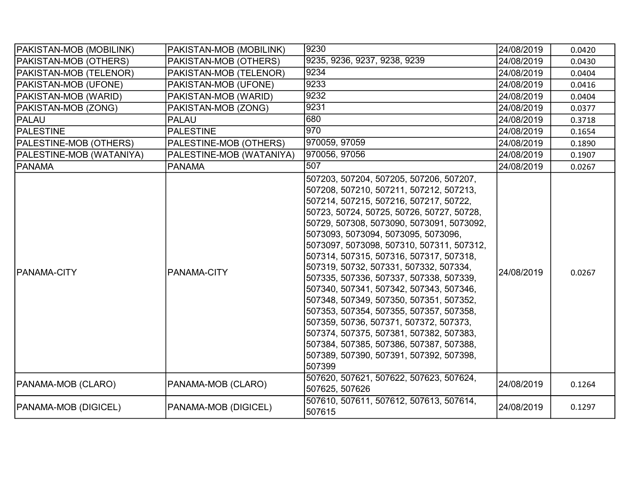| PAKISTAN-MOB (MOBILINK)     | PAKISTAN-MOB (MOBILINK)  | 9230                                                                                                                                                                                                                                                                                                                                                                                                                                                                                                                                                                                                                                                                                                                                                             | 24/08/2019 | 0.0420 |
|-----------------------------|--------------------------|------------------------------------------------------------------------------------------------------------------------------------------------------------------------------------------------------------------------------------------------------------------------------------------------------------------------------------------------------------------------------------------------------------------------------------------------------------------------------------------------------------------------------------------------------------------------------------------------------------------------------------------------------------------------------------------------------------------------------------------------------------------|------------|--------|
| PAKISTAN-MOB (OTHERS)       | PAKISTAN-MOB (OTHERS)    | 9235, 9236, 9237, 9238, 9239                                                                                                                                                                                                                                                                                                                                                                                                                                                                                                                                                                                                                                                                                                                                     | 24/08/2019 | 0.0430 |
| PAKISTAN-MOB (TELENOR)      | PAKISTAN-MOB (TELENOR)   | 9234                                                                                                                                                                                                                                                                                                                                                                                                                                                                                                                                                                                                                                                                                                                                                             | 24/08/2019 | 0.0404 |
| PAKISTAN-MOB (UFONE)        | PAKISTAN-MOB (UFONE)     | 9233                                                                                                                                                                                                                                                                                                                                                                                                                                                                                                                                                                                                                                                                                                                                                             | 24/08/2019 | 0.0416 |
| PAKISTAN-MOB (WARID)        | PAKISTAN-MOB (WARID)     | 9232                                                                                                                                                                                                                                                                                                                                                                                                                                                                                                                                                                                                                                                                                                                                                             | 24/08/2019 | 0.0404 |
| PAKISTAN-MOB (ZONG)         | PAKISTAN-MOB (ZONG)      | 9231                                                                                                                                                                                                                                                                                                                                                                                                                                                                                                                                                                                                                                                                                                                                                             | 24/08/2019 | 0.0377 |
| PALAU                       | <b>PALAU</b>             | 680                                                                                                                                                                                                                                                                                                                                                                                                                                                                                                                                                                                                                                                                                                                                                              | 24/08/2019 | 0.3718 |
| <b>PALESTINE</b>            | <b>PALESTINE</b>         | 1970                                                                                                                                                                                                                                                                                                                                                                                                                                                                                                                                                                                                                                                                                                                                                             | 24/08/2019 | 0.1654 |
| PALESTINE-MOB (OTHERS)      | PALESTINE-MOB (OTHERS)   | 970059, 97059                                                                                                                                                                                                                                                                                                                                                                                                                                                                                                                                                                                                                                                                                                                                                    | 24/08/2019 | 0.1890 |
| PALESTINE-MOB (WATANIYA)    | PALESTINE-MOB (WATANIYA) | 970056, 97056                                                                                                                                                                                                                                                                                                                                                                                                                                                                                                                                                                                                                                                                                                                                                    | 24/08/2019 | 0.1907 |
| <b>PANAMA</b>               | <b>PANAMA</b>            | 507                                                                                                                                                                                                                                                                                                                                                                                                                                                                                                                                                                                                                                                                                                                                                              | 24/08/2019 | 0.0267 |
| <b>IPANAMA-CITY</b>         | PANAMA-CITY              | 507203, 507204, 507205, 507206, 507207,<br>507208, 507210, 507211, 507212, 507213,<br>507214, 507215, 507216, 507217, 50722,<br>50723, 50724, 50725, 50726, 50727, 50728,<br>50729, 507308, 5073090, 5073091, 5073092,<br>5073093, 5073094, 5073095, 5073096,<br>5073097, 5073098, 507310, 507311, 507312,<br>507314, 507315, 507316, 507317, 507318,<br>507319, 50732, 507331, 507332, 507334,<br>507335, 507336, 507337, 507338, 507339,<br>507340, 507341, 507342, 507343, 507346,<br>507348, 507349, 507350, 507351, 507352,<br>507353, 507354, 507355, 507357, 507358,<br>507359, 50736, 507371, 507372, 507373,<br>507374, 507375, 507381, 507382, 507383,<br>507384, 507385, 507386, 507387, 507388,<br>507389, 507390, 507391, 507392, 507398,<br>507399 | 24/08/2019 | 0.0267 |
| PANAMA-MOB (CLARO)          | PANAMA-MOB (CLARO)       | 507620, 507621, 507622, 507623, 507624,<br>507625, 507626                                                                                                                                                                                                                                                                                                                                                                                                                                                                                                                                                                                                                                                                                                        | 24/08/2019 | 0.1264 |
| <b>PANAMA-MOB (DIGICEL)</b> | PANAMA-MOB (DIGICEL)     | 507610, 507611, 507612, 507613, 507614,<br>507615                                                                                                                                                                                                                                                                                                                                                                                                                                                                                                                                                                                                                                                                                                                | 24/08/2019 | 0.1297 |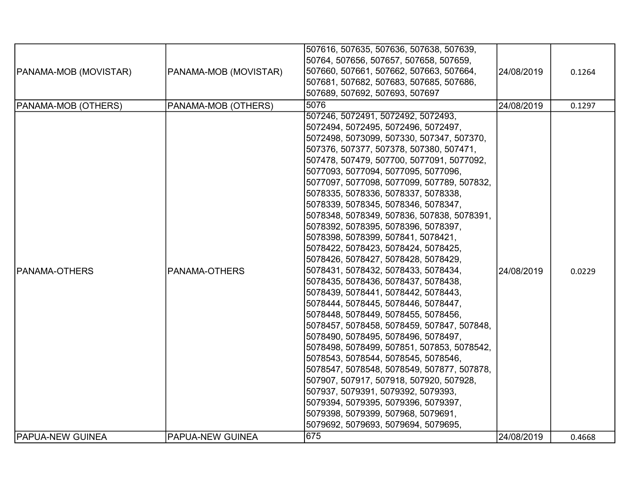| <b>PANAMA-MOB (MOVISTAR)</b> | PANAMA-MOB (MOVISTAR)   | 507616, 507635, 507636, 507638, 507639,<br>50764, 507656, 507657, 507658, 507659,<br>507660, 507661, 507662, 507663, 507664,<br>507681, 507682, 507683, 507685, 507686,<br>507689, 507692, 507693, 507697                                                                                                                                                                                                                                                                                                                                                                                                                                                                                                                                                                                                                                                                                                                                                                                                                                                                                                                                                                                                                  | 24/08/2019 | 0.1264 |
|------------------------------|-------------------------|----------------------------------------------------------------------------------------------------------------------------------------------------------------------------------------------------------------------------------------------------------------------------------------------------------------------------------------------------------------------------------------------------------------------------------------------------------------------------------------------------------------------------------------------------------------------------------------------------------------------------------------------------------------------------------------------------------------------------------------------------------------------------------------------------------------------------------------------------------------------------------------------------------------------------------------------------------------------------------------------------------------------------------------------------------------------------------------------------------------------------------------------------------------------------------------------------------------------------|------------|--------|
| PANAMA-MOB (OTHERS)          | PANAMA-MOB (OTHERS)     | 5076                                                                                                                                                                                                                                                                                                                                                                                                                                                                                                                                                                                                                                                                                                                                                                                                                                                                                                                                                                                                                                                                                                                                                                                                                       | 24/08/2019 | 0.1297 |
| <b>PANAMA-OTHERS</b>         | PANAMA-OTHERS           | 507246, 5072491, 5072492, 5072493,<br>5072494, 5072495, 5072496, 5072497,<br>5072498, 5073099, 507330, 507347, 507370,<br>507376, 507377, 507378, 507380, 507471,<br>507478, 507479, 507700, 5077091, 5077092,<br>5077093, 5077094, 5077095, 5077096,<br>5077097, 5077098, 5077099, 507789, 507832,<br>5078335, 5078336, 5078337, 5078338,<br>5078339, 5078345, 5078346, 5078347,<br>5078348, 5078349, 507836, 507838, 5078391,<br>5078392, 5078395, 5078396, 5078397,<br>5078398, 5078399, 507841, 5078421,<br>5078422, 5078423, 5078424, 5078425,<br>5078426, 5078427, 5078428, 5078429,<br>5078431, 5078432, 5078433, 5078434,<br>5078435, 5078436, 5078437, 5078438,<br>5078439, 5078441, 5078442, 5078443,<br>5078444, 5078445, 5078446, 5078447,<br>5078448, 5078449, 5078455, 5078456,<br>5078457, 5078458, 5078459, 507847, 507848,<br>5078490, 5078495, 5078496, 5078497,<br>5078498, 5078499, 507851, 507853, 5078542,<br>5078543, 5078544, 5078545, 5078546,<br>5078547, 5078548, 5078549, 507877, 507878,<br>507907, 507917, 507918, 507920, 507928,<br>507937, 5079391, 5079392, 5079393,<br>5079394, 5079395, 5079396, 5079397,<br>5079398, 5079399, 507968, 5079691,<br>5079692, 5079693, 5079694, 5079695, | 24/08/2019 | 0.0229 |
| <b>PAPUA-NEW GUINEA</b>      | <b>PAPUA-NEW GUINEA</b> | 675                                                                                                                                                                                                                                                                                                                                                                                                                                                                                                                                                                                                                                                                                                                                                                                                                                                                                                                                                                                                                                                                                                                                                                                                                        | 24/08/2019 | 0.4668 |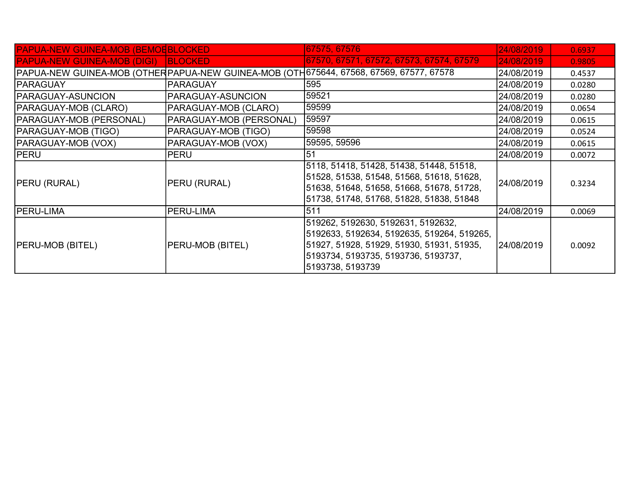| <b>PAPUA-NEW GUINEA-MOB (BEMOEBLOCKED)</b> |                         | 67575, 67576                                                                                                                                                                             | 24/08/2019 | 0.6937 |
|--------------------------------------------|-------------------------|------------------------------------------------------------------------------------------------------------------------------------------------------------------------------------------|------------|--------|
| <b>PAPUA-NEW GUINEA-MOB (DIGI) BLOCKED</b> |                         | 67570, 67571, 67572, 67573, 67574, 67579                                                                                                                                                 | 24/08/2019 | 0.9805 |
|                                            |                         | PAPUA-NEW GUINEA-MOB (OTHER PAPUA-NEW GUINEA-MOB (OTH 675644, 67568, 67569, 67577, 67578                                                                                                 | 24/08/2019 | 0.4537 |
| <b>PARAGUAY</b>                            | <b>PARAGUAY</b>         | 595                                                                                                                                                                                      | 24/08/2019 | 0.0280 |
| <b>PARAGUAY-ASUNCION</b>                   | PARAGUAY-ASUNCION       | 59521                                                                                                                                                                                    | 24/08/2019 | 0.0280 |
| <b>PARAGUAY-MOB (CLARO)</b>                | PARAGUAY-MOB (CLARO)    | 59599                                                                                                                                                                                    | 24/08/2019 | 0.0654 |
| PARAGUAY-MOB (PERSONAL)                    | PARAGUAY-MOB (PERSONAL) | 59597                                                                                                                                                                                    | 24/08/2019 | 0.0615 |
| <b>PARAGUAY-MOB (TIGO)</b>                 | PARAGUAY-MOB (TIGO)     | 59598                                                                                                                                                                                    | 24/08/2019 | 0.0524 |
| PARAGUAY-MOB (VOX)                         | PARAGUAY-MOB (VOX)      | 59595, 59596                                                                                                                                                                             | 24/08/2019 | 0.0615 |
| <b>PERU</b>                                | PERU                    | 51                                                                                                                                                                                       | 24/08/2019 | 0.0072 |
| <b>PERU (RURAL)</b>                        | PERU (RURAL)            | 5118, 51418, 51428, 51438, 51448, 51518,<br>51528, 51538, 51548, 51568, 51618, 51628,<br>51638, 51648, 51658, 51668, 51678, 51728,<br>51738, 51748, 51768, 51828, 51838, 51848           | 24/08/2019 | 0.3234 |
| <b>PERU-LIMA</b>                           | <b>PERU-LIMA</b>        | 511                                                                                                                                                                                      | 24/08/2019 | 0.0069 |
| <b>PERU-MOB (BITEL)</b>                    | PERU-MOB (BITEL)        | 519262, 5192630, 5192631, 5192632,<br>5192633, 5192634, 5192635, 519264, 519265,<br>51927, 51928, 51929, 51930, 51931, 51935,<br>5193734, 5193735, 5193736, 5193737,<br>5193738, 5193739 | 24/08/2019 | 0.0092 |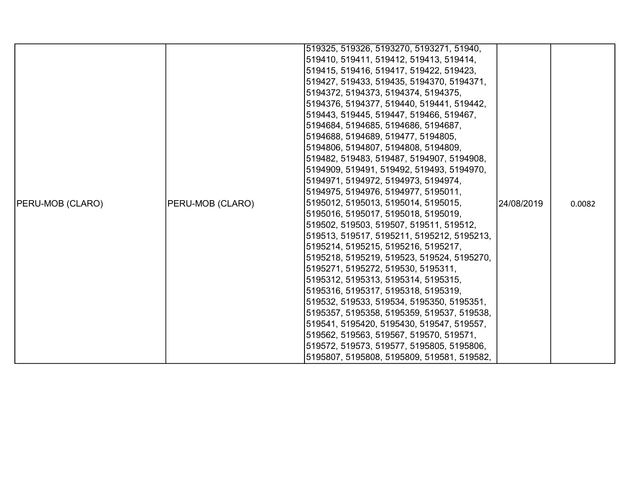|                         |                  | 519325, 519326, 5193270, 5193271, 51940,   |            |        |
|-------------------------|------------------|--------------------------------------------|------------|--------|
|                         |                  | 519410, 519411, 519412, 519413, 519414,    |            |        |
|                         |                  | 519415, 519416, 519417, 519422, 519423,    |            |        |
|                         |                  | 519427, 519433, 519435, 5194370, 5194371,  |            |        |
|                         |                  | 5194372, 5194373, 5194374, 5194375,        |            |        |
|                         |                  | 5194376, 5194377, 519440, 519441, 519442,  |            |        |
|                         |                  | 519443, 519445, 519447, 519466, 519467,    |            |        |
|                         |                  | 5194684, 5194685, 5194686, 5194687,        |            |        |
|                         |                  | 5194688, 5194689, 519477, 5194805,         |            |        |
|                         |                  | 5194806, 5194807, 5194808, 5194809,        |            |        |
|                         |                  | 519482, 519483, 519487, 5194907, 5194908,  |            |        |
|                         |                  | 5194909, 519491, 519492, 519493, 5194970,  |            |        |
|                         |                  | 5194971, 5194972, 5194973, 5194974,        |            |        |
|                         |                  | 5194975, 5194976, 5194977, 5195011,        |            |        |
| <b>PERU-MOB (CLARO)</b> | PERU-MOB (CLARO) | 5195012, 5195013, 5195014, 5195015,        | 24/08/2019 | 0.0082 |
|                         |                  | 5195016, 5195017, 5195018, 5195019,        |            |        |
|                         |                  | 519502, 519503, 519507, 519511, 519512,    |            |        |
|                         |                  | 519513, 519517, 5195211, 5195212, 5195213, |            |        |
|                         |                  | 5195214, 5195215, 5195216, 5195217,        |            |        |
|                         |                  | 5195218, 5195219, 519523, 519524, 5195270, |            |        |
|                         |                  | 5195271, 5195272, 519530, 5195311,         |            |        |
|                         |                  | 5195312, 5195313, 5195314, 5195315,        |            |        |
|                         |                  | 5195316, 5195317, 5195318, 5195319,        |            |        |
|                         |                  | 519532, 519533, 519534, 5195350, 5195351,  |            |        |
|                         |                  | 5195357, 5195358, 5195359, 519537, 519538, |            |        |
|                         |                  | 519541, 5195420, 5195430, 519547, 519557,  |            |        |
|                         |                  | 519562, 519563, 519567, 519570, 519571,    |            |        |
|                         |                  | 519572, 519573, 519577, 5195805, 5195806,  |            |        |
|                         |                  | 5195807, 5195808, 5195809, 519581, 519582, |            |        |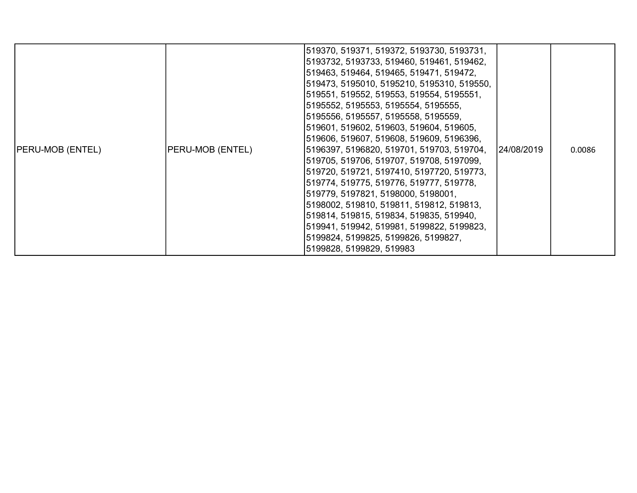|                         |                  | 519370, 519371, 519372, 5193730, 5193731,<br>5193732, 5193733, 519460, 519461, 519462,<br>519463, 519464, 519465, 519471, 519472,<br>519473, 5195010, 5195210, 5195310, 519550,<br>519551, 519552, 519553, 519554, 5195551,<br>5195552, 5195553, 5195554, 5195555,                                                                                                                                                           |            |        |
|-------------------------|------------------|------------------------------------------------------------------------------------------------------------------------------------------------------------------------------------------------------------------------------------------------------------------------------------------------------------------------------------------------------------------------------------------------------------------------------|------------|--------|
|                         |                  | 5195556, 5195557, 5195558, 5195559,<br>519601, 519602, 519603, 519604, 519605,<br>519606, 519607, 519608, 519609, 5196396,                                                                                                                                                                                                                                                                                                   |            |        |
| <b>PERU-MOB (ENTEL)</b> | PERU-MOB (ENTEL) | 5196397, 5196820, 519701, 519703, 519704,<br>519705, 519706, 519707, 519708, 5197099,<br> 519720, 519721, 5197410, 5197720, 519773,<br>519774, 519775, 519776, 519777, 519778,<br> 519779, 5197821, 5198000, 5198001,<br>5198002, 519810, 519811, 519812, 519813,<br>519814, 519815, 519834, 519835, 519940,<br>519941, 519942, 519981, 5199822, 5199823,<br>5199824, 5199825, 5199826, 5199827,<br>5199828, 5199829, 519983 | 24/08/2019 | 0.0086 |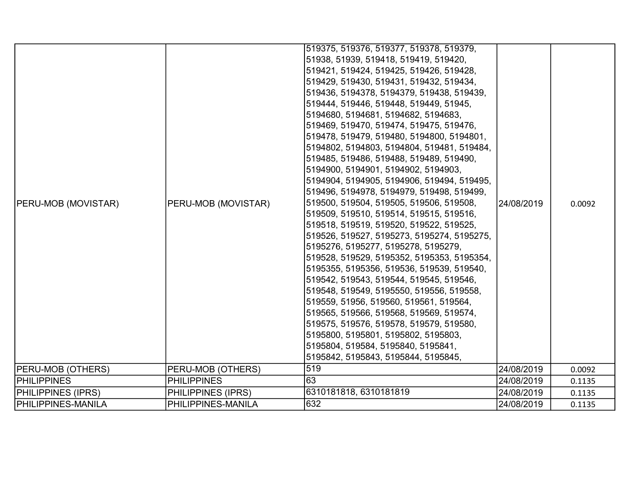| <b>PERU-MOB (MOVISTAR)</b> | PERU-MOB (MOVISTAR) | 519375, 519376, 519377, 519378, 519379,<br>51938, 51939, 519418, 519419, 519420,<br>519421, 519424, 519425, 519426, 519428,<br>519429, 519430, 519431, 519432, 519434,<br>519436, 5194378, 5194379, 519438, 519439,<br>519444, 519446, 519448, 519449, 51945,<br>5194680, 5194681, 5194682, 5194683,<br>519469, 519470, 519474, 519475, 519476,<br>519478, 519479, 519480, 5194800, 5194801,<br>5194802, 5194803, 5194804, 519481, 519484,<br>519485, 519486, 519488, 519489, 519490,<br>5194900, 5194901, 5194902, 5194903,<br>5194904, 5194905, 5194906, 519494, 519495,<br>519496, 5194978, 5194979, 519498, 519499,<br>519500, 519504, 519505, 519506, 519508,<br>519509, 519510, 519514, 519515, 519516,<br>519518, 519519, 519520, 519522, 519525,<br>519526, 519527, 5195273, 5195274, 5195275,<br>5195276, 5195277, 5195278, 5195279,<br>519528, 519529, 5195352, 5195353, 5195354,<br>5195355, 5195356, 519536, 519539, 519540,<br>519542, 519543, 519544, 519545, 519546,<br>519548, 519549, 5195550, 519556, 519558,<br>519559, 51956, 519560, 519561, 519564,<br>519565, 519566, 519568, 519569, 519574,<br>519575, 519576, 519578, 519579, 519580,<br>5195800, 5195801, 5195802, 5195803,<br>5195804, 519584, 5195840, 5195841,<br>5195842, 5195843, 5195844, 5195845, | 24/08/2019 | 0.0092 |
|----------------------------|---------------------|-------------------------------------------------------------------------------------------------------------------------------------------------------------------------------------------------------------------------------------------------------------------------------------------------------------------------------------------------------------------------------------------------------------------------------------------------------------------------------------------------------------------------------------------------------------------------------------------------------------------------------------------------------------------------------------------------------------------------------------------------------------------------------------------------------------------------------------------------------------------------------------------------------------------------------------------------------------------------------------------------------------------------------------------------------------------------------------------------------------------------------------------------------------------------------------------------------------------------------------------------------------------------------------|------------|--------|
| <b>PERU-MOB (OTHERS)</b>   | PERU-MOB (OTHERS)   | 519                                                                                                                                                                                                                                                                                                                                                                                                                                                                                                                                                                                                                                                                                                                                                                                                                                                                                                                                                                                                                                                                                                                                                                                                                                                                                 | 24/08/2019 | 0.0092 |
| <b>PHILIPPINES</b>         | <b>PHILIPPINES</b>  | 63                                                                                                                                                                                                                                                                                                                                                                                                                                                                                                                                                                                                                                                                                                                                                                                                                                                                                                                                                                                                                                                                                                                                                                                                                                                                                  | 24/08/2019 | 0.1135 |
| <b>PHILIPPINES (IPRS)</b>  | PHILIPPINES (IPRS)  | 6310181818, 6310181819                                                                                                                                                                                                                                                                                                                                                                                                                                                                                                                                                                                                                                                                                                                                                                                                                                                                                                                                                                                                                                                                                                                                                                                                                                                              | 24/08/2019 | 0.1135 |
| <b>PHILIPPINES-MANILA</b>  | PHILIPPINES-MANILA  | 632                                                                                                                                                                                                                                                                                                                                                                                                                                                                                                                                                                                                                                                                                                                                                                                                                                                                                                                                                                                                                                                                                                                                                                                                                                                                                 | 24/08/2019 | 0.1135 |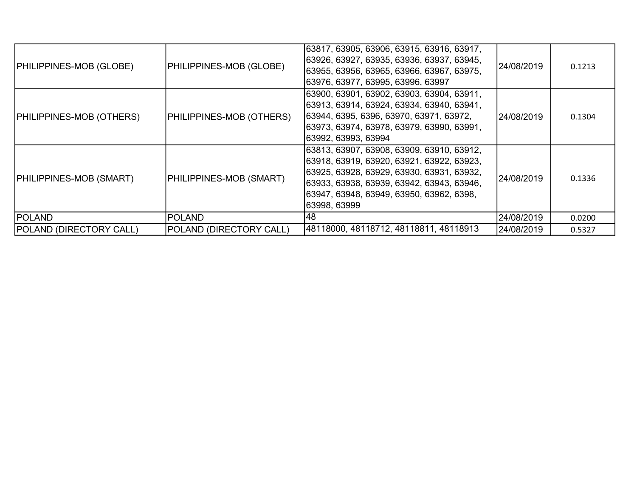| <b>PHILIPPINES-MOB (GLOBE)</b>  | PHILIPPINES-MOB (GLOBE)  | 63817, 63905, 63906, 63915, 63916, 63917,<br>63926, 63927, 63935, 63936, 63937, 63945,<br>63955, 63956, 63965, 63966, 63967, 63975,<br>63976, 63977, 63995, 63996, 63997                                                                         | 24/08/2019 | 0.1213 |
|---------------------------------|--------------------------|--------------------------------------------------------------------------------------------------------------------------------------------------------------------------------------------------------------------------------------------------|------------|--------|
| <b>PHILIPPINES-MOB (OTHERS)</b> | PHILIPPINES-MOB (OTHERS) | 63900, 63901, 63902, 63903, 63904, 63911,<br> 63913, 63914, 63924, 63934, 63940, 63941,<br> 63944, 6395, 6396, 63970, 63971, 63972,<br> 63973, 63974, 63978, 63979, 63990, 63991,<br> 63992, 63993, 63994                                        | 24/08/2019 | 0.1304 |
| <b>PHILIPPINES-MOB (SMART)</b>  | PHILIPPINES-MOB (SMART)  | 63813, 63907, 63908, 63909, 63910, 63912,<br> 63918, 63919, 63920, 63921, 63922, 63923,<br> 63925, 63928, 63929, 63930, 63931, 63932,<br> 63933, 63938, 63939, 63942, 63943, 63946,<br> 63947, 63948, 63949, 63950, 63962, 6398,<br>63998, 63999 | 24/08/2019 | 0.1336 |
| <b>POLAND</b>                   | <b>POLAND</b>            | 48                                                                                                                                                                                                                                               | 24/08/2019 | 0.0200 |
| <b>POLAND (DIRECTORY CALL)</b>  | POLAND (DIRECTORY CALL)  | 48118000, 48118712, 48118811, 48118913                                                                                                                                                                                                           | 24/08/2019 | 0.5327 |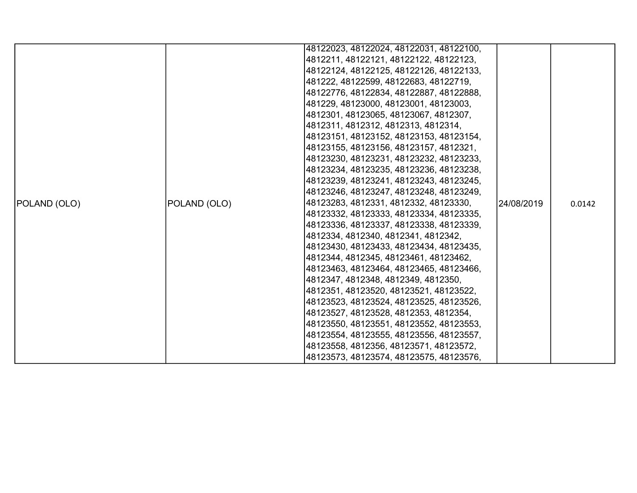|              |              | 48122023, 48122024, 48122031, 48122100, |            |        |
|--------------|--------------|-----------------------------------------|------------|--------|
|              |              | 4812211, 48122121, 48122122, 48122123,  |            |        |
|              |              | 48122124, 48122125, 48122126, 48122133, |            |        |
|              |              | 481222, 48122599, 48122683, 48122719,   |            |        |
|              |              | 48122776, 48122834, 48122887, 48122888, |            |        |
|              |              | 481229, 48123000, 48123001, 48123003,   |            |        |
|              |              | 4812301, 48123065, 48123067, 4812307,   |            |        |
|              |              | 4812311, 4812312, 4812313, 4812314,     |            |        |
|              |              | 48123151, 48123152, 48123153, 48123154, |            |        |
|              |              | 48123155, 48123156, 48123157, 4812321,  |            |        |
|              |              | 48123230, 48123231, 48123232, 48123233, |            |        |
|              |              | 48123234, 48123235, 48123236, 48123238, |            |        |
|              |              | 48123239, 48123241, 48123243, 48123245, |            |        |
|              |              | 48123246, 48123247, 48123248, 48123249, |            |        |
| POLAND (OLO) | POLAND (OLO) | 48123283, 4812331, 4812332, 48123330,   | 24/08/2019 | 0.0142 |
|              |              | 48123332, 48123333, 48123334, 48123335, |            |        |
|              |              | 48123336, 48123337, 48123338, 48123339, |            |        |
|              |              | 4812334, 4812340, 4812341, 4812342,     |            |        |
|              |              | 48123430, 48123433, 48123434, 48123435, |            |        |
|              |              | 4812344, 4812345, 48123461, 48123462,   |            |        |
|              |              | 48123463, 48123464, 48123465, 48123466, |            |        |
|              |              | 4812347, 4812348, 4812349, 4812350,     |            |        |
|              |              | 4812351, 48123520, 48123521, 48123522,  |            |        |
|              |              | 48123523, 48123524, 48123525, 48123526, |            |        |
|              |              | 48123527, 48123528, 4812353, 4812354,   |            |        |
|              |              | 48123550, 48123551, 48123552, 48123553, |            |        |
|              |              | 48123554, 48123555, 48123556, 48123557, |            |        |
|              |              | 48123558, 4812356, 48123571, 48123572,  |            |        |
|              |              | 48123573, 48123574, 48123575, 48123576, |            |        |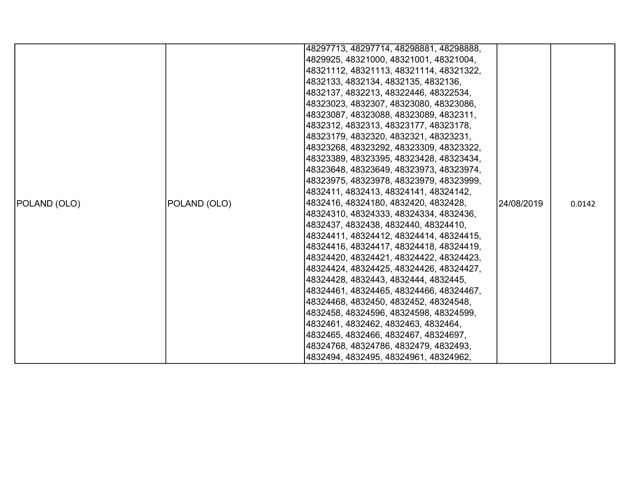|              |              | 48297713, 48297714, 48298881, 48298888, |            |        |
|--------------|--------------|-----------------------------------------|------------|--------|
|              |              | 4829925, 48321000, 48321001, 48321004,  |            |        |
|              |              | 48321112, 48321113, 48321114, 48321322, |            |        |
|              |              | 4832133, 4832134, 4832135, 4832136,     |            |        |
|              |              | 4832137, 4832213, 48322446, 48322534,   |            |        |
|              |              | 48323023, 4832307, 48323080, 48323086,  |            |        |
|              |              | 48323087, 48323088, 48323089, 4832311,  |            |        |
|              |              | 4832312, 4832313, 48323177, 48323178,   |            |        |
|              |              | 48323179, 4832320, 4832321, 48323231,   |            | 0.0142 |
|              |              | 48323268, 48323292, 48323309, 48323322, |            |        |
|              |              | 48323389, 48323395, 48323428, 48323434, |            |        |
|              | POLAND (OLO) | 48323648, 48323649, 48323973, 48323974, | 24/08/2019 |        |
|              |              | 48323975, 48323978, 48323979, 48323999, |            |        |
|              |              | 4832411, 4832413, 48324141, 48324142,   |            |        |
| POLAND (OLO) |              | 4832416, 48324180, 4832420, 4832428,    |            |        |
|              |              | 48324310, 48324333, 48324334, 4832436,  |            |        |
|              |              | 4832437, 4832438, 4832440, 48324410,    |            |        |
|              |              | 48324411, 48324412, 48324414, 48324415, |            |        |
|              |              | 48324416, 48324417, 48324418, 48324419, |            |        |
|              |              | 48324420, 48324421, 48324422, 48324423, |            |        |
|              |              | 48324424, 48324425, 48324426, 48324427, |            |        |
|              |              | 48324428, 4832443, 4832444, 4832445,    |            |        |
|              |              | 48324461, 48324465, 48324466, 48324467, |            |        |
|              |              | 48324468, 4832450, 4832452, 48324548,   |            |        |
|              |              | 4832458, 48324596, 48324598, 48324599,  |            |        |
|              |              | 4832461, 4832462, 4832463, 4832464,     |            |        |
|              |              | 4832465, 4832466, 4832467, 48324697,    |            |        |
|              |              | 48324768, 48324786, 4832479, 4832493,   |            |        |
|              |              | 4832494, 4832495, 48324961, 48324962,   |            |        |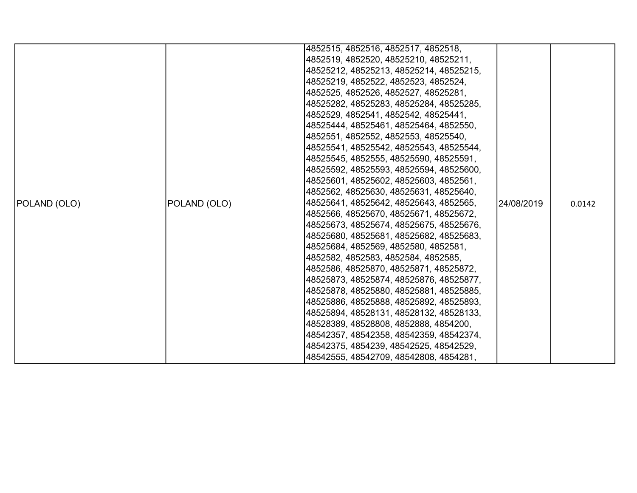| 4852515, 4852516, 4852517, 4852518,                                                   |        |
|---------------------------------------------------------------------------------------|--------|
|                                                                                       |        |
| 4852519, 4852520, 48525210, 48525211,                                                 |        |
| 48525212, 48525213, 48525214, 48525215,                                               |        |
| 48525219, 4852522, 4852523, 4852524,                                                  |        |
| 4852525, 4852526, 4852527, 48525281,                                                  |        |
| 48525282, 48525283, 48525284, 48525285,                                               |        |
| 4852529, 4852541, 4852542, 48525441,                                                  |        |
| 48525444, 48525461, 48525464, 4852550,                                                |        |
| 4852551, 4852552, 4852553, 48525540,                                                  |        |
| 48525541, 48525542, 48525543, 48525544,                                               |        |
| 48525545, 4852555, 48525590, 48525591,                                                |        |
| 48525592, 48525593, 48525594, 48525600,                                               |        |
| 48525601, 48525602, 48525603, 4852561,                                                |        |
| 4852562, 48525630, 48525631, 48525640,                                                |        |
| 48525641, 48525642, 48525643, 4852565,<br>POLAND (OLO)<br>POLAND (OLO)<br>l24/08/2019 | 0.0142 |
| 4852566, 48525670, 48525671, 48525672,                                                |        |
| 48525673, 48525674, 48525675, 48525676,                                               |        |
| 48525680, 48525681, 48525682, 48525683,                                               |        |
| 48525684, 4852569, 4852580, 4852581,                                                  |        |
| 4852582, 4852583, 4852584, 4852585,                                                   |        |
| 4852586, 48525870, 48525871, 48525872,                                                |        |
| 48525873, 48525874, 48525876, 48525877,                                               |        |
| 48525878, 48525880, 48525881, 48525885,                                               |        |
| 48525886, 48525888, 48525892, 48525893,                                               |        |
| 48525894, 48528131, 48528132, 48528133,                                               |        |
| 48528389, 48528808, 4852888, 4854200,                                                 |        |
| 48542357, 48542358, 48542359, 48542374,                                               |        |
| 48542375, 4854239, 48542525, 48542529,                                                |        |
| 48542555, 48542709, 48542808, 4854281,                                                |        |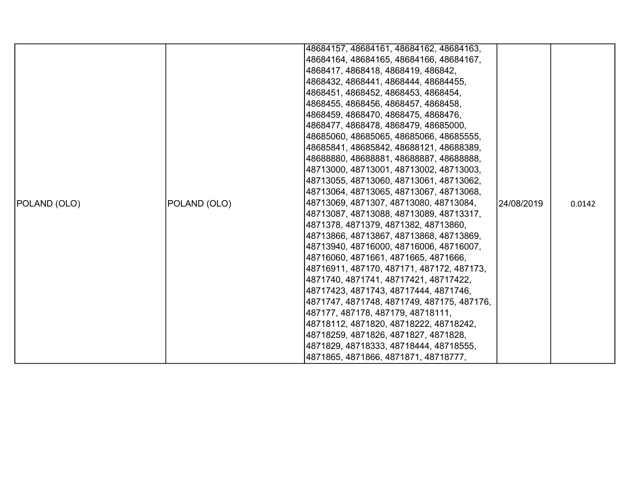|              |              | 48684157, 48684161, 48684162, 48684163,    |            |        |
|--------------|--------------|--------------------------------------------|------------|--------|
|              |              | 48684164, 48684165, 48684166, 48684167,    |            |        |
|              |              | 4868417, 4868418, 4868419, 486842,         |            |        |
|              |              | 4868432, 4868441, 4868444, 48684455,       |            |        |
|              |              | 4868451, 4868452, 4868453, 4868454,        |            |        |
|              |              | 4868455, 4868456, 4868457, 4868458,        |            |        |
|              |              | 4868459, 4868470, 4868475, 4868476,        |            |        |
|              |              | 4868477, 4868478, 4868479, 48685000,       |            |        |
|              |              | 48685060, 48685065, 48685066, 48685555,    |            |        |
|              |              | 48685841, 48685842, 48688121, 48688389,    |            |        |
|              |              | 48688880, 48688881, 48688887, 48688888,    |            |        |
|              |              | 48713000, 48713001, 48713002, 48713003,    |            |        |
|              |              | 48713055, 48713060, 48713061, 48713062,    |            |        |
|              |              | 48713064, 48713065, 48713067, 48713068,    |            |        |
| POLAND (OLO) | POLAND (OLO) | 48713069, 4871307, 48713080, 48713084,     | 24/08/2019 | 0.0142 |
|              |              | 48713087, 48713088, 48713089, 48713317,    |            |        |
|              |              | 4871378, 4871379, 4871382, 48713860,       |            |        |
|              |              | 48713866, 48713867, 48713868, 48713869,    |            |        |
|              |              | 48713940, 48716000, 48716006, 48716007,    |            |        |
|              |              | 48716060, 4871661, 4871665, 4871666,       |            |        |
|              |              | 48716911, 487170, 487171, 487172, 487173,  |            |        |
|              |              | 4871740, 4871741, 48717421, 48717422,      |            |        |
|              |              | 48717423, 4871743, 48717444, 4871746,      |            |        |
|              |              | 4871747, 4871748, 4871749, 487175, 487176, |            |        |
|              |              | 487177, 487178, 487179, 48718111,          |            |        |
|              |              | 48718112, 4871820, 48718222, 48718242,     |            |        |
|              |              | 48718259, 4871826, 4871827, 4871828,       |            |        |
|              |              | 4871829, 48718333, 48718444, 48718555,     |            |        |
|              |              | 4871865, 4871866, 4871871, 48718777,       |            |        |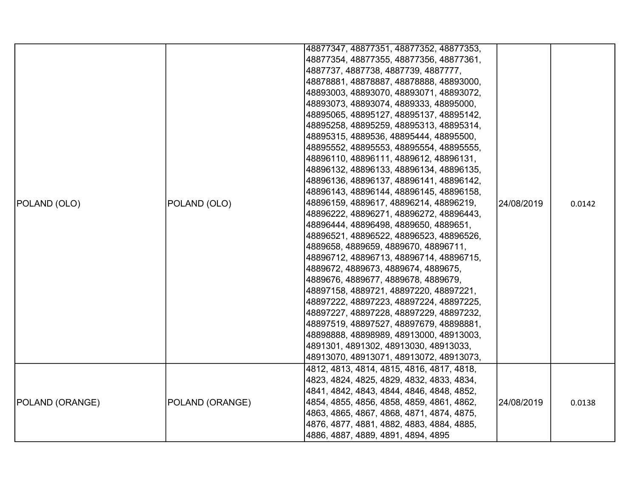|                 |                 | 48877347, 48877351, 48877352, 48877353,   |            |        |
|-----------------|-----------------|-------------------------------------------|------------|--------|
|                 |                 | 48877354, 48877355, 48877356, 48877361,   |            |        |
|                 |                 | 4887737, 4887738, 4887739, 4887777,       |            |        |
|                 |                 | 48878881, 48878887, 48878888, 48893000,   |            |        |
|                 |                 | 48893003, 48893070, 48893071, 48893072,   |            |        |
|                 |                 | 48893073, 48893074, 4889333, 48895000,    |            |        |
|                 |                 | 48895065, 48895127, 48895137, 48895142,   |            |        |
|                 |                 | 48895258, 48895259, 48895313, 48895314,   |            |        |
|                 |                 | 48895315, 4889536, 48895444, 48895500,    |            |        |
|                 |                 | 48895552, 48895553, 48895554, 48895555,   |            |        |
|                 |                 | 48896110, 48896111, 4889612, 48896131,    |            |        |
|                 |                 | 48896132, 48896133, 48896134, 48896135,   |            |        |
|                 |                 | 48896136, 48896137, 48896141, 48896142,   |            |        |
|                 |                 | 48896143, 48896144, 48896145, 48896158,   |            |        |
| POLAND (OLO)    | POLAND (OLO)    | 48896159, 4889617, 48896214, 48896219,    | 24/08/2019 | 0.0142 |
|                 |                 | 48896222, 48896271, 48896272, 48896443,   |            |        |
|                 |                 | 48896444, 48896498, 4889650, 4889651,     |            |        |
|                 |                 | 48896521, 48896522, 48896523, 48896526,   |            |        |
|                 |                 | 4889658, 4889659, 4889670, 48896711,      |            |        |
|                 |                 | 48896712, 48896713, 48896714, 48896715,   |            |        |
|                 |                 | 4889672, 4889673, 4889674, 4889675,       |            |        |
|                 |                 | 4889676, 4889677, 4889678, 4889679,       |            |        |
|                 |                 | 48897158, 4889721, 48897220, 48897221,    |            |        |
|                 |                 | 48897222, 48897223, 48897224, 48897225,   |            |        |
|                 |                 | 48897227, 48897228, 48897229, 48897232,   |            |        |
|                 |                 | 48897519, 48897527, 48897679, 48898881,   |            |        |
|                 |                 | 48898888, 48898989, 48913000, 48913003,   |            |        |
|                 |                 | 4891301, 4891302, 48913030, 48913033,     |            |        |
|                 |                 | 48913070, 48913071, 48913072, 48913073,   |            |        |
|                 |                 | 4812, 4813, 4814, 4815, 4816, 4817, 4818, |            |        |
|                 |                 | 4823, 4824, 4825, 4829, 4832, 4833, 4834, |            |        |
|                 |                 | 4841, 4842, 4843, 4844, 4846, 4848, 4852, |            |        |
| POLAND (ORANGE) | POLAND (ORANGE) | 4854, 4855, 4856, 4858, 4859, 4861, 4862, | 24/08/2019 | 0.0138 |
|                 |                 | 4863, 4865, 4867, 4868, 4871, 4874, 4875, |            |        |
|                 |                 | 4876, 4877, 4881, 4882, 4883, 4884, 4885, |            |        |
|                 |                 | 4886, 4887, 4889, 4891, 4894, 4895        |            |        |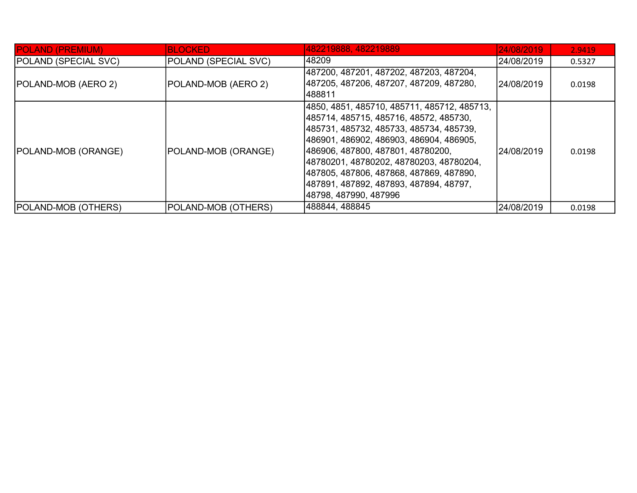| <b>POLAND (PREMIUM)</b>     | <b>BLOCKED</b>              | 482219888, 482219889                                                                                                                                                                                                                                                                                                                                                              | 24/08/2019  | 2.9419 |
|-----------------------------|-----------------------------|-----------------------------------------------------------------------------------------------------------------------------------------------------------------------------------------------------------------------------------------------------------------------------------------------------------------------------------------------------------------------------------|-------------|--------|
| <b>POLAND (SPECIAL SVC)</b> | <b>POLAND (SPECIAL SVC)</b> | 148209                                                                                                                                                                                                                                                                                                                                                                            | 24/08/2019  | 0.5327 |
| <b>POLAND-MOB (AERO 2)</b>  | POLAND-MOB (AERO 2)         | 487200, 487201, 487202, 487203, 487204,<br> 487205, 487206, 487207, 487209, 487280,<br>488811                                                                                                                                                                                                                                                                                     | l24/08/2019 | 0.0198 |
| <b>POLAND-MOB (ORANGE)</b>  | POLAND-MOB (ORANGE)         | 4850, 4851, 485710, 485711, 485712, 485713,<br> 485714, 485715, 485716, 48572, 485730,<br> 485731, 485732, 485733, 485734, 485739,<br> 486901, 486902, 486903, 486904, 486905,<br> 486906, 487800, 487801, 48780200,<br> 48780201, 48780202, 48780203, 48780204,<br> 487805, 487806, 487868, 487869, 487890,<br> 487891, 487892, 487893, 487894, 48797,<br> 48798, 487990, 487996 | 24/08/2019  | 0.0198 |
| <b>POLAND-MOB (OTHERS)</b>  | POLAND-MOB (OTHERS)         | 488844, 488845                                                                                                                                                                                                                                                                                                                                                                    | 24/08/2019  | 0.0198 |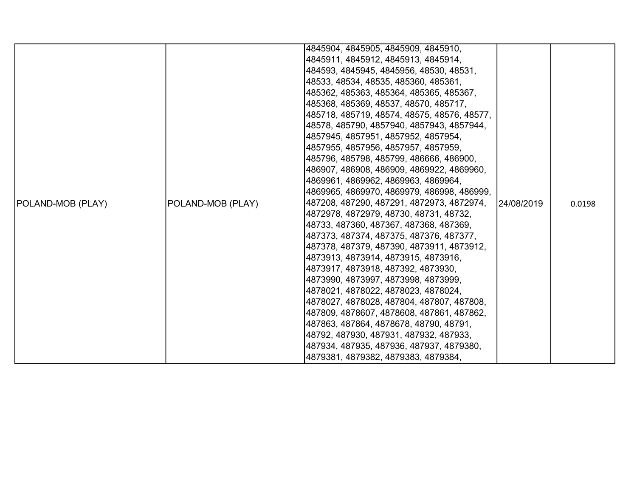|                   |                   | 4845904, 4845905, 4845909, 4845910,                                             |             |        |
|-------------------|-------------------|---------------------------------------------------------------------------------|-------------|--------|
|                   |                   | 4845911, 4845912, 4845913, 4845914,                                             |             |        |
|                   |                   | 484593, 4845945, 4845956, 48530, 48531,                                         |             |        |
|                   |                   | 48533, 48534, 48535, 485360, 485361,                                            |             |        |
|                   |                   | 485362, 485363, 485364, 485365, 485367,                                         |             |        |
|                   |                   | 485368, 485369, 48537, 48570, 485717,                                           |             |        |
|                   |                   | 485718, 485719, 48574, 48575, 48576, 48577,                                     |             |        |
|                   |                   | 48578, 485790, 4857940, 4857943, 4857944,                                       |             |        |
|                   |                   | 4857945, 4857951, 4857952, 4857954,                                             |             |        |
|                   |                   | 4857955, 4857956, 4857957, 4857959,                                             |             |        |
|                   |                   | 485796, 485798, 485799, 486666, 486900,                                         |             |        |
|                   |                   | 486907, 486908, 486909, 4869922, 4869960,                                       |             |        |
|                   |                   | 4869961, 4869962, 4869963, 4869964,                                             |             |        |
|                   |                   | 4869965, 4869970, 4869979, 486998, 486999,                                      |             |        |
| POLAND-MOB (PLAY) | POLAND-MOB (PLAY) | 487208, 487290, 487291, 4872973, 4872974,                                       | 124/08/2019 | 0.0198 |
|                   |                   | 4872978, 4872979, 48730, 48731, 48732,                                          |             |        |
|                   |                   | 48733, 487360, 487367, 487368, 487369,                                          |             |        |
|                   |                   | 487373, 487374, 487375, 487376, 487377,                                         |             |        |
|                   |                   | 487378, 487379, 487390, 4873911, 4873912,                                       |             |        |
|                   |                   | 4873913, 4873914, 4873915, 4873916,                                             |             |        |
|                   |                   | 4873917, 4873918, 487392, 4873930,                                              |             |        |
|                   |                   | 4873990, 4873997, 4873998, 4873999,                                             |             |        |
|                   |                   | 4878021, 4878022, 4878023, 4878024,                                             |             |        |
|                   |                   | 4878027, 4878028, 487804, 487807, 487808,                                       |             |        |
|                   |                   | 487809, 4878607, 4878608, 487861, 487862,                                       |             |        |
|                   |                   | 487863, 487864, 4878678, 48790, 48791,                                          |             |        |
|                   |                   | 48792, 487930, 487931, 487932, 487933,                                          |             |        |
|                   |                   | 487934, 487935, 487936, 487937, 4879380,<br>4879381, 4879382, 4879383, 4879384, |             |        |
|                   |                   |                                                                                 |             |        |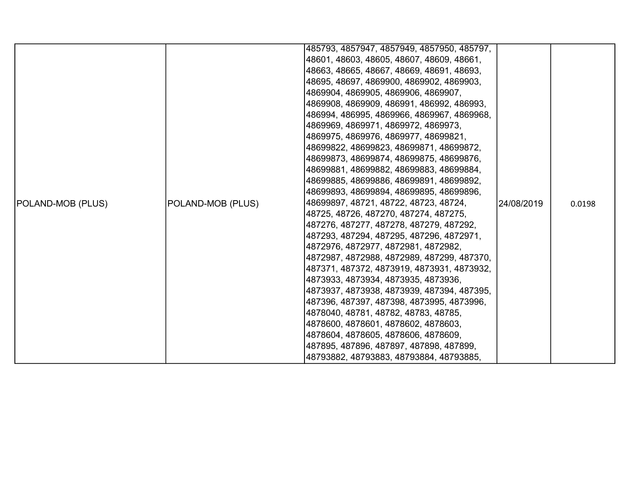|                          |                   | 485793, 4857947, 4857949, 4857950, 485797, |            |        |
|--------------------------|-------------------|--------------------------------------------|------------|--------|
|                          |                   | 48601, 48603, 48605, 48607, 48609, 48661,  |            |        |
|                          |                   | 48663, 48665, 48667, 48669, 48691, 48693,  |            |        |
|                          |                   | 48695, 48697, 4869900, 4869902, 4869903,   |            |        |
|                          |                   | 4869904, 4869905, 4869906, 4869907,        |            |        |
|                          |                   | 4869908, 4869909, 486991, 486992, 486993,  |            |        |
|                          |                   | 486994, 486995, 4869966, 4869967, 4869968, |            |        |
|                          |                   | 4869969, 4869971, 4869972, 4869973,        |            |        |
|                          |                   | 4869975, 4869976, 4869977, 48699821,       |            |        |
|                          |                   | 48699822, 48699823, 48699871, 48699872,    |            |        |
|                          |                   | 48699873, 48699874, 48699875, 48699876,    |            |        |
|                          |                   | 48699881, 48699882, 48699883, 48699884,    |            |        |
|                          |                   | 48699885, 48699886, 48699891, 48699892,    |            |        |
|                          |                   | 48699893, 48699894, 48699895, 48699896,    |            |        |
| <b>POLAND-MOB (PLUS)</b> | POLAND-MOB (PLUS) | 48699897, 48721, 48722, 48723, 48724,      | 24/08/2019 | 0.0198 |
|                          |                   | 48725, 48726, 487270, 487274, 487275,      |            |        |
|                          |                   | 487276, 487277, 487278, 487279, 487292,    |            |        |
|                          |                   | 487293, 487294, 487295, 487296, 4872971,   |            |        |
|                          |                   | 4872976, 4872977, 4872981, 4872982,        |            |        |
|                          |                   | 4872987, 4872988, 4872989, 487299, 487370, |            |        |
|                          |                   | 487371, 487372, 4873919, 4873931, 4873932, |            |        |
|                          |                   | 4873933, 4873934, 4873935, 4873936,        |            |        |
|                          |                   | 4873937, 4873938, 4873939, 487394, 487395, |            |        |
|                          |                   | 487396, 487397, 487398, 4873995, 4873996,  |            |        |
|                          |                   | 4878040, 48781, 48782, 48783, 48785,       |            |        |
|                          |                   | 4878600, 4878601, 4878602, 4878603,        |            |        |
|                          |                   | 4878604, 4878605, 4878606, 4878609,        |            |        |
|                          |                   | 487895, 487896, 487897, 487898, 487899,    |            |        |
|                          |                   | 48793882, 48793883, 48793884, 48793885,    |            |        |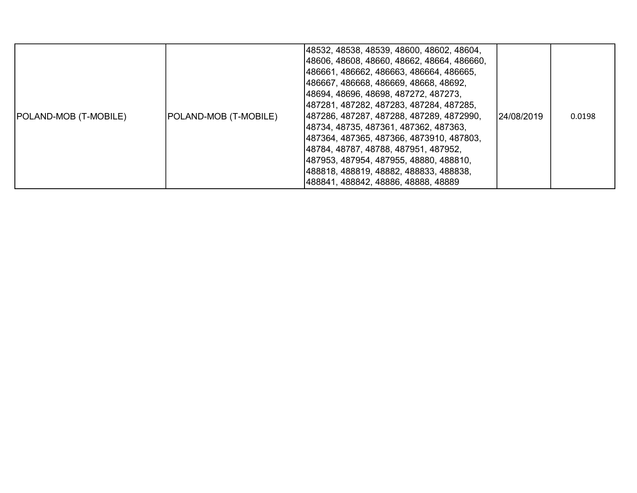| POLAND-MOB (T-MOBILE) | POLAND-MOB (T-MOBILE) | 48532, 48538, 48539, 48600, 48602, 48604,<br> 48606, 48608, 48660, 48662, 48664, 486660,<br> 486661, 486662, 486663, 486664, 486665,<br> 486667, 486668, 486669, 48668, 48692,<br> 48694, 48696, 48698, 487272, 487273,<br> 487281, 487282, 487283, 487284, 487285,<br> 487286, 487287, 487288, 487289, 4872990,<br> 48734, 48735, 487361, 487362, 487363,<br> 487364, 487365, 487366, 4873910, 487803,<br> 48784, 48787, 48788, 487951, 487952,<br> 487953, 487954, 487955, 48880, 488810,<br> 488818, 488819, 48882, 488833, 488838,<br> 488841, 488842, 48886, 48888, 48889 | 124/08/2019 | 0.0198 |
|-----------------------|-----------------------|--------------------------------------------------------------------------------------------------------------------------------------------------------------------------------------------------------------------------------------------------------------------------------------------------------------------------------------------------------------------------------------------------------------------------------------------------------------------------------------------------------------------------------------------------------------------------------|-------------|--------|
|-----------------------|-----------------------|--------------------------------------------------------------------------------------------------------------------------------------------------------------------------------------------------------------------------------------------------------------------------------------------------------------------------------------------------------------------------------------------------------------------------------------------------------------------------------------------------------------------------------------------------------------------------------|-------------|--------|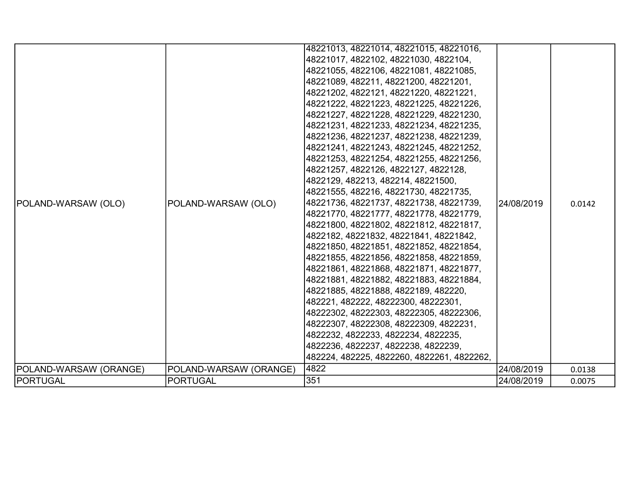|                        |                        | 48221013, 48221014, 48221015, 48221016,    |            |        |
|------------------------|------------------------|--------------------------------------------|------------|--------|
|                        |                        | 48221017, 4822102, 48221030, 4822104,      |            |        |
|                        |                        | 48221055, 4822106, 48221081, 48221085,     |            |        |
|                        |                        | 48221089, 482211, 48221200, 48221201,      |            |        |
|                        |                        | 48221202, 4822121, 48221220, 48221221,     |            |        |
|                        |                        | 48221222, 48221223, 48221225, 48221226,    |            |        |
|                        |                        | 48221227, 48221228, 48221229, 48221230,    |            |        |
|                        |                        | 48221231, 48221233, 48221234, 48221235,    |            |        |
|                        |                        | 48221236, 48221237, 48221238, 48221239,    |            |        |
|                        |                        | 48221241, 48221243, 48221245, 48221252,    |            |        |
|                        |                        | 48221253, 48221254, 48221255, 48221256,    |            |        |
|                        |                        | 48221257, 4822126, 4822127, 4822128,       |            |        |
|                        |                        | 4822129, 482213, 482214, 48221500,         |            |        |
|                        |                        | 48221555, 482216, 48221730, 48221735,      |            |        |
| POLAND-WARSAW (OLO)    | POLAND-WARSAW (OLO)    | 48221736, 48221737, 48221738, 48221739,    | 24/08/2019 | 0.0142 |
|                        |                        | 48221770, 48221777, 48221778, 48221779,    |            |        |
|                        |                        | 48221800, 48221802, 48221812, 48221817,    |            |        |
|                        |                        | 4822182, 48221832, 48221841, 48221842,     |            |        |
|                        |                        | 48221850, 48221851, 48221852, 48221854,    |            |        |
|                        |                        | 48221855, 48221856, 48221858, 48221859,    |            |        |
|                        |                        | 48221861, 48221868, 48221871, 48221877,    |            |        |
|                        |                        | 48221881, 48221882, 48221883, 48221884,    |            |        |
|                        |                        | 48221885, 48221888, 4822189, 482220,       |            |        |
|                        |                        | 482221, 482222, 48222300, 48222301,        |            |        |
|                        |                        | 48222302, 48222303, 48222305, 48222306,    |            |        |
|                        |                        | 48222307, 48222308, 48222309, 4822231,     |            |        |
|                        |                        | 4822232, 4822233, 4822234, 4822235,        |            |        |
|                        |                        | 4822236, 4822237, 4822238, 4822239,        |            |        |
|                        |                        | 482224, 482225, 4822260, 4822261, 4822262, |            |        |
| POLAND-WARSAW (ORANGE) | POLAND-WARSAW (ORANGE) | 4822                                       | 24/08/2019 | 0.0138 |
| PORTUGAL               | <b>PORTUGAL</b>        | 351                                        | 24/08/2019 | 0.0075 |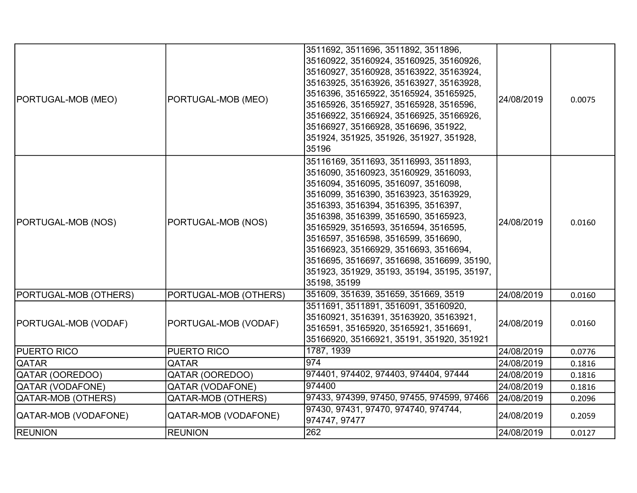| PORTUGAL-MOB (MEO)    | PORTUGAL-MOB (MEO)        | 3511692, 3511696, 3511892, 3511896,<br>35160922, 35160924, 35160925, 35160926,<br>35160927, 35160928, 35163922, 35163924,<br>35163925, 35163926, 35163927, 35163928,<br>3516396, 35165922, 35165924, 35165925,<br>35165926, 35165927, 35165928, 3516596,<br>35166922, 35166924, 35166925, 35166926,<br>35166927, 35166928, 3516696, 351922,<br>351924, 351925, 351926, 351927, 351928,<br>35196                                                                                    | 24/08/2019 | 0.0075 |
|-----------------------|---------------------------|------------------------------------------------------------------------------------------------------------------------------------------------------------------------------------------------------------------------------------------------------------------------------------------------------------------------------------------------------------------------------------------------------------------------------------------------------------------------------------|------------|--------|
| PORTUGAL-MOB (NOS)    | PORTUGAL-MOB (NOS)        | 35116169, 3511693, 35116993, 3511893,<br>3516090, 35160923, 35160929, 3516093,<br>3516094, 3516095, 3516097, 3516098,<br>3516099, 3516390, 35163923, 35163929,<br>3516393, 3516394, 3516395, 3516397,<br>3516398, 3516399, 3516590, 35165923,<br>35165929, 3516593, 3516594, 3516595,<br>3516597, 3516598, 3516599, 3516690,<br>35166923, 35166929, 3516693, 3516694,<br>3516695, 3516697, 3516698, 3516699, 35190,<br>351923, 351929, 35193, 35194, 35195, 35197,<br>35198, 35199 | 24/08/2019 | 0.0160 |
| PORTUGAL-MOB (OTHERS) | PORTUGAL-MOB (OTHERS)     | 351609, 351639, 351659, 351669, 3519                                                                                                                                                                                                                                                                                                                                                                                                                                               | 24/08/2019 | 0.0160 |
| PORTUGAL-MOB (VODAF)  | PORTUGAL-MOB (VODAF)      | 3511691, 3511891, 3516091, 35160920,<br>35160921, 3516391, 35163920, 35163921,<br>3516591, 35165920, 35165921, 3516691,<br>35166920, 35166921, 35191, 351920, 351921                                                                                                                                                                                                                                                                                                               | 24/08/2019 | 0.0160 |
| <b>PUERTO RICO</b>    | PUERTO RICO               | 1787, 1939                                                                                                                                                                                                                                                                                                                                                                                                                                                                         | 24/08/2019 | 0.0776 |
| <b>QATAR</b>          | QATAR                     | $ 974\rangle$                                                                                                                                                                                                                                                                                                                                                                                                                                                                      | 24/08/2019 | 0.1816 |
| QATAR (OOREDOO)       | QATAR (OOREDOO)           | 974401, 974402, 974403, 974404, 97444                                                                                                                                                                                                                                                                                                                                                                                                                                              | 24/08/2019 | 0.1816 |
| QATAR (VODAFONE)      | <b>QATAR (VODAFONE)</b>   | 974400                                                                                                                                                                                                                                                                                                                                                                                                                                                                             | 24/08/2019 | 0.1816 |
| QATAR-MOB (OTHERS)    | <b>QATAR-MOB (OTHERS)</b> | 97433, 974399, 97450, 97455, 974599, 97466                                                                                                                                                                                                                                                                                                                                                                                                                                         | 24/08/2019 | 0.2096 |
| QATAR-MOB (VODAFONE)  | QATAR-MOB (VODAFONE)      | 97430, 97431, 97470, 974740, 974744,<br>974747, 97477                                                                                                                                                                                                                                                                                                                                                                                                                              | 24/08/2019 | 0.2059 |
| <b>REUNION</b>        | <b>REUNION</b>            | 262                                                                                                                                                                                                                                                                                                                                                                                                                                                                                | 24/08/2019 | 0.0127 |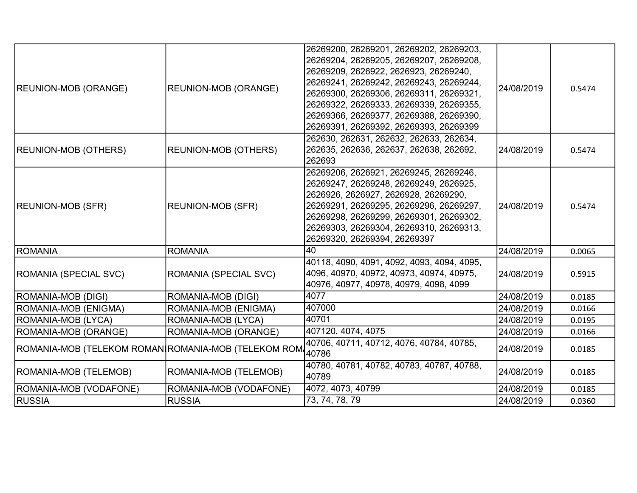|                                                      |                             | 26269200, 26269201, 26269202, 26269203,<br>26269204, 26269205, 26269207, 26269208, |            |        |
|------------------------------------------------------|-----------------------------|------------------------------------------------------------------------------------|------------|--------|
|                                                      |                             | 26269209, 2626922, 2626923, 26269240,                                              |            |        |
|                                                      |                             | 26269241, 26269242, 26269243, 26269244,                                            |            |        |
| <b>REUNION-MOB (ORANGE)</b>                          | <b>REUNION-MOB (ORANGE)</b> | 26269300, 26269306, 26269311, 26269321,                                            | 24/08/2019 | 0.5474 |
|                                                      |                             | 26269322, 26269333, 26269339, 26269355,                                            |            |        |
|                                                      |                             | 26269366, 26269377, 26269388, 26269390,                                            |            |        |
|                                                      |                             | 26269391, 26269392, 26269393, 26269399                                             |            |        |
|                                                      |                             | 262630, 262631, 262632, 262633, 262634,                                            |            |        |
| <b>REUNION-MOB (OTHERS)</b>                          | <b>REUNION-MOB (OTHERS)</b> | 262635, 262636, 262637, 262638, 262692,                                            | 24/08/2019 | 0.5474 |
|                                                      |                             | 262693                                                                             |            |        |
|                                                      |                             | 26269206, 2626921, 26269245, 26269246,                                             |            |        |
|                                                      |                             | 26269247, 26269248, 26269249, 2626925,                                             |            |        |
|                                                      |                             | 2626926, 2626927, 2626928, 26269290,                                               |            |        |
| <b>REUNION-MOB (SFR)</b>                             | <b>REUNION-MOB (SFR)</b>    | 26269291, 26269295, 26269296, 26269297,                                            | 24/08/2019 | 0.5474 |
|                                                      |                             | 26269298, 26269299, 26269301, 26269302,                                            |            |        |
|                                                      |                             | 26269303, 26269304, 26269310, 26269313,                                            |            |        |
|                                                      |                             | 26269320, 26269394, 26269397                                                       |            |        |
| ROMANIA                                              | <b>ROMANIA</b>              | 40                                                                                 | 24/08/2019 | 0.0065 |
|                                                      |                             | 40118, 4090, 4091, 4092, 4093, 4094, 4095,                                         |            |        |
| ROMANIA (SPECIAL SVC)                                | ROMANIA (SPECIAL SVC)       | 4096, 40970, 40972, 40973, 40974, 40975,                                           | 24/08/2019 | 0.5915 |
|                                                      |                             | 40976, 40977, 40978, 40979, 4098, 4099                                             |            |        |
| ROMANIA-MOB (DIGI)                                   | ROMANIA-MOB (DIGI)          | 4077                                                                               | 24/08/2019 | 0.0185 |
| ROMANIA-MOB (ENIGMA)                                 | ROMANIA-MOB (ENIGMA)        | 407000                                                                             | 24/08/2019 | 0.0166 |
| ROMANIA-MOB (LYCA)                                   | ROMANIA-MOB (LYCA)          | 40701                                                                              | 24/08/2019 | 0.0195 |
| ROMANIA-MOB (ORANGE)                                 | ROMANIA-MOB (ORANGE)        | 407120, 4074, 4075                                                                 | 24/08/2019 | 0.0166 |
| ROMANIA-MOB (TELEKOM ROMAN∣ROMANIA-MOB (TELEKOM ROM) |                             | 40706, 40711, 40712, 4076, 40784, 40785,                                           | 24/08/2019 | 0.0185 |
|                                                      |                             | 40786                                                                              |            |        |
| ROMANIA-MOB (TELEMOB)                                | ROMANIA-MOB (TELEMOB)       | 40780, 40781, 40782, 40783, 40787, 40788,                                          | 24/08/2019 | 0.0185 |
|                                                      |                             | 40789                                                                              |            |        |
| ROMANIA-MOB (VODAFONE)                               | ROMANIA-MOB (VODAFONE)      | 4072, 4073, 40799                                                                  | 24/08/2019 | 0.0185 |
| <b>RUSSIA</b>                                        | <b>RUSSIA</b>               | 73, 74, 78, 79                                                                     | 24/08/2019 | 0.0360 |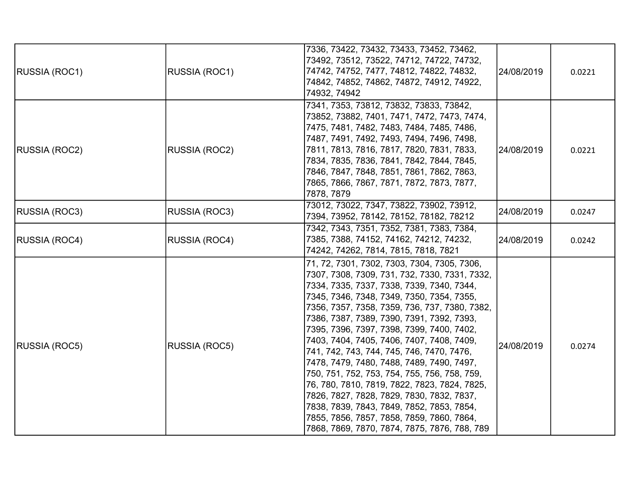|                      |               | 7336, 73422, 73432, 73433, 73452, 73462,      |            |        |
|----------------------|---------------|-----------------------------------------------|------------|--------|
|                      |               | 73492, 73512, 73522, 74712, 74722, 74732,     |            |        |
| <b>RUSSIA (ROC1)</b> | RUSSIA (ROC1) | 74742, 74752, 7477, 74812, 74822, 74832,      | 24/08/2019 | 0.0221 |
|                      |               | 74842, 74852, 74862, 74872, 74912, 74922,     |            |        |
|                      |               | 74932, 74942                                  |            |        |
|                      |               | 7341, 7353, 73812, 73832, 73833, 73842,       |            |        |
|                      |               | 73852, 73882, 7401, 7471, 7472, 7473, 7474,   |            |        |
|                      |               | 7475, 7481, 7482, 7483, 7484, 7485, 7486,     |            |        |
|                      |               | 7487, 7491, 7492, 7493, 7494, 7496, 7498,     |            |        |
| <b>RUSSIA (ROC2)</b> | RUSSIA (ROC2) | 7811, 7813, 7816, 7817, 7820, 7831, 7833,     | 24/08/2019 | 0.0221 |
|                      |               | 7834, 7835, 7836, 7841, 7842, 7844, 7845,     |            |        |
|                      |               | 7846, 7847, 7848, 7851, 7861, 7862, 7863,     |            |        |
|                      |               | 7865, 7866, 7867, 7871, 7872, 7873, 7877,     |            |        |
|                      |               | 7878, 7879                                    |            |        |
|                      |               | 73012, 73022, 7347, 73822, 73902, 73912,      |            |        |
| RUSSIA (ROC3)        | RUSSIA (ROC3) | 7394, 73952, 78142, 78152, 78182, 78212       | 24/08/2019 | 0.0247 |
|                      | RUSSIA (ROC4) | 7342, 7343, 7351, 7352, 7381, 7383, 7384,     |            |        |
| <b>RUSSIA (ROC4)</b> |               | 7385, 7388, 74152, 74162, 74212, 74232,       | 24/08/2019 | 0.0242 |
|                      |               | 74242, 74262, 7814, 7815, 7818, 7821          |            |        |
|                      |               | 71, 72, 7301, 7302, 7303, 7304, 7305, 7306,   |            |        |
|                      |               | 7307, 7308, 7309, 731, 732, 7330, 7331, 7332, |            |        |
|                      |               | 7334, 7335, 7337, 7338, 7339, 7340, 7344,     |            |        |
|                      |               | 7345, 7346, 7348, 7349, 7350, 7354, 7355,     |            |        |
|                      |               | 7356, 7357, 7358, 7359, 736, 737, 7380, 7382, |            |        |
|                      |               | 7386, 7387, 7389, 7390, 7391, 7392, 7393,     |            |        |
|                      |               | 7395, 7396, 7397, 7398, 7399, 7400, 7402,     |            |        |
| RUSSIA (ROC5)        | RUSSIA (ROC5) | 7403, 7404, 7405, 7406, 7407, 7408, 7409,     | 24/08/2019 | 0.0274 |
|                      |               | 741, 742, 743, 744, 745, 746, 7470, 7476,     |            |        |
|                      |               | 7478, 7479, 7480, 7488, 7489, 7490, 7497,     |            |        |
|                      |               | 750, 751, 752, 753, 754, 755, 756, 758, 759,  |            |        |
|                      |               | 76, 780, 7810, 7819, 7822, 7823, 7824, 7825,  |            |        |
|                      |               | 7826, 7827, 7828, 7829, 7830, 7832, 7837,     |            |        |
|                      |               | 7838, 7839, 7843, 7849, 7852, 7853, 7854,     |            |        |
|                      |               | 7855, 7856, 7857, 7858, 7859, 7860, 7864,     |            |        |
|                      |               | 7868, 7869, 7870, 7874, 7875, 7876, 788, 789  |            |        |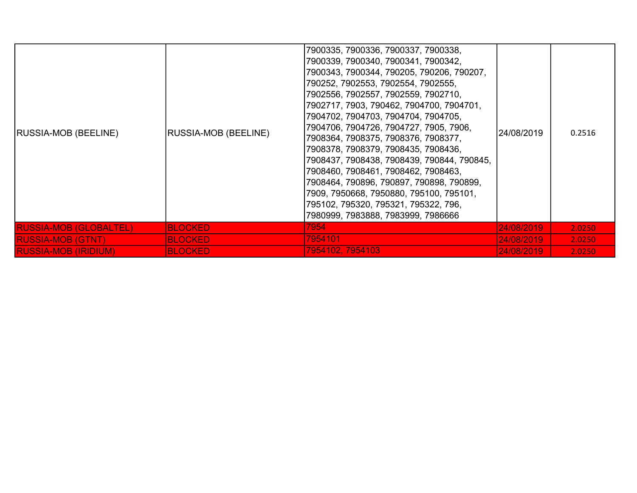| <b>RUSSIA-MOB (BEELINE)</b>   | RUSSIA-MOB (BEELINE) | 7900335, 7900336, 7900337, 7900338,<br>7900339, 7900340, 7900341, 7900342,<br>7900343, 7900344, 790205, 790206, 790207,<br>790252, 7902553, 7902554, 7902555,<br>7902556, 7902557, 7902559, 7902710,<br>7902717, 7903, 790462, 7904700, 7904701,<br>7904702, 7904703, 7904704, 7904705,<br>7904706, 7904726, 7904727, 7905, 7906,<br>7908364, 7908375, 7908376, 7908377,<br>7908378, 7908379, 7908435, 7908436,<br>7908437, 7908438, 7908439, 790844, 790845,<br>7908460, 7908461, 7908462, 7908463,<br>7908464, 790896, 790897, 790898, 790899,<br>7909, 7950668, 7950880, 795100, 795101,<br>795102, 795320, 795321, 795322, 796,<br>7980999, 7983888, 7983999, 7986666 | 24/08/2019         | 0.2516 |
|-------------------------------|----------------------|---------------------------------------------------------------------------------------------------------------------------------------------------------------------------------------------------------------------------------------------------------------------------------------------------------------------------------------------------------------------------------------------------------------------------------------------------------------------------------------------------------------------------------------------------------------------------------------------------------------------------------------------------------------------------|--------------------|--------|
| <b>RUSSIA-MOB (GLOBALTEL)</b> | <b>BLOCKED</b>       | 7954                                                                                                                                                                                                                                                                                                                                                                                                                                                                                                                                                                                                                                                                      | <u>24/08/2019 </u> | 2.0250 |
| <b>RUSSIA-MOB (GTNT)</b>      | <b>BLOCKED</b>       | 7954101                                                                                                                                                                                                                                                                                                                                                                                                                                                                                                                                                                                                                                                                   | <u>24/08/2019 </u> | 2.0250 |
| <b>RUSSIA-MOB (IRIDIUM)</b>   | <b>BLOCKED</b>       | 7954102, 7954103                                                                                                                                                                                                                                                                                                                                                                                                                                                                                                                                                                                                                                                          | 24/08/2019         | 2.0250 |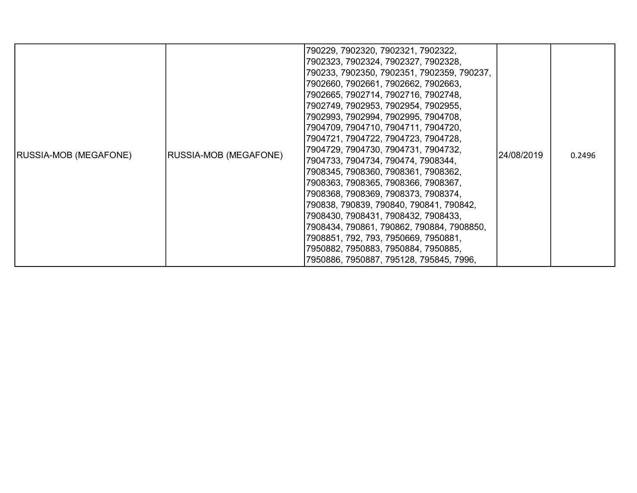| <b>RUSSIA-MOB (MEGAFONE)</b> | <b>RUSSIA-MOB (MEGAFONE)</b> | 790229, 7902320, 7902321, 7902322,<br>7902323, 7902324, 7902327, 7902328,<br>790233, 7902350, 7902351, 7902359, 790237,<br>7902660, 7902661, 7902662, 7902663,<br>7902665, 7902714, 7902716, 7902748,<br>7902749, 7902953, 7902954, 7902955,<br>7902993, 7902994, 7902995, 7904708,<br>7904709, 7904710, 7904711, 7904720,<br>7904721, 7904722, 7904723, 7904728,<br>7904729, 7904730, 7904731, 7904732,<br>7904733, 7904734, 790474, 7908344,<br>7908345, 7908360, 7908361, 7908362,<br>7908363, 7908365, 7908366, 7908367,<br>7908368, 7908369, 7908373, 7908374,<br>790838, 790839, 790840, 790841, 790842,<br>7908430, 7908431, 7908432, 7908433,<br>7908434, 790861, 790862, 790884, 7908850,<br>7908851, 792, 793, 7950669, 7950881,<br>7950882, 7950883, 7950884, 7950885,<br>7950886, 7950887, 795128, 795845, 7996, | 24/08/2019 | 0.2496 |
|------------------------------|------------------------------|------------------------------------------------------------------------------------------------------------------------------------------------------------------------------------------------------------------------------------------------------------------------------------------------------------------------------------------------------------------------------------------------------------------------------------------------------------------------------------------------------------------------------------------------------------------------------------------------------------------------------------------------------------------------------------------------------------------------------------------------------------------------------------------------------------------------------|------------|--------|
|------------------------------|------------------------------|------------------------------------------------------------------------------------------------------------------------------------------------------------------------------------------------------------------------------------------------------------------------------------------------------------------------------------------------------------------------------------------------------------------------------------------------------------------------------------------------------------------------------------------------------------------------------------------------------------------------------------------------------------------------------------------------------------------------------------------------------------------------------------------------------------------------------|------------|--------|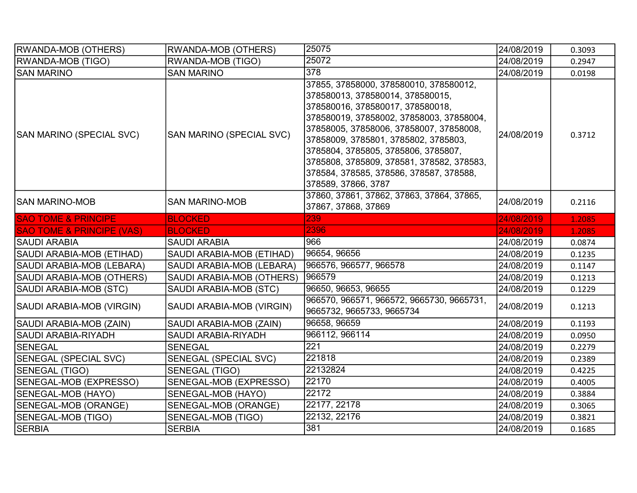| <b>RWANDA-MOB (OTHERS)</b>           | <b>RWANDA-MOB (OTHERS)</b>   | 25075                                                                                                                                                                                                                                                                                                                                                                                               | 24/08/2019 | 0.3093 |
|--------------------------------------|------------------------------|-----------------------------------------------------------------------------------------------------------------------------------------------------------------------------------------------------------------------------------------------------------------------------------------------------------------------------------------------------------------------------------------------------|------------|--------|
| <b>RWANDA-MOB (TIGO)</b>             | RWANDA-MOB (TIGO)            | 25072                                                                                                                                                                                                                                                                                                                                                                                               | 24/08/2019 | 0.2947 |
| <b>SAN MARINO</b>                    | <b>SAN MARINO</b>            | 378                                                                                                                                                                                                                                                                                                                                                                                                 | 24/08/2019 | 0.0198 |
| SAN MARINO (SPECIAL SVC)             | SAN MARINO (SPECIAL SVC)     | 37855, 37858000, 378580010, 378580012,<br>378580013, 378580014, 378580015,<br>378580016, 378580017, 378580018,<br>378580019, 37858002, 37858003, 37858004,<br>37858005, 37858006, 37858007, 37858008,<br>37858009, 3785801, 3785802, 3785803,<br>3785804, 3785805, 3785806, 3785807,<br>3785808, 3785809, 378581, 378582, 378583,<br>378584, 378585, 378586, 378587, 378588,<br>378589, 37866, 3787 | 24/08/2019 | 0.3712 |
| ISAN MARINO-MOB                      | <b>SAN MARINO-MOB</b>        | 37860, 37861, 37862, 37863, 37864, 37865,<br>37867, 37868, 37869                                                                                                                                                                                                                                                                                                                                    | 24/08/2019 | 0.2116 |
| <b>SAO TOME &amp; PRINCIPE</b>       | <b>BLOCKED</b>               | 239                                                                                                                                                                                                                                                                                                                                                                                                 | 24/08/2019 | 1.2085 |
| <b>SAO TOME &amp; PRINCIPE (VAS)</b> | <b>BLOCKED</b>               | 2396                                                                                                                                                                                                                                                                                                                                                                                                | 24/08/2019 | 1.2085 |
| <b>SAUDI ARABIA</b>                  | <b>SAUDI ARABIA</b>          | 966                                                                                                                                                                                                                                                                                                                                                                                                 | 24/08/2019 | 0.0874 |
| SAUDI ARABIA-MOB (ETIHAD)            | SAUDI ARABIA-MOB (ETIHAD)    | 96654, 96656                                                                                                                                                                                                                                                                                                                                                                                        | 24/08/2019 | 0.1235 |
| SAUDI ARABIA-MOB (LEBARA)            | SAUDI ARABIA-MOB (LEBARA)    | 966576, 966577, 966578                                                                                                                                                                                                                                                                                                                                                                              | 24/08/2019 | 0.1147 |
| SAUDI ARABIA-MOB (OTHERS)            | SAUDI ARABIA-MOB (OTHERS)    | 966579                                                                                                                                                                                                                                                                                                                                                                                              | 24/08/2019 | 0.1213 |
| SAUDI ARABIA-MOB (STC)               | SAUDI ARABIA-MOB (STC)       | 96650, 96653, 96655                                                                                                                                                                                                                                                                                                                                                                                 | 24/08/2019 | 0.1229 |
| SAUDI ARABIA-MOB (VIRGIN)            | SAUDI ARABIA-MOB (VIRGIN)    | 966570, 966571, 966572, 9665730, 9665731,<br>9665732, 9665733, 9665734                                                                                                                                                                                                                                                                                                                              | 24/08/2019 | 0.1213 |
| SAUDI ARABIA-MOB (ZAIN)              | SAUDI ARABIA-MOB (ZAIN)      | 96658, 96659                                                                                                                                                                                                                                                                                                                                                                                        | 24/08/2019 | 0.1193 |
| <b>SAUDI ARABIA-RIYADH</b>           | SAUDI ARABIA-RIYADH          | 966112, 966114                                                                                                                                                                                                                                                                                                                                                                                      | 24/08/2019 | 0.0950 |
| SENEGAL                              | <b>SENEGAL</b>               | $\overline{221}$                                                                                                                                                                                                                                                                                                                                                                                    | 24/08/2019 | 0.2279 |
| <b>SENEGAL (SPECIAL SVC)</b>         | <b>SENEGAL (SPECIAL SVC)</b> | 221818                                                                                                                                                                                                                                                                                                                                                                                              | 24/08/2019 | 0.2389 |
| SENEGAL (TIGO)                       | <b>SENEGAL (TIGO)</b>        | 22132824                                                                                                                                                                                                                                                                                                                                                                                            | 24/08/2019 | 0.4225 |
| SENEGAL-MOB (EXPRESSO)               | SENEGAL-MOB (EXPRESSO)       | 22170                                                                                                                                                                                                                                                                                                                                                                                               | 24/08/2019 | 0.4005 |
| SENEGAL-MOB (HAYO)                   | SENEGAL-MOB (HAYO)           | 22172                                                                                                                                                                                                                                                                                                                                                                                               | 24/08/2019 | 0.3884 |
| SENEGAL-MOB (ORANGE)                 | SENEGAL-MOB (ORANGE)         | 22177, 22178                                                                                                                                                                                                                                                                                                                                                                                        | 24/08/2019 | 0.3065 |
| SENEGAL-MOB (TIGO)                   | SENEGAL-MOB (TIGO)           | 22132, 22176                                                                                                                                                                                                                                                                                                                                                                                        | 24/08/2019 | 0.3821 |
| <b>SERBIA</b>                        | <b>SERBIA</b>                | 381                                                                                                                                                                                                                                                                                                                                                                                                 | 24/08/2019 | 0.1685 |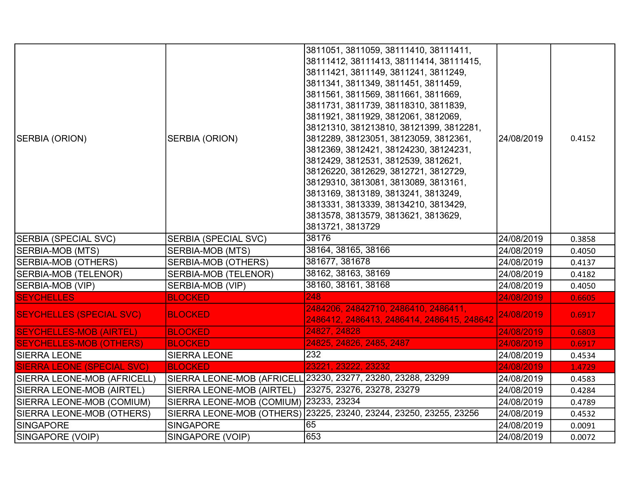| SERBIA (ORION)                    | SERBIA (ORION)                         | 3811051, 3811059, 38111410, 38111411,<br>38111412, 38111413, 38111414, 38111415,<br>38111421, 3811149, 3811241, 3811249,<br>3811341, 3811349, 3811451, 3811459,<br>3811561, 3811569, 3811661, 3811669,<br>3811731, 3811739, 38118310, 3811839,<br>3811921, 3811929, 3812061, 3812069,<br>38121310, 381213810, 38121399, 3812281,<br>3812289, 38123051, 38123059, 3812361, | 24/08/2019 | 0.4152 |
|-----------------------------------|----------------------------------------|---------------------------------------------------------------------------------------------------------------------------------------------------------------------------------------------------------------------------------------------------------------------------------------------------------------------------------------------------------------------------|------------|--------|
|                                   |                                        | 3812369, 3812421, 38124230, 38124231,<br>3812429, 3812531, 3812539, 3812621,<br>38126220, 3812629, 3812721, 3812729,<br>38129310, 3813081, 3813089, 3813161,<br>3813169, 3813189, 3813241, 3813249,<br>3813331, 3813339, 38134210, 3813429,<br>3813578, 3813579, 3813621, 3813629,<br>3813721, 3813729                                                                    |            |        |
| SERBIA (SPECIAL SVC)              | <b>SERBIA (SPECIAL SVC)</b>            | 38176                                                                                                                                                                                                                                                                                                                                                                     | 24/08/2019 | 0.3858 |
| SERBIA-MOB (MTS)                  | SERBIA-MOB (MTS)                       | 38164, 38165, 38166                                                                                                                                                                                                                                                                                                                                                       | 24/08/2019 | 0.4050 |
| <b>SERBIA-MOB (OTHERS)</b>        | <b>SERBIA-MOB (OTHERS)</b>             | 381677, 381678                                                                                                                                                                                                                                                                                                                                                            | 24/08/2019 | 0.4137 |
| SERBIA-MOB (TELENOR)              | SERBIA-MOB (TELENOR)                   | 38162, 38163, 38169                                                                                                                                                                                                                                                                                                                                                       | 24/08/2019 | 0.4182 |
| SERBIA-MOB (VIP)                  | SERBIA-MOB (VIP)                       | 38160, 38161, 38168                                                                                                                                                                                                                                                                                                                                                       | 24/08/2019 | 0.4050 |
| <b>SEYCHELLES</b>                 | <b>BLOCKED</b>                         | 248                                                                                                                                                                                                                                                                                                                                                                       | 24/08/2019 | 0.6605 |
| <b>SEYCHELLES (SPECIAL SVC)</b>   | <b>BLOCKED</b>                         | 2484206, 24842710, 2486410, 2486411,<br>2486412, 2486413, 2486414, 2486415, 248642                                                                                                                                                                                                                                                                                        | 24/08/2019 | 0.6917 |
| <b>SEYCHELLES-MOB (AIRTEL)</b>    | <b>BLOCKED</b>                         | 24827, 24828                                                                                                                                                                                                                                                                                                                                                              | 24/08/2019 | 0.6803 |
| <b>SEYCHELLES-MOB (OTHERS)</b>    | <b>BLOCKED</b>                         | 24825, 24826, 2485, 2487                                                                                                                                                                                                                                                                                                                                                  | 24/08/2019 | 0.6917 |
| <b>SIERRA LEONE</b>               | <b>SIERRA LEONE</b>                    | 232                                                                                                                                                                                                                                                                                                                                                                       | 24/08/2019 | 0.4534 |
| <b>SIERRA LEONE (SPECIAL SVC)</b> | <b>BLOCKED</b>                         | 23221, 23222, 23232                                                                                                                                                                                                                                                                                                                                                       | 24/08/2019 | 1.4729 |
| SIERRA LEONE-MOB (AFRICELL)       |                                        | SIERRA LEONE-MOB (AFRICELL 23230, 23277, 23280, 23288, 23299                                                                                                                                                                                                                                                                                                              | 24/08/2019 | 0.4583 |
| SIERRA LEONE-MOB (AIRTEL)         | SIERRA LEONE-MOB (AIRTEL)              | 23275, 23276, 23278, 23279                                                                                                                                                                                                                                                                                                                                                | 24/08/2019 | 0.4284 |
| SIERRA LEONE-MOB (COMIUM)         | SIERRA LEONE-MOB (COMIUM) 23233, 23234 |                                                                                                                                                                                                                                                                                                                                                                           | 24/08/2019 | 0.4789 |
| SIERRA LEONE-MOB (OTHERS)         |                                        | SIERRA LEONE-MOB (OTHERS) 23225, 23240, 23244, 23250, 23255, 23256                                                                                                                                                                                                                                                                                                        | 24/08/2019 | 0.4532 |
| SINGAPORE                         | <b>SINGAPORE</b>                       | 65                                                                                                                                                                                                                                                                                                                                                                        | 24/08/2019 | 0.0091 |
| SINGAPORE (VOIP)                  | SINGAPORE (VOIP)                       | 653                                                                                                                                                                                                                                                                                                                                                                       | 24/08/2019 | 0.0072 |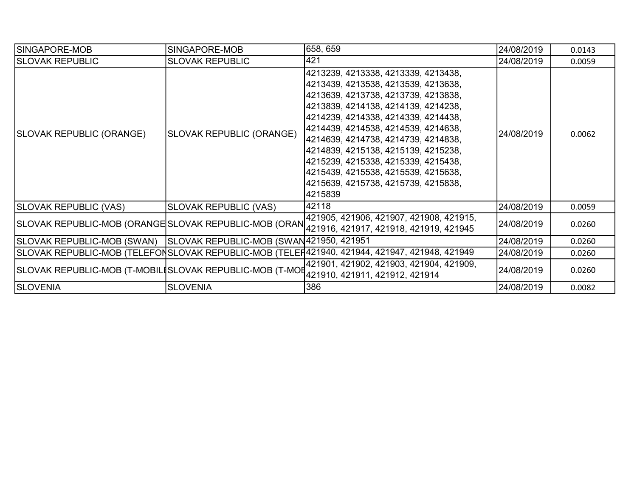| ISINGAPORE-MOB                                                                         | SINGAPORE-MOB                           | 658, 659                                                                                                                                                                                                                                                                                                                                                                                                                                                       | 24/08/2019 | 0.0143 |
|----------------------------------------------------------------------------------------|-----------------------------------------|----------------------------------------------------------------------------------------------------------------------------------------------------------------------------------------------------------------------------------------------------------------------------------------------------------------------------------------------------------------------------------------------------------------------------------------------------------------|------------|--------|
| <b>SLOVAK REPUBLIC</b>                                                                 | <b>SLOVAK REPUBLIC</b>                  | 1421                                                                                                                                                                                                                                                                                                                                                                                                                                                           | 24/08/2019 | 0.0059 |
| SLOVAK REPUBLIC (ORANGE)                                                               | SLOVAK REPUBLIC (ORANGE)                | 4213239, 4213338, 4213339, 4213438,<br> 4213439, 4213538, 4213539, 4213638,<br> 4213639, 4213738, 4213739, 4213838,<br> 4213839, 4214138, 4214139, 4214238,<br> 4214239, 4214338, 4214339, 4214438,<br> 4214439, 4214538, 4214539, 4214638,<br> 4214639, 4214738, 4214739, 4214838,<br> 4214839, 4215138, 4215139, 4215238,<br> 4215239, 4215338, 4215339, 4215438,<br> 4215439, 4215538, 4215539, 4215638,<br> 4215639, 4215738, 4215739, 4215838,<br>4215839 | 24/08/2019 | 0.0062 |
| <b>SLOVAK REPUBLIC (VAS)</b>                                                           | <b>SLOVAK REPUBLIC (VAS)</b>            | 42118                                                                                                                                                                                                                                                                                                                                                                                                                                                          | 24/08/2019 | 0.0059 |
|                                                                                        |                                         | 421905, 421906, 421907, 421908, 421915,<br>SLOVAK REPUBLIC-MOB (ORANGESLOVAK REPUBLIC-MOB (ORAN 421916, 421917, 421918, 421919, 421945                                                                                                                                                                                                                                                                                                                         | 24/08/2019 | 0.0260 |
| SLOVAK REPUBLIC-MOB (SWAN)                                                             | SLOVAK REPUBLIC-MOB (SWAN421950, 421951 |                                                                                                                                                                                                                                                                                                                                                                                                                                                                | 24/08/2019 | 0.0260 |
|                                                                                        |                                         | SLOVAK REPUBLIC-MOB (TELEFONSLOVAK REPUBLIC-MOB (TELEF421940, 421944, 421947, 421948, 421949                                                                                                                                                                                                                                                                                                                                                                   | 24/08/2019 | 0.0260 |
| SLOVAK REPUBLIC-MOB (T-MOBILISLOVAK REPUBLIC-MOB (T-MOI 421910, 421911, 421912, 421914 |                                         | 421901, 421902, 421903, 421904, 421909,                                                                                                                                                                                                                                                                                                                                                                                                                        | 24/08/2019 | 0.0260 |
| <b>SLOVENIA</b>                                                                        | <b>SLOVENIA</b>                         | 386                                                                                                                                                                                                                                                                                                                                                                                                                                                            | 24/08/2019 | 0.0082 |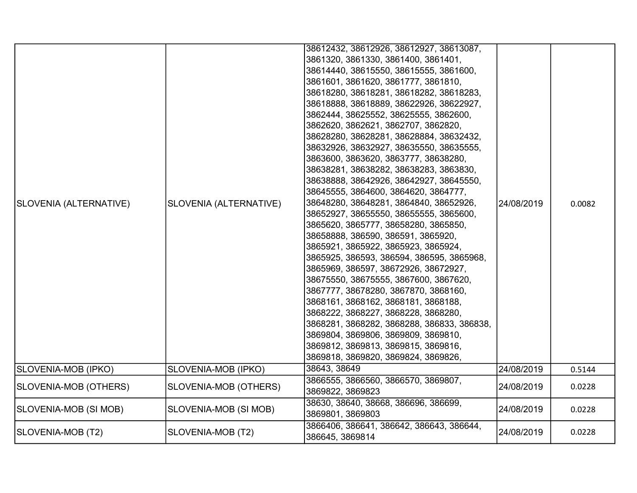| SLOVENIA (ALTERNATIVE) | SLOVENIA (ALTERNATIVE) | 38612432, 38612926, 38612927, 38613087,<br>3861320, 3861330, 3861400, 3861401,<br>38614440, 38615550, 38615555, 3861600,<br>3861601, 3861620, 3861777, 3861810,<br>38618280, 38618281, 38618282, 38618283,<br>38618888, 38618889, 38622926, 38622927,<br>3862444, 38625552, 38625555, 3862600,<br>3862620, 3862621, 3862707, 3862820,<br>38628280, 38628281, 38628884, 38632432,<br>38632926, 38632927, 38635550, 38635555,<br>3863600, 3863620, 3863777, 38638280,<br>38638281, 38638282, 38638283, 3863830,<br>38638888, 38642926, 38642927, 38645550,<br>38645555, 3864600, 3864620, 3864777,<br>38648280, 38648281, 3864840, 38652926,<br>38652927, 38655550, 38655555, 3865600,<br>3865620, 3865777, 38658280, 3865850,<br>38658888, 386590, 386591, 3865920,<br>3865921, 3865922, 3865923, 3865924,<br>3865925, 386593, 386594, 386595, 3865968,<br>3865969, 386597, 38672926, 38672927,<br>38675550, 38675555, 3867600, 3867620,<br>3867777, 38678280, 3867870, 3868160,<br>3868161, 3868162, 3868181, 3868188,<br>3868222, 3868227, 3868228, 3868280,<br>3868281, 3868282, 3868288, 386833, 386838,<br>3869804, 3869806, 3869809, 3869810,<br>3869812, 3869813, 3869815, 3869816,<br>3869818, 3869820, 3869824, 3869826, | 24/08/2019 | 0.0082 |
|------------------------|------------------------|----------------------------------------------------------------------------------------------------------------------------------------------------------------------------------------------------------------------------------------------------------------------------------------------------------------------------------------------------------------------------------------------------------------------------------------------------------------------------------------------------------------------------------------------------------------------------------------------------------------------------------------------------------------------------------------------------------------------------------------------------------------------------------------------------------------------------------------------------------------------------------------------------------------------------------------------------------------------------------------------------------------------------------------------------------------------------------------------------------------------------------------------------------------------------------------------------------------------------------|------------|--------|
| SLOVENIA-MOB (IPKO)    | SLOVENIA-MOB (IPKO)    | 38643, 38649                                                                                                                                                                                                                                                                                                                                                                                                                                                                                                                                                                                                                                                                                                                                                                                                                                                                                                                                                                                                                                                                                                                                                                                                                     | 24/08/2019 | 0.5144 |
| SLOVENIA-MOB (OTHERS)  | SLOVENIA-MOB (OTHERS)  | 3866555, 3866560, 3866570, 3869807,<br>3869822, 3869823                                                                                                                                                                                                                                                                                                                                                                                                                                                                                                                                                                                                                                                                                                                                                                                                                                                                                                                                                                                                                                                                                                                                                                          | 24/08/2019 | 0.0228 |
| SLOVENIA-MOB (SI MOB)  | SLOVENIA-MOB (SI MOB)  | 38630, 38640, 38668, 386696, 386699,<br>3869801, 3869803                                                                                                                                                                                                                                                                                                                                                                                                                                                                                                                                                                                                                                                                                                                                                                                                                                                                                                                                                                                                                                                                                                                                                                         | 24/08/2019 | 0.0228 |
| SLOVENIA-MOB (T2)      | SLOVENIA-MOB (T2)      | 3866406, 386641, 386642, 386643, 386644,<br>386645, 3869814                                                                                                                                                                                                                                                                                                                                                                                                                                                                                                                                                                                                                                                                                                                                                                                                                                                                                                                                                                                                                                                                                                                                                                      | 24/08/2019 | 0.0228 |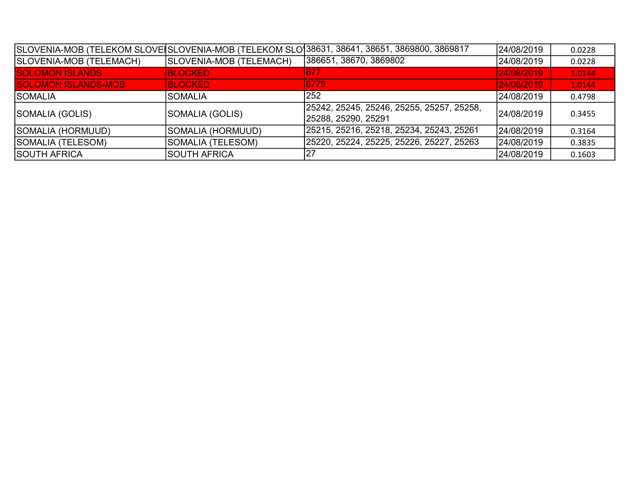|                            |                         | SLOVENIA-MOB (TELEKOM SLOVEISLOVENIA-MOB (TELEKOM SLO 38631, 38641, 38651, 3869800, 3869817 | 24/08/2019  | 0.0228 |
|----------------------------|-------------------------|---------------------------------------------------------------------------------------------|-------------|--------|
| SLOVENIA-MOB (TELEMACH)    | SLOVENIA-MOB (TELEMACH) | 386651, 38670, 3869802                                                                      | 24/08/2019  | 0.0228 |
| <b>SOLOMON ISLANDS</b>     | <b>BLOCKED</b>          | 677                                                                                         | 24/08/2019  | 1.0144 |
| <b>SOLOMON ISLANDS-MOB</b> | <b>BLOCKED</b>          | 6779                                                                                        | 24/08/2019  | 1.0144 |
| <b>SOMALIA</b>             | ISOMALIA                | 252                                                                                         | 24/08/2019  | 0.4798 |
| SOMALIA (GOLIS)            | SOMALIA (GOLIS)         | 25242, 25245, 25246, 25255, 25257, 25258,                                                   | l24/08/2019 | 0.3455 |
|                            |                         | 25288, 25290, 25291                                                                         |             |        |
| SOMALIA (HORMUUD)          | SOMALIA (HORMUUD)       | 25215, 25216, 25218, 25234, 25243, 25261                                                    | l24/08/2019 | 0.3164 |
| SOMALIA (TELESOM)          | SOMALIA (TELESOM)       | 25220, 25224, 25225, 25226, 25227, 25263                                                    | 24/08/2019  | 0.3835 |
| <b>SOUTH AFRICA</b>        | <b>SOUTH AFRICA</b>     | 127                                                                                         | 24/08/2019  | 0.1603 |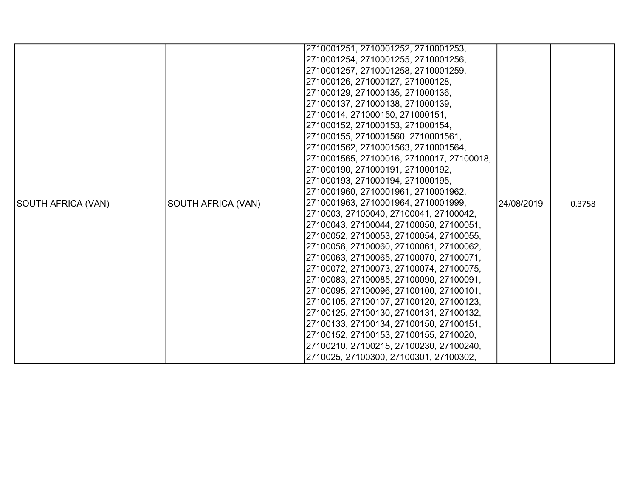|                    |                    | 2710001251, 2710001252, 2710001253,       |            |        |
|--------------------|--------------------|-------------------------------------------|------------|--------|
|                    |                    | 2710001254, 2710001255, 2710001256,       |            |        |
|                    |                    | 2710001257, 2710001258, 2710001259,       |            |        |
|                    |                    | 271000126, 271000127, 271000128,          |            |        |
|                    |                    | 271000129, 271000135, 271000136,          |            |        |
|                    |                    | 271000137, 271000138, 271000139,          |            |        |
|                    |                    | 27100014, 271000150, 271000151,           |            |        |
|                    |                    | 271000152, 271000153, 271000154,          |            |        |
|                    |                    | 271000155, 2710001560, 2710001561,        |            |        |
|                    |                    | 2710001562, 2710001563, 2710001564,       |            |        |
|                    |                    | 2710001565, 27100016, 27100017, 27100018, |            |        |
|                    |                    | 271000190, 271000191, 271000192,          |            |        |
|                    |                    | 271000193, 271000194, 271000195,          |            |        |
|                    |                    | 2710001960, 2710001961, 2710001962,       |            |        |
| SOUTH AFRICA (VAN) | SOUTH AFRICA (VAN) | 2710001963, 2710001964, 2710001999,       | 24/08/2019 | 0.3758 |
|                    |                    | 2710003, 27100040, 27100041, 27100042,    |            |        |
|                    |                    | 27100043, 27100044, 27100050, 27100051,   |            |        |
|                    |                    | 27100052, 27100053, 27100054, 27100055,   |            |        |
|                    |                    | 27100056, 27100060, 27100061, 27100062,   |            |        |
|                    |                    | 27100063, 27100065, 27100070, 27100071,   |            |        |
|                    |                    | 27100072, 27100073, 27100074, 27100075,   |            |        |
|                    |                    | 27100083, 27100085, 27100090, 27100091,   |            |        |
|                    |                    | 27100095, 27100096, 27100100, 27100101,   |            |        |
|                    |                    | 27100105, 27100107, 27100120, 27100123,   |            |        |
|                    |                    | 27100125, 27100130, 27100131, 27100132,   |            |        |
|                    |                    | 27100133, 27100134, 27100150, 27100151,   |            |        |
|                    |                    | 27100152, 27100153, 27100155, 2710020,    |            |        |
|                    |                    | 27100210, 27100215, 27100230, 27100240,   |            |        |
|                    |                    | 2710025, 27100300, 27100301, 27100302,    |            |        |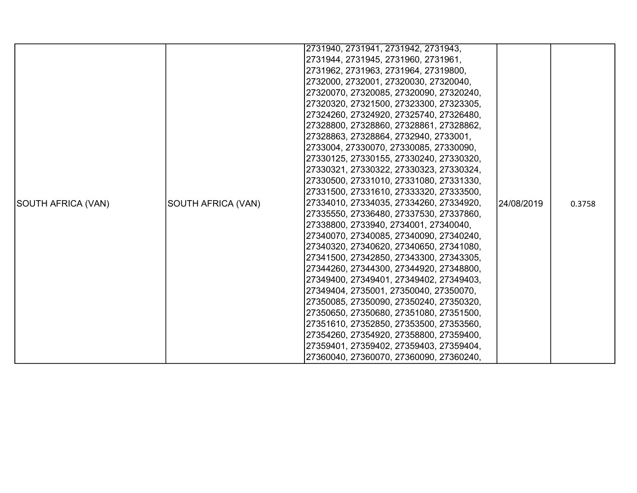|                    |                           | 2731940, 2731941, 2731942, 2731943,     |            |        |
|--------------------|---------------------------|-----------------------------------------|------------|--------|
|                    |                           | 2731944, 2731945, 2731960, 2731961,     |            |        |
|                    |                           | 2731962, 2731963, 2731964, 27319800,    |            |        |
|                    |                           | 2732000, 2732001, 27320030, 27320040,   |            |        |
|                    |                           |                                         |            |        |
|                    |                           | 27320070, 27320085, 27320090, 27320240, |            |        |
|                    |                           | 27320320, 27321500, 27323300, 27323305, |            |        |
|                    |                           | 27324260, 27324920, 27325740, 27326480, |            |        |
|                    |                           | 27328800, 27328860, 27328861, 27328862, |            |        |
|                    |                           | 27328863, 27328864, 2732940, 2733001,   |            |        |
|                    |                           | 2733004, 27330070, 27330085, 27330090,  |            |        |
|                    |                           | 27330125, 27330155, 27330240, 27330320, |            |        |
|                    |                           | 27330321, 27330322, 27330323, 27330324, |            |        |
|                    |                           | 27330500, 27331010, 27331080, 27331330, |            |        |
|                    |                           | 27331500, 27331610, 27333320, 27333500, |            |        |
| SOUTH AFRICA (VAN) | <b>SOUTH AFRICA (VAN)</b> | 27334010, 27334035, 27334260, 27334920, | 24/08/2019 | 0.3758 |
|                    |                           | 27335550, 27336480, 27337530, 27337860, |            |        |
|                    |                           | 27338800, 2733940, 2734001, 27340040,   |            |        |
|                    |                           | 27340070, 27340085, 27340090, 27340240, |            |        |
|                    |                           | 27340320, 27340620, 27340650, 27341080, |            |        |
|                    |                           | 27341500, 27342850, 27343300, 27343305, |            |        |
|                    |                           | 27344260, 27344300, 27344920, 27348800, |            |        |
|                    |                           | 27349400, 27349401, 27349402, 27349403, |            |        |
|                    |                           | 27349404, 2735001, 27350040, 27350070,  |            |        |
|                    |                           | 27350085, 27350090, 27350240, 27350320, |            |        |
|                    |                           | 27350650, 27350680, 27351080, 27351500, |            |        |
|                    |                           | 27351610, 27352850, 27353500, 27353560, |            |        |
|                    |                           | 27354260, 27354920, 27358800, 27359400, |            |        |
|                    |                           | 27359401, 27359402, 27359403, 27359404, |            |        |
|                    |                           | 27360040, 27360070, 27360090, 27360240, |            |        |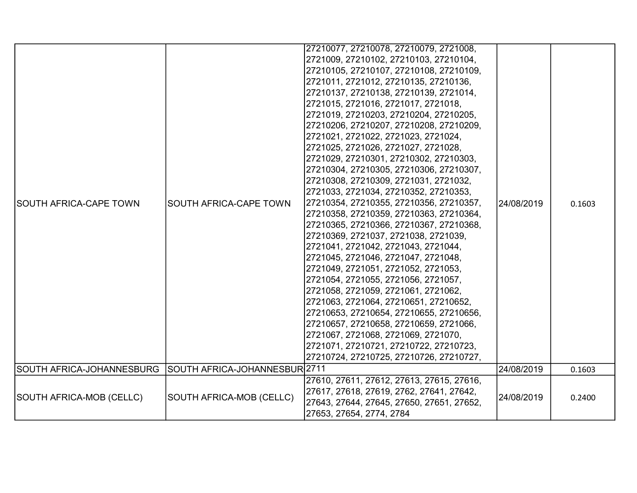| ISOUTH AFRICA-CAPE TOWN   | SOUTH AFRICA-CAPE TOWN                   | 27210077, 27210078, 27210079, 2721008,<br>2721009, 27210102, 27210103, 27210104,<br>27210105, 27210107, 27210108, 27210109,<br>2721011, 2721012, 27210135, 27210136,<br>27210137, 27210138, 27210139, 2721014,<br>2721015, 2721016, 2721017, 2721018,<br>2721019, 27210203, 27210204, 27210205,<br>27210206, 27210207, 27210208, 27210209,<br>2721021, 2721022, 2721023, 2721024,<br>2721025, 2721026, 2721027, 2721028,<br>2721029, 27210301, 27210302, 27210303,<br>27210304, 27210305, 27210306, 27210307,<br>27210308, 27210309, 2721031, 2721032,<br>2721033, 2721034, 27210352, 27210353,<br>27210354, 27210355, 27210356, 27210357,<br>27210358, 27210359, 27210363, 27210364,<br>27210365, 27210366, 27210367, 27210368,<br>27210369, 2721037, 2721038, 2721039,<br>2721041, 2721042, 2721043, 2721044,<br>2721045, 2721046, 2721047, 2721048,<br>2721049, 2721051, 2721052, 2721053,<br>2721054, 2721055, 2721056, 2721057,<br>2721058, 2721059, 2721061, 2721062,<br>2721063, 2721064, 27210651, 27210652,<br>27210653, 27210654, 27210655, 27210656,<br>27210657, 27210658, 27210659, 2721066,<br>2721067, 2721068, 2721069, 2721070,<br>2721071, 27210721, 27210722, 27210723,<br>27210724, 27210725, 27210726, 27210727, | 24/08/2019 | 0.1603 |
|---------------------------|------------------------------------------|---------------------------------------------------------------------------------------------------------------------------------------------------------------------------------------------------------------------------------------------------------------------------------------------------------------------------------------------------------------------------------------------------------------------------------------------------------------------------------------------------------------------------------------------------------------------------------------------------------------------------------------------------------------------------------------------------------------------------------------------------------------------------------------------------------------------------------------------------------------------------------------------------------------------------------------------------------------------------------------------------------------------------------------------------------------------------------------------------------------------------------------------------------------------------------------------------------------------------------------|------------|--------|
| SOUTH AFRICA-JOHANNESBURG | SOUTH AFRICA-JOHANNESBUR <sup>2711</sup> |                                                                                                                                                                                                                                                                                                                                                                                                                                                                                                                                                                                                                                                                                                                                                                                                                                                                                                                                                                                                                                                                                                                                                                                                                                       | 24/08/2019 | 0.1603 |
| SOUTH AFRICA-MOB (CELLC)  | SOUTH AFRICA-MOB (CELLC)                 | 27610, 27611, 27612, 27613, 27615, 27616,<br>27617, 27618, 27619, 2762, 27641, 27642,<br>27643, 27644, 27645, 27650, 27651, 27652,<br>27653, 27654, 2774, 2784                                                                                                                                                                                                                                                                                                                                                                                                                                                                                                                                                                                                                                                                                                                                                                                                                                                                                                                                                                                                                                                                        | 24/08/2019 | 0.2400 |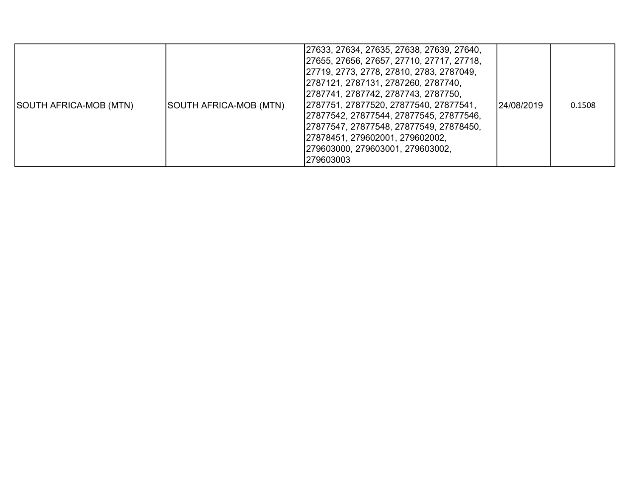| SOUTH AFRICA-MOB (MTN) | SOUTH AFRICA-MOB (MTN) | 27633, 27634, 27635, 27638, 27639, 27640,<br>27655, 27656, 27657, 27710, 27717, 27718,<br> 27719, 2773, 2778, 27810, 2783, 2787049,<br> 2787121, 2787131, 2787260, 2787740,<br> 2787741, 2787742, 2787743, 2787750,<br>2787751, 27877520, 27877540, 27877541,<br> 27877542, 27877544, 27877545, 27877546,<br>27877547, 27877548, 27877549, 27878450,<br> 27878451, 279602001, 279602002,<br> 279603000, 279603001, 279603002,<br>279603003 | 124/08/2019 | 0.1508 |
|------------------------|------------------------|--------------------------------------------------------------------------------------------------------------------------------------------------------------------------------------------------------------------------------------------------------------------------------------------------------------------------------------------------------------------------------------------------------------------------------------------|-------------|--------|
|------------------------|------------------------|--------------------------------------------------------------------------------------------------------------------------------------------------------------------------------------------------------------------------------------------------------------------------------------------------------------------------------------------------------------------------------------------------------------------------------------------|-------------|--------|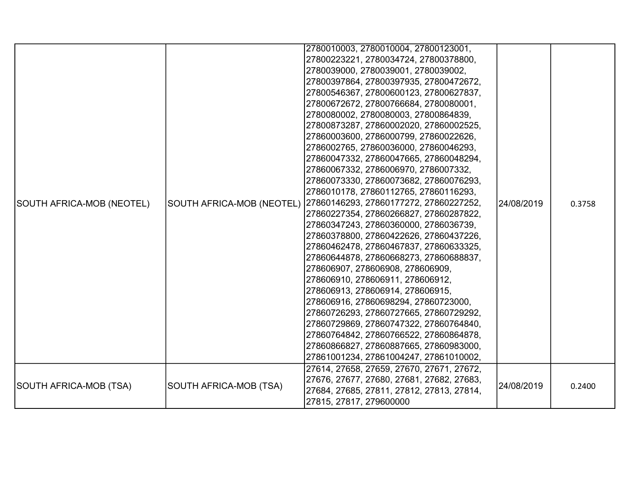| SOUTH AFRICA-MOB (NEOTEL) |                        | 2780010003, 2780010004, 27800123001,<br>27800223221, 2780034724, 27800378800,<br>2780039000, 2780039001, 2780039002,<br>27800397864, 27800397935, 27800472672,<br>27800546367, 27800600123, 27800627837,<br>27800672672, 27800766684, 2780080001,<br>2780080002, 2780080003, 27800864839,<br>27800873287, 27860002020, 27860002525,<br>27860003600, 2786000799, 27860022626,<br>2786002765, 27860036000, 27860046293,<br>27860047332, 27860047665, 27860048294,<br>27860067332, 2786006970, 2786007332,<br>27860073330, 27860073682, 27860076293,<br>2786010178, 27860112765, 27860116293,<br>SOUTH AFRICA-MOB (NEOTEL) 27860146293, 27860177272, 27860227252,<br>27860227354, 27860266827, 27860287822,<br>27860347243, 27860360000, 2786036739,<br>27860378800, 27860422626, 27860437226,<br>27860462478, 27860467837, 27860633325,<br>27860644878, 27860668273, 27860688837,<br>278606907, 278606908, 278606909,<br>278606910, 278606911, 278606912,<br>278606913, 278606914, 278606915,<br>278606916, 27860698294, 27860723000,<br>27860726293, 27860727665, 27860729292,<br>27860729869, 27860747322, 27860764840,<br>27860764842, 27860766522, 27860864878,<br>27860866827, 27860887665, 27860983000,<br>27861001234, 27861004247, 27861010002,<br>27614, 27658, 27659, 27670, 27671, 27672, | 24/08/2019 | 0.3758 |
|---------------------------|------------------------|----------------------------------------------------------------------------------------------------------------------------------------------------------------------------------------------------------------------------------------------------------------------------------------------------------------------------------------------------------------------------------------------------------------------------------------------------------------------------------------------------------------------------------------------------------------------------------------------------------------------------------------------------------------------------------------------------------------------------------------------------------------------------------------------------------------------------------------------------------------------------------------------------------------------------------------------------------------------------------------------------------------------------------------------------------------------------------------------------------------------------------------------------------------------------------------------------------------------------------------------------------------------------------------------------|------------|--------|
| SOUTH AFRICA-MOB (TSA)    | SOUTH AFRICA-MOB (TSA) | 27676, 27677, 27680, 27681, 27682, 27683,<br>27684, 27685, 27811, 27812, 27813, 27814,<br>27815, 27817, 279600000                                                                                                                                                                                                                                                                                                                                                                                                                                                                                                                                                                                                                                                                                                                                                                                                                                                                                                                                                                                                                                                                                                                                                                                  | 24/08/2019 | 0.2400 |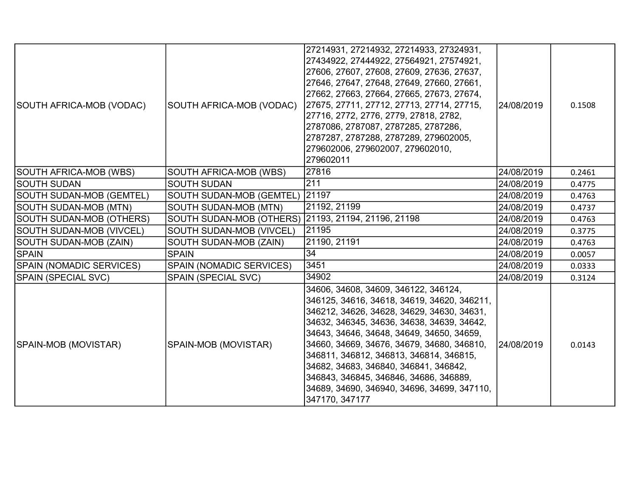| SOUTH AFRICA-MOB (VODAC)        | SOUTH AFRICA-MOB (VODAC)                            | 27214931, 27214932, 27214933, 27324931,<br>27434922, 27444922, 27564921, 27574921,<br>27606, 27607, 27608, 27609, 27636, 27637,<br>27646, 27647, 27648, 27649, 27660, 27661,<br>27662, 27663, 27664, 27665, 27673, 27674,<br>27675, 27711, 27712, 27713, 27714, 27715,<br>27716, 2772, 2776, 2779, 27818, 2782,<br>2787086, 2787087, 2787285, 2787286,<br>2787287, 2787288, 2787289, 279602005,<br>279602006, 279602007, 279602010,<br>279602011                          | 24/08/2019 | 0.1508 |
|---------------------------------|-----------------------------------------------------|---------------------------------------------------------------------------------------------------------------------------------------------------------------------------------------------------------------------------------------------------------------------------------------------------------------------------------------------------------------------------------------------------------------------------------------------------------------------------|------------|--------|
| <b>SOUTH AFRICA-MOB (WBS)</b>   | SOUTH AFRICA-MOB (WBS)                              | 27816                                                                                                                                                                                                                                                                                                                                                                                                                                                                     | 24/08/2019 | 0.2461 |
| <b>SOUTH SUDAN</b>              | <b>SOUTH SUDAN</b>                                  | 211                                                                                                                                                                                                                                                                                                                                                                                                                                                                       | 24/08/2019 | 0.4775 |
| SOUTH SUDAN-MOB (GEMTEL)        | SOUTH SUDAN-MOB (GEMTEL)                            | 21197                                                                                                                                                                                                                                                                                                                                                                                                                                                                     | 24/08/2019 | 0.4763 |
| SOUTH SUDAN-MOB (MTN)           | <b>SOUTH SUDAN-MOB (MTN)</b>                        | 21192, 21199                                                                                                                                                                                                                                                                                                                                                                                                                                                              | 24/08/2019 | 0.4737 |
| <b>SOUTH SUDAN-MOB (OTHERS)</b> | SOUTH SUDAN-MOB (OTHERS) 21193, 21194, 21196, 21198 |                                                                                                                                                                                                                                                                                                                                                                                                                                                                           | 24/08/2019 | 0.4763 |
| <b>SOUTH SUDAN-MOB (VIVCEL)</b> | <b>SOUTH SUDAN-MOB (VIVCEL)</b>                     | 21195                                                                                                                                                                                                                                                                                                                                                                                                                                                                     | 24/08/2019 | 0.3775 |
| SOUTH SUDAN-MOB (ZAIN)          | SOUTH SUDAN-MOB (ZAIN)                              | 21190, 21191                                                                                                                                                                                                                                                                                                                                                                                                                                                              | 24/08/2019 | 0.4763 |
| SPAIN                           | <b>SPAIN</b>                                        | 34                                                                                                                                                                                                                                                                                                                                                                                                                                                                        | 24/08/2019 | 0.0057 |
| <b>SPAIN (NOMADIC SERVICES)</b> | <b>SPAIN (NOMADIC SERVICES)</b>                     | 3451                                                                                                                                                                                                                                                                                                                                                                                                                                                                      | 24/08/2019 | 0.0333 |
| SPAIN (SPECIAL SVC)             | <b>SPAIN (SPECIAL SVC)</b>                          | 34902                                                                                                                                                                                                                                                                                                                                                                                                                                                                     | 24/08/2019 | 0.3124 |
| SPAIN-MOB (MOVISTAR)            | SPAIN-MOB (MOVISTAR)                                | 34606, 34608, 34609, 346122, 346124,<br>346125, 34616, 34618, 34619, 34620, 346211,<br>346212, 34626, 34628, 34629, 34630, 34631,<br>34632, 346345, 34636, 34638, 34639, 34642,<br>34643, 34646, 34648, 34649, 34650, 34659,<br>34660, 34669, 34676, 34679, 34680, 346810,<br>346811, 346812, 346813, 346814, 346815,<br>34682, 34683, 346840, 346841, 346842,<br>346843, 346845, 346846, 34686, 346889,<br>34689, 34690, 346940, 34696, 34699, 347110,<br>347170, 347177 | 24/08/2019 | 0.0143 |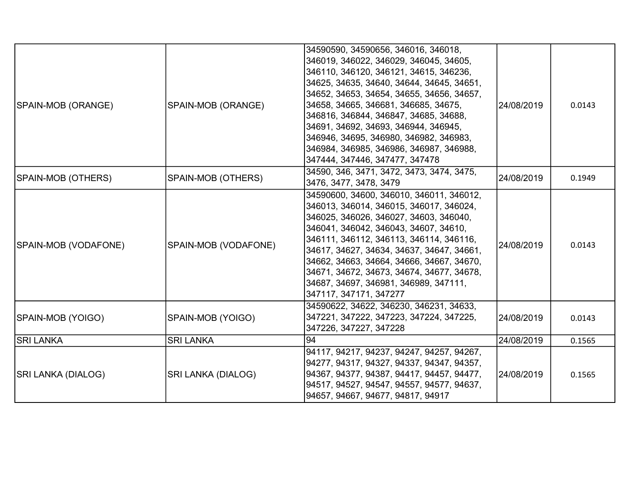| SPAIN-MOB (ORANGE)   | SPAIN-MOB (ORANGE)   | 34590590, 34590656, 346016, 346018,<br>346019, 346022, 346029, 346045, 34605,<br>346110, 346120, 346121, 34615, 346236,<br>34625, 34635, 34640, 34644, 34645, 34651,<br>34652, 34653, 34654, 34655, 34656, 34657,<br>34658, 34665, 346681, 346685, 34675,<br>346816, 346844, 346847, 34685, 34688,<br>34691, 34692, 34693, 346944, 346945,<br>346946, 34695, 346980, 346982, 346983,<br>346984, 346985, 346986, 346987, 346988,<br>347444, 347446, 347477, 347478 | 24/08/2019 | 0.0143 |
|----------------------|----------------------|-------------------------------------------------------------------------------------------------------------------------------------------------------------------------------------------------------------------------------------------------------------------------------------------------------------------------------------------------------------------------------------------------------------------------------------------------------------------|------------|--------|
| SPAIN-MOB (OTHERS)   | SPAIN-MOB (OTHERS)   | 34590, 346, 3471, 3472, 3473, 3474, 3475,<br>3476, 3477, 3478, 3479                                                                                                                                                                                                                                                                                                                                                                                               | 24/08/2019 | 0.1949 |
| SPAIN-MOB (VODAFONE) | SPAIN-MOB (VODAFONE) | 34590600, 34600, 346010, 346011, 346012,<br>346013, 346014, 346015, 346017, 346024,<br>346025, 346026, 346027, 34603, 346040,<br>346041, 346042, 346043, 34607, 34610,<br>346111, 346112, 346113, 346114, 346116,<br>34617, 34627, 34634, 34637, 34647, 34661,<br>34662, 34663, 34664, 34666, 34667, 34670,<br>34671, 34672, 34673, 34674, 34677, 34678,<br>34687, 34697, 346981, 346989, 347111,<br>347117, 347171, 347277                                       | 24/08/2019 | 0.0143 |
| SPAIN-MOB (YOIGO)    | SPAIN-MOB (YOIGO)    | 34590622, 34622, 346230, 346231, 34633,<br>347221, 347222, 347223, 347224, 347225,<br>347226, 347227, 347228                                                                                                                                                                                                                                                                                                                                                      | 24/08/2019 | 0.0143 |
| <b>SRI LANKA</b>     | <b>SRI LANKA</b>     | 94                                                                                                                                                                                                                                                                                                                                                                                                                                                                | 24/08/2019 | 0.1565 |
| SRI LANKA (DIALOG)   | SRI LANKA (DIALOG)   | 94117, 94217, 94237, 94247, 94257, 94267,<br> 94277, 94317, 94327, 94337, 94347, 94357,<br> 94367, 94377, 94387, 94417, 94457, 94477,<br> 94517, 94527, 94547, 94557, 94577, 94637,<br>94657, 94667, 94677, 94817, 94917                                                                                                                                                                                                                                          | 24/08/2019 | 0.1565 |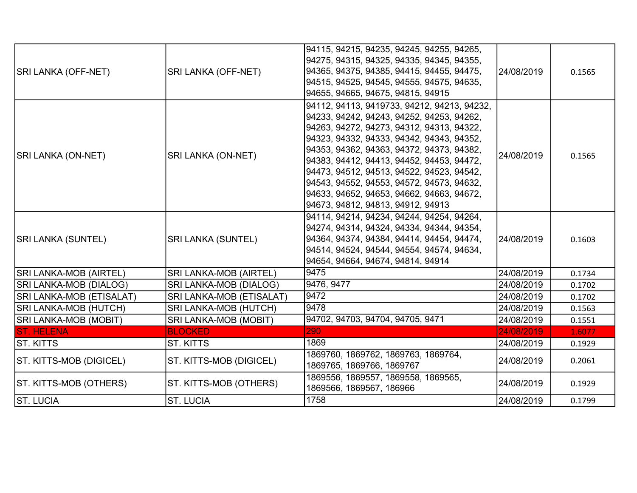| <b>SRI LANKA (OFF-NET)</b>    | <b>SRI LANKA (OFF-NET)</b>   | 94115, 94215, 94235, 94245, 94255, 94265,<br>94275, 94315, 94325, 94335, 94345, 94355,<br>94365, 94375, 94385, 94415, 94455, 94475,<br>94515, 94525, 94545, 94555, 94575, 94635,<br>94655, 94665, 94675, 94815, 94915                                                                                                                                                                                                                                    | 24/08/2019 | 0.1565 |
|-------------------------------|------------------------------|----------------------------------------------------------------------------------------------------------------------------------------------------------------------------------------------------------------------------------------------------------------------------------------------------------------------------------------------------------------------------------------------------------------------------------------------------------|------------|--------|
| <b>SRI LANKA (ON-NET)</b>     | SRI LANKA (ON-NET)           | 94112, 94113, 9419733, 94212, 94213, 94232,<br>94233, 94242, 94243, 94252, 94253, 94262,<br>94263, 94272, 94273, 94312, 94313, 94322,<br>94323, 94332, 94333, 94342, 94343, 94352,<br>94353, 94362, 94363, 94372, 94373, 94382,<br>94383, 94412, 94413, 94452, 94453, 94472,<br>94473, 94512, 94513, 94522, 94523, 94542,<br>94543, 94552, 94553, 94572, 94573, 94632,<br>94633, 94652, 94653, 94662, 94663, 94672,<br>94673, 94812, 94813, 94912, 94913 | 24/08/2019 | 0.1565 |
| <b>SRI LANKA (SUNTEL)</b>     | <b>SRI LANKA (SUNTEL)</b>    | 94114, 94214, 94234, 94244, 94254, 94264,<br>94274, 94314, 94324, 94334, 94344, 94354,<br>94364, 94374, 94384, 94414, 94454, 94474,<br>94514, 94524, 94544, 94554, 94574, 94634,<br>94654, 94664, 94674, 94814, 94914                                                                                                                                                                                                                                    | 24/08/2019 | 0.1603 |
| <b>SRI LANKA-MOB (AIRTEL)</b> | SRI LANKA-MOB (AIRTEL)       | 9475                                                                                                                                                                                                                                                                                                                                                                                                                                                     | 24/08/2019 | 0.1734 |
| SRI LANKA-MOB (DIALOG)        | SRI LANKA-MOB (DIALOG)       | 9476, 9477                                                                                                                                                                                                                                                                                                                                                                                                                                               | 24/08/2019 | 0.1702 |
| SRI LANKA-MOB (ETISALAT)      | SRI LANKA-MOB (ETISALAT)     | 9472                                                                                                                                                                                                                                                                                                                                                                                                                                                     | 24/08/2019 | 0.1702 |
| SRI LANKA-MOB (HUTCH)         | SRI LANKA-MOB (HUTCH)        | 9478                                                                                                                                                                                                                                                                                                                                                                                                                                                     | 24/08/2019 | 0.1563 |
| SRI LANKA-MOB (MOBIT)         | <b>SRI LANKA-MOB (MOBIT)</b> | 94702, 94703, 94704, 94705, 9471                                                                                                                                                                                                                                                                                                                                                                                                                         | 24/08/2019 | 0.1551 |
| <b>ST. HELENA</b>             | <b>BLOCKED</b>               | 290                                                                                                                                                                                                                                                                                                                                                                                                                                                      | 24/08/2019 | 1.6077 |
| ST. KITTS                     | ST. KITTS                    | 1869                                                                                                                                                                                                                                                                                                                                                                                                                                                     | 24/08/2019 | 0.1929 |
| ST. KITTS-MOB (DIGICEL)       | ST. KITTS-MOB (DIGICEL)      | 1869760, 1869762, 1869763, 1869764,<br>1869765, 1869766, 1869767                                                                                                                                                                                                                                                                                                                                                                                         | 24/08/2019 | 0.2061 |
| ST. KITTS-MOB (OTHERS)        | ST. KITTS-MOB (OTHERS)       | 1869556, 1869557, 1869558, 1869565,<br>1869566, 1869567, 186966                                                                                                                                                                                                                                                                                                                                                                                          | 24/08/2019 | 0.1929 |
| <b>ST. LUCIA</b>              | <b>ST. LUCIA</b>             | 1758                                                                                                                                                                                                                                                                                                                                                                                                                                                     | 24/08/2019 | 0.1799 |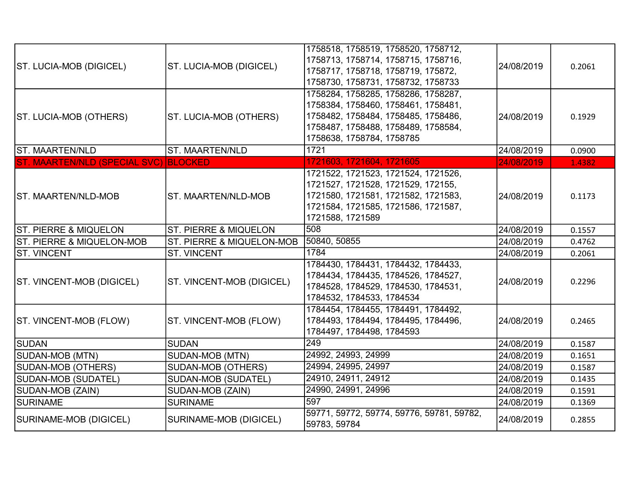|                                       |                                      | 1758518, 1758519, 1758520, 1758712,       |            |        |
|---------------------------------------|--------------------------------------|-------------------------------------------|------------|--------|
|                                       |                                      | 1758713, 1758714, 1758715, 1758716,       |            |        |
| ST. LUCIA-MOB (DIGICEL)               | ST. LUCIA-MOB (DIGICEL)              | 1758717, 1758718, 1758719, 175872,        | 24/08/2019 | 0.2061 |
|                                       |                                      | 1758730, 1758731, 1758732, 1758733        |            |        |
|                                       |                                      | 1758284, 1758285, 1758286, 1758287,       |            |        |
|                                       |                                      | 1758384, 1758460, 1758461, 1758481,       |            |        |
| ST. LUCIA-MOB (OTHERS)                | ST. LUCIA-MOB (OTHERS)               | 1758482, 1758484, 1758485, 1758486,       | 24/08/2019 | 0.1929 |
|                                       |                                      | 1758487, 1758488, 1758489, 1758584,       |            |        |
|                                       |                                      | 1758638, 1758784, 1758785                 |            |        |
| ST. MAARTEN/NLD                       | <b>ST. MAARTEN/NLD</b>               | 1721                                      | 24/08/2019 | 0.0900 |
| ST. MAARTEN/NLD (SPECIAL SVC) BLOCKED |                                      | 1721603, 1721604, 1721605                 | 24/08/2019 | 1.4382 |
|                                       |                                      | 1721522, 1721523, 1721524, 1721526,       |            |        |
|                                       |                                      | 1721527, 1721528, 1721529, 172155,        |            |        |
| <b>ST. MAARTEN/NLD-MOB</b>            | <b>ST. MAARTEN/NLD-MOB</b>           | 1721580, 1721581, 1721582, 1721583,       | 24/08/2019 | 0.1173 |
|                                       |                                      | 1721584, 1721585, 1721586, 1721587,       |            |        |
|                                       |                                      | 1721588, 1721589                          |            |        |
| <b>ST. PIERRE &amp; MIQUELON</b>      | <b>ST. PIERRE &amp; MIQUELON</b>     | 508                                       | 24/08/2019 | 0.1557 |
| <b>ST. PIERRE &amp; MIQUELON-MOB</b>  | <b>ST. PIERRE &amp; MIQUELON-MOB</b> | 50840, 50855                              | 24/08/2019 | 0.4762 |
| <b>ST. VINCENT</b>                    | <b>ST. VINCENT</b>                   | 1784                                      | 24/08/2019 | 0.2061 |
|                                       |                                      | 1784430, 1784431, 1784432, 1784433,       |            |        |
| ST. VINCENT-MOB (DIGICEL)             | ST. VINCENT-MOB (DIGICEL)            | 1784434, 1784435, 1784526, 1784527,       | 24/08/2019 | 0.2296 |
|                                       |                                      | 1784528, 1784529, 1784530, 1784531,       |            |        |
|                                       |                                      | 1784532, 1784533, 1784534                 |            |        |
|                                       |                                      | 1784454, 1784455, 1784491, 1784492,       |            |        |
| ST. VINCENT-MOB (FLOW)                | ST. VINCENT-MOB (FLOW)               | 1784493, 1784494, 1784495, 1784496,       | 24/08/2019 | 0.2465 |
|                                       |                                      | 1784497, 1784498, 1784593                 |            |        |
| <b>SUDAN</b>                          | <b>SUDAN</b>                         | 249                                       | 24/08/2019 | 0.1587 |
| SUDAN-MOB (MTN)                       | SUDAN-MOB (MTN)                      | 24992, 24993, 24999                       | 24/08/2019 | 0.1651 |
| SUDAN-MOB (OTHERS)                    | SUDAN-MOB (OTHERS)                   | 24994, 24995, 24997                       | 24/08/2019 | 0.1587 |
| SUDAN-MOB (SUDATEL)                   | SUDAN-MOB (SUDATEL)                  | 24910, 24911, 24912                       | 24/08/2019 | 0.1435 |
| SUDAN-MOB (ZAIN)                      | SUDAN-MOB (ZAIN)                     | 24990, 24991, 24996                       | 24/08/2019 | 0.1591 |
| <b>SURINAME</b>                       | <b>SURINAME</b>                      | 597                                       | 24/08/2019 | 0.1369 |
| SURINAME-MOB (DIGICEL)                | SURINAME-MOB (DIGICEL)               | 59771, 59772, 59774, 59776, 59781, 59782, | 24/08/2019 | 0.2855 |
|                                       |                                      | 59783, 59784                              |            |        |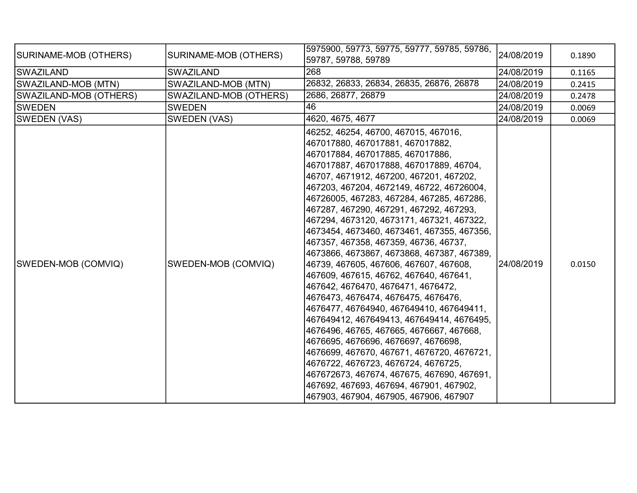| SURINAME-MOB (OTHERS)  | SURINAME-MOB (OTHERS)  | 5975900, 59773, 59775, 59777, 59785, 59786,<br>59787, 59788, 59789                                                                                                                                                                                                                                                                                                                                                                                                                                                                                                                                                                                                                                                                                                                                                                                                                                                                                                                                                                                                                                               | 24/08/2019 | 0.1890 |
|------------------------|------------------------|------------------------------------------------------------------------------------------------------------------------------------------------------------------------------------------------------------------------------------------------------------------------------------------------------------------------------------------------------------------------------------------------------------------------------------------------------------------------------------------------------------------------------------------------------------------------------------------------------------------------------------------------------------------------------------------------------------------------------------------------------------------------------------------------------------------------------------------------------------------------------------------------------------------------------------------------------------------------------------------------------------------------------------------------------------------------------------------------------------------|------------|--------|
| SWAZILAND              | <b>SWAZILAND</b>       | 268                                                                                                                                                                                                                                                                                                                                                                                                                                                                                                                                                                                                                                                                                                                                                                                                                                                                                                                                                                                                                                                                                                              | 24/08/2019 | 0.1165 |
| SWAZILAND-MOB (MTN)    | SWAZILAND-MOB (MTN)    | 26832, 26833, 26834, 26835, 26876, 26878                                                                                                                                                                                                                                                                                                                                                                                                                                                                                                                                                                                                                                                                                                                                                                                                                                                                                                                                                                                                                                                                         | 24/08/2019 | 0.2415 |
| SWAZILAND-MOB (OTHERS) | SWAZILAND-MOB (OTHERS) | 2686, 26877, 26879                                                                                                                                                                                                                                                                                                                                                                                                                                                                                                                                                                                                                                                                                                                                                                                                                                                                                                                                                                                                                                                                                               | 24/08/2019 | 0.2478 |
| <b>SWEDEN</b>          | <b>SWEDEN</b>          | 46                                                                                                                                                                                                                                                                                                                                                                                                                                                                                                                                                                                                                                                                                                                                                                                                                                                                                                                                                                                                                                                                                                               | 24/08/2019 | 0.0069 |
| SWEDEN (VAS)           | <b>SWEDEN (VAS)</b>    | 4620, 4675, 4677                                                                                                                                                                                                                                                                                                                                                                                                                                                                                                                                                                                                                                                                                                                                                                                                                                                                                                                                                                                                                                                                                                 | 24/08/2019 | 0.0069 |
| SWEDEN-MOB (COMVIQ)    | SWEDEN-MOB (COMVIQ)    | 46252, 46254, 46700, 467015, 467016,<br> 467017880, 467017881, 467017882,<br>467017884, 467017885, 467017886,<br> 467017887, 467017888, 467017889, 46704,<br> 46707, 4671912, 467200, 467201, 467202,<br> 467203, 467204, 4672149, 46722, 46726004,<br> 46726005, 467283, 467284, 467285, 467286,<br> 467287, 467290, 467291, 467292, 467293,<br> 467294, 4673120, 4673171, 467321, 467322,<br>4673454, 4673460, 4673461, 467355, 467356,<br> 467357, 467358, 467359, 46736, 46737,<br> 4673866, 4673867, 4673868, 467387, 467389,<br>46739, 467605, 467606, 467607, 467608,<br> 467609, 467615, 46762, 467640, 467641,<br> 467642, 4676470, 4676471, 4676472,<br>4676473, 4676474, 4676475, 4676476,<br> 4676477, 46764940, 467649410, 467649411,<br> 467649412, 467649413, 467649414, 4676495,<br> 4676496, 46765, 467665, 4676667, 467668,<br>4676695, 4676696, 4676697, 4676698,<br> 4676699, 467670, 467671, 4676720, 4676721,<br> 4676722, 4676723, 4676724, 4676725,<br>467672673, 467674, 467675, 467690, 467691,<br> 467692, 467693, 467694, 467901, 467902,<br> 467903, 467904, 467905, 467906, 467907 | 24/08/2019 | 0.0150 |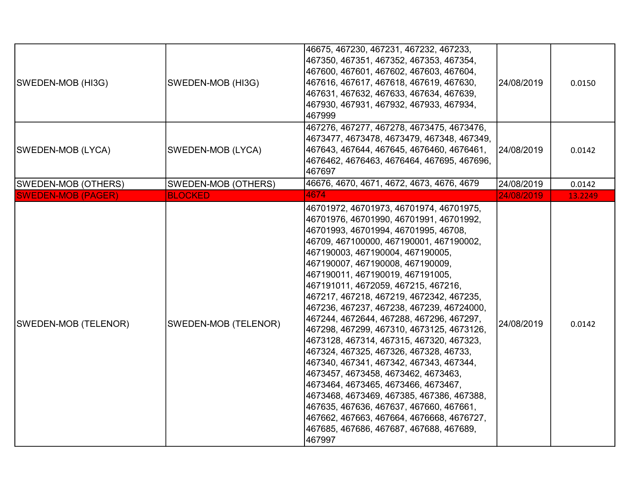| SWEDEN-MOB (HI3G)         | SWEDEN-MOB (HI3G)    | 46675, 467230, 467231, 467232, 467233,<br>467350, 467351, 467352, 467353, 467354,<br> 467600, 467601, 467602, 467603, 467604,<br> 467616, 467617, 467618, 467619, 467630,<br> 467631, 467632, 467633, 467634, 467639,<br> 467930, 467931, 467932, 467933, 467934,<br>467999                                                                                                                                                                                                                                                                                                                                                                                                                                                                                                                                                                                                                                                     | 24/08/2019 | 0.0150  |
|---------------------------|----------------------|---------------------------------------------------------------------------------------------------------------------------------------------------------------------------------------------------------------------------------------------------------------------------------------------------------------------------------------------------------------------------------------------------------------------------------------------------------------------------------------------------------------------------------------------------------------------------------------------------------------------------------------------------------------------------------------------------------------------------------------------------------------------------------------------------------------------------------------------------------------------------------------------------------------------------------|------------|---------|
| SWEDEN-MOB (LYCA)         | SWEDEN-MOB (LYCA)    | 467276, 467277, 467278, 4673475, 4673476,<br> 4673477, 4673478, 4673479, 467348, 467349,<br> 467643, 467644, 467645, 4676460, 4676461,<br> 4676462, 4676463, 4676464, 467695, 467696,<br>467697                                                                                                                                                                                                                                                                                                                                                                                                                                                                                                                                                                                                                                                                                                                                 | 24/08/2019 | 0.0142  |
| SWEDEN-MOB (OTHERS)       | SWEDEN-MOB (OTHERS)  | 46676, 4670, 4671, 4672, 4673, 4676, 4679                                                                                                                                                                                                                                                                                                                                                                                                                                                                                                                                                                                                                                                                                                                                                                                                                                                                                       | 24/08/2019 | 0.0142  |
| <b>SWEDEN-MOB (PAGER)</b> | <b>BLOCKED</b>       | 4674                                                                                                                                                                                                                                                                                                                                                                                                                                                                                                                                                                                                                                                                                                                                                                                                                                                                                                                            | 24/08/2019 | 13.2249 |
| SWEDEN-MOB (TELENOR)      | SWEDEN-MOB (TELENOR) | 46701972, 46701973, 46701974, 46701975,<br> 46701976, 46701990, 46701991, 46701992,<br>46701993, 46701994, 46701995, 46708,<br> 46709, 467100000, 467190001, 467190002,<br> 467190003, 467190004, 467190005,<br> 467190007, 467190008, 467190009,<br>467190011, 467190019, 467191005,<br> 467191011, 4672059, 467215, 467216,<br>467217, 467218, 467219, 4672342, 467235,<br>467236, 467237, 467238, 467239, 46724000,<br>467244, 4672644, 467288, 467296, 467297,<br>467298, 467299, 467310, 4673125, 4673126,<br>4673128, 467314, 467315, 467320, 467323,<br>467324, 467325, 467326, 467328, 46733,<br> 467340, 467341, 467342, 467343, 467344,<br> 4673457, 4673458, 4673462, 4673463,<br> 4673464, 4673465, 4673466, 4673467,<br> 4673468, 4673469, 467385, 467386, 467388,<br> 467635, 467636, 467637, 467660, 467661,<br> 467662, 467663, 467664, 4676668, 4676727,<br> 467685, 467686, 467687, 467688, 467689,<br>467997 | 24/08/2019 | 0.0142  |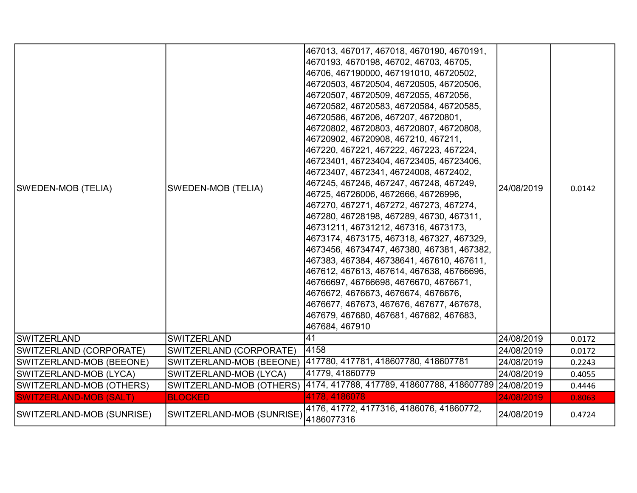| <b>SWEDEN-MOB (TELIA)</b>     | <b>SWEDEN-MOB (TELIA)</b> | 467013, 467017, 467018, 4670190, 4670191,<br>4670193, 4670198, 46702, 46703, 46705,<br>46706, 467190000, 467191010, 46720502,<br>46720503, 46720504, 46720505, 46720506,<br>46720507, 46720509, 4672055, 4672056,<br>46720582, 46720583, 46720584, 46720585,<br>46720586, 467206, 467207, 46720801,<br>46720802, 46720803, 46720807, 46720808,<br>46720902, 46720908, 467210, 467211,<br>467220, 467221, 467222, 467223, 467224,<br>46723401, 46723404, 46723405, 46723406,<br>46723407, 4672341, 46724008, 4672402,<br>467245, 467246, 467247, 467248, 467249,<br>46725, 46726006, 4672666, 46726996,<br>467270, 467271, 467272, 467273, 467274,<br>467280, 46728198, 467289, 46730, 467311,<br>46731211, 46731212, 467316, 4673173,<br>4673174, 4673175, 467318, 467327, 467329,<br>4673456, 46734747, 467380, 467381, 467382,<br>467383, 467384, 46738641, 467610, 467611,<br>467612, 467613, 467614, 467638, 46766696,<br>46766697, 46766698, 4676670, 4676671,<br>4676672, 4676673, 4676674, 4676676,<br>4676677, 467673, 467676, 467677, 467678,<br>467679, 467680, 467681, 467682, 467683,<br>467684, 467910 | 24/08/2019 | 0.0142 |
|-------------------------------|---------------------------|---------------------------------------------------------------------------------------------------------------------------------------------------------------------------------------------------------------------------------------------------------------------------------------------------------------------------------------------------------------------------------------------------------------------------------------------------------------------------------------------------------------------------------------------------------------------------------------------------------------------------------------------------------------------------------------------------------------------------------------------------------------------------------------------------------------------------------------------------------------------------------------------------------------------------------------------------------------------------------------------------------------------------------------------------------------------------------------------------------------------|------------|--------|
| <b>SWITZERLAND</b>            | <b>SWITZERLAND</b>        | 41                                                                                                                                                                                                                                                                                                                                                                                                                                                                                                                                                                                                                                                                                                                                                                                                                                                                                                                                                                                                                                                                                                                  | 24/08/2019 | 0.0172 |
| SWITZERLAND (CORPORATE)       | SWITZERLAND (CORPORATE)   | 4158                                                                                                                                                                                                                                                                                                                                                                                                                                                                                                                                                                                                                                                                                                                                                                                                                                                                                                                                                                                                                                                                                                                | 24/08/2019 | 0.0172 |
| SWITZERLAND-MOB (BEEONE)      | SWITZERLAND-MOB (BEEONE)  | 417780, 417781, 418607780, 418607781                                                                                                                                                                                                                                                                                                                                                                                                                                                                                                                                                                                                                                                                                                                                                                                                                                                                                                                                                                                                                                                                                | 24/08/2019 | 0.2243 |
| SWITZERLAND-MOB (LYCA)        | SWITZERLAND-MOB (LYCA)    | 41779, 41860779                                                                                                                                                                                                                                                                                                                                                                                                                                                                                                                                                                                                                                                                                                                                                                                                                                                                                                                                                                                                                                                                                                     | 24/08/2019 | 0.4055 |
| SWITZERLAND-MOB (OTHERS)      |                           | SWITZERLAND-MOB (OTHERS) 4174, 417788, 417789, 418607788, 418607789 24/08/2019                                                                                                                                                                                                                                                                                                                                                                                                                                                                                                                                                                                                                                                                                                                                                                                                                                                                                                                                                                                                                                      |            | 0.4446 |
| <b>SWITZERLAND-MOB (SALT)</b> | <b>BLOCKED</b>            | 4178, 4186078                                                                                                                                                                                                                                                                                                                                                                                                                                                                                                                                                                                                                                                                                                                                                                                                                                                                                                                                                                                                                                                                                                       | 24/08/2019 | 0.8063 |
| SWITZERLAND-MOB (SUNRISE)     | SWITZERLAND-MOB (SUNRISE) | 4176, 41772, 4177316, 4186076, 41860772,<br>4186077316                                                                                                                                                                                                                                                                                                                                                                                                                                                                                                                                                                                                                                                                                                                                                                                                                                                                                                                                                                                                                                                              | 24/08/2019 | 0.4724 |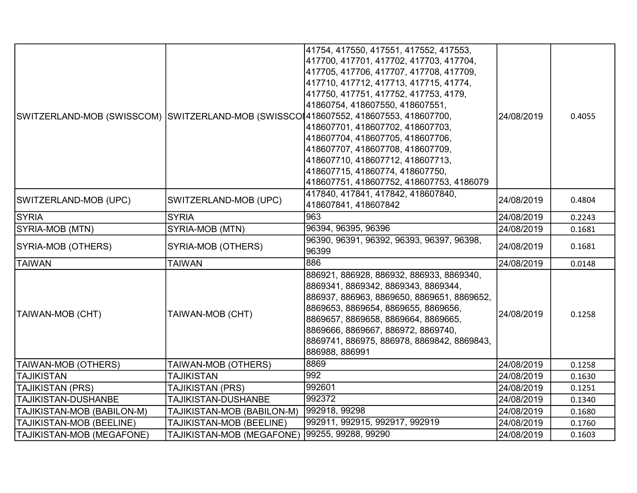| SWITZERLAND-MOB (SWISSCOM) SWITZERLAND-MOB (SWISSCOI418607552, 418607553, 418607700, |                                               | 41754, 417550, 417551, 417552, 417553,<br>417700, 417701, 417702, 417703, 417704,<br>417705, 417706, 417707, 417708, 417709,<br>417710, 417712, 417713, 417715, 41774,<br>417750, 417751, 417752, 417753, 4179,<br>41860754, 418607550, 418607551,<br>418607701, 418607702, 418607703,<br>418607704, 418607705, 418607706,<br>418607707, 418607708, 418607709,<br>418607710, 418607712, 418607713,<br>418607715, 41860774, 418607750,<br>418607751, 418607752, 418607753, 4186079 | 24/08/2019 | 0.4055 |
|--------------------------------------------------------------------------------------|-----------------------------------------------|-----------------------------------------------------------------------------------------------------------------------------------------------------------------------------------------------------------------------------------------------------------------------------------------------------------------------------------------------------------------------------------------------------------------------------------------------------------------------------------|------------|--------|
| SWITZERLAND-MOB (UPC)                                                                | SWITZERLAND-MOB (UPC)                         | 417840, 417841, 417842, 418607840,<br>418607841, 418607842                                                                                                                                                                                                                                                                                                                                                                                                                        | 24/08/2019 | 0.4804 |
| <b>SYRIA</b>                                                                         | <b>SYRIA</b>                                  | 963                                                                                                                                                                                                                                                                                                                                                                                                                                                                               | 24/08/2019 | 0.2243 |
| SYRIA-MOB (MTN)                                                                      | SYRIA-MOB (MTN)                               | 96394, 96395, 96396                                                                                                                                                                                                                                                                                                                                                                                                                                                               | 24/08/2019 | 0.1681 |
| SYRIA-MOB (OTHERS)                                                                   | SYRIA-MOB (OTHERS)                            | 96390, 96391, 96392, 96393, 96397, 96398,<br>96399                                                                                                                                                                                                                                                                                                                                                                                                                                | 24/08/2019 | 0.1681 |
| <b>TAIWAN</b>                                                                        | <b>TAIWAN</b>                                 | 886                                                                                                                                                                                                                                                                                                                                                                                                                                                                               | 24/08/2019 | 0.0148 |
| <b>TAIWAN-MOB (CHT)</b>                                                              | TAIWAN-MOB (CHT)                              | 886921, 886928, 886932, 886933, 8869340,<br>8869341, 8869342, 8869343, 8869344,<br>886937, 886963, 8869650, 8869651, 8869652,<br>8869653, 8869654, 8869655, 8869656,<br>8869657, 8869658, 8869664, 8869665,<br>8869666, 8869667, 886972, 8869740,<br>8869741, 886975, 886978, 8869842, 8869843,<br>886988, 886991                                                                                                                                                                 | 24/08/2019 | 0.1258 |
| TAIWAN-MOB (OTHERS)                                                                  | TAIWAN-MOB (OTHERS)                           | 8869                                                                                                                                                                                                                                                                                                                                                                                                                                                                              | 24/08/2019 | 0.1258 |
| <b>TAJIKISTAN</b>                                                                    | <b>TAJIKISTAN</b>                             | 992                                                                                                                                                                                                                                                                                                                                                                                                                                                                               | 24/08/2019 | 0.1630 |
| TAJIKISTAN (PRS)                                                                     | TAJIKISTAN (PRS)                              | 992601                                                                                                                                                                                                                                                                                                                                                                                                                                                                            | 24/08/2019 | 0.1251 |
| <b>TAJIKISTAN-DUSHANBE</b>                                                           | TAJIKISTAN-DUSHANBE                           | 992372                                                                                                                                                                                                                                                                                                                                                                                                                                                                            | 24/08/2019 | 0.1340 |
| TAJIKISTAN-MOB (BABILON-M)                                                           | TAJIKISTAN-MOB (BABILON-M)                    | 992918, 99298                                                                                                                                                                                                                                                                                                                                                                                                                                                                     | 24/08/2019 | 0.1680 |
| TAJIKISTAN-MOB (BEELINE)                                                             | TAJIKISTAN-MOB (BEELINE)                      | 992911, 992915, 992917, 992919                                                                                                                                                                                                                                                                                                                                                                                                                                                    | 24/08/2019 | 0.1760 |
| TAJIKISTAN-MOB (MEGAFONE)                                                            | TAJIKISTAN-MOB (MEGAFONE) 99255, 99288, 99290 |                                                                                                                                                                                                                                                                                                                                                                                                                                                                                   | 24/08/2019 | 0.1603 |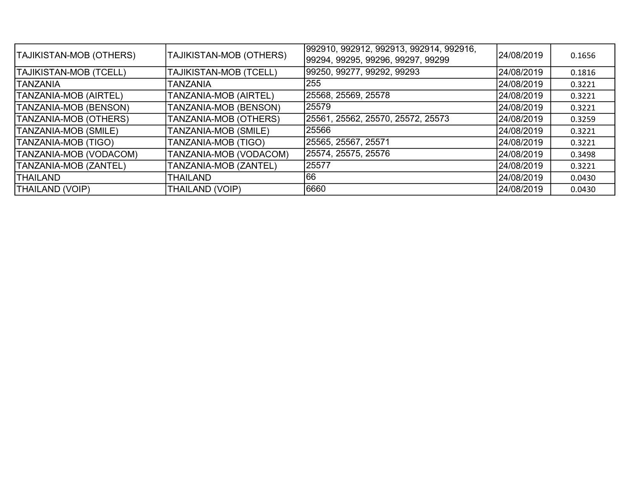| TAJIKISTAN-MOB (OTHERS)       | TAJIKISTAN-MOB (OTHERS) | 992910, 992912, 992913, 992914, 992916,<br> 99294, 99295, 99296, 99297, 99299 | 24/08/2019 | 0.1656 |
|-------------------------------|-------------------------|-------------------------------------------------------------------------------|------------|--------|
| <b>TAJIKISTAN-MOB (TCELL)</b> | TAJIKISTAN-MOB (TCELL)  | 99250, 99277, 99292, 99293                                                    | 24/08/2019 | 0.1816 |
| <b>TANZANIA</b>               | <b>TANZANIA</b>         | 255                                                                           | 24/08/2019 | 0.3221 |
| <b>TANZANIA-MOB (AIRTEL)</b>  | TANZANIA-MOB (AIRTEL)   | 25568, 25569, 25578                                                           | 24/08/2019 | 0.3221 |
| TANZANIA-MOB (BENSON)         | TANZANIA-MOB (BENSON)   | 25579                                                                         | 24/08/2019 | 0.3221 |
| TANZANIA-MOB (OTHERS)         | TANZANIA-MOB (OTHERS)   | 25561, 25562, 25570, 25572, 25573                                             | 24/08/2019 | 0.3259 |
| TANZANIA-MOB (SMILE)          | TANZANIA-MOB (SMILE)    | 25566                                                                         | 24/08/2019 | 0.3221 |
| TANZANIA-MOB (TIGO)           | TANZANIA-MOB (TIGO)     | 25565, 25567, 25571                                                           | 24/08/2019 | 0.3221 |
| TANZANIA-MOB (VODACOM)        | TANZANIA-MOB (VODACOM)  | 25574, 25575, 25576                                                           | 24/08/2019 | 0.3498 |
| TANZANIA-MOB (ZANTEL)         | TANZANIA-MOB (ZANTEL)   | 25577                                                                         | 24/08/2019 | 0.3221 |
| <b>THAILAND</b>               | <b>THAILAND</b>         | 166                                                                           | 24/08/2019 | 0.0430 |
| <b>THAILAND (VOIP)</b>        | <b>THAILAND (VOIP)</b>  | 6660                                                                          | 24/08/2019 | 0.0430 |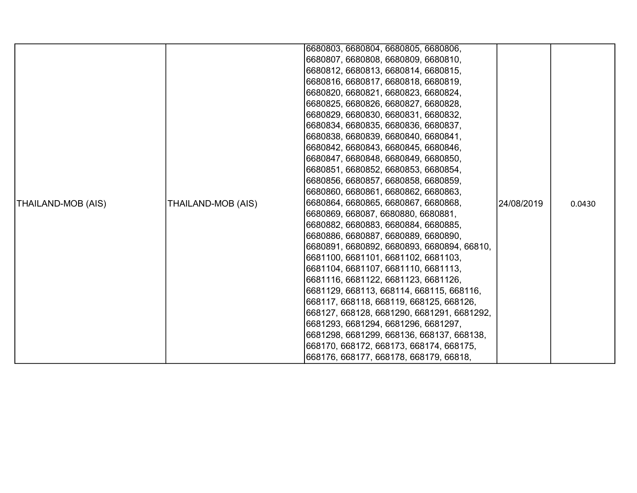|                    |                    | 6680803, 6680804, 6680805, 6680806,        |            |        |
|--------------------|--------------------|--------------------------------------------|------------|--------|
|                    |                    | 6680807, 6680808, 6680809, 6680810,        |            |        |
|                    |                    | 6680812, 6680813, 6680814, 6680815,        |            |        |
|                    |                    | 6680816, 6680817, 6680818, 6680819,        |            |        |
|                    |                    | 6680820, 6680821, 6680823, 6680824,        |            |        |
|                    |                    | 6680825, 6680826, 6680827, 6680828,        |            |        |
|                    |                    | 6680829, 6680830, 6680831, 6680832,        |            |        |
|                    |                    | 6680834, 6680835, 6680836, 6680837,        |            |        |
|                    |                    | 6680838, 6680839, 6680840, 6680841,        |            |        |
|                    |                    | 6680842, 6680843, 6680845, 6680846,        |            |        |
|                    |                    | 6680847, 6680848, 6680849, 6680850,        |            |        |
|                    |                    | 6680851, 6680852, 6680853, 6680854,        |            |        |
|                    |                    | 6680856, 6680857, 6680858, 6680859,        |            |        |
|                    |                    | 6680860, 6680861, 6680862, 6680863,        |            |        |
| THAILAND-MOB (AIS) | THAILAND-MOB (AIS) | 6680864, 6680865, 6680867, 6680868,        | 24/08/2019 | 0.0430 |
|                    |                    | 6680869, 668087, 6680880, 6680881,         |            |        |
|                    |                    | 6680882, 6680883, 6680884, 6680885,        |            |        |
|                    |                    | 6680886, 6680887, 6680889, 6680890,        |            |        |
|                    |                    | 6680891, 6680892, 6680893, 6680894, 66810, |            |        |
|                    |                    | 6681100, 6681101, 6681102, 6681103,        |            |        |
|                    |                    | 6681104, 6681107, 6681110, 6681113,        |            |        |
|                    |                    | 6681116, 6681122, 6681123, 6681126,        |            |        |
|                    |                    | 6681129, 668113, 668114, 668115, 668116,   |            |        |
|                    |                    | 668117, 668118, 668119, 668125, 668126,    |            |        |
|                    |                    | 668127, 668128, 6681290, 6681291, 6681292, |            |        |
|                    |                    | 6681293, 6681294, 6681296, 6681297,        |            |        |
|                    |                    | 6681298, 6681299, 668136, 668137, 668138,  |            |        |
|                    |                    | 668170, 668172, 668173, 668174, 668175,    |            |        |
|                    |                    | 668176, 668177, 668178, 668179, 66818,     |            |        |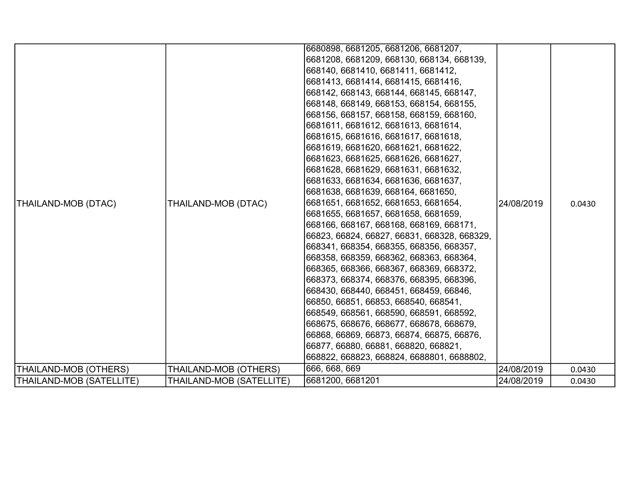| <b>THAILAND-MOB (DTAC)</b><br>THAILAND-MOB (OTHERS) | THAILAND-MOB (DTAC)<br>THAILAND-MOB (OTHERS) | 6681413, 6681414, 6681415, 6681416,<br>668142, 668143, 668144, 668145, 668147,<br>668148, 668149, 668153, 668154, 668155,<br>668156, 668157, 668158, 668159, 668160,<br>6681611, 6681612, 6681613, 6681614,<br>6681615, 6681616, 6681617, 6681618,<br> 6681619, 6681620, 6681621, 6681622,<br>6681623, 6681625, 6681626, 6681627,<br> 6681628, 6681629, 6681631, 6681632,<br>6681633, 6681634, 6681636, 6681637,<br>6681638, 6681639, 668164, 6681650,<br>6681651, 6681652, 6681653, 6681654,<br>6681655, 6681657, 6681658, 6681659,<br>668166, 668167, 668168, 668169, 668171,<br>66823, 66824, 66827, 66831, 668328, 668329,<br>668341, 668354, 668355, 668356, 668357,<br>668358, 668359, 668362, 668363, 668364,<br>668365, 668366, 668367, 668369, 668372,<br>668373, 668374, 668376, 668395, 668396,<br>668430, 668440, 668451, 668459, 66846,<br>66850, 66851, 66853, 668540, 668541,<br>668549, 668561, 668590, 668591, 668592,<br>668675, 668676, 668677, 668678, 668679,<br>66868, 66869, 66873, 66874, 66875, 66876,<br>66877, 66880, 66881, 668820, 668821,<br>668822, 668823, 668824, 6688801, 6688802,<br>666, 668, 669 | 24/08/2019<br>24/08/2019 | 0.0430<br>0.0430 |
|-----------------------------------------------------|----------------------------------------------|---------------------------------------------------------------------------------------------------------------------------------------------------------------------------------------------------------------------------------------------------------------------------------------------------------------------------------------------------------------------------------------------------------------------------------------------------------------------------------------------------------------------------------------------------------------------------------------------------------------------------------------------------------------------------------------------------------------------------------------------------------------------------------------------------------------------------------------------------------------------------------------------------------------------------------------------------------------------------------------------------------------------------------------------------------------------------------------------------------------------------------------|--------------------------|------------------|
| THAILAND-MOB (SATELLITE)                            | THAILAND-MOB (SATELLITE)                     | 6681200, 6681201                                                                                                                                                                                                                                                                                                                                                                                                                                                                                                                                                                                                                                                                                                                                                                                                                                                                                                                                                                                                                                                                                                                      | 24/08/2019               | 0.0430           |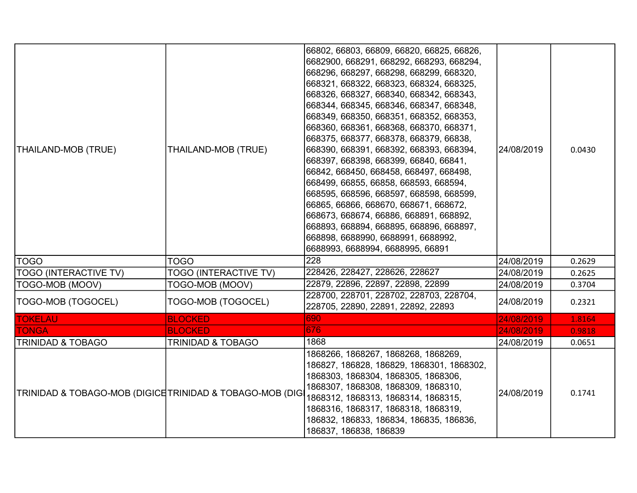| THAILAND-MOB (TRUE)                                     | THAILAND-MOB (TRUE)          | 66802, 66803, 66809, 66820, 66825, 66826,<br>6682900, 668291, 668292, 668293, 668294,<br>668296, 668297, 668298, 668299, 668320,<br>668321, 668322, 668323, 668324, 668325,<br>668326, 668327, 668340, 668342, 668343,<br>668344, 668345, 668346, 668347, 668348,<br>668349, 668350, 668351, 668352, 668353,<br>668360, 668361, 668368, 668370, 668371,<br> 668375, 668377, 668378, 668379, 66838,<br>668390, 668391, 668392, 668393, 668394,<br>668397, 668398, 668399, 66840, 66841,<br>66842, 668450, 668458, 668497, 668498,<br>668499, 66855, 66858, 668593, 668594,<br>668595, 668596, 668597, 668598, 668599,<br>66865, 66866, 668670, 668671, 668672,<br>668673, 668674, 66886, 668891, 668892,<br>668893, 668894, 668895, 668896, 668897,<br>668898, 6688990, 6688991, 6688992,<br>6688993, 6688994, 6688995, 66891 | 24/08/2019 | 0.0430 |
|---------------------------------------------------------|------------------------------|------------------------------------------------------------------------------------------------------------------------------------------------------------------------------------------------------------------------------------------------------------------------------------------------------------------------------------------------------------------------------------------------------------------------------------------------------------------------------------------------------------------------------------------------------------------------------------------------------------------------------------------------------------------------------------------------------------------------------------------------------------------------------------------------------------------------------|------------|--------|
| TOGO                                                    | <b>TOGO</b>                  | 228                                                                                                                                                                                                                                                                                                                                                                                                                                                                                                                                                                                                                                                                                                                                                                                                                          | 24/08/2019 | 0.2629 |
| <b>TOGO (INTERACTIVE TV)</b>                            | <b>TOGO (INTERACTIVE TV)</b> | 228426, 228427, 228626, 228627                                                                                                                                                                                                                                                                                                                                                                                                                                                                                                                                                                                                                                                                                                                                                                                               | 24/08/2019 | 0.2625 |
| TOGO-MOB (MOOV)                                         | TOGO-MOB (MOOV)              | 22879, 22896, 22897, 22898, 22899                                                                                                                                                                                                                                                                                                                                                                                                                                                                                                                                                                                                                                                                                                                                                                                            | 24/08/2019 | 0.3704 |
| TOGO-MOB (TOGOCEL)                                      | TOGO-MOB (TOGOCEL)           | 228700, 228701, 228702, 228703, 228704,<br>228705, 22890, 22891, 22892, 22893                                                                                                                                                                                                                                                                                                                                                                                                                                                                                                                                                                                                                                                                                                                                                | 24/08/2019 | 0.2321 |
| <b>TOKELAU</b>                                          | <b>BLOCKED</b>               | 690                                                                                                                                                                                                                                                                                                                                                                                                                                                                                                                                                                                                                                                                                                                                                                                                                          | 24/08/2019 | 1.8164 |
| <b>TONGA</b>                                            | <b>BLOCKED</b>               | 676                                                                                                                                                                                                                                                                                                                                                                                                                                                                                                                                                                                                                                                                                                                                                                                                                          | 24/08/2019 | 0.9818 |
| <b>TRINIDAD &amp; TOBAGO</b>                            | <b>TRINIDAD &amp; TOBAGO</b> | 1868                                                                                                                                                                                                                                                                                                                                                                                                                                                                                                                                                                                                                                                                                                                                                                                                                         | 24/08/2019 | 0.0651 |
| TRINIDAD & TOBAGO-MOB (DIGICETRINIDAD & TOBAGO-MOB (DIG |                              | 1868266, 1868267, 1868268, 1868269,<br>186827, 186828, 186829, 1868301, 1868302,<br>1868303, 1868304, 1868305, 1868306,<br>1868307, 1868308, 1868309, 1868310,<br>1868312, 1868313, 1868314, 1868315,<br>1868316, 1868317, 1868318, 1868319,<br>186832, 186833, 186834, 186835, 186836,<br>186837, 186838, 186839                                                                                                                                                                                                                                                                                                                                                                                                                                                                                                            | 24/08/2019 | 0.1741 |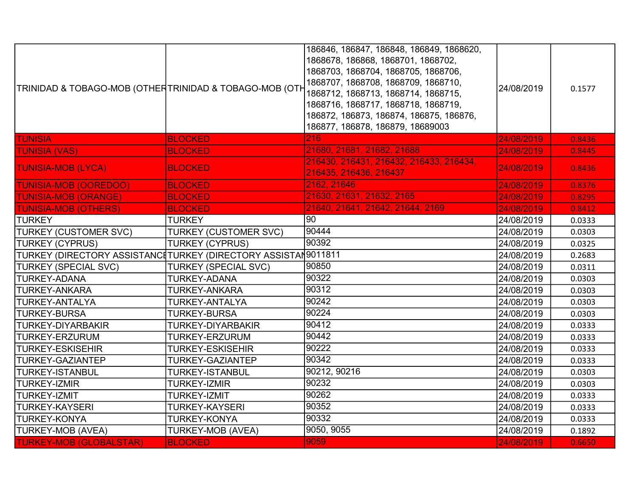| TRINIDAD & TOBAGO-MOB (OTHERTRINIDAD & TOBAGO-MOB (OTH        |                              | 186846, 186847, 186848, 186849, 1868620,<br>1868678, 186868, 1868701, 1868702,<br>1868703, 1868704, 1868705, 1868706,<br>1868707, 1868708, 1868709, 1868710,<br>1868712, 1868713, 1868714, 1868715,<br>1868716, 1868717, 1868718, 1868719,<br>186872, 186873, 186874, 186875, 186876,<br>186877, 186878, 186879, 18689003 | 24/08/2019 | 0.1577 |
|---------------------------------------------------------------|------------------------------|---------------------------------------------------------------------------------------------------------------------------------------------------------------------------------------------------------------------------------------------------------------------------------------------------------------------------|------------|--------|
| <b>TUNISIA</b>                                                | <b>BLOCKED</b>               | $\overline{216}$                                                                                                                                                                                                                                                                                                          | 24/08/2019 | 0.8436 |
| <b>TUNISIA (VAS)</b>                                          | <b>BLOCKED</b>               | 21680, 21681, 21682, 21688                                                                                                                                                                                                                                                                                                | 24/08/2019 | 0.8445 |
| <b>TUNISIA-MOB (LYCA)</b>                                     | <b>BLOCKED</b>               | 216430, 216431, 216432, 216433, 216434,<br>216435, 216436, 216437                                                                                                                                                                                                                                                         | 24/08/2019 | 0.8436 |
| <b>TUNISIA-MOB (OOREDOO)</b>                                  | <b>BLOCKED</b>               | 2162, 21646                                                                                                                                                                                                                                                                                                               | 24/08/2019 | 0.8376 |
| <b>TUNISIA-MOB (ORANGE)</b>                                   | <b>BLOCKED</b>               | 21630, 21631, 21632, 2165                                                                                                                                                                                                                                                                                                 | 24/08/2019 | 0.8295 |
| <b>TUNISIA-MOB (OTHERS)</b>                                   | <b>BLOCKED</b>               | 21640, 21641, 21642, 21644, 2169                                                                                                                                                                                                                                                                                          | 24/08/2019 | 0.8412 |
| <b>TURKEY</b>                                                 | <b>TURKEY</b>                | 90                                                                                                                                                                                                                                                                                                                        | 24/08/2019 | 0.0333 |
| <b>TURKEY (CUSTOMER SVC)</b>                                  | <b>TURKEY (CUSTOMER SVC)</b> | 90444                                                                                                                                                                                                                                                                                                                     | 24/08/2019 | 0.0303 |
| <b>TURKEY (CYPRUS)</b>                                        | <b>TURKEY (CYPRUS)</b>       | 90392                                                                                                                                                                                                                                                                                                                     | 24/08/2019 | 0.0325 |
| TURKEY (DIRECTORY ASSISTANC┇TURKEY (DIRECTORY ASSISTAӍ9011811 |                              |                                                                                                                                                                                                                                                                                                                           | 24/08/2019 | 0.2683 |
| <b>TURKEY (SPECIAL SVC)</b>                                   | <b>TURKEY (SPECIAL SVC)</b>  | 90850                                                                                                                                                                                                                                                                                                                     | 24/08/2019 | 0.0311 |
| <b>TURKEY-ADANA</b>                                           | <b>TURKEY-ADANA</b>          | 90322                                                                                                                                                                                                                                                                                                                     | 24/08/2019 | 0.0303 |
| <b>TURKEY-ANKARA</b>                                          | <b>TURKEY-ANKARA</b>         | 90312                                                                                                                                                                                                                                                                                                                     | 24/08/2019 | 0.0303 |
| <b>TURKEY-ANTALYA</b>                                         | <b>TURKEY-ANTALYA</b>        | 90242                                                                                                                                                                                                                                                                                                                     | 24/08/2019 | 0.0303 |
| <b>TURKEY-BURSA</b>                                           | <b>TURKEY-BURSA</b>          | 90224                                                                                                                                                                                                                                                                                                                     | 24/08/2019 | 0.0303 |
| <b>TURKEY-DIYARBAKIR</b>                                      | <b>TURKEY-DIYARBAKIR</b>     | 90412                                                                                                                                                                                                                                                                                                                     | 24/08/2019 | 0.0333 |
| <b>TURKEY-ERZURUM</b>                                         | TURKEY-ERZURUM               | 90442                                                                                                                                                                                                                                                                                                                     | 24/08/2019 | 0.0333 |
| <b>TURKEY-ESKISEHIR</b>                                       | <b>TURKEY-ESKISEHIR</b>      | 90222                                                                                                                                                                                                                                                                                                                     | 24/08/2019 | 0.0333 |
| <b>TURKEY-GAZIANTEP</b>                                       | <b>TURKEY-GAZIANTEP</b>      | 90342                                                                                                                                                                                                                                                                                                                     | 24/08/2019 | 0.0333 |
| <b>TURKEY-ISTANBUL</b>                                        | <b>TURKEY-ISTANBUL</b>       | 90212, 90216                                                                                                                                                                                                                                                                                                              | 24/08/2019 | 0.0303 |
| <b>TURKEY-IZMIR</b>                                           | <b>TURKEY-IZMIR</b>          | 90232                                                                                                                                                                                                                                                                                                                     | 24/08/2019 | 0.0303 |
| <b>TURKEY-IZMIT</b>                                           | <b>TURKEY-IZMIT</b>          | 90262                                                                                                                                                                                                                                                                                                                     | 24/08/2019 | 0.0333 |
| <b>TURKEY-KAYSERI</b>                                         | <b>TURKEY-KAYSERI</b>        | 90352                                                                                                                                                                                                                                                                                                                     | 24/08/2019 | 0.0333 |
| <b>TURKEY-KONYA</b>                                           | <b>TURKEY-KONYA</b>          | 90332                                                                                                                                                                                                                                                                                                                     | 24/08/2019 | 0.0333 |
| <b>TURKEY-MOB (AVEA)</b>                                      | <b>TURKEY-MOB (AVEA)</b>     | 9050, 9055                                                                                                                                                                                                                                                                                                                | 24/08/2019 | 0.1892 |
| <b>TURKEY-MOB (GLOBALSTAR)</b>                                | <b>BLOCKED</b>               | 9059                                                                                                                                                                                                                                                                                                                      | 24/08/2019 | 0.6650 |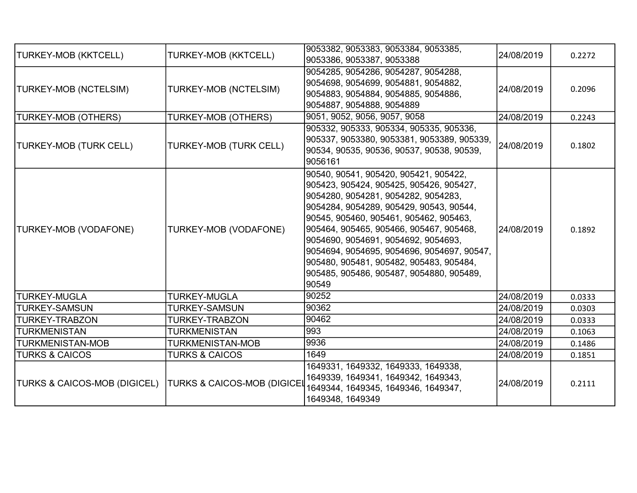| <b>TURKEY-MOB (KKTCELL)</b>                                | <b>TURKEY-MOB (KKTCELL)</b> | 9053382, 9053383, 9053384, 9053385,<br>9053386, 9053387, 9053388                                                                                                                                                                                                                                                                                                                                                                             | 24/08/2019 | 0.2272 |
|------------------------------------------------------------|-----------------------------|----------------------------------------------------------------------------------------------------------------------------------------------------------------------------------------------------------------------------------------------------------------------------------------------------------------------------------------------------------------------------------------------------------------------------------------------|------------|--------|
| TURKEY-MOB (NCTELSIM)                                      | TURKEY-MOB (NCTELSIM)       | 9054285, 9054286, 9054287, 9054288,<br>9054698, 9054699, 9054881, 9054882,<br>9054883, 9054884, 9054885, 9054886,<br>9054887, 9054888, 9054889                                                                                                                                                                                                                                                                                               | 24/08/2019 | 0.2096 |
| <b>TURKEY-MOB (OTHERS)</b>                                 | <b>TURKEY-MOB (OTHERS)</b>  | 9051, 9052, 9056, 9057, 9058                                                                                                                                                                                                                                                                                                                                                                                                                 | 24/08/2019 | 0.2243 |
| TURKEY-MOB (TURK CELL)                                     | TURKEY-MOB (TURK CELL)      | 905332, 905333, 905334, 905335, 905336,<br>905337, 9053380, 9053381, 9053389, 905339,<br>90534, 90535, 90536, 90537, 90538, 90539,<br>9056161                                                                                                                                                                                                                                                                                                | 24/08/2019 | 0.1802 |
| TURKEY-MOB (VODAFONE)                                      | TURKEY-MOB (VODAFONE)       | 90540, 90541, 905420, 905421, 905422,<br>905423, 905424, 905425, 905426, 905427,<br>9054280, 9054281, 9054282, 9054283,<br>9054284, 9054289, 905429, 90543, 90544,<br>90545, 905460, 905461, 905462, 905463,<br>905464, 905465, 905466, 905467, 905468,<br>9054690, 9054691, 9054692, 9054693,<br>9054694, 9054695, 9054696, 9054697, 90547,<br>905480, 905481, 905482, 905483, 905484,<br>905485, 905486, 905487, 9054880, 905489,<br>90549 | 24/08/2019 | 0.1892 |
| <b>TURKEY-MUGLA</b>                                        | <b>TURKEY-MUGLA</b>         | 90252                                                                                                                                                                                                                                                                                                                                                                                                                                        | 24/08/2019 | 0.0333 |
| <b>TURKEY-SAMSUN</b>                                       | <b>TURKEY-SAMSUN</b>        | 90362                                                                                                                                                                                                                                                                                                                                                                                                                                        | 24/08/2019 | 0.0303 |
| <b>TURKEY-TRABZON</b>                                      | <b>TURKEY-TRABZON</b>       | 90462                                                                                                                                                                                                                                                                                                                                                                                                                                        | 24/08/2019 | 0.0333 |
| <b>TURKMENISTAN</b>                                        | <b>TURKMENISTAN</b>         | 993                                                                                                                                                                                                                                                                                                                                                                                                                                          | 24/08/2019 | 0.1063 |
| <b>TURKMENISTAN-MOB</b>                                    | TURKMENISTAN-MOB            | 9936                                                                                                                                                                                                                                                                                                                                                                                                                                         | 24/08/2019 | 0.1486 |
| <b>TURKS &amp; CAICOS</b>                                  | <b>TURKS &amp; CAICOS</b>   | 1649                                                                                                                                                                                                                                                                                                                                                                                                                                         | 24/08/2019 | 0.1851 |
| TURKS & CAICOS-MOB (DIGICEL)   TURKS & CAICOS-MOB (DIGICEL |                             | 1649331, 1649332, 1649333, 1649338,<br>1649339, 1649341, 1649342, 1649343,<br>1649344, 1649345, 1649346, 1649347,<br>1649348, 1649349                                                                                                                                                                                                                                                                                                        | 24/08/2019 | 0.2111 |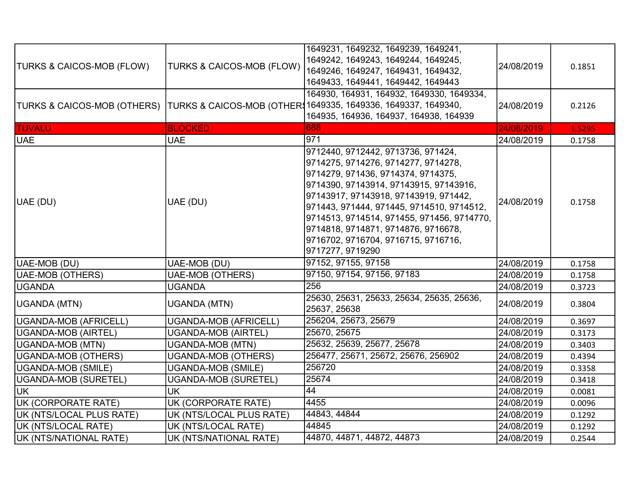| <b>TURKS &amp; CAICOS-MOB (FLOW)</b> | <b>TURKS &amp; CAICOS-MOB (FLOW)</b> | 1649231, 1649232, 1649239, 1649241,<br>1649242, 1649243, 1649244, 1649245,<br>1649246, 1649247, 1649431, 1649432,<br>1649433, 1649441, 1649442, 1649443                                                                                                                                                                                                                                         | 24/08/2019 | 0.1851 |
|--------------------------------------|--------------------------------------|-------------------------------------------------------------------------------------------------------------------------------------------------------------------------------------------------------------------------------------------------------------------------------------------------------------------------------------------------------------------------------------------------|------------|--------|
| TURKS & CAICOS-MOB (OTHERS)          |                                      | 164930, 164931, 164932, 1649330, 1649334,<br> TURKS & CAICOS-MOB (OTHER 1649335, 1649336, 1649337, 1649340,<br>164935, 164936, 164937, 164938, 164939                                                                                                                                                                                                                                           | 24/08/2019 | 0.2126 |
| TUVALU                               | <b>BLOCKED</b>                       | 688                                                                                                                                                                                                                                                                                                                                                                                             | 24/08/2019 | 1.5295 |
| <b>UAE</b>                           | <b>UAE</b>                           | 971                                                                                                                                                                                                                                                                                                                                                                                             | 24/08/2019 | 0.1758 |
| UAE (DU)                             | UAE (DU)                             | 9712440, 9712442, 9713736, 971424,<br>9714275, 9714276, 9714277, 9714278,<br>9714279, 971436, 9714374, 9714375,<br>9714390, 97143914, 97143915, 97143916,<br>97143917, 97143918, 97143919, 971442,<br>971443, 971444, 971445, 9714510, 9714512,<br>9714513, 9714514, 971455, 971456, 9714770,<br>9714818, 9714871, 9714876, 9716678,<br>9716702, 9716704, 9716715, 9716716,<br>9717277, 9719290 | 24/08/2019 | 0.1758 |
| UAE-MOB (DU)                         | UAE-MOB (DU)                         | 97152, 97155, 97158                                                                                                                                                                                                                                                                                                                                                                             | 24/08/2019 | 0.1758 |
| <b>UAE-MOB (OTHERS)</b>              | <b>UAE-MOB (OTHERS)</b>              | 97150, 97154, 97156, 97183                                                                                                                                                                                                                                                                                                                                                                      | 24/08/2019 | 0.1758 |
| <b>UGANDA</b>                        | <b>UGANDA</b>                        | 256                                                                                                                                                                                                                                                                                                                                                                                             | 24/08/2019 | 0.3723 |
| UGANDA (MTN)                         | <b>UGANDA (MTN)</b>                  | 25630, 25631, 25633, 25634, 25635, 25636,<br>25637, 25638                                                                                                                                                                                                                                                                                                                                       | 24/08/2019 | 0.3804 |
| UGANDA-MOB (AFRICELL)                | <b>UGANDA-MOB (AFRICELL)</b>         | 256204, 25673, 25679                                                                                                                                                                                                                                                                                                                                                                            | 24/08/2019 | 0.3697 |
| UGANDA-MOB (AIRTEL)                  | UGANDA-MOB (AIRTEL)                  | 25670, 25675                                                                                                                                                                                                                                                                                                                                                                                    | 24/08/2019 | 0.3173 |
| UGANDA-MOB (MTN)                     | <b>UGANDA-MOB (MTN)</b>              | 25632, 25639, 25677, 25678                                                                                                                                                                                                                                                                                                                                                                      | 24/08/2019 | 0.3403 |
| UGANDA-MOB (OTHERS)                  | <b>UGANDA-MOB (OTHERS)</b>           | 256477, 25671, 25672, 25676, 256902                                                                                                                                                                                                                                                                                                                                                             | 24/08/2019 | 0.4394 |
| UGANDA-MOB (SMILE)                   | <b>UGANDA-MOB (SMILE)</b>            | 256720                                                                                                                                                                                                                                                                                                                                                                                          | 24/08/2019 | 0.3358 |
| UGANDA-MOB (SURETEL)                 | <b>UGANDA-MOB (SURETEL)</b>          | 25674                                                                                                                                                                                                                                                                                                                                                                                           | 24/08/2019 | 0.3418 |
| UK.                                  | <b>UK</b>                            | 44                                                                                                                                                                                                                                                                                                                                                                                              | 24/08/2019 | 0.0081 |
| UK (CORPORATE RATE)                  | UK (CORPORATE RATE)                  | 4455                                                                                                                                                                                                                                                                                                                                                                                            | 24/08/2019 | 0.0096 |
| UK (NTS/LOCAL PLUS RATE)             | UK (NTS/LOCAL PLUS RATE)             | 44843, 44844                                                                                                                                                                                                                                                                                                                                                                                    | 24/08/2019 | 0.1292 |
| UK (NTS/LOCAL RATE)                  | UK (NTS/LOCAL RATE)                  | 44845                                                                                                                                                                                                                                                                                                                                                                                           | 24/08/2019 | 0.1292 |
| UK (NTS/NATIONAL RATE)               | UK (NTS/NATIONAL RATE)               | 44870, 44871, 44872, 44873                                                                                                                                                                                                                                                                                                                                                                      | 24/08/2019 | 0.2544 |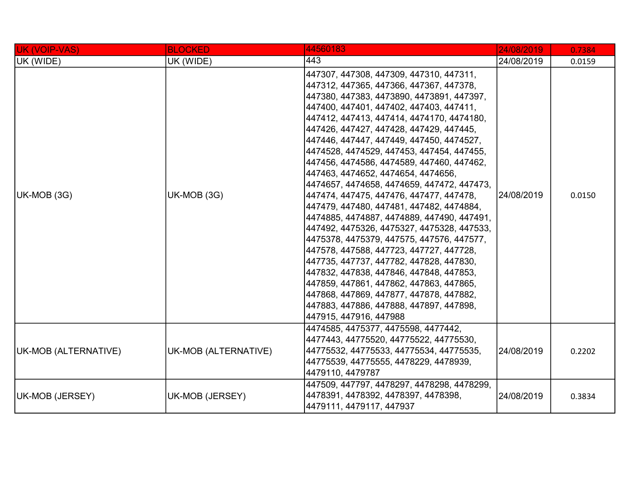| UK (VOIP-VAS)        | <b>BLOCKED</b>       | 44560183                                                                                                                                                                                                                                                                                                                                                                                                                                                                                                                                                                                                                                                                                                                                                                                                                                                                                                                                                                                                                             | 24/08/2019 | 0.7384 |
|----------------------|----------------------|--------------------------------------------------------------------------------------------------------------------------------------------------------------------------------------------------------------------------------------------------------------------------------------------------------------------------------------------------------------------------------------------------------------------------------------------------------------------------------------------------------------------------------------------------------------------------------------------------------------------------------------------------------------------------------------------------------------------------------------------------------------------------------------------------------------------------------------------------------------------------------------------------------------------------------------------------------------------------------------------------------------------------------------|------------|--------|
| UK (WIDE)            | UK (WIDE)            | 443                                                                                                                                                                                                                                                                                                                                                                                                                                                                                                                                                                                                                                                                                                                                                                                                                                                                                                                                                                                                                                  | 24/08/2019 | 0.0159 |
| UK-MOB (3G)          | UK-MOB (3G)          | 447307, 447308, 447309, 447310, 447311,<br> 447312, 447365, 447366, 447367, 447378,<br>447380, 447383, 4473890, 4473891, 447397,<br> 447400, 447401, 447402, 447403, 447411,<br> 447412, 447413, 447414, 4474170, 4474180,<br> 447426, 447427, 447428, 447429, 447445,<br> 447446, 447447, 447449, 447450, 4474527,<br> 4474528, 4474529, 447453, 447454, 447455,<br> 447456, 4474586, 4474589, 447460, 447462,<br> 447463, 4474652, 4474654, 4474656,<br> 4474657, 4474658, 4474659, 447472, 447473,<br> 447474, 447475, 447476, 447477, 447478,<br>447479, 447480, 447481, 447482, 4474884,<br> 4474885, 4474887, 4474889, 447490, 447491,<br>447492, 4475326, 4475327, 4475328, 447533,<br> 4475378, 4475379, 447575, 447576, 447577,<br>447578, 447588, 447723, 447727, 447728,<br>447735, 447737, 447782, 447828, 447830,<br>447832, 447838, 447846, 447848, 447853,<br>447859, 447861, 447862, 447863, 447865,<br>447868, 447869, 447877, 447878, 447882,<br>447883, 447886, 447888, 447897, 447898,<br>447915, 447916, 447988 | 24/08/2019 | 0.0150 |
| UK-MOB (ALTERNATIVE) | UK-MOB (ALTERNATIVE) | 4474585, 4475377, 4475598, 4477442,<br>4477443, 44775520, 44775522, 44775530,<br>44775532, 44775533, 44775534, 44775535,<br> 44775539, 44775555, 4478229, 4478939,<br>4479110, 4479787                                                                                                                                                                                                                                                                                                                                                                                                                                                                                                                                                                                                                                                                                                                                                                                                                                               | 24/08/2019 | 0.2202 |
| UK-MOB (JERSEY)      | UK-MOB (JERSEY)      | 447509, 447797, 4478297, 4478298, 4478299,<br>4478391, 4478392, 4478397, 4478398,<br> 4479111, 4479117, 447937                                                                                                                                                                                                                                                                                                                                                                                                                                                                                                                                                                                                                                                                                                                                                                                                                                                                                                                       | 24/08/2019 | 0.3834 |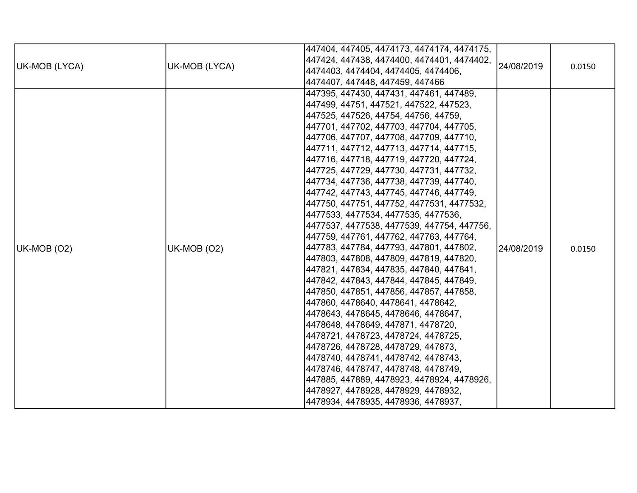| UK-MOB (LYCA) | UK-MOB (LYCA) | 447404, 447405, 4474173, 4474174, 4474175,<br> 447424, 447438, 4474400, 4474401, 4474402,<br> 4474403, 4474404, 4474405, 4474406,<br> 4474407, 447448, 447459, 447466                                                                                                                                                                                                                                                                                                                                                                                                                                                                                                                                                                                                                                                                                                                                                                                                                                                                                                                                                                                                                                                                                                            | 24/08/2019 | 0.0150 |
|---------------|---------------|----------------------------------------------------------------------------------------------------------------------------------------------------------------------------------------------------------------------------------------------------------------------------------------------------------------------------------------------------------------------------------------------------------------------------------------------------------------------------------------------------------------------------------------------------------------------------------------------------------------------------------------------------------------------------------------------------------------------------------------------------------------------------------------------------------------------------------------------------------------------------------------------------------------------------------------------------------------------------------------------------------------------------------------------------------------------------------------------------------------------------------------------------------------------------------------------------------------------------------------------------------------------------------|------------|--------|
| UK-MOB (O2)   | UK-MOB (O2)   | 447395, 447430, 447431, 447461, 447489,<br> 447499, 44751, 447521, 447522, 447523,<br> 447525, 447526, 44754, 44756, 44759,<br> 447701, 447702, 447703, 447704, 447705,<br> 447706, 447707, 447708, 447709, 447710,<br> 447711, 447712, 447713, 447714, 447715,<br> 447716, 447718, 447719, 447720, 447724,<br> 447725, 447729, 447730, 447731, 447732,<br> 447734, 447736, 447738, 447739, 447740,<br> 447742, 447743, 447745, 447746, 447749,<br> 447750, 447751, 447752, 4477531, 4477532,<br> 4477533, 4477534, 4477535, 4477536,<br> 4477537, 4477538, 4477539, 447754, 447756,<br> 447759, 447761, 447762, 447763, 447764,<br> 447783, 447784, 447793, 447801, 447802,<br> 447803, 447808, 447809, 447819, 447820,<br> 447821, 447834, 447835, 447840, 447841,<br> 447842, 447843, 447844, 447845, 447849,<br> 447850, 447851, 447856, 447857, 447858,<br> 447860, 4478640, 4478641, 4478642,<br> 4478643, 4478645, 4478646, 4478647,<br> 4478648, 4478649, 447871, 4478720,<br> 4478721, 4478723, 4478724, 4478725,<br> 4478726, 4478728, 4478729, 447873,<br> 4478740, 4478741, 4478742, 4478743,<br> 4478746, 4478747, 4478748, 4478749,<br> 447885, 447889, 4478923, 4478924, 4478926,<br> 4478927, 4478928, 4478929, 4478932,<br> 4478934, 4478935, 4478936, 4478937, | 24/08/2019 | 0.0150 |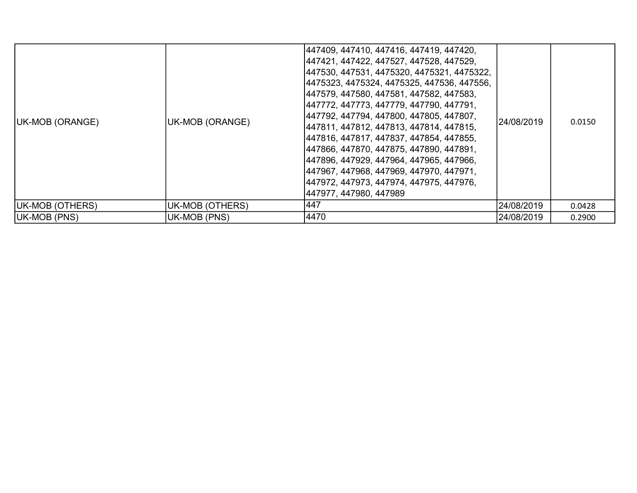| UK-MOB (ORANGE)     | UK-MOB (ORANGE) | 447409, 447410, 447416, 447419, 447420,<br> 447421, 447422, 447527, 447528, 447529,<br> 447530, 447531, 4475320, 4475321, 4475322,<br> 4475323, 4475324, 4475325, 447536, 447556,<br> 447579, 447580, 447581, 447582, 447583,<br> 447772, 447773, 447779, 447790, 447791,<br> 447792, 447794, 447800, 447805, 447807,<br> 447811, 447812, 447813, 447814, 447815,<br> 447816, 447817, 447837, 447854, 447855,<br> 447866, 447870, 447875, 447890, 447891,<br> 447896, 447929, 447964, 447965, 447966,<br> 447967, 447968, 447969, 447970, 447971,<br> 447972, 447973, 447974, 447975, 447976,<br> 447977, 447980, 447989 | 24/08/2019 | 0.0150 |
|---------------------|-----------------|--------------------------------------------------------------------------------------------------------------------------------------------------------------------------------------------------------------------------------------------------------------------------------------------------------------------------------------------------------------------------------------------------------------------------------------------------------------------------------------------------------------------------------------------------------------------------------------------------------------------------|------------|--------|
| UK-MOB (OTHERS)     | UK-MOB (OTHERS) | 447                                                                                                                                                                                                                                                                                                                                                                                                                                                                                                                                                                                                                      | 24/08/2019 | 0.0428 |
| <b>UK-MOB (PNS)</b> | UK-MOB (PNS)    | 4470                                                                                                                                                                                                                                                                                                                                                                                                                                                                                                                                                                                                                     | 24/08/2019 | 0.2900 |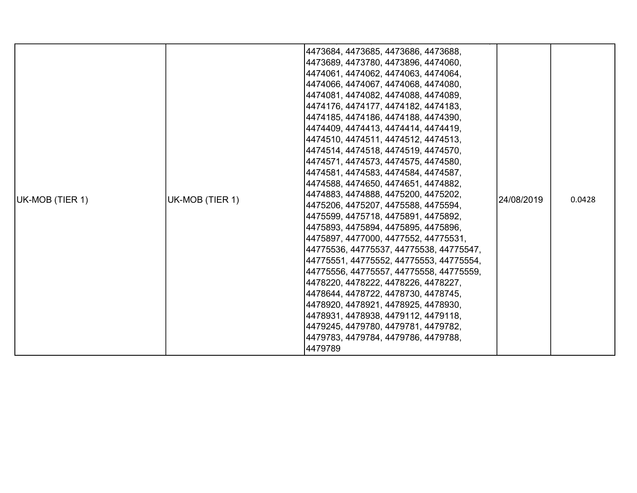|                 |                                                                                                                                                                                                                                                                                                                                                                                  | 4473684, 4473685, 4473686, 4473688, |            |        |
|-----------------|----------------------------------------------------------------------------------------------------------------------------------------------------------------------------------------------------------------------------------------------------------------------------------------------------------------------------------------------------------------------------------|-------------------------------------|------------|--------|
|                 |                                                                                                                                                                                                                                                                                                                                                                                  | 4473689, 4473780, 4473896, 4474060, |            |        |
|                 |                                                                                                                                                                                                                                                                                                                                                                                  | 4474061, 4474062, 4474063, 4474064, |            |        |
|                 |                                                                                                                                                                                                                                                                                                                                                                                  | 4474066, 4474067, 4474068, 4474080, |            |        |
|                 |                                                                                                                                                                                                                                                                                                                                                                                  | 4474081, 4474082, 4474088, 4474089, |            |        |
|                 |                                                                                                                                                                                                                                                                                                                                                                                  | 4474176, 4474177, 4474182, 4474183, |            |        |
|                 |                                                                                                                                                                                                                                                                                                                                                                                  | 4474185, 4474186, 4474188, 4474390, |            |        |
|                 |                                                                                                                                                                                                                                                                                                                                                                                  | 4474409, 4474413, 4474414, 4474419, |            |        |
|                 |                                                                                                                                                                                                                                                                                                                                                                                  | 4474510, 4474511, 4474512, 4474513, |            |        |
|                 |                                                                                                                                                                                                                                                                                                                                                                                  | 4474514, 4474518, 4474519, 4474570, |            |        |
|                 |                                                                                                                                                                                                                                                                                                                                                                                  | 4474571, 4474573, 4474575, 4474580, |            |        |
|                 | UK-MOB (TIER 1)                                                                                                                                                                                                                                                                                                                                                                  | 4474581, 4474583, 4474584, 4474587, | 24/08/2019 |        |
|                 |                                                                                                                                                                                                                                                                                                                                                                                  |                                     |            |        |
| UK-MOB (TIER 1) |                                                                                                                                                                                                                                                                                                                                                                                  |                                     |            | 0.0428 |
|                 |                                                                                                                                                                                                                                                                                                                                                                                  |                                     |            |        |
|                 |                                                                                                                                                                                                                                                                                                                                                                                  |                                     |            |        |
|                 |                                                                                                                                                                                                                                                                                                                                                                                  |                                     |            |        |
|                 | 4474588, 4474650, 4474651, 4474882,<br> 4474883, 4474888, 4475200, 4475202,<br> 4475206, 4475207, 4475588, 4475594,<br> 4475599, 4475718, 4475891, 4475892,<br> 4475893, 4475894, 4475895, 4475896,<br> 4475897, 4477000, 4477552, 44775531,<br> 44775536, 44775537, 44775538, 44775547,<br> 44775551, 44775552, 44775553, 44775554,<br> 44775556, 44775557, 44775558, 44775559, |                                     |            |        |
|                 |                                                                                                                                                                                                                                                                                                                                                                                  |                                     |            |        |
|                 |                                                                                                                                                                                                                                                                                                                                                                                  |                                     |            |        |
|                 |                                                                                                                                                                                                                                                                                                                                                                                  |                                     |            |        |
|                 |                                                                                                                                                                                                                                                                                                                                                                                  | 4478220, 4478222, 4478226, 4478227, |            |        |
|                 |                                                                                                                                                                                                                                                                                                                                                                                  | 4478644, 4478722, 4478730, 4478745, |            |        |
|                 |                                                                                                                                                                                                                                                                                                                                                                                  | 4478920, 4478921, 4478925, 4478930, |            |        |
|                 |                                                                                                                                                                                                                                                                                                                                                                                  | 4478931, 4478938, 4479112, 4479118, |            |        |
|                 |                                                                                                                                                                                                                                                                                                                                                                                  | 4479245, 4479780, 4479781, 4479782, |            |        |
|                 |                                                                                                                                                                                                                                                                                                                                                                                  | 4479783, 4479784, 4479786, 4479788, |            |        |
|                 |                                                                                                                                                                                                                                                                                                                                                                                  | 4479789                             |            |        |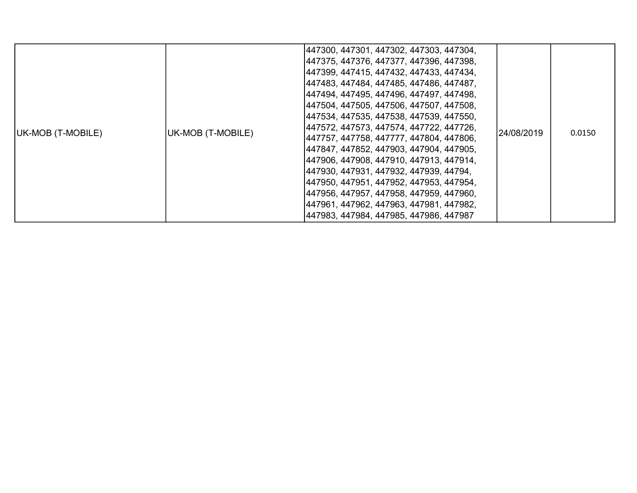| UK-MOB (T-MOBILE) | UK-MOB (T-MOBILE) | 447300, 447301, 447302, 447303, 447304,<br> 447375, 447376, 447377, 447396, 447398,<br> 447399, 447415, 447432, 447433, 447434,<br> 447483, 447484, 447485, 447486, 447487,<br> 447494, 447495, 447496, 447497, 447498,<br> 447504, 447505, 447506, 447507, 447508,<br> 447534, 447535, 447538, 447539, 447550,<br> 447572, 447573, 447574, 447722, 447726,<br> 447757, 447758, 447777, 447804, 447806,<br> 447847, 447852, 447903, 447904, 447905,<br> 447906, 447908, 447910, 447913, 447914,<br> 447930, 447931, 447932, 447939, 44794,<br> 447950, 447951, 447952, 447953, 447954,<br> 447956, 447957, 447958, 447959, 447960,<br> 447961, 447962, 447963, 447981, 447982,<br> 447983, 447984, 447985, 447986, 447987 | 24/08/2019 | 0.0150 |
|-------------------|-------------------|---------------------------------------------------------------------------------------------------------------------------------------------------------------------------------------------------------------------------------------------------------------------------------------------------------------------------------------------------------------------------------------------------------------------------------------------------------------------------------------------------------------------------------------------------------------------------------------------------------------------------------------------------------------------------------------------------------------------------|------------|--------|
|-------------------|-------------------|---------------------------------------------------------------------------------------------------------------------------------------------------------------------------------------------------------------------------------------------------------------------------------------------------------------------------------------------------------------------------------------------------------------------------------------------------------------------------------------------------------------------------------------------------------------------------------------------------------------------------------------------------------------------------------------------------------------------------|------------|--------|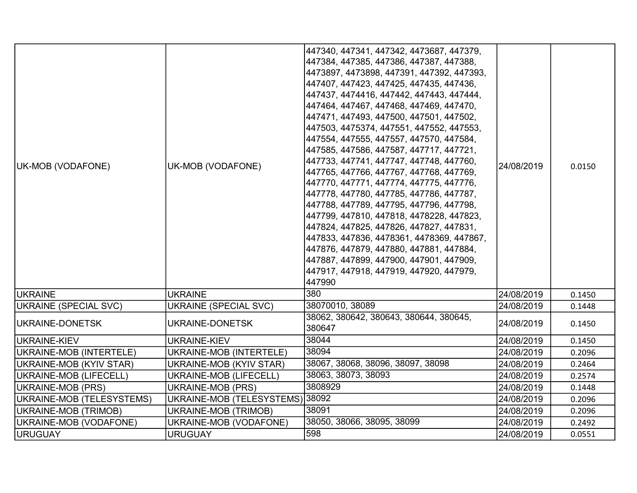| UK-MOB (VODAFONE)         | UK-MOB (VODAFONE)               | 447340, 447341, 447342, 4473687, 447379,<br>447384, 447385, 447386, 447387, 447388,<br>4473897, 4473898, 447391, 447392, 447393,<br> 447407, 447423, 447425, 447435, 447436,<br>447437, 4474416, 447442, 447443, 447444,<br>447464, 447467, 447468, 447469, 447470,<br>447471, 447493, 447500, 447501, 447502,<br>447503, 4475374, 447551, 447552, 447553,<br>447554, 447555, 447557, 447570, 447584,<br>447585, 447586, 447587, 447717, 447721,<br>447733, 447741, 447747, 447748, 447760,<br>447765, 447766, 447767, 447768, 447769,<br> 447770, 447771, 447774, 447775, 447776,<br>447778, 447780, 447785, 447786, 447787,<br>447788, 447789, 447795, 447796, 447798,<br>447799, 447810, 447818, 4478228, 447823,<br>447824, 447825, 447826, 447827, 447831,<br>447833, 447836, 4478361, 4478369, 447867,<br>447876, 447879, 447880, 447881, 447884,<br>447887, 447899, 447900, 447901, 447909,<br> 447917, 447918, 447919, 447920, 447979,<br>447990 | 24/08/2019 | 0.0150 |
|---------------------------|---------------------------------|----------------------------------------------------------------------------------------------------------------------------------------------------------------------------------------------------------------------------------------------------------------------------------------------------------------------------------------------------------------------------------------------------------------------------------------------------------------------------------------------------------------------------------------------------------------------------------------------------------------------------------------------------------------------------------------------------------------------------------------------------------------------------------------------------------------------------------------------------------------------------------------------------------------------------------------------------------|------------|--------|
| <b>IUKRAINE</b>           | <b>UKRAINE</b>                  | 380                                                                                                                                                                                                                                                                                                                                                                                                                                                                                                                                                                                                                                                                                                                                                                                                                                                                                                                                                      | 24/08/2019 | 0.1450 |
| UKRAINE (SPECIAL SVC)     | <b>UKRAINE (SPECIAL SVC)</b>    | 38070010, 38089                                                                                                                                                                                                                                                                                                                                                                                                                                                                                                                                                                                                                                                                                                                                                                                                                                                                                                                                          | 24/08/2019 | 0.1448 |
| UKRAINE-DONETSK           | UKRAINE-DONETSK                 | 38062, 380642, 380643, 380644, 380645,<br>380647                                                                                                                                                                                                                                                                                                                                                                                                                                                                                                                                                                                                                                                                                                                                                                                                                                                                                                         | 24/08/2019 | 0.1450 |
| UKRAINE-KIEV              | UKRAINE-KIEV                    | 38044                                                                                                                                                                                                                                                                                                                                                                                                                                                                                                                                                                                                                                                                                                                                                                                                                                                                                                                                                    | 24/08/2019 | 0.1450 |
| UKRAINE-MOB (INTERTELE)   | UKRAINE-MOB (INTERTELE)         | 38094                                                                                                                                                                                                                                                                                                                                                                                                                                                                                                                                                                                                                                                                                                                                                                                                                                                                                                                                                    | 24/08/2019 | 0.2096 |
| UKRAINE-MOB (KYIV STAR)   | UKRAINE-MOB (KYIV STAR)         | 38067, 38068, 38096, 38097, 38098                                                                                                                                                                                                                                                                                                                                                                                                                                                                                                                                                                                                                                                                                                                                                                                                                                                                                                                        | 24/08/2019 | 0.2464 |
| UKRAINE-MOB (LIFECELL)    | <b>UKRAINE-MOB (LIFECELL)</b>   | 38063, 38073, 38093                                                                                                                                                                                                                                                                                                                                                                                                                                                                                                                                                                                                                                                                                                                                                                                                                                                                                                                                      | 24/08/2019 | 0.2574 |
| UKRAINE-MOB (PRS)         | <b>UKRAINE-MOB (PRS)</b>        | 3808929                                                                                                                                                                                                                                                                                                                                                                                                                                                                                                                                                                                                                                                                                                                                                                                                                                                                                                                                                  | 24/08/2019 | 0.1448 |
| UKRAINE-MOB (TELESYSTEMS) | UKRAINE-MOB (TELESYSTEMS) 38092 |                                                                                                                                                                                                                                                                                                                                                                                                                                                                                                                                                                                                                                                                                                                                                                                                                                                                                                                                                          | 24/08/2019 | 0.2096 |
| UKRAINE-MOB (TRIMOB)      | UKRAINE-MOB (TRIMOB)            | 38091                                                                                                                                                                                                                                                                                                                                                                                                                                                                                                                                                                                                                                                                                                                                                                                                                                                                                                                                                    | 24/08/2019 | 0.2096 |
| UKRAINE-MOB (VODAFONE)    | UKRAINE-MOB (VODAFONE)          | 38050, 38066, 38095, 38099                                                                                                                                                                                                                                                                                                                                                                                                                                                                                                                                                                                                                                                                                                                                                                                                                                                                                                                               | 24/08/2019 | 0.2492 |
| URUGUAY                   | <b>URUGUAY</b>                  | 598                                                                                                                                                                                                                                                                                                                                                                                                                                                                                                                                                                                                                                                                                                                                                                                                                                                                                                                                                      | 24/08/2019 | 0.0551 |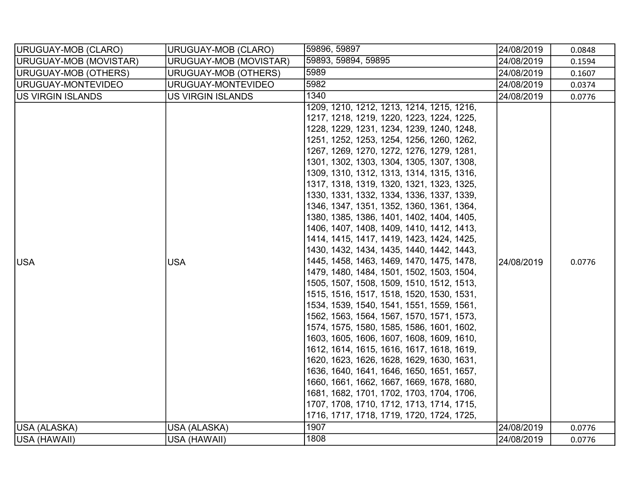| URUGUAY-MOB (CLARO)    | URUGUAY-MOB (CLARO)         | 59896, 59897                                                                                                                                                                                                                                                                                                                                                                                                                                                                                                                                                                                                                                                                                                                                                                                                                                                                                                                                                                                                                                                                                                                                                                                                                                                                                                                                          | 24/08/2019 | 0.0848 |
|------------------------|-----------------------------|-------------------------------------------------------------------------------------------------------------------------------------------------------------------------------------------------------------------------------------------------------------------------------------------------------------------------------------------------------------------------------------------------------------------------------------------------------------------------------------------------------------------------------------------------------------------------------------------------------------------------------------------------------------------------------------------------------------------------------------------------------------------------------------------------------------------------------------------------------------------------------------------------------------------------------------------------------------------------------------------------------------------------------------------------------------------------------------------------------------------------------------------------------------------------------------------------------------------------------------------------------------------------------------------------------------------------------------------------------|------------|--------|
| URUGUAY-MOB (MOVISTAR) | URUGUAY-MOB (MOVISTAR)      | 59893, 59894, 59895                                                                                                                                                                                                                                                                                                                                                                                                                                                                                                                                                                                                                                                                                                                                                                                                                                                                                                                                                                                                                                                                                                                                                                                                                                                                                                                                   | 24/08/2019 | 0.1594 |
| URUGUAY-MOB (OTHERS)   | <b>URUGUAY-MOB (OTHERS)</b> | 5989                                                                                                                                                                                                                                                                                                                                                                                                                                                                                                                                                                                                                                                                                                                                                                                                                                                                                                                                                                                                                                                                                                                                                                                                                                                                                                                                                  | 24/08/2019 | 0.1607 |
| URUGUAY-MONTEVIDEO     | URUGUAY-MONTEVIDEO          | 5982                                                                                                                                                                                                                                                                                                                                                                                                                                                                                                                                                                                                                                                                                                                                                                                                                                                                                                                                                                                                                                                                                                                                                                                                                                                                                                                                                  | 24/08/2019 | 0.0374 |
| US VIRGIN ISLANDS      | <b>US VIRGIN ISLANDS</b>    | 1340                                                                                                                                                                                                                                                                                                                                                                                                                                                                                                                                                                                                                                                                                                                                                                                                                                                                                                                                                                                                                                                                                                                                                                                                                                                                                                                                                  | 24/08/2019 | 0.0776 |
| <b>USA</b>             | <b>USA</b>                  | 1209, 1210, 1212, 1213, 1214, 1215, 1216,<br>1217, 1218, 1219, 1220, 1223, 1224, 1225,<br>1228, 1229, 1231, 1234, 1239, 1240, 1248,<br>1251, 1252, 1253, 1254, 1256, 1260, 1262,<br>1267, 1269, 1270, 1272, 1276, 1279, 1281,<br>1301, 1302, 1303, 1304, 1305, 1307, 1308,<br>1309, 1310, 1312, 1313, 1314, 1315, 1316,<br>1317, 1318, 1319, 1320, 1321, 1323, 1325,<br>1330, 1331, 1332, 1334, 1336, 1337, 1339,<br>1346, 1347, 1351, 1352, 1360, 1361, 1364,<br>1380, 1385, 1386, 1401, 1402, 1404, 1405,<br>1406, 1407, 1408, 1409, 1410, 1412, 1413,<br>1414, 1415, 1417, 1419, 1423, 1424, 1425,<br>1430, 1432, 1434, 1435, 1440, 1442, 1443,<br>1445, 1458, 1463, 1469, 1470, 1475, 1478,<br>1479, 1480, 1484, 1501, 1502, 1503, 1504,<br>1505, 1507, 1508, 1509, 1510, 1512, 1513,<br>1515, 1516, 1517, 1518, 1520, 1530, 1531,<br>1534, 1539, 1540, 1541, 1551, 1559, 1561,<br>1562, 1563, 1564, 1567, 1570, 1571, 1573,<br>1574, 1575, 1580, 1585, 1586, 1601, 1602,<br>1603, 1605, 1606, 1607, 1608, 1609, 1610,<br>1612, 1614, 1615, 1616, 1617, 1618, 1619,<br>1620, 1623, 1626, 1628, 1629, 1630, 1631,<br>1636, 1640, 1641, 1646, 1650, 1651, 1657,<br>1660, 1661, 1662, 1667, 1669, 1678, 1680,<br>1681, 1682, 1701, 1702, 1703, 1704, 1706,<br>1707, 1708, 1710, 1712, 1713, 1714, 1715,<br>1716, 1717, 1718, 1719, 1720, 1724, 1725, | 24/08/2019 | 0.0776 |
| USA (ALASKA)           | USA (ALASKA)                | 1907                                                                                                                                                                                                                                                                                                                                                                                                                                                                                                                                                                                                                                                                                                                                                                                                                                                                                                                                                                                                                                                                                                                                                                                                                                                                                                                                                  | 24/08/2019 | 0.0776 |
| USA (HAWAII)           | USA (HAWAII)                | 1808                                                                                                                                                                                                                                                                                                                                                                                                                                                                                                                                                                                                                                                                                                                                                                                                                                                                                                                                                                                                                                                                                                                                                                                                                                                                                                                                                  | 24/08/2019 | 0.0776 |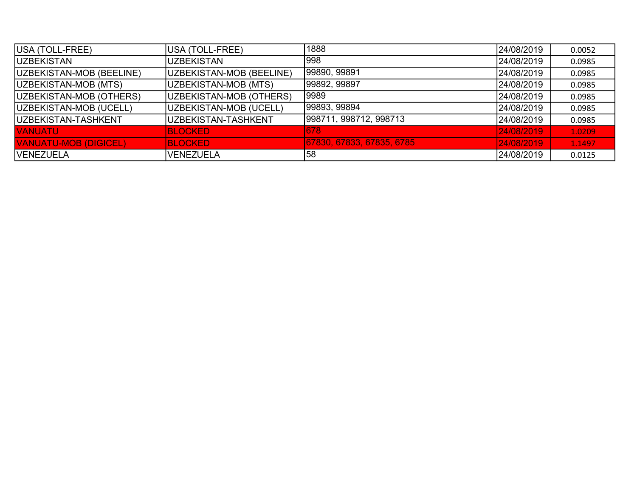| USA (TOLL-FREE)              | USA (TOLL-FREE)          | 1888                      | 24/08/2019 | 0.0052 |
|------------------------------|--------------------------|---------------------------|------------|--------|
| <b>IUZBEKISTAN</b>           | <b>UZBEKISTAN</b>        | 998                       | 24/08/2019 | 0.0985 |
| UZBEKISTAN-MOB (BEELINE)     | UZBEKISTAN-MOB (BEELINE) | 99890, 99891              | 24/08/2019 | 0.0985 |
| UZBEKISTAN-MOB (MTS)         | UZBEKISTAN-MOB (MTS)     | 99892, 99897              | 24/08/2019 | 0.0985 |
| UZBEKISTAN-MOB (OTHERS)      | UZBEKISTAN-MOB (OTHERS)  | 9989                      | 24/08/2019 | 0.0985 |
| UZBEKISTAN-MOB (UCELL)       | UZBEKISTAN-MOB (UCELL)   | 99893, 99894              | 24/08/2019 | 0.0985 |
| UZBEKISTAN-TASHKENT          | UZBEKISTAN-TASHKENT      | 998711, 998712, 998713    | 24/08/2019 | 0.0985 |
| <b>VANUATU</b>               | <b>BLOCKED</b>           | 678                       | 24/08/2019 | 1.0209 |
| <b>VANUATU-MOB (DIGICEL)</b> | <b>BLOCKED</b>           | 67830, 67833, 67835, 6785 | 24/08/2019 | 1.1497 |
| <b>VENEZUELA</b>             | <b>VENEZUELA</b>         | 158                       | 24/08/2019 | 0.0125 |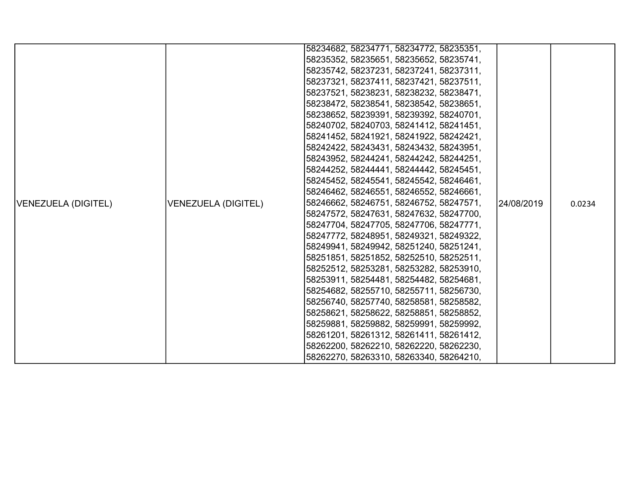| 58235352, 58235651, 58235652, 58235741,<br>58235742, 58237231, 58237241, 58237311,<br>58237321, 58237411, 58237421, 58237511,<br>58237521, 58238231, 58238232, 58238471,<br>58238472, 58238541, 58238542, 58238651,<br>58238652, 58239391, 58239392, 58240701,<br>58240702, 58240703, 58241412, 58241451,<br>58241452, 58241921, 58241922, 58242421,<br>58242422, 58243431, 58243432, 58243951,<br>58243952, 58244241, 58244242, 58244251,<br>58244252, 58244441, 58244442, 58245451,<br>58245452, 58245541, 58245542, 58246461,<br>58246462, 58246551, 58246552, 58246661,<br>58246662, 58246751, 58246752, 58247571,<br>VENEZUELA (DIGITEL)<br>l24/08/2019<br>0.0234<br>58247572, 58247631, 58247632, 58247700,<br>58247704, 58247705, 58247706, 58247771,<br>58247772, 58248951, 58249321, 58249322,<br>58249941, 58249942, 58251240, 58251241,<br>58251851, 58251852, 58252510, 58252511,<br>58252512, 58253281, 58253282, 58253910,<br>58253911, 58254481, 58254482, 58254681,<br>58254682, 58255710, 58255711, 58256730,<br>58256740, 58257740, 58258581, 58258582,<br>58258621, 58258622, 58258851, 58258852,<br>58259881, 58259882, 58259991, 58259992,<br>58261201, 58261312, 58261411, 58261412,<br>58262200, 58262210, 58262220, 58262230, |                     |  | 58234682, 58234771, 58234772, 58235351, |  |  |
|-------------------------------------------------------------------------------------------------------------------------------------------------------------------------------------------------------------------------------------------------------------------------------------------------------------------------------------------------------------------------------------------------------------------------------------------------------------------------------------------------------------------------------------------------------------------------------------------------------------------------------------------------------------------------------------------------------------------------------------------------------------------------------------------------------------------------------------------------------------------------------------------------------------------------------------------------------------------------------------------------------------------------------------------------------------------------------------------------------------------------------------------------------------------------------------------------------------------------------------------------------|---------------------|--|-----------------------------------------|--|--|
|                                                                                                                                                                                                                                                                                                                                                                                                                                                                                                                                                                                                                                                                                                                                                                                                                                                                                                                                                                                                                                                                                                                                                                                                                                                       |                     |  |                                         |  |  |
|                                                                                                                                                                                                                                                                                                                                                                                                                                                                                                                                                                                                                                                                                                                                                                                                                                                                                                                                                                                                                                                                                                                                                                                                                                                       |                     |  |                                         |  |  |
|                                                                                                                                                                                                                                                                                                                                                                                                                                                                                                                                                                                                                                                                                                                                                                                                                                                                                                                                                                                                                                                                                                                                                                                                                                                       |                     |  |                                         |  |  |
|                                                                                                                                                                                                                                                                                                                                                                                                                                                                                                                                                                                                                                                                                                                                                                                                                                                                                                                                                                                                                                                                                                                                                                                                                                                       |                     |  |                                         |  |  |
|                                                                                                                                                                                                                                                                                                                                                                                                                                                                                                                                                                                                                                                                                                                                                                                                                                                                                                                                                                                                                                                                                                                                                                                                                                                       |                     |  |                                         |  |  |
|                                                                                                                                                                                                                                                                                                                                                                                                                                                                                                                                                                                                                                                                                                                                                                                                                                                                                                                                                                                                                                                                                                                                                                                                                                                       |                     |  |                                         |  |  |
|                                                                                                                                                                                                                                                                                                                                                                                                                                                                                                                                                                                                                                                                                                                                                                                                                                                                                                                                                                                                                                                                                                                                                                                                                                                       |                     |  |                                         |  |  |
|                                                                                                                                                                                                                                                                                                                                                                                                                                                                                                                                                                                                                                                                                                                                                                                                                                                                                                                                                                                                                                                                                                                                                                                                                                                       |                     |  |                                         |  |  |
|                                                                                                                                                                                                                                                                                                                                                                                                                                                                                                                                                                                                                                                                                                                                                                                                                                                                                                                                                                                                                                                                                                                                                                                                                                                       |                     |  |                                         |  |  |
|                                                                                                                                                                                                                                                                                                                                                                                                                                                                                                                                                                                                                                                                                                                                                                                                                                                                                                                                                                                                                                                                                                                                                                                                                                                       |                     |  |                                         |  |  |
|                                                                                                                                                                                                                                                                                                                                                                                                                                                                                                                                                                                                                                                                                                                                                                                                                                                                                                                                                                                                                                                                                                                                                                                                                                                       |                     |  |                                         |  |  |
|                                                                                                                                                                                                                                                                                                                                                                                                                                                                                                                                                                                                                                                                                                                                                                                                                                                                                                                                                                                                                                                                                                                                                                                                                                                       |                     |  |                                         |  |  |
|                                                                                                                                                                                                                                                                                                                                                                                                                                                                                                                                                                                                                                                                                                                                                                                                                                                                                                                                                                                                                                                                                                                                                                                                                                                       |                     |  |                                         |  |  |
|                                                                                                                                                                                                                                                                                                                                                                                                                                                                                                                                                                                                                                                                                                                                                                                                                                                                                                                                                                                                                                                                                                                                                                                                                                                       |                     |  |                                         |  |  |
|                                                                                                                                                                                                                                                                                                                                                                                                                                                                                                                                                                                                                                                                                                                                                                                                                                                                                                                                                                                                                                                                                                                                                                                                                                                       | VENEZUELA (DIGITEL) |  |                                         |  |  |
|                                                                                                                                                                                                                                                                                                                                                                                                                                                                                                                                                                                                                                                                                                                                                                                                                                                                                                                                                                                                                                                                                                                                                                                                                                                       |                     |  |                                         |  |  |
|                                                                                                                                                                                                                                                                                                                                                                                                                                                                                                                                                                                                                                                                                                                                                                                                                                                                                                                                                                                                                                                                                                                                                                                                                                                       |                     |  |                                         |  |  |
|                                                                                                                                                                                                                                                                                                                                                                                                                                                                                                                                                                                                                                                                                                                                                                                                                                                                                                                                                                                                                                                                                                                                                                                                                                                       |                     |  |                                         |  |  |
|                                                                                                                                                                                                                                                                                                                                                                                                                                                                                                                                                                                                                                                                                                                                                                                                                                                                                                                                                                                                                                                                                                                                                                                                                                                       |                     |  |                                         |  |  |
|                                                                                                                                                                                                                                                                                                                                                                                                                                                                                                                                                                                                                                                                                                                                                                                                                                                                                                                                                                                                                                                                                                                                                                                                                                                       |                     |  |                                         |  |  |
|                                                                                                                                                                                                                                                                                                                                                                                                                                                                                                                                                                                                                                                                                                                                                                                                                                                                                                                                                                                                                                                                                                                                                                                                                                                       |                     |  |                                         |  |  |
|                                                                                                                                                                                                                                                                                                                                                                                                                                                                                                                                                                                                                                                                                                                                                                                                                                                                                                                                                                                                                                                                                                                                                                                                                                                       |                     |  |                                         |  |  |
|                                                                                                                                                                                                                                                                                                                                                                                                                                                                                                                                                                                                                                                                                                                                                                                                                                                                                                                                                                                                                                                                                                                                                                                                                                                       |                     |  |                                         |  |  |
|                                                                                                                                                                                                                                                                                                                                                                                                                                                                                                                                                                                                                                                                                                                                                                                                                                                                                                                                                                                                                                                                                                                                                                                                                                                       |                     |  |                                         |  |  |
|                                                                                                                                                                                                                                                                                                                                                                                                                                                                                                                                                                                                                                                                                                                                                                                                                                                                                                                                                                                                                                                                                                                                                                                                                                                       |                     |  |                                         |  |  |
|                                                                                                                                                                                                                                                                                                                                                                                                                                                                                                                                                                                                                                                                                                                                                                                                                                                                                                                                                                                                                                                                                                                                                                                                                                                       |                     |  |                                         |  |  |
|                                                                                                                                                                                                                                                                                                                                                                                                                                                                                                                                                                                                                                                                                                                                                                                                                                                                                                                                                                                                                                                                                                                                                                                                                                                       |                     |  |                                         |  |  |
|                                                                                                                                                                                                                                                                                                                                                                                                                                                                                                                                                                                                                                                                                                                                                                                                                                                                                                                                                                                                                                                                                                                                                                                                                                                       |                     |  |                                         |  |  |
|                                                                                                                                                                                                                                                                                                                                                                                                                                                                                                                                                                                                                                                                                                                                                                                                                                                                                                                                                                                                                                                                                                                                                                                                                                                       |                     |  | 58262270, 58263310, 58263340, 58264210, |  |  |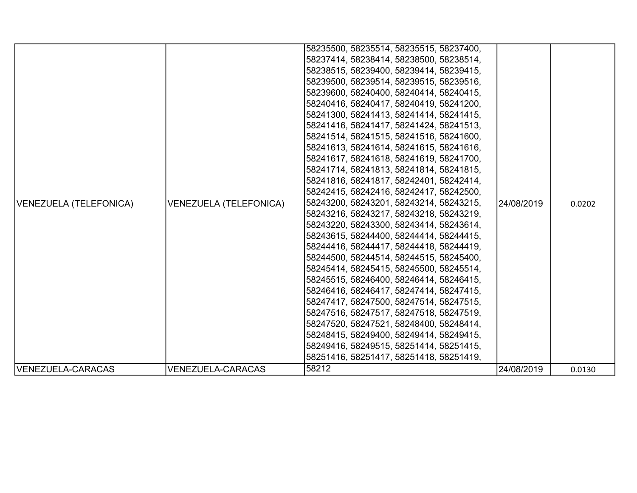| VENEZUELA (TELEFONICA) | VENEZUELA (TELEFONICA) | 58235500, 58235514, 58235515, 58237400,<br>58237414, 58238414, 58238500, 58238514,<br>58238515, 58239400, 58239414, 58239415,<br>58239500, 58239514, 58239515, 58239516,<br>58239600, 58240400, 58240414, 58240415,<br>58240416, 58240417, 58240419, 58241200,<br>58241300, 58241413, 58241414, 58241415,<br>58241416, 58241417, 58241424, 58241513,<br>58241514, 58241515, 58241516, 58241600,<br>58241613, 58241614, 58241615, 58241616,<br>58241617, 58241618, 58241619, 58241700,<br>58241714, 58241813, 58241814, 58241815,<br>58241816, 58241817, 58242401, 58242414,<br>58242415, 58242416, 58242417, 58242500,<br>58243200, 58243201, 58243214, 58243215,<br>58243216, 58243217, 58243218, 58243219,<br>58243220, 58243300, 58243414, 58243614,<br>58243615, 58244400, 58244414, 58244415,<br>58244416, 58244417, 58244418, 58244419,<br>58244500, 58244514, 58244515, 58245400,<br>58245414, 58245415, 58245500, 58245514,<br>58245515, 58246400, 58246414, 58246415,<br>58246416, 58246417, 58247414, 58247415,<br>58247417, 58247500, 58247514, 58247515,<br>58247516, 58247517, 58247518, 58247519,<br>58247520, 58247521, 58248400, 58248414,<br>58248415, 58249400, 58249414, 58249415,<br>58249416, 58249515, 58251414, 58251415,<br>58251416, 58251417, 58251418, 58251419, | 24/08/2019 | 0.0202 |
|------------------------|------------------------|---------------------------------------------------------------------------------------------------------------------------------------------------------------------------------------------------------------------------------------------------------------------------------------------------------------------------------------------------------------------------------------------------------------------------------------------------------------------------------------------------------------------------------------------------------------------------------------------------------------------------------------------------------------------------------------------------------------------------------------------------------------------------------------------------------------------------------------------------------------------------------------------------------------------------------------------------------------------------------------------------------------------------------------------------------------------------------------------------------------------------------------------------------------------------------------------------------------------------------------------------------------------------------------------|------------|--------|
| VENEZUELA-CARACAS      | VENEZUELA-CARACAS      | 58212                                                                                                                                                                                                                                                                                                                                                                                                                                                                                                                                                                                                                                                                                                                                                                                                                                                                                                                                                                                                                                                                                                                                                                                                                                                                                       | 24/08/2019 | 0.0130 |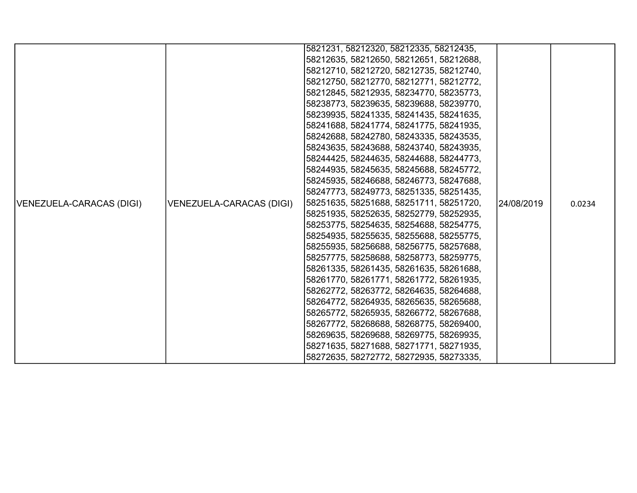|                          |                          | 5821231, 58212320, 58212335, 58212435,  |            |        |
|--------------------------|--------------------------|-----------------------------------------|------------|--------|
|                          |                          | 58212635, 58212650, 58212651, 58212688, |            |        |
|                          |                          | 58212710, 58212720, 58212735, 58212740, |            |        |
|                          |                          | 58212750, 58212770, 58212771, 58212772, |            |        |
|                          |                          | 58212845, 58212935, 58234770, 58235773, |            |        |
|                          |                          | 58238773, 58239635, 58239688, 58239770, |            |        |
|                          |                          | 58239935, 58241335, 58241435, 58241635, |            |        |
|                          |                          | 58241688, 58241774, 58241775, 58241935, |            |        |
|                          |                          | 58242688, 58242780, 58243335, 58243535, |            |        |
|                          |                          | 58243635, 58243688, 58243740, 58243935, |            |        |
|                          |                          | 58244425, 58244635, 58244688, 58244773, |            |        |
|                          |                          | 58244935, 58245635, 58245688, 58245772, |            |        |
|                          |                          | 58245935, 58246688, 58246773, 58247688, |            |        |
|                          |                          | 58247773, 58249773, 58251335, 58251435, |            |        |
| VENEZUELA-CARACAS (DIGI) | VENEZUELA-CARACAS (DIGI) | 58251635, 58251688, 58251711, 58251720, | 24/08/2019 | 0.0234 |
|                          |                          | 58251935, 58252635, 58252779, 58252935, |            |        |
|                          |                          | 58253775, 58254635, 58254688, 58254775, |            |        |
|                          |                          | 58254935, 58255635, 58255688, 58255775, |            |        |
|                          |                          | 58255935, 58256688, 58256775, 58257688, |            |        |
|                          |                          | 58257775, 58258688, 58258773, 58259775, |            |        |
|                          |                          | 58261335, 58261435, 58261635, 58261688, |            |        |
|                          |                          | 58261770, 58261771, 58261772, 58261935, |            |        |
|                          |                          | 58262772, 58263772, 58264635, 58264688, |            |        |
|                          |                          | 58264772, 58264935, 58265635, 58265688, |            |        |
|                          |                          | 58265772, 58265935, 58266772, 58267688, |            |        |
|                          |                          | 58267772, 58268688, 58268775, 58269400, |            |        |
|                          |                          | 58269635, 58269688, 58269775, 58269935, |            |        |
|                          |                          | 58271635, 58271688, 58271771, 58271935, |            |        |
|                          |                          | 58272635, 58272772, 58272935, 58273335, |            |        |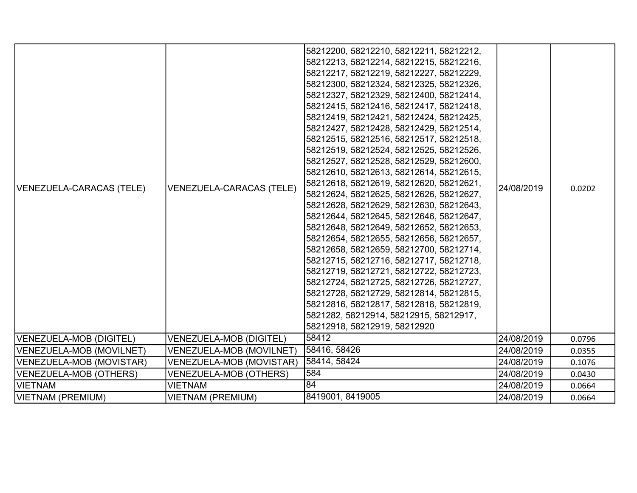| VENEZUELA-CARACAS (TELE) | VENEZUELA-CARACAS (TELE)        | 58212200, 58212210, 58212211, 58212212,<br>58212213, 58212214, 58212215, 58212216,<br> 58212217, 58212219, 58212227, 58212229,<br>58212300, 58212324, 58212325, 58212326,<br>58212327, 58212329, 58212400, 58212414,<br>58212415, 58212416, 58212417, 58212418,<br>58212419, 58212421, 58212424, 58212425,<br>58212427, 58212428, 58212429, 58212514,<br>58212515, 58212516, 58212517, 58212518,<br>58212519, 58212524, 58212525, 58212526,<br>58212527, 58212528, 58212529, 58212600,<br>58212610, 58212613, 58212614, 58212615,<br>58212618, 58212619, 58212620, 58212621,<br>58212624, 58212625, 58212626, 58212627,<br>58212628, 58212629, 58212630, 58212643,<br>58212644, 58212645, 58212646, 58212647,<br>58212648, 58212649, 58212652, 58212653,<br>58212654, 58212655, 58212656, 58212657,<br>58212658, 58212659, 58212700, 58212714,<br>58212715, 58212716, 58212717, 58212718,<br>58212719, 58212721, 58212722, 58212723,<br>58212724, 58212725, 58212726, 58212727,<br>58212728, 58212729, 58212814, 58212815,<br>58212816, 58212817, 58212818, 58212819,<br>5821282, 58212914, 58212915, 58212917,<br>58212918, 58212919, 58212920 | 24/08/2019 | 0.0202 |
|--------------------------|---------------------------------|-------------------------------------------------------------------------------------------------------------------------------------------------------------------------------------------------------------------------------------------------------------------------------------------------------------------------------------------------------------------------------------------------------------------------------------------------------------------------------------------------------------------------------------------------------------------------------------------------------------------------------------------------------------------------------------------------------------------------------------------------------------------------------------------------------------------------------------------------------------------------------------------------------------------------------------------------------------------------------------------------------------------------------------------------------------------------------------------------------------------------------------------------|------------|--------|
| VENEZUELA-MOB (DIGITEL)  | <b>VENEZUELA-MOB (DIGITEL)</b>  | 58412                                                                                                                                                                                                                                                                                                                                                                                                                                                                                                                                                                                                                                                                                                                                                                                                                                                                                                                                                                                                                                                                                                                                           | 24/08/2019 | 0.0796 |
| VENEZUELA-MOB (MOVILNET) | VENEZUELA-MOB (MOVILNET)        | 58416, 58426                                                                                                                                                                                                                                                                                                                                                                                                                                                                                                                                                                                                                                                                                                                                                                                                                                                                                                                                                                                                                                                                                                                                    | 24/08/2019 | 0.0355 |
| VENEZUELA-MOB (MOVISTAR) | <b>VENEZUELA-MOB (MOVISTAR)</b> | 58414, 58424                                                                                                                                                                                                                                                                                                                                                                                                                                                                                                                                                                                                                                                                                                                                                                                                                                                                                                                                                                                                                                                                                                                                    | 24/08/2019 | 0.1076 |
| VENEZUELA-MOB (OTHERS)   | <b>VENEZUELA-MOB (OTHERS)</b>   | 584                                                                                                                                                                                                                                                                                                                                                                                                                                                                                                                                                                                                                                                                                                                                                                                                                                                                                                                                                                                                                                                                                                                                             | 24/08/2019 | 0.0430 |
| <b>VIETNAM</b>           | <b>VIETNAM</b>                  | 84                                                                                                                                                                                                                                                                                                                                                                                                                                                                                                                                                                                                                                                                                                                                                                                                                                                                                                                                                                                                                                                                                                                                              | 24/08/2019 | 0.0664 |
| VIETNAM (PREMIUM)        | <b>VIETNAM (PREMIUM)</b>        | 8419001, 8419005                                                                                                                                                                                                                                                                                                                                                                                                                                                                                                                                                                                                                                                                                                                                                                                                                                                                                                                                                                                                                                                                                                                                | 24/08/2019 | 0.0664 |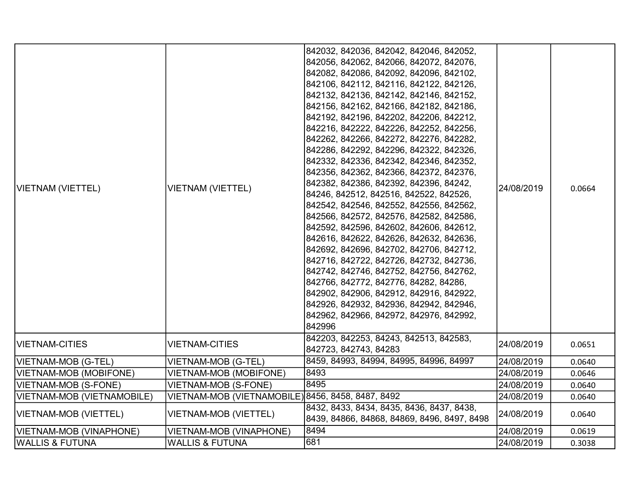| VIETNAM (VIETTEL)          | <b>VIETNAM (VIETTEL)</b>                          | 842032, 842036, 842042, 842046, 842052,<br>842056, 842062, 842066, 842072, 842076,<br>842082, 842086, 842092, 842096, 842102,<br>842106, 842112, 842116, 842122, 842126,<br>842132, 842136, 842142, 842146, 842152,<br>842156, 842162, 842166, 842182, 842186,<br>842192, 842196, 842202, 842206, 842212,<br>842216, 842222, 842226, 842252, 842256,<br>842262, 842266, 842272, 842276, 842282,<br>842286, 842292, 842296, 842322, 842326,<br>842332, 842336, 842342, 842346, 842352,<br>842356, 842362, 842366, 842372, 842376,<br>842382, 842386, 842392, 842396, 84242,<br>84246, 842512, 842516, 842522, 842526,<br>842542, 842546, 842552, 842556, 842562,<br>842566, 842572, 842576, 842582, 842586,<br>842592, 842596, 842602, 842606, 842612,<br>842616, 842622, 842626, 842632, 842636,<br>842692, 842696, 842702, 842706, 842712,<br>842716, 842722, 842726, 842732, 842736,<br>842742, 842746, 842752, 842756, 842762,<br>842766, 842772, 842776, 84282, 84286,<br>842902, 842906, 842912, 842916, 842922,<br>842926, 842932, 842936, 842942, 842946,<br>842962, 842966, 842972, 842976, 842992,<br>842996 | 24/08/2019 | 0.0664 |
|----------------------------|---------------------------------------------------|-----------------------------------------------------------------------------------------------------------------------------------------------------------------------------------------------------------------------------------------------------------------------------------------------------------------------------------------------------------------------------------------------------------------------------------------------------------------------------------------------------------------------------------------------------------------------------------------------------------------------------------------------------------------------------------------------------------------------------------------------------------------------------------------------------------------------------------------------------------------------------------------------------------------------------------------------------------------------------------------------------------------------------------------------------------------------------------------------------------------------|------------|--------|
| VIETNAM-CITIES             | <b>VIETNAM-CITIES</b>                             | 842203, 842253, 84243, 842513, 842583,<br>842723, 842743, 84283                                                                                                                                                                                                                                                                                                                                                                                                                                                                                                                                                                                                                                                                                                                                                                                                                                                                                                                                                                                                                                                       | 24/08/2019 | 0.0651 |
| VIETNAM-MOB (G-TEL)        | <b>VIETNAM-MOB (G-TEL)</b>                        | 8459, 84993, 84994, 84995, 84996, 84997                                                                                                                                                                                                                                                                                                                                                                                                                                                                                                                                                                                                                                                                                                                                                                                                                                                                                                                                                                                                                                                                               | 24/08/2019 | 0.0640 |
| VIETNAM-MOB (MOBIFONE)     | <b>VIETNAM-MOB (MOBIFONE)</b>                     | 8493                                                                                                                                                                                                                                                                                                                                                                                                                                                                                                                                                                                                                                                                                                                                                                                                                                                                                                                                                                                                                                                                                                                  | 24/08/2019 | 0.0646 |
| VIETNAM-MOB (S-FONE)       | <b>VIETNAM-MOB (S-FONE)</b>                       | 8495                                                                                                                                                                                                                                                                                                                                                                                                                                                                                                                                                                                                                                                                                                                                                                                                                                                                                                                                                                                                                                                                                                                  | 24/08/2019 | 0.0640 |
| VIETNAM-MOB (VIETNAMOBILE) | VIETNAM-MOB (VIETNAMOBILE) 8456, 8458, 8487, 8492 |                                                                                                                                                                                                                                                                                                                                                                                                                                                                                                                                                                                                                                                                                                                                                                                                                                                                                                                                                                                                                                                                                                                       | 24/08/2019 | 0.0640 |
| VIETNAM-MOB (VIETTEL)      | VIETNAM-MOB (VIETTEL)                             | 8432, 8433, 8434, 8435, 8436, 8437, 8438,<br>8439, 84866, 84868, 84869, 8496, 8497, 8498                                                                                                                                                                                                                                                                                                                                                                                                                                                                                                                                                                                                                                                                                                                                                                                                                                                                                                                                                                                                                              | 24/08/2019 | 0.0640 |
| VIETNAM-MOB (VINAPHONE)    | VIETNAM-MOB (VINAPHONE)                           | 8494                                                                                                                                                                                                                                                                                                                                                                                                                                                                                                                                                                                                                                                                                                                                                                                                                                                                                                                                                                                                                                                                                                                  | 24/08/2019 | 0.0619 |
| <b>WALLIS &amp; FUTUNA</b> | <b>WALLIS &amp; FUTUNA</b>                        | 681                                                                                                                                                                                                                                                                                                                                                                                                                                                                                                                                                                                                                                                                                                                                                                                                                                                                                                                                                                                                                                                                                                                   | 24/08/2019 | 0.3038 |